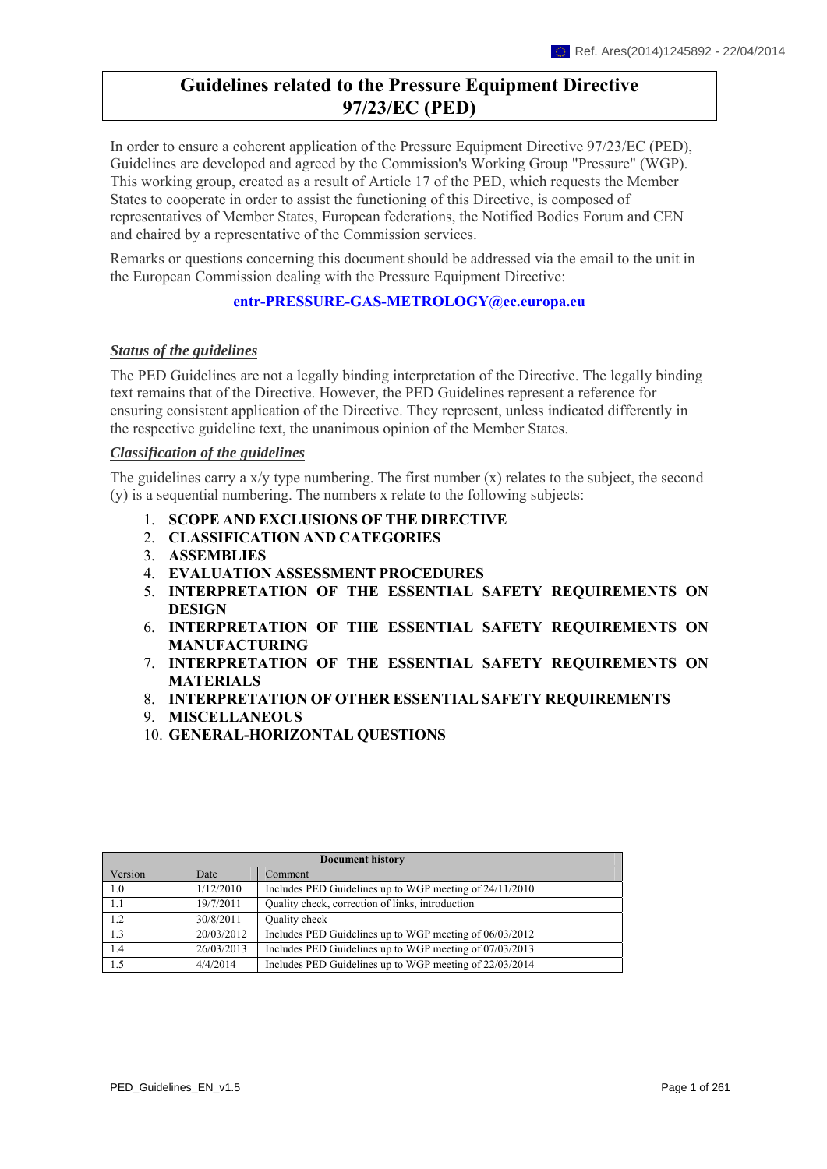# **Guidelines related to the Pressure Equipment Directive 97/23/EC (PED)**

In order to ensure a coherent application of the Pressure Equipment Directive 97/23/EC (PED), Guidelines are developed and agreed by the Commission's Working Group "Pressure" (WGP). This working group, created as a result of Article 17 of the PED, which requests the Member States to cooperate in order to assist the functioning of this Directive, is composed of representatives of Member States, European federations, the Notified Bodies Forum and CEN and chaired by a representative of the Commission services.

Remarks or questions concerning this document should be addressed via the email to the unit in the European Commission dealing with the Pressure Equipment Directive:

#### **[entr-PRESSURE-GAS-METROLOGY@ec.europa.eu](mailto:entr-PRESSURE-GAS-METROLOGY@ec.europa.eu)**

#### *Status of the guidelines*

The PED Guidelines are not a legally binding interpretation of the Directive. The legally binding text remains that of the Directive. However, the PED Guidelines represent a reference for ensuring consistent application of the Directive. They represent, unless indicated differently in the respective guideline text, the unanimous opinion of the Member States.

#### *Classification of the guidelines*

The guidelines carry a  $x/y$  type numbering. The first number  $(x)$  relates to the subject, the second (y) is a sequential numbering. The numbers x relate to the following subjects:

- 1. **SCOPE AND [EXCLUSIONS](#page-0-0) OF THE DIRECTIVE**
- 2. **[CLASSIFICATION](#page-59-0) AND CATEGORIES**
- 3. **[ASSEMBLIES](#page-103-0)**
- 4. **EVALUATION ASSESSMENT [PROCEDURES](#page-124-0)**
- 5. **[INTERPRETATION](#page-141-0) OF THE ESSENTIAL SAFETY REQUIREMENTS ON [DESIGN](#page-141-0)**
- 6. **[INTERPRETATION](#page-151-0) OF THE ESSENTIAL SAFETY REQUIREMENTS ON [MANUFACTURING](#page-151-0)**
- 7. **[INTERPRETATION](#page-169-0) OF THE ESSENTIAL SAFETY REQUIREMENTS ON [MATERIALS](#page-169-0)**
- 8. **[INTERPRETATION](#page-203-0) OF OTHER ESSENTIAL SAFETY REQUIREMENTS**
- 9. **[MISCELLANEOUS](#page-225-0)**
- 10. **[GENERAL-HORIZONTAL](#page-250-0) QUESTIONS**

<span id="page-0-0"></span>

| <b>Document history</b> |            |                                                         |
|-------------------------|------------|---------------------------------------------------------|
| Version                 | Date       | Comment                                                 |
| 1.0                     | 1/12/2010  | Includes PED Guidelines up to WGP meeting of 24/11/2010 |
| 1.1                     | 19/7/2011  | Quality check, correction of links, introduction        |
| 1.2                     | 30/8/2011  | Quality check                                           |
| 1.3                     | 20/03/2012 | Includes PED Guidelines up to WGP meeting of 06/03/2012 |
| 1.4                     | 26/03/2013 | Includes PED Guidelines up to WGP meeting of 07/03/2013 |
| 1.5                     | 4/4/2014   | Includes PED Guidelines up to WGP meeting of 22/03/2014 |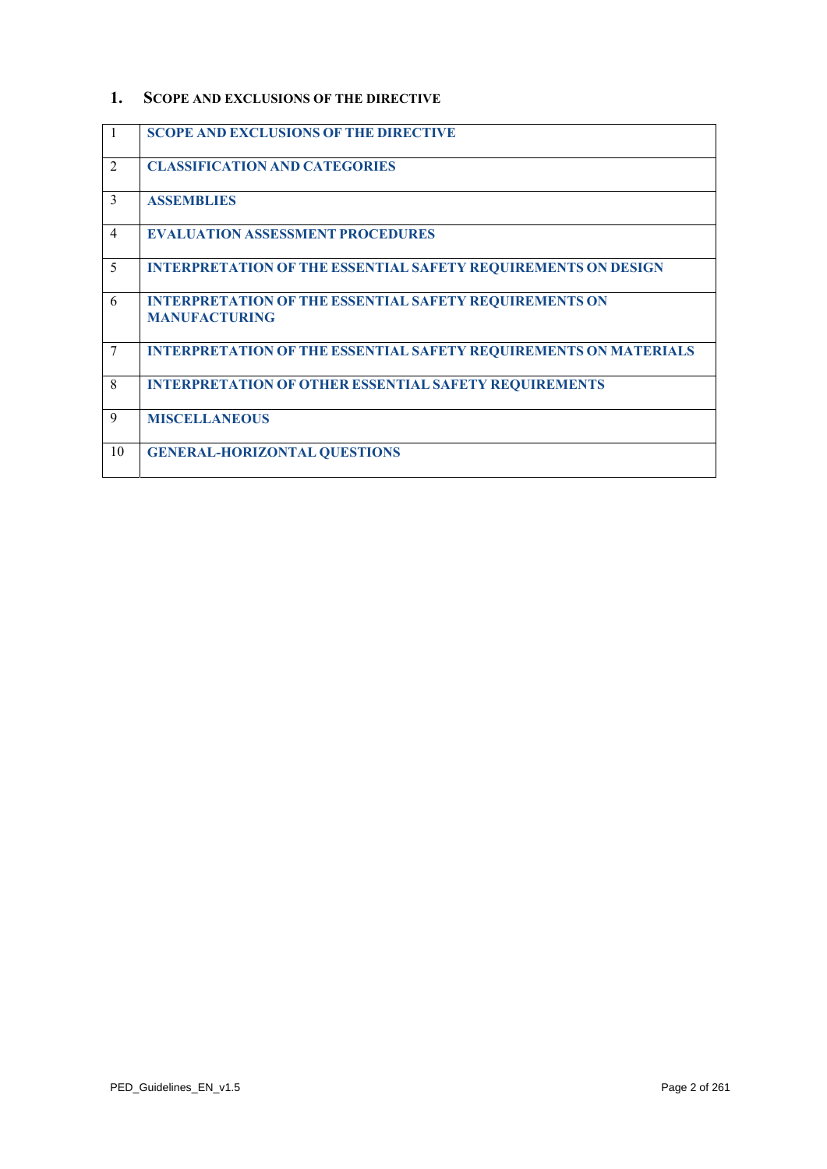#### **1. SCOPE AND EXCLUSIONS OF THE DIRECTIVE**

| $\mathbf{1}$   | <b>SCOPE AND EXCLUSIONS OF THE DIRECTIVE</b>                                          |
|----------------|---------------------------------------------------------------------------------------|
| 2              | <b>CLASSIFICATION AND CATEGORIES</b>                                                  |
| 3              | <b>ASSEMBLIES</b>                                                                     |
| $\overline{4}$ | <b>EVALUATION ASSESSMENT PROCEDURES</b>                                               |
| 5              | <b>INTERPRETATION OF THE ESSENTIAL SAFETY REQUIREMENTS ON DESIGN</b>                  |
| 6              | <b>INTERPRETATION OF THE ESSENTIAL SAFETY REQUIREMENTS ON</b><br><b>MANUFACTURING</b> |
| 7              | <b>INTERPRETATION OF THE ESSENTIAL SAFETY REQUIREMENTS ON MATERIALS</b>               |
| 8              | <b>INTERPRETATION OF OTHER ESSENTIAL SAFETY REQUIREMENTS</b>                          |
| 9              | <b>MISCELLANEOUS</b>                                                                  |
| 10             | <b>GENERAL-HORIZONTAL QUESTIONS</b>                                                   |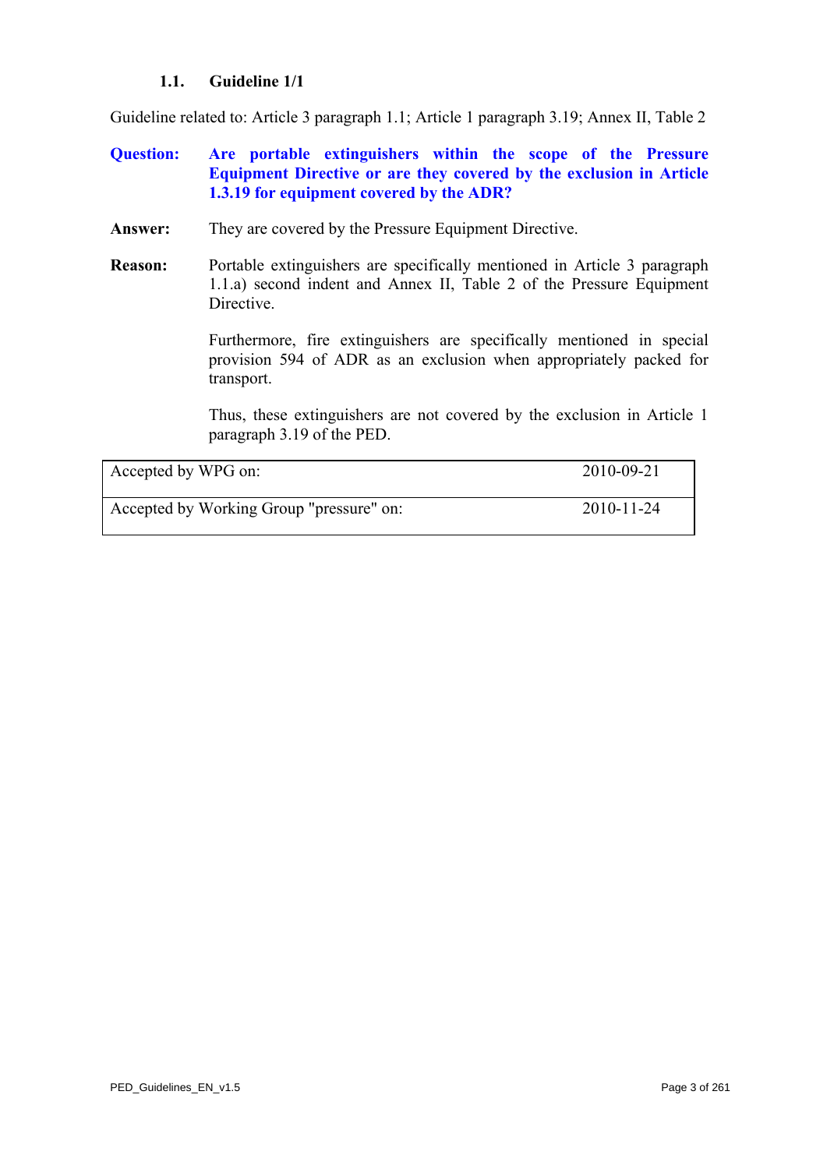# **1.1. Guideline 1/1**

<span id="page-2-0"></span>Guideline related to: Article 3 paragraph 1.1; Article 1 paragraph 3.19; Annex II, Table 2

# **Question: Are portable extinguishers within the scope of the Pressure Equipment Directive or are they covered by the exclusion in Article 1.3.19 for equipment covered by the ADR?**

- **Answer:** They are covered by the Pressure Equipment Directive.
- **Reason:** Portable extinguishers are specifically mentioned in Article 3 paragraph 1.1.a) second indent and Annex II, Table 2 of the Pressure Equipment Directive.

Furthermore, fire extinguishers are specifically mentioned in special provision 594 of ADR as an exclusion when appropriately packed for transport.

Thus, these extinguishers are not covered by the exclusion in Article 1 paragraph 3.19 of the PED.

| Accepted by WPG on:                      | 2010-09-21 |
|------------------------------------------|------------|
| Accepted by Working Group "pressure" on: | 2010-11-24 |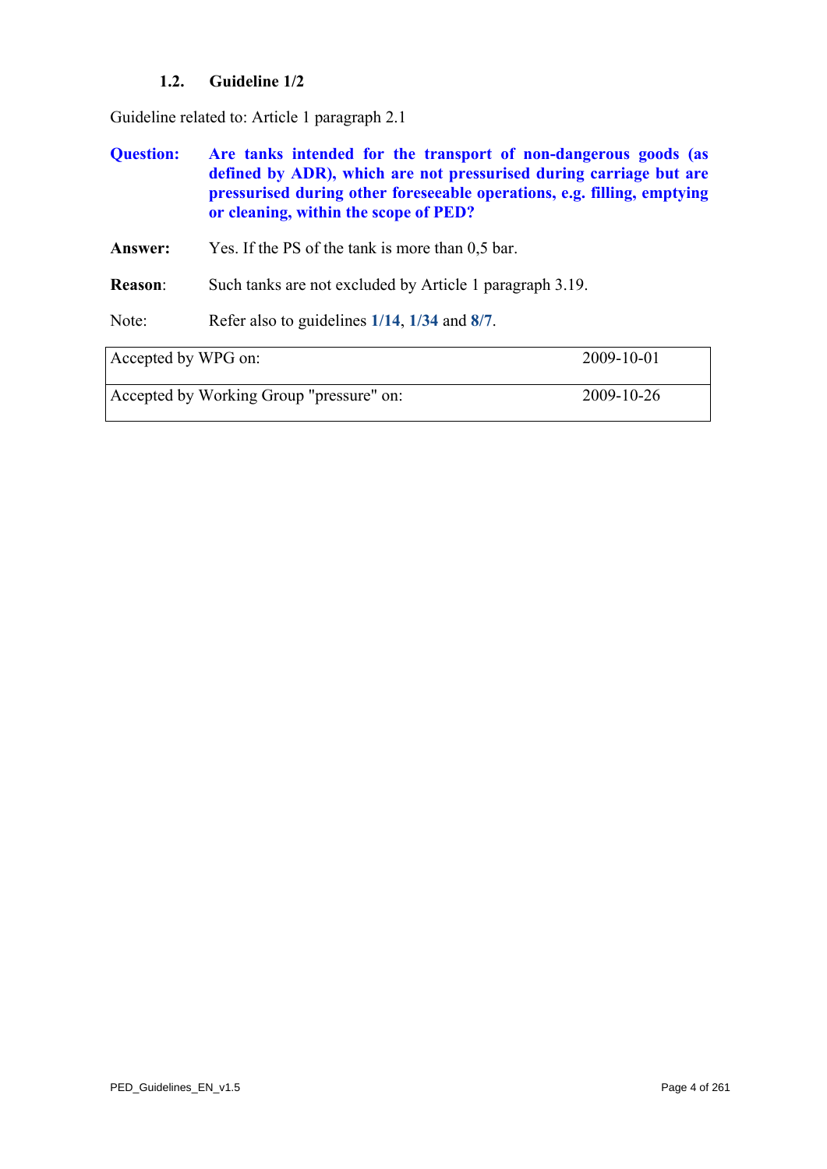# **1.2. Guideline 1/2**

<span id="page-3-1"></span>Guideline related to: Article 1 paragraph 2.1

| <b>Ouestion:</b> | Are tanks intended for the transport of non-dangerous goods (as<br>defined by ADR), which are not pressurised during carriage but are |
|------------------|---------------------------------------------------------------------------------------------------------------------------------------|
|                  | pressurised during other foreseeable operations, e.g. filling, emptying<br>or cleaning, within the scope of PED?                      |

**Answer:** Yes. If the PS of the tank is more than 0,5 bar.

**Reason**: Such tanks are not excluded by Article 1 paragraph 3.19.

Note: Refer also to guidelines **[1/14](#page-16-0)**, **[1/34](#page-37-0)** and **[8/7](#page-212-0)**.

<span id="page-3-0"></span>

| Accepted by WPG on:                      | 2009-10-01 |
|------------------------------------------|------------|
| Accepted by Working Group "pressure" on: | 2009-10-26 |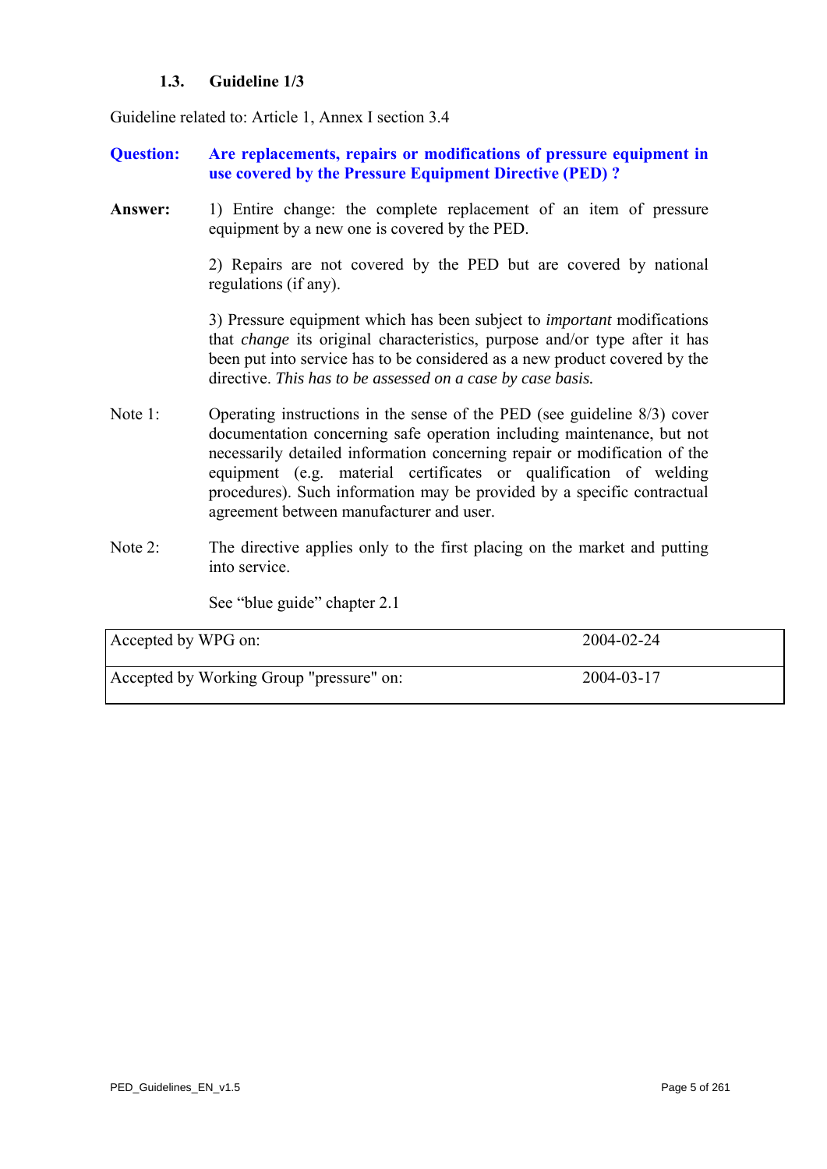# **1.3. Guideline 1/3**

Guideline related to: Article 1, Annex I section 3.4

- **Question: Are replacements, repairs or modifications of pressure equipment in use covered by the Pressure Equipment Directive (PED) ?**
- Answer: 1) Entire change: the complete replacement of an item of pressure equipment by a new one is covered by the PED.

 2) Repairs are not covered by the PED but are covered by national regulations (if any).

3) Pressure equipment which has been subject to *important* modifications that *change* its original characteristics, purpose and/or type after it has been put into service has to be considered as a new product covered by the directive. *This has to be assessed on a case by case basis.* 

- Note 1: Operating instructions in the sense of the PED (see guideline 8/3) cover documentation concerning safe operation including maintenance, but not necessarily detailed information concerning repair or modification of the equipment (e.g. material certificates or qualification of welding procedures). Such information may be provided by a specific contractual agreement between manufacturer and user.
- Note 2: The directive applies only to the first placing on the market and putting into service.

See "blue guide" chapter 2.1

| Accepted by WPG on:                      | 2004-02-24 |
|------------------------------------------|------------|
| Accepted by Working Group "pressure" on: | 2004-03-17 |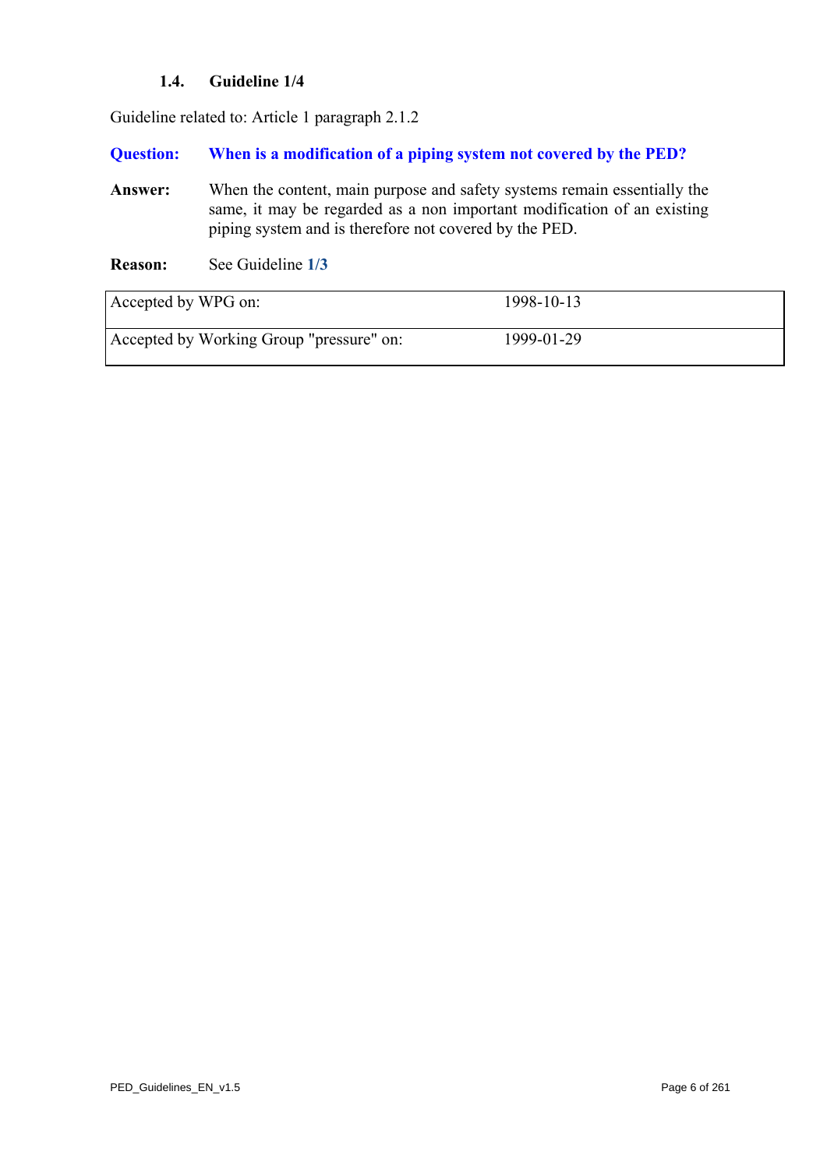# **1.4. Guideline 1/4**

Guideline related to: Article 1 paragraph 2.1.2

#### **Question: When is a modification of a piping system not covered by the PED?**

- **Answer:** When the content, main purpose and safety systems remain essentially the same, it may be regarded as a non important modification of an existing piping system and is therefore not covered by the PED.
- **Reason:** See Guideline **[1/3](#page-3-0)**

| Accepted by WPG on:                      | 1998-10-13 |  |
|------------------------------------------|------------|--|
| Accepted by Working Group "pressure" on: | 1999-01-29 |  |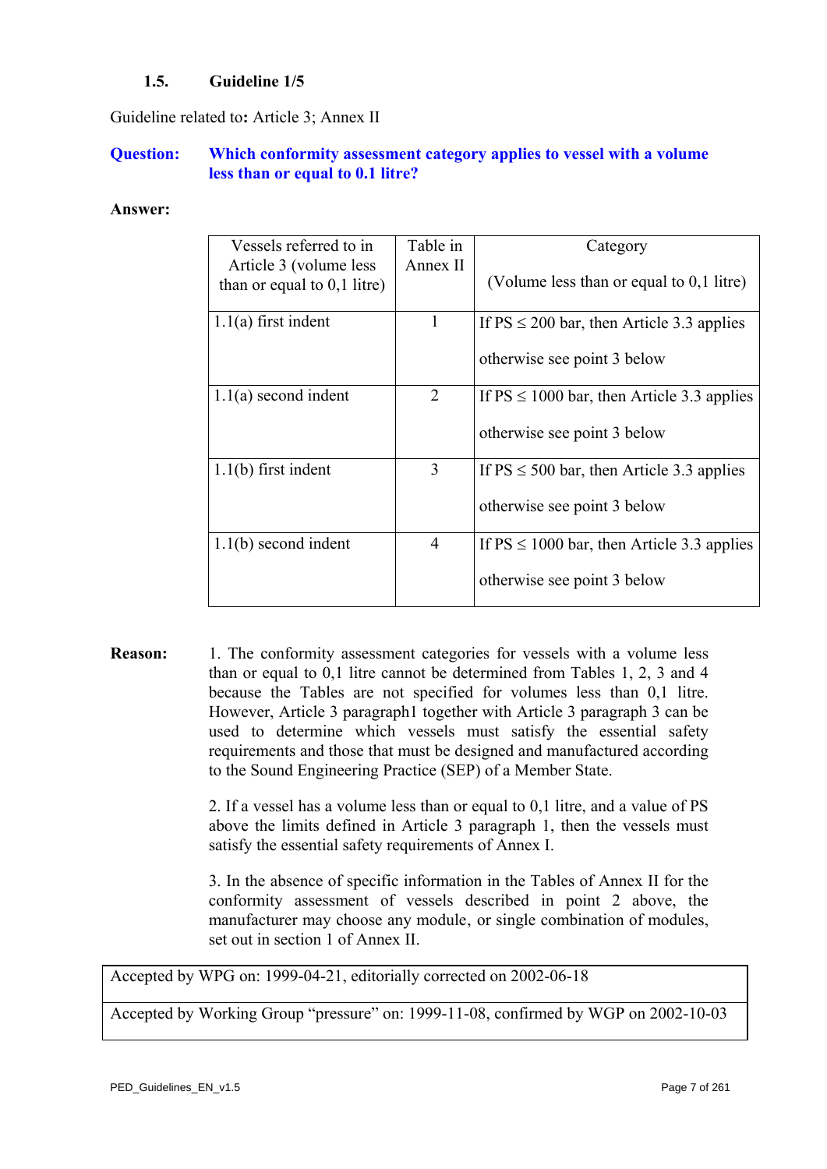# **1.5. Guideline 1/5**

Guideline related to**:** Article 3; Annex II

# **Question: Which conformity assessment category applies to vessel with a volume less than or equal to 0.1 litre?**

#### **Answer:**

| Vessels referred to in<br>Article 3 (volume less | Table in<br>Annex II | Category                                       |
|--------------------------------------------------|----------------------|------------------------------------------------|
| than or equal to $0,1$ litre)                    |                      | (Volume less than or equal to 0,1 litre)       |
| $1.1(a)$ first indent                            | $\mathbf{I}$         | If $PS \le 200$ bar, then Article 3.3 applies  |
|                                                  |                      | otherwise see point 3 below                    |
| $1.1(a)$ second indent                           | $\overline{2}$       | If $PS \le 1000$ bar, then Article 3.3 applies |
|                                                  |                      | otherwise see point 3 below                    |
| $1.1(b)$ first indent                            | 3                    | If $PS \le 500$ bar, then Article 3.3 applies  |
|                                                  |                      | otherwise see point 3 below                    |
| $1.1(b)$ second indent                           | 4                    | If $PS \le 1000$ bar, then Article 3.3 applies |
|                                                  |                      | otherwise see point 3 below                    |

**Reason:** 1. The conformity assessment categories for vessels with a volume less than or equal to 0,1 litre cannot be determined from Tables 1, 2, 3 and 4 because the Tables are not specified for volumes less than 0,1 litre. However, Article 3 paragraph1 together with Article 3 paragraph 3 can be used to determine which vessels must satisfy the essential safety requirements and those that must be designed and manufactured according to the Sound Engineering Practice (SEP) of a Member State.

> 2. If a vessel has a volume less than or equal to 0,1 litre, and a value of PS above the limits defined in Article 3 paragraph 1, then the vessels must satisfy the essential safety requirements of Annex I.

> 3. In the absence of specific information in the Tables of Annex II for the conformity assessment of vessels described in point 2 above, the manufacturer may choose any module, or single combination of modules, set out in section 1 of Annex II.

Accepted by WPG on: 1999-04-21, editorially corrected on 2002-06-18

Accepted by Working Group "pressure" on: 1999-11-08, confirmed by WGP on 2002-10-03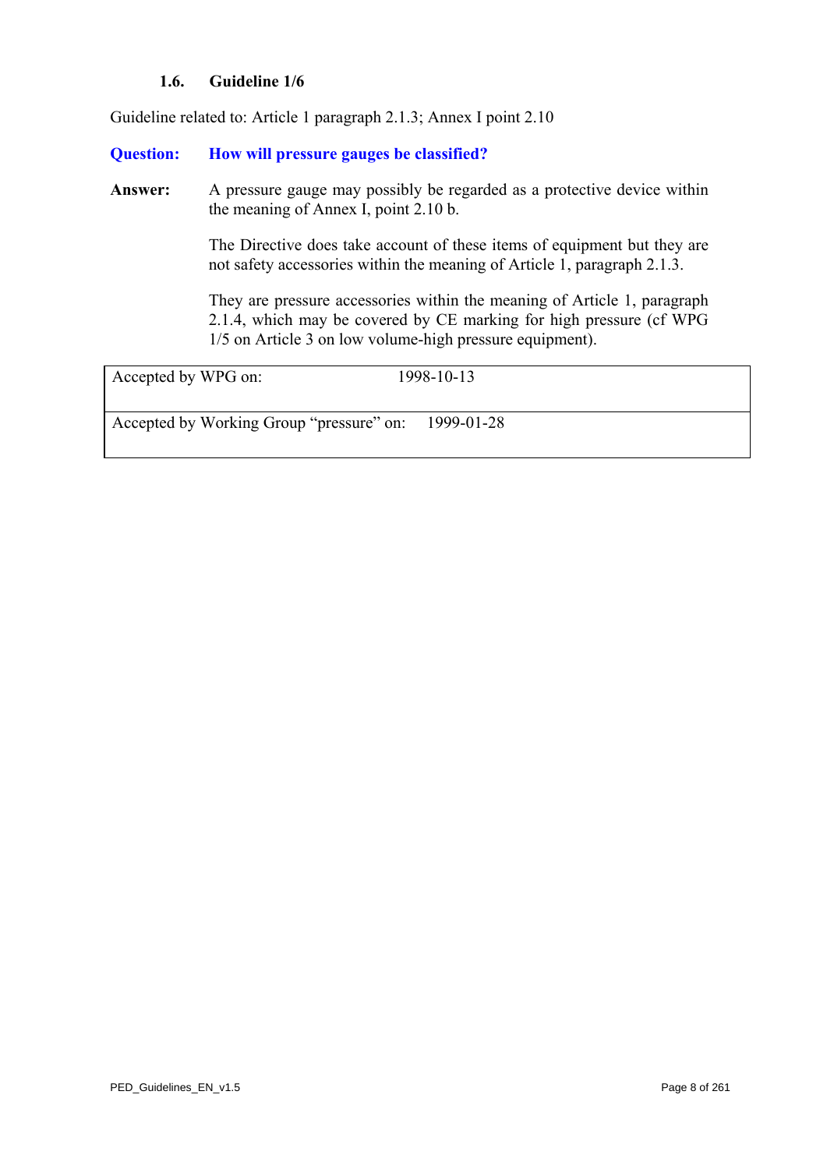# **1.6. Guideline 1/6**

Guideline related to: Article 1 paragraph 2.1.3; Annex I point 2.10

### **Question: How will pressure gauges be classified?**

Answer: A pressure gauge may possibly be regarded as a protective device within the meaning of Annex I, point 2.10 b.

> The Directive does take account of these items of equipment but they are not safety accessories within the meaning of Article 1, paragraph 2.1.3.

> They are pressure accessories within the meaning of Article 1, paragraph 2.1.4, which may be covered by CE marking for high pressure (cf WPG 1/5 on Article 3 on low volume-high pressure equipment).

| Accepted by WPG on:                      | 1998-10-13 |
|------------------------------------------|------------|
|                                          |            |
| Accepted by Working Group "pressure" on: | 1999-01-28 |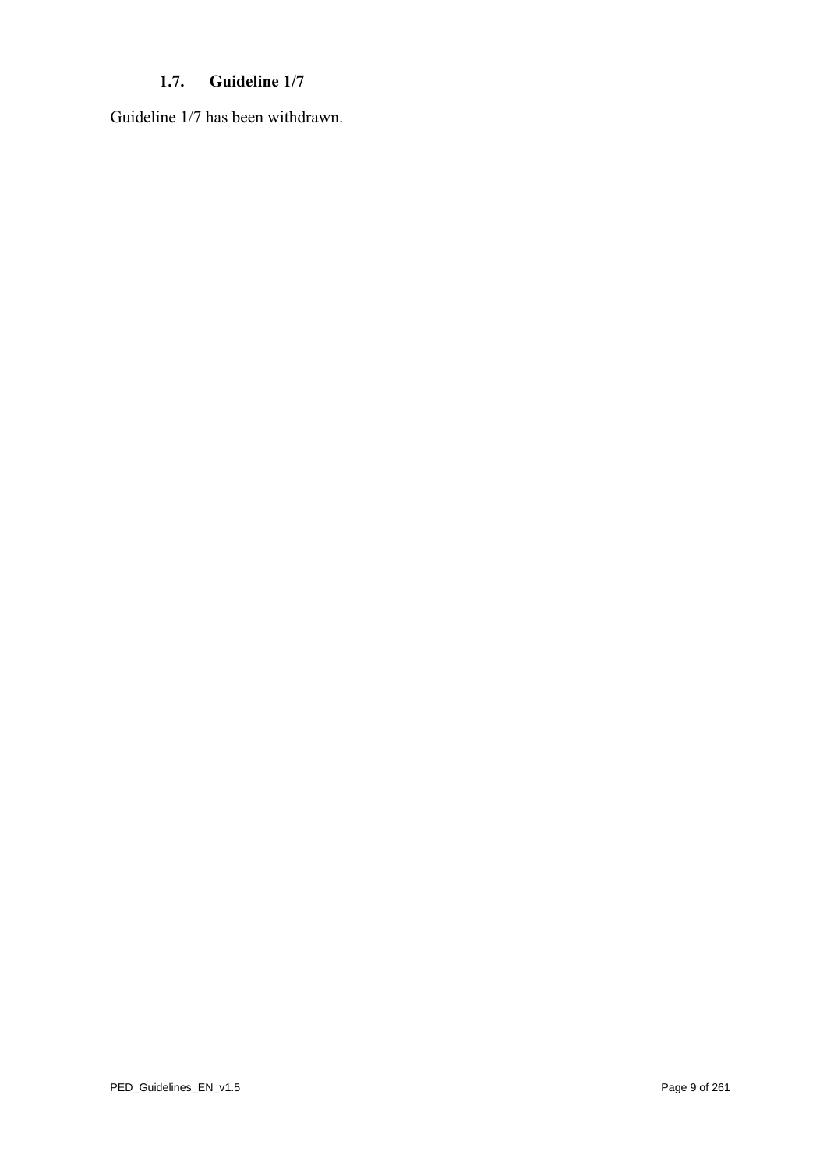# **1.7. Guideline 1/7**

Guideline 1/7 has been withdrawn.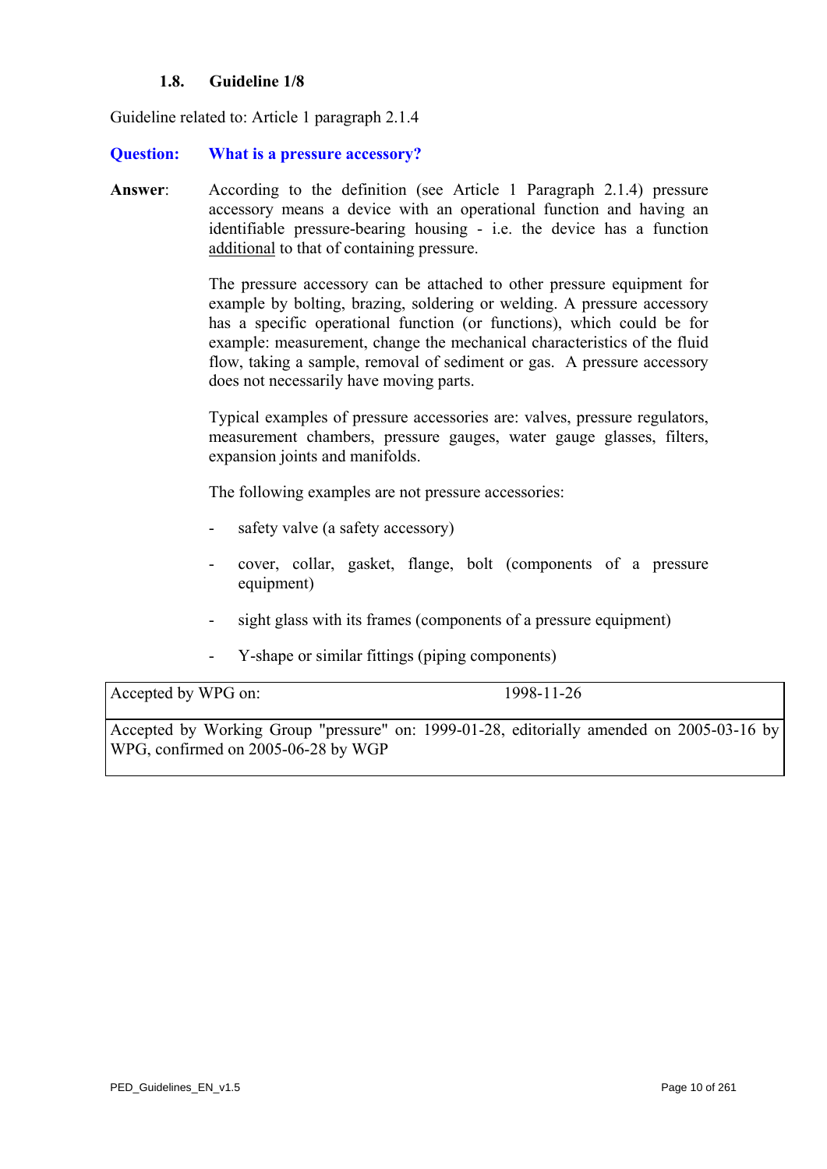### **1.8. Guideline 1/8**

<span id="page-9-0"></span>Guideline related to: Article 1 paragraph 2.1.4

#### **Question: What is a pressure accessory?**

**Answer**: According to the definition (see Article 1 Paragraph 2.1.4) pressure accessory means a device with an operational function and having an identifiable pressure-bearing housing - i.e. the device has a function additional to that of containing pressure.

> The pressure accessory can be attached to other pressure equipment for example by bolting, brazing, soldering or welding. A pressure accessory has a specific operational function (or functions), which could be for example: measurement, change the mechanical characteristics of the fluid flow, taking a sample, removal of sediment or gas. A pressure accessory does not necessarily have moving parts.

> Typical examples of pressure accessories are: valves, pressure regulators, measurement chambers, pressure gauges, water gauge glasses, filters, expansion joints and manifolds.

The following examples are not pressure accessories:

- safety valve (a safety accessory)
- cover, collar, gasket, flange, bolt (components of a pressure equipment)
- sight glass with its frames (components of a pressure equipment)
- Y-shape or similar fittings (piping components)

Accepted by WPG on: 1998-11-26

Accepted by Working Group "pressure" on: 1999-01-28, editorially amended on 2005-03-16 by WPG, confirmed on 2005-06-28 by WGP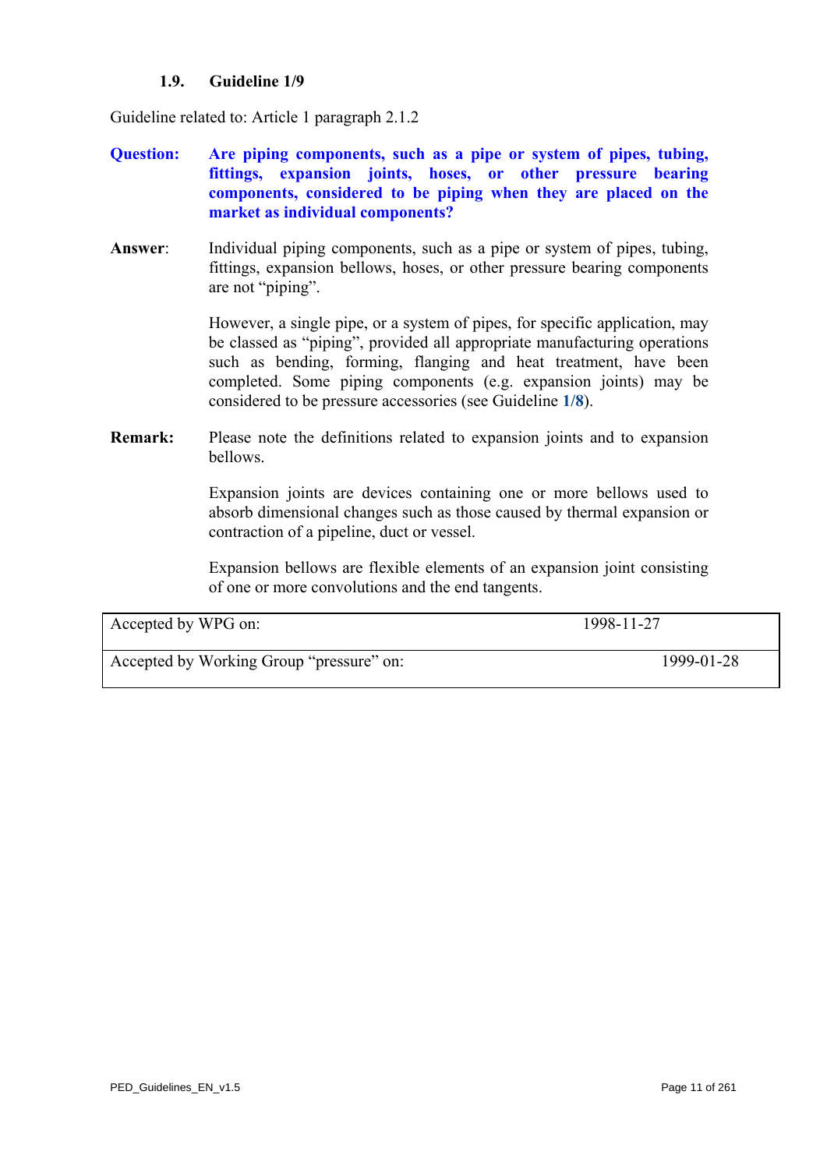# **1.9. Guideline 1/9**

Guideline related to: Article 1 paragraph 2.1.2

- **Question: Are piping components, such as a pipe or system of pipes, tubing, fittings, expansion joints, hoses, or other pressure bearing components, considered to be piping when they are placed on the market as individual components?**
- **Answer**: Individual piping components, such as a pipe or system of pipes, tubing, fittings, expansion bellows, hoses, or other pressure bearing components are not "piping".

 However, a single pipe, or a system of pipes, for specific application, may be classed as "piping", provided all appropriate manufacturing operations such as bending, forming, flanging and heat treatment, have been completed. Some piping components (e.g. expansion joints) may be considered to be pressure accessories (see Guideline **[1/8](#page-9-0)**).

**Remark:** Please note the definitions related to expansion joints and to expansion bellows.

> Expansion joints are devices containing one or more bellows used to absorb dimensional changes such as those caused by thermal expansion or contraction of a pipeline, duct or vessel.

> Expansion bellows are flexible elements of an expansion joint consisting of one or more convolutions and the end tangents.

| Accepted by WPG on:                      | 1998-11-27 |
|------------------------------------------|------------|
| Accepted by Working Group "pressure" on: | 1999-01-28 |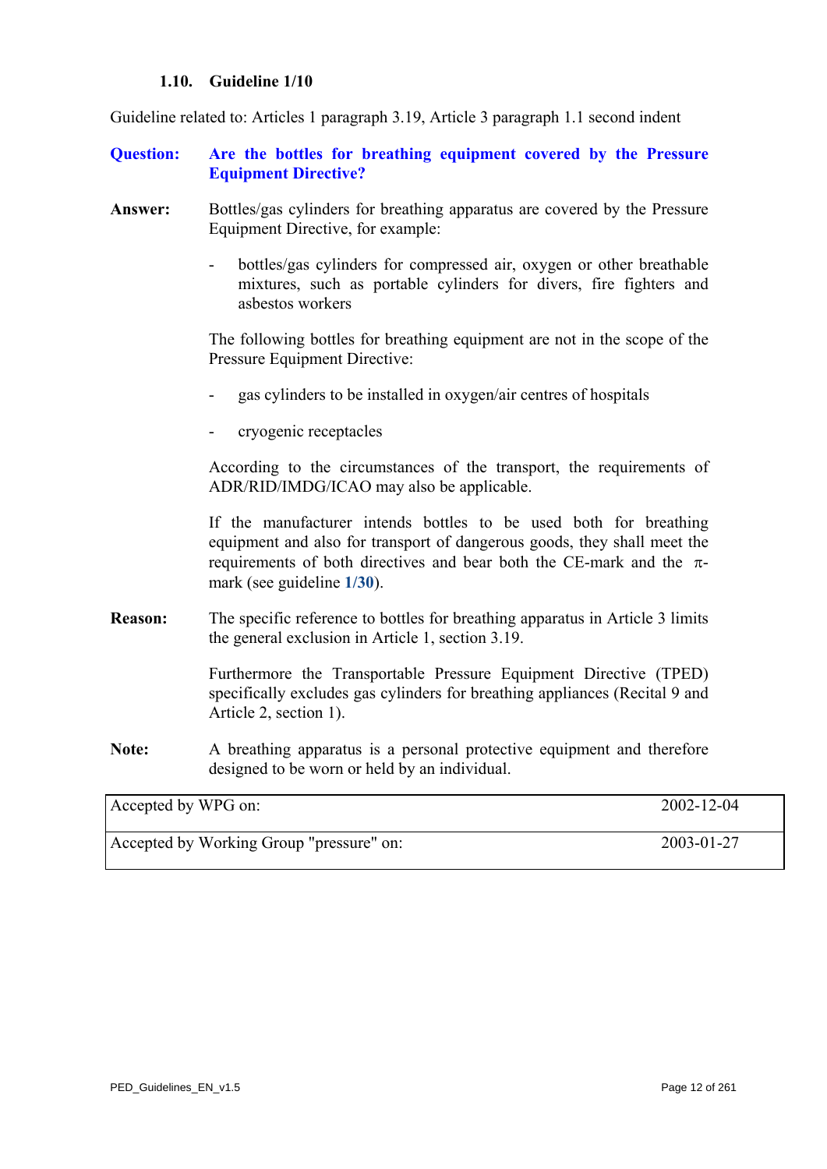#### **1.10. Guideline 1/10**

Guideline related to: Articles 1 paragraph 3.19, Article 3 paragraph 1.1 second indent

- **Question: Are the bottles for breathing equipment covered by the Pressure Equipment Directive?**
- **Answer:** Bottles/gas cylinders for breathing apparatus are covered by the Pressure Equipment Directive, for example:
	- bottles/gas cylinders for compressed air, oxygen or other breathable mixtures, such as portable cylinders for divers, fire fighters and asbestos workers

 The following bottles for breathing equipment are not in the scope of the Pressure Equipment Directive:

- gas cylinders to be installed in oxygen/air centres of hospitals
- cryogenic receptacles

According to the circumstances of the transport, the requirements of ADR/RID/IMDG/ICAO may also be applicable.

If the manufacturer intends bottles to be used both for breathing equipment and also for transport of dangerous goods, they shall meet the requirements of both directives and bear both the CE-mark and the πmark (see guideline **[1/30](#page-32-0)**).

**Reason:** The specific reference to bottles for breathing apparatus in Article 3 limits the general exclusion in Article 1, section 3.19.

> Furthermore the Transportable Pressure Equipment Directive (TPED) specifically excludes gas cylinders for breathing appliances (Recital 9 and Article 2, section 1).

**Note:** A breathing apparatus is a personal protective equipment and therefore designed to be worn or held by an individual.

| Accepted by WPG on:                      | 2002-12-04 |
|------------------------------------------|------------|
| Accepted by Working Group "pressure" on: | 2003-01-27 |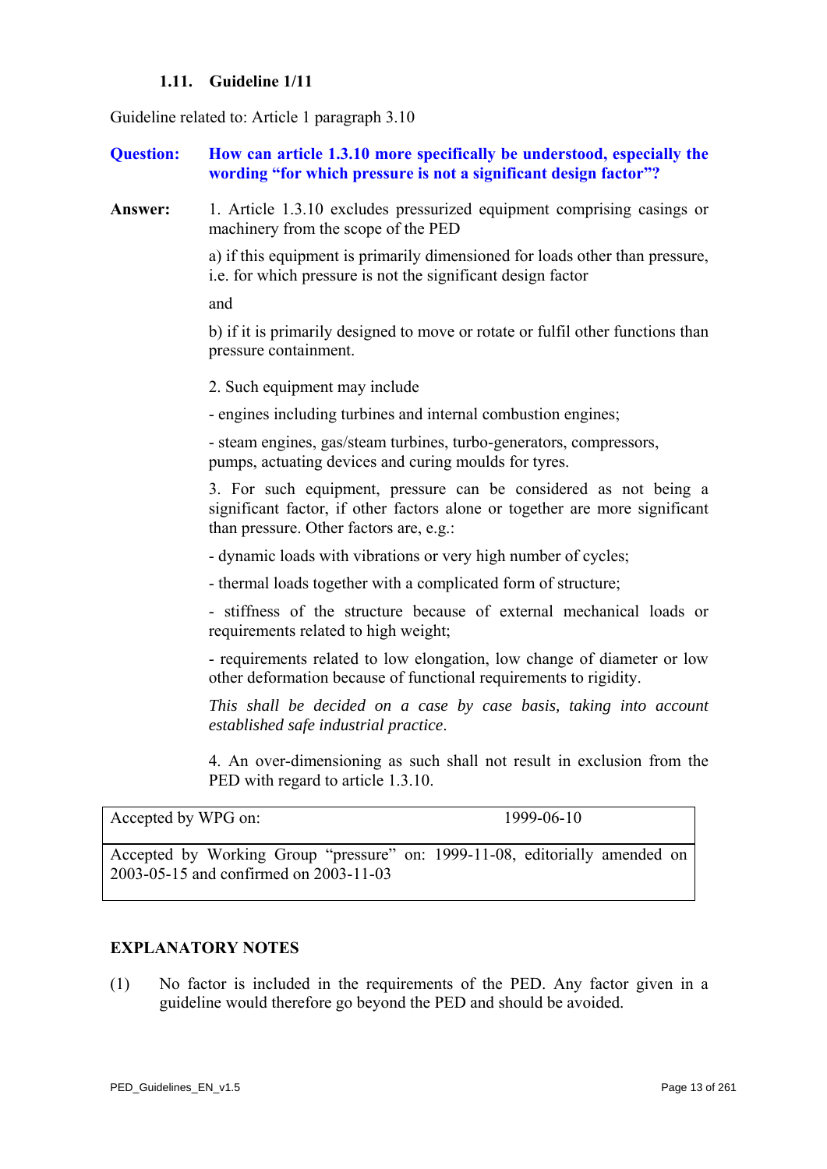### **1.11. Guideline 1/11**

<span id="page-12-0"></span>Guideline related to: Article 1 paragraph 3.10

**Question: How can article 1.3.10 more specifically be understood, especially the wording "for which pressure is not a significant design factor"?** 

**Answer:** 1. Article 1.3.10 excludes pressurized equipment comprising casings or machinery from the scope of the PED

> a) if this equipment is primarily dimensioned for loads other than pressure, i.e. for which pressure is not the significant design factor

and

b) if it is primarily designed to move or rotate or fulfil other functions than pressure containment.

2. Such equipment may include

- engines including turbines and internal combustion engines;

 - steam engines, gas/steam turbines, turbo-generators, compressors, pumps, actuating devices and curing moulds for tyres.

 3. For such equipment, pressure can be considered as not being a significant factor, if other factors alone or together are more significant than pressure. Other factors are, e.g.:

- dynamic loads with vibrations or very high number of cycles;

- thermal loads together with a complicated form of structure;

- stiffness of the structure because of external mechanical loads or requirements related to high weight;

- requirements related to low elongation, low change of diameter or low other deformation because of functional requirements to rigidity.

*This shall be decided on a case by case basis, taking into account established safe industrial practice*.

 4. An over-dimensioning as such shall not result in exclusion from the PED with regard to article 1.3.10.

Accepted by WPG on: 1999-06-10

Accepted by Working Group "pressure" on: 1999-11-08, editorially amended on 2003-05-15 and confirmed on 2003-11-03

#### **EXPLANATORY NOTES**

(1) No factor is included in the requirements of the PED. Any factor given in a guideline would therefore go beyond the PED and should be avoided.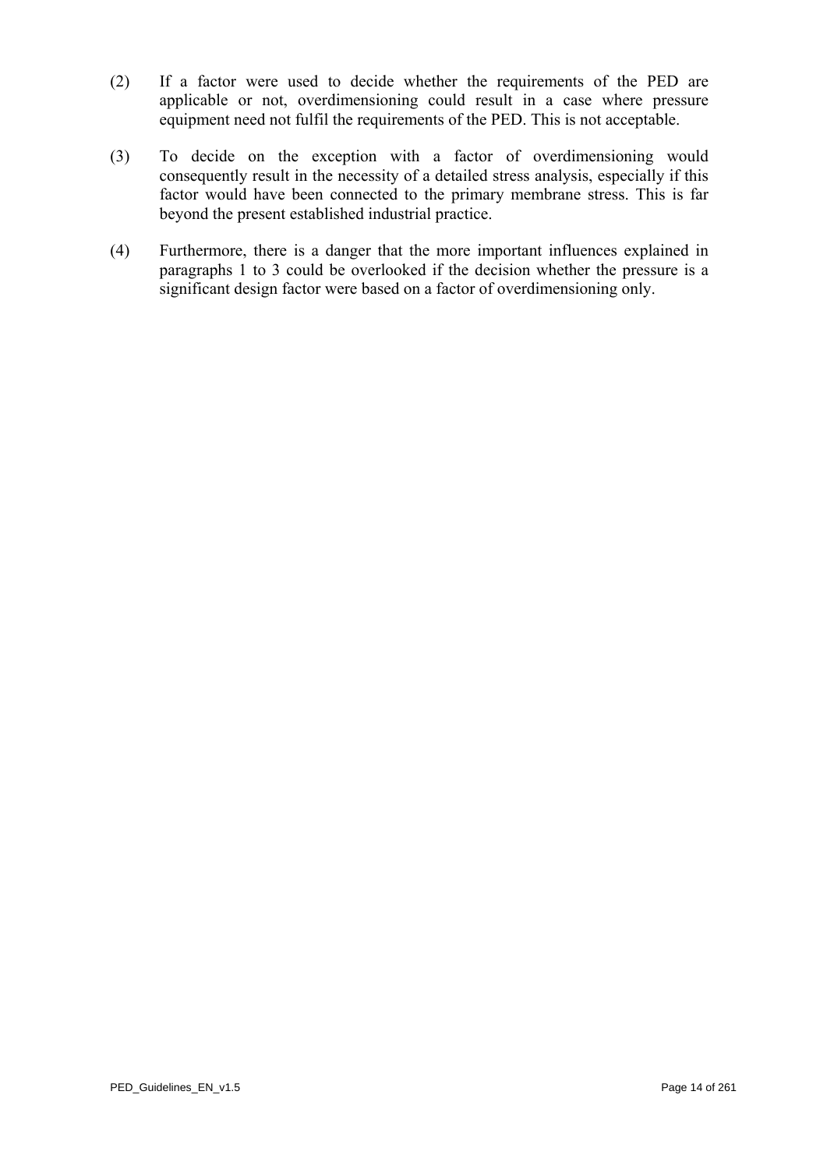- (2) If a factor were used to decide whether the requirements of the PED are applicable or not, overdimensioning could result in a case where pressure equipment need not fulfil the requirements of the PED. This is not acceptable.
- (3) To decide on the exception with a factor of overdimensioning would consequently result in the necessity of a detailed stress analysis, especially if this factor would have been connected to the primary membrane stress. This is far beyond the present established industrial practice.
- (4) Furthermore, there is a danger that the more important influences explained in paragraphs 1 to 3 could be overlooked if the decision whether the pressure is a significant design factor were based on a factor of overdimensioning only.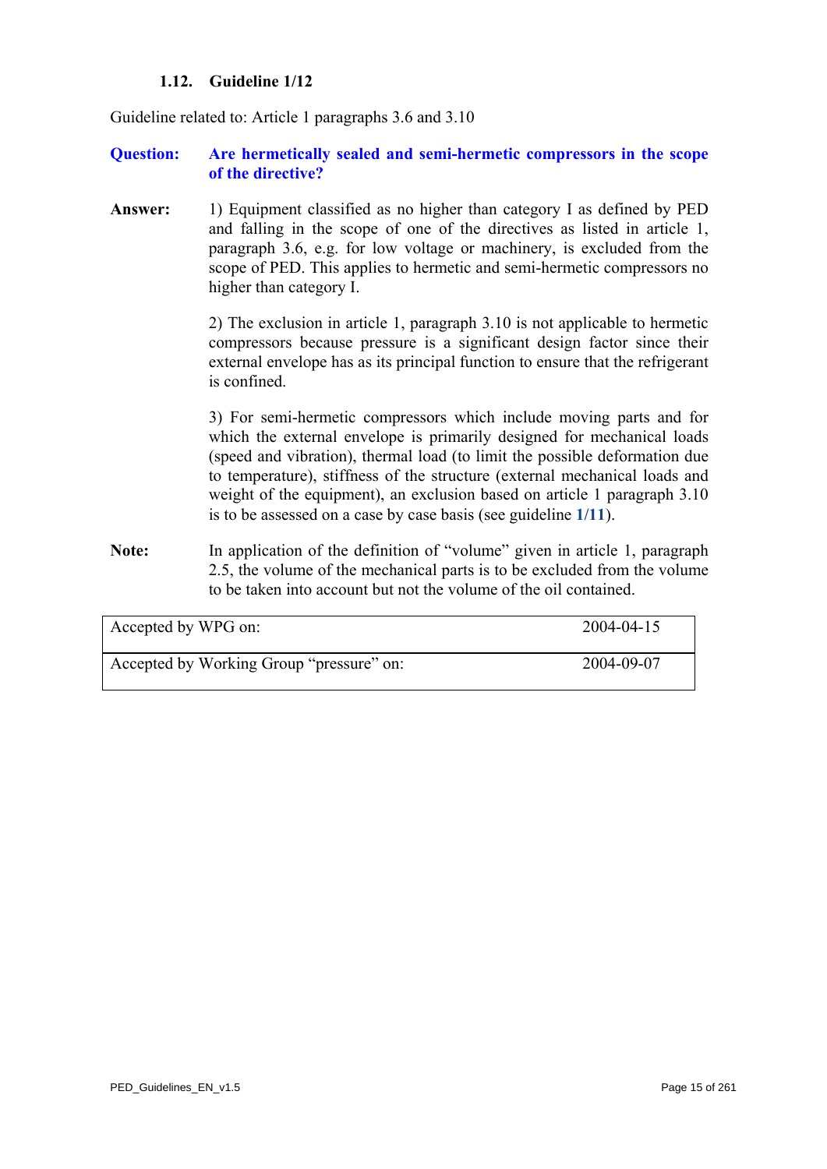# **1.12. Guideline 1/12**

Guideline related to: Article 1 paragraphs 3.6 and 3.10

#### **Question: Are hermetically sealed and semi-hermetic compressors in the scope of the directive?**

**Answer:** 1) Equipment classified as no higher than category I as defined by PED and falling in the scope of one of the directives as listed in article 1, paragraph 3.6, e.g. for low voltage or machinery, is excluded from the scope of PED. This applies to hermetic and semi-hermetic compressors no higher than category I.

> 2) The exclusion in article 1, paragraph 3.10 is not applicable to hermetic compressors because pressure is a significant design factor since their external envelope has as its principal function to ensure that the refrigerant is confined.

> 3) For semi-hermetic compressors which include moving parts and for which the external envelope is primarily designed for mechanical loads (speed and vibration), thermal load (to limit the possible deformation due to temperature), stiffness of the structure (external mechanical loads and weight of the equipment), an exclusion based on article 1 paragraph 3.10 is to be assessed on a case by case basis (see guideline **[1/11](#page-12-0)**).

Note: In application of the definition of "volume" given in article 1, paragraph 2.5, the volume of the mechanical parts is to be excluded from the volume to be taken into account but not the volume of the oil contained.

| Accepted by WPG on:                      | 2004-04-15 |
|------------------------------------------|------------|
| Accepted by Working Group "pressure" on: | 2004-09-07 |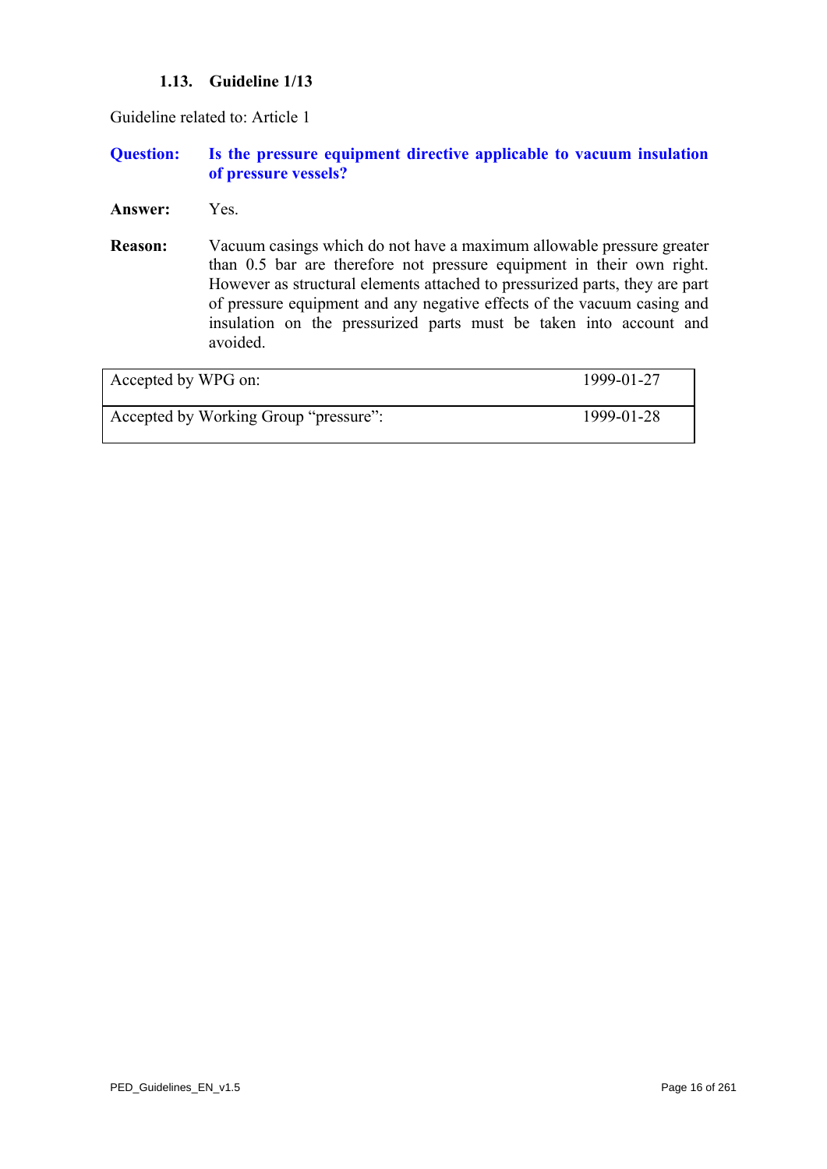# **1.13. Guideline 1/13**

Guideline related to: Article 1

#### **Question: Is the pressure equipment directive applicable to vacuum insulation of pressure vessels?**

- **Answer:** Yes.
- **Reason:** Vacuum casings which do not have a maximum allowable pressure greater than 0.5 bar are therefore not pressure equipment in their own right. However as structural elements attached to pressurized parts, they are part of pressure equipment and any negative effects of the vacuum casing and insulation on the pressurized parts must be taken into account and avoided.

| Accepted by WPG on:                   | 1999-01-27 |
|---------------------------------------|------------|
| Accepted by Working Group "pressure": | 1999-01-28 |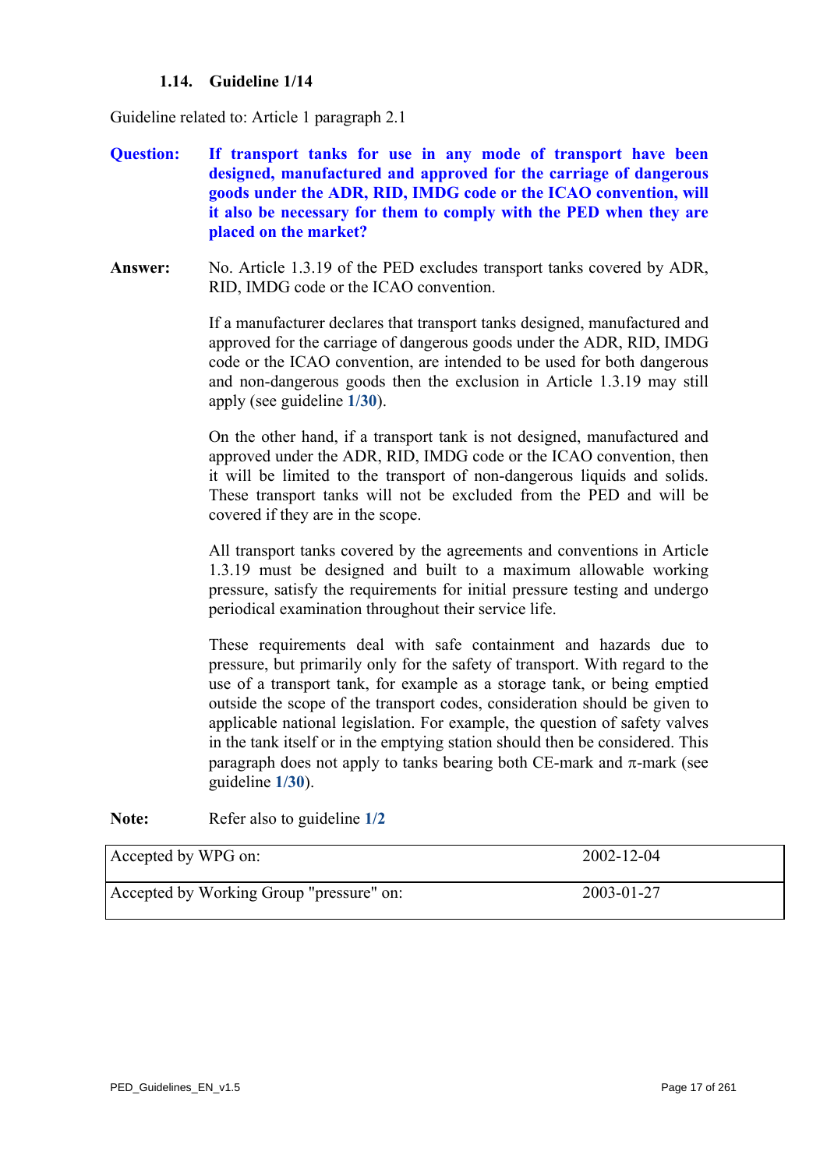# **1.14. Guideline 1/14**

<span id="page-16-0"></span>Guideline related to: Article 1 paragraph 2.1

- **Question: If transport tanks for use in any mode of transport have been designed, manufactured and approved for the carriage of dangerous goods under the ADR, RID, IMDG code or the ICAO convention, will it also be necessary for them to comply with the PED when they are placed on the market?**
- **Answer:** No. Article 1.3.19 of the PED excludes transport tanks covered by ADR, RID, IMDG code or the ICAO convention.

If a manufacturer declares that transport tanks designed, manufactured and approved for the carriage of dangerous goods under the ADR, RID, IMDG code or the ICAO convention, are intended to be used for both dangerous and non-dangerous goods then the exclusion in Article 1.3.19 may still apply (see guideline **[1/30](#page-32-0)**).

On the other hand, if a transport tank is not designed, manufactured and approved under the ADR, RID, IMDG code or the ICAO convention, then it will be limited to the transport of non-dangerous liquids and solids. These transport tanks will not be excluded from the PED and will be covered if they are in the scope.

All transport tanks covered by the agreements and conventions in Article 1.3.19 must be designed and built to a maximum allowable working pressure, satisfy the requirements for initial pressure testing and undergo periodical examination throughout their service life.

These requirements deal with safe containment and hazards due to pressure, but primarily only for the safety of transport. With regard to the use of a transport tank, for example as a storage tank, or being emptied outside the scope of the transport codes, consideration should be given to applicable national legislation. For example, the question of safety valves in the tank itself or in the emptying station should then be considered. This paragraph does not apply to tanks bearing both CE-mark and  $\pi$ -mark (see guideline **[1/30](#page-32-0)**).

Note: Refer also to guideline [1/2](#page-3-1)

| Accepted by WPG on:                      | 2002-12-04 |
|------------------------------------------|------------|
| Accepted by Working Group "pressure" on: | 2003-01-27 |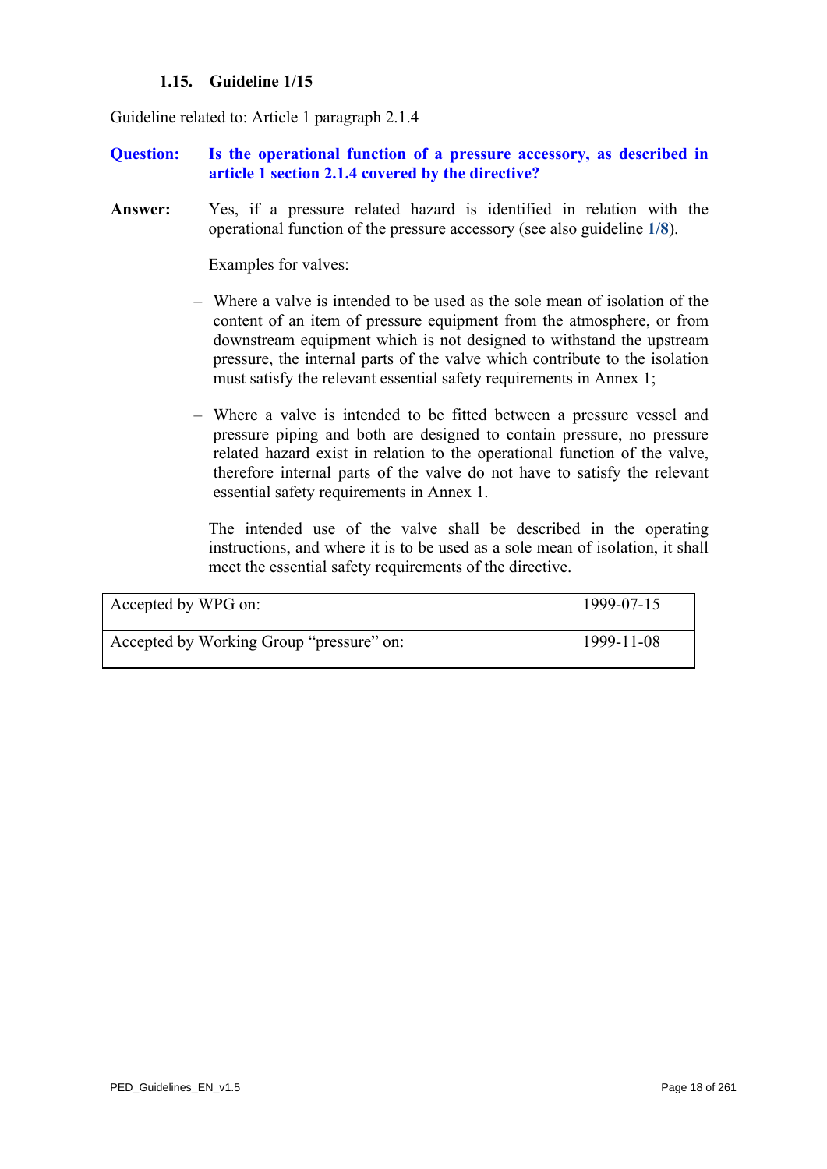### **1.15. Guideline 1/15**

Guideline related to: Article 1 paragraph 2.1.4

### **Question: Is the operational function of a pressure accessory, as described in article 1 section 2.1.4 covered by the directive?**

**Answer:** Yes, if a pressure related hazard is identified in relation with the operational function of the pressure accessory (see also guideline **[1/8](#page-9-0)**).

Examples for valves:

- Where a valve is intended to be used as the sole mean of isolation of the content of an item of pressure equipment from the atmosphere, or from downstream equipment which is not designed to withstand the upstream pressure, the internal parts of the valve which contribute to the isolation must satisfy the relevant essential safety requirements in Annex 1;
- Where a valve is intended to be fitted between a pressure vessel and pressure piping and both are designed to contain pressure, no pressure related hazard exist in relation to the operational function of the valve, therefore internal parts of the valve do not have to satisfy the relevant essential safety requirements in Annex 1.

 The intended use of the valve shall be described in the operating instructions, and where it is to be used as a sole mean of isolation, it shall meet the essential safety requirements of the directive.

| Accepted by WPG on:                      | 1999-07-15 |
|------------------------------------------|------------|
| Accepted by Working Group "pressure" on: | 1999-11-08 |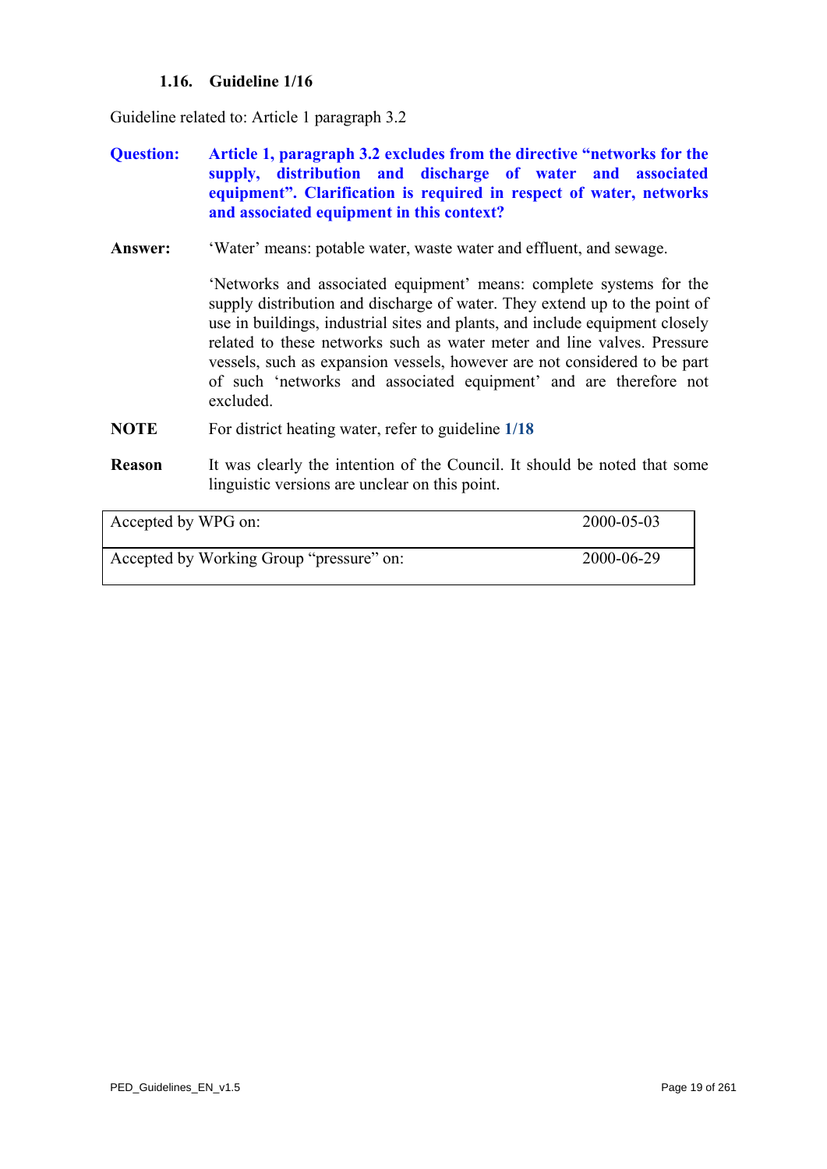# **1.16. Guideline 1/16**

Guideline related to: Article 1 paragraph 3.2

- **Question: Article 1, paragraph 3.2 excludes from the directive "networks for the supply, distribution and discharge of water and associated equipment". Clarification is required in respect of water, networks and associated equipment in this context?**
- **Answer:** 'Water' means: potable water, waste water and effluent, and sewage.

'Networks and associated equipment' means: complete systems for the supply distribution and discharge of water. They extend up to the point of use in buildings, industrial sites and plants, and include equipment closely related to these networks such as water meter and line valves. Pressure vessels, such as expansion vessels, however are not considered to be part of such 'networks and associated equipment' and are therefore not excluded.

- **NOTE** For district heating water, refer to guideline **[1/18](#page-20-0)**
- **Reason** It was clearly the intention of the Council. It should be noted that some linguistic versions are unclear on this point.

| Accepted by WPG on:                      | 2000-05-03 |
|------------------------------------------|------------|
| Accepted by Working Group "pressure" on: | 2000-06-29 |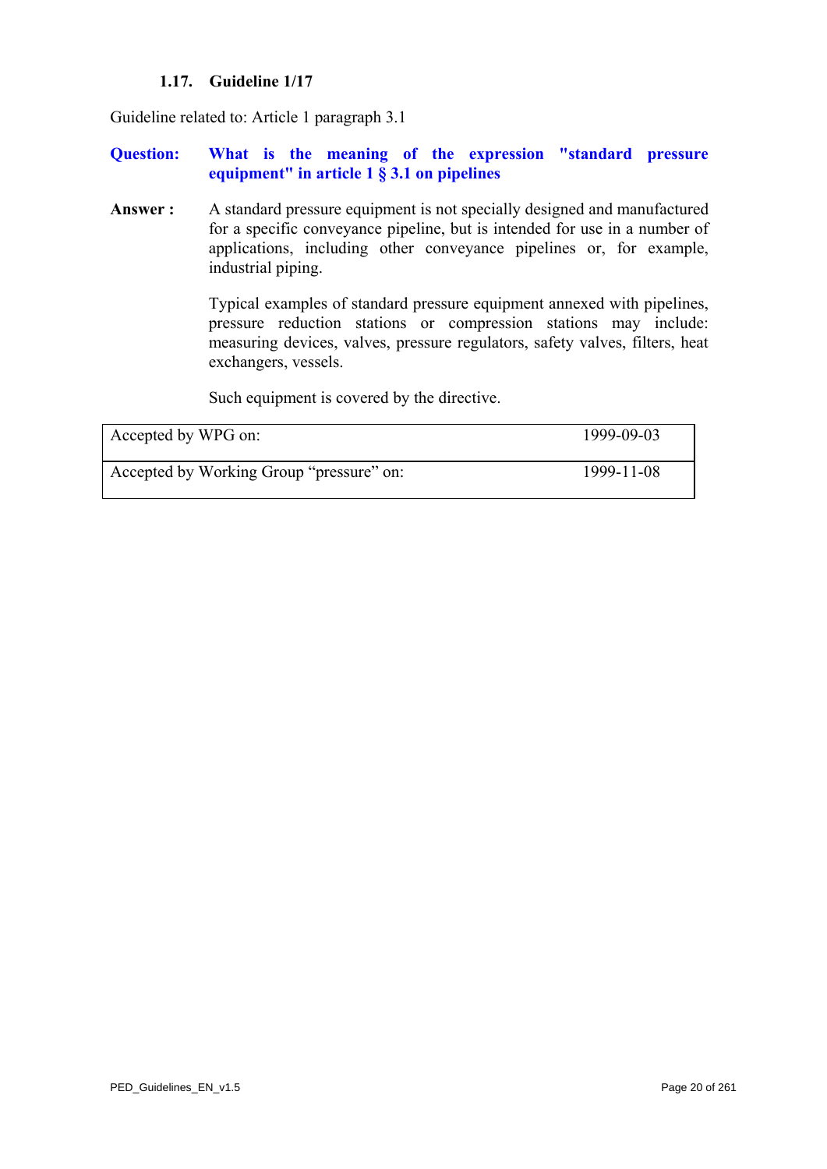# **1.17. Guideline 1/17**

<span id="page-19-0"></span>Guideline related to: Article 1 paragraph 3.1

#### **Question: What is the meaning of the expression "standard pressure equipment" in article 1 § 3.1 on pipelines**

Answer : A standard pressure equipment is not specially designed and manufactured for a specific conveyance pipeline, but is intended for use in a number of applications, including other conveyance pipelines or, for example, industrial piping.

> Typical examples of standard pressure equipment annexed with pipelines, pressure reduction stations or compression stations may include: measuring devices, valves, pressure regulators, safety valves, filters, heat exchangers, vessels.

Such equipment is covered by the directive.

| Accepted by WPG on:                      | 1999-09-03 |
|------------------------------------------|------------|
| Accepted by Working Group "pressure" on: | 1999-11-08 |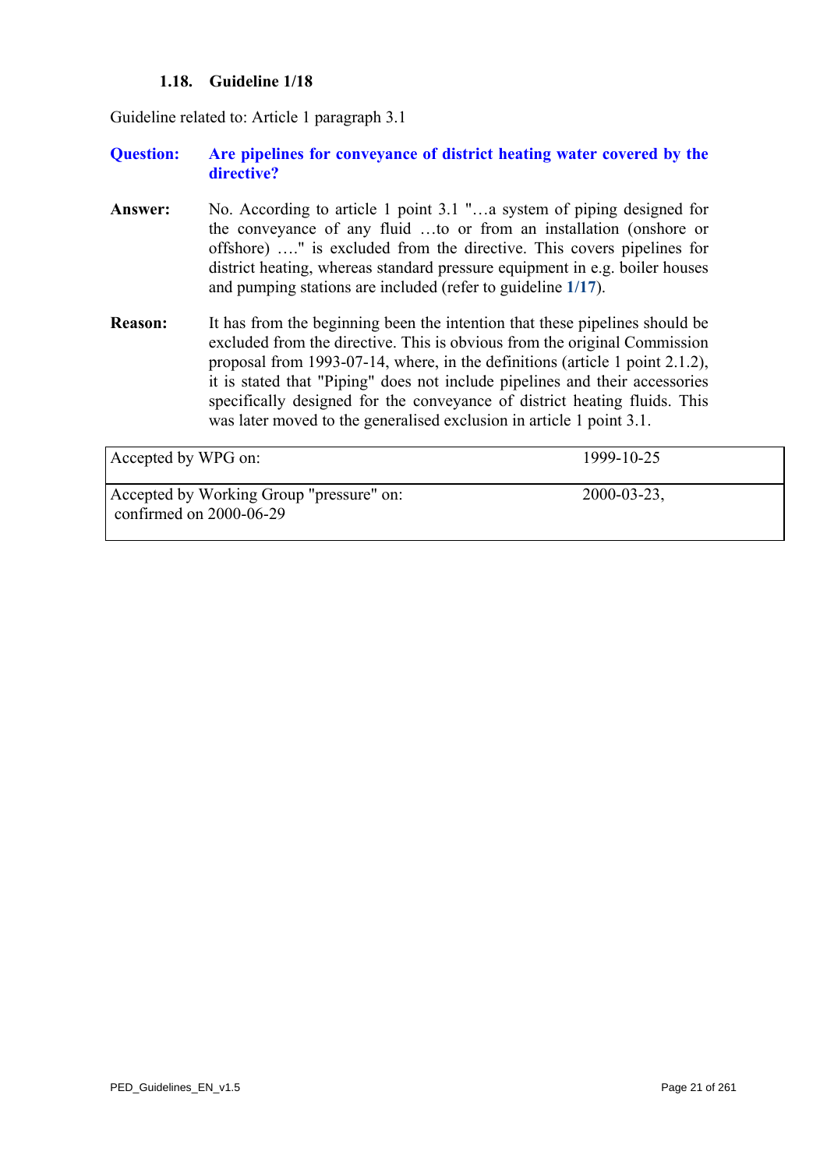# **1.18. Guideline 1/18**

<span id="page-20-0"></span>Guideline related to: Article 1 paragraph 3.1

# **Question: Are pipelines for conveyance of district heating water covered by the directive?**

- **Answer:** No. According to article 1 point 3.1 "…a system of piping designed for the conveyance of any fluid …to or from an installation (onshore or offshore) …." is excluded from the directive. This covers pipelines for district heating, whereas standard pressure equipment in e.g. boiler houses and pumping stations are included (refer to guideline **[1/17](#page-19-0)**).
- **Reason:** It has from the beginning been the intention that these pipelines should be excluded from the directive. This is obvious from the original Commission proposal from 1993-07-14, where, in the definitions (article 1 point 2.1.2), it is stated that "Piping" does not include pipelines and their accessories specifically designed for the conveyance of district heating fluids. This was later moved to the generalised exclusion in article 1 point 3.1.

| Accepted by WPG on:                                                   | 1999-10-25       |
|-----------------------------------------------------------------------|------------------|
| Accepted by Working Group "pressure" on:<br>confirmed on $2000-06-29$ | $2000 - 03 - 23$ |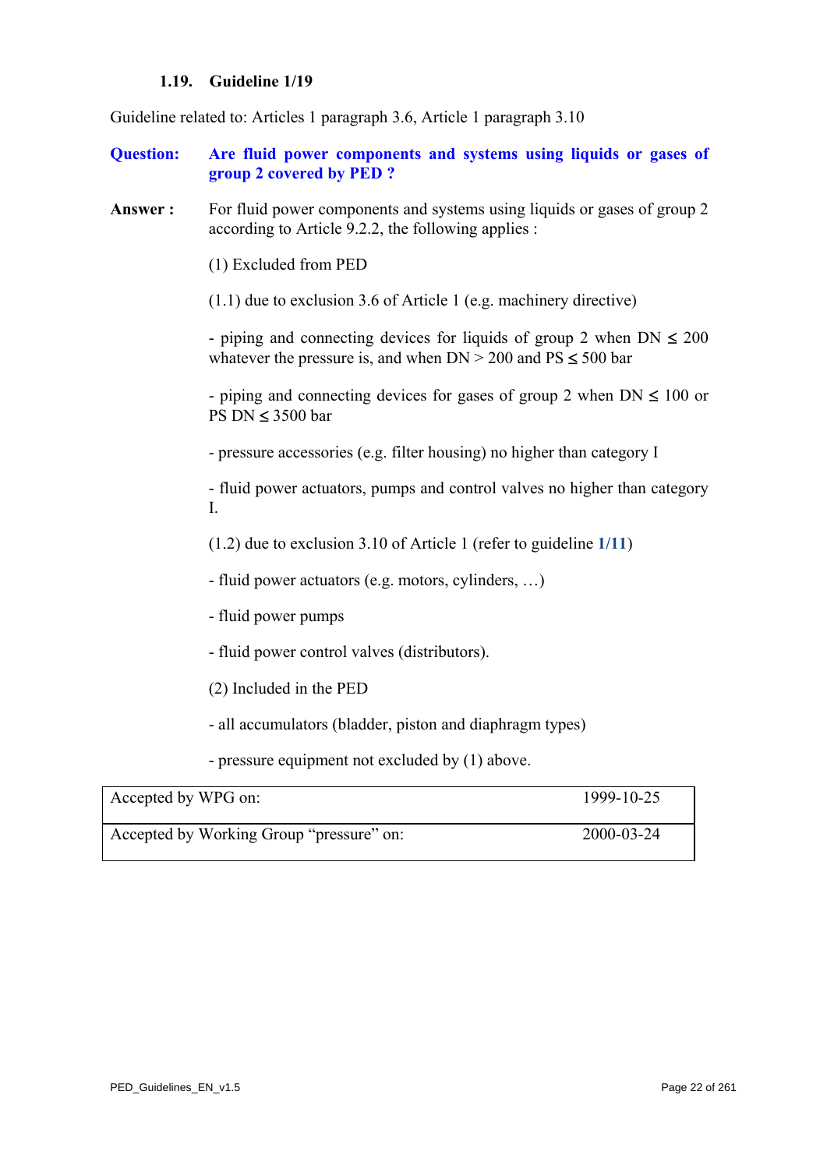#### **1.19. Guideline 1/19**

Guideline related to: Articles 1 paragraph 3.6, Article 1 paragraph 3.10

- **Question: Are fluid power components and systems using liquids or gases of group 2 covered by PED ?**
- **Answer :** For fluid power components and systems using liquids or gases of group 2 according to Article 9.2.2, the following applies :

(1) Excluded from PED

(1.1) due to exclusion 3.6 of Article 1 (e.g. machinery directive)

- piping and connecting devices for liquids of group 2 when  $DN \leq 200$ whatever the pressure is, and when  $DN > 200$  and  $PS \le 500$  bar

- piping and connecting devices for gases of group 2 when  $DN \leq 100$  or PS DN ≤ 3500 bar

- pressure accessories (e.g. filter housing) no higher than category I

- fluid power actuators, pumps and control valves no higher than category I.

(1.2) due to exclusion 3.10 of Article 1 (refer to guideline **[1/11](#page-12-0)**)

- fluid power actuators (e.g. motors, cylinders, …)

- fluid power pumps

- fluid power control valves (distributors).
- (2) Included in the PED

- all accumulators (bladder, piston and diaphragm types)

- pressure equipment not excluded by (1) above.

| Accepted by WPG on:                      | 1999-10-25 |
|------------------------------------------|------------|
| Accepted by Working Group "pressure" on: | 2000-03-24 |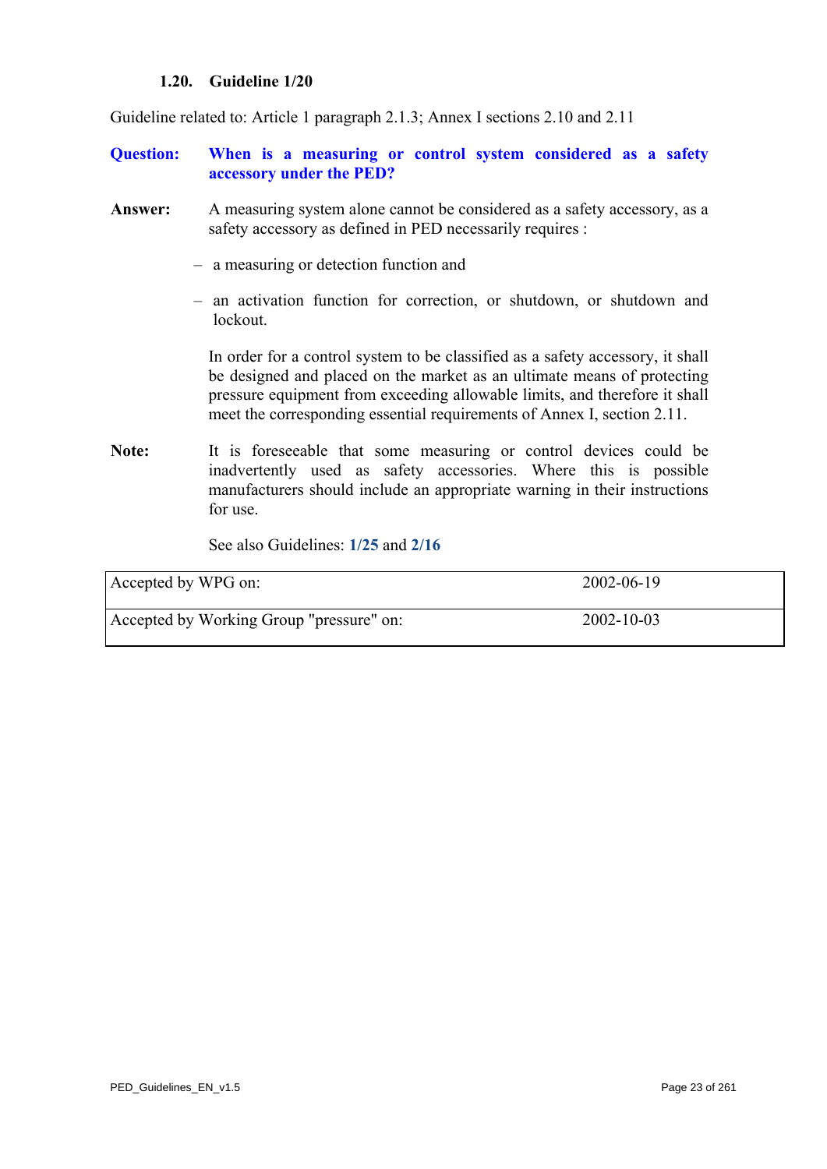#### **1.20. Guideline 1/20**

Guideline related to: Article 1 paragraph 2.1.3; Annex I sections 2.10 and 2.11

- **Question: When is a measuring or control system considered as a safety accessory under the PED?**
- **Answer:** A measuring system alone cannot be considered as a safety accessory, as a safety accessory as defined in PED necessarily requires :
	- a measuring or detection function and
	- an activation function for correction, or shutdown, or shutdown and lockout.

 In order for a control system to be classified as a safety accessory, it shall be designed and placed on the market as an ultimate means of protecting pressure equipment from exceeding allowable limits, and therefore it shall meet the corresponding essential requirements of Annex I, section 2.11.

Note: It is foreseeable that some measuring or control devices could be inadvertently used as safety accessories. Where this is possible manufacturers should include an appropriate warning in their instructions for use.

See also Guidelines: **[1/25](#page-27-0)** and **[2/16](#page-79-0)**

| Accepted by WPG on:                      | 2002-06-19 |
|------------------------------------------|------------|
| Accepted by Working Group "pressure" on: | 2002-10-03 |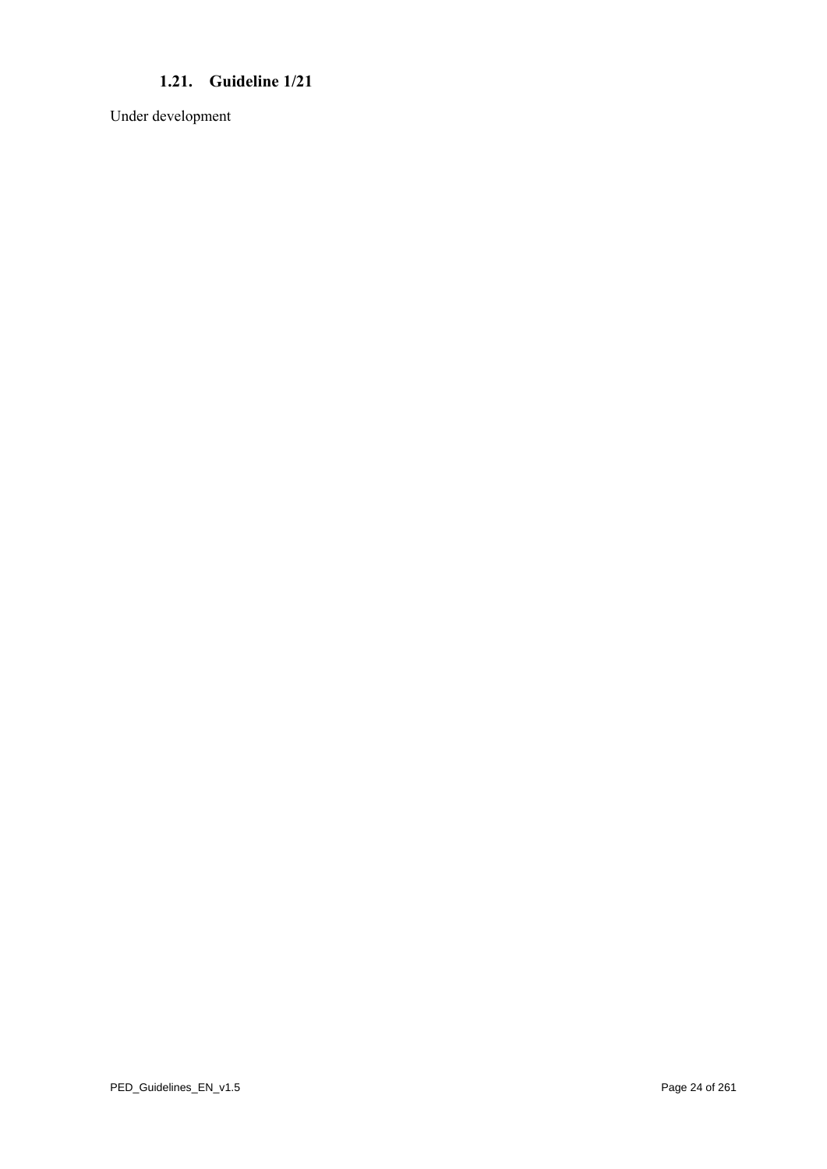# **1.21. Guideline 1/21**

Under development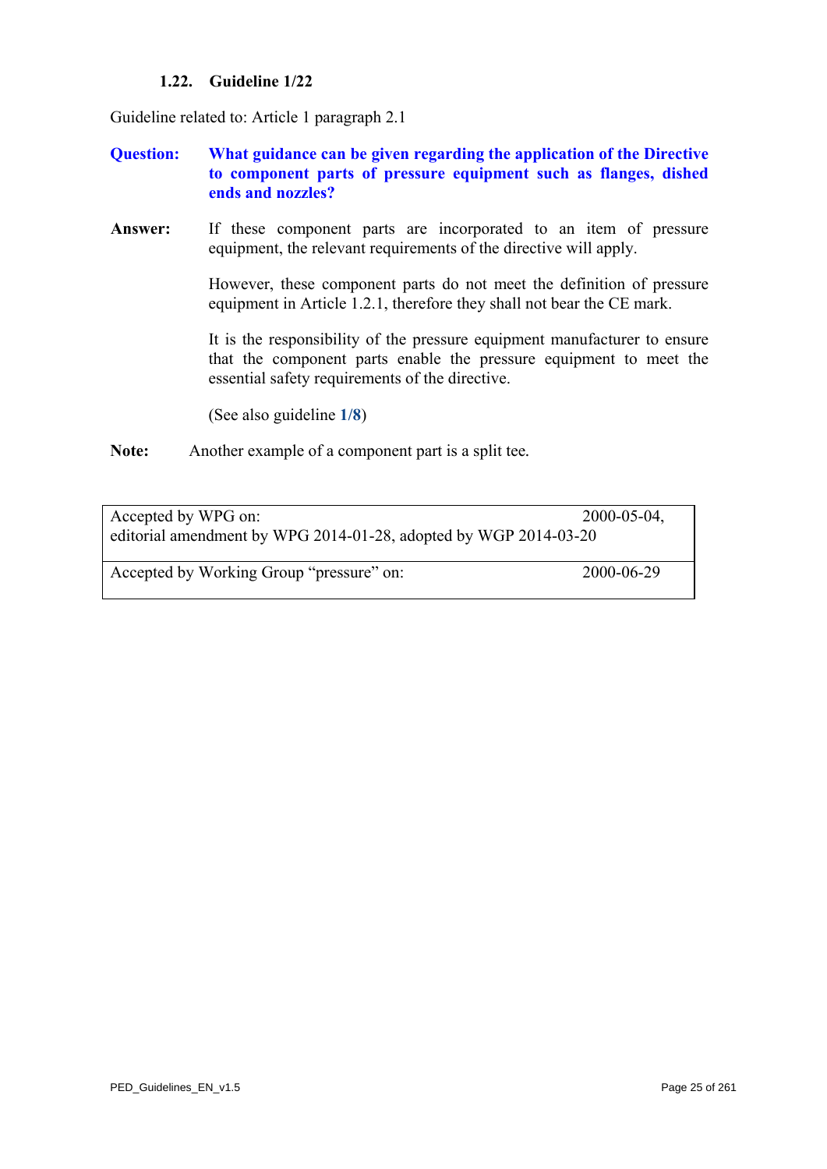# **1.22. Guideline 1/22**

Guideline related to: Article 1 paragraph 2.1

- **Question: What guidance can be given regarding the application of the Directive to component parts of pressure equipment such as flanges, dished ends and nozzles?**
- **Answer:** If these component parts are incorporated to an item of pressure equipment, the relevant requirements of the directive will apply.

 However, these component parts do not meet the definition of pressure equipment in Article 1.2.1, therefore they shall not bear the CE mark.

 It is the responsibility of the pressure equipment manufacturer to ensure that the component parts enable the pressure equipment to meet the essential safety requirements of the directive.

(See also guideline **[1/8](#page-9-0)**)

**Note:** Another example of a component part is a split tee*.* 

| Accepted by WPG on:<br>editorial amendment by WPG 2014-01-28, adopted by WGP 2014-03-20 | $2000 - 05 - 04$ , |
|-----------------------------------------------------------------------------------------|--------------------|
| Accepted by Working Group "pressure" on:                                                | 2000-06-29         |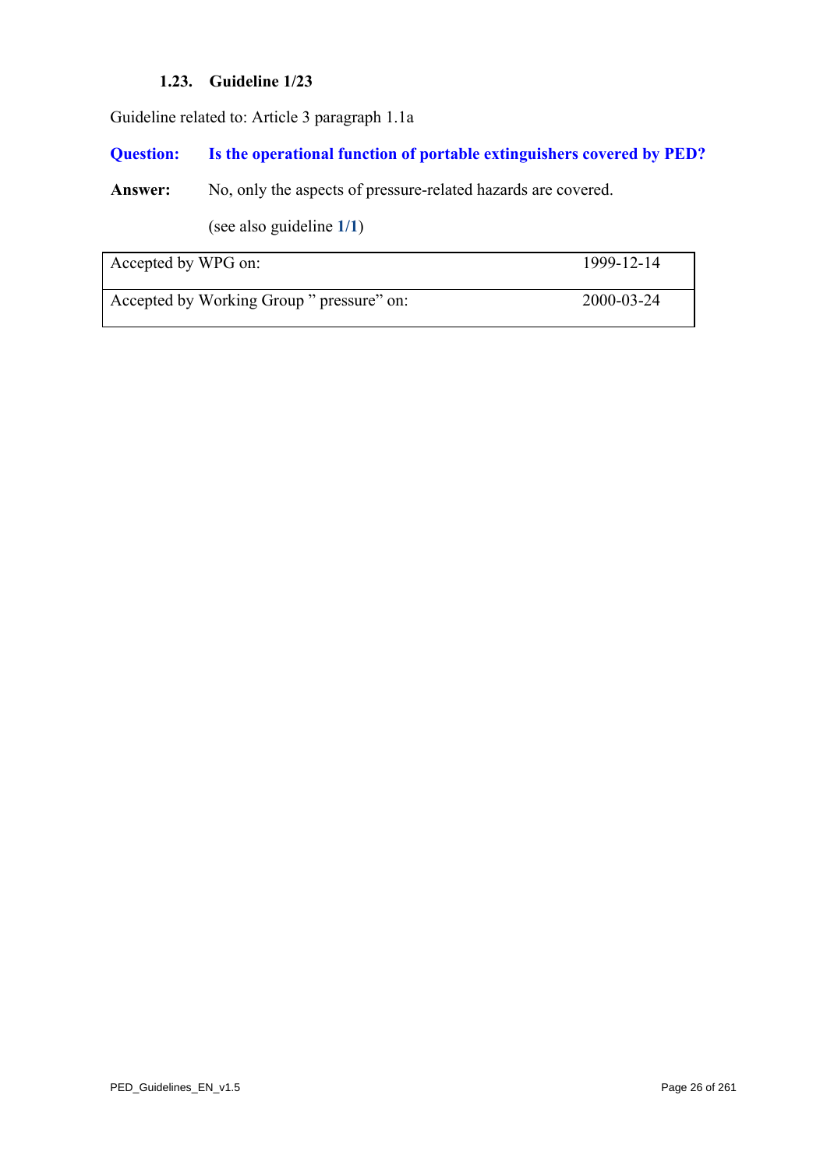# **1.23. Guideline 1/23**

Guideline related to: Article 3 paragraph 1.1a

# **Question: Is the operational function of portable extinguishers covered by PED?**

Answer: No, only the aspects of pressure-related hazards are covered.

(see also guideline **[1/1](#page-2-0)**)

| Accepted by WPG on:                       | 1999-12-14 |
|-------------------------------------------|------------|
| Accepted by Working Group " pressure" on: | 2000-03-24 |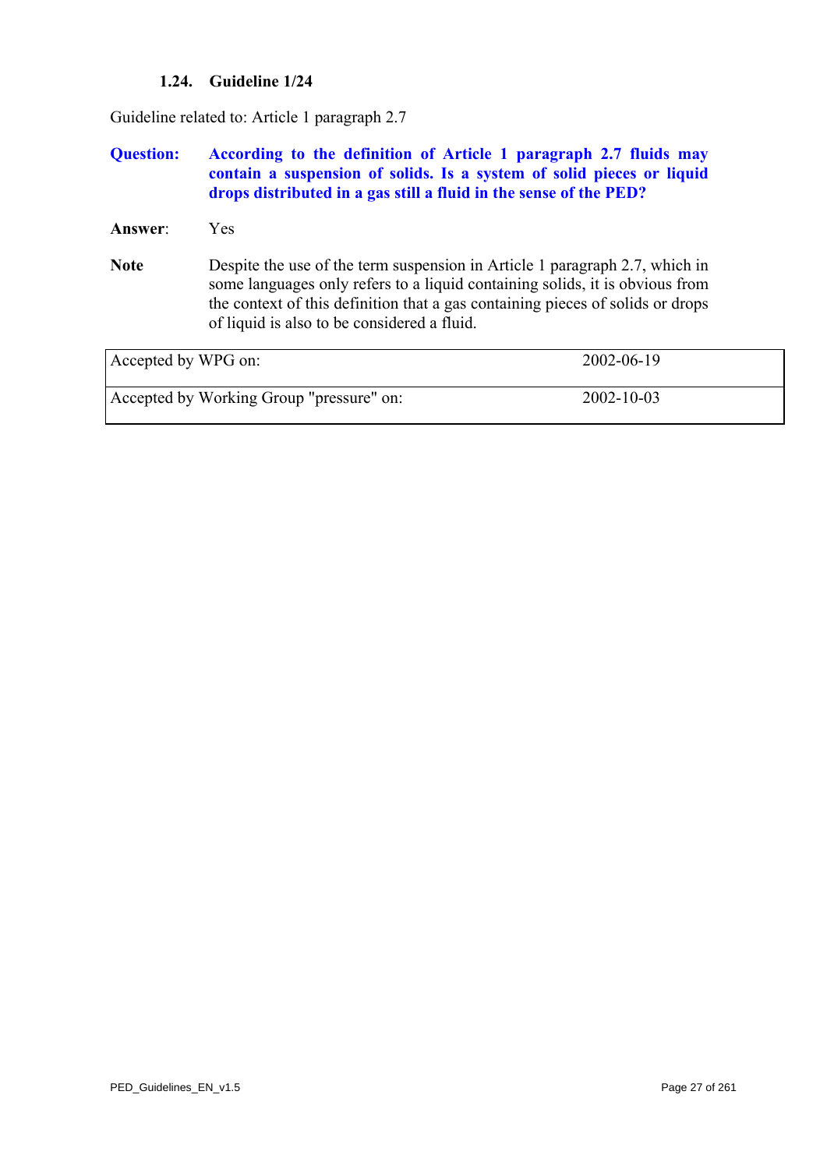# **1.24. Guideline 1/24**

Guideline related to: Article 1 paragraph 2.7

#### **Question: According to the definition of Article 1 paragraph 2.7 fluids may contain a suspension of solids. Is a system of solid pieces or liquid drops distributed in a gas still a fluid in the sense of the PED?**

- **Answer**: Yes
- **Note** Despite the use of the term suspension in Article 1 paragraph 2.7, which in some languages only refers to a liquid containing solids, it is obvious from the context of this definition that a gas containing pieces of solids or drops of liquid is also to be considered a fluid.

| Accepted by WPG on:                      | 2002-06-19       |
|------------------------------------------|------------------|
| Accepted by Working Group "pressure" on: | $2002 - 10 - 03$ |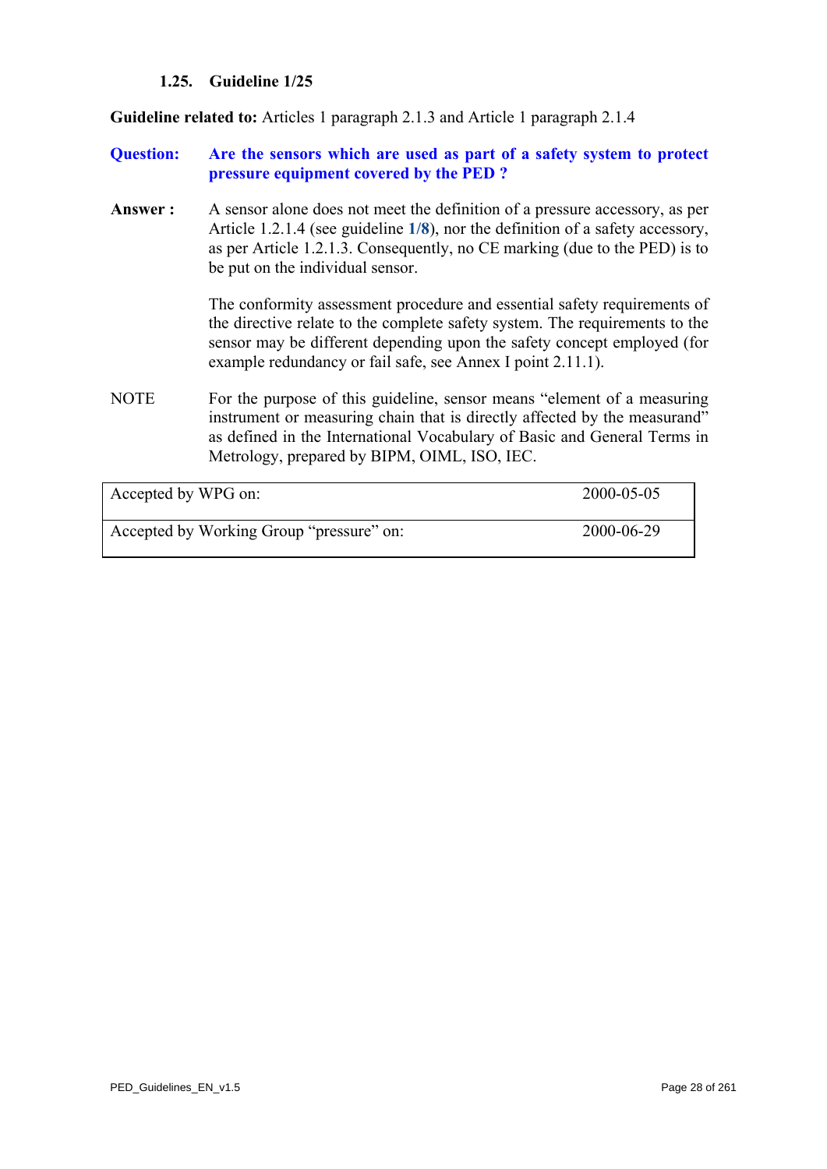# **1.25. Guideline 1/25**

<span id="page-27-0"></span>**Guideline related to:** Articles 1 paragraph 2.1.3 and Article 1 paragraph 2.1.4

# **Question: Are the sensors which are used as part of a safety system to protect pressure equipment covered by the PED ?**

**Answer :** A sensor alone does not meet the definition of a pressure accessory, as per Article 1.2.1.4 (see guideline **[1/8](#page-9-0)**), nor the definition of a safety accessory, as per Article 1.2.1.3. Consequently, no CE marking (due to the PED) is to be put on the individual sensor.

> The conformity assessment procedure and essential safety requirements of the directive relate to the complete safety system. The requirements to the sensor may be different depending upon the safety concept employed (for example redundancy or fail safe, see Annex I point 2.11.1).

NOTE For the purpose of this guideline, sensor means "element of a measuring instrument or measuring chain that is directly affected by the measurand" as defined in the International Vocabulary of Basic and General Terms in Metrology, prepared by BIPM, OIML, ISO, IEC.

| Accepted by WPG on:                      | 2000-05-05 |
|------------------------------------------|------------|
| Accepted by Working Group "pressure" on: | 2000-06-29 |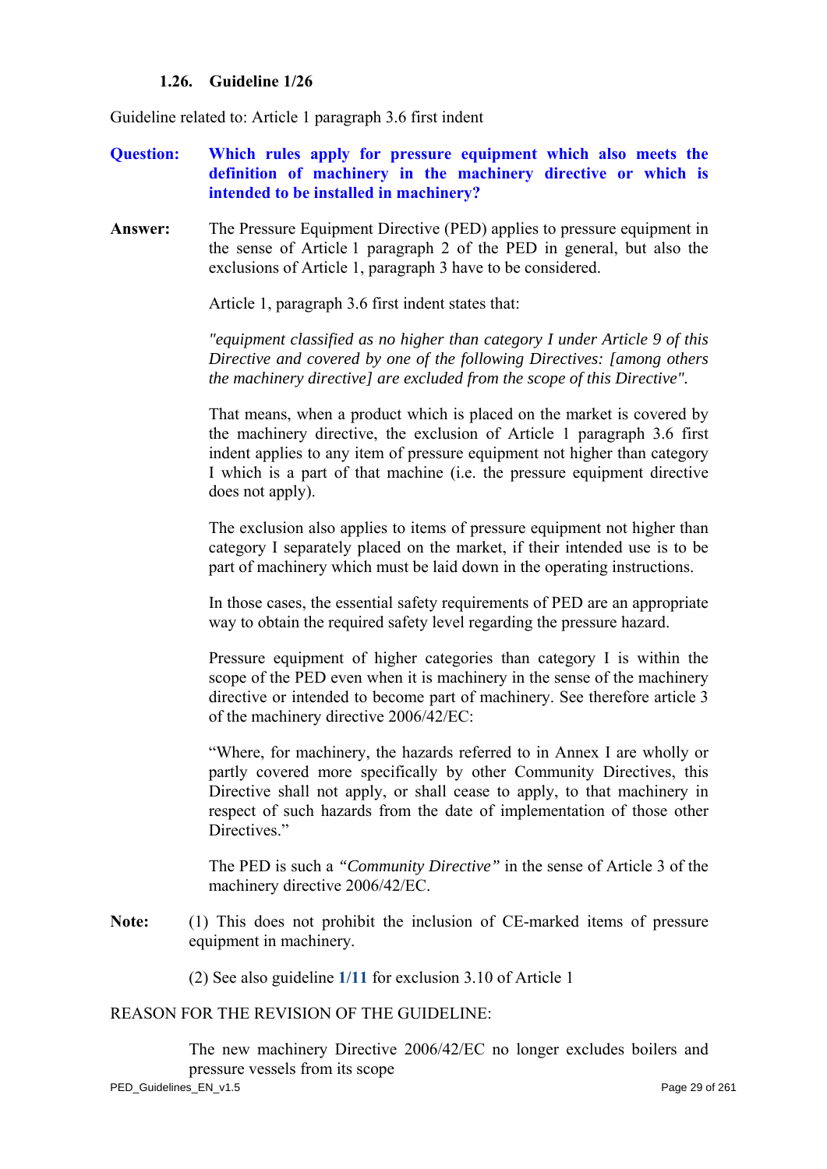# **1.26. Guideline 1/26**

Guideline related to: Article 1 paragraph 3.6 first indent

- **Question: Which rules apply for pressure equipment which also meets the definition of machinery in the machinery directive or which is intended to be installed in machinery?**
- **Answer:** The Pressure Equipment Directive (PED) applies to pressure equipment in the sense of Article 1 paragraph 2 of the PED in general, but also the exclusions of Article 1, paragraph 3 have to be considered.

Article 1, paragraph 3.6 first indent states that:

 *"equipment classified as no higher than category I under Article 9 of this Directive and covered by one of the following Directives: [among others the machinery directive] are excluded from the scope of this Directive".* 

 That means, when a product which is placed on the market is covered by the machinery directive, the exclusion of Article 1 paragraph 3.6 first indent applies to any item of pressure equipment not higher than category I which is a part of that machine (i.e. the pressure equipment directive does not apply).

 The exclusion also applies to items of pressure equipment not higher than category I separately placed on the market, if their intended use is to be part of machinery which must be laid down in the operating instructions.

 In those cases, the essential safety requirements of PED are an appropriate way to obtain the required safety level regarding the pressure hazard.

 Pressure equipment of higher categories than category I is within the scope of the PED even when it is machinery in the sense of the machinery directive or intended to become part of machinery. See therefore article 3 of the machinery directive 2006/42/EC:

 "Where, for machinery, the hazards referred to in Annex I are wholly or partly covered more specifically by other Community Directives, this Directive shall not apply, or shall cease to apply, to that machinery in respect of such hazards from the date of implementation of those other Directives."

 The PED is such a *"Community Directive"* in the sense of Article 3 of the machinery directive 2006/42/EC.

**Note:** (1) This does not prohibit the inclusion of CE-marked items of pressure equipment in machinery.

(2) See also guideline **[1/11](#page-12-0)** for exclusion 3.10 of Article 1

#### REASON FOR THE REVISION OF THE GUIDELINE:

 The new machinery Directive 2006/42/EC no longer excludes boilers and pressure vessels from its scope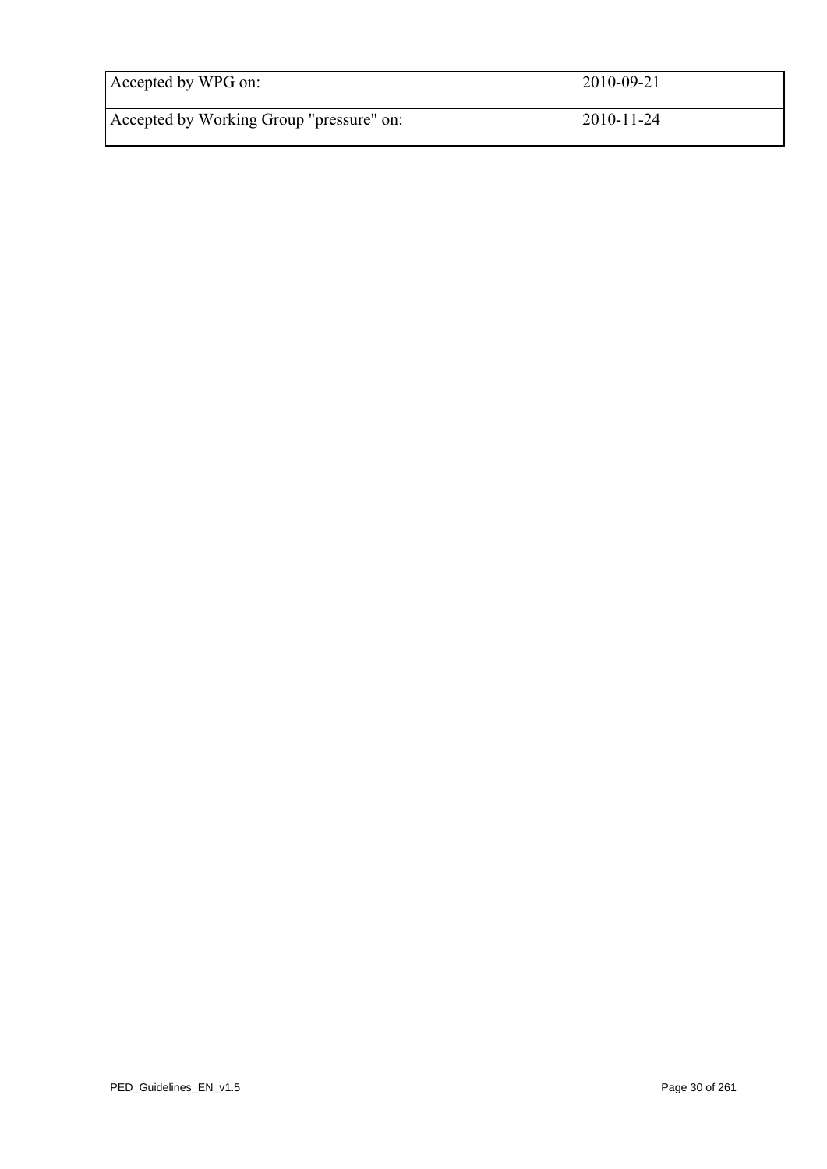| Accepted by WPG on:                      | 2010-09-21       |
|------------------------------------------|------------------|
| Accepted by Working Group "pressure" on: | $2010 - 11 - 24$ |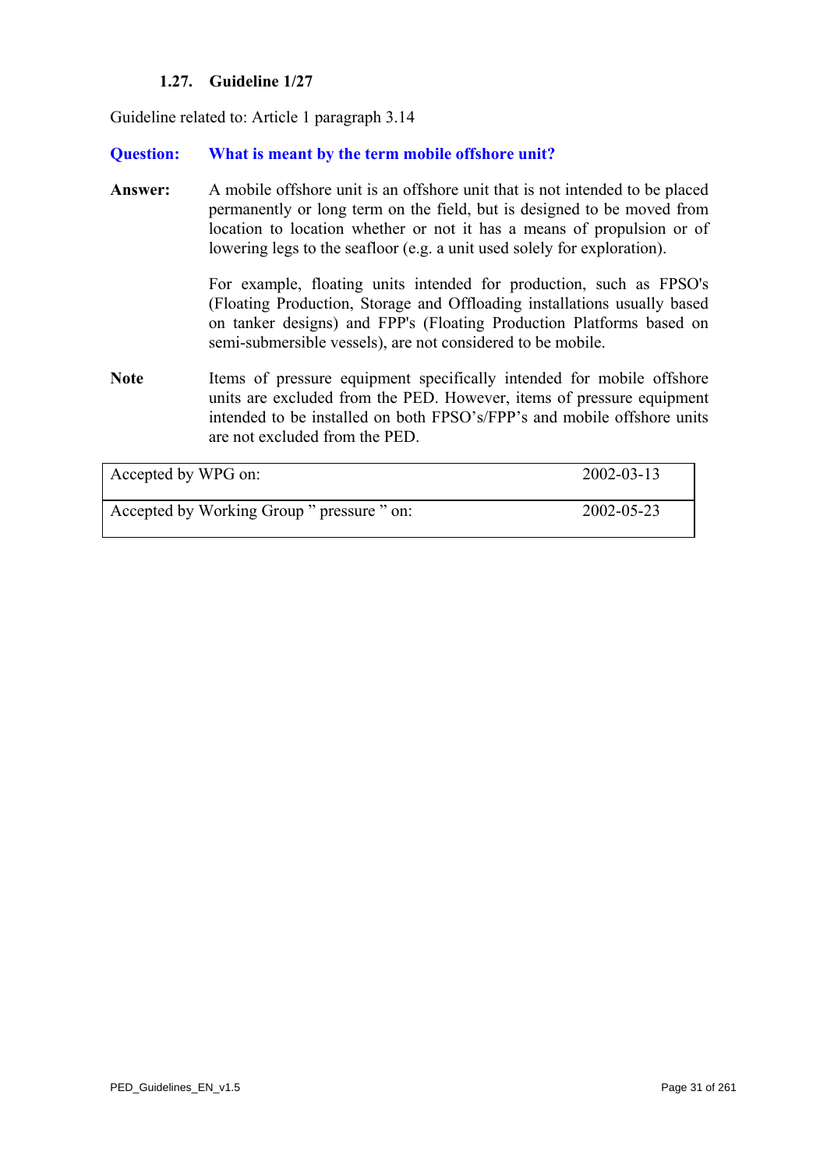# **1.27. Guideline 1/27**

Guideline related to: Article 1 paragraph 3.14

#### **Question: What is meant by the term mobile offshore unit?**

**Answer:** A mobile offshore unit is an offshore unit that is not intended to be placed permanently or long term on the field, but is designed to be moved from location to location whether or not it has a means of propulsion or of lowering legs to the seafloor (e.g. a unit used solely for exploration).

> For example, floating units intended for production, such as FPSO's (Floating Production, Storage and Offloading installations usually based on tanker designs) and FPP's (Floating Production Platforms based on semi-submersible vessels), are not considered to be mobile.

Note Items of pressure equipment specifically intended for mobile offshore units are excluded from the PED. However, items of pressure equipment intended to be installed on both FPSO's/FPP's and mobile offshore units are not excluded from the PED.

| Accepted by WPG on:                        | $2002 - 03 - 13$ |
|--------------------------------------------|------------------|
| Accepted by Working Group " pressure " on: | 2002-05-23       |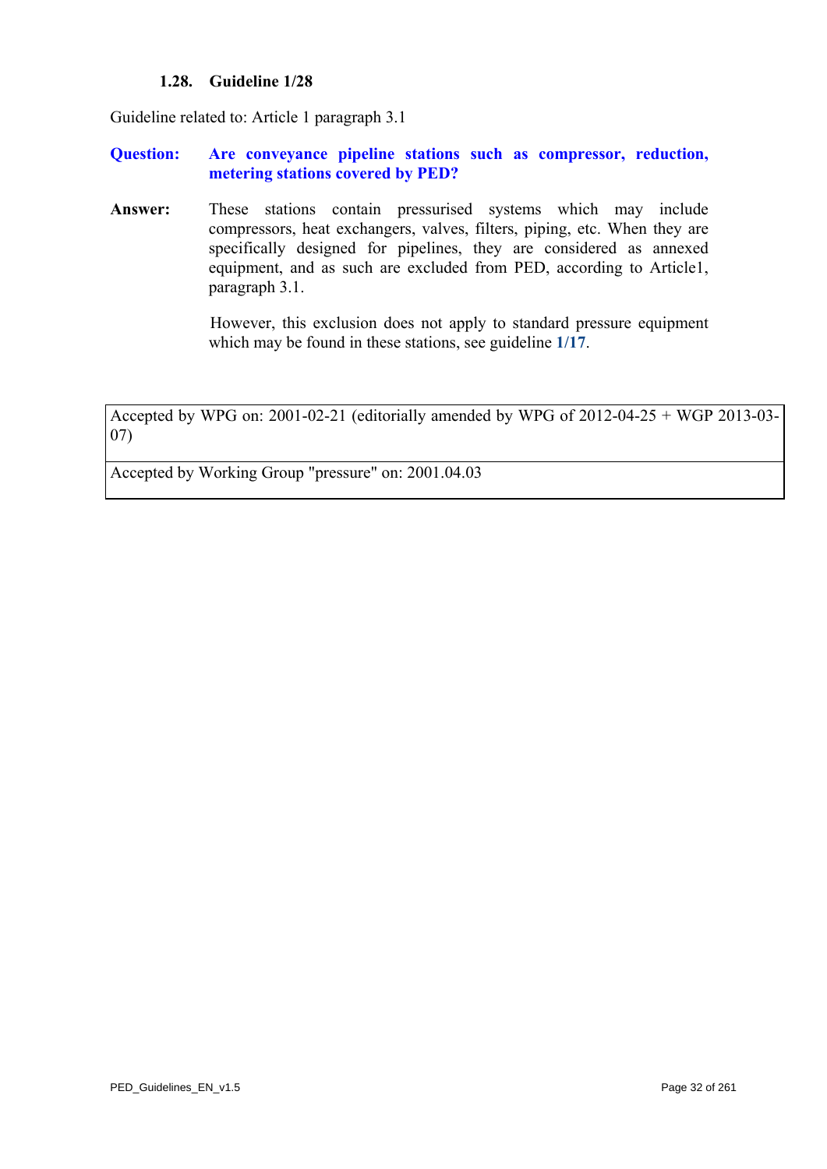### **1.28. Guideline 1/28**

<span id="page-31-0"></span>Guideline related to: Article 1 paragraph 3.1

#### **Question: Are conveyance pipeline stations such as compressor, reduction, metering stations covered by PED?**

**Answer:** These stations contain pressurised systems which may include compressors, heat exchangers, valves, filters, piping, etc. When they are specifically designed for pipelines, they are considered as annexed equipment, and as such are excluded from PED, according to Article1, paragraph 3.1.

> However, this exclusion does not apply to standard pressure equipment which may be found in these stations, see guideline **[1/17](#page-19-0)**.

Accepted by WPG on: 2001-02-21 (editorially amended by WPG of 2012-04-25 + WGP 2013-03- 07)

Accepted by Working Group "pressure" on: 2001.04.03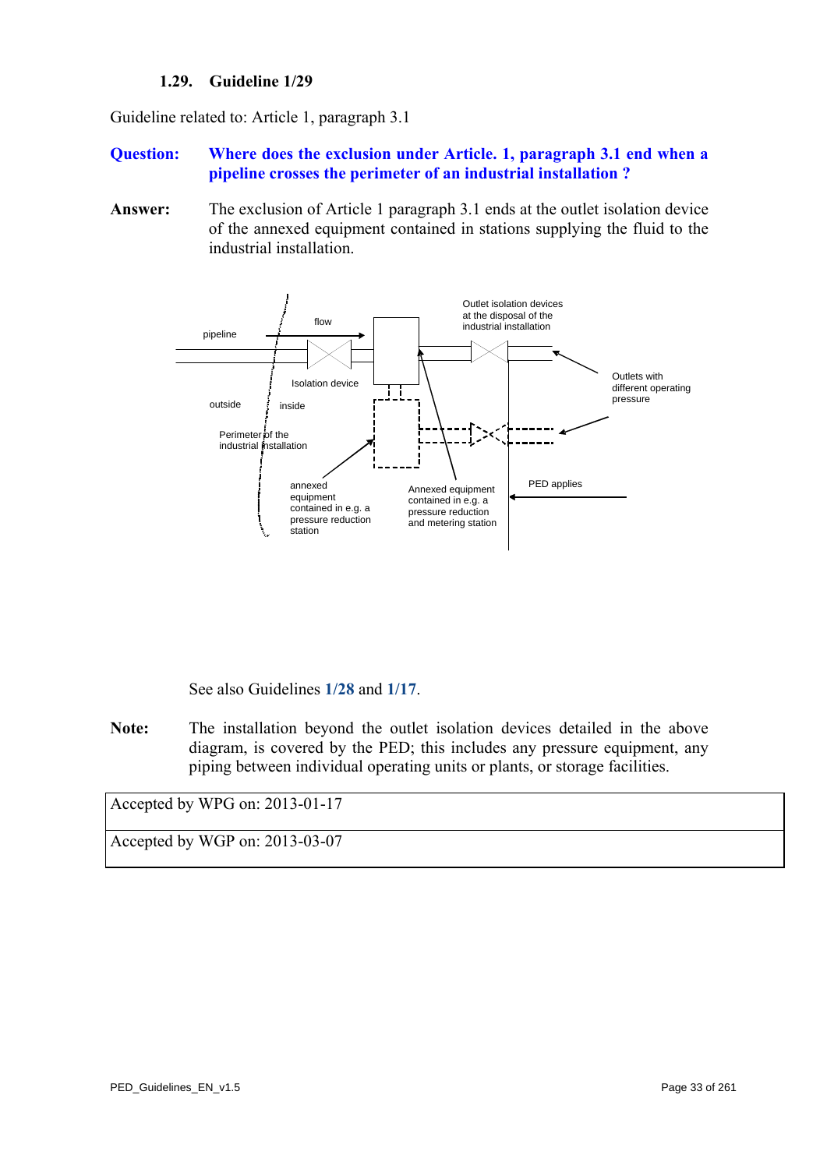# **1.29. Guideline 1/29**

Guideline related to: Article 1, paragraph 3.1

#### **Question: Where does the exclusion under Article. 1, paragraph 3.1 end when a pipeline crosses the perimeter of an industrial installation ?**

<span id="page-32-0"></span>**Answer:** The exclusion of Article 1 paragraph 3.1 ends at the outlet isolation device of the annexed equipment contained in stations supplying the fluid to the industrial installation.



See also Guidelines **[1/28](#page-31-0)** and **[1/17](#page-19-0)**.

**Note:** The installation beyond the outlet isolation devices detailed in the above diagram, is covered by the PED; this includes any pressure equipment, any piping between individual operating units or plants, or storage facilities.

Accepted by WPG on: 2013-01-17

Accepted by WGP on: 2013-03-07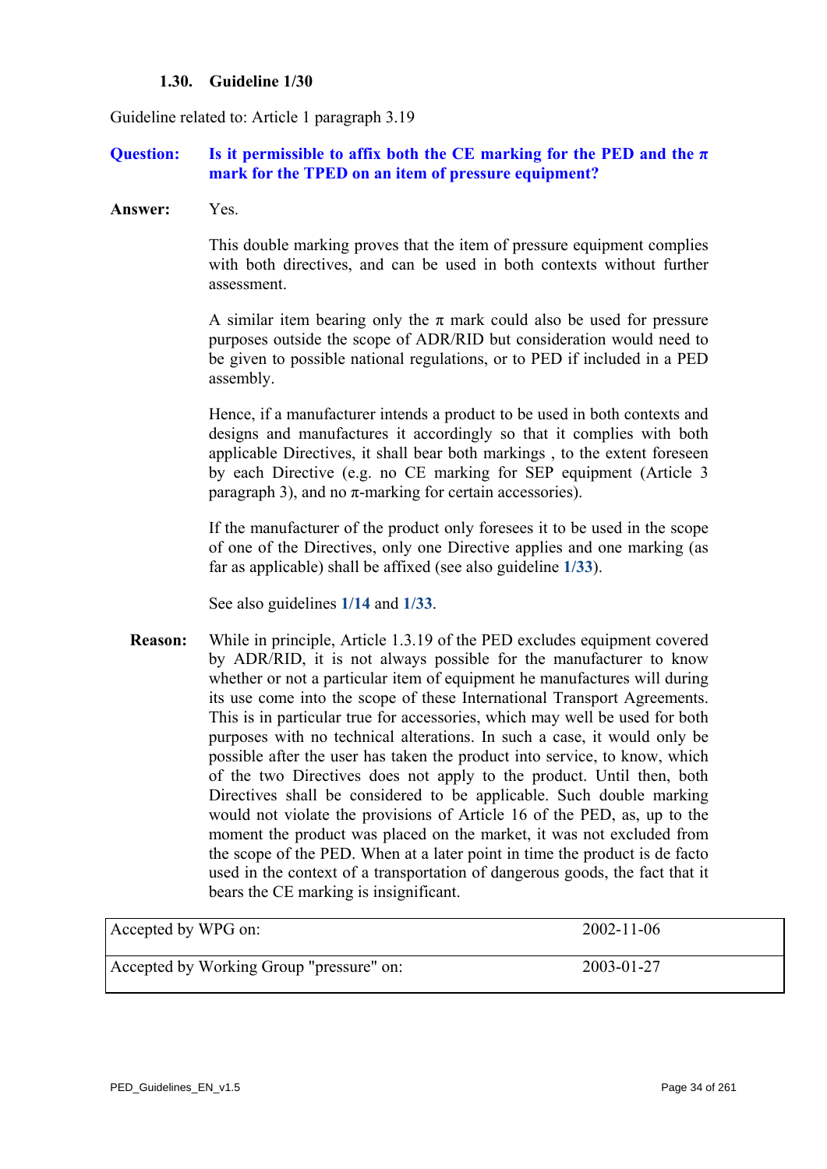#### **1.30. Guideline 1/30**

Guideline related to: Article 1 paragraph 3.19

# **Question:** Is it permissible to affix both the CE marking for the PED and the  $\pi$ **mark for the TPED on an item of pressure equipment?**

**Answer:** Yes.

 This double marking proves that the item of pressure equipment complies with both directives, and can be used in both contexts without further assessment.

A similar item bearing only the  $\pi$  mark could also be used for pressure purposes outside the scope of ADR/RID but consideration would need to be given to possible national regulations, or to PED if included in a PED assembly.

 Hence, if a manufacturer intends a product to be used in both contexts and designs and manufactures it accordingly so that it complies with both applicable Directives, it shall bear both markings , to the extent foreseen by each Directive (e.g. no CE marking for SEP equipment (Article 3 paragraph 3), and no  $π$ -marking for certain accessories).

 If the manufacturer of the product only foresees it to be used in the scope of one of the Directives, only one Directive applies and one marking (as far as applicable) shall be affixed (see also guideline **[1/33](#page-36-0)**).

See also guidelines **[1/14](#page-16-0)** and **[1/33](#page-36-0)**.

**Reason:** While in principle, Article 1.3.19 of the PED excludes equipment covered by ADR/RID, it is not always possible for the manufacturer to know whether or not a particular item of equipment he manufactures will during its use come into the scope of these International Transport Agreements. This is in particular true for accessories, which may well be used for both purposes with no technical alterations. In such a case, it would only be possible after the user has taken the product into service, to know, which of the two Directives does not apply to the product. Until then, both Directives shall be considered to be applicable. Such double marking would not violate the provisions of Article 16 of the PED, as, up to the moment the product was placed on the market, it was not excluded from the scope of the PED. When at a later point in time the product is de facto used in the context of a transportation of dangerous goods, the fact that it bears the CE marking is insignificant.

| Accepted by WPG on:                      | $2002 - 11 - 06$ |
|------------------------------------------|------------------|
| Accepted by Working Group "pressure" on: | 2003-01-27       |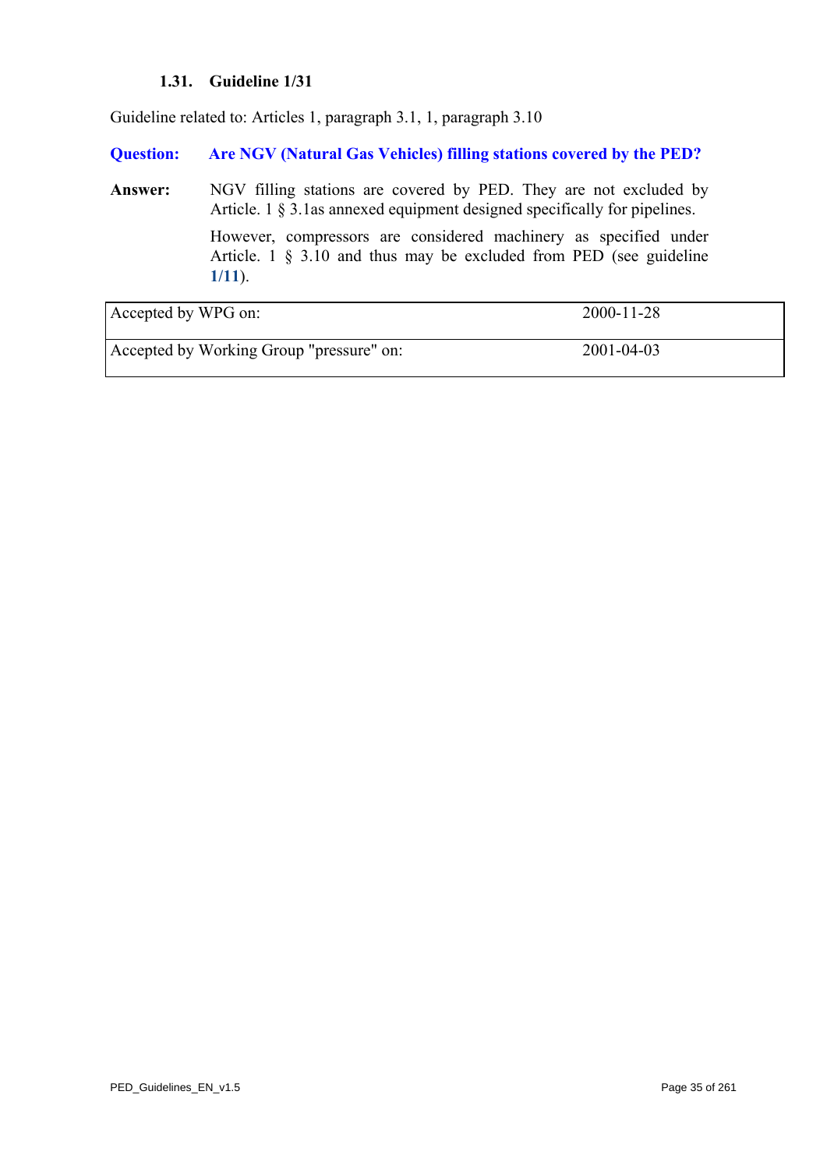# **1.31. Guideline 1/31**

Guideline related to: Articles 1, paragraph 3.1, 1, paragraph 3.10

**Question: Are NGV (Natural Gas Vehicles) filling stations covered by the PED?** 

Answer: NGV filling stations are covered by PED. They are not excluded by Article. 1 § 3.1as annexed equipment designed specifically for pipelines. However, compressors are considered machinery as specified under Article. 1 § 3.10 and thus may be excluded from PED (see guideline **[1/11](#page-12-0)**).

| Accepted by WPG on:                      | $2000 - 11 - 28$ |
|------------------------------------------|------------------|
| Accepted by Working Group "pressure" on: | 2001-04-03       |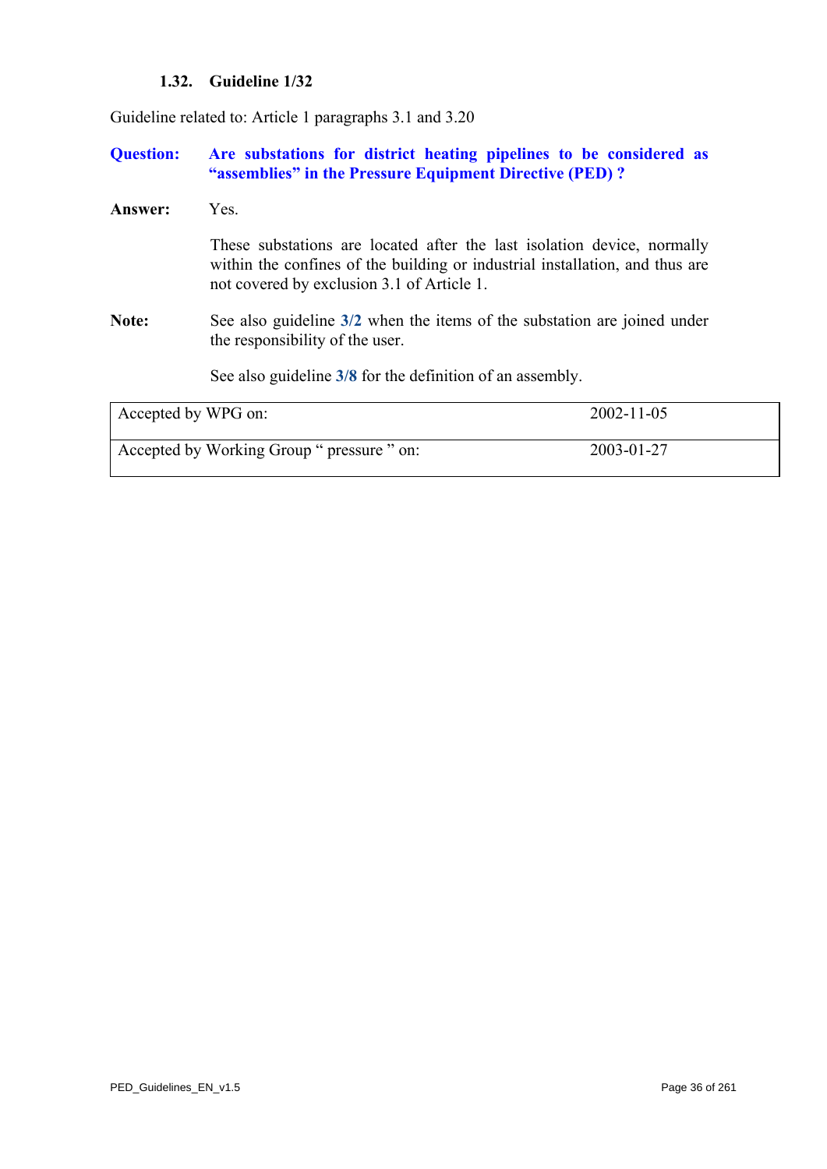# **1.32. Guideline 1/32**

Guideline related to: Article 1 paragraphs 3.1 and 3.20

# **Question: Are substations for district heating pipelines to be considered as "assemblies" in the Pressure Equipment Directive (PED) ?**

| <b>Answer:</b>      | Yes.                                                                                                                                                                                                  |                  |
|---------------------|-------------------------------------------------------------------------------------------------------------------------------------------------------------------------------------------------------|------------------|
|                     | These substations are located after the last isolation device, normally<br>within the confines of the building or industrial installation, and thus are<br>not covered by exclusion 3.1 of Article 1. |                  |
| <b>Note:</b>        | See also guideline 3/2 when the items of the substation are joined under<br>the responsibility of the user.                                                                                           |                  |
|                     | See also guideline 3/8 for the definition of an assembly.                                                                                                                                             |                  |
| Accepted by WPG on: |                                                                                                                                                                                                       | $2002 - 11 - 05$ |
|                     | Accepted by Working Group " pressure " on:                                                                                                                                                            | 2003-01-27       |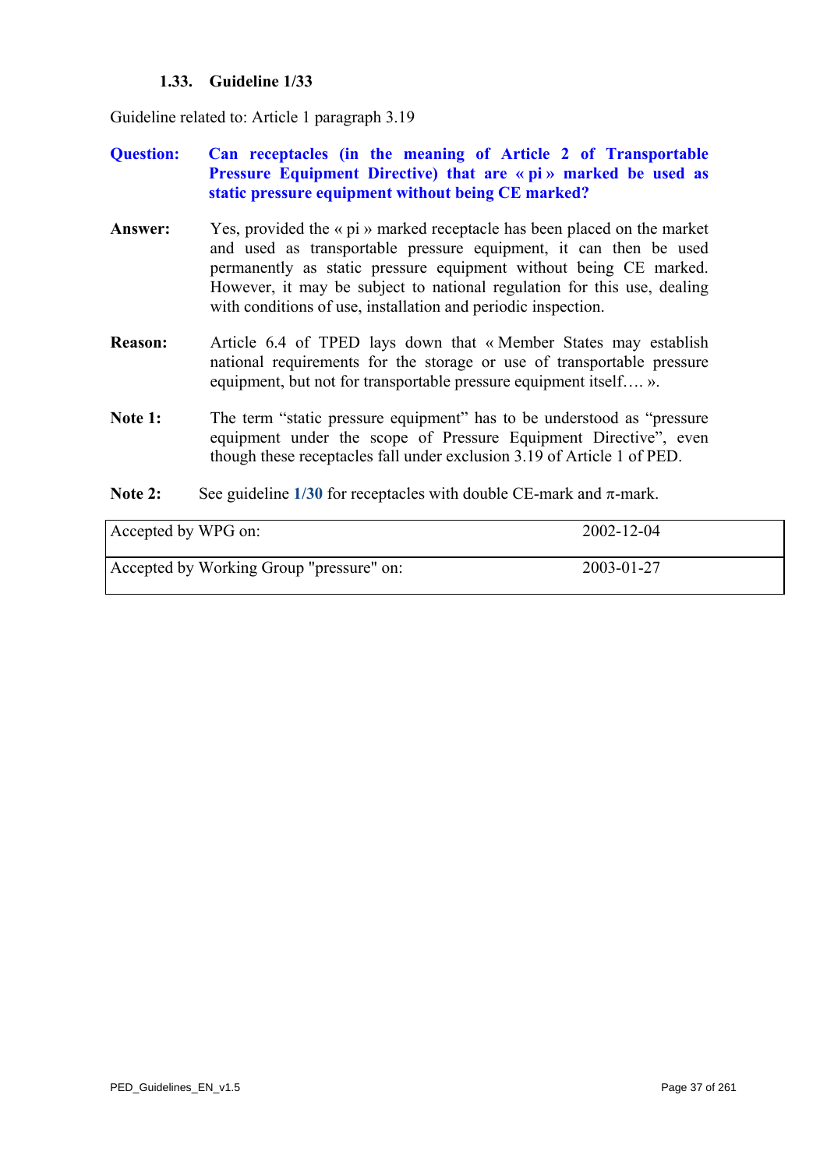## **1.33. Guideline 1/33**

Guideline related to: Article 1 paragraph 3.19

- **Question: Can receptacles (in the meaning of Article 2 of Transportable Pressure Equipment Directive) that are « pi » marked be used as static pressure equipment without being CE marked?**
- **Answer:** Yes, provided the « pi » marked receptacle has been placed on the market and used as transportable pressure equipment, it can then be used permanently as static pressure equipment without being CE marked. However, it may be subject to national regulation for this use, dealing with conditions of use, installation and periodic inspection.
- **Reason:** Article 6.4 of TPED lays down that « Member States may establish national requirements for the storage or use of transportable pressure equipment, but not for transportable pressure equipment itself…. ».
- Note 1: The term "static pressure equipment" has to be understood as "pressure" equipment under the scope of Pressure Equipment Directive", even though these receptacles fall under exclusion 3.19 of Article 1 of PED.
- **Note 2:** See guideline  $1/30$  for receptacles with double CE-mark and  $\pi$ -mark.

| Accepted by WPG on:                      | $2002 - 12 - 04$ |
|------------------------------------------|------------------|
| Accepted by Working Group "pressure" on: | 2003-01-27       |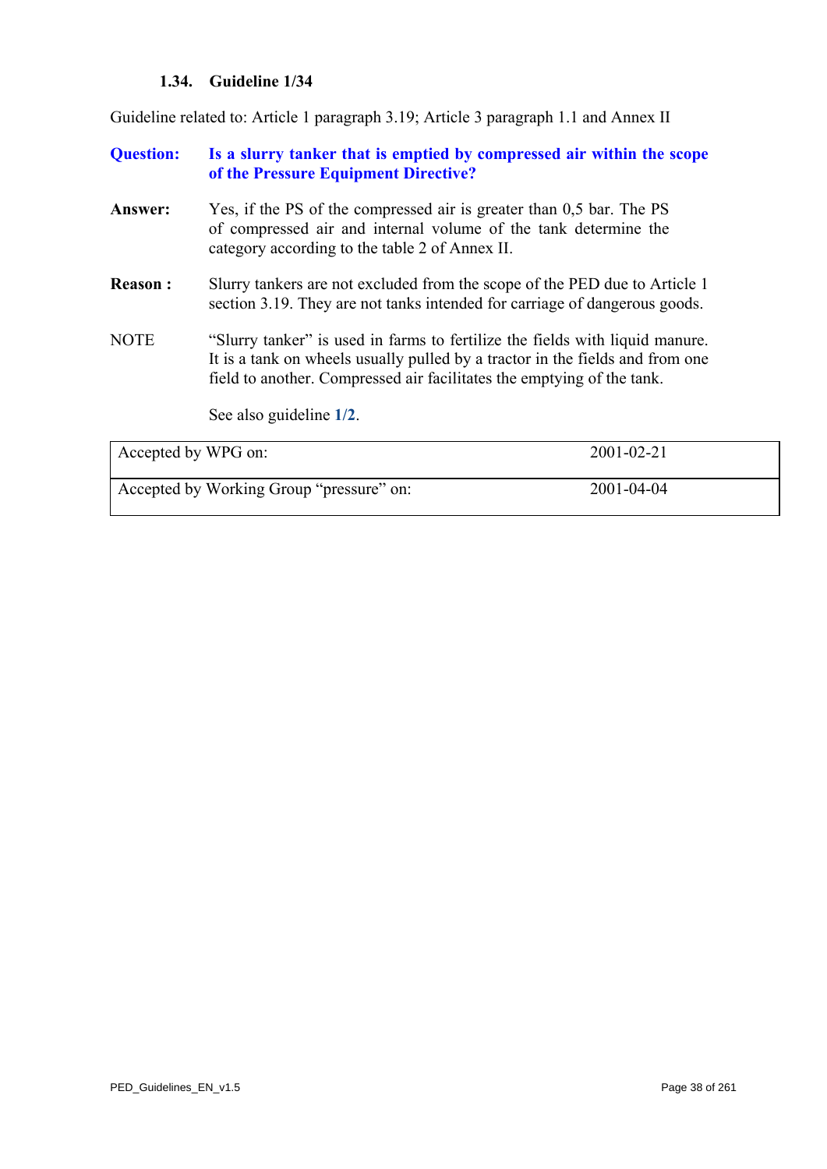## **1.34. Guideline 1/34**

Guideline related to: Article 1 paragraph 3.19; Article 3 paragraph 1.1 and Annex II

| <b>Question:</b>        | Is a slurry tanker that is emptied by compressed air within the scope<br>of the Pressure Equipment Directive?                                                                                                                           |
|-------------------------|-----------------------------------------------------------------------------------------------------------------------------------------------------------------------------------------------------------------------------------------|
| Answer:                 | Yes, if the PS of the compressed air is greater than 0.5 bar. The PS<br>of compressed air and internal volume of the tank determine the<br>category according to the table 2 of Annex II.                                               |
| <b>Reason:</b>          | Surry tankers are not excluded from the scope of the PED due to Article 1<br>section 3.19. They are not tanks intended for carriage of dangerous goods.                                                                                 |
| <b>NOTE</b>             | "Slurry tanker" is used in farms to fertilize the fields with liquid manure.<br>It is a tank on wheels usually pulled by a tractor in the fields and from one<br>field to another. Compressed air facilitates the emptying of the tank. |
|                         | See also guideline 1/2.                                                                                                                                                                                                                 |
| $\sqrt{11}$ $\sqrt{11}$ | A $\land \land \land \land \land \land \land$                                                                                                                                                                                           |

| Accepted by WPG on:                      | $2001 - 02 - 21$ |
|------------------------------------------|------------------|
| Accepted by Working Group "pressure" on: | 2001-04-04       |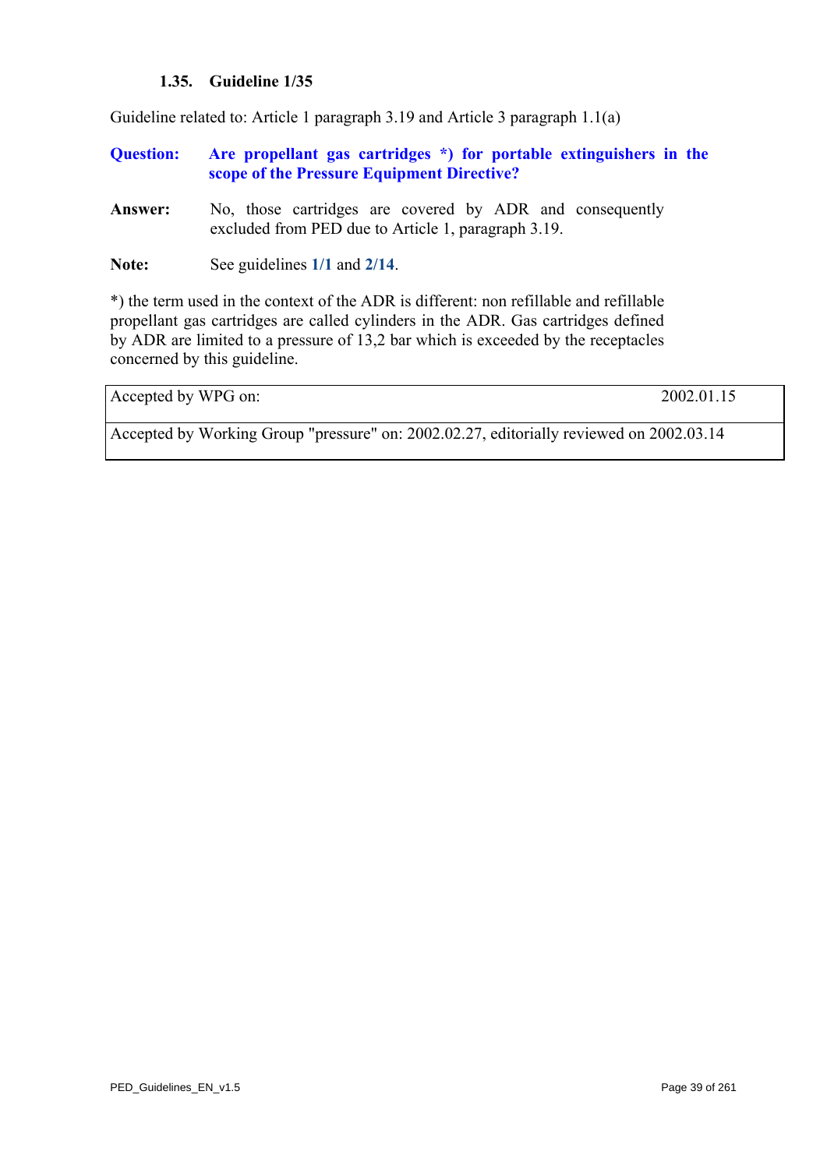#### **1.35. Guideline 1/35**

Guideline related to: Article 1 paragraph 3.19 and Article 3 paragraph 1.1(a)

- **Question: Are propellant gas cartridges \*) for portable extinguishers in the scope of the Pressure Equipment Directive?**
- **Answer:** No, those cartridges are covered by ADR and consequently excluded from PED due to Article 1, paragraph 3.19.

**Note:** See guidelines **[1/1](#page-2-0)** and **[2/14](#page-77-0)**.

\*) the term used in the context of the ADR is different: non refillable and refillable propellant gas cartridges are called cylinders in the ADR. Gas cartridges defined by ADR are limited to a pressure of 13,2 bar which is exceeded by the receptacles concerned by this guideline.

Accepted by WPG on: 2002.01.15

Accepted by Working Group "pressure" on: 2002.02.27, editorially reviewed on 2002.03.14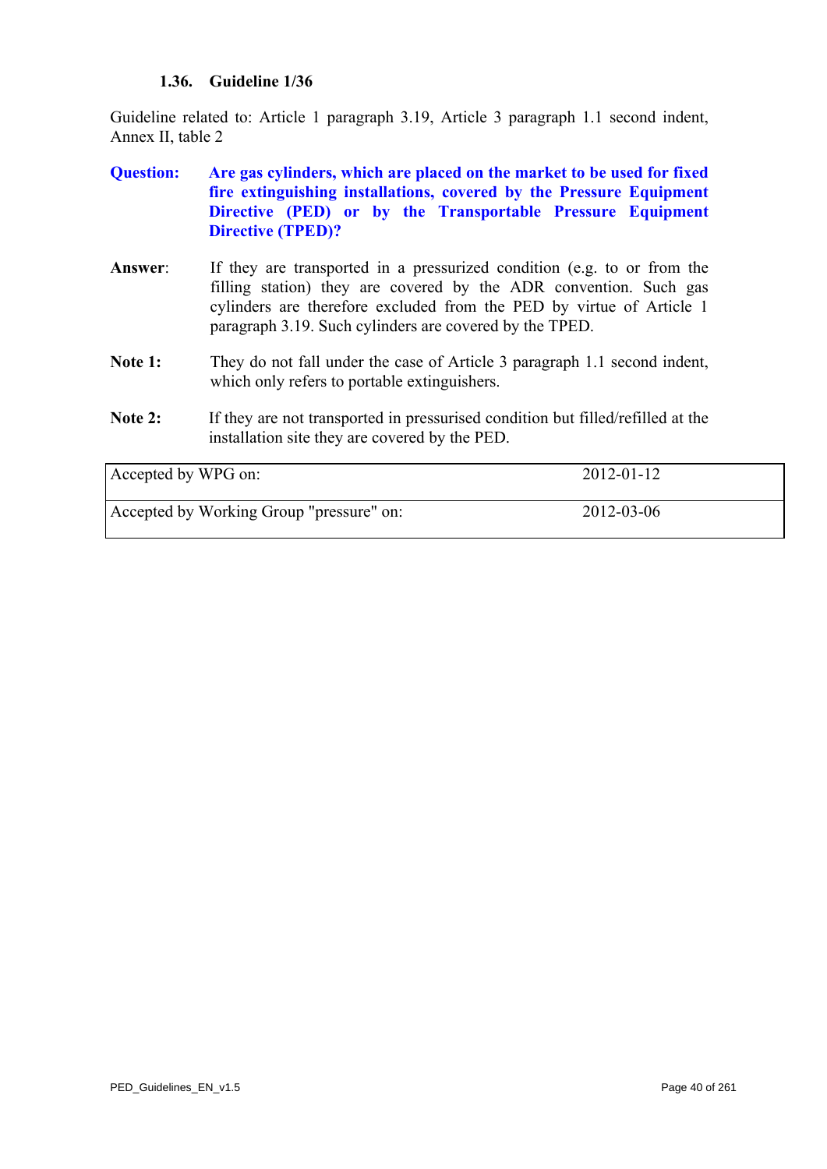## **1.36. Guideline 1/36**

Guideline related to: Article 1 paragraph 3.19, Article 3 paragraph 1.1 second indent, Annex II, table 2

- **Question: Are gas cylinders, which are placed on the market to be used for fixed fire extinguishing installations, covered by the Pressure Equipment Directive (PED) or by the Transportable Pressure Equipment Directive (TPED)?**
- **Answer**: If they are transported in a pressurized condition (e.g. to or from the filling station) they are covered by the ADR convention. Such gas cylinders are therefore excluded from the PED by virtue of Article 1 paragraph 3.19. Such cylinders are covered by the TPED.
- **Note 1:** They do not fall under the case of Article 3 paragraph 1.1 second indent, which only refers to portable extinguishers.
- Note 2: If they are not transported in pressurised condition but filled/refilled at the installation site they are covered by the PED.

| Accepted by WPG on:                      | $2012 - 01 - 12$ |
|------------------------------------------|------------------|
| Accepted by Working Group "pressure" on: | 2012-03-06       |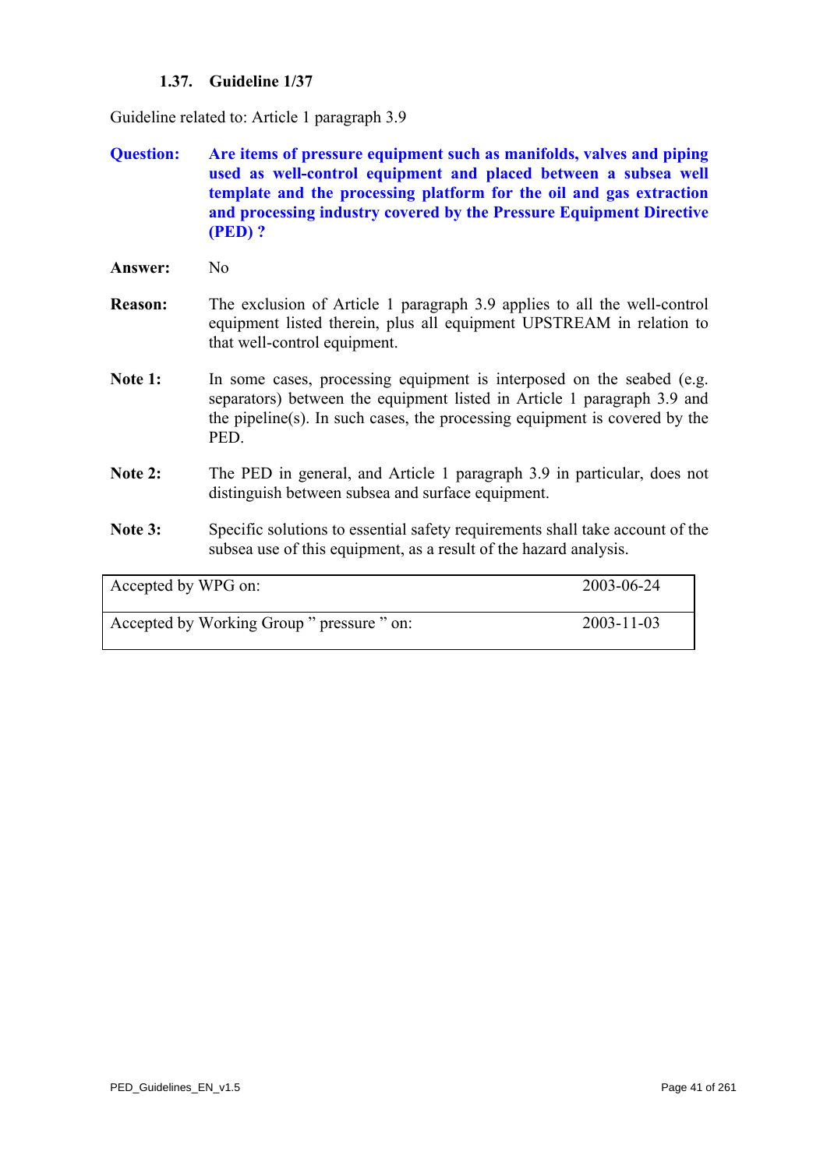## **1.37. Guideline 1/37**

Guideline related to: Article 1 paragraph 3.9

- **Question: Are items of pressure equipment such as manifolds, valves and piping used as well-control equipment and placed between a subsea well template and the processing platform for the oil and gas extraction and processing industry covered by the Pressure Equipment Directive (PED) ?**
- Answer: No
- **Reason:** The exclusion of Article 1 paragraph 3.9 applies to all the well-control equipment listed therein, plus all equipment UPSTREAM in relation to that well-control equipment.
- Note 1: In some cases, processing equipment is interposed on the seabed (e.g. separators) between the equipment listed in Article 1 paragraph 3.9 and the pipeline(s). In such cases, the processing equipment is covered by the PED.
- **Note 2:** The PED in general, and Article 1 paragraph 3.9 in particular, does not distinguish between subsea and surface equipment.
- Note 3: Specific solutions to essential safety requirements shall take account of the subsea use of this equipment, as a result of the hazard analysis.

| Accepted by WPG on:                        | 2003-06-24       |
|--------------------------------------------|------------------|
| Accepted by Working Group " pressure " on: | $2003 - 11 - 03$ |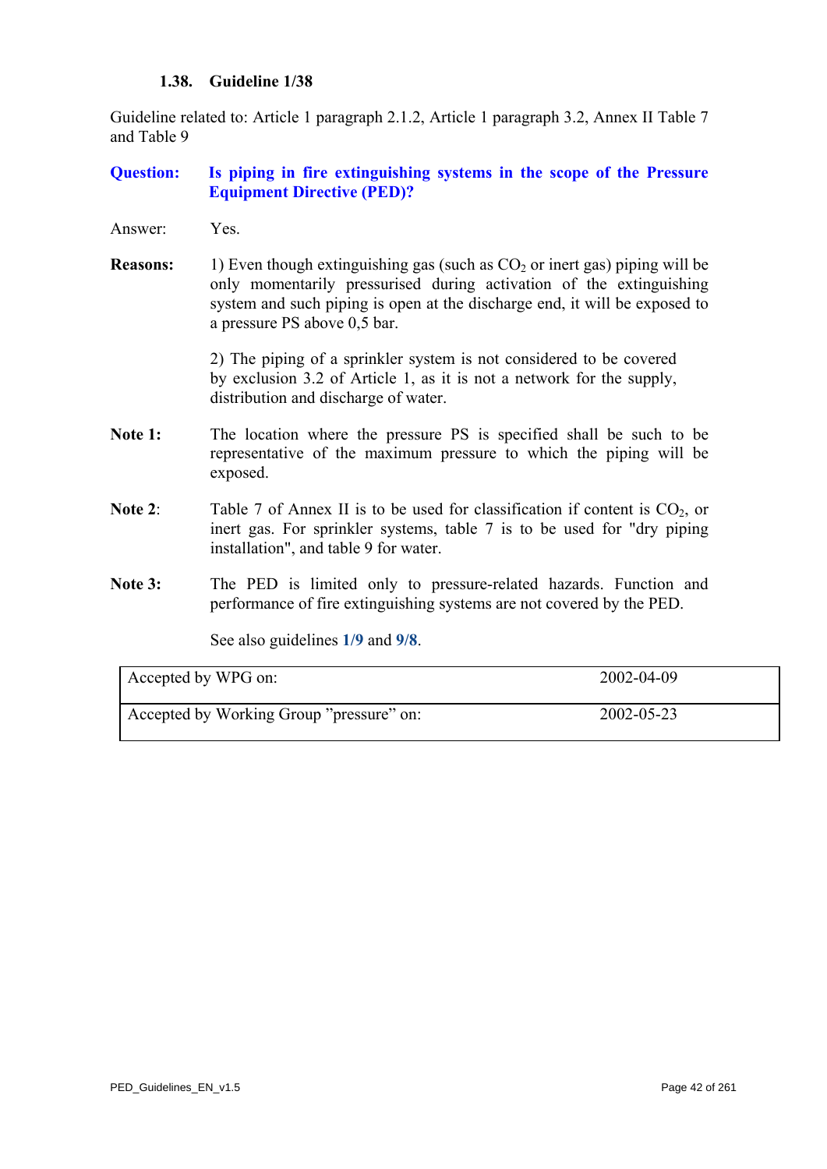#### **1.38. Guideline 1/38**

Guideline related to: Article 1 paragraph 2.1.2, Article 1 paragraph 3.2, Annex II Table 7 and Table 9

## **Question: Is piping in fire extinguishing systems in the scope of the Pressure Equipment Directive (PED)?**

- Answer: Yes.
- **Reasons:** 1) Even though extinguishing gas (such as  $CO<sub>2</sub>$  or inert gas) piping will be only momentarily pressurised during activation of the extinguishing system and such piping is open at the discharge end, it will be exposed to a pressure PS above 0,5 bar.

2) The piping of a sprinkler system is not considered to be covered by exclusion 3.2 of Article 1, as it is not a network for the supply, distribution and discharge of water.

- Note 1: The location where the pressure PS is specified shall be such to be representative of the maximum pressure to which the piping will be exposed.
- **Note 2:** Table 7 of Annex II is to be used for classification if content is  $CO<sub>2</sub>$  or inert gas. For sprinkler systems, table 7 is to be used for "dry piping installation", and table 9 for water.
- **Note 3:** The PED is limited only to pressure-related hazards. Function and performance of fire extinguishing systems are not covered by the PED.

See also guidelines **[1/9](#page-10-0)** and **[9/8](#page-234-0)**.

| Accepted by WPG on:                      | 2002-04-09 |
|------------------------------------------|------------|
| Accepted by Working Group "pressure" on: | 2002-05-23 |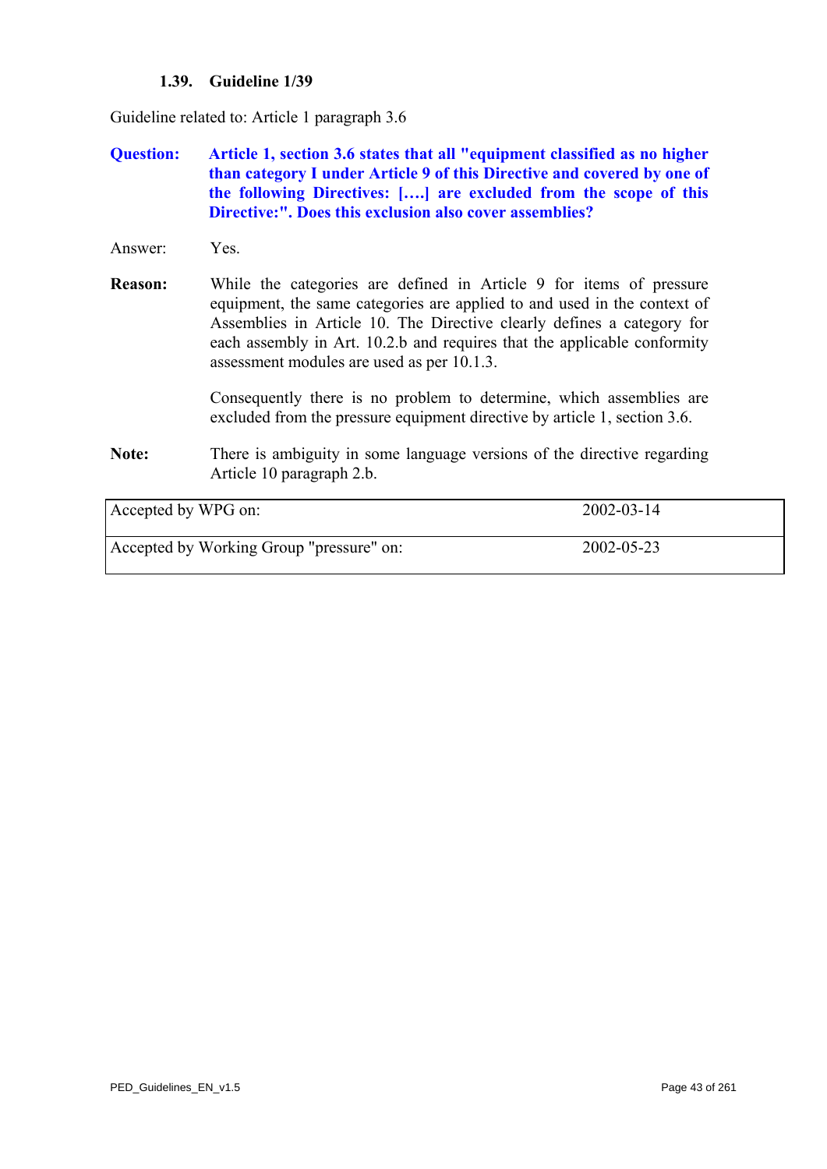## **1.39. Guideline 1/39**

Guideline related to: Article 1 paragraph 3.6

- **Question: Article 1, section 3.6 states that all "equipment classified as no higher than category I under Article 9 of this Directive and covered by one of the following Directives: [….] are excluded from the scope of this Directive:". Does this exclusion also cover assemblies?**
- Answer: Yes.

**Reason:** While the categories are defined in Article 9 for items of pressure equipment, the same categories are applied to and used in the context of Assemblies in Article 10. The Directive clearly defines a category for each assembly in Art. 10.2.b and requires that the applicable conformity assessment modules are used as per 10.1.3.

> Consequently there is no problem to determine, which assemblies are excluded from the pressure equipment directive by article 1, section 3.6.

**Note:** There is ambiguity in some language versions of the directive regarding Article 10 paragraph 2.b.

| Accepted by WPG on:                      | $2002 - 03 - 14$ |
|------------------------------------------|------------------|
| Accepted by Working Group "pressure" on: | 2002-05-23       |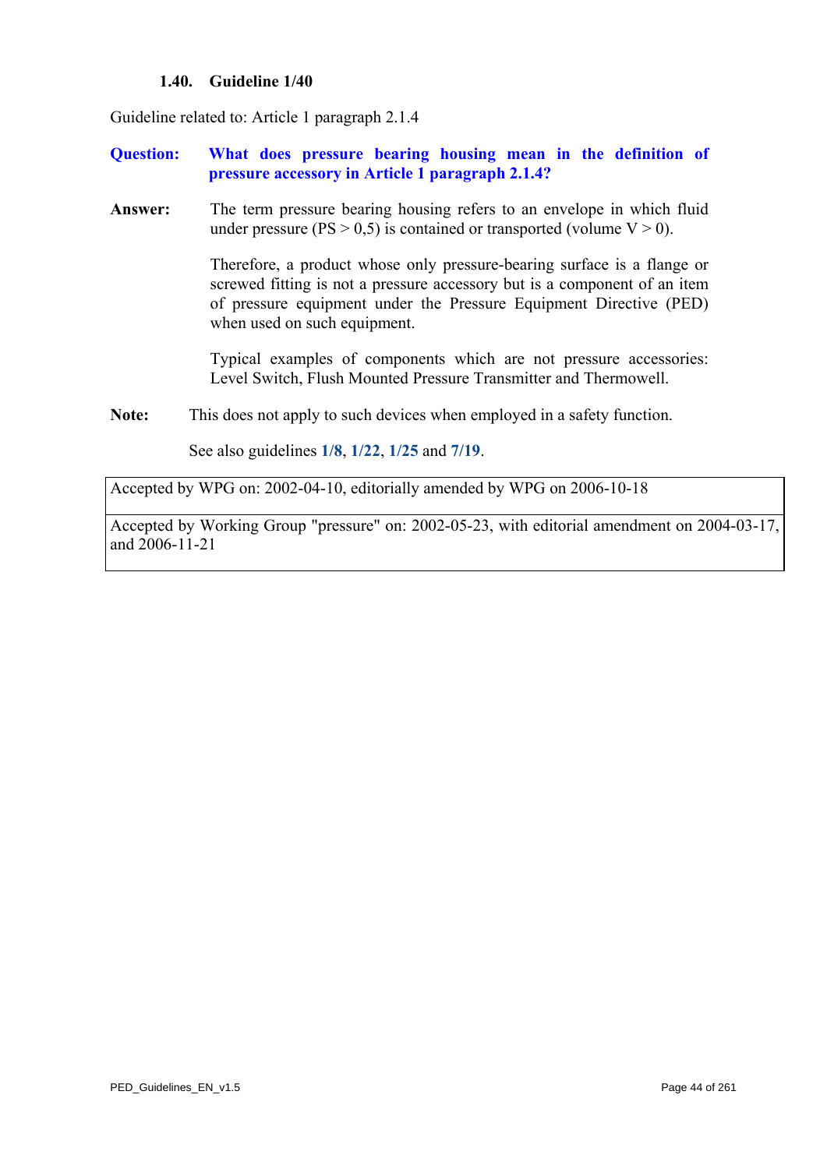#### **1.40. Guideline 1/40**

Guideline related to: Article 1 paragraph 2.1.4

- **Question: What does pressure bearing housing mean in the definition of pressure accessory in Article 1 paragraph 2.1.4?**
- **Answer:** The term pressure bearing housing refers to an envelope in which fluid under pressure ( $PS > 0.5$ ) is contained or transported (volume  $V > 0$ ).

Therefore, a product whose only pressure-bearing surface is a flange or screwed fitting is not a pressure accessory but is a component of an item of pressure equipment under the Pressure Equipment Directive (PED) when used on such equipment.

Typical examples of components which are not pressure accessories: Level Switch, Flush Mounted Pressure Transmitter and Thermowell.

**Note:** This does not apply to such devices when employed in a safety function.

See also guidelines **[1/8](#page-9-0)**, **[1/22](#page-24-0)**, **[1/25](#page-27-0)** and **[7/19](#page-192-0)**.

Accepted by WPG on: 2002-04-10, editorially amended by WPG on 2006-10-18

Accepted by Working Group "pressure" on: 2002-05-23, with editorial amendment on 2004-03-17, and 2006-11-21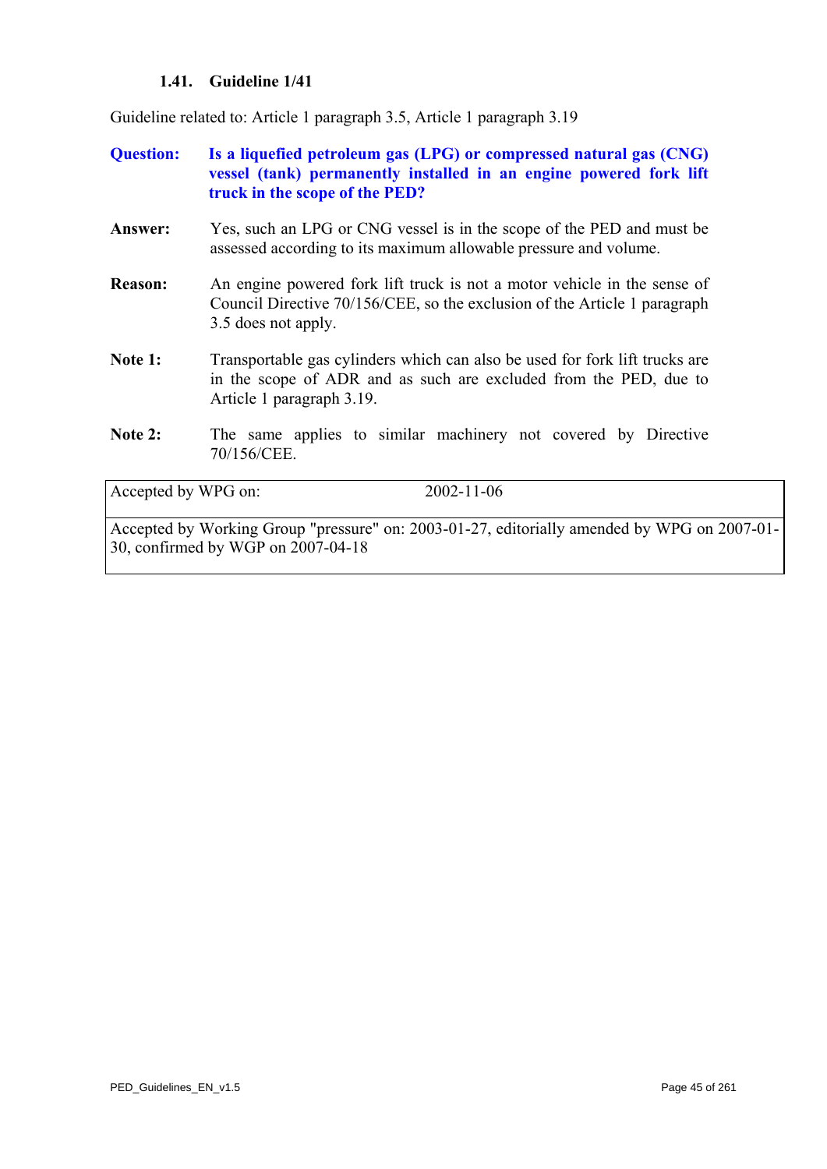## **1.41. Guideline 1/41**

Guideline related to: Article 1 paragraph 3.5, Article 1 paragraph 3.19

| <b>Ouestion:</b> | Is a liquefied petroleum gas (LPG) or compressed natural gas (CNG) |  |
|------------------|--------------------------------------------------------------------|--|
|                  | vessel (tank) permanently installed in an engine powered fork lift |  |
|                  | truck in the scope of the PED?                                     |  |

- **Answer:** Yes, such an LPG or CNG vessel is in the scope of the PED and must be assessed according to its maximum allowable pressure and volume.
- **Reason:** An engine powered fork lift truck is not a motor vehicle in the sense of Council Directive 70/156/CEE, so the exclusion of the Article 1 paragraph 3.5 does not apply.
- Note 1: Transportable gas cylinders which can also be used for fork lift trucks are in the scope of ADR and as such are excluded from the PED, due to Article 1 paragraph 3.19.
- Note 2: The same applies to similar machinery not covered by Directive 70/156/CEE.

Accepted by WPG on: 2002-11-06

Accepted by Working Group "pressure" on: 2003-01-27, editorially amended by WPG on 2007-01- 30, confirmed by WGP on 2007-04-18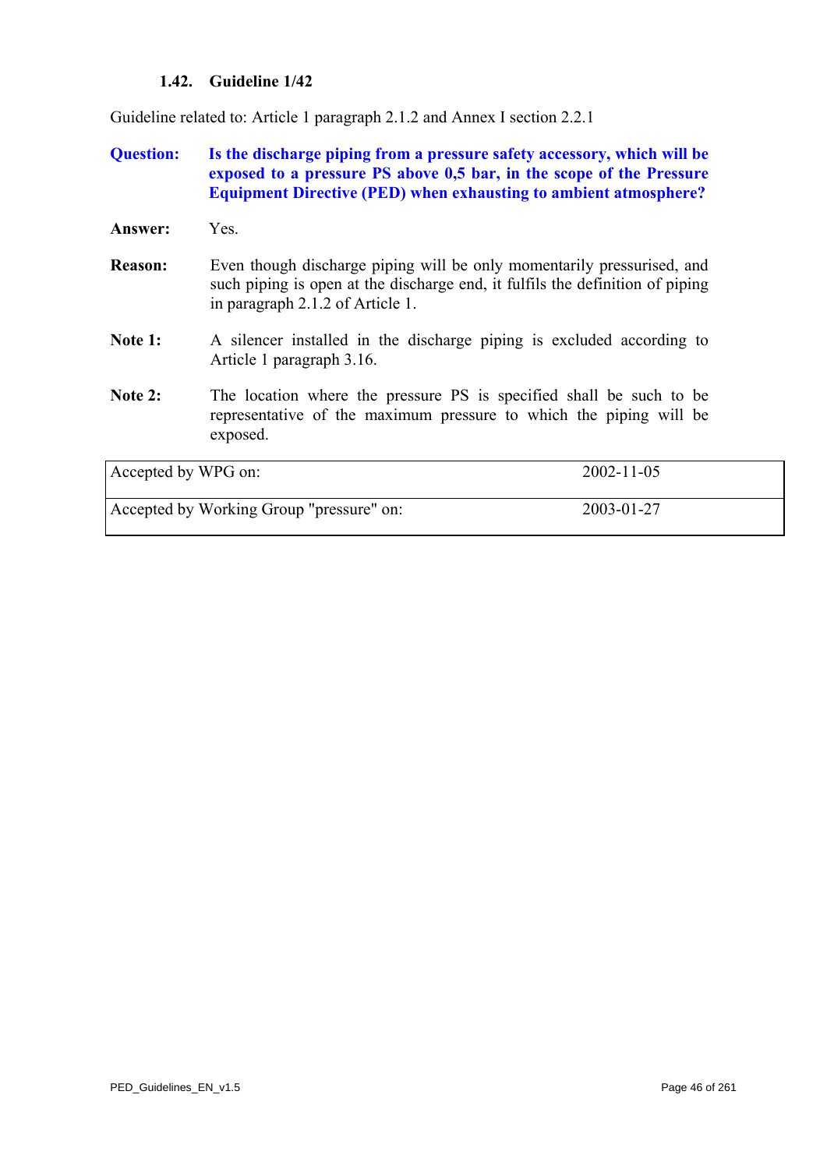## **1.42. Guideline 1/42**

<span id="page-45-0"></span>Guideline related to: Article 1 paragraph 2.1.2 and Annex I section 2.2.1

## **Question: Is the discharge piping from a pressure safety accessory, which will be exposed to a pressure PS above 0,5 bar, in the scope of the Pressure Equipment Directive (PED) when exhausting to ambient atmosphere?**

| <b>Answer:</b>      | Yes.                                                                                                                                                                                        |            |
|---------------------|---------------------------------------------------------------------------------------------------------------------------------------------------------------------------------------------|------------|
| <b>Reason:</b>      | Even though discharge piping will be only momentarily pressurised, and<br>such piping is open at the discharge end, it fulfils the definition of piping<br>in paragraph 2.1.2 of Article 1. |            |
| Note 1:             | A silencer installed in the discharge piping is excluded according to<br>Article 1 paragraph 3.16.                                                                                          |            |
| Note $2:$           | The location where the pressure PS is specified shall be such to be<br>representative of the maximum pressure to which the piping will be<br>exposed.                                       |            |
| Accepted by WPG on: |                                                                                                                                                                                             | 2002-11-05 |

| Accepted by Working Group "pressure" on: | 2003-01-27 |  |
|------------------------------------------|------------|--|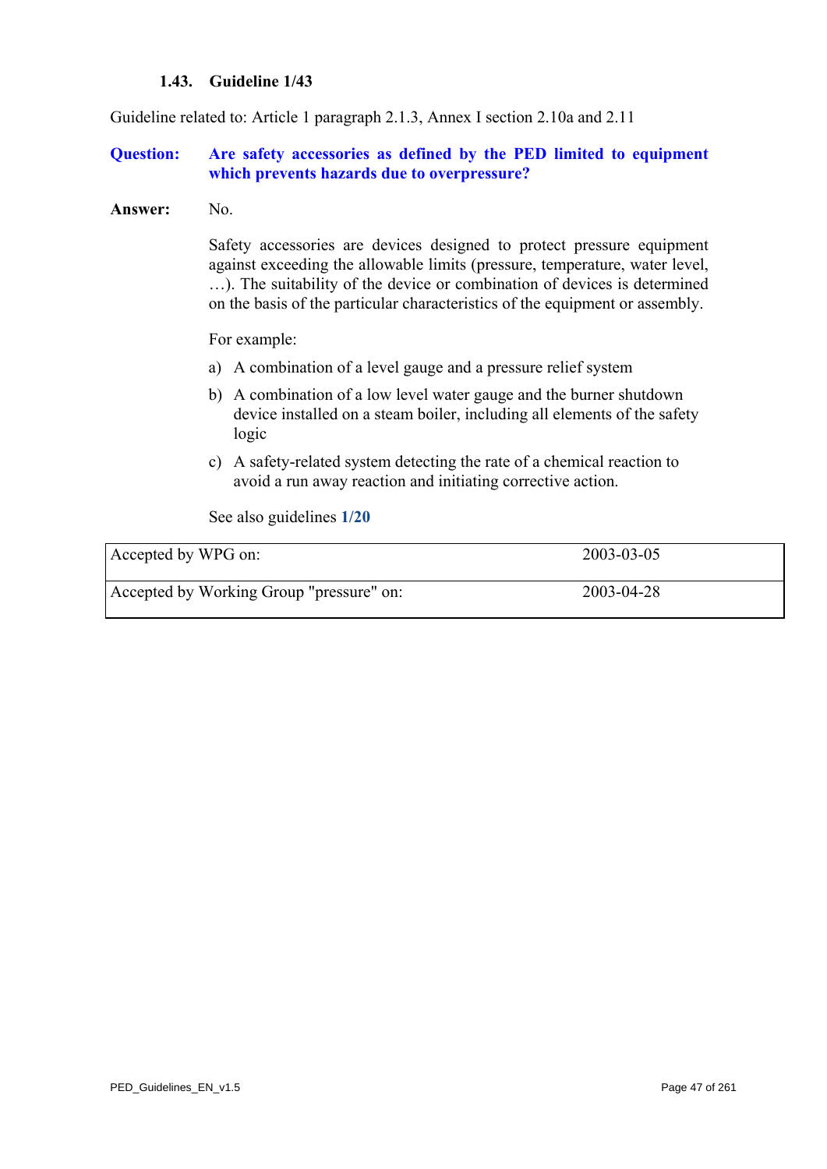#### **1.43. Guideline 1/43**

Guideline related to: Article 1 paragraph 2.1.3, Annex I section 2.10a and 2.11

#### **Question: Are safety accessories as defined by the PED limited to equipment which prevents hazards due to overpressure?**

#### **Answer:** No.

 Safety accessories are devices designed to protect pressure equipment against exceeding the allowable limits (pressure, temperature, water level, …). The suitability of the device or combination of devices is determined on the basis of the particular characteristics of the equipment or assembly.

For example:

- a) A combination of a level gauge and a pressure relief system
- b) A combination of a low level water gauge and the burner shutdown device installed on a steam boiler, including all elements of the safety logic
- c) A safety-related system detecting the rate of a chemical reaction to avoid a run away reaction and initiating corrective action.

See also guidelines **[1/20](#page-22-0)**

| Accepted by WPG on:                      | $2003 - 03 - 05$ |
|------------------------------------------|------------------|
| Accepted by Working Group "pressure" on: | 2003-04-28       |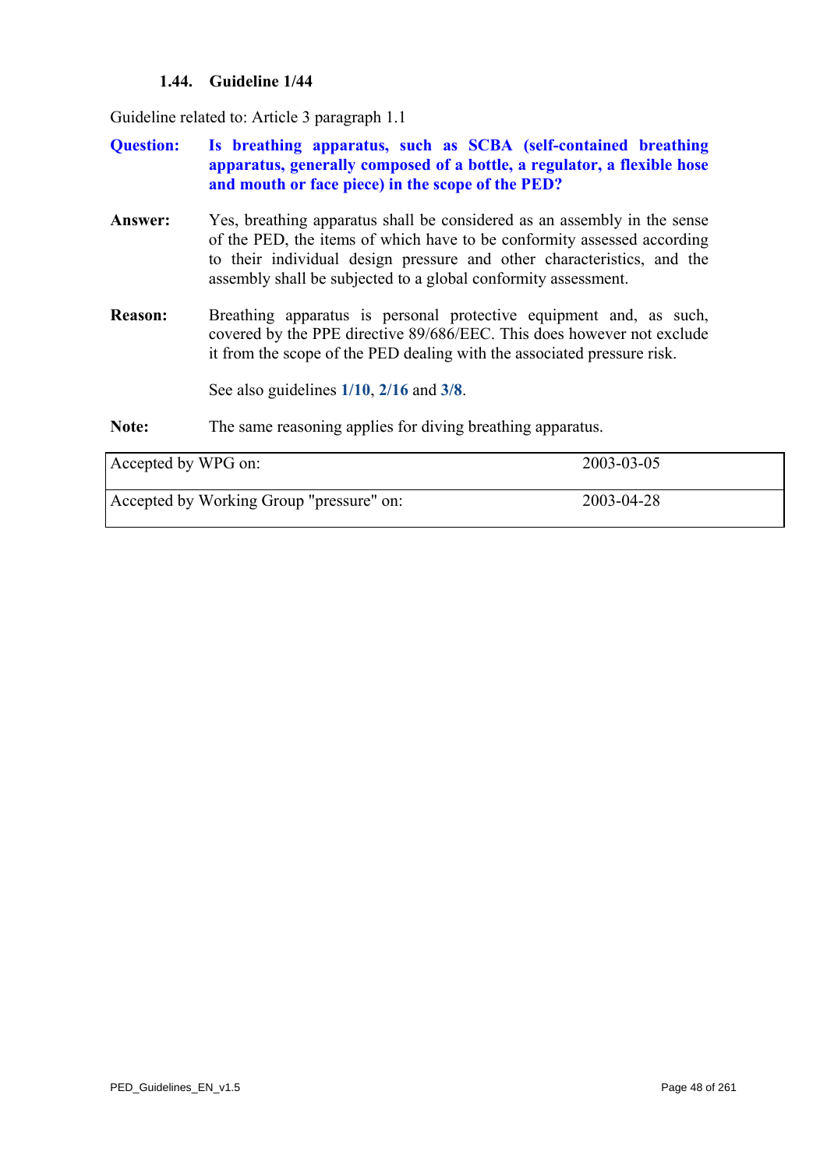## **1.44. Guideline 1/44**

Guideline related to: Article 3 paragraph 1.1

- **Question: Is breathing apparatus, such as SCBA (self-contained breathing apparatus, generally composed of a bottle, a regulator, a flexible hose and mouth or face piece) in the scope of the PED?**
- **Answer:** Yes, breathing apparatus shall be considered as an assembly in the sense of the PED, the items of which have to be conformity assessed according to their individual design pressure and other characteristics, and the assembly shall be subjected to a global conformity assessment.
- **Reason:** Breathing apparatus is personal protective equipment and, as such, covered by the PPE directive 89/686/EEC. This does however not exclude it from the scope of the PED dealing with the associated pressure risk.

See also guidelines **[1/10](#page-11-0)**, **[2/16](#page-79-0)** and **[3/8](#page-112-0)**.

**Note:** The same reasoning applies for diving breathing apparatus.

| Accepted by WPG on:                      | 2003-03-05 |
|------------------------------------------|------------|
| Accepted by Working Group "pressure" on: | 2003-04-28 |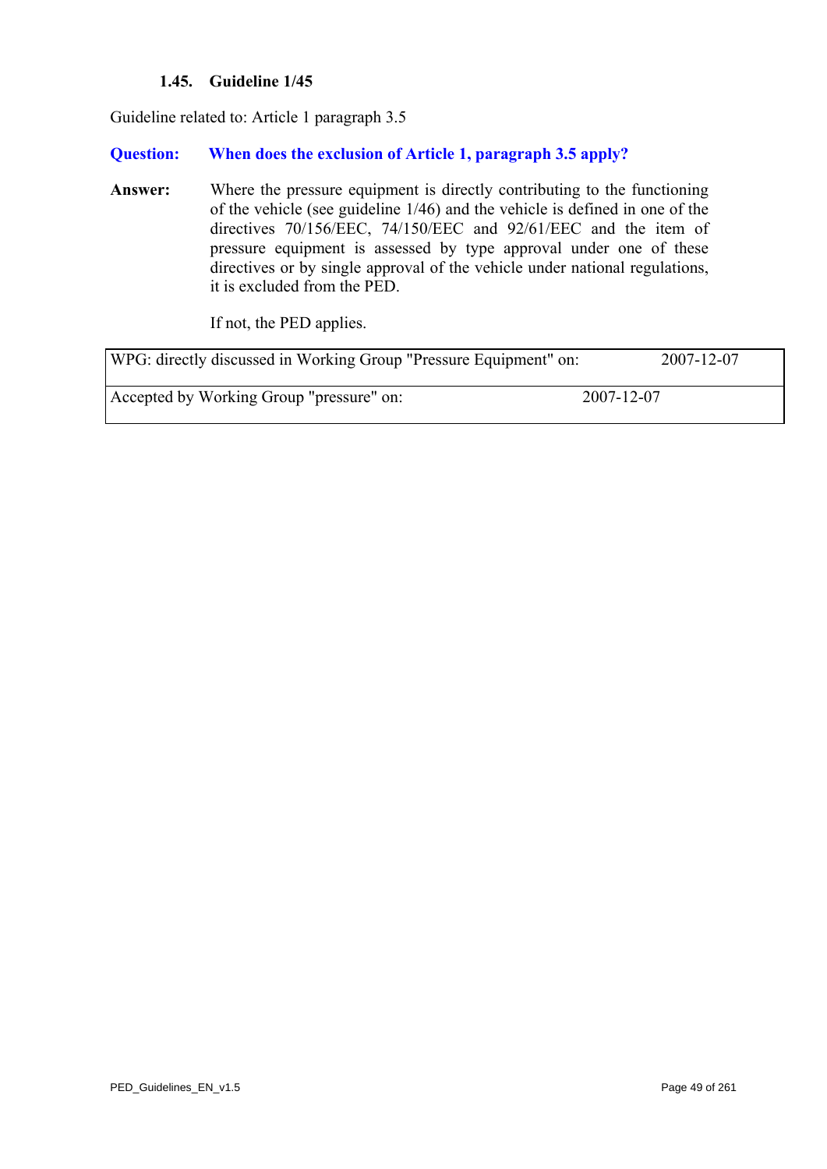## **1.45. Guideline 1/45**

<span id="page-48-0"></span>Guideline related to: Article 1 paragraph 3.5

#### **Question: When does the exclusion of Article 1, paragraph 3.5 apply?**

**Answer:** Where the pressure equipment is directly contributing to the functioning of the vehicle (see guideline 1/46) and the vehicle is defined in one of the directives 70/156/EEC, 74/150/EEC and 92/61/EEC and the item of pressure equipment is assessed by type approval under one of these directives or by single approval of the vehicle under national regulations, it is excluded from the PED.

If not, the PED applies.

| WPG: directly discussed in Working Group "Pressure Equipment" on: |            | 2007-12-07 |
|-------------------------------------------------------------------|------------|------------|
| Accepted by Working Group "pressure" on:                          | 2007-12-07 |            |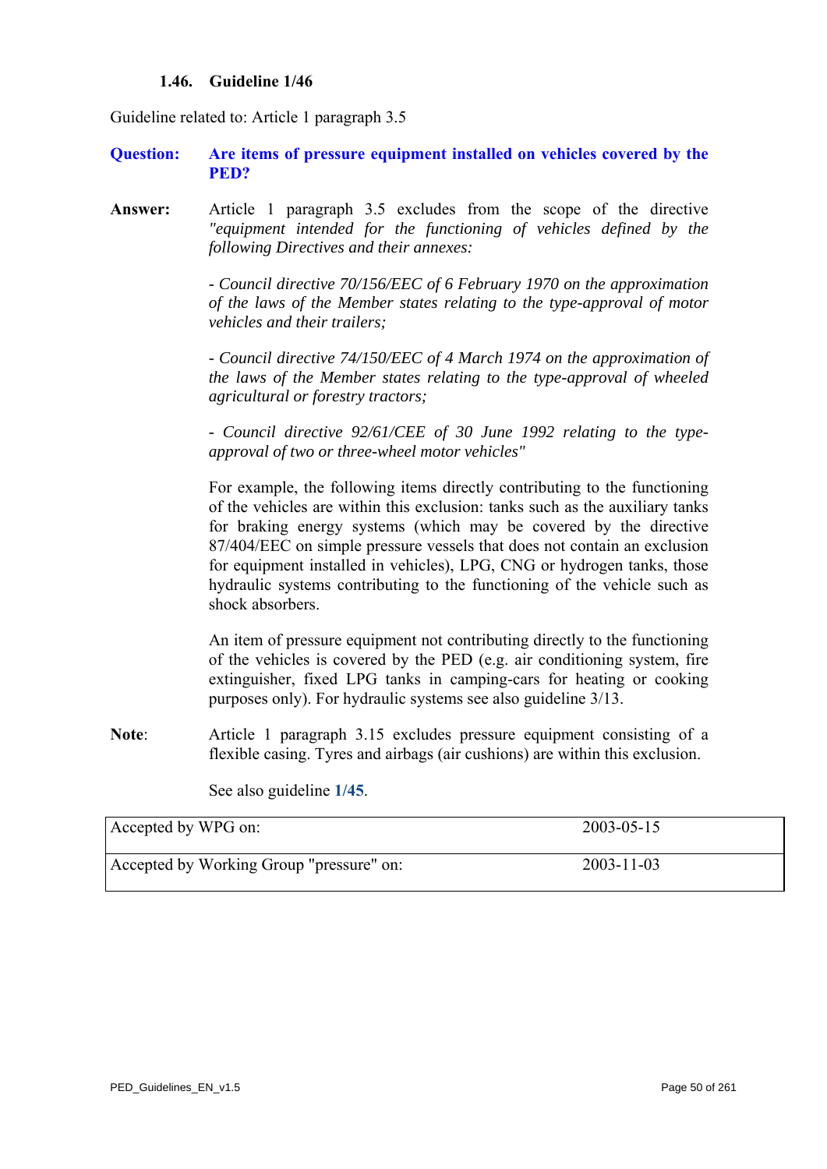#### **1.46. Guideline 1/46**

Guideline related to: Article 1 paragraph 3.5

#### **Question: Are items of pressure equipment installed on vehicles covered by the PED?**

**Answer:** Article 1 paragraph 3.5 excludes from the scope of the directive *"equipment intended for the functioning of vehicles defined by the following Directives and their annexes:* 

> *- Council directive 70/156/EEC of 6 February 1970 on the approximation of the laws of the Member states relating to the type-approval of motor vehicles and their trailers;*

> *- Council directive 74/150/EEC of 4 March 1974 on the approximation of the laws of the Member states relating to the type-approval of wheeled agricultural or forestry tractors;*

> *- Council directive 92/61/CEE of 30 June 1992 relating to the typeapproval of two or three-wheel motor vehicles"*

> For example, the following items directly contributing to the functioning of the vehicles are within this exclusion: tanks such as the auxiliary tanks for braking energy systems (which may be covered by the directive 87/404/EEC on simple pressure vessels that does not contain an exclusion for equipment installed in vehicles), LPG, CNG or hydrogen tanks, those hydraulic systems contributing to the functioning of the vehicle such as shock absorbers.

> An item of pressure equipment not contributing directly to the functioning of the vehicles is covered by the PED (e.g. air conditioning system, fire extinguisher, fixed LPG tanks in camping-cars for heating or cooking purposes only). For hydraulic systems see also guideline 3/13.

**Note**: Article 1 paragraph 3.15 excludes pressure equipment consisting of a flexible casing. Tyres and airbags (air cushions) are within this exclusion.

See also guideline **[1/45](#page-48-0)**.

| Accepted by WPG on:                      | $2003 - 05 - 15$ |
|------------------------------------------|------------------|
| Accepted by Working Group "pressure" on: | $2003 - 11 - 03$ |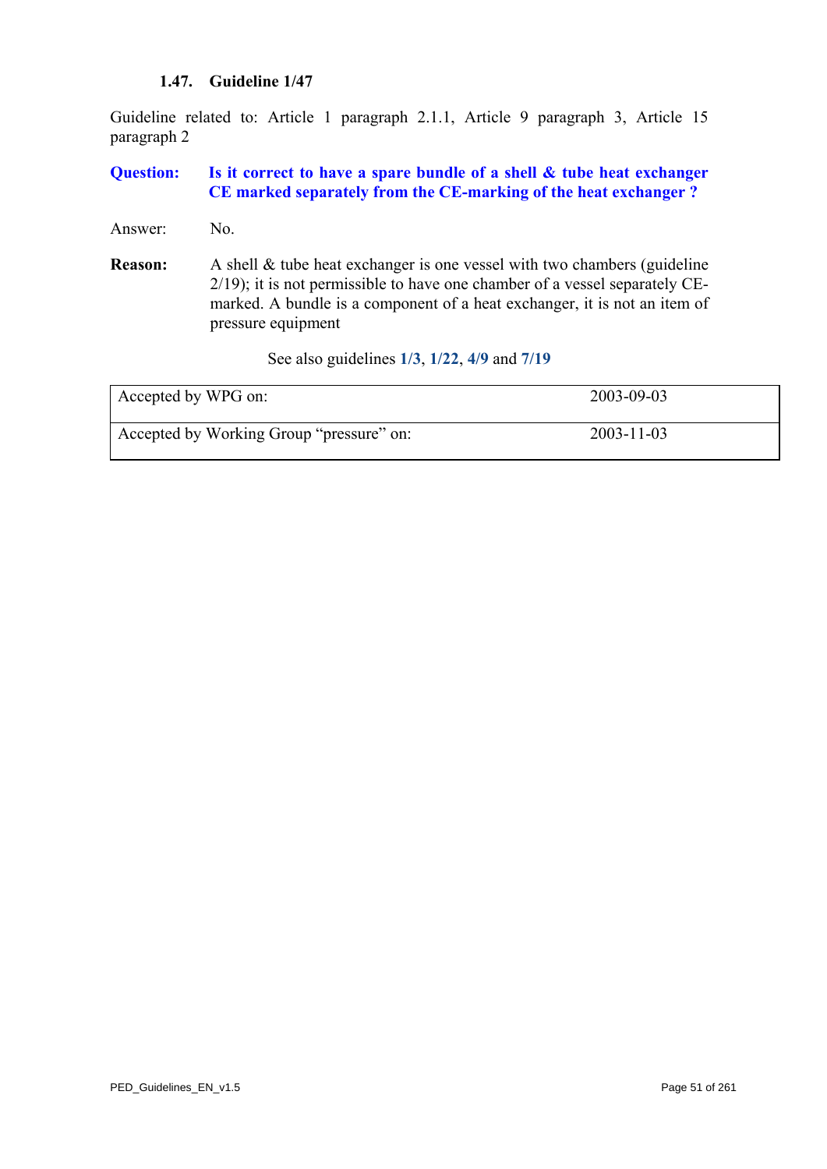#### **1.47. Guideline 1/47**

Guideline related to: Article 1 paragraph 2.1.1, Article 9 paragraph 3, Article 15 paragraph 2

## **Question: Is it correct to have a spare bundle of a shell & tube heat exchanger CE marked separately from the CE-marking of the heat exchanger ?**

- Answer: No.
- **Reason:** A shell & tube heat exchanger is one vessel with two chambers (guideline 2/19); it is not permissible to have one chamber of a vessel separately CEmarked. A bundle is a component of a heat exchanger, it is not an item of pressure equipment

See also guidelines **[1/3](#page-3-1)**, **[1/22](#page-24-0)**, **[4/9](#page-134-0)** and **[7/19](#page-192-0)**

| Accepted by WPG on:                      | 2003-09-03       |
|------------------------------------------|------------------|
| Accepted by Working Group "pressure" on: | $2003 - 11 - 03$ |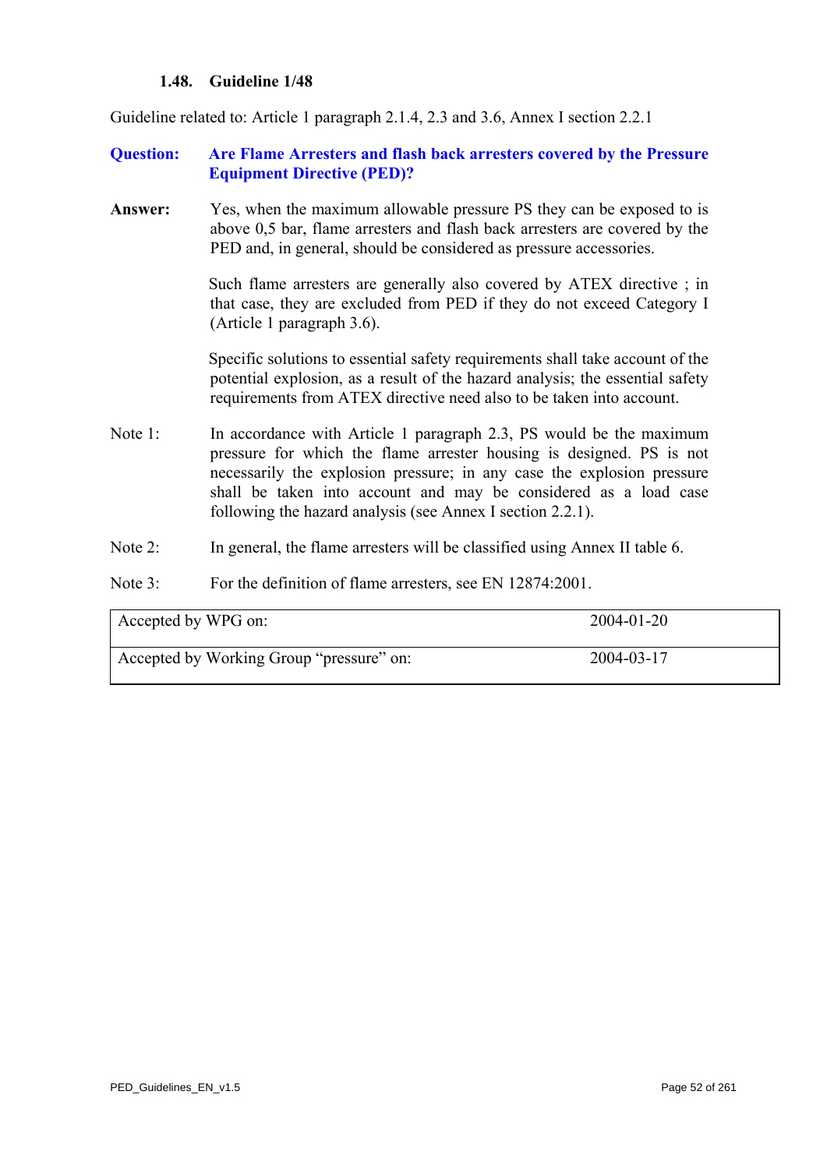#### **1.48. Guideline 1/48**

Guideline related to: Article 1 paragraph 2.1.4, 2.3 and 3.6, Annex I section 2.2.1

#### **Question: Are Flame Arresters and flash back arresters covered by the Pressure Equipment Directive (PED)?**

**Answer:** Yes, when the maximum allowable pressure PS they can be exposed to is above 0,5 bar, flame arresters and flash back arresters are covered by the PED and, in general, should be considered as pressure accessories.

> Such flame arresters are generally also covered by ATEX directive ; in that case, they are excluded from PED if they do not exceed Category I (Article 1 paragraph 3.6).

> Specific solutions to essential safety requirements shall take account of the potential explosion, as a result of the hazard analysis; the essential safety requirements from ATEX directive need also to be taken into account.

- Note 1: In accordance with Article 1 paragraph 2.3, PS would be the maximum pressure for which the flame arrester housing is designed. PS is not necessarily the explosion pressure; in any case the explosion pressure shall be taken into account and may be considered as a load case following the hazard analysis (see Annex I section 2.2.1).
- Note 2: In general, the flame arresters will be classified using Annex II table 6.
- Note 3: For the definition of flame arresters, see EN 12874:2001.

| Accepted by WPG on:                      | 2004-01-20 |
|------------------------------------------|------------|
| Accepted by Working Group "pressure" on: | 2004-03-17 |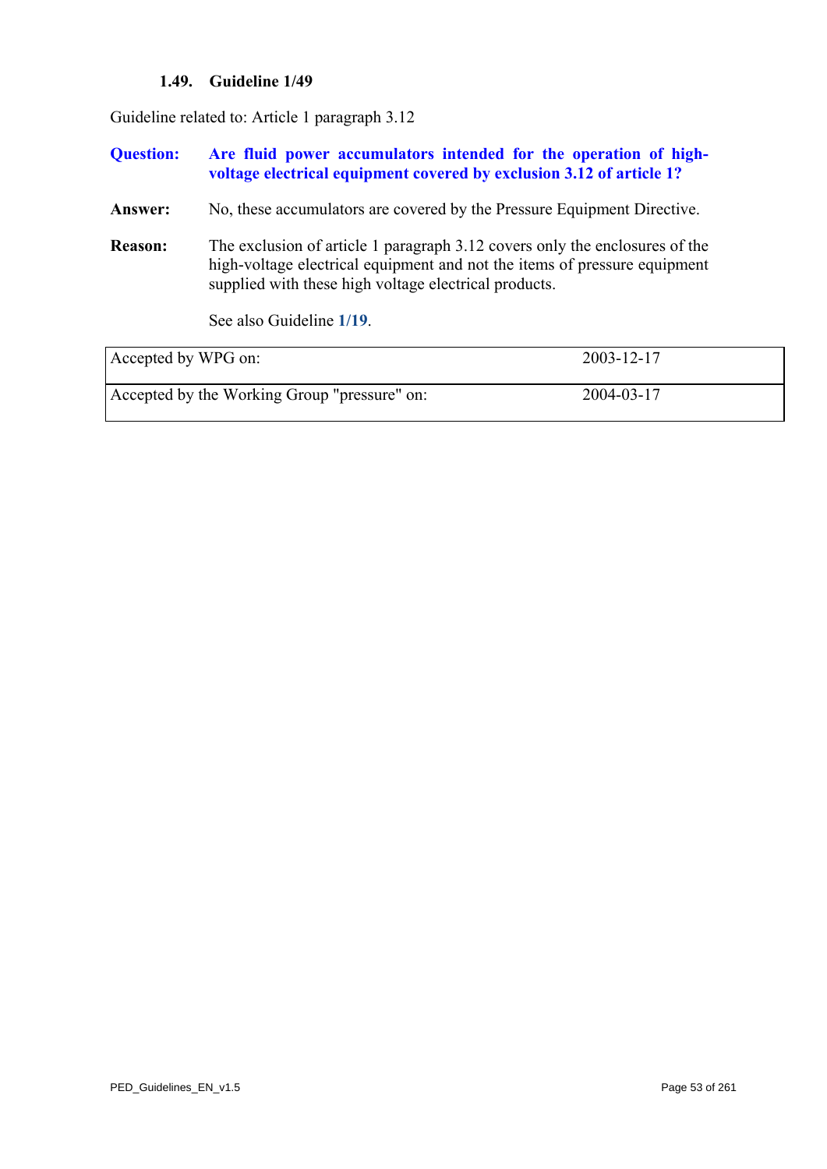## **1.49. Guideline 1/49**

Guideline related to: Article 1 paragraph 3.12

| <b>Question:</b>    | Are fluid power accumulators intended for the operation of high-<br>voltage electrical equipment covered by exclusion 3.12 of article 1?                                                                          |            |
|---------------------|-------------------------------------------------------------------------------------------------------------------------------------------------------------------------------------------------------------------|------------|
| Answer:             | No, these accumulators are covered by the Pressure Equipment Directive.                                                                                                                                           |            |
| <b>Reason:</b>      | The exclusion of article 1 paragraph 3.12 covers only the enclosures of the<br>high-voltage electrical equipment and not the items of pressure equipment<br>supplied with these high voltage electrical products. |            |
|                     | See also Guideline 1/19.                                                                                                                                                                                          |            |
| Accepted by WPG on: |                                                                                                                                                                                                                   | 2003-12-17 |
|                     | Accepted by the Working Group "pressure" on:                                                                                                                                                                      | 2004-03-17 |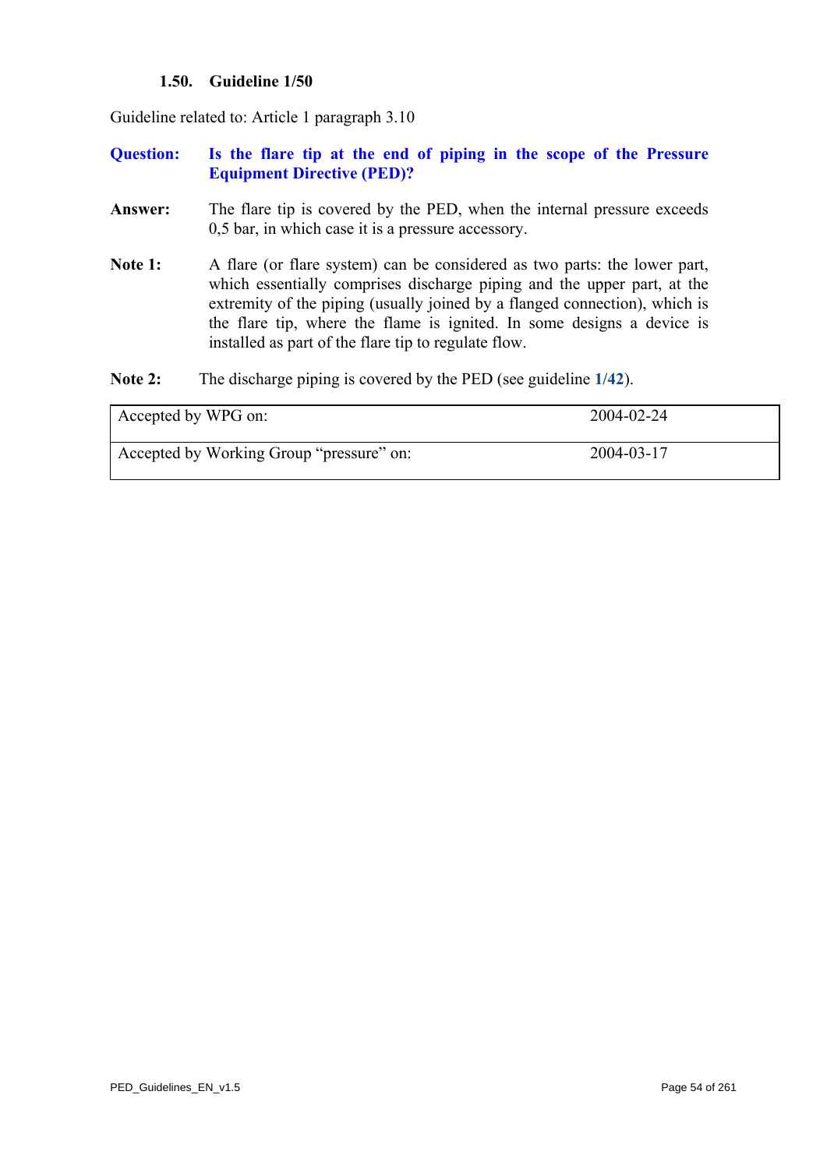## **1.50. Guideline 1/50**

Guideline related to: Article 1 paragraph 3.10

#### **Question: Is the flare tip at the end of piping in the scope of the Pressure Equipment Directive (PED)?**

- **Answer:** The flare tip is covered by the PED, when the internal pressure exceeds 0,5 bar, in which case it is a pressure accessory.
- Note 1: A flare (or flare system) can be considered as two parts: the lower part, which essentially comprises discharge piping and the upper part, at the extremity of the piping (usually joined by a flanged connection), which is the flare tip, where the flame is ignited. In some designs a device is installed as part of the flare tip to regulate flow.
- **Note 2:** The discharge piping is covered by the PED (see guideline **[1/42](#page-45-0)**).

| Accepted by WPG on:                      | 2004-02-24 |
|------------------------------------------|------------|
| Accepted by Working Group "pressure" on: | 2004-03-17 |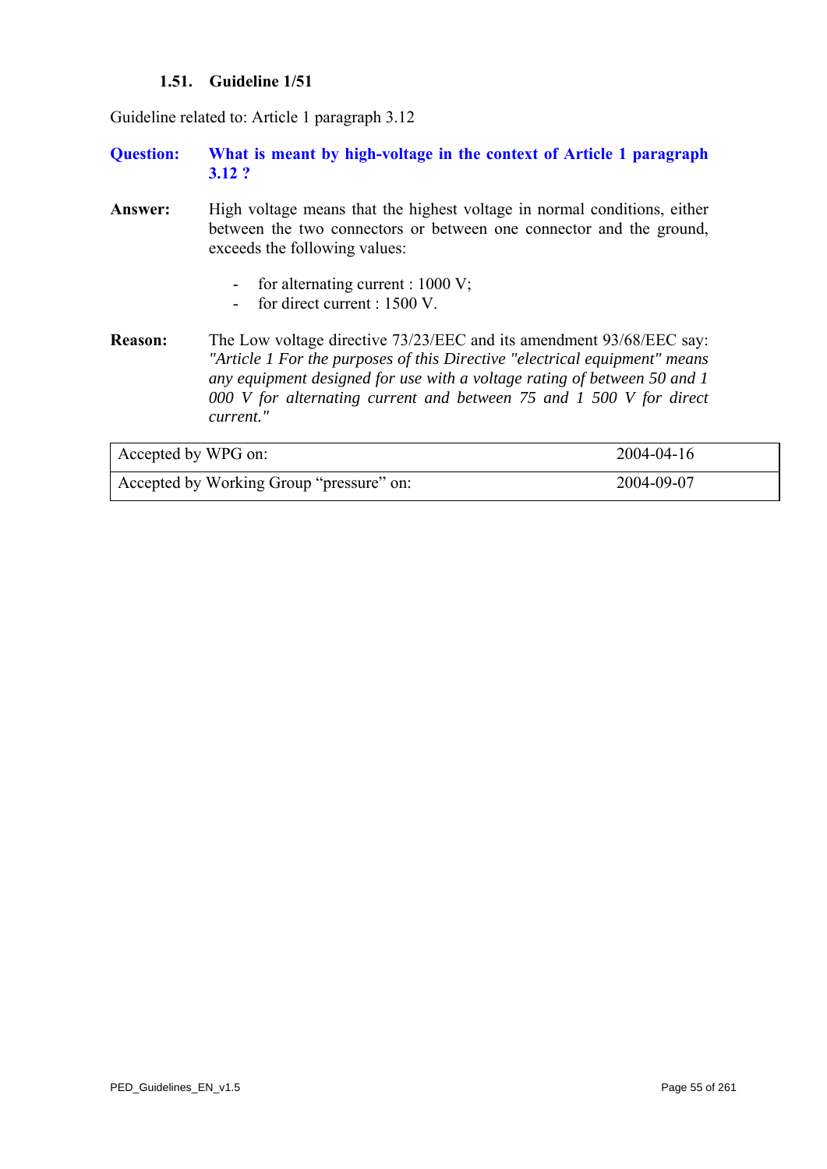## **1.51. Guideline 1/51**

Guideline related to: Article 1 paragraph 3.12

- **Question: What is meant by high-voltage in the context of Article 1 paragraph 3.12 ?**
- Answer: High voltage means that the highest voltage in normal conditions, either between the two connectors or between one connector and the ground, exceeds the following values:
	- for alternating current : 1000 V;
	- for direct current : 1500 V.
- **Reason:** The Low voltage directive 73/23/EEC and its amendment 93/68/EEC say: *"Article 1 For the purposes of this Directive "electrical equipment" means any equipment designed for use with a voltage rating of between 50 and 1 000 V for alternating current and between 75 and 1 500 V for direct current."*

| Accepted by WPG on:                      | 2004-04-16 |
|------------------------------------------|------------|
| Accepted by Working Group "pressure" on: | 2004-09-07 |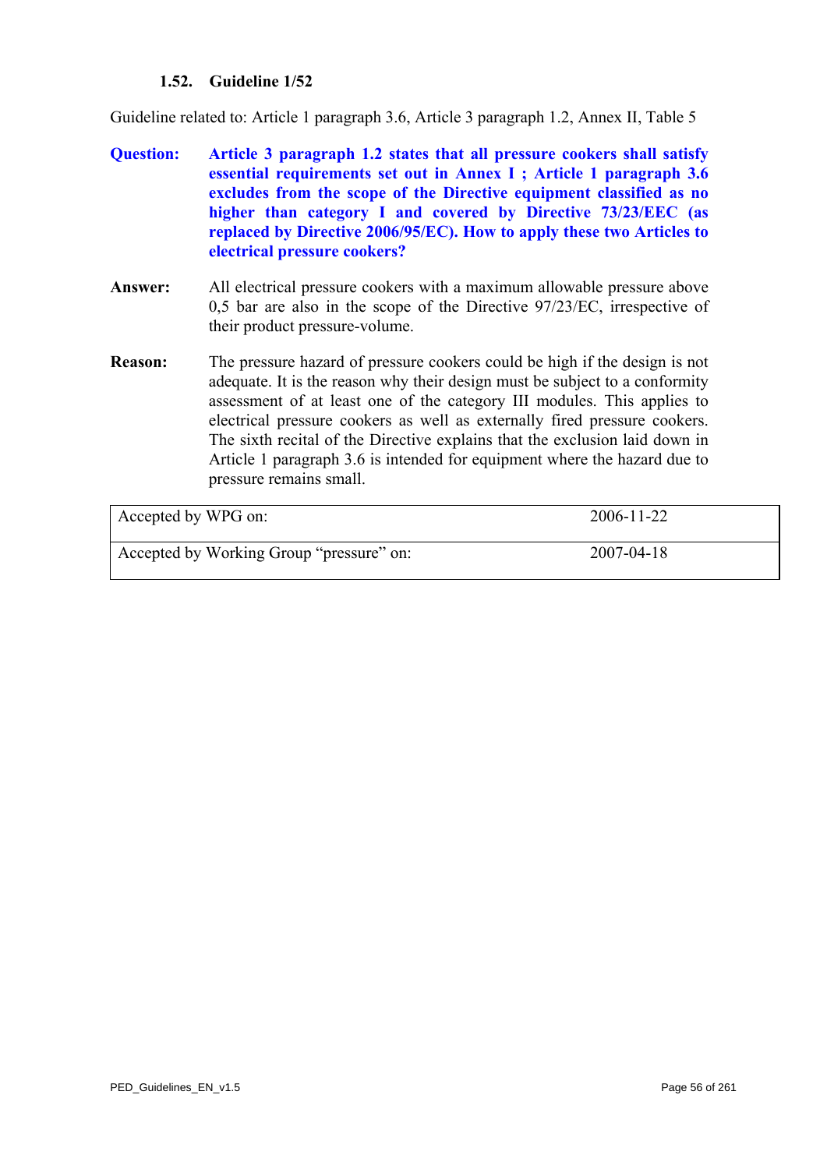## **1.52. Guideline 1/52**

Guideline related to: Article 1 paragraph 3.6, Article 3 paragraph 1.2, Annex II, Table 5

- **Question: Article 3 paragraph 1.2 states that all pressure cookers shall satisfy essential requirements set out in Annex I ; Article 1 paragraph 3.6 excludes from the scope of the Directive equipment classified as no higher than category I and covered by Directive 73/23/EEC (as replaced by Directive 2006/95/EC). How to apply these two Articles to electrical pressure cookers?**
- **Answer:** All electrical pressure cookers with a maximum allowable pressure above 0,5 bar are also in the scope of the Directive 97/23/EC, irrespective of their product pressure-volume.
- **Reason:** The pressure hazard of pressure cookers could be high if the design is not adequate. It is the reason why their design must be subject to a conformity assessment of at least one of the category III modules. This applies to electrical pressure cookers as well as externally fired pressure cookers. The sixth recital of the Directive explains that the exclusion laid down in Article 1 paragraph 3.6 is intended for equipment where the hazard due to pressure remains small.

| Accepted by WPG on:                      | 2006-11-22       |
|------------------------------------------|------------------|
| Accepted by Working Group "pressure" on: | $2007 - 04 - 18$ |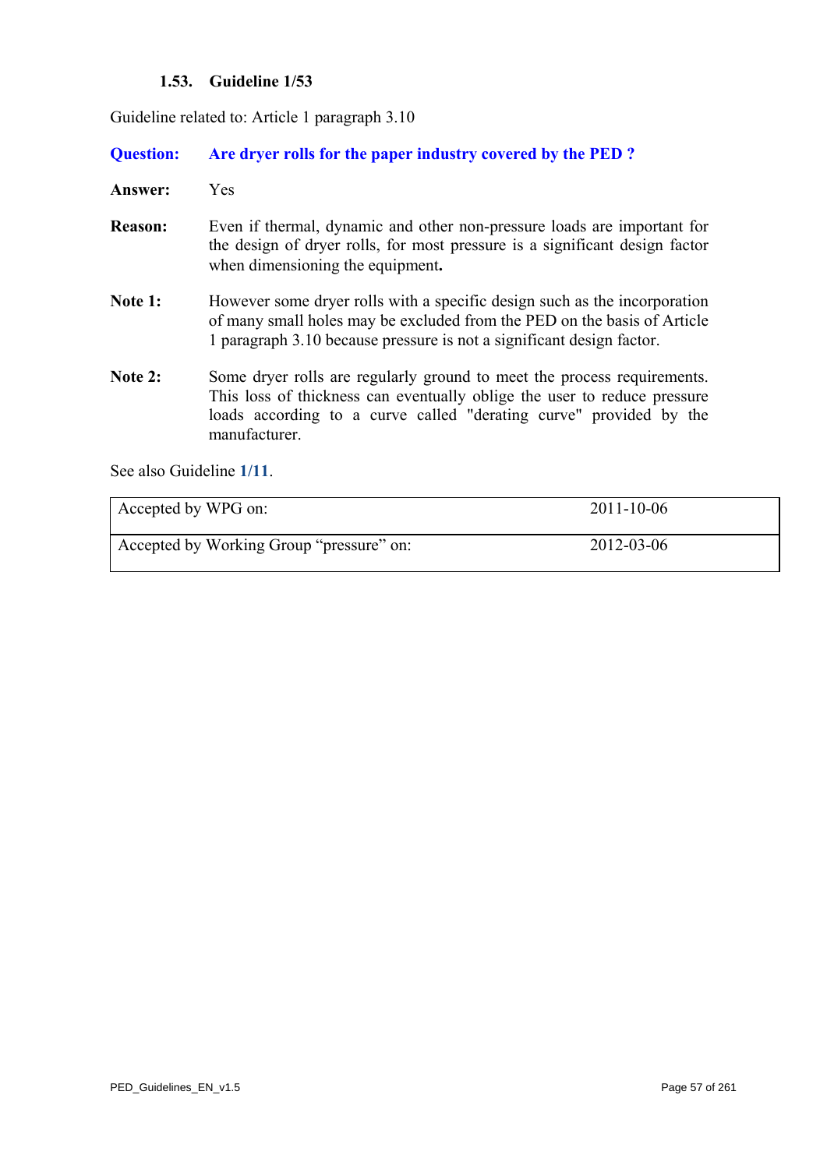## **1.53. Guideline 1/53**

Guideline related to: Article 1 paragraph 3.10

**Question: Are dryer rolls for the paper industry covered by the PED ?** 

**Answer:** Yes

- **Reason:** Even if thermal, dynamic and other non-pressure loads are important for the design of dryer rolls, for most pressure is a significant design factor when dimensioning the equipment**.**
- Note 1: However some dryer rolls with a specific design such as the incorporation of many small holes may be excluded from the PED on the basis of Article 1 paragraph 3.10 because pressure is not a significant design factor.
- Note 2: Some dryer rolls are regularly ground to meet the process requirements. This loss of thickness can eventually oblige the user to reduce pressure loads according to a curve called "derating curve" provided by the manufacturer.

See also Guideline **[1/11](#page-12-0)**.

| Accepted by WPG on:                      | $2011 - 10 - 06$ |
|------------------------------------------|------------------|
| Accepted by Working Group "pressure" on: | 2012-03-06       |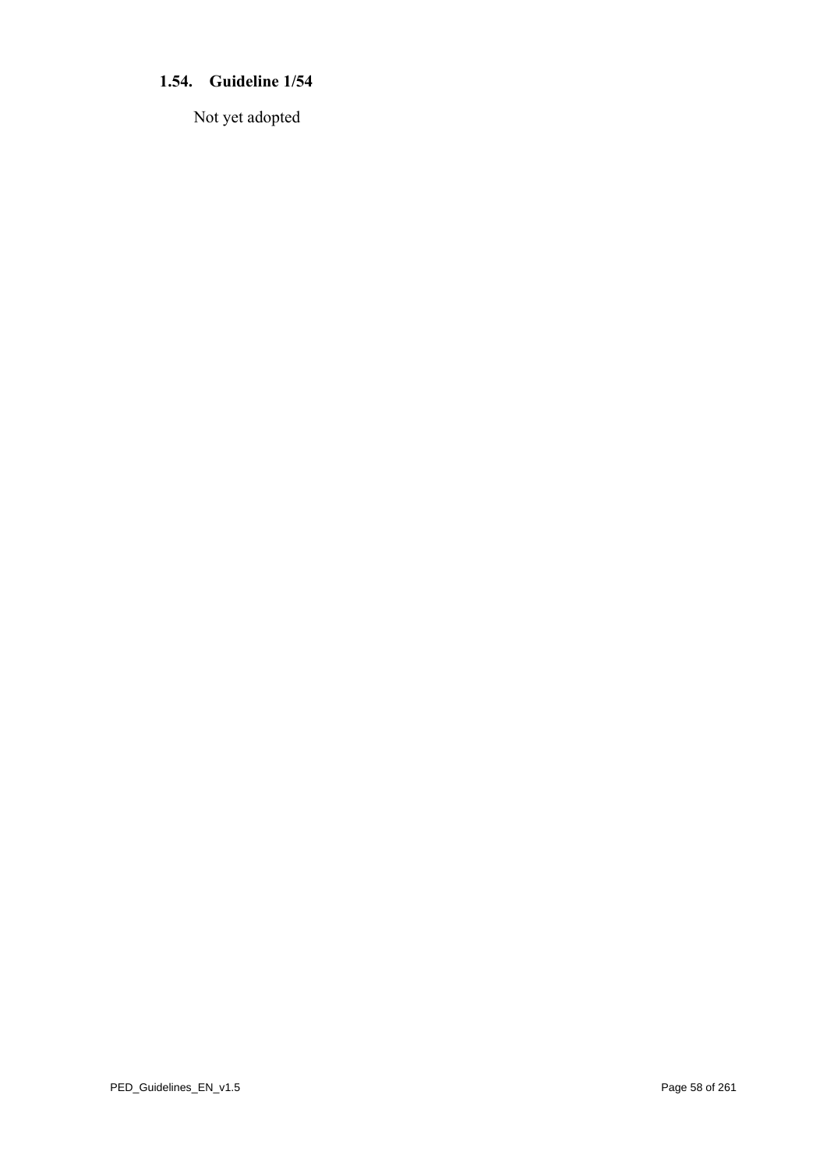# **1.54. Guideline 1/54**

Not yet adopted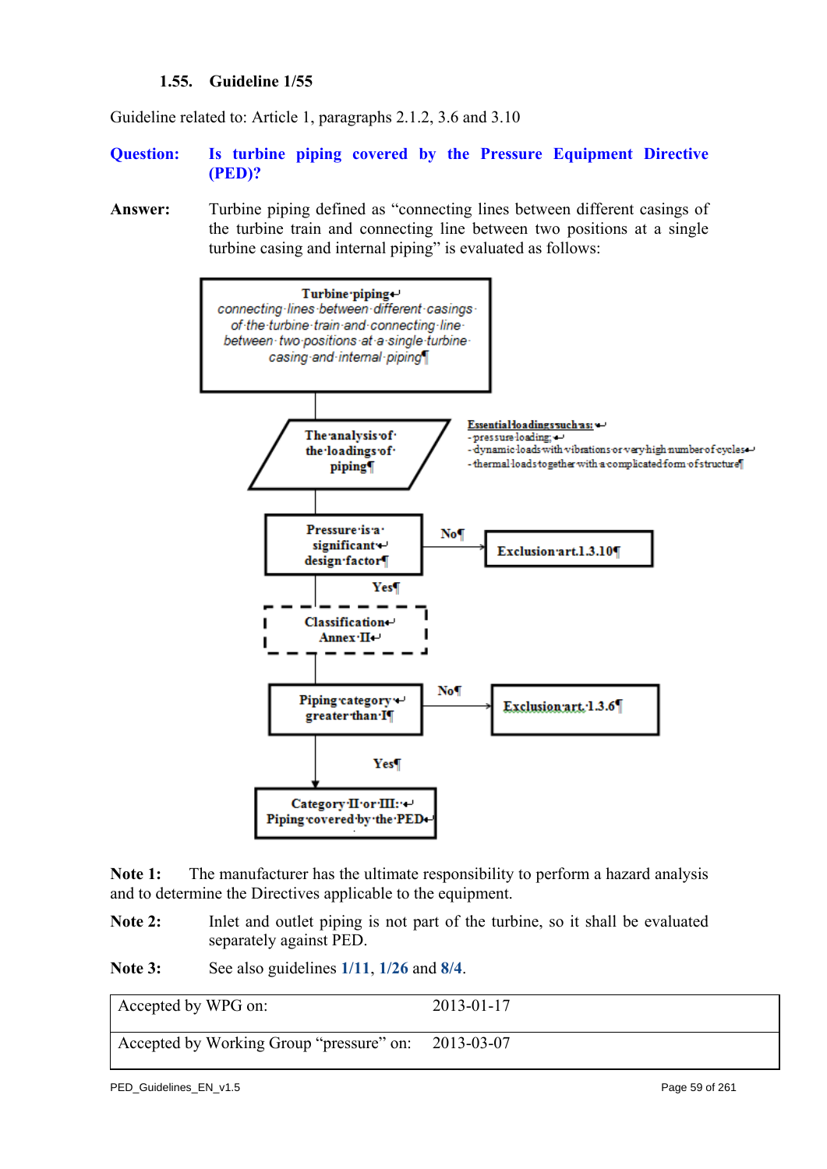## **1.55. Guideline 1/55**

Guideline related to: Article 1, paragraphs 2.1.2, 3.6 and 3.10

- **Question: Is turbine piping covered by the Pressure Equipment Directive (PED)?**
- **Answer:** Turbine piping defined as "connecting lines between different casings of the turbine train and connecting line between two positions at a single turbine casing and internal piping" is evaluated as follows:



**Note 1:** The manufacturer has the ultimate responsibility to perform a hazard analysis and to determine the Directives applicable to the equipment.

Note 2: Inlet and outlet piping is not part of the turbine, so it shall be evaluated separately against PED.

**Note 3:** See also guidelines **[1/11](#page-12-0)**, **[1/26](#page-28-0)** and **[8/4](#page-209-0)**.

| Accepted by WPG on:                                 | $2013 - 01 - 17$ |
|-----------------------------------------------------|------------------|
| Accepted by Working Group "pressure" on: 2013-03-07 |                  |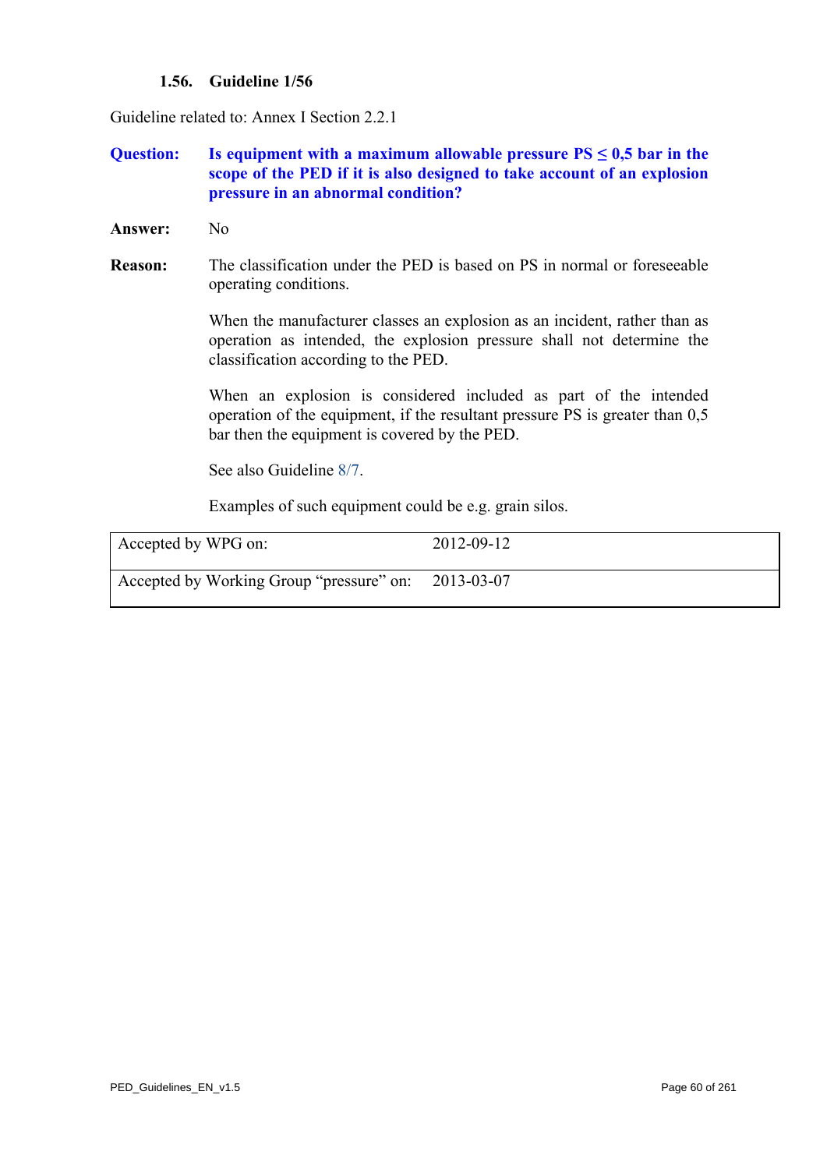## **1.56. Guideline 1/56**

<span id="page-59-0"></span>Guideline related to: Annex I Section 2.2.1

## **Question:** Is equipment with a maximum allowable pressure  $PS \leq 0.5$  bar in the **scope of the PED if it is also designed to take account of an explosion pressure in an abnormal condition?**

- **Answer:** No
- **Reason:** The classification under the PED is based on PS in normal or foreseeable operating conditions.

When the manufacturer classes an explosion as an incident, rather than as operation as intended, the explosion pressure shall not determine the classification according to the PED.

When an explosion is considered included as part of the intended operation of the equipment, if the resultant pressure PS is greater than 0,5 bar then the equipment is covered by the PED.

See also Guidelin[e 8/7.](#page-212-0) 

Examples of such equipment could be e.g. grain silos.

| Accepted by WPG on:                                 | 2012-09-12 |
|-----------------------------------------------------|------------|
| Accepted by Working Group "pressure" on: 2013-03-07 |            |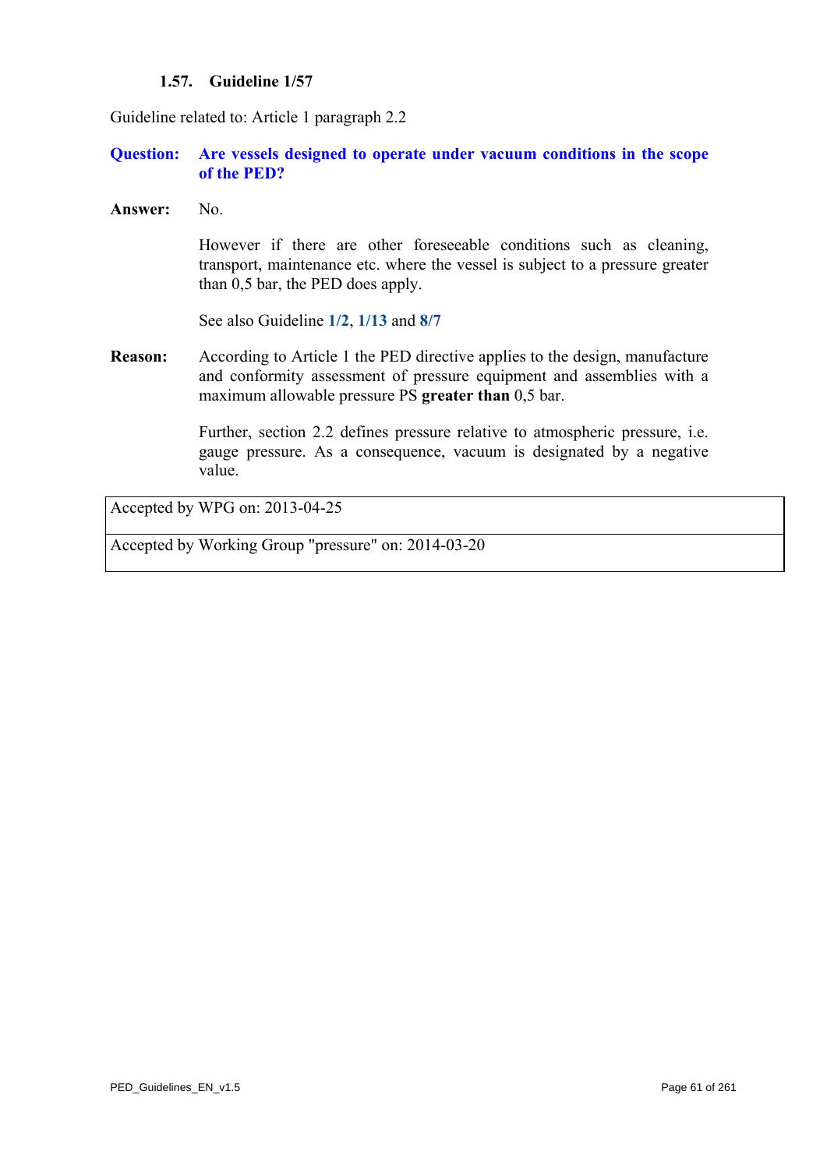#### **1.57. Guideline 1/57**

Guideline related to: Article 1 paragraph 2.2

## **Question: Are vessels designed to operate under vacuum conditions in the scope of the PED?**

**Answer:** No.

However if there are other foreseeable conditions such as cleaning, transport, maintenance etc. where the vessel is subject to a pressure greater than 0,5 bar, the PED does apply.

See also Guideline **[1/2](#page-3-0)**, **[1/13](#page-15-0)** and **[8/7](#page-212-0)**

**Reason:** According to Article 1 the PED directive applies to the design, manufacture and conformity assessment of pressure equipment and assemblies with a maximum allowable pressure PS **greater than** 0,5 bar.

> Further, section 2.2 defines pressure relative to atmospheric pressure, i.e. gauge pressure. As a consequence, vacuum is designated by a negative value.

Accepted by WPG on: 2013-04-25

Accepted by Working Group "pressure" on: 2014-03-20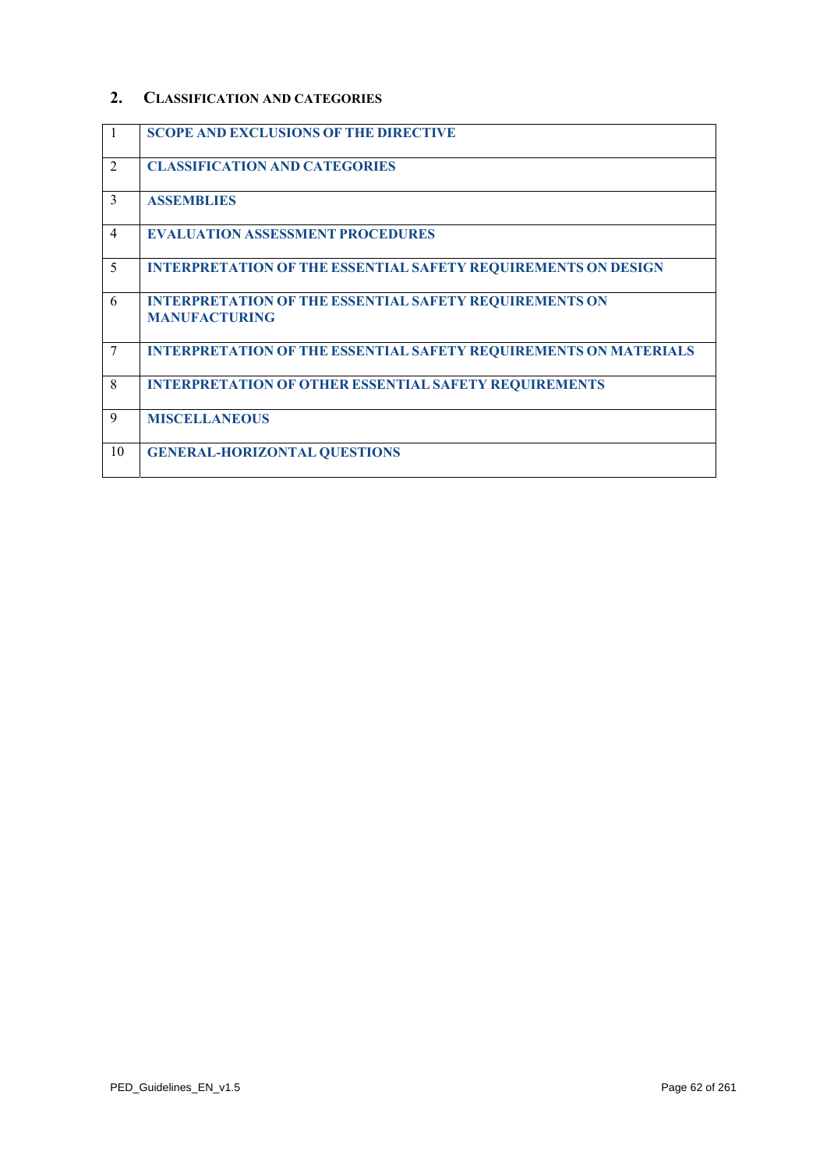## **2. CLASSIFICATION AND CATEGORIES**

| -1             | <b>SCOPE AND EXCLUSIONS OF THE DIRECTIVE</b>                                          |
|----------------|---------------------------------------------------------------------------------------|
| $\overline{2}$ | <b>CLASSIFICATION AND CATEGORIES</b>                                                  |
| 3              | <b>ASSEMBLIES</b>                                                                     |
| $\overline{4}$ | <b>EVALUATION ASSESSMENT PROCEDURES</b>                                               |
| 5              | <b>INTERPRETATION OF THE ESSENTIAL SAFETY REQUIREMENTS ON DESIGN</b>                  |
| 6              | <b>INTERPRETATION OF THE ESSENTIAL SAFETY REQUIREMENTS ON</b><br><b>MANUFACTURING</b> |
| 7              | <b>INTERPRETATION OF THE ESSENTIAL SAFETY REQUIREMENTS ON MATERIALS</b>               |
| 8              | <b>INTERPRETATION OF OTHER ESSENTIAL SAFETY REQUIREMENTS</b>                          |
| 9              | <b>MISCELLANEOUS</b>                                                                  |
| 10             | <b>GENERAL-HORIZONTAL QUESTIONS</b>                                                   |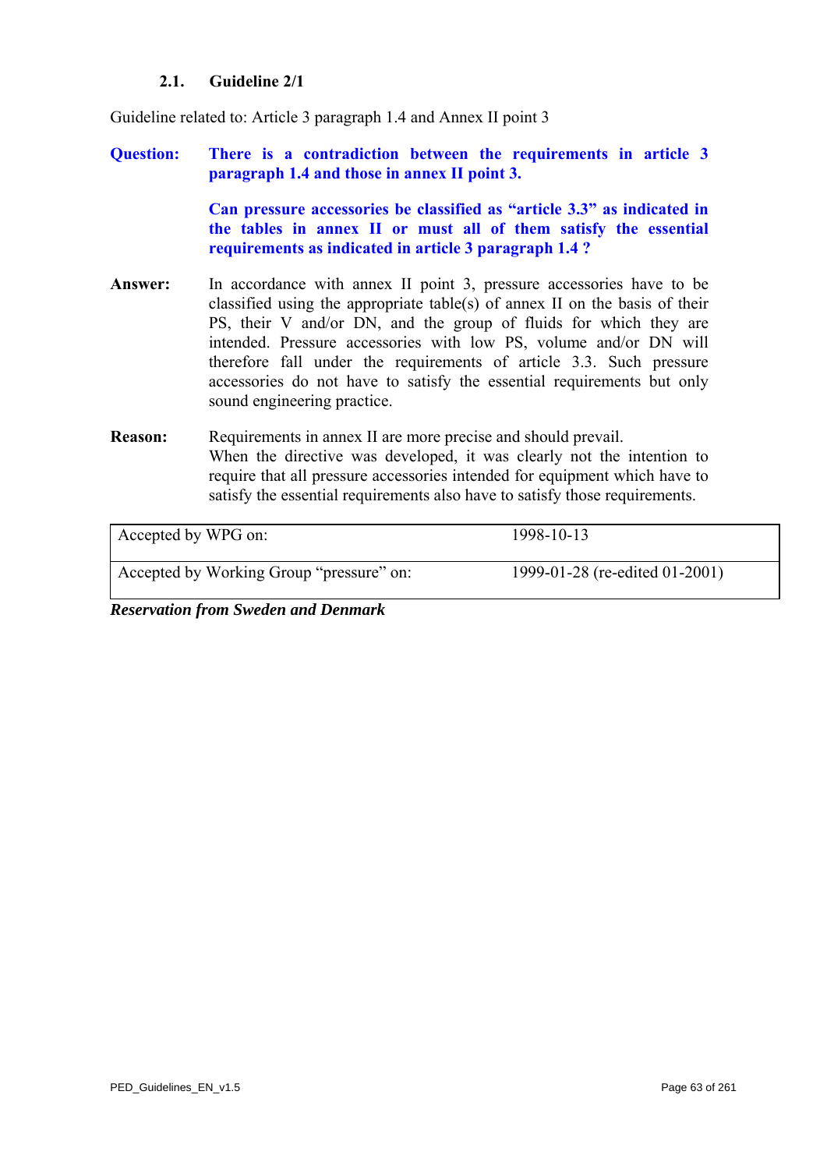## **2.1. Guideline 2/1**

Guideline related to: Article 3 paragraph 1.4 and Annex II point 3

## **Question: There is a contradiction between the requirements in article 3 paragraph 1.4 and those in annex II point 3.**

**Can pressure accessories be classified as "article 3.3" as indicated in the tables in annex II or must all of them satisfy the essential requirements as indicated in article 3 paragraph 1.4 ?** 

Answer: In accordance with annex II point 3, pressure accessories have to be classified using the appropriate table(s) of annex II on the basis of their PS, their V and/or DN, and the group of fluids for which they are intended. Pressure accessories with low PS, volume and/or DN will therefore fall under the requirements of article 3.3. Such pressure accessories do not have to satisfy the essential requirements but only sound engineering practice.

## **Reason:** Requirements in annex II are more precise and should prevail. When the directive was developed, it was clearly not the intention to require that all pressure accessories intended for equipment which have to satisfy the essential requirements also have to satisfy those requirements.

| Accepted by WPG on:                      | 1998-10-13                     |
|------------------------------------------|--------------------------------|
| Accepted by Working Group "pressure" on: | 1999-01-28 (re-edited 01-2001) |

*Reservation from Sweden and Denmark*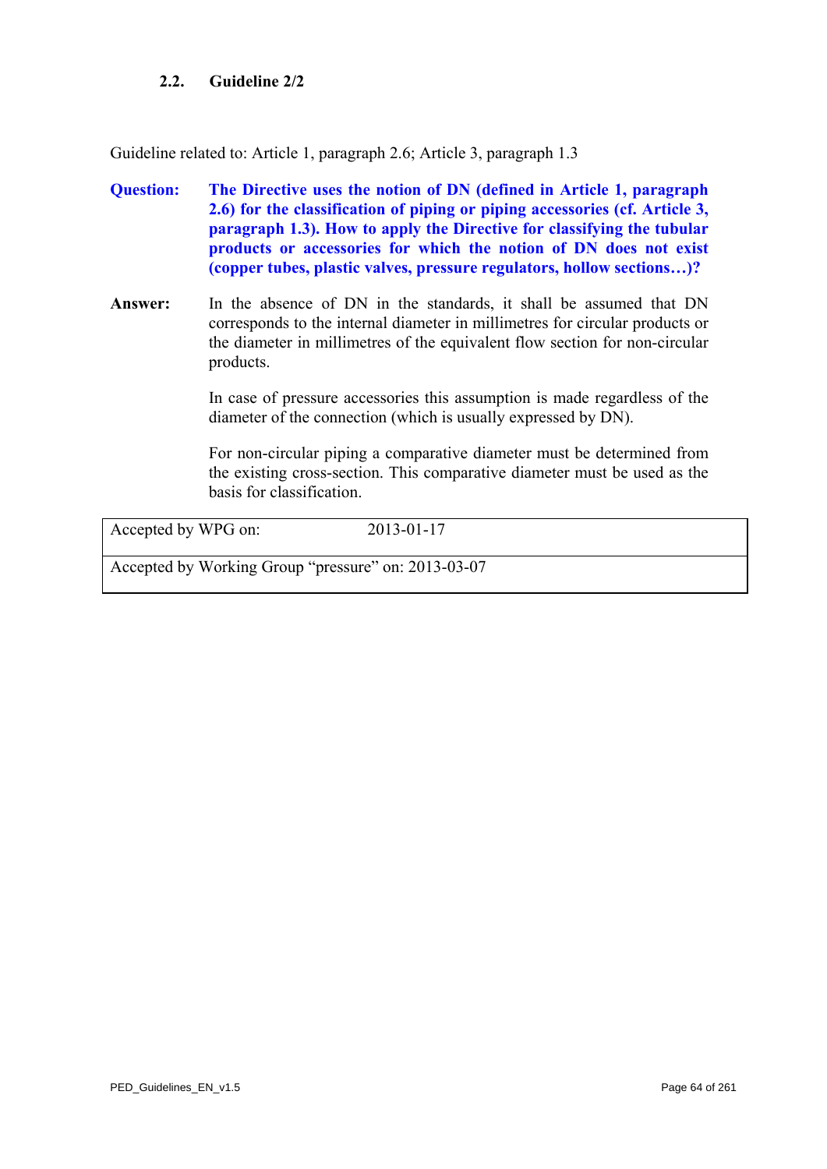## **2.2. Guideline 2/2**

Guideline related to: Article 1, paragraph 2.6; Article 3, paragraph 1.3

- **Question: The Directive uses the notion of DN (defined in Article 1, paragraph 2.6) for the classification of piping or piping accessories (cf. Article 3, paragraph 1.3). How to apply the Directive for classifying the tubular products or accessories for which the notion of DN does not exist (copper tubes, plastic valves, pressure regulators, hollow sections…)?**
- **Answer:** In the absence of DN in the standards, it shall be assumed that DN corresponds to the internal diameter in millimetres for circular products or the diameter in millimetres of the equivalent flow section for non-circular products.

In case of pressure accessories this assumption is made regardless of the diameter of the connection (which is usually expressed by DN).

For non-circular piping a comparative diameter must be determined from the existing cross-section. This comparative diameter must be used as the basis for classification.

Accepted by WPG on: 2013-01-17

Accepted by Working Group "pressure" on: 2013-03-07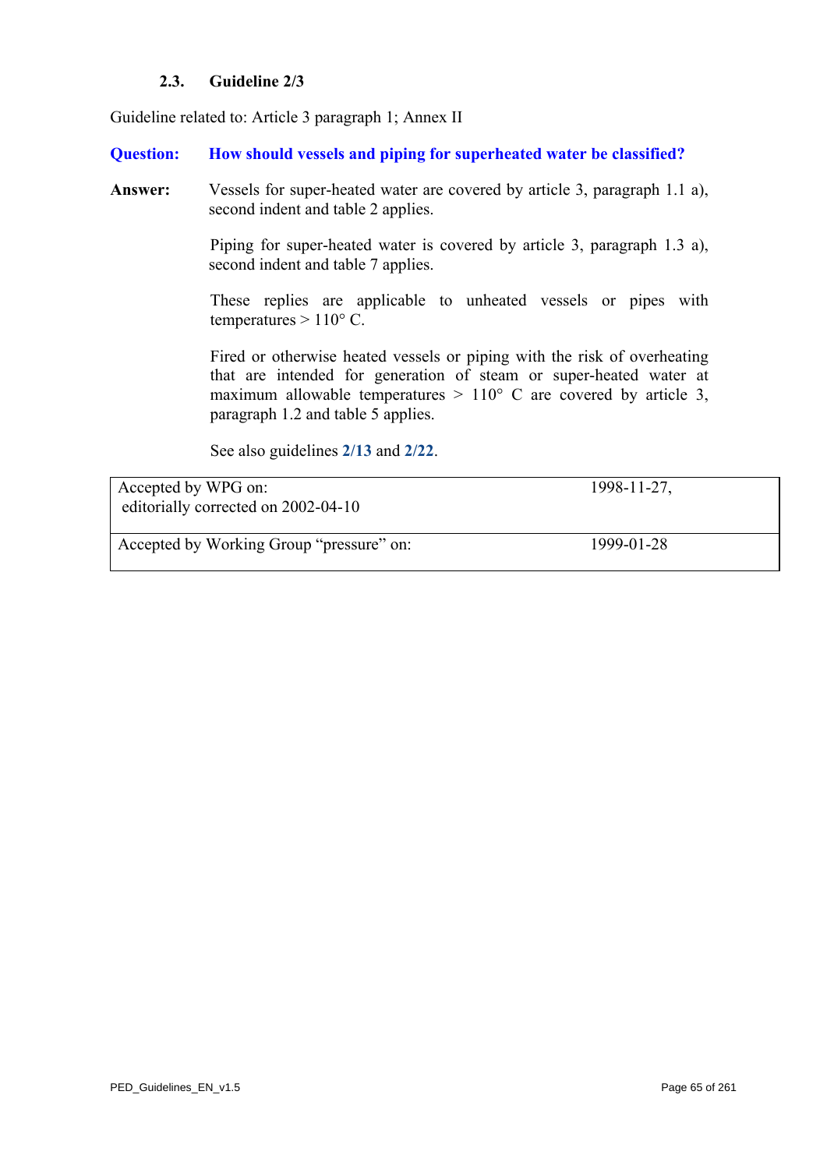## **2.3. Guideline 2/3**

Guideline related to: Article 3 paragraph 1; Annex II

#### **Question: How should vessels and piping for superheated water be classified?**

**Answer:** Vessels for super-heated water are covered by article 3, paragraph 1.1 a), second indent and table 2 applies.

> Piping for super-heated water is covered by article 3, paragraph 1.3 a), second indent and table 7 applies.

> These replies are applicable to unheated vessels or pipes with temperatures  $> 110^{\circ}$  C.

> Fired or otherwise heated vessels or piping with the risk of overheating that are intended for generation of steam or super-heated water at maximum allowable temperatures  $> 110^{\circ}$  C are covered by article 3, paragraph 1.2 and table 5 applies.

See also guidelines **[2/13](#page-76-0)** and **[2/22](#page-85-0)**.

Accepted by WPG on: 1998-11-27, editorially corrected on 2002-04-10

Accepted by Working Group "pressure" on: 1999-01-28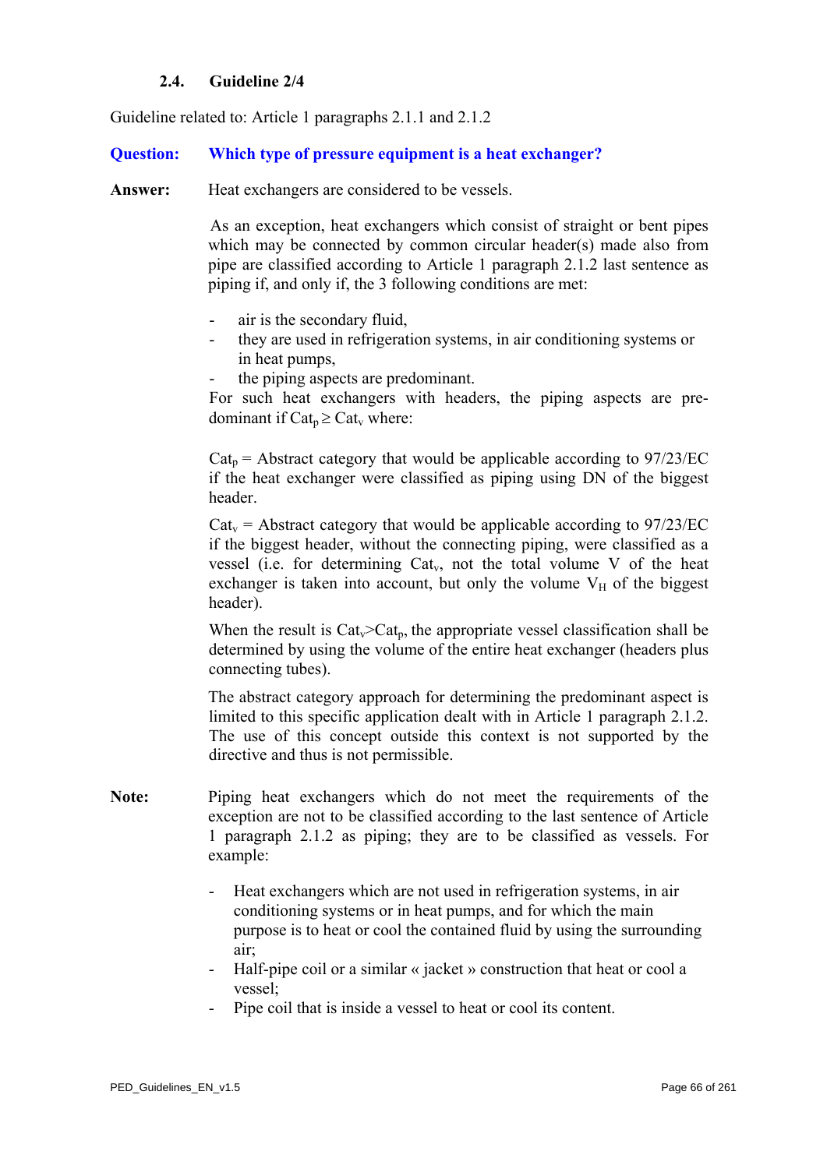## **2.4. Guideline 2/4**

<span id="page-65-0"></span>Guideline related to: Article 1 paragraphs 2.1.1 and 2.1.2

## **Question: Which type of pressure equipment is a heat exchanger?**

Answer: Heat exchangers are considered to be vessels.

As an exception, heat exchangers which consist of straight or bent pipes which may be connected by common circular header(s) made also from pipe are classified according to Article 1 paragraph 2.1.2 last sentence as piping if, and only if, the 3 following conditions are met:

- air is the secondary fluid,
- they are used in refrigeration systems, in air conditioning systems or in heat pumps,
- the piping aspects are predominant.

For such heat exchangers with headers, the piping aspects are predominant if  $Cat_n \geq Cat_v$  where:

 $Cat<sub>p</sub>$  = Abstract category that would be applicable according to 97/23/EC if the heat exchanger were classified as piping using DN of the biggest header.

 $Cat_v = Abstract category that would be applicable according to 97/23/EC$ if the biggest header, without the connecting piping, were classified as a vessel (i.e. for determining  $Cat_v$ , not the total volume V of the heat exchanger is taken into account, but only the volume  $V_H$  of the biggest header).

When the result is  $Cat_v > Cat_b$ , the appropriate vessel classification shall be determined by using the volume of the entire heat exchanger (headers plus connecting tubes).

The abstract category approach for determining the predominant aspect is limited to this specific application dealt with in Article 1 paragraph 2.1.2. The use of this concept outside this context is not supported by the directive and thus is not permissible.

- **Note:** Piping heat exchangers which do not meet the requirements of the exception are not to be classified according to the last sentence of Article 1 paragraph 2.1.2 as piping; they are to be classified as vessels. For example:
	- Heat exchangers which are not used in refrigeration systems, in air conditioning systems or in heat pumps, and for which the main purpose is to heat or cool the contained fluid by using the surrounding air;
	- Half-pipe coil or a similar « jacket » construction that heat or cool a vessel;
	- Pipe coil that is inside a vessel to heat or cool its content.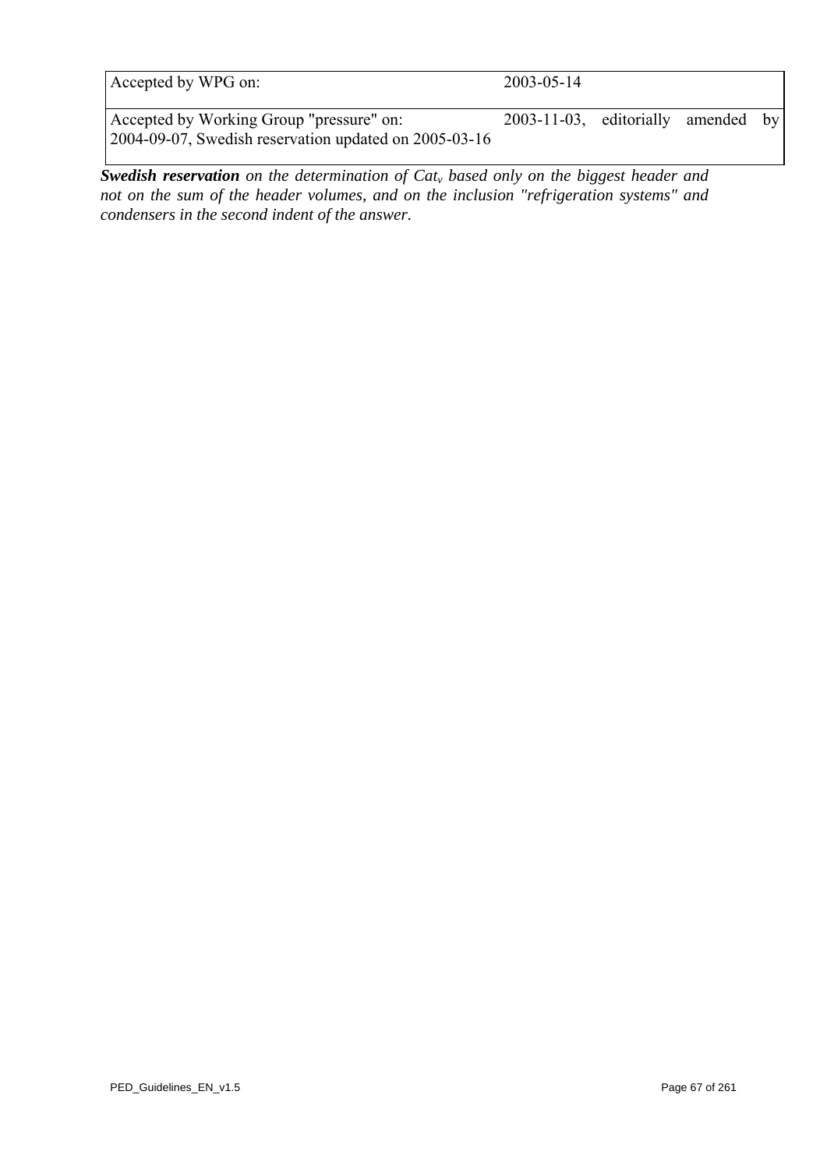| A cepted by WPG on<br>on: | 7. JU<br>14<br>┒- |
|---------------------------|-------------------|
|                           |                   |

Accepted by Working Group "pressure" on: 2003-11-03, editorially amended by 2004-09-07, Swedish reservation updated on 2005-03-16

*Swedish reservation on the determination of Cat<sub>y</sub> based only on the biggest header and not on the sum of the header volumes, and on the inclusion "refrigeration systems" and condensers in the second indent of the answer.*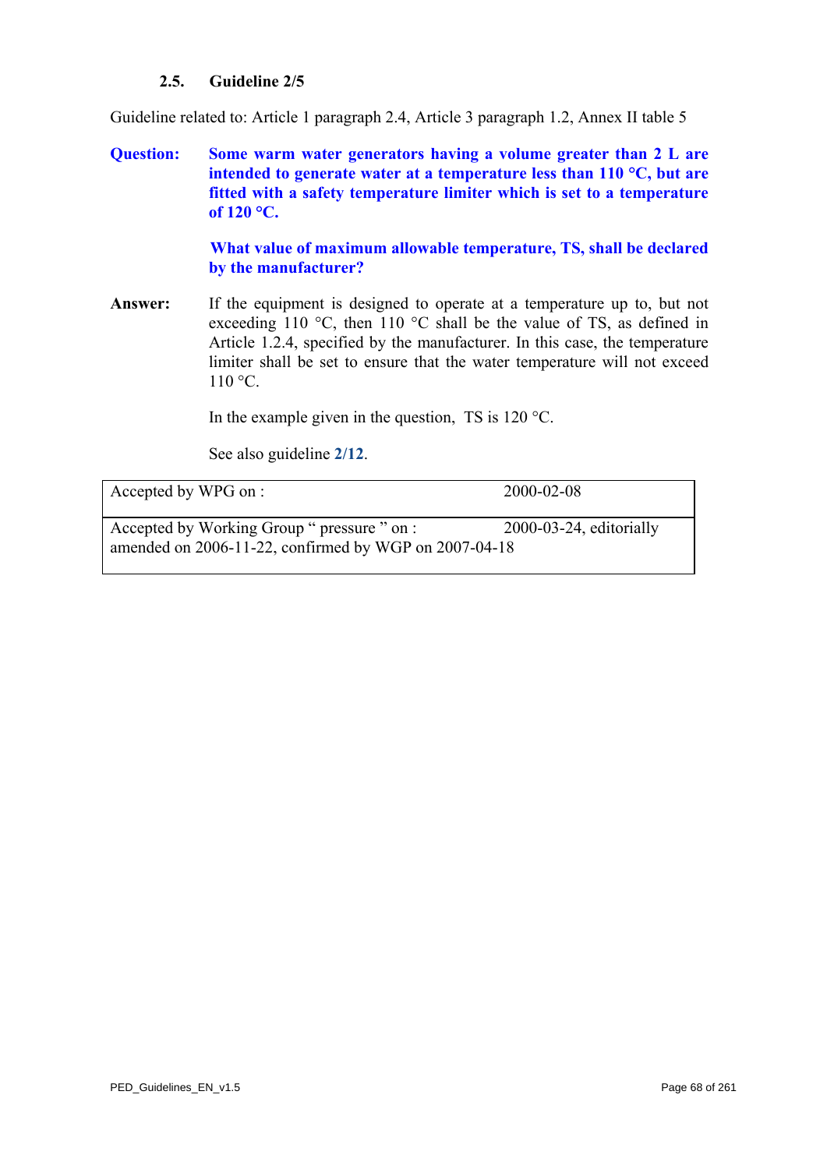## **2.5. Guideline 2/5**

Guideline related to: Article 1 paragraph 2.4, Article 3 paragraph 1.2, Annex II table 5

**Question: Some warm water generators having a volume greater than 2 L are intended to generate water at a temperature less than 110 °C, but are fitted with a safety temperature limiter which is set to a temperature of 120 °C.** 

> **What value of maximum allowable temperature, TS, shall be declared by the manufacturer?**

**Answer:** If the equipment is designed to operate at a temperature up to, but not exceeding 110 °C, then 110 °C shall be the value of TS, as defined in Article 1.2.4, specified by the manufacturer. In this case, the temperature limiter shall be set to ensure that the water temperature will not exceed  $110 \degree C$ .

In the example given in the question, TS is  $120^{\circ}$ C.

See also guideline **[2/12](#page-75-0)**.

Accepted by WPG on : 2000-02-08

Accepted by Working Group " pressure " on : 2000-03-24, editorially amended on 2006-11-22, confirmed by WGP on 2007-04-18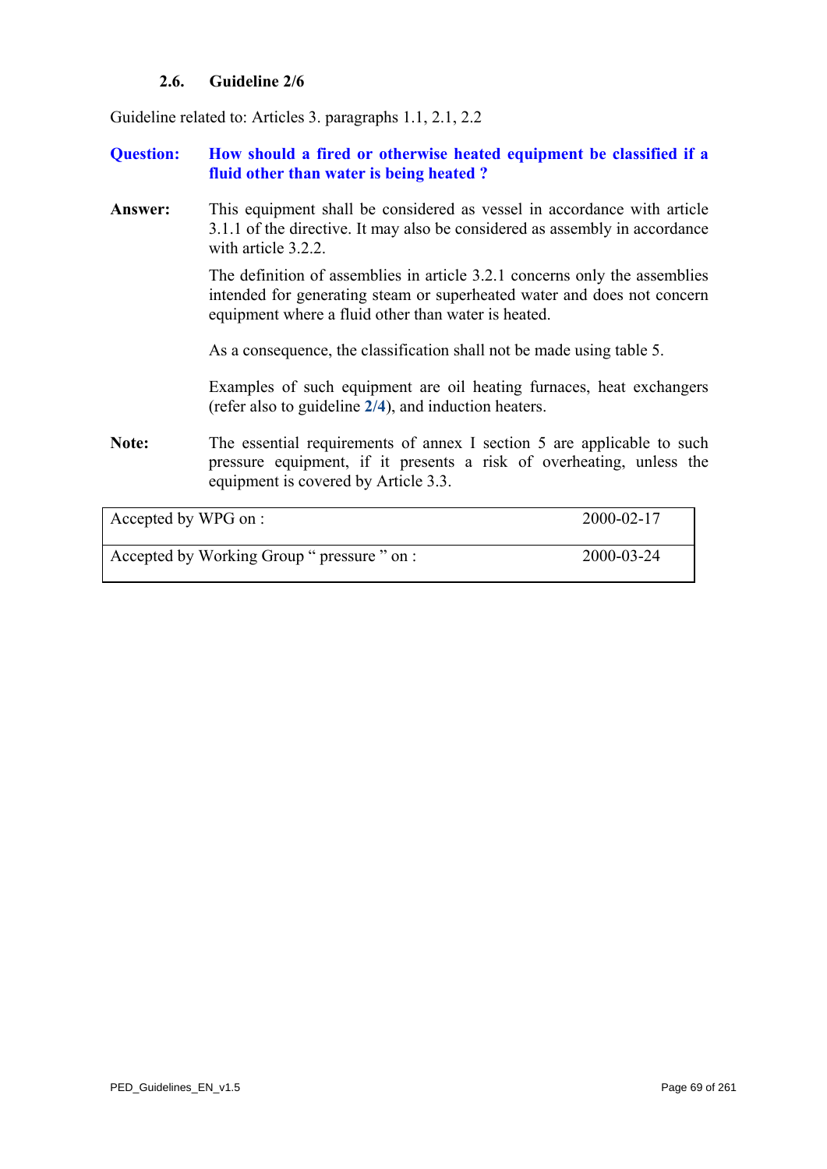## **2.6. Guideline 2/6**

Guideline related to: Articles 3. paragraphs 1.1, 2.1, 2.2

## **Question: How should a fired or otherwise heated equipment be classified if a fluid other than water is being heated ?**

**Answer:** This equipment shall be considered as vessel in accordance with article 3.1.1 of the directive. It may also be considered as assembly in accordance with article 3.2.2.

> The definition of assemblies in article 3.2.1 concerns only the assemblies intended for generating steam or superheated water and does not concern equipment where a fluid other than water is heated.

As a consequence, the classification shall not be made using table 5.

Examples of such equipment are oil heating furnaces, heat exchangers (refer also to guideline **[2/4](#page-65-0)**), and induction heaters.

Note: The essential requirements of annex I section 5 are applicable to such pressure equipment, if it presents a risk of overheating, unless the equipment is covered by Article 3.3.

Accepted by WPG on : 2000-02-17

Accepted by Working Group " pressure " on : 2000-03-24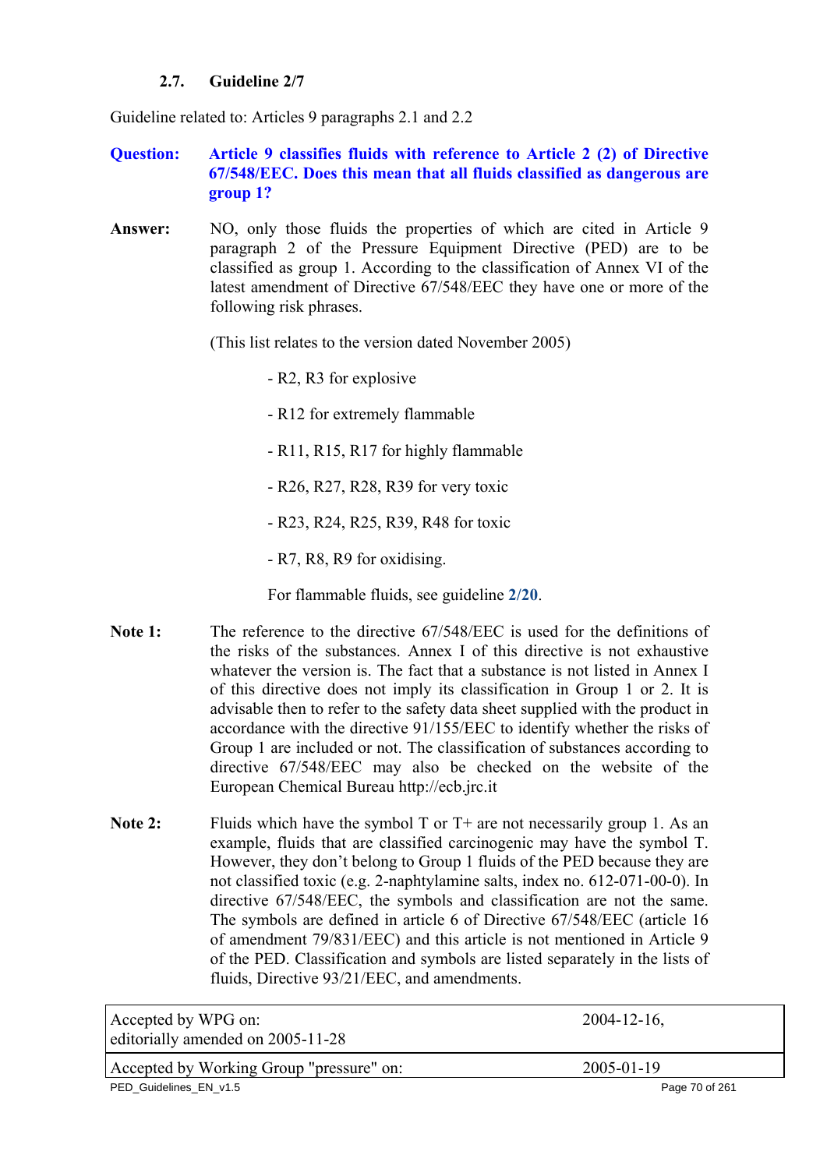## **2.7. Guideline 2/7**

Guideline related to: Articles 9 paragraphs 2.1 and 2.2

## **Question: Article 9 classifies fluids with reference to Article 2 (2) of Directive 67/548/EEC. Does this mean that all fluids classified as dangerous are group 1?**

Answer: NO, only those fluids the properties of which are cited in Article 9 paragraph 2 of the Pressure Equipment Directive (PED) are to be classified as group 1. According to the classification of Annex VI of the latest amendment of Directive 67/548/EEC they have one or more of the following risk phrases.

(This list relates to the version dated November 2005)

- R2, R3 for explosive

- R12 for extremely flammable

- R11, R15, R17 for highly flammable

- R26, R27, R28, R39 for very toxic

- R23, R24, R25, R39, R48 for toxic

- R7, R8, R9 for oxidising.

For flammable fluids, see guideline **[2/20](#page-83-0)**.

- **Note 1:** The reference to the directive 67/548/EEC is used for the definitions of the risks of the substances. Annex I of this directive is not exhaustive whatever the version is. The fact that a substance is not listed in Annex I of this directive does not imply its classification in Group 1 or 2. It is advisable then to refer to the safety data sheet supplied with the product in accordance with the directive 91/155/EEC to identify whether the risks of Group 1 are included or not. The classification of substances according to directive 67/548/EEC may also be checked on the website of the European Chemical Bureau http://ecb.jrc.it
- Note 2: Fluids which have the symbol T or T+ are not necessarily group 1. As an example, fluids that are classified carcinogenic may have the symbol T. However, they don't belong to Group 1 fluids of the PED because they are not classified toxic (e.g. 2-naphtylamine salts, index no. 612-071-00-0). In directive 67/548/EEC, the symbols and classification are not the same. The symbols are defined in article 6 of Directive 67/548/EEC (article 16 of amendment 79/831/EEC) and this article is not mentioned in Article 9 of the PED. Classification and symbols are listed separately in the lists of fluids, Directive 93/21/EEC, and amendments.

| Accepted by WPG on:<br>editorially amended on 2005-11-28 | $2004 - 12 - 16$ , |
|----------------------------------------------------------|--------------------|
| Accepted by Working Group "pressure" on:                 | 2005-01-19         |
| PED_Guidelines_EN_v1.5                                   | Page 70 of 261     |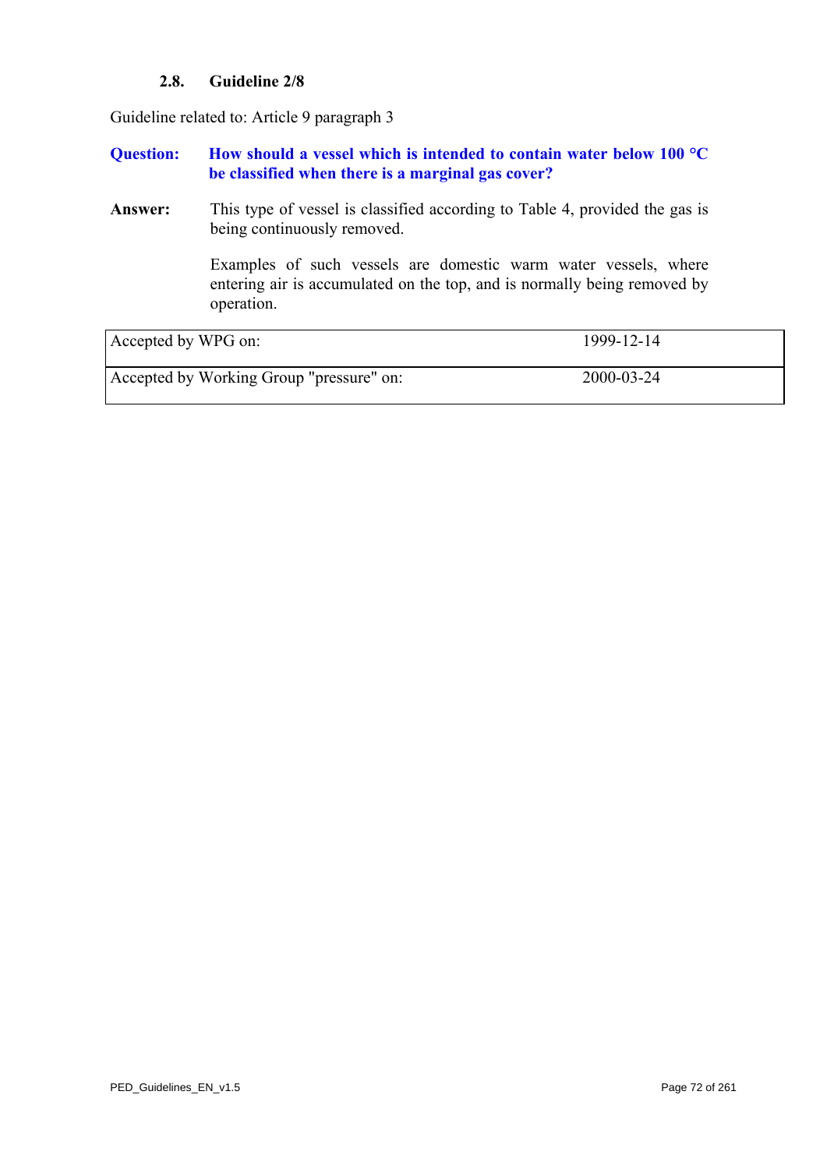## **2.8. Guideline 2/8**

Guideline related to: Article 9 paragraph 3

## **Question: How should a vessel which is intended to contain water below 100 °C be classified when there is a marginal gas cover?**

**Answer:** This type of vessel is classified according to Table 4, provided the gas is being continuously removed.

> Examples of such vessels are domestic warm water vessels, where entering air is accumulated on the top, and is normally being removed by operation.

| Accepted by WPG on:                      | 1999-12-14 |
|------------------------------------------|------------|
| Accepted by Working Group "pressure" on: | 2000-03-24 |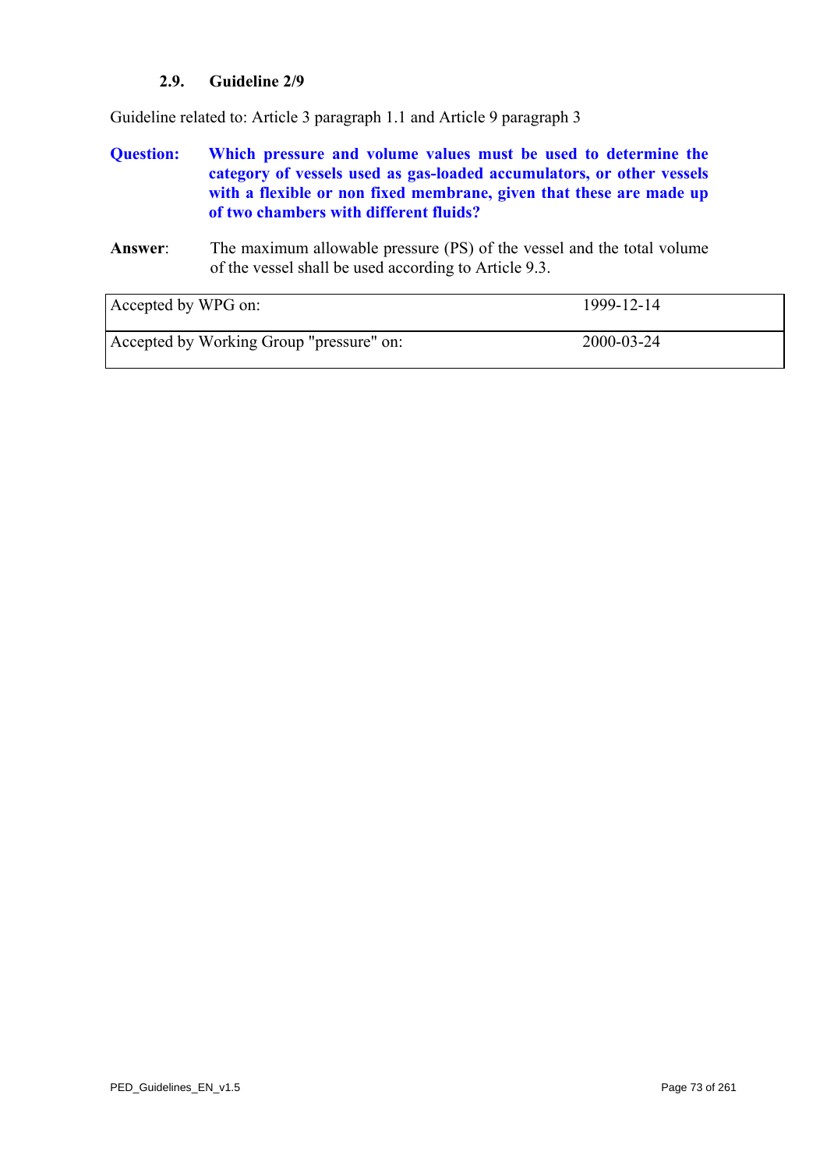# **2.9. Guideline 2/9**

<span id="page-72-0"></span>Guideline related to: Article 3 paragraph 1.1 and Article 9 paragraph 3

# **Question: Which pressure and volume values must be used to determine the category of vessels used as gas-loaded accumulators, or other vessels with a flexible or non fixed membrane, given that these are made up of two chambers with different fluids?**

### **Answer**: The maximum allowable pressure (PS) of the vessel and the total volume of the vessel shall be used according to Article 9.3.

| Accepted by WPG on:                      | 1999-12-14 |
|------------------------------------------|------------|
| Accepted by Working Group "pressure" on: | 2000-03-24 |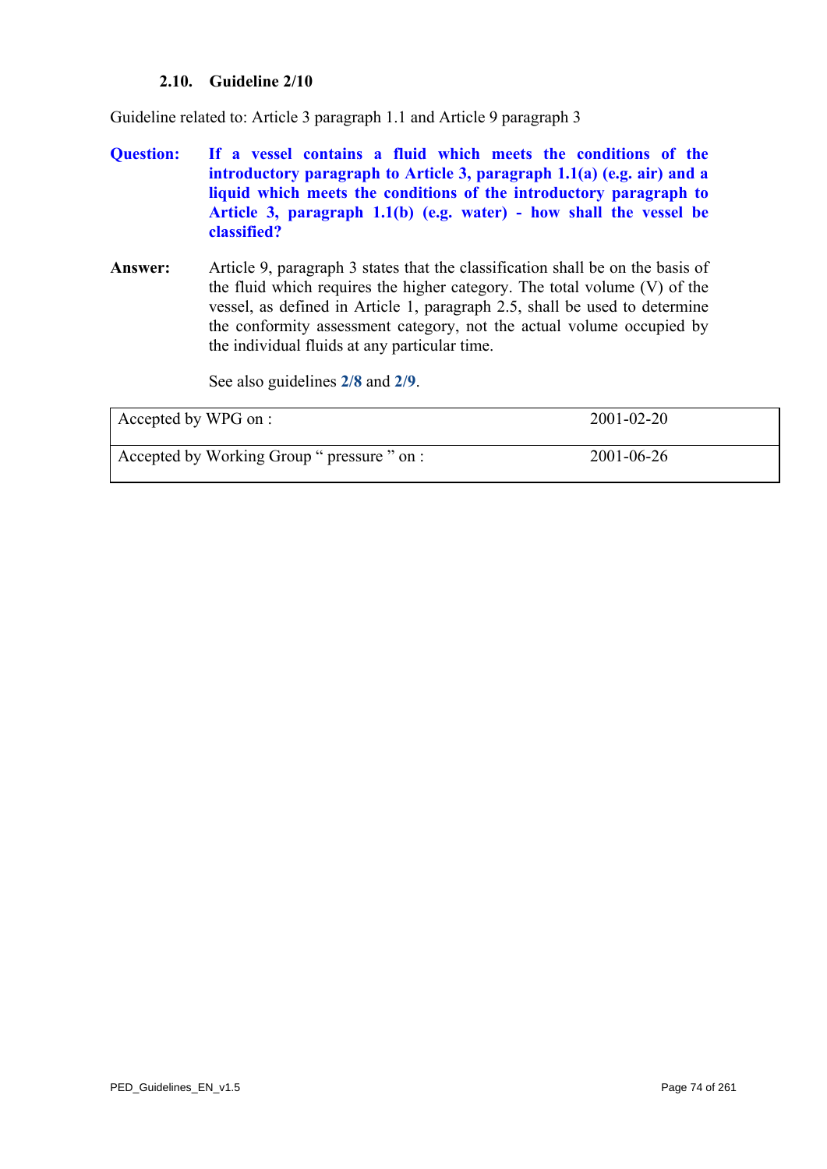# **2.10. Guideline 2/10**

Guideline related to: Article 3 paragraph 1.1 and Article 9 paragraph 3

- **Question: If a vessel contains a fluid which meets the conditions of the introductory paragraph to Article 3, paragraph 1.1(a) (e.g. air) and a liquid which meets the conditions of the introductory paragraph to Article 3, paragraph 1.1(b) (e.g. water) - how shall the vessel be classified?**
- **Answer:** Article 9, paragraph 3 states that the classification shall be on the basis of the fluid which requires the higher category. The total volume (V) of the vessel, as defined in Article 1, paragraph 2.5, shall be used to determine the conformity assessment category, not the actual volume occupied by the individual fluids at any particular time.

See also guidelines **[2/8](#page-70-0)** and **[2/9](#page-72-0)**.

| Accepted by WPG on :                        | $2001 - 02 - 20$ |
|---------------------------------------------|------------------|
| Accepted by Working Group " pressure " on : | 2001-06-26       |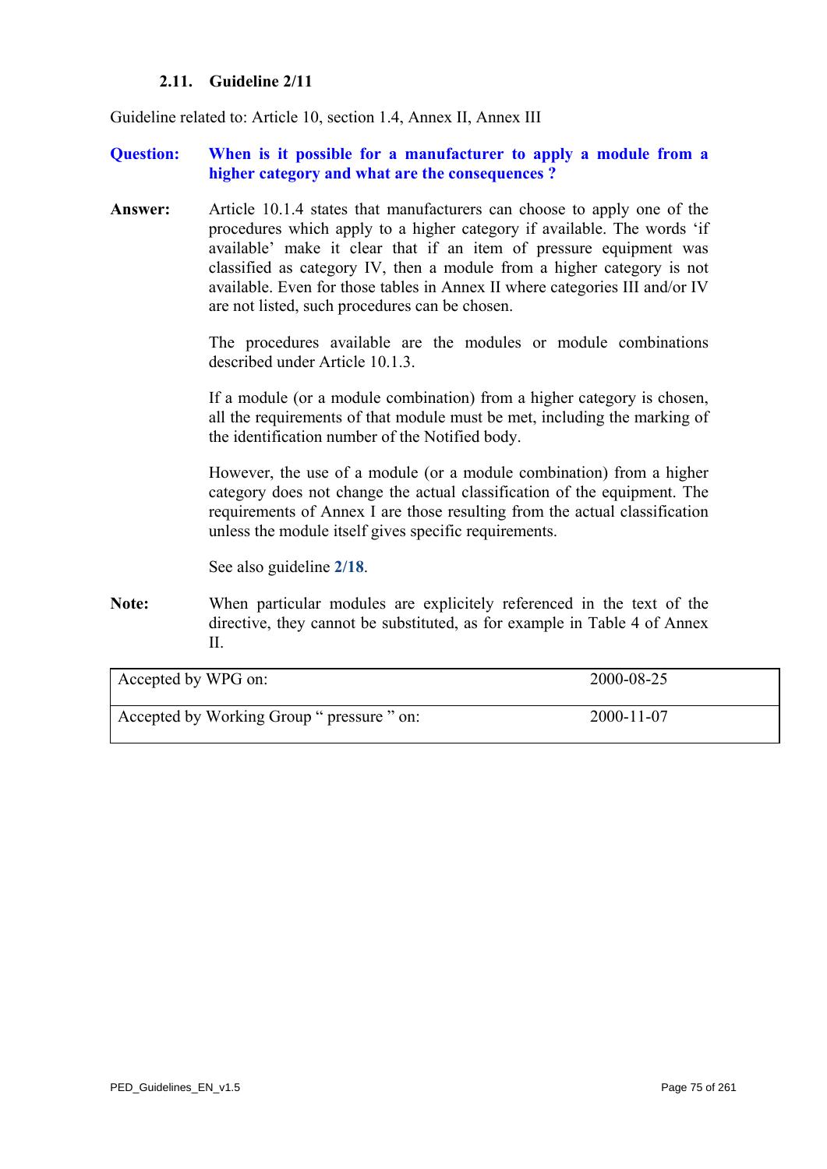### **2.11. Guideline 2/11**

<span id="page-74-0"></span>Guideline related to: Article 10, section 1.4, Annex II, Annex III

### **Question: When is it possible for a manufacturer to apply a module from a higher category and what are the consequences ?**

**Answer:** Article 10.1.4 states that manufacturers can choose to apply one of the procedures which apply to a higher category if available. The words 'if available' make it clear that if an item of pressure equipment was classified as category IV, then a module from a higher category is not available. Even for those tables in Annex II where categories III and/or IV are not listed, such procedures can be chosen.

> The procedures available are the modules or module combinations described under Article 10.1.3.

> If a module (or a module combination) from a higher category is chosen, all the requirements of that module must be met, including the marking of the identification number of the Notified body.

> However, the use of a module (or a module combination) from a higher category does not change the actual classification of the equipment. The requirements of Annex I are those resulting from the actual classification unless the module itself gives specific requirements.

See also guideline **[2/18](#page-81-0)**.

**Note:** When particular modules are explicitely referenced in the text of the directive, they cannot be substituted, as for example in Table 4 of Annex II.

| Accepted by WPG on:                        | 2000-08-25       |
|--------------------------------------------|------------------|
| Accepted by Working Group " pressure " on: | $2000 - 11 - 07$ |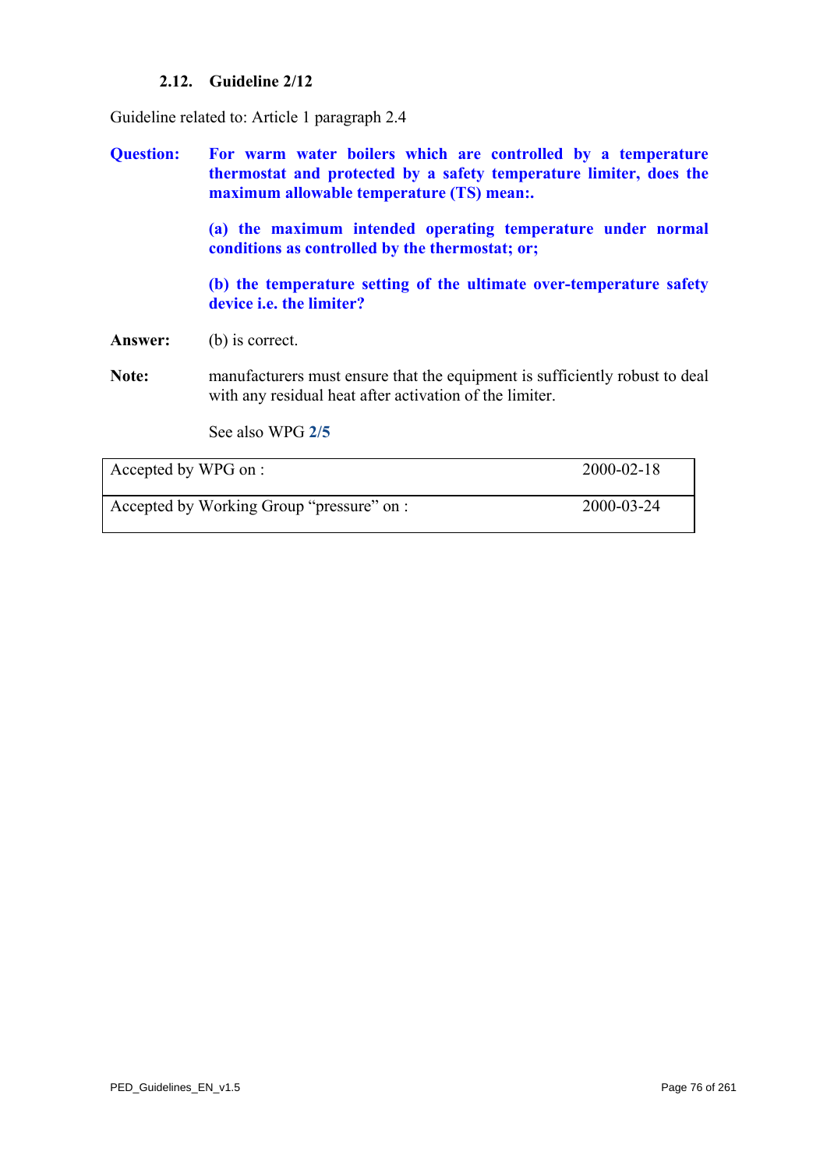# **2.12. Guideline 2/12**

Guideline related to: Article 1 paragraph 2.4

**Question: For warm water boilers which are controlled by a temperature thermostat and protected by a safety temperature limiter, does the maximum allowable temperature (TS) mean:.** 

> **(a) the maximum intended operating temperature under normal conditions as controlled by the thermostat; or;**

> **(b) the temperature setting of the ultimate over-temperature safety device i.e. the limiter?**

**Answer:** (b) is correct.

**Note:** manufacturers must ensure that the equipment is sufficiently robust to deal with any residual heat after activation of the limiter.

See also WPG **[2/5](#page-67-0)**

| Accepted by WPG on :                      | $2000 - 02 - 18$ |
|-------------------------------------------|------------------|
| Accepted by Working Group "pressure" on : | 2000-03-24       |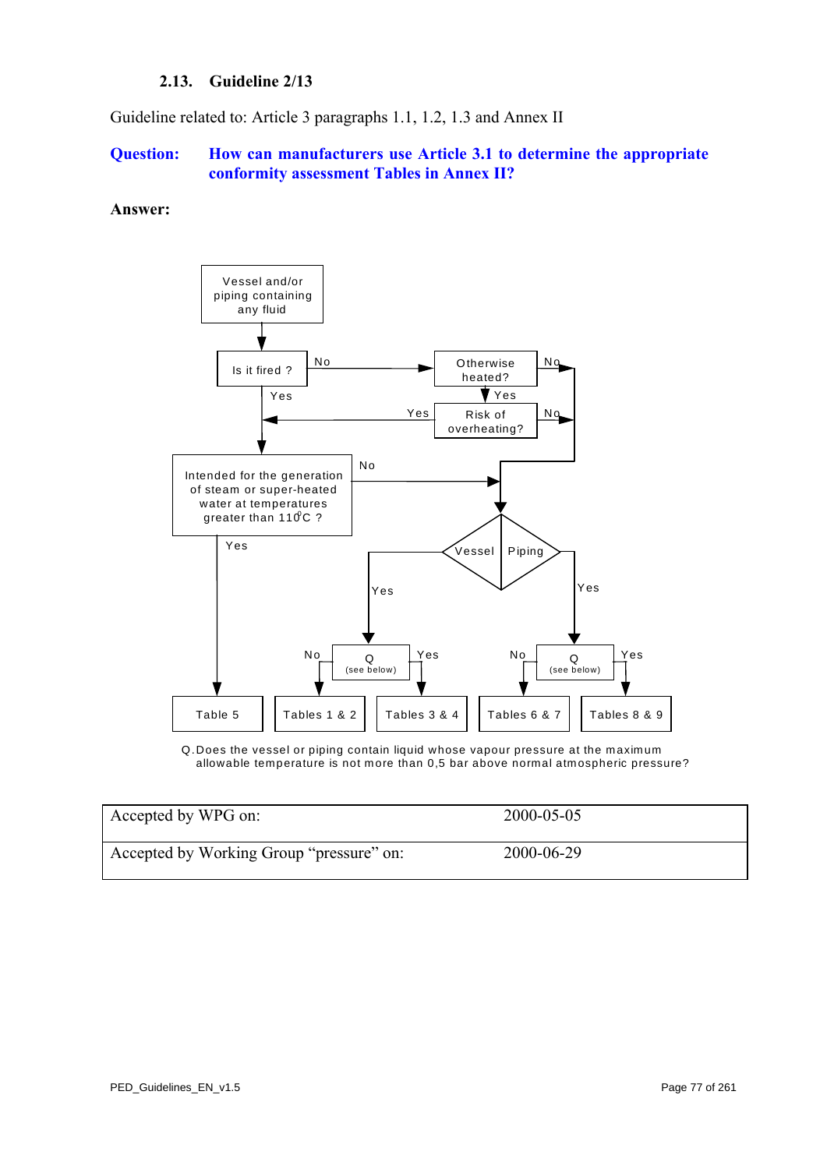# **2.13. Guideline 2/13**

<span id="page-76-0"></span>Guideline related to: Article 3 paragraphs 1.1, 1.2, 1.3 and Annex II

### **Question: How can manufacturers use Article 3.1 to determine the appropriate conformity assessment Tables in Annex II?**

#### **Answer:**



Q.Does the vessel or piping contain liquid whose vapour pressure at the maximum allowable temperature is not more than 0,5 bar above normal atmospheric pressure?

| Accepted by WPG on:                      | 2000-05-05 |
|------------------------------------------|------------|
| Accepted by Working Group "pressure" on: | 2000-06-29 |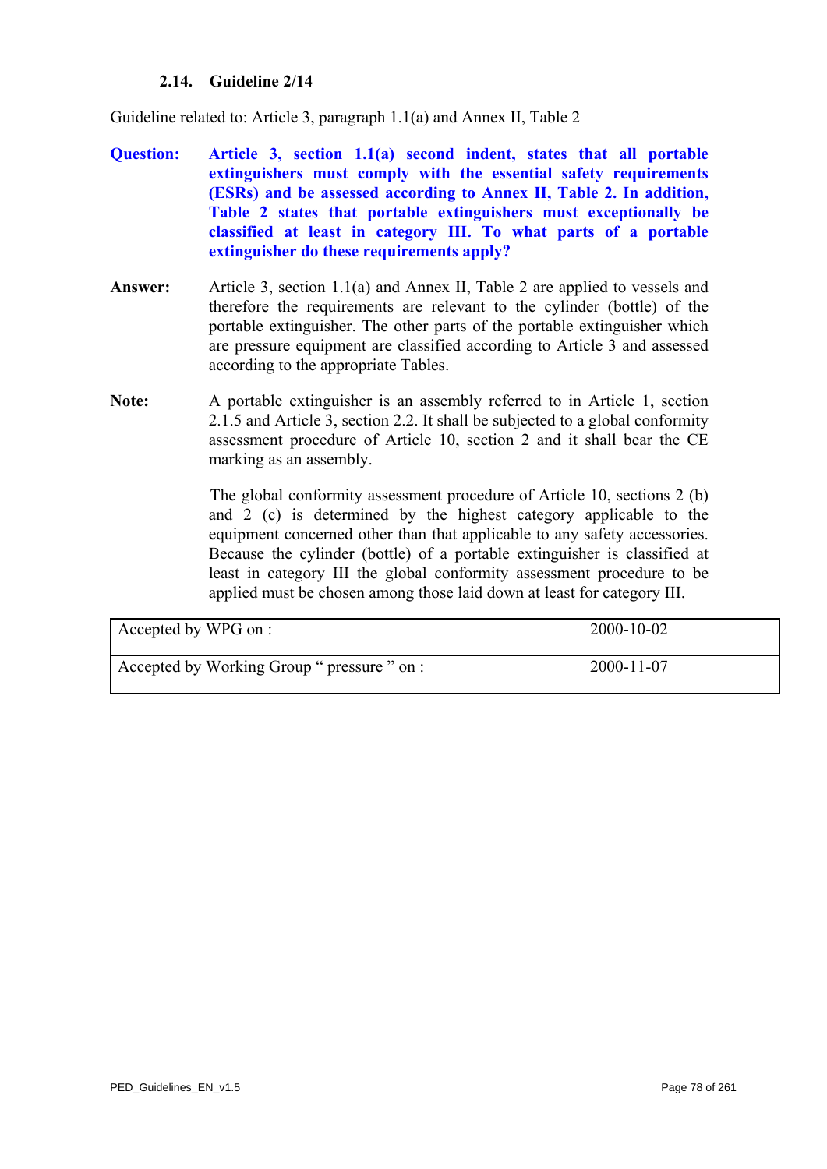### **2.14. Guideline 2/14**

Guideline related to: Article 3, paragraph 1.1(a) and Annex II, Table 2

- **Question: Article 3, section 1.1(a) second indent, states that all portable extinguishers must comply with the essential safety requirements (ESRs) and be assessed according to Annex II, Table 2. In addition, Table 2 states that portable extinguishers must exceptionally be classified at least in category III. To what parts of a portable extinguisher do these requirements apply?**
- **Answer:** Article 3, section 1.1(a) and Annex II, Table 2 are applied to vessels and therefore the requirements are relevant to the cylinder (bottle) of the portable extinguisher. The other parts of the portable extinguisher which are pressure equipment are classified according to Article 3 and assessed according to the appropriate Tables.
- **Note:** A portable extinguisher is an assembly referred to in Article 1, section 2.1.5 and Article 3, section 2.2. It shall be subjected to a global conformity assessment procedure of Article 10, section 2 and it shall bear the CE marking as an assembly.

The global conformity assessment procedure of Article 10, sections 2 (b) and 2 (c) is determined by the highest category applicable to the equipment concerned other than that applicable to any safety accessories. Because the cylinder (bottle) of a portable extinguisher is classified at least in category III the global conformity assessment procedure to be applied must be chosen among those laid down at least for category III.

| Accepted by WPG on :                        | $2000 - 10 - 02$ |
|---------------------------------------------|------------------|
| Accepted by Working Group " pressure " on : | 2000-11-07       |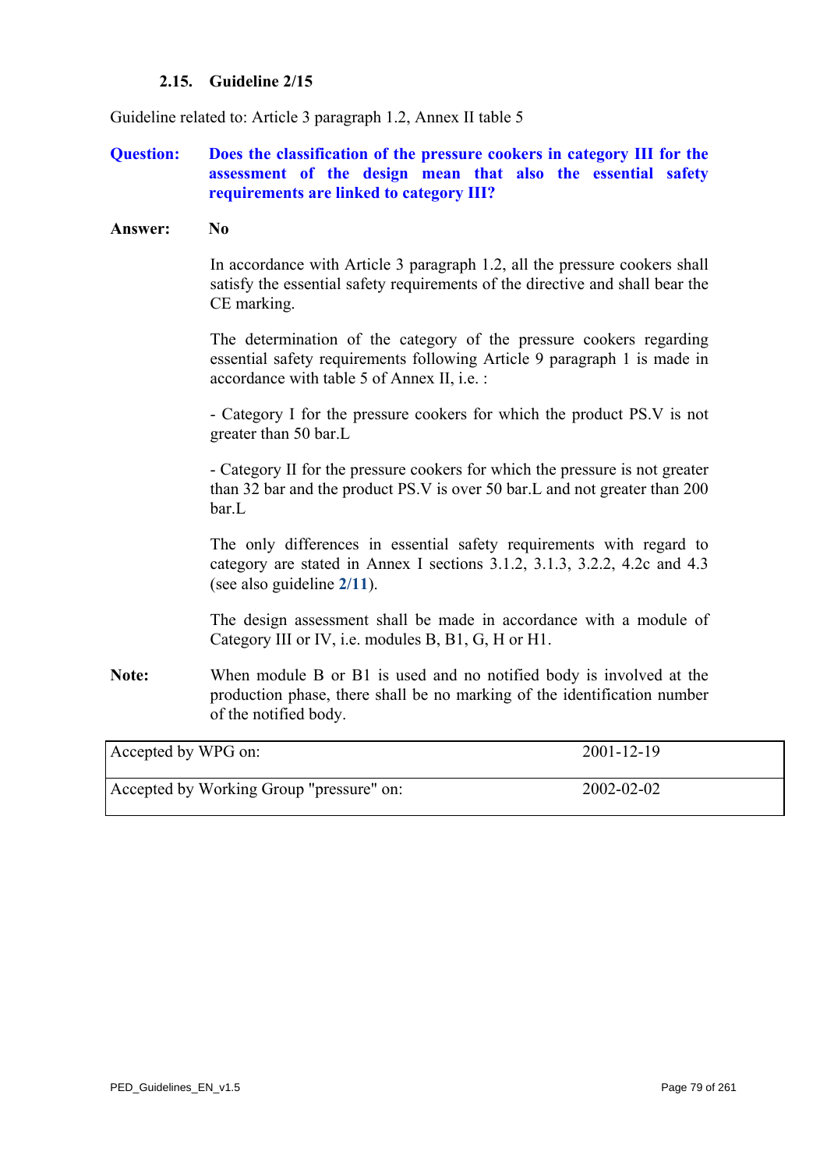# **2.15. Guideline 2/15**

Guideline related to: Article 3 paragraph 1.2, Annex II table 5

# **Question: Does the classification of the pressure cookers in category III for the assessment of the design mean that also the essential safety requirements are linked to category III?**

#### **Answer: No**

In accordance with Article 3 paragraph 1.2, all the pressure cookers shall satisfy the essential safety requirements of the directive and shall bear the CE marking.

The determination of the category of the pressure cookers regarding essential safety requirements following Article 9 paragraph 1 is made in accordance with table 5 of Annex II, i.e. :

- Category I for the pressure cookers for which the product PS.V is not greater than 50 bar.L

- Category II for the pressure cookers for which the pressure is not greater than 32 bar and the product PS.V is over 50 bar.L and not greater than 200 bar.L

The only differences in essential safety requirements with regard to category are stated in Annex I sections 3.1.2, 3.1.3, 3.2.2, 4.2c and 4.3 (see also guideline **[2/11](#page-74-0)**).

The design assessment shall be made in accordance with a module of Category III or IV, i.e. modules B, B1, G, H or H1.

**Note:** When module B or B1 is used and no notified body is involved at the production phase, there shall be no marking of the identification number of the notified body.

| Accepted by WPG on:                      | 2001-12-19       |
|------------------------------------------|------------------|
| Accepted by Working Group "pressure" on: | $2002 - 02 - 02$ |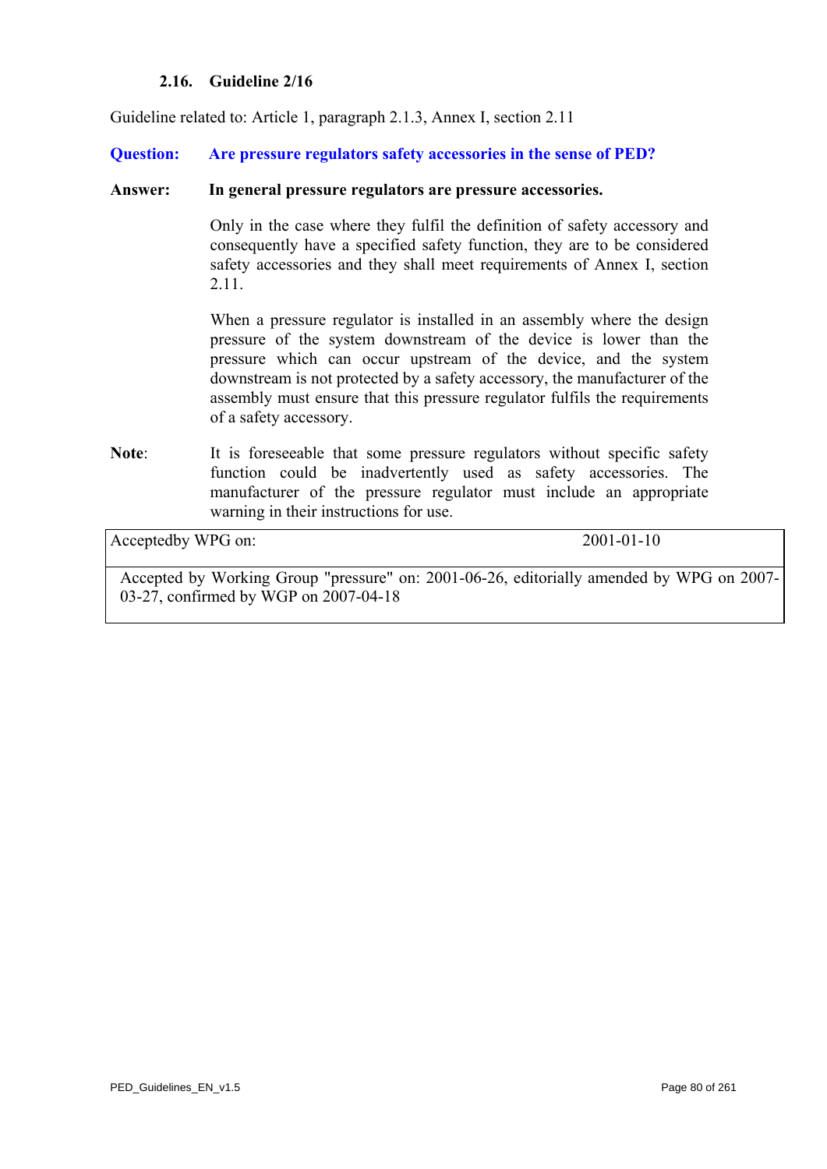# **2.16. Guideline 2/16**

Guideline related to: Article 1, paragraph 2.1.3, Annex I, section 2.11

**Question: Are pressure regulators safety accessories in the sense of PED?** 

### **Answer: In general pressure regulators are pressure accessories.**

Only in the case where they fulfil the definition of safety accessory and consequently have a specified safety function, they are to be considered safety accessories and they shall meet requirements of Annex I, section 2.11.

When a pressure regulator is installed in an assembly where the design pressure of the system downstream of the device is lower than the pressure which can occur upstream of the device, and the system downstream is not protected by a safety accessory, the manufacturer of the assembly must ensure that this pressure regulator fulfils the requirements of a safety accessory.

Note: It is foreseeable that some pressure regulators without specific safety function could be inadvertently used as safety accessories. The manufacturer of the pressure regulator must include an appropriate warning in their instructions for use.

Acceptedby WPG on: 2001-01-10

Accepted by Working Group "pressure" on: 2001-06-26, editorially amended by WPG on 2007- 03-27, confirmed by WGP on 2007-04-18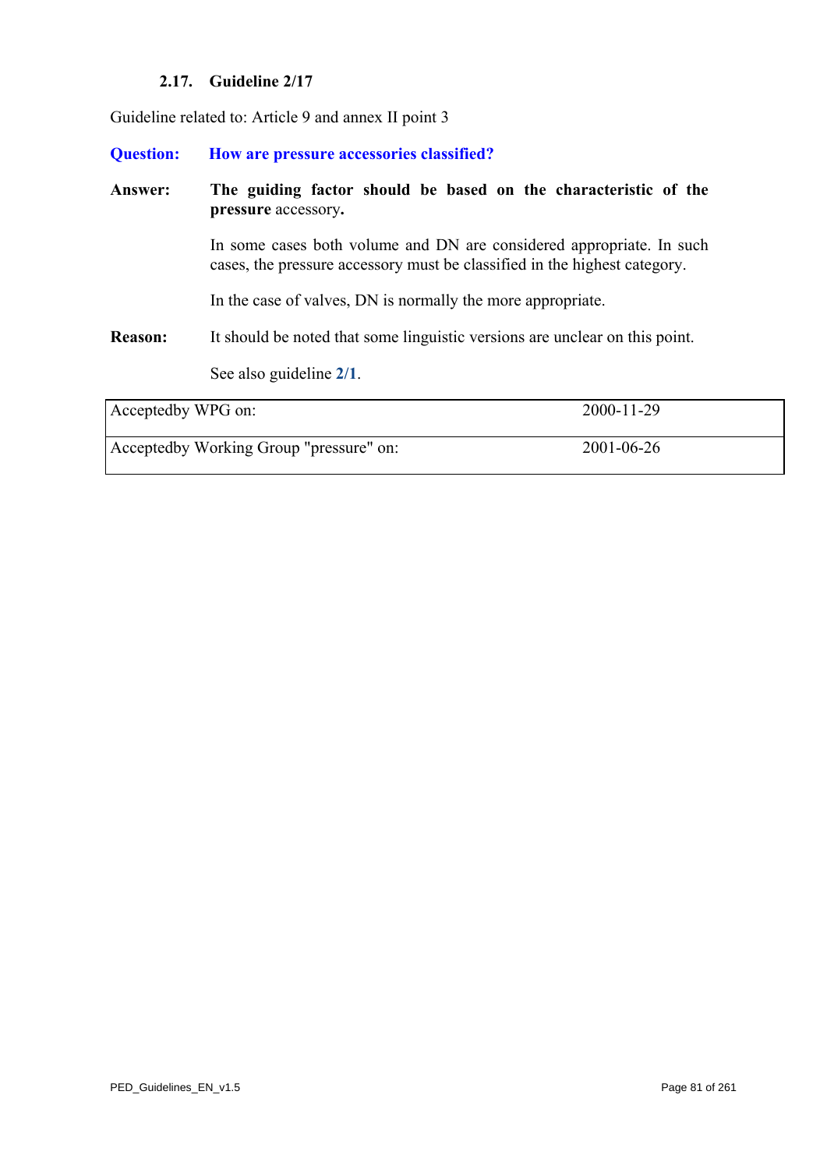# **2.17. Guideline 2/17**

<span id="page-80-0"></span>Guideline related to: Article 9 and annex II point 3

| <b>Question:</b>   | How are pressure accessories classified?                                                                                                          |  |
|--------------------|---------------------------------------------------------------------------------------------------------------------------------------------------|--|
| Answer:            | The guiding factor should be based on the characteristic of the<br>pressure accessory.                                                            |  |
|                    | In some cases both volume and DN are considered appropriate. In such<br>cases, the pressure accessory must be classified in the highest category. |  |
|                    | In the case of valves, DN is normally the more appropriate.                                                                                       |  |
| <b>Reason:</b>     | It should be noted that some linguistic versions are unclear on this point.                                                                       |  |
|                    | See also guideline 2/1.                                                                                                                           |  |
| Acceptedby WPG on: | 2000-11-29                                                                                                                                        |  |

Acceptedby Working Group "pressure" on: 2001-06-26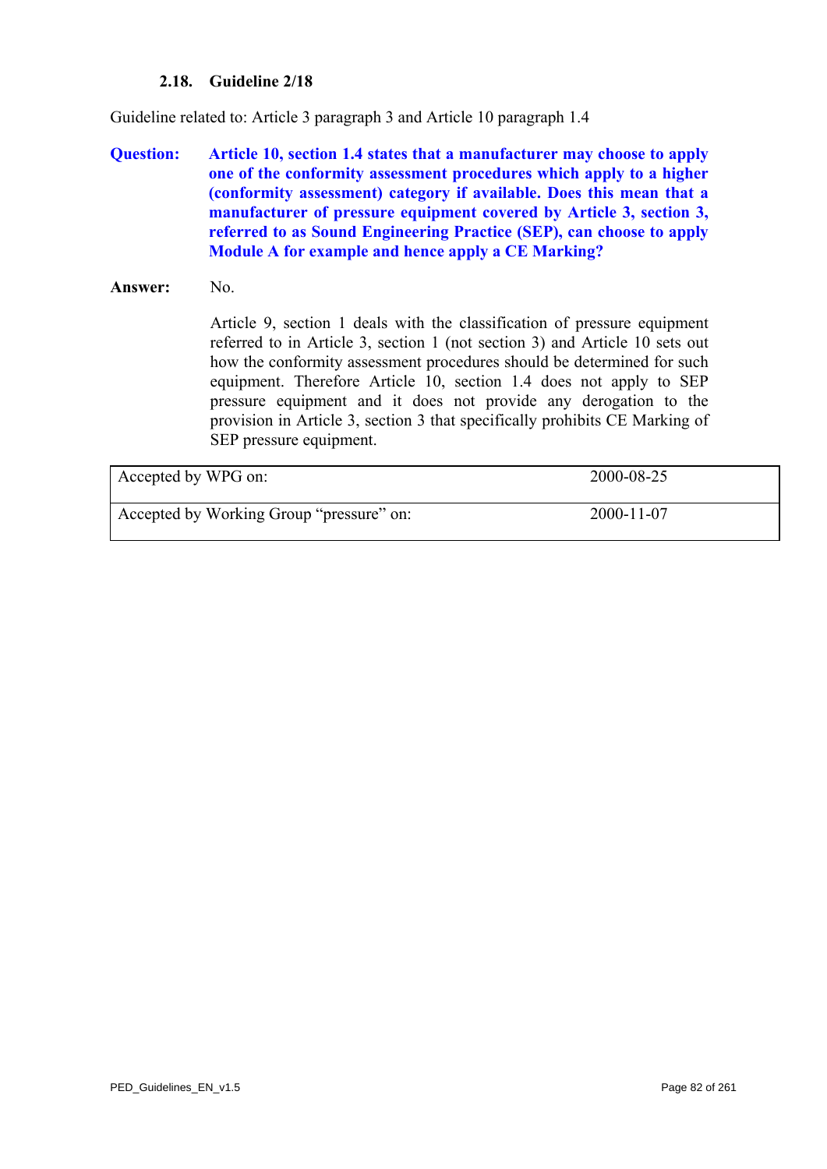# **2.18. Guideline 2/18**

<span id="page-81-0"></span>Guideline related to: Article 3 paragraph 3 and Article 10 paragraph 1.4

**Question: Article 10, section 1.4 states that a manufacturer may choose to apply one of the conformity assessment procedures which apply to a higher (conformity assessment) category if available. Does this mean that a manufacturer of pressure equipment covered by Article 3, section 3, referred to as Sound Engineering Practice (SEP), can choose to apply Module A for example and hence apply a CE Marking?** 

### **Answer:** No.

Article 9, section 1 deals with the classification of pressure equipment referred to in Article 3, section 1 (not section 3) and Article 10 sets out how the conformity assessment procedures should be determined for such equipment. Therefore Article 10, section 1.4 does not apply to SEP pressure equipment and it does not provide any derogation to the provision in Article 3, section 3 that specifically prohibits CE Marking of SEP pressure equipment.

| Accepted by WPG on:                      | 2000-08-25       |
|------------------------------------------|------------------|
| Accepted by Working Group "pressure" on: | $2000 - 11 - 07$ |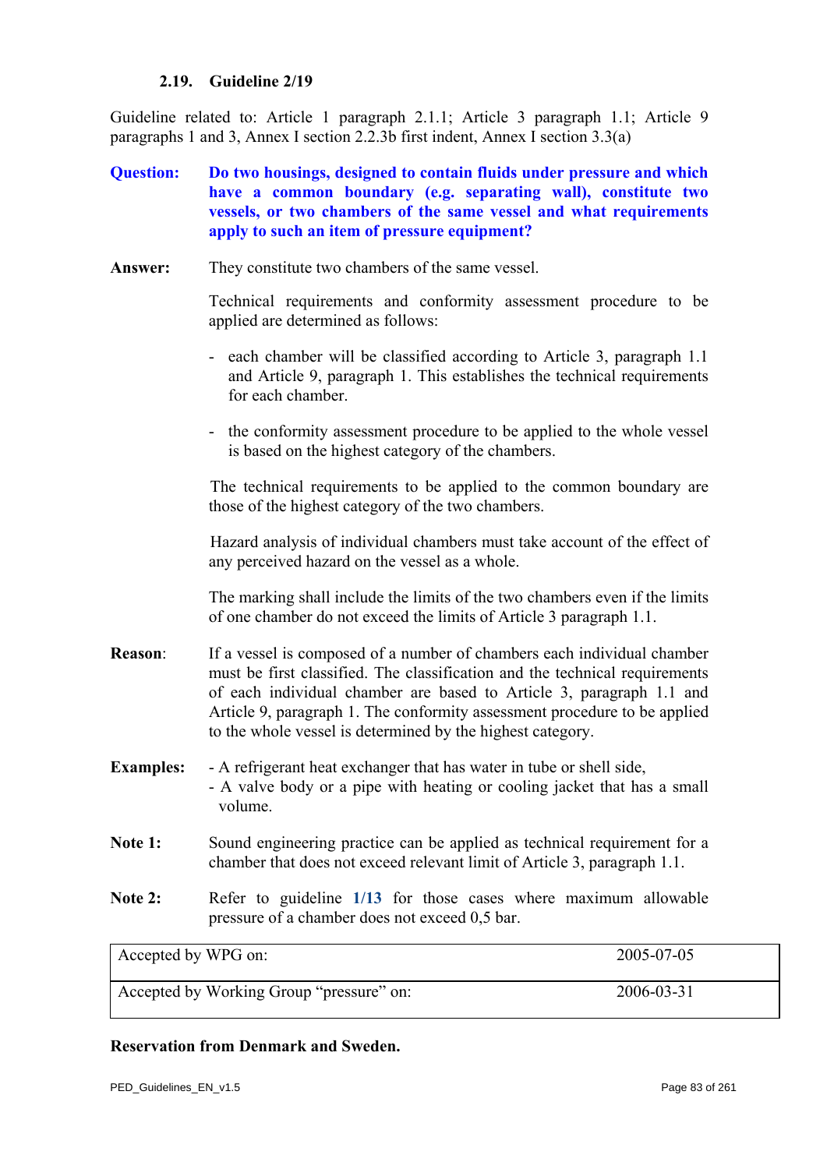### **2.19. Guideline 2/19**

Guideline related to: Article 1 paragraph 2.1.1; Article 3 paragraph 1.1; Article 9 paragraphs 1 and 3, Annex I section 2.2.3b first indent, Annex I section 3.3(a)

# **Question: Do two housings, designed to contain fluids under pressure and which have a common boundary (e.g. separating wall), constitute two vessels, or two chambers of the same vessel and what requirements apply to such an item of pressure equipment?**

**Answer:** They constitute two chambers of the same vessel.

Technical requirements and conformity assessment procedure to be applied are determined as follows:

- each chamber will be classified according to Article 3, paragraph 1.1 and Article 9, paragraph 1. This establishes the technical requirements for each chamber.
- the conformity assessment procedure to be applied to the whole vessel is based on the highest category of the chambers.

The technical requirements to be applied to the common boundary are those of the highest category of the two chambers.

Hazard analysis of individual chambers must take account of the effect of any perceived hazard on the vessel as a whole.

The marking shall include the limits of the two chambers even if the limits of one chamber do not exceed the limits of Article 3 paragraph 1.1.

- **Reason**: If a vessel is composed of a number of chambers each individual chamber must be first classified. The classification and the technical requirements of each individual chamber are based to Article 3, paragraph 1.1 and Article 9, paragraph 1. The conformity assessment procedure to be applied to the whole vessel is determined by the highest category.
- **Examples:** A refrigerant heat exchanger that has water in tube or shell side. - A valve body or a pipe with heating or cooling jacket that has a small volume.
- Note 1: Sound engineering practice can be applied as technical requirement for a chamber that does not exceed relevant limit of Article 3, paragraph 1.1.
- **Note 2:** Refer to guideline **[1/13](#page-15-0)** for those cases where maximum allowable pressure of a chamber does not exceed 0,5 bar.

Accepted by WPG on: 2005-07-05 Accepted by Working Group "pressure" on: 2006-03-31

# **Reservation from Denmark and Sweden.**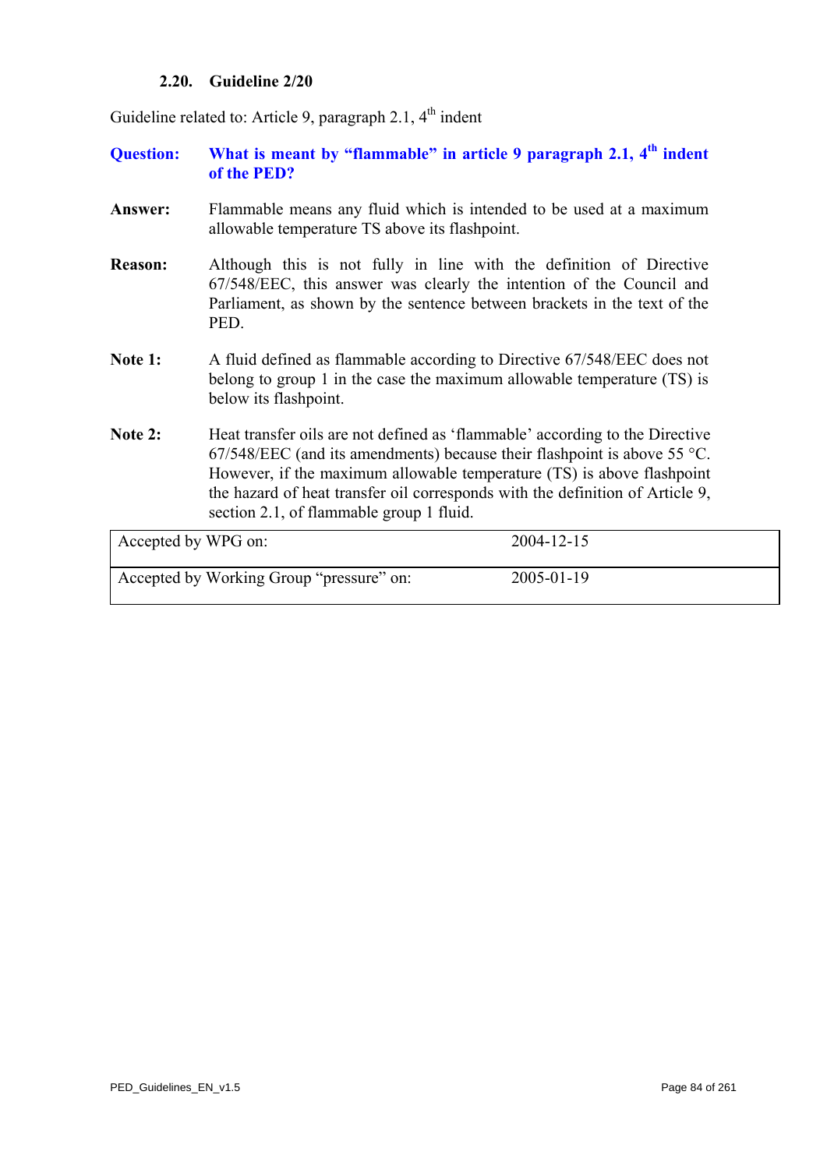### **2.20. Guideline 2/20**

Guideline related to: Article 9, paragraph 2.1,  $4<sup>th</sup>$  indent

- **Question: What is meant by "flammable" in article 9 paragraph 2.1, 4th indent of the PED?**
- **Answer:** Flammable means any fluid which is intended to be used at a maximum allowable temperature TS above its flashpoint.
- **Reason:** Although this is not fully in line with the definition of Directive 67/548/EEC, this answer was clearly the intention of the Council and Parliament, as shown by the sentence between brackets in the text of the PED.
- Note 1: A fluid defined as flammable according to Directive 67/548/EEC does not belong to group 1 in the case the maximum allowable temperature (TS) is below its flashpoint.
- Note 2: Heat transfer oils are not defined as 'flammable' according to the Directive 67/548/EEC (and its amendments) because their flashpoint is above 55 °C. However, if the maximum allowable temperature (TS) is above flashpoint the hazard of heat transfer oil corresponds with the definition of Article 9, section 2.1, of flammable group 1 fluid.

| Accepted by WPG on:                      | 2004-12-15 |
|------------------------------------------|------------|
| Accepted by Working Group "pressure" on: | 2005-01-19 |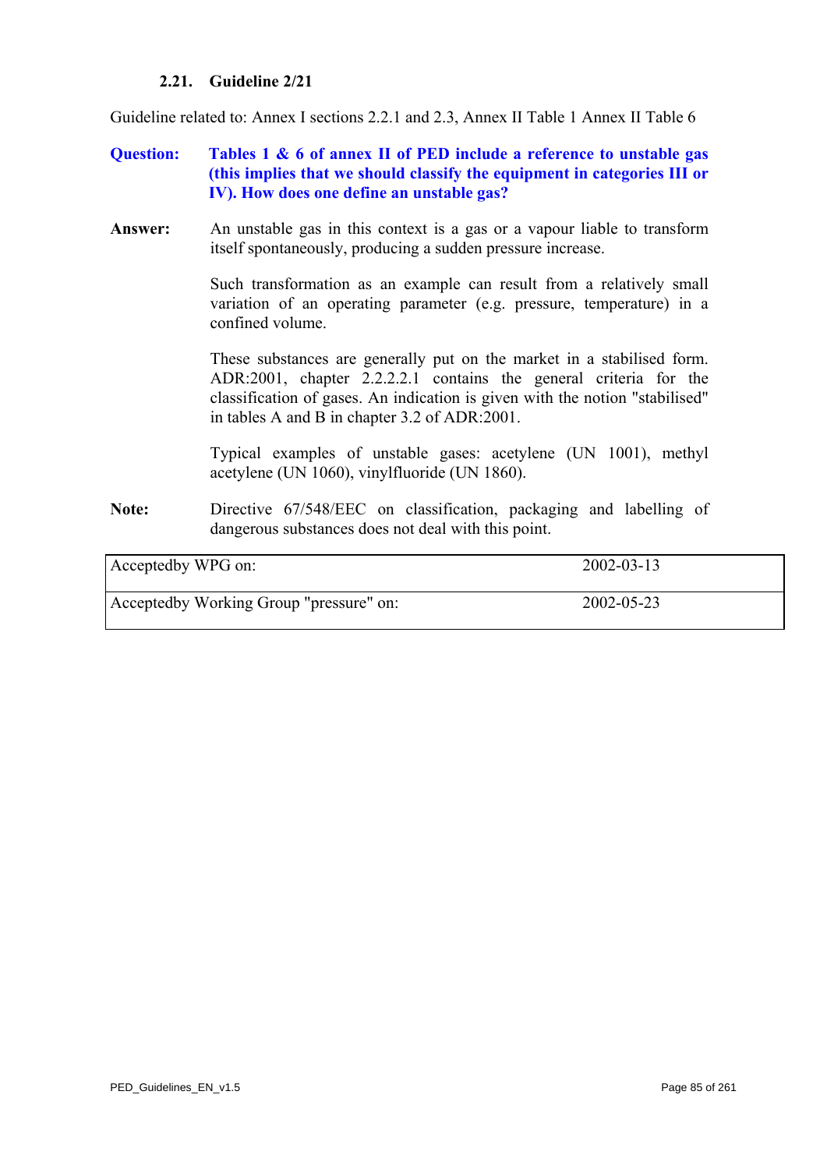# **2.21. Guideline 2/21**

<span id="page-84-0"></span>Guideline related to: Annex I sections 2.2.1 and 2.3, Annex II Table 1 Annex II Table 6

# **Question: Tables 1 & 6 of annex II of PED include a reference to unstable gas (this implies that we should classify the equipment in categories III or IV). How does one define an unstable gas?**

**Answer:** An unstable gas in this context is a gas or a vapour liable to transform itself spontaneously, producing a sudden pressure increase.

> Such transformation as an example can result from a relatively small variation of an operating parameter (e.g. pressure, temperature) in a confined volume.

> These substances are generally put on the market in a stabilised form. ADR:2001, chapter 2.2.2.2.1 contains the general criteria for the classification of gases. An indication is given with the notion "stabilised" in tables A and B in chapter 3.2 of ADR:2001.

> Typical examples of unstable gases: acetylene (UN 1001), methyl acetylene (UN 1060), vinylfluoride (UN 1860).

**Note:** Directive 67/548/EEC on classification, packaging and labelling of dangerous substances does not deal with this point.

| Acceptedby WPG on:                      | $2002 - 03 - 13$ |
|-----------------------------------------|------------------|
| Acceptedby Working Group "pressure" on: | 2002-05-23       |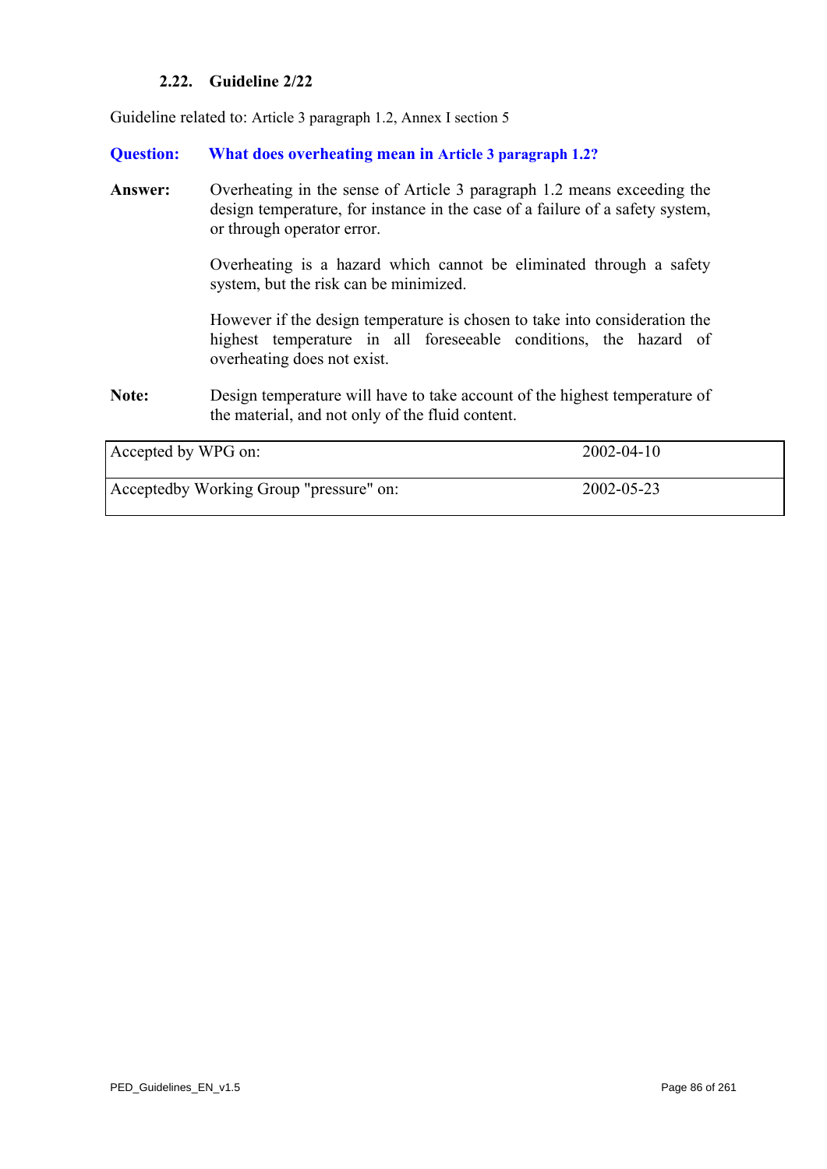# **2.22. Guideline 2/22**

<span id="page-85-0"></span>Guideline related to: Article 3 paragraph 1.2, Annex I section 5

**Question: What does overheating mean in Article 3 paragraph 1.2?**

**Answer:** Overheating in the sense of Article 3 paragraph 1.2 means exceeding the design temperature, for instance in the case of a failure of a safety system, or through operator error.

> Overheating is a hazard which cannot be eliminated through a safety system, but the risk can be minimized.

> However if the design temperature is chosen to take into consideration the highest temperature in all foreseeable conditions, the hazard of overheating does not exist.

**Note:** Design temperature will have to take account of the highest temperature of the material, and not only of the fluid content.

| Accepted by WPG on:                     | $2002 - 04 - 10$ |
|-----------------------------------------|------------------|
| Acceptedby Working Group "pressure" on: | 2002-05-23       |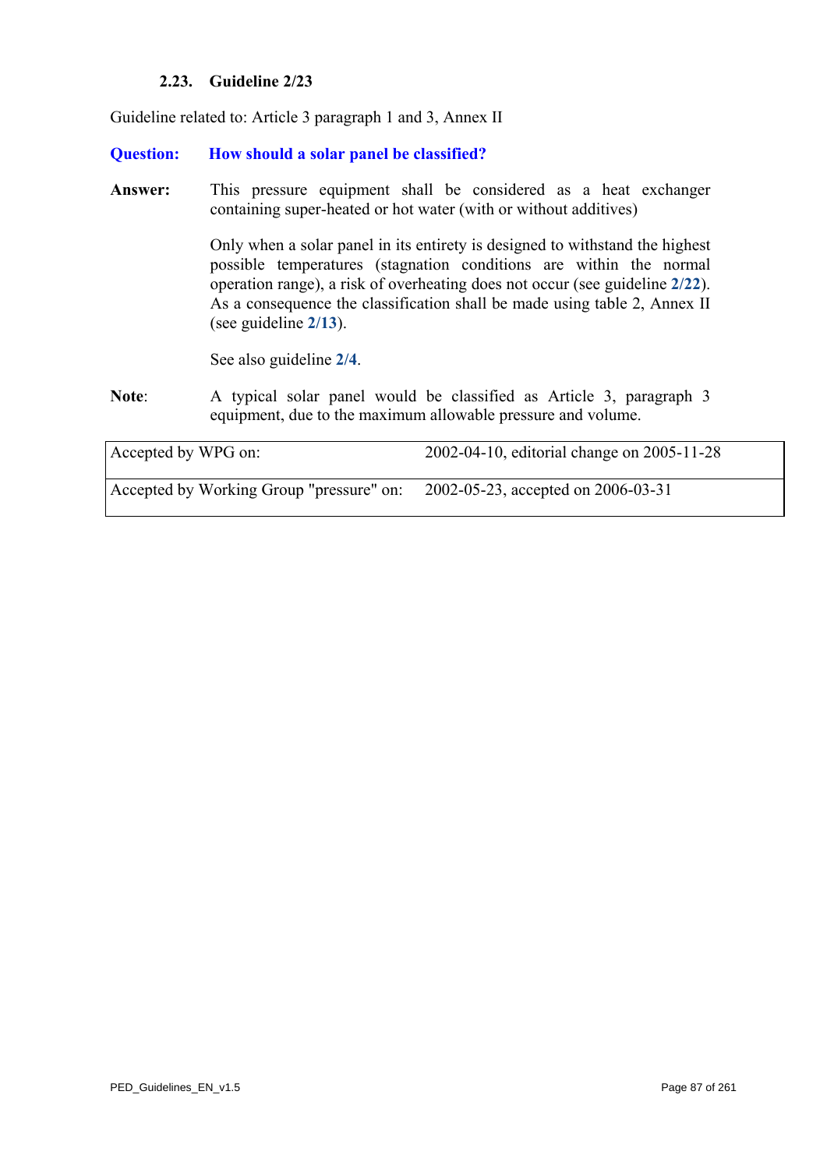# **2.23. Guideline 2/23**

Guideline related to: Article 3 paragraph 1 and 3, Annex II

### **Question: How should a solar panel be classified?**

**Answer:** This pressure equipment shall be considered as a heat exchanger containing super-heated or hot water (with or without additives)

> Only when a solar panel in its entirety is designed to withstand the highest possible temperatures (stagnation conditions are within the normal operation range), a risk of overheating does not occur (see guideline **[2/22](#page-85-0)**). As a consequence the classification shall be made using table 2, Annex II (see guideline **[2/13](#page-76-0)**).

See also guideline **[2/4](#page-65-0)**.

**Note**: A typical solar panel would be classified as Article 3, paragraph 3 equipment, due to the maximum allowable pressure and volume.

| Accepted by WPG on:                      | 2002-04-10, editorial change on 2005-11-28 |
|------------------------------------------|--------------------------------------------|
| Accepted by Working Group "pressure" on: | 2002-05-23, accepted on 2006-03-31         |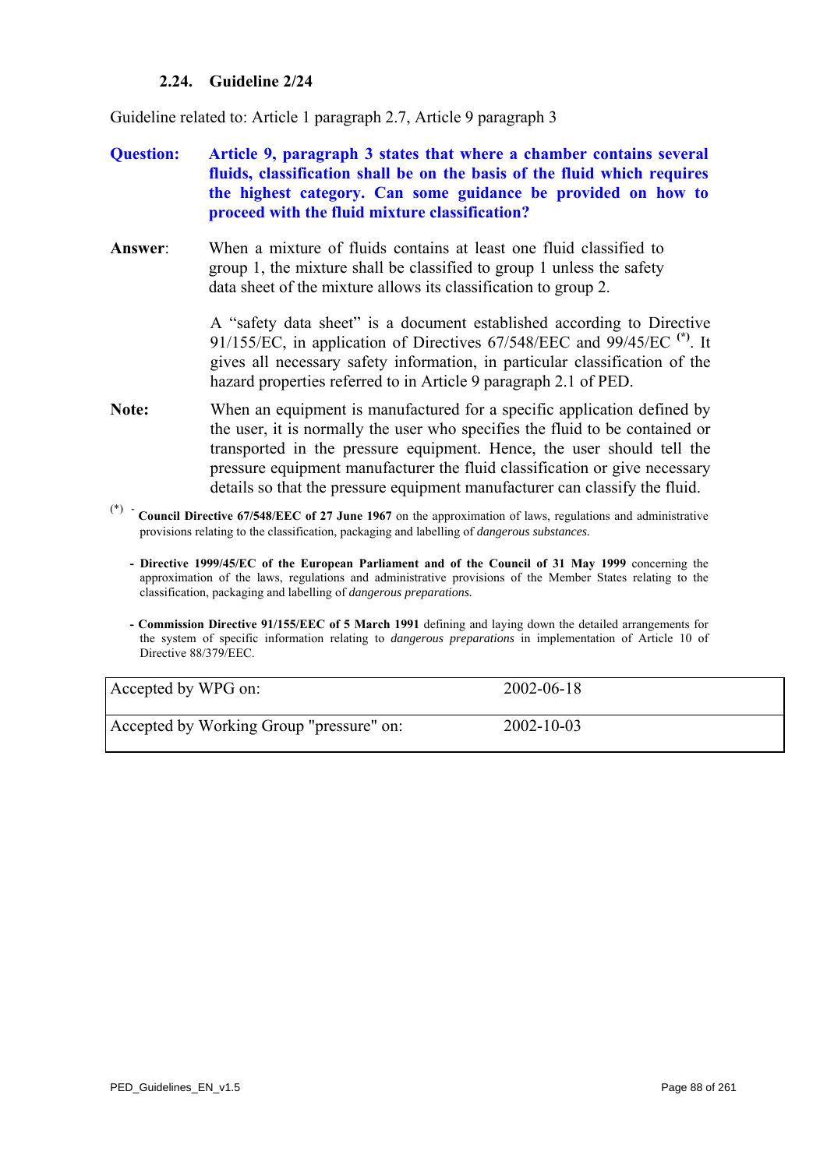# **2.24. Guideline 2/24**

<span id="page-87-0"></span>Guideline related to: Article 1 paragraph 2.7, Article 9 paragraph 3

# **Question: Article 9, paragraph 3 states that where a chamber contains several fluids, classification shall be on the basis of the fluid which requires the highest category. Can some guidance be provided on how to proceed with the fluid mixture classification?**

**Answer**: When a mixture of fluids contains at least one fluid classified to group 1, the mixture shall be classified to group 1 unless the safety data sheet of the mixture allows its classification to group 2.

> A "safety data sheet" is a document established according to Directive 91/155/EC, in application of Directives 67/548/EEC and 99/45/EC **(\*)**. It gives all necessary safety information, in particular classification of the hazard properties referred to in Article 9 paragraph 2.1 of PED.

- **Note:** When an equipment is manufactured for a specific application defined by the user, it is normally the user who specifies the fluid to be contained or transported in the pressure equipment. Hence, the user should tell the pressure equipment manufacturer the fluid classification or give necessary details so that the pressure equipment manufacturer can classify the fluid.
- (\*) **Council Directive 67/548/EEC of 27 June 1967** on the approximation of laws, regulations and administrative provisions relating to the classification, packaging and labelling of *dangerous substances.* 
	- **Directive 1999/45/EC of the European Parliament and of the Council of 31 May 1999** concerning the approximation of the laws, regulations and administrative provisions of the Member States relating to the classification, packaging and labelling of *dangerous preparations.*
	- **Commission Directive 91/155/EEC of 5 March 1991** defining and laying down the detailed arrangements for the system of specific information relating to *dangerous preparations* in implementation of Article 10 of Directive 88/379/EEC.

| Accepted by WPG on:                      | $2002 - 06 - 18$ |  |
|------------------------------------------|------------------|--|
| Accepted by Working Group "pressure" on: | $2002 - 10 - 03$ |  |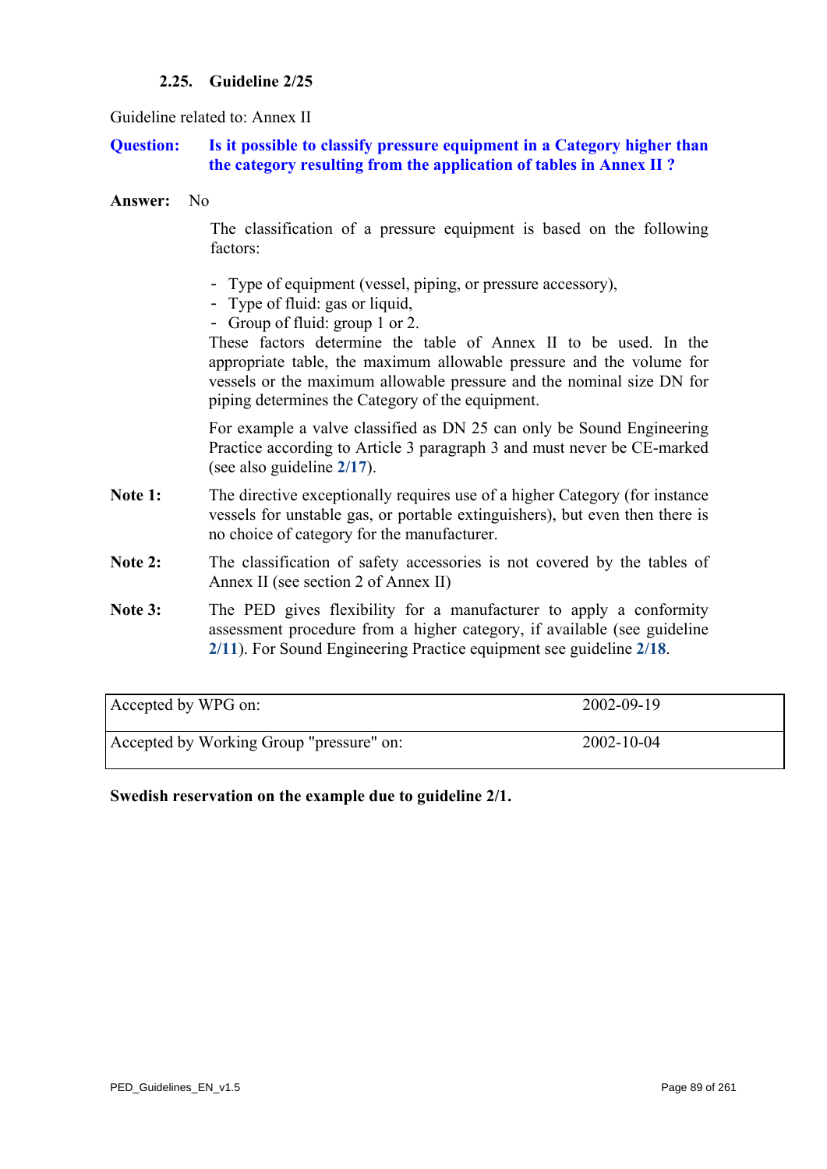# **2.25. Guideline 2/25**

### Guideline related to: Annex II

### **Question: Is it possible to classify pressure equipment in a Category higher than the category resulting from the application of tables in Annex II ?**

#### **Answer:** No

The classification of a pressure equipment is based on the following factors:

- Type of equipment (vessel, piping, or pressure accessory),
- Type of fluid: gas or liquid,
- Group of fluid: group 1 or 2.

These factors determine the table of Annex II to be used. In the appropriate table, the maximum allowable pressure and the volume for vessels or the maximum allowable pressure and the nominal size DN for piping determines the Category of the equipment.

For example a valve classified as DN 25 can only be Sound Engineering Practice according to Article 3 paragraph 3 and must never be CE-marked (see also guideline **[2/17](#page-80-0)**).

- **Note 1:** The directive exceptionally requires use of a higher Category (for instance vessels for unstable gas, or portable extinguishers), but even then there is no choice of category for the manufacturer.
- Note 2: The classification of safety accessories is not covered by the tables of Annex II (see section 2 of Annex II)
- Note 3: The PED gives flexibility for a manufacturer to apply a conformity assessment procedure from a higher category, if available (see guideline **[2/11](#page-74-0)**). For Sound Engineering Practice equipment see guideline **[2/18](#page-81-0)**.

| Accepted by WPG on:                      | 2002-09-19       |
|------------------------------------------|------------------|
| Accepted by Working Group "pressure" on: | $2002 - 10 - 04$ |

**Swedish reservation on the example due to guideline 2/1.**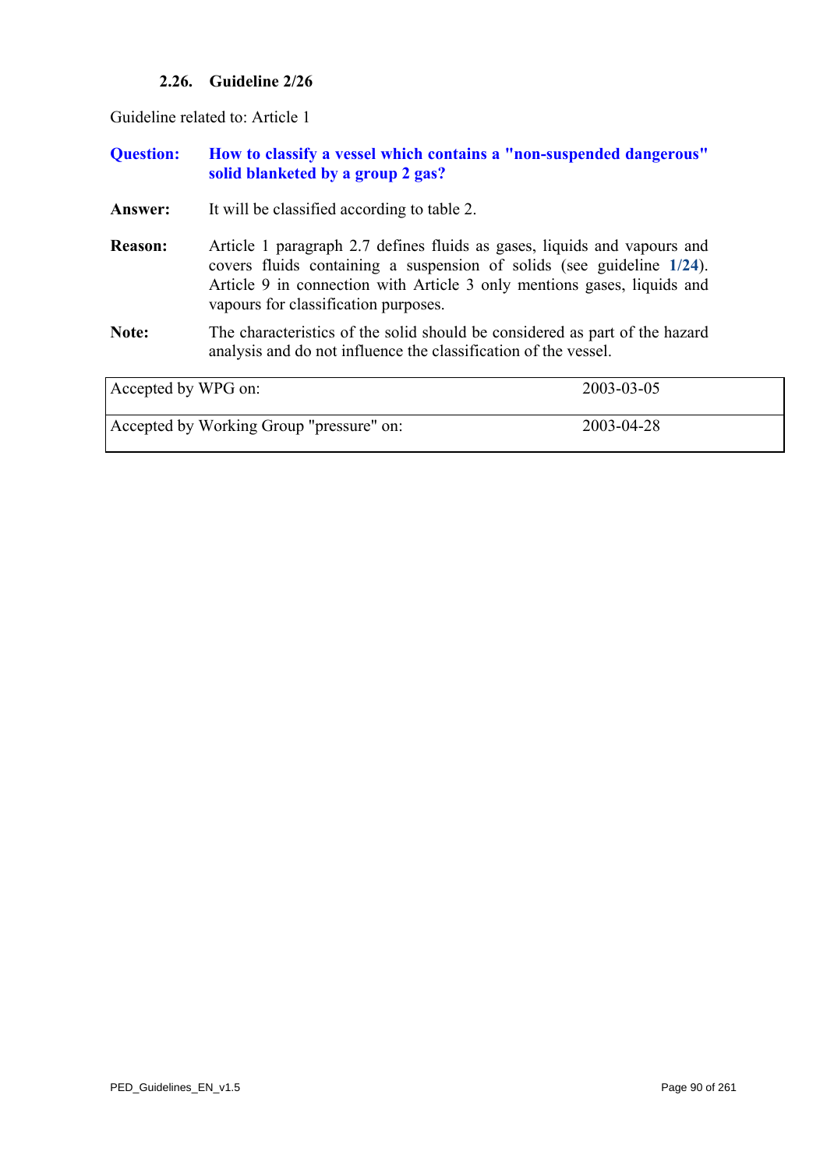# **2.26. Guideline 2/26**

<span id="page-89-0"></span>Guideline related to: Article 1

| <b>Question:</b>    | How to classify a vessel which contains a "non-suspended dangerous"<br>solid blanketed by a group 2 gas?                                                                                                                                                             |            |
|---------------------|----------------------------------------------------------------------------------------------------------------------------------------------------------------------------------------------------------------------------------------------------------------------|------------|
| Answer:             | It will be classified according to table 2.                                                                                                                                                                                                                          |            |
| <b>Reason:</b>      | Article 1 paragraph 2.7 defines fluids as gases, liquids and vapours and<br>covers fluids containing a suspension of solids (see guideline 1/24).<br>Article 9 in connection with Article 3 only mentions gases, liquids and<br>vapours for classification purposes. |            |
| Note:               | The characteristics of the solid should be considered as part of the hazard<br>analysis and do not influence the classification of the vessel.                                                                                                                       |            |
| Accepted by WPG on: |                                                                                                                                                                                                                                                                      | 2003-03-05 |
|                     | Accepted by Working Group "pressure" on:                                                                                                                                                                                                                             | 2003-04-28 |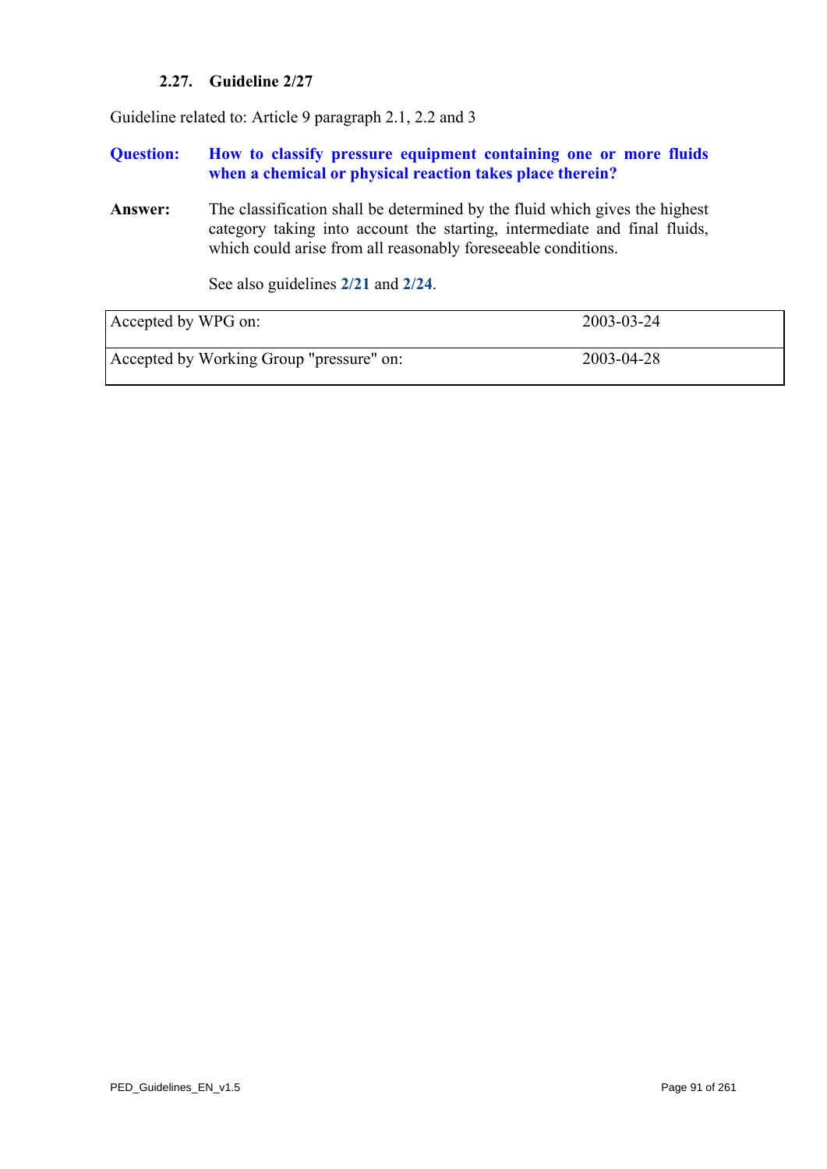# **2.27. Guideline 2/27**

<span id="page-90-0"></span>Guideline related to: Article 9 paragraph 2.1, 2.2 and 3

**Question: How to classify pressure equipment containing one or more fluids when a chemical or physical reaction takes place therein?** 

**Answer:** The classification shall be determined by the fluid which gives the highest category taking into account the starting, intermediate and final fluids, which could arise from all reasonably foreseeable conditions.

See also guidelines **[2/21](#page-84-0)** and **[2/24](#page-87-0)**.

| Accepted by WPG on:                      | 2003-03-24 |
|------------------------------------------|------------|
| Accepted by Working Group "pressure" on: | 2003-04-28 |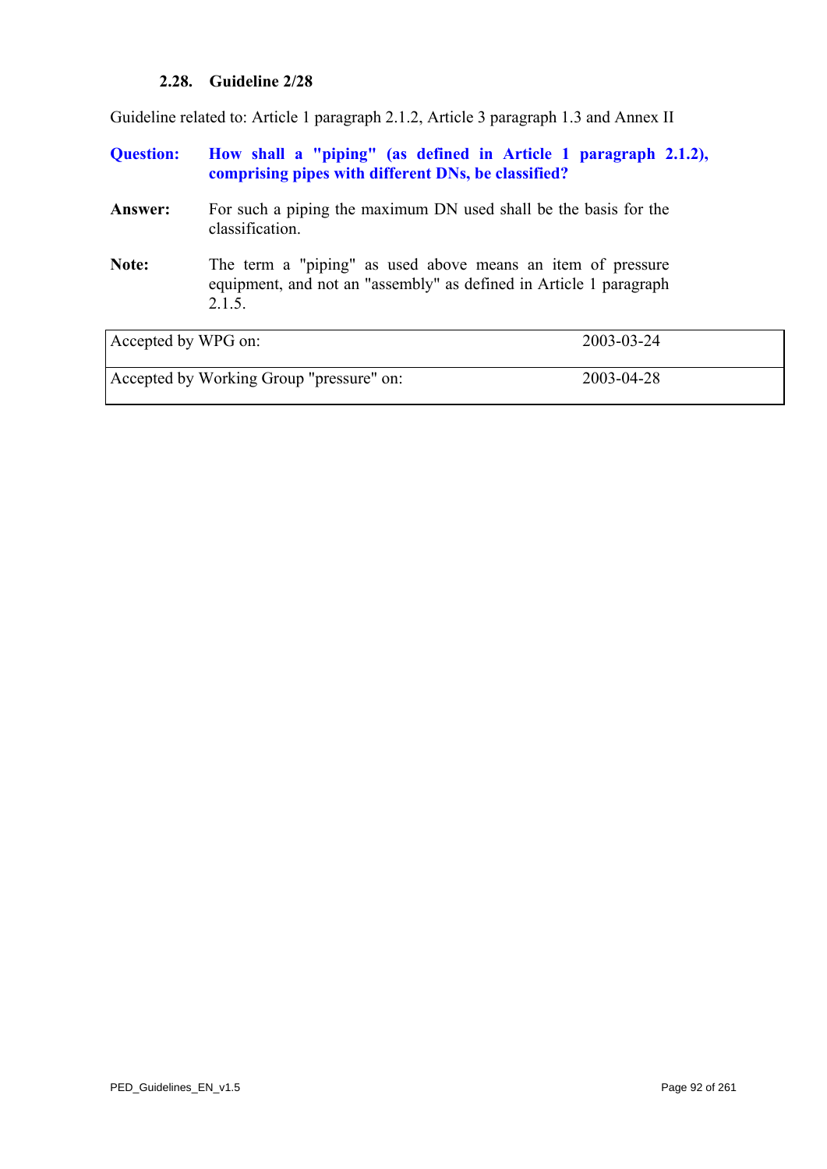# **2.28. Guideline 2/28**

Guideline related to: Article 1 paragraph 2.1.2, Article 3 paragraph 1.3 and Annex II

| <b>Question:</b>    | How shall a "piping" (as defined in Article 1 paragraph 2.1.2),<br>comprising pipes with different DNs, be classified?                      |            |
|---------------------|---------------------------------------------------------------------------------------------------------------------------------------------|------------|
| <b>Answer:</b>      | For such a piping the maximum DN used shall be the basis for the<br>classification.                                                         |            |
| Note:               | The term a "piping" as used above means an item of pressure<br>equipment, and not an "assembly" as defined in Article 1 paragraph<br>2.1.5. |            |
| Accepted by WPG on: |                                                                                                                                             | 2003-03-24 |
|                     | Accepted by Working Group "pressure" on:                                                                                                    | 2003-04-28 |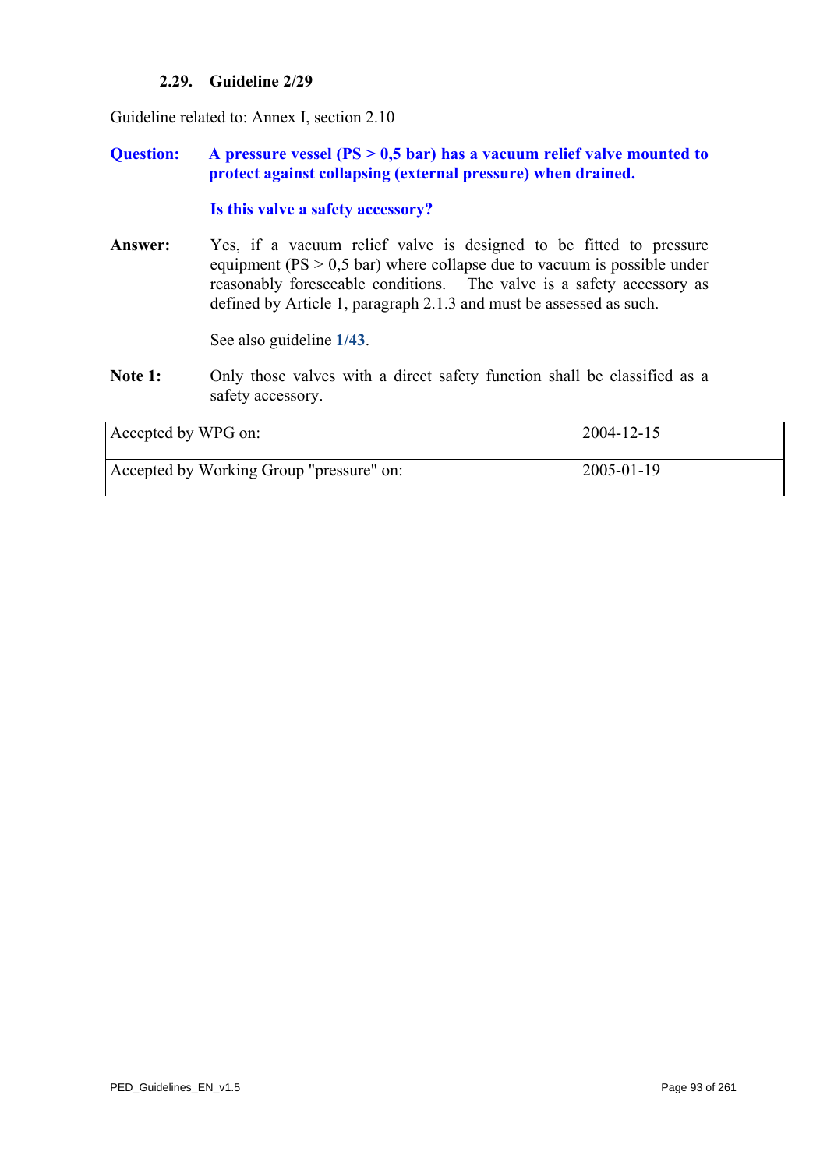### **2.29. Guideline 2/29**

Guideline related to: Annex I, section 2.10

# **Question: A pressure vessel (PS > 0,5 bar) has a vacuum relief valve mounted to protect against collapsing (external pressure) when drained.**

### **Is this valve a safety accessory?**

**Answer:** Yes, if a vacuum relief valve is designed to be fitted to pressure equipment ( $PS > 0.5$  bar) where collapse due to vacuum is possible under reasonably foreseeable conditions. The valve is a safety accessory as defined by Article 1, paragraph 2.1.3 and must be assessed as such.

See also guideline **[1/43](#page-46-0)**.

Note 1: Only those valves with a direct safety function shall be classified as a safety accessory.

| Accepted by WPG on:                      | 2004-12-15 |  |
|------------------------------------------|------------|--|
| Accepted by Working Group "pressure" on: | 2005-01-19 |  |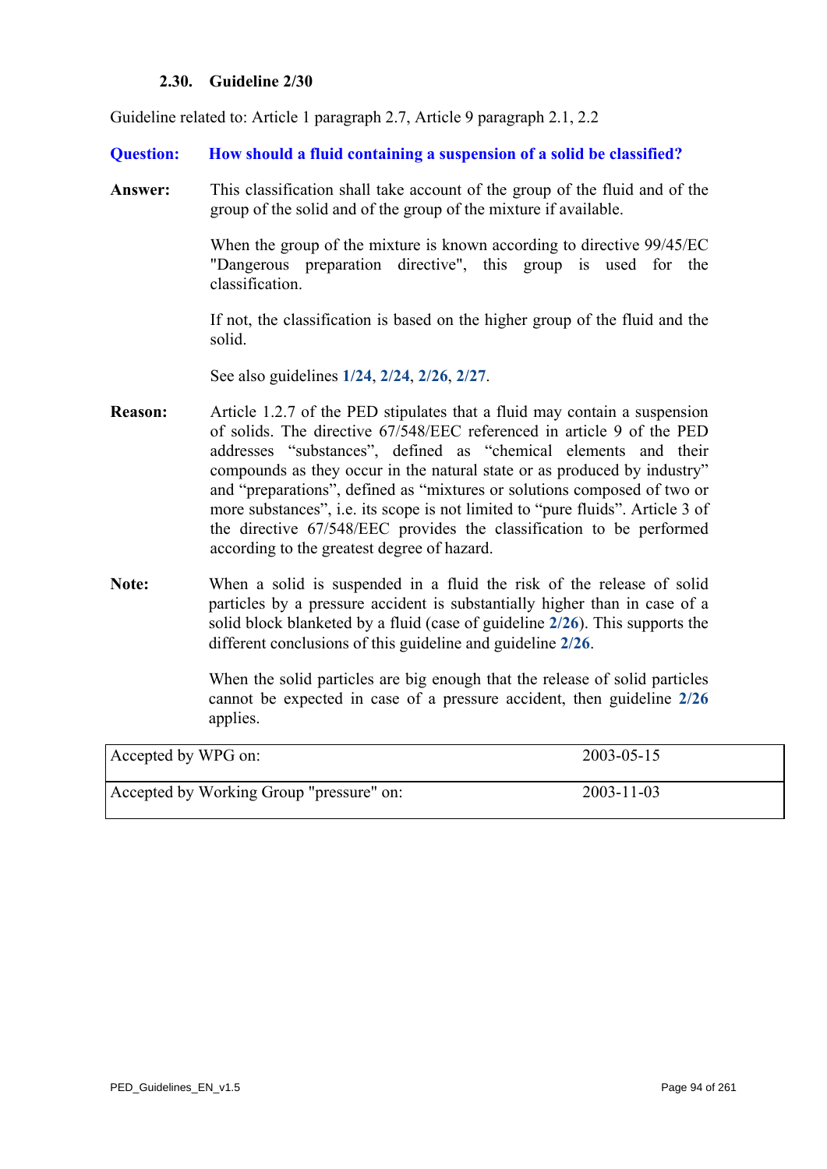### **2.30. Guideline 2/30**

Guideline related to: Article 1 paragraph 2.7, Article 9 paragraph 2.1, 2.2

**Question: How should a fluid containing a suspension of a solid be classified?** 

**Answer:** This classification shall take account of the group of the fluid and of the group of the solid and of the group of the mixture if available.

> When the group of the mixture is known according to directive 99/45/EC "Dangerous preparation directive", this group is used for the classification.

> If not, the classification is based on the higher group of the fluid and the solid.

See also guidelines **[1/24](#page-26-0)**, **[2/24](#page-87-0)**, **[2/26](#page-89-0)**, **[2/27](#page-90-0)**.

- **Reason:** Article 1.2.7 of the PED stipulates that a fluid may contain a suspension of solids. The directive 67/548/EEC referenced in article 9 of the PED addresses "substances", defined as "chemical elements and their compounds as they occur in the natural state or as produced by industry" and "preparations", defined as "mixtures or solutions composed of two or more substances", i.e. its scope is not limited to "pure fluids". Article 3 of the directive 67/548/EEC provides the classification to be performed according to the greatest degree of hazard.
- **Note:** When a solid is suspended in a fluid the risk of the release of solid particles by a pressure accident is substantially higher than in case of a solid block blanketed by a fluid (case of guideline **[2/26](#page-89-0)**). This supports the different conclusions of this guideline and guideline **[2/26](#page-89-0)**.

 When the solid particles are big enough that the release of solid particles cannot be expected in case of a pressure accident, then guideline **[2/26](#page-89-0)** applies.

| Accepted by WPG on:                      | $2003 - 05 - 15$ |
|------------------------------------------|------------------|
| Accepted by Working Group "pressure" on: | $2003 - 11 - 03$ |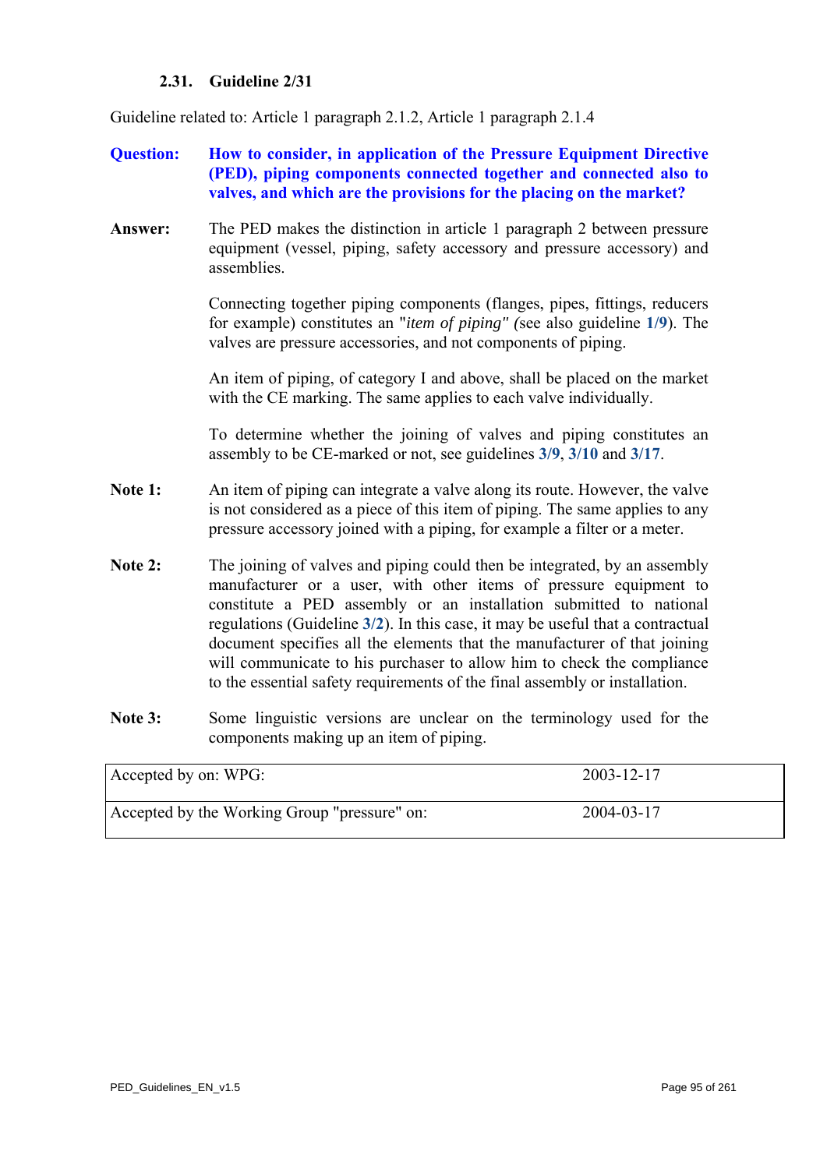# **2.31. Guideline 2/31**

Guideline related to: Article 1 paragraph 2.1.2, Article 1 paragraph 2.1.4

- **Question: How to consider, in application of the Pressure Equipment Directive (PED), piping components connected together and connected also to valves, and which are the provisions for the placing on the market?**
- **Answer:** The PED makes the distinction in article 1 paragraph 2 between pressure equipment (vessel, piping, safety accessory and pressure accessory) and assemblies.

Connecting together piping components (flanges, pipes, fittings, reducers for example) constitutes an "*item of piping" (*see also guideline **[1/9](#page-10-0)**). The valves are pressure accessories, and not components of piping.

An item of piping, of category I and above, shall be placed on the market with the CE marking. The same applies to each valve individually.

To determine whether the joining of valves and piping constitutes an assembly to be CE-marked or not, see guidelines **[3/9](#page-113-0)**, **[3/10](#page-114-0)** and **[3/17](#page-121-0)**.

- **Note 1:** An item of piping can integrate a valve along its route. However, the valve is not considered as a piece of this item of piping. The same applies to any pressure accessory joined with a piping, for example a filter or a meter.
- **Note 2:** The joining of valves and piping could then be integrated, by an assembly manufacturer or a user, with other items of pressure equipment to constitute a PED assembly or an installation submitted to national regulations (Guideline **[3/2](#page-106-0)**). In this case, it may be useful that a contractual document specifies all the elements that the manufacturer of that joining will communicate to his purchaser to allow him to check the compliance to the essential safety requirements of the final assembly or installation.
- Note 3: Some linguistic versions are unclear on the terminology used for the components making up an item of piping.

| Accepted by on: WPG:                         | 2003-12-17 |
|----------------------------------------------|------------|
| Accepted by the Working Group "pressure" on: | 2004-03-17 |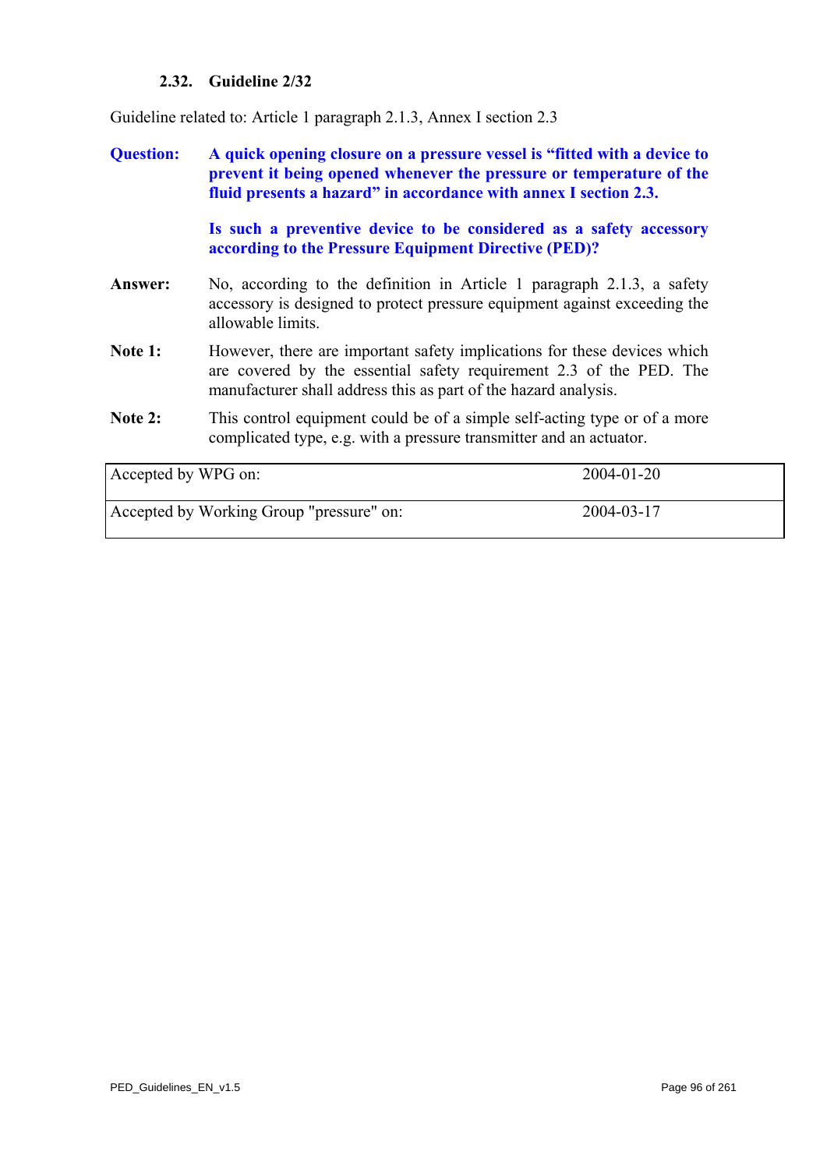# **2.32. Guideline 2/32**

Guideline related to: Article 1 paragraph 2.1.3, Annex I section 2.3

- **Question: A quick opening closure on a pressure vessel is "fitted with a device to prevent it being opened whenever the pressure or temperature of the fluid presents a hazard" in accordance with annex I section 2.3. Is such a preventive device to be considered as a safety accessory according to the Pressure Equipment Directive (PED)?**
- **Answer:** No, according to the definition in Article 1 paragraph 2.1.3, a safety accessory is designed to protect pressure equipment against exceeding the allowable limits.
- Note 1: However, there are important safety implications for these devices which are covered by the essential safety requirement 2.3 of the PED. The manufacturer shall address this as part of the hazard analysis.
- Note 2: This control equipment could be of a simple self-acting type or of a more complicated type, e.g. with a pressure transmitter and an actuator.

| Accepted by WPG on:                      | 2004-01-20 |
|------------------------------------------|------------|
| Accepted by Working Group "pressure" on: | 2004-03-17 |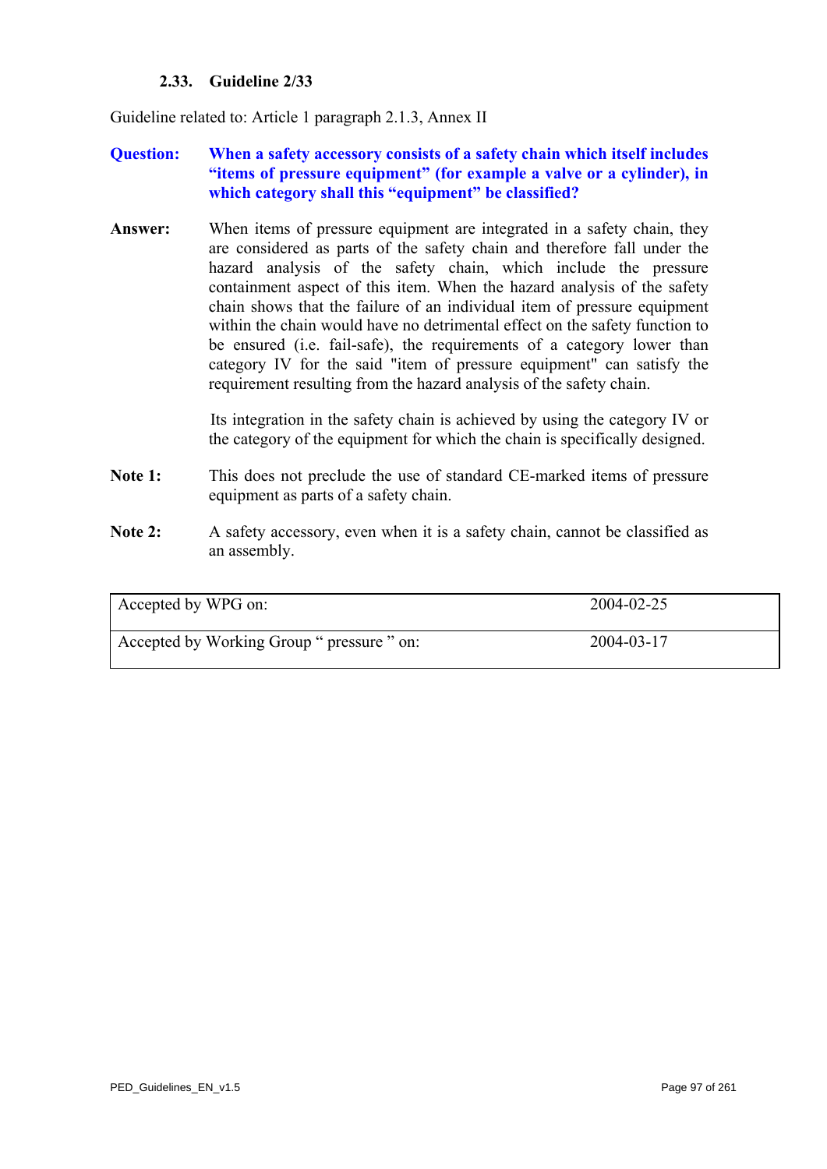# **2.33. Guideline 2/33**

Guideline related to: Article 1 paragraph 2.1.3, Annex II

# **Question: When a safety accessory consists of a safety chain which itself includes "items of pressure equipment" (for example a valve or a cylinder), in which category shall this "equipment" be classified?**

**Answer:** When items of pressure equipment are integrated in a safety chain, they are considered as parts of the safety chain and therefore fall under the hazard analysis of the safety chain, which include the pressure containment aspect of this item. When the hazard analysis of the safety chain shows that the failure of an individual item of pressure equipment within the chain would have no detrimental effect on the safety function to be ensured (i.e. fail-safe), the requirements of a category lower than category IV for the said "item of pressure equipment" can satisfy the requirement resulting from the hazard analysis of the safety chain.

> Its integration in the safety chain is achieved by using the category IV or the category of the equipment for which the chain is specifically designed.

- Note 1: This does not preclude the use of standard CE-marked items of pressure equipment as parts of a safety chain.
- Note 2: A safety accessory, even when it is a safety chain, cannot be classified as an assembly.

| Accepted by WPG on:                        | 2004-02-25 |
|--------------------------------------------|------------|
| Accepted by Working Group " pressure " on: | 2004-03-17 |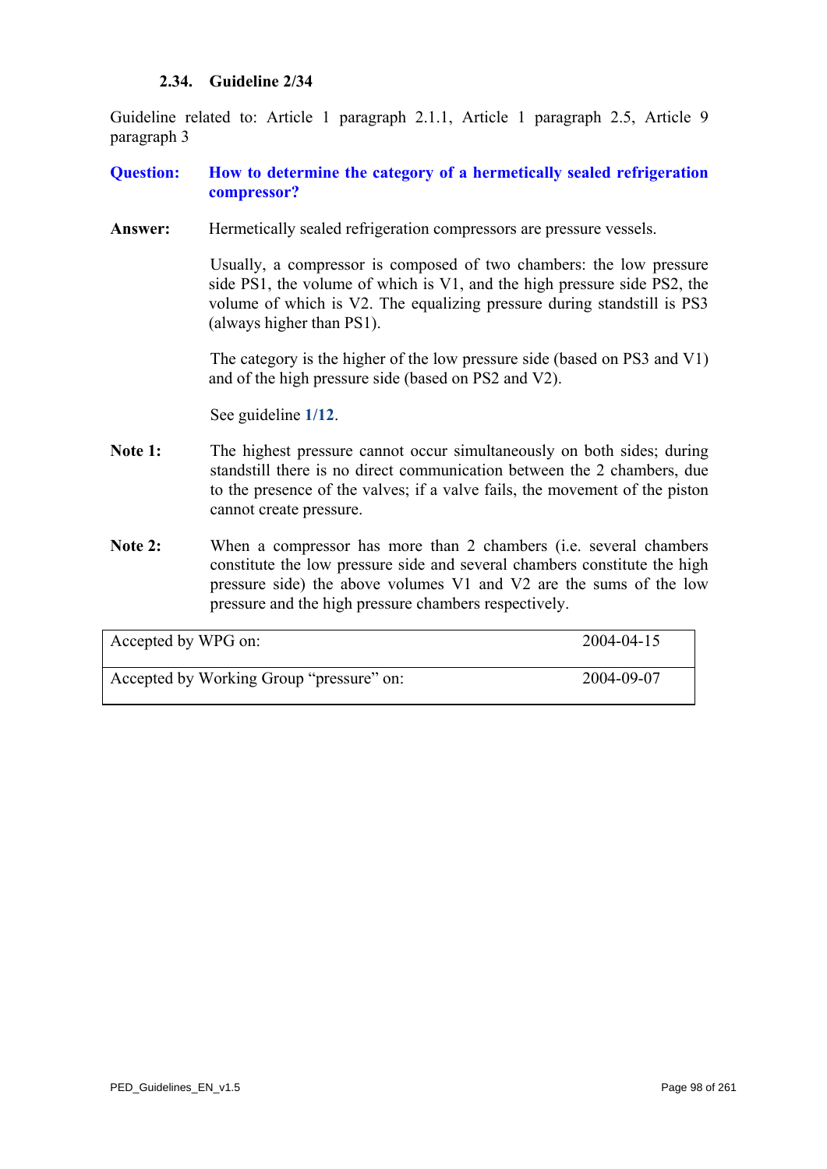### **2.34. Guideline 2/34**

Guideline related to: Article 1 paragraph 2.1.1, Article 1 paragraph 2.5, Article 9 paragraph 3

# **Question: How to determine the category of a hermetically sealed refrigeration compressor?**

Answer: Hermetically sealed refrigeration compressors are pressure vessels.

Usually, a compressor is composed of two chambers: the low pressure side PS1, the volume of which is V1, and the high pressure side PS2, the volume of which is V2. The equalizing pressure during standstill is PS3 (always higher than PS1).

The category is the higher of the low pressure side (based on PS3 and V1) and of the high pressure side (based on PS2 and V2).

See guideline **[1/12](#page-14-0)**.

- Note 1: The highest pressure cannot occur simultaneously on both sides; during standstill there is no direct communication between the 2 chambers, due to the presence of the valves; if a valve fails, the movement of the piston cannot create pressure.
- **Note 2:** When a compressor has more than 2 chambers (i.e. several chambers constitute the low pressure side and several chambers constitute the high pressure side) the above volumes V1 and V2 are the sums of the low pressure and the high pressure chambers respectively.

| Accepted by WPG on:                      | 2004-04-15 |
|------------------------------------------|------------|
| Accepted by Working Group "pressure" on: | 2004-09-07 |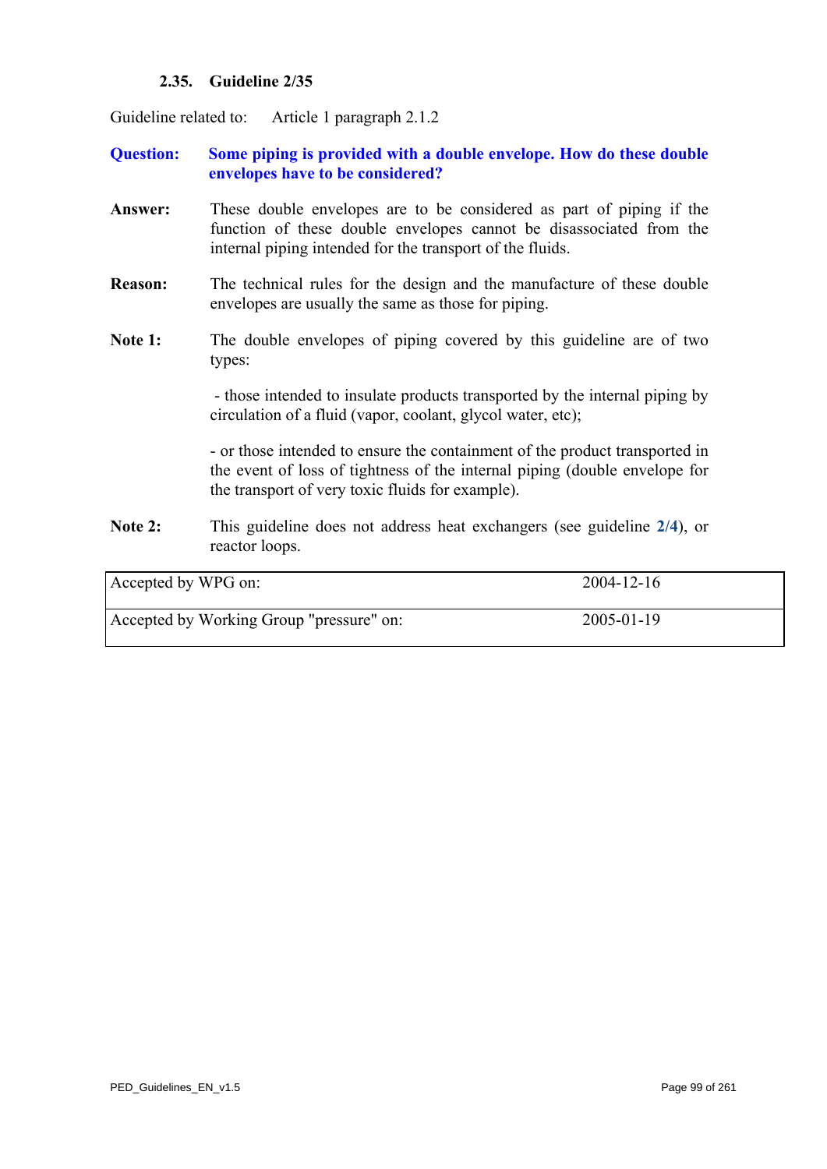# **2.35. Guideline 2/35**

Guideline related to: Article 1 paragraph 2.1.2

# **Question: Some piping is provided with a double envelope. How do these double envelopes have to be considered?**

- **Answer:** These double envelopes are to be considered as part of piping if the function of these double envelopes cannot be disassociated from the internal piping intended for the transport of the fluids.
- **Reason:** The technical rules for the design and the manufacture of these double envelopes are usually the same as those for piping.
- Note 1: The double envelopes of piping covered by this guideline are of two types:

- those intended to insulate products transported by the internal piping by circulation of a fluid (vapor, coolant, glycol water, etc);

- or those intended to ensure the containment of the product transported in the event of loss of tightness of the internal piping (double envelope for the transport of very toxic fluids for example).

**Note 2:** This guideline does not address heat exchangers (see guideline **[2/4](#page-65-0)**), or reactor loops.

| Accepted by WPG on:                      | $2004 - 12 - 16$ |
|------------------------------------------|------------------|
| Accepted by Working Group "pressure" on: | $2005 - 01 - 19$ |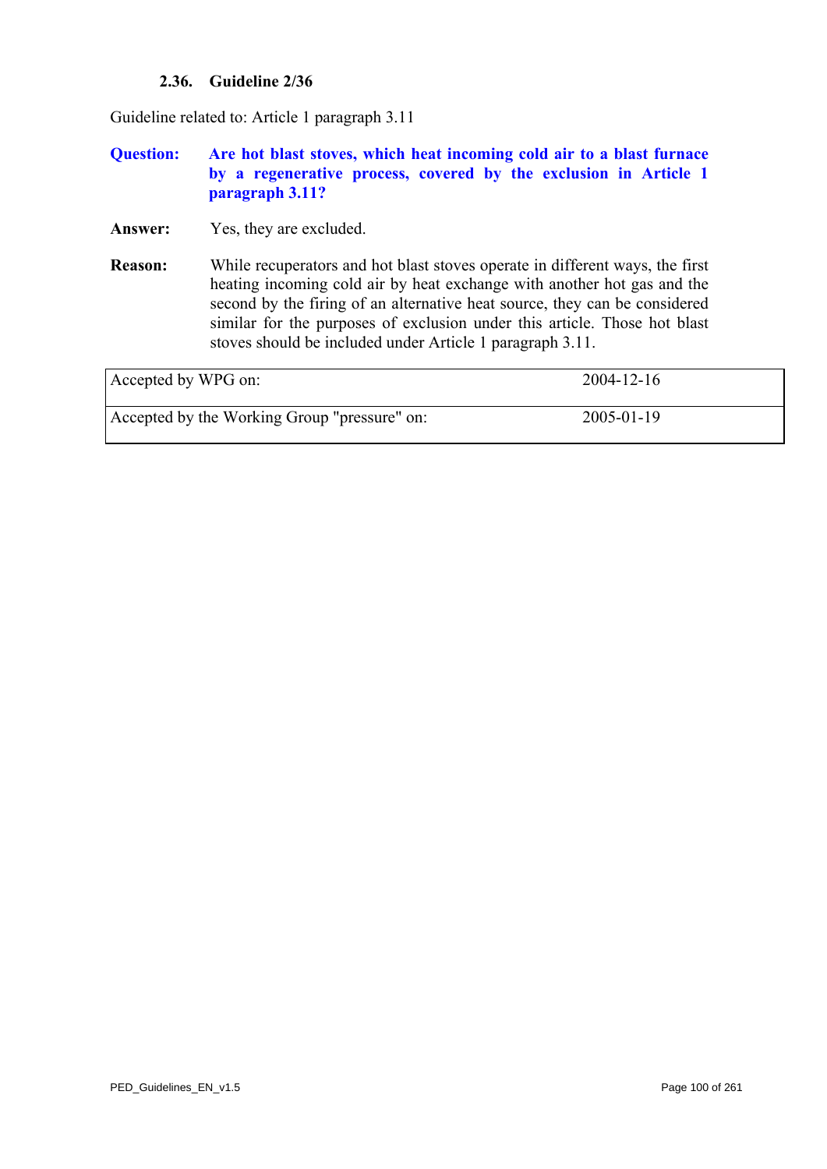# **2.36. Guideline 2/36**

Guideline related to: Article 1 paragraph 3.11

### **Question: Are hot blast stoves, which heat incoming cold air to a blast furnace by a regenerative process, covered by the exclusion in Article 1 paragraph 3.11?**

- **Answer:** Yes, they are excluded.
- **Reason:** While recuperators and hot blast stoves operate in different ways, the first heating incoming cold air by heat exchange with another hot gas and the second by the firing of an alternative heat source, they can be considered similar for the purposes of exclusion under this article. Those hot blast stoves should be included under Article 1 paragraph 3.11.

| Accepted by WPG on:                          | $2004 - 12 - 16$ |
|----------------------------------------------|------------------|
| Accepted by the Working Group "pressure" on: | 2005-01-19       |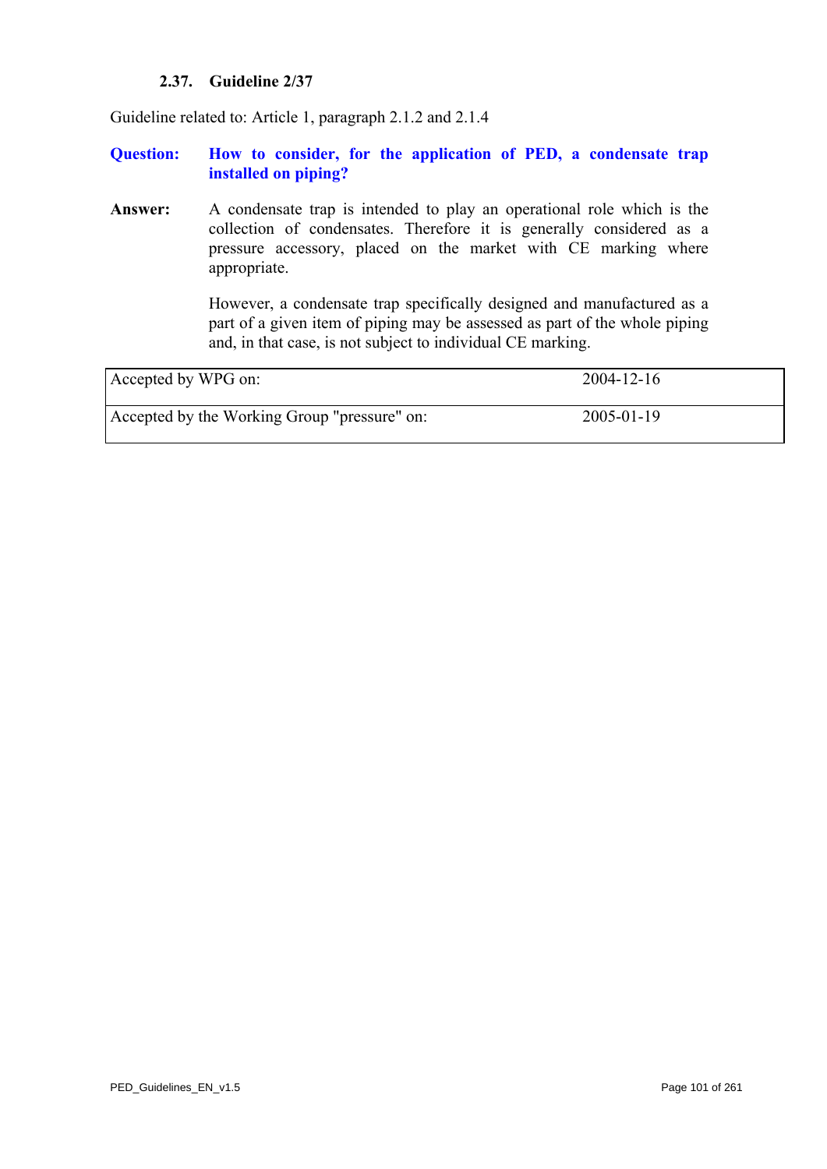# **2.37. Guideline 2/37**

Guideline related to: Article 1, paragraph 2.1.2 and 2.1.4

**Question: How to consider, for the application of PED, a condensate trap installed on piping?** 

**Answer:** A condensate trap is intended to play an operational role which is the collection of condensates. Therefore it is generally considered as a pressure accessory, placed on the market with CE marking where appropriate.

> However, a condensate trap specifically designed and manufactured as a part of a given item of piping may be assessed as part of the whole piping and, in that case, is not subject to individual CE marking.

| Accepted by WPG on:                          | 2004-12-16 |
|----------------------------------------------|------------|
| Accepted by the Working Group "pressure" on: | 2005-01-19 |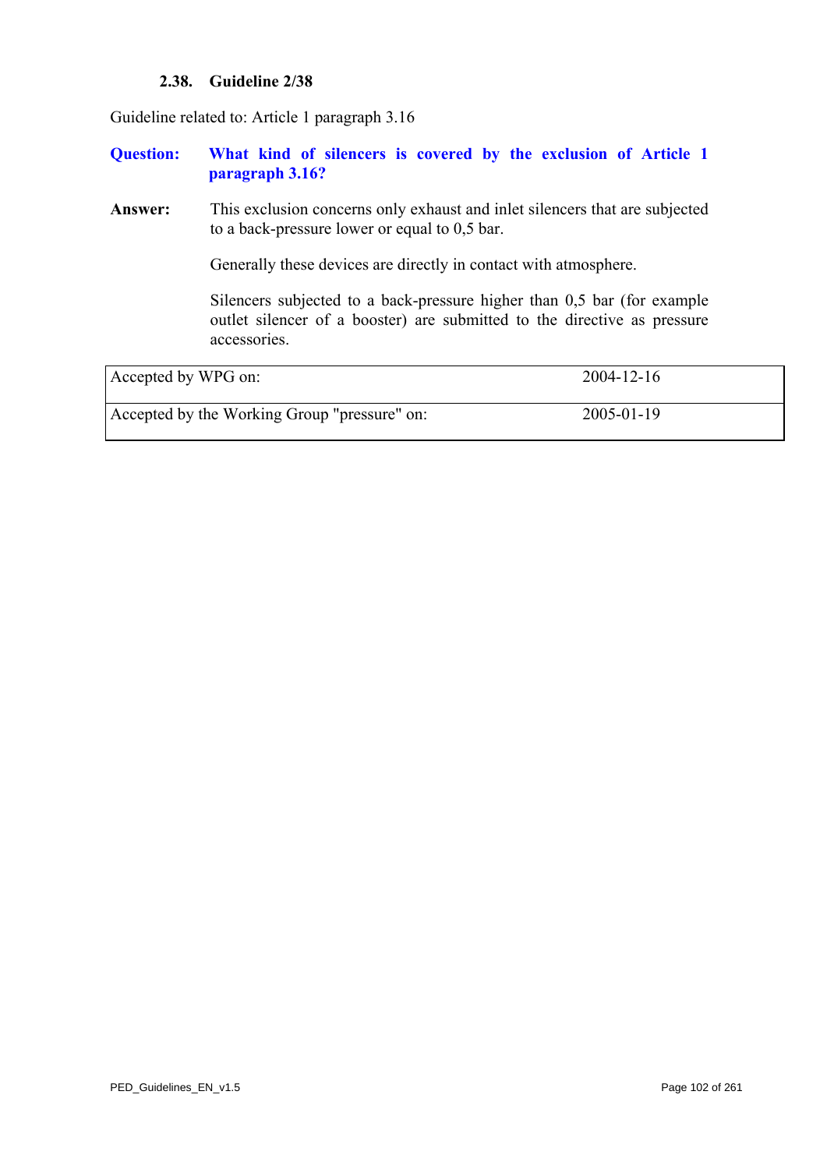### **2.38. Guideline 2/38**

Guideline related to: Article 1 paragraph 3.16

### **Question: What kind of silencers is covered by the exclusion of Article 1 paragraph 3.16?**

**Answer:** This exclusion concerns only exhaust and inlet silencers that are subjected to a back-pressure lower or equal to 0,5 bar.

Generally these devices are directly in contact with atmosphere.

Silencers subjected to a back-pressure higher than 0,5 bar (for example outlet silencer of a booster) are submitted to the directive as pressure accessories.

| Accepted by WPG on:                          | $2004 - 12 - 16$ |
|----------------------------------------------|------------------|
| Accepted by the Working Group "pressure" on: | $2005 - 01 - 19$ |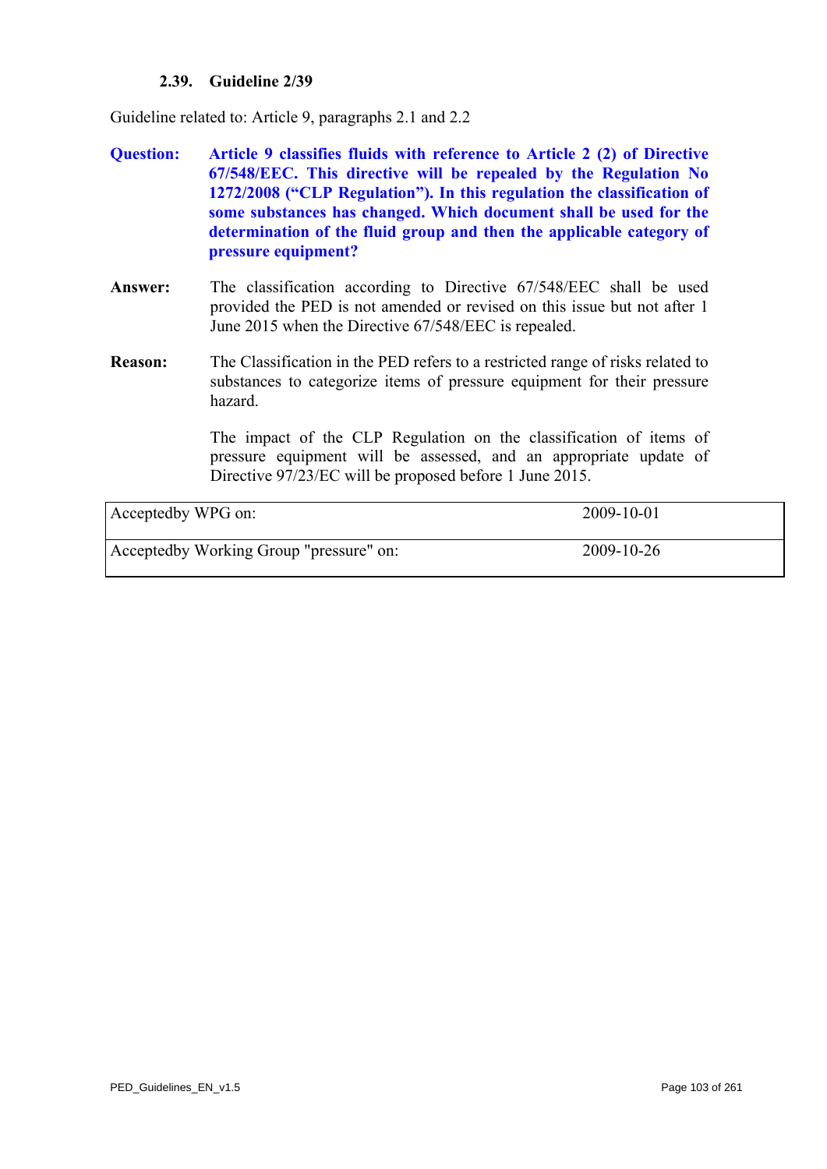### **2.39. Guideline 2/39**

Guideline related to: Article 9, paragraphs 2.1 and 2.2

- **Question: Article 9 classifies fluids with reference to Article 2 (2) of Directive 67/548/EEC. This directive will be repealed by the Regulation No 1272/2008 ("CLP Regulation"). In this regulation the classification of some substances has changed. Which document shall be used for the determination of the fluid group and then the applicable category of pressure equipment?**
- **Answer:** The classification according to Directive 67/548/EEC shall be used provided the PED is not amended or revised on this issue but not after 1 June 2015 when the Directive 67/548/EEC is repealed.
- **Reason:** The Classification in the PED refers to a restricted range of risks related to substances to categorize items of pressure equipment for their pressure hazard.

The impact of the CLP Regulation on the classification of items of pressure equipment will be assessed, and an appropriate update of Directive 97/23/EC will be proposed before 1 June 2015.

| Acceptedby WPG on:                      | 2009-10-01 |
|-----------------------------------------|------------|
| Acceptedby Working Group "pressure" on: | 2009-10-26 |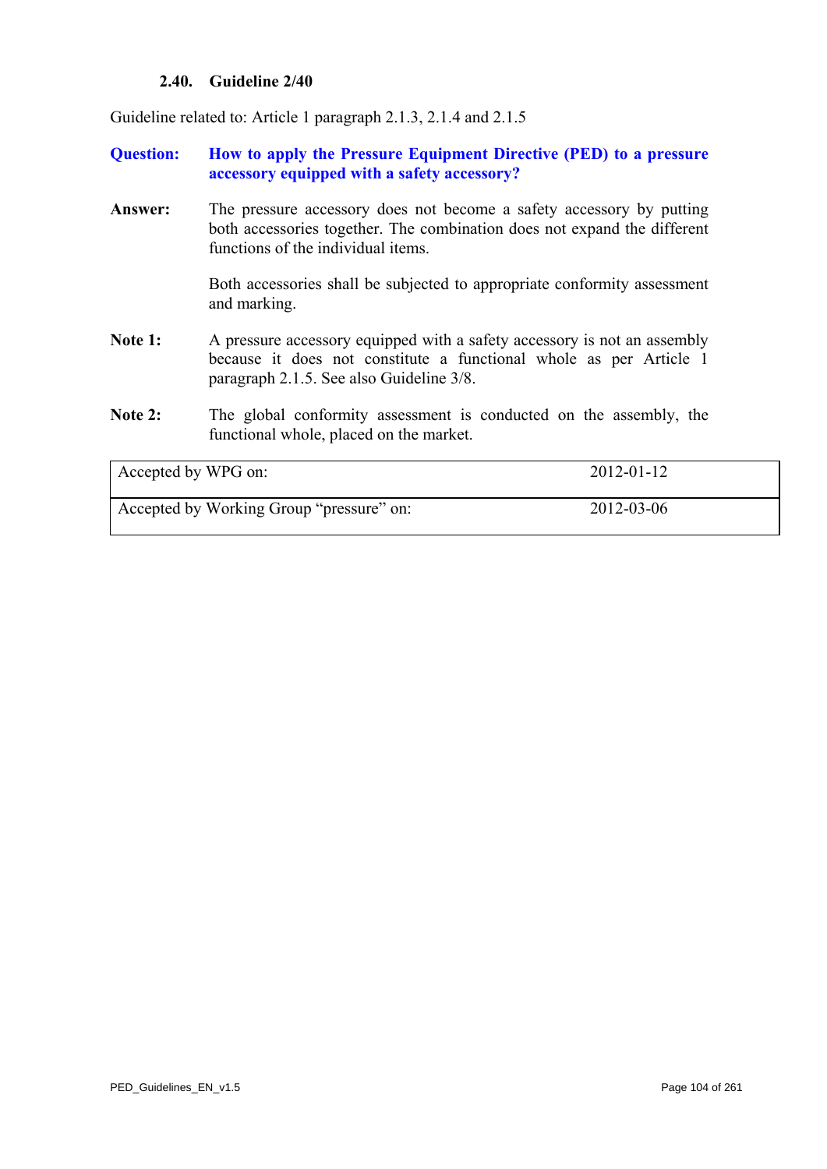### **2.40. Guideline 2/40**

Guideline related to: Article 1 paragraph 2.1.3, 2.1.4 and 2.1.5

# **Question: How to apply the Pressure Equipment Directive (PED) to a pressure accessory equipped with a safety accessory?**

**Answer:** The pressure accessory does not become a safety accessory by putting both accessories together. The combination does not expand the different functions of the individual items.

> Both accessories shall be subjected to appropriate conformity assessment and marking.

- Note 1: A pressure accessory equipped with a safety accessory is not an assembly because it does not constitute a functional whole as per Article 1 paragraph 2.1.5. See also Guideline 3/8.
- **Note 2:** The global conformity assessment is conducted on the assembly, the functional whole, placed on the market.

<span id="page-103-0"></span>

| Accepted by WPG on:                      | $2012 - 01 - 12$ |
|------------------------------------------|------------------|
| Accepted by Working Group "pressure" on: | 2012-03-06       |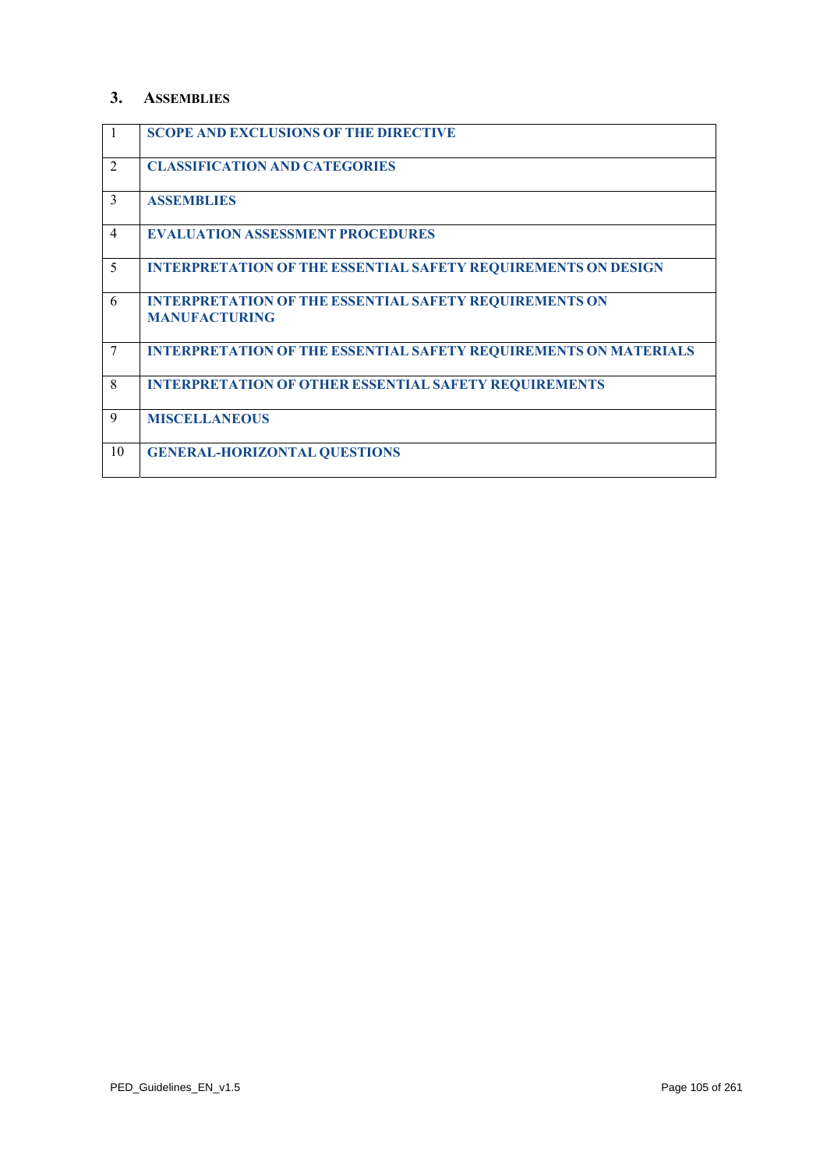### **3. ASSEMBLIES**

| 1              | <b>SCOPE AND EXCLUSIONS OF THE DIRECTIVE</b>                                          |
|----------------|---------------------------------------------------------------------------------------|
| $\overline{2}$ | <b>CLASSIFICATION AND CATEGORIES</b>                                                  |
| $\mathcal{E}$  | <b>ASSEMBLIES</b>                                                                     |
| $\overline{4}$ | <b>EVALUATION ASSESSMENT PROCEDURES</b>                                               |
| 5              | <b>INTERPRETATION OF THE ESSENTIAL SAFETY REQUIREMENTS ON DESIGN</b>                  |
| 6              | <b>INTERPRETATION OF THE ESSENTIAL SAFETY REQUIREMENTS ON</b><br><b>MANUFACTURING</b> |
| 7              | <b>INTERPRETATION OF THE ESSENTIAL SAFETY REQUIREMENTS ON MATERIALS</b>               |
| 8              | <b>INTERPRETATION OF OTHER ESSENTIAL SAFETY REQUIREMENTS</b>                          |
| $\mathbf Q$    | <b>MISCELLANEOUS</b>                                                                  |
| 10             | <b>GENERAL-HORIZONTAL QUESTIONS</b>                                                   |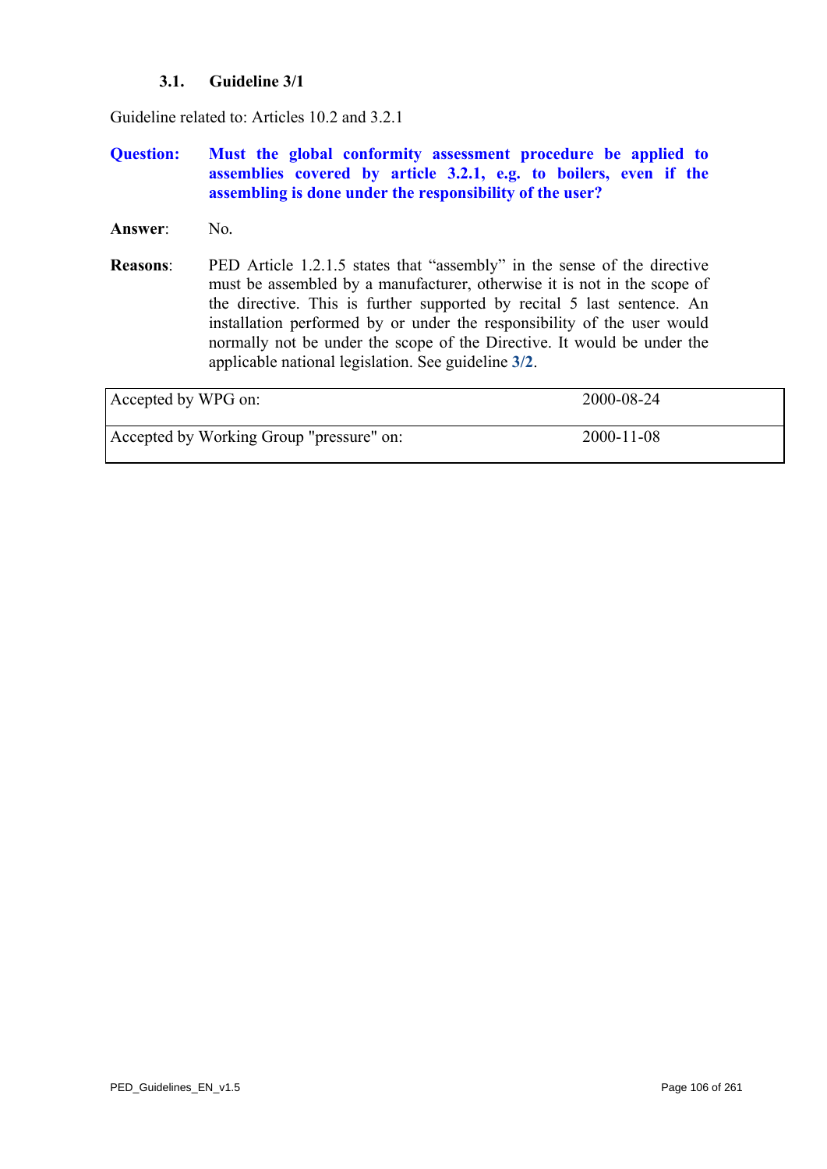# **3.1. Guideline 3/1**

Guideline related to: Articles 10.2 and 3.2.1

# **Question: Must the global conformity assessment procedure be applied to assemblies covered by article 3.2.1, e.g. to boilers, even if the assembling is done under the responsibility of the user?**

- Answer: No.
- **Reasons**: PED Article 1.2.1.5 states that "assembly" in the sense of the directive must be assembled by a manufacturer, otherwise it is not in the scope of the directive. This is further supported by recital 5 last sentence. An installation performed by or under the responsibility of the user would normally not be under the scope of the Directive. It would be under the applicable national legislation. See guideline **[3/2](#page-106-0)**.

| Accepted by WPG on:                      | 2000-08-24       |
|------------------------------------------|------------------|
| Accepted by Working Group "pressure" on: | $2000 - 11 - 08$ |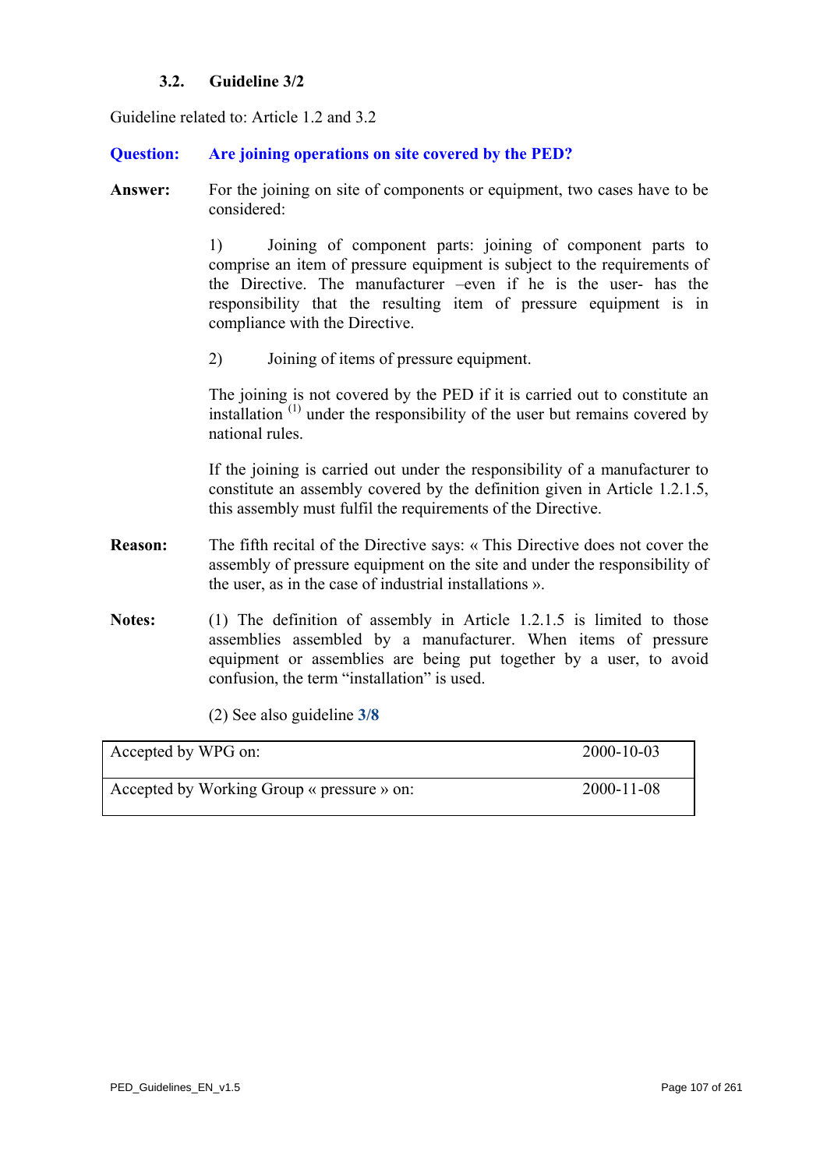# **3.2. Guideline 3/2**

<span id="page-106-0"></span>Guideline related to: Article 1.2 and 3.2

## **Question: Are joining operations on site covered by the PED?**

**Answer:** For the joining on site of components or equipment, two cases have to be considered:

> 1) Joining of component parts: joining of component parts to comprise an item of pressure equipment is subject to the requirements of the Directive. The manufacturer –even if he is the user- has the responsibility that the resulting item of pressure equipment is in compliance with the Directive.

2) Joining of items of pressure equipment.

The joining is not covered by the PED if it is carried out to constitute an installation  $(1)$  under the responsibility of the user but remains covered by national rules.

If the joining is carried out under the responsibility of a manufacturer to constitute an assembly covered by the definition given in Article 1.2.1.5, this assembly must fulfil the requirements of the Directive.

- **Reason:** The fifth recital of the Directive says: « This Directive does not cover the assembly of pressure equipment on the site and under the responsibility of the user, as in the case of industrial installations ».
- Notes: (1) The definition of assembly in Article 1.2.1.5 is limited to those assemblies assembled by a manufacturer. When items of pressure equipment or assemblies are being put together by a user, to avoid confusion, the term "installation" is used.

(2) See also guideline **[3/8](#page-112-0)**

| Accepted by WPG on:                        | 2000-10-03       |
|--------------------------------------------|------------------|
| Accepted by Working Group « pressure » on: | $2000 - 11 - 08$ |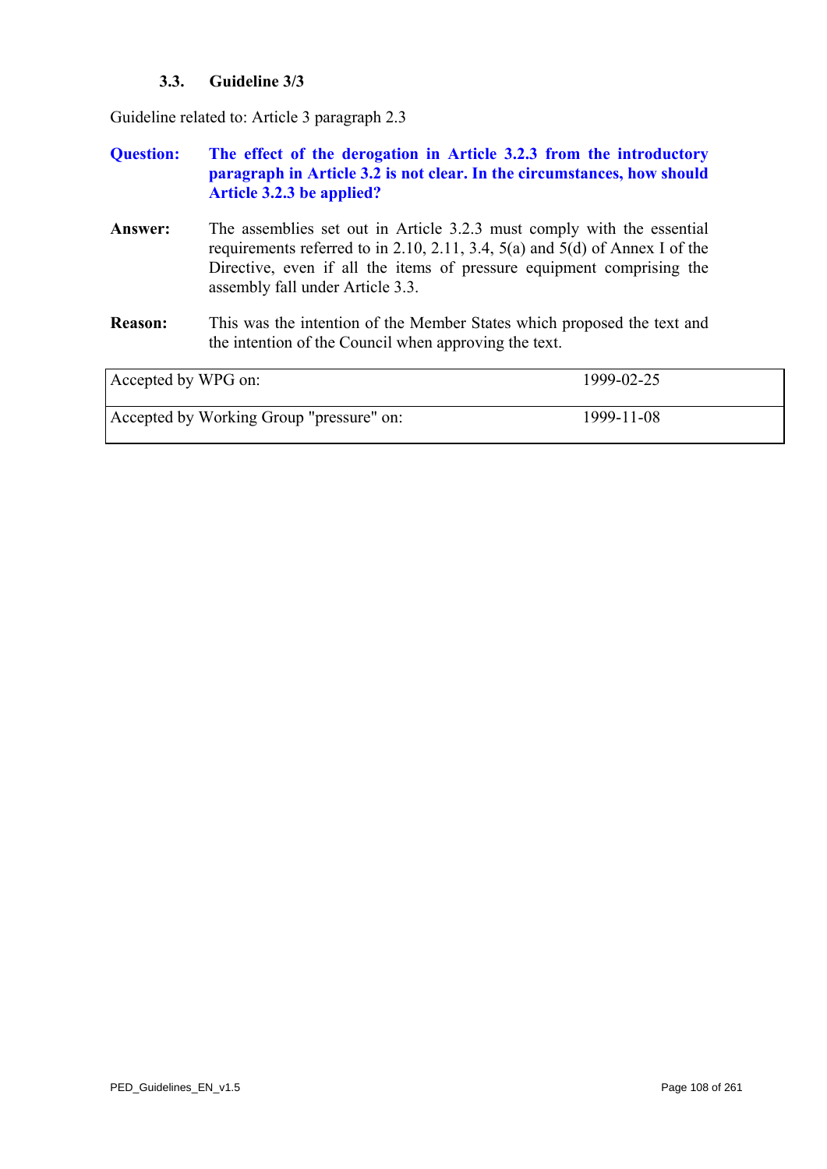# **3.3. Guideline 3/3**

Guideline related to: Article 3 paragraph 2.3

| <b>Ouestion:</b> | The effect of the derogation in Article 3.2.3 from the introductory     |
|------------------|-------------------------------------------------------------------------|
|                  | paragraph in Article 3.2 is not clear. In the circumstances, how should |
|                  | Article 3.2.3 be applied?                                               |

- **Answer:** The assemblies set out in Article 3.2.3 must comply with the essential requirements referred to in 2.10, 2.11, 3.4, 5(a) and 5(d) of Annex I of the Directive, even if all the items of pressure equipment comprising the assembly fall under Article 3.3.
- **Reason:** This was the intention of the Member States which proposed the text and the intention of the Council when approving the text.

| Accepted by WPG on:                      | 1999-02-25 |
|------------------------------------------|------------|
| Accepted by Working Group "pressure" on: | 1999-11-08 |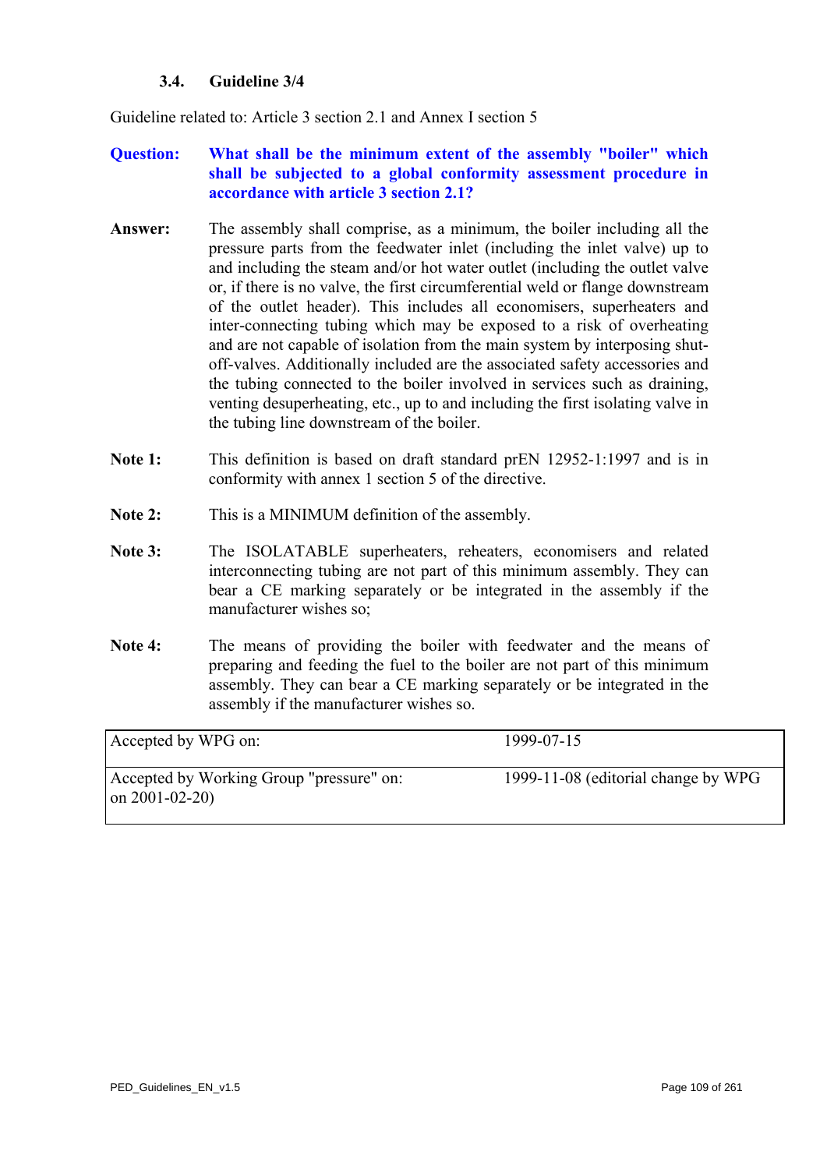## **3.4. Guideline 3/4**

<span id="page-108-0"></span>Guideline related to: Article 3 section 2.1 and Annex I section 5

## **Question: What shall be the minimum extent of the assembly "boiler" which shall be subjected to a global conformity assessment procedure in accordance with article 3 section 2.1?**

- **Answer:** The assembly shall comprise, as a minimum, the boiler including all the pressure parts from the feedwater inlet (including the inlet valve) up to and including the steam and/or hot water outlet (including the outlet valve or, if there is no valve, the first circumferential weld or flange downstream of the outlet header). This includes all economisers, superheaters and inter-connecting tubing which may be exposed to a risk of overheating and are not capable of isolation from the main system by interposing shutoff-valves. Additionally included are the associated safety accessories and the tubing connected to the boiler involved in services such as draining, venting desuperheating, etc., up to and including the first isolating valve in the tubing line downstream of the boiler.
- **Note 1:** This definition is based on draft standard prEN 12952-1:1997 and is in conformity with annex 1 section 5 of the directive.
- **Note 2:** This is a MINIMUM definition of the assembly.
- Note 3: The ISOLATABLE superheaters, reheaters, economisers and related interconnecting tubing are not part of this minimum assembly. They can bear a CE marking separately or be integrated in the assembly if the manufacturer wishes so;
- Note 4: The means of providing the boiler with feedwater and the means of preparing and feeding the fuel to the boiler are not part of this minimum assembly. They can bear a CE marking separately or be integrated in the assembly if the manufacturer wishes so.

| Accepted by WPG on:                                             | 1999-07-15                          |
|-----------------------------------------------------------------|-------------------------------------|
| Accepted by Working Group "pressure" on:<br>on $2001 - 02 - 20$ | 1999-11-08 (editorial change by WPG |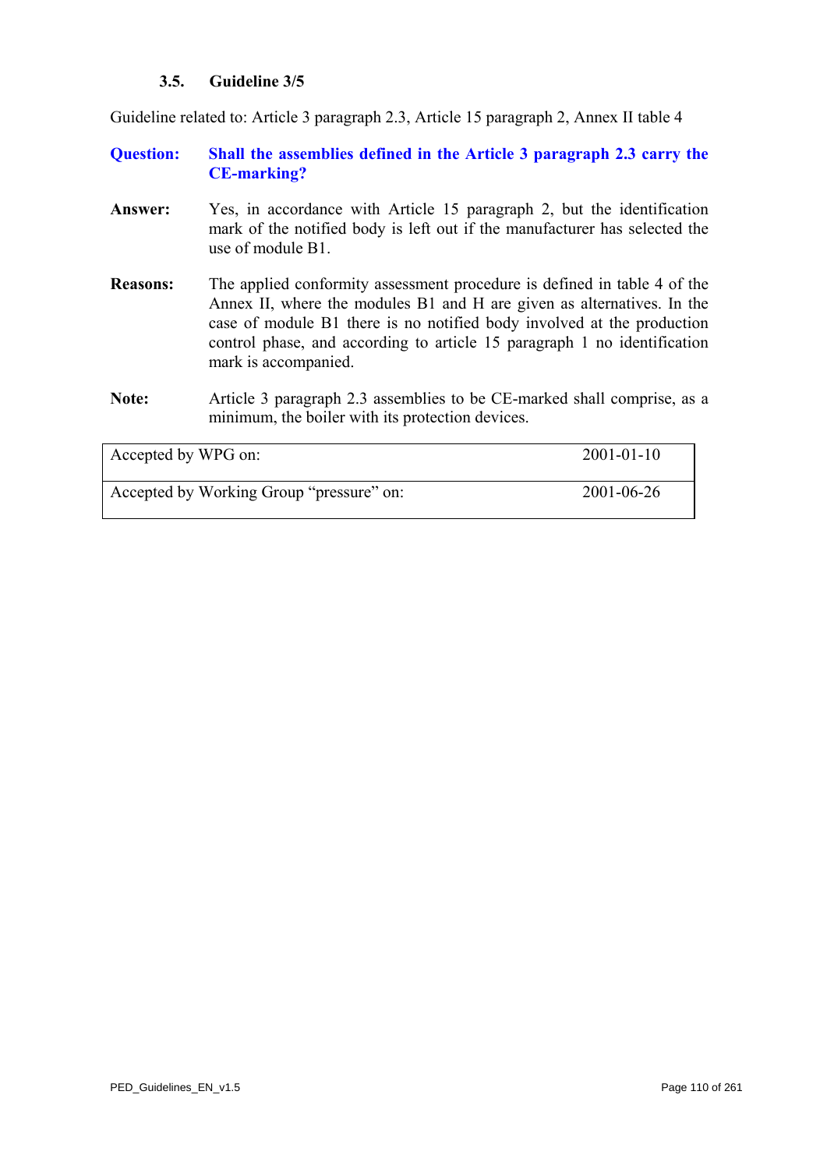## **3.5. Guideline 3/5**

<span id="page-109-0"></span>Guideline related to: Article 3 paragraph 2.3, Article 15 paragraph 2, Annex II table 4

- **Question: Shall the assemblies defined in the Article 3 paragraph 2.3 carry the CE-marking?**
- **Answer:** Yes, in accordance with Article 15 paragraph 2, but the identification mark of the notified body is left out if the manufacturer has selected the use of module B1.
- **Reasons:** The applied conformity assessment procedure is defined in table 4 of the Annex II, where the modules B1 and H are given as alternatives. In the case of module B1 there is no notified body involved at the production control phase, and according to article 15 paragraph 1 no identification mark is accompanied.
- **Note:** Article 3 paragraph 2.3 assemblies to be CE-marked shall comprise, as a minimum, the boiler with its protection devices.

| Accepted by WPG on:                      | $2001 - 01 - 10$ |
|------------------------------------------|------------------|
| Accepted by Working Group "pressure" on: | 2001-06-26       |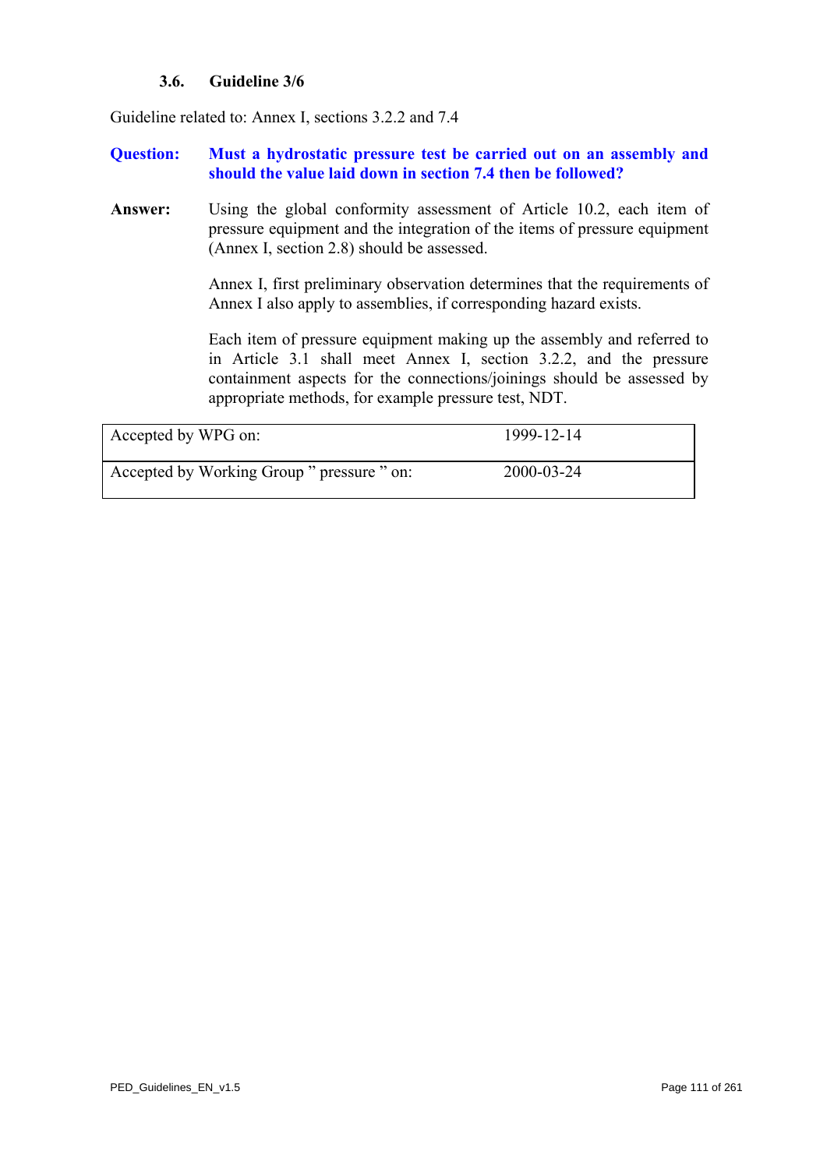## **3.6. Guideline 3/6**

<span id="page-110-0"></span>Guideline related to: Annex I, sections 3.2.2 and 7.4

## **Question: Must a hydrostatic pressure test be carried out on an assembly and should the value laid down in section 7.4 then be followed?**

**Answer:** Using the global conformity assessment of Article 10.2, each item of pressure equipment and the integration of the items of pressure equipment (Annex I, section 2.8) should be assessed.

> Annex I, first preliminary observation determines that the requirements of Annex I also apply to assemblies, if corresponding hazard exists.

> Each item of pressure equipment making up the assembly and referred to in Article 3.1 shall meet Annex I, section 3.2.2, and the pressure containment aspects for the connections/joinings should be assessed by appropriate methods, for example pressure test, NDT.

| Accepted by WPG on:                        | 1999-12-14 |
|--------------------------------------------|------------|
| Accepted by Working Group " pressure " on: | 2000-03-24 |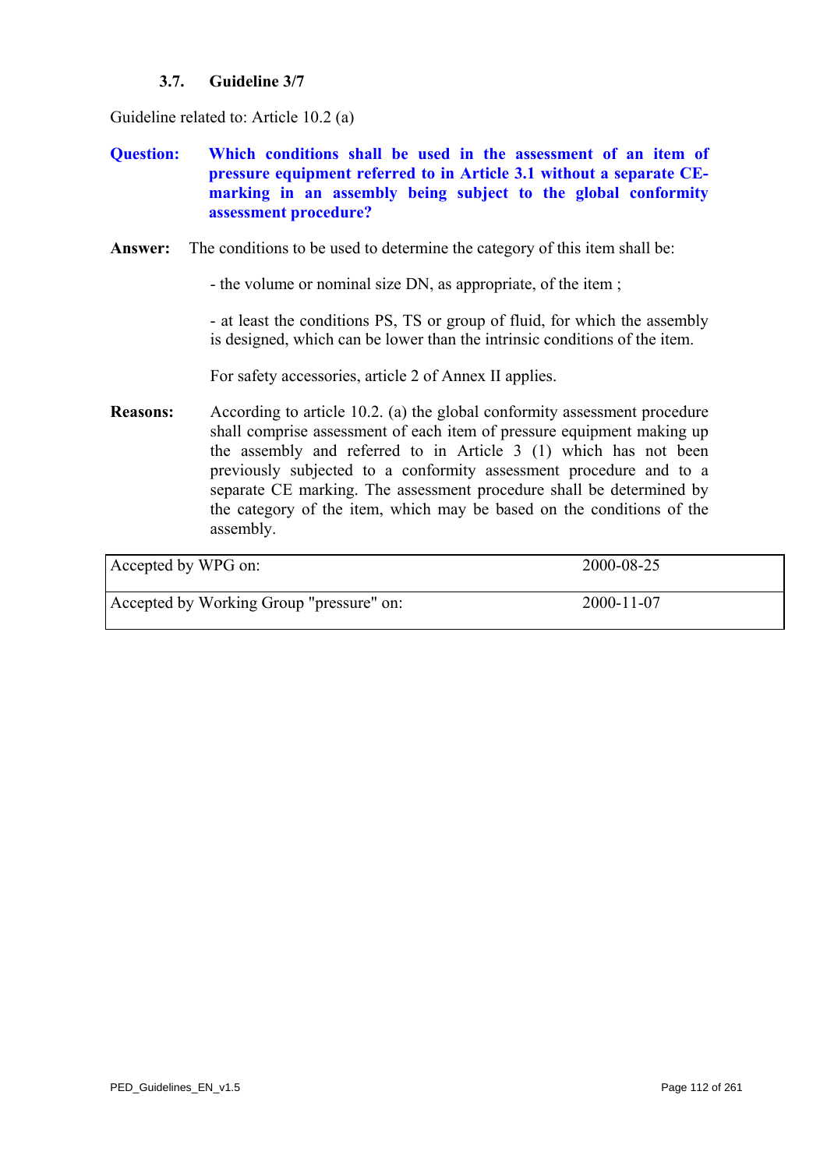## **3.7. Guideline 3/7**

<span id="page-111-0"></span>Guideline related to: Article 10.2 (a)

- **Question: Which conditions shall be used in the assessment of an item of pressure equipment referred to in Article 3.1 without a separate CEmarking in an assembly being subject to the global conformity assessment procedure?**
- **Answer:** The conditions to be used to determine the category of this item shall be:

- the volume or nominal size DN, as appropriate, of the item ;

- at least the conditions PS, TS or group of fluid, for which the assembly is designed, which can be lower than the intrinsic conditions of the item.

For safety accessories, article 2 of Annex II applies.

**Reasons:** According to article 10.2. (a) the global conformity assessment procedure shall comprise assessment of each item of pressure equipment making up the assembly and referred to in Article 3 (1) which has not been previously subjected to a conformity assessment procedure and to a separate CE marking. The assessment procedure shall be determined by the category of the item, which may be based on the conditions of the assembly.

| Accepted by WPG on:                      | 2000-08-25 |  |
|------------------------------------------|------------|--|
| Accepted by Working Group "pressure" on: | 2000-11-07 |  |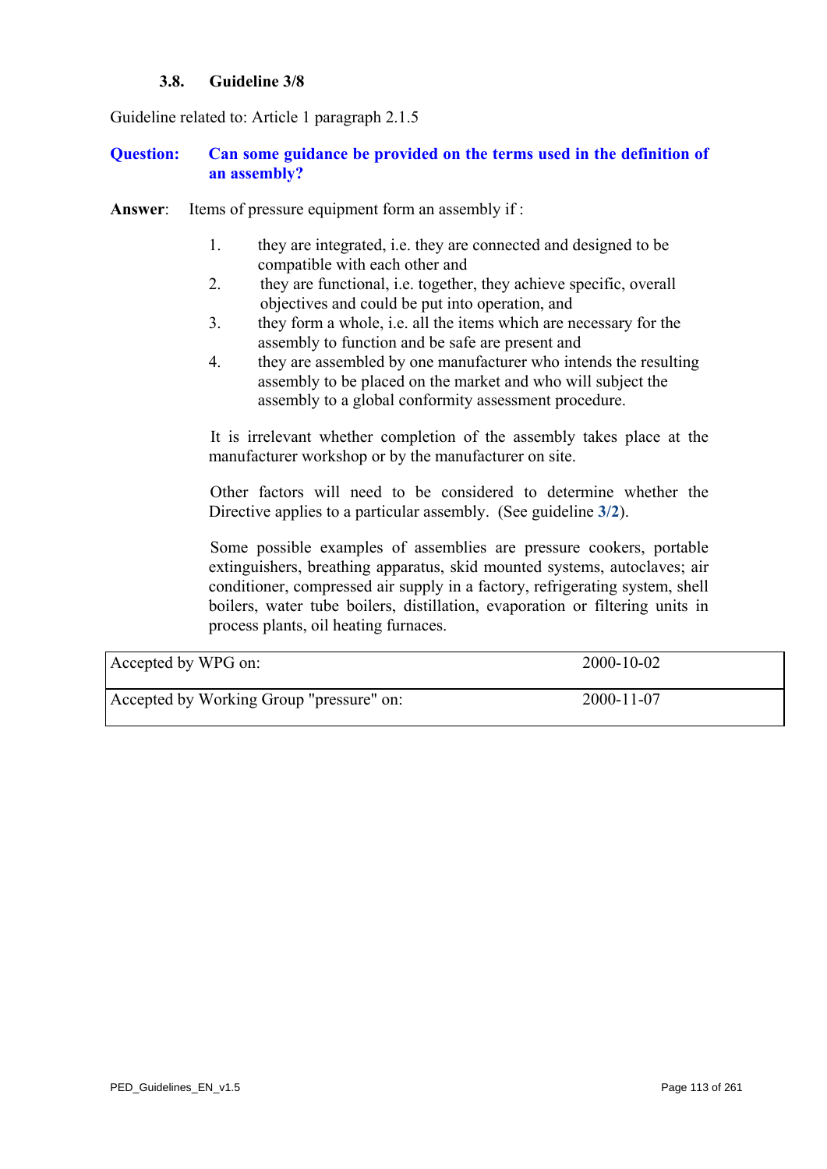## **3.8. Guideline 3/8**

<span id="page-112-0"></span>Guideline related to: Article 1 paragraph 2.1.5

## **Question: Can some guidance be provided on the terms used in the definition of an assembly?**

- **Answer:** Items of pressure equipment form an assembly if:
	- 1. they are integrated, i.e. they are connected and designed to be compatible with each other and
	- 2. they are functional, i.e. together, they achieve specific, overall objectives and could be put into operation, and
	- 3. they form a whole, i.e. all the items which are necessary for the assembly to function and be safe are present and
	- 4. they are assembled by one manufacturer who intends the resulting assembly to be placed on the market and who will subject the assembly to a global conformity assessment procedure.

It is irrelevant whether completion of the assembly takes place at the manufacturer workshop or by the manufacturer on site.

Other factors will need to be considered to determine whether the Directive applies to a particular assembly. (See guideline **[3/2](#page-106-0)**).

Some possible examples of assemblies are pressure cookers, portable extinguishers, breathing apparatus, skid mounted systems, autoclaves; air conditioner, compressed air supply in a factory, refrigerating system, shell boilers, water tube boilers, distillation, evaporation or filtering units in process plants, oil heating furnaces.

| Accepted by WPG on:                      | 2000-10-02       |
|------------------------------------------|------------------|
| Accepted by Working Group "pressure" on: | $2000 - 11 - 07$ |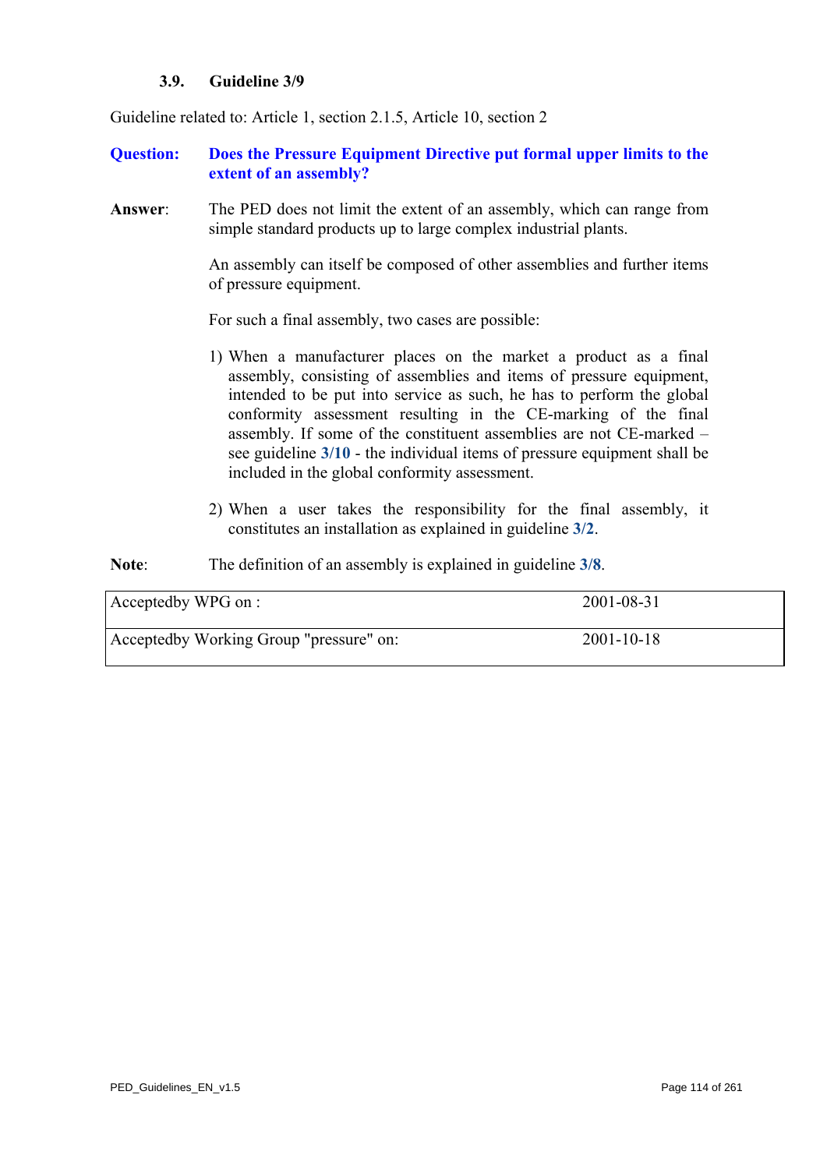#### **3.9. Guideline 3/9**

<span id="page-113-0"></span>Guideline related to: Article 1, section 2.1.5, Article 10, section 2

- **Question: Does the Pressure Equipment Directive put formal upper limits to the extent of an assembly?**
- **Answer**: The PED does not limit the extent of an assembly, which can range from simple standard products up to large complex industrial plants.

An assembly can itself be composed of other assemblies and further items of pressure equipment.

For such a final assembly, two cases are possible:

- 1) When a manufacturer places on the market a product as a final assembly, consisting of assemblies and items of pressure equipment, intended to be put into service as such, he has to perform the global conformity assessment resulting in the CE-marking of the final assembly. If some of the constituent assemblies are not CE-marked – see guideline **[3/10](#page-114-0)** - the individual items of pressure equipment shall be included in the global conformity assessment.
- 2) When a user takes the responsibility for the final assembly, it constitutes an installation as explained in guideline **[3/2](#page-106-0)**.
- **Note**: The definition of an assembly is explained in guideline **[3/8](#page-112-0)**.

| Acceptedby WPG on :                     | 2001-08-31       |
|-----------------------------------------|------------------|
| Acceptedby Working Group "pressure" on: | $2001 - 10 - 18$ |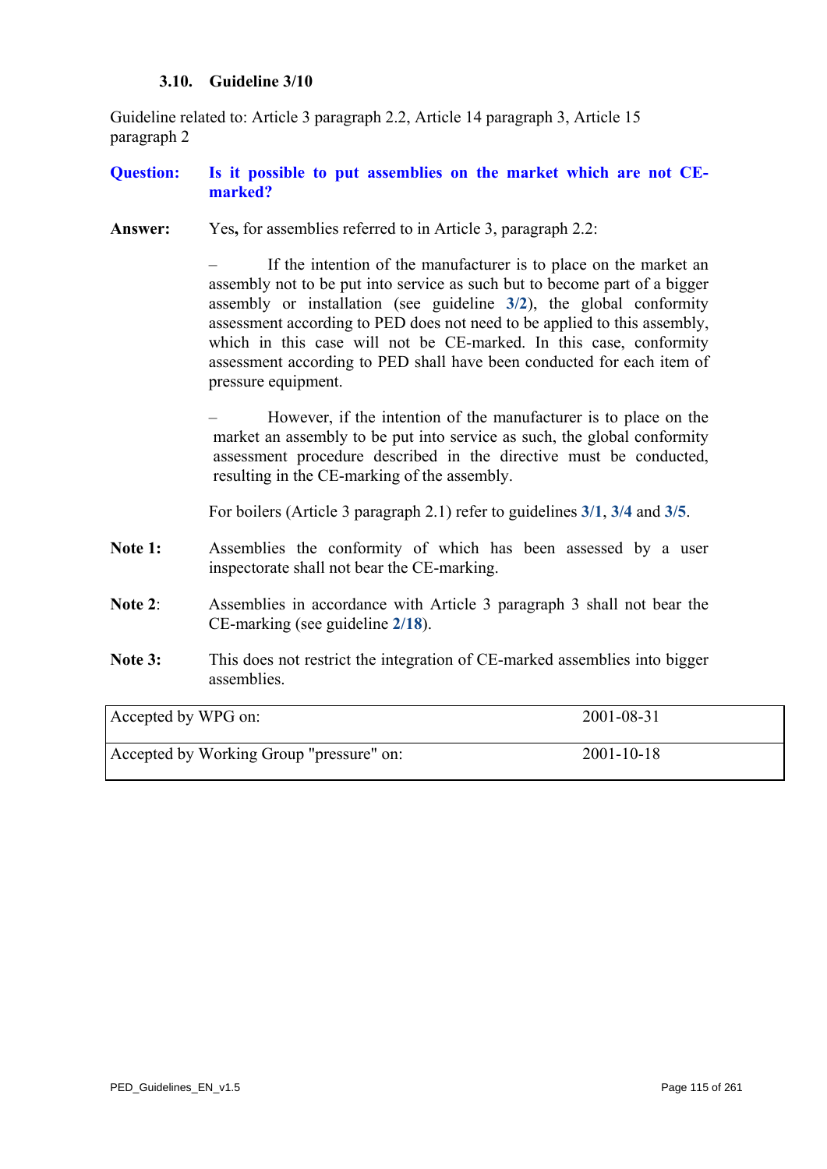### **3.10. Guideline 3/10**

<span id="page-114-0"></span>Guideline related to: Article 3 paragraph 2.2, Article 14 paragraph 3, Article 15 paragraph 2

## **Question: Is it possible to put assemblies on the market which are not CEmarked?**

**Answer:** Yes**,** for assemblies referred to in Article 3, paragraph 2.2:

If the intention of the manufacturer is to place on the market an assembly not to be put into service as such but to become part of a bigger assembly or installation (see guideline **[3/2](#page-106-0)**), the global conformity assessment according to PED does not need to be applied to this assembly, which in this case will not be CE-marked. In this case, conformity assessment according to PED shall have been conducted for each item of pressure equipment.

– However, if the intention of the manufacturer is to place on the market an assembly to be put into service as such, the global conformity assessment procedure described in the directive must be conducted, resulting in the CE-marking of the assembly.

For boilers (Article 3 paragraph 2.1) refer to guidelines **[3/1](#page-102-0)**, **[3/4](#page-108-0)** and **[3/5](#page-109-0)**.

- Note 1: Assemblies the conformity of which has been assessed by a user inspectorate shall not bear the CE-marking.
- **Note 2**: Assemblies in accordance with Article 3 paragraph 3 shall not bear the CE-marking (see guideline **[2/18](#page-81-0)**).
- **Note 3:** This does not restrict the integration of CE-marked assemblies into bigger assemblies.

| Accepted by WPG on:                      | 2001-08-31       |
|------------------------------------------|------------------|
| Accepted by Working Group "pressure" on: | $2001 - 10 - 18$ |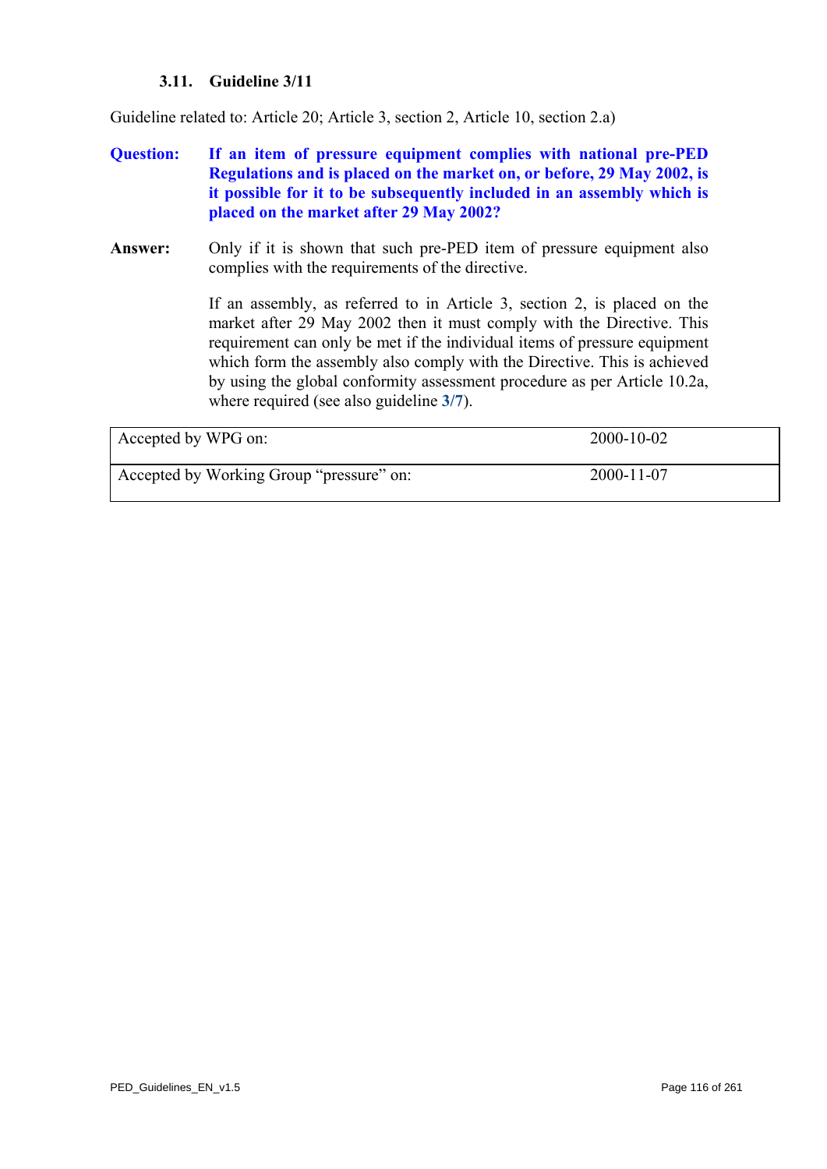## **3.11. Guideline 3/11**

Guideline related to: Article 20; Article 3, section 2, Article 10, section 2.a)

- **Question: If an item of pressure equipment complies with national pre-PED Regulations and is placed on the market on, or before, 29 May 2002, is it possible for it to be subsequently included in an assembly which is placed on the market after 29 May 2002?**
- **Answer:** Only if it is shown that such pre-PED item of pressure equipment also complies with the requirements of the directive.

If an assembly, as referred to in Article 3, section 2, is placed on the market after 29 May 2002 then it must comply with the Directive. This requirement can only be met if the individual items of pressure equipment which form the assembly also comply with the Directive. This is achieved by using the global conformity assessment procedure as per Article 10.2a, where required (see also guideline **[3/7](#page-111-0)**).

| Accepted by WPG on:                      | $2000 - 10 - 02$ |
|------------------------------------------|------------------|
| Accepted by Working Group "pressure" on: | 2000-11-07       |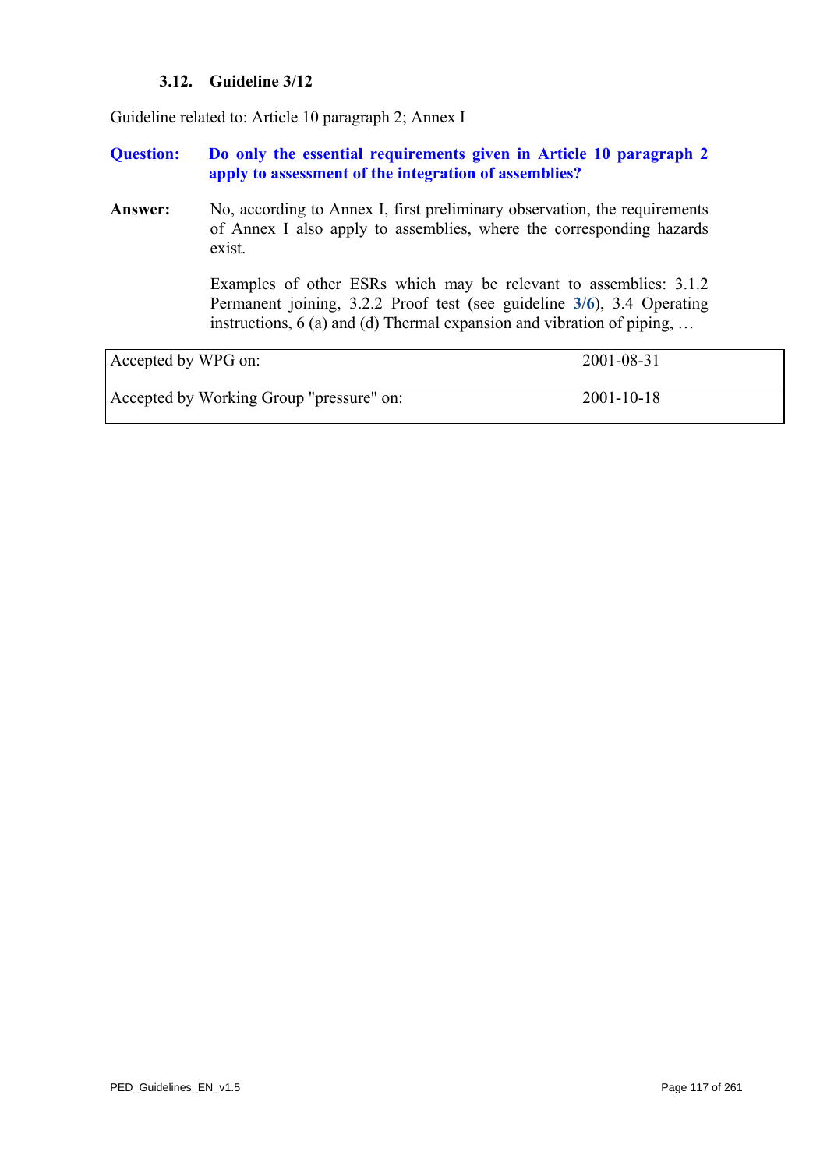## **3.12. Guideline 3/12**

<span id="page-116-0"></span>Guideline related to: Article 10 paragraph 2; Annex I

## **Question: Do only the essential requirements given in Article 10 paragraph 2 apply to assessment of the integration of assemblies?**

Answer: No, according to Annex I, first preliminary observation, the requirements of Annex I also apply to assemblies, where the corresponding hazards exist.

> Examples of other ESRs which may be relevant to assemblies: 3.1.2 Permanent joining, 3.2.2 Proof test (see guideline **[3/6](#page-110-0)**), 3.4 Operating instructions,  $6$  (a) and (d) Thermal expansion and vibration of piping, ...

| Accepted by WPG on:                      | 2001-08-31       |
|------------------------------------------|------------------|
| Accepted by Working Group "pressure" on: | $2001 - 10 - 18$ |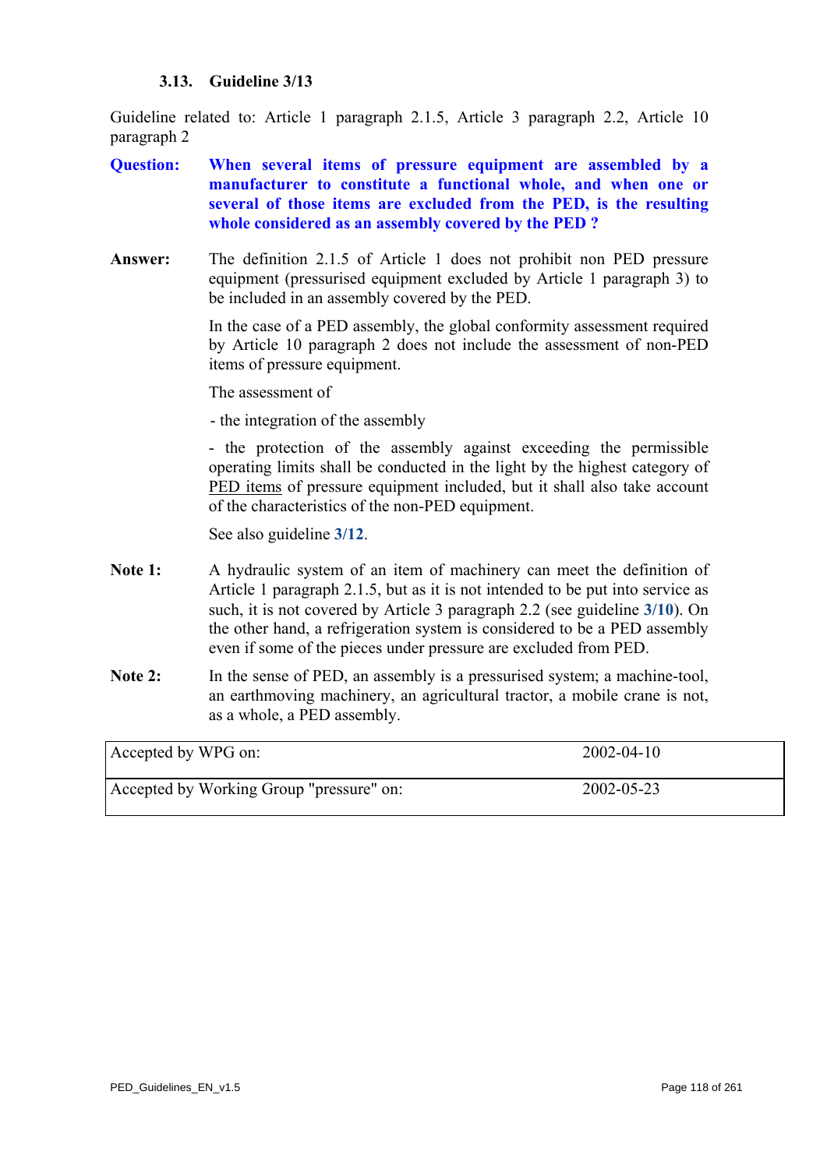## **3.13. Guideline 3/13**

<span id="page-117-0"></span>Guideline related to: Article 1 paragraph 2.1.5, Article 3 paragraph 2.2, Article 10 paragraph 2

- **Question: When several items of pressure equipment are assembled by a manufacturer to constitute a functional whole, and when one or several of those items are excluded from the PED, is the resulting whole considered as an assembly covered by the PED ?**
- **Answer:** The definition 2.1.5 of Article 1 does not prohibit non PED pressure equipment (pressurised equipment excluded by Article 1 paragraph 3) to be included in an assembly covered by the PED.

In the case of a PED assembly, the global conformity assessment required by Article 10 paragraph 2 does not include the assessment of non-PED items of pressure equipment.

The assessment of

- the integration of the assembly

- the protection of the assembly against exceeding the permissible operating limits shall be conducted in the light by the highest category of PED items of pressure equipment included, but it shall also take account of the characteristics of the non-PED equipment.

See also guideline **[3/12](#page-116-0)**.

- Note 1: A hydraulic system of an item of machinery can meet the definition of Article 1 paragraph 2.1.5, but as it is not intended to be put into service as such, it is not covered by Article 3 paragraph 2.2 (see guideline **[3/10](#page-114-0)**). On the other hand, a refrigeration system is considered to be a PED assembly even if some of the pieces under pressure are excluded from PED.
- Note 2: In the sense of PED, an assembly is a pressurised system; a machine-tool, an earthmoving machinery, an agricultural tractor, a mobile crane is not, as a whole, a PED assembly.

| Accepted by WPG on:                      | $2002 - 04 - 10$ |
|------------------------------------------|------------------|
| Accepted by Working Group "pressure" on: | 2002-05-23       |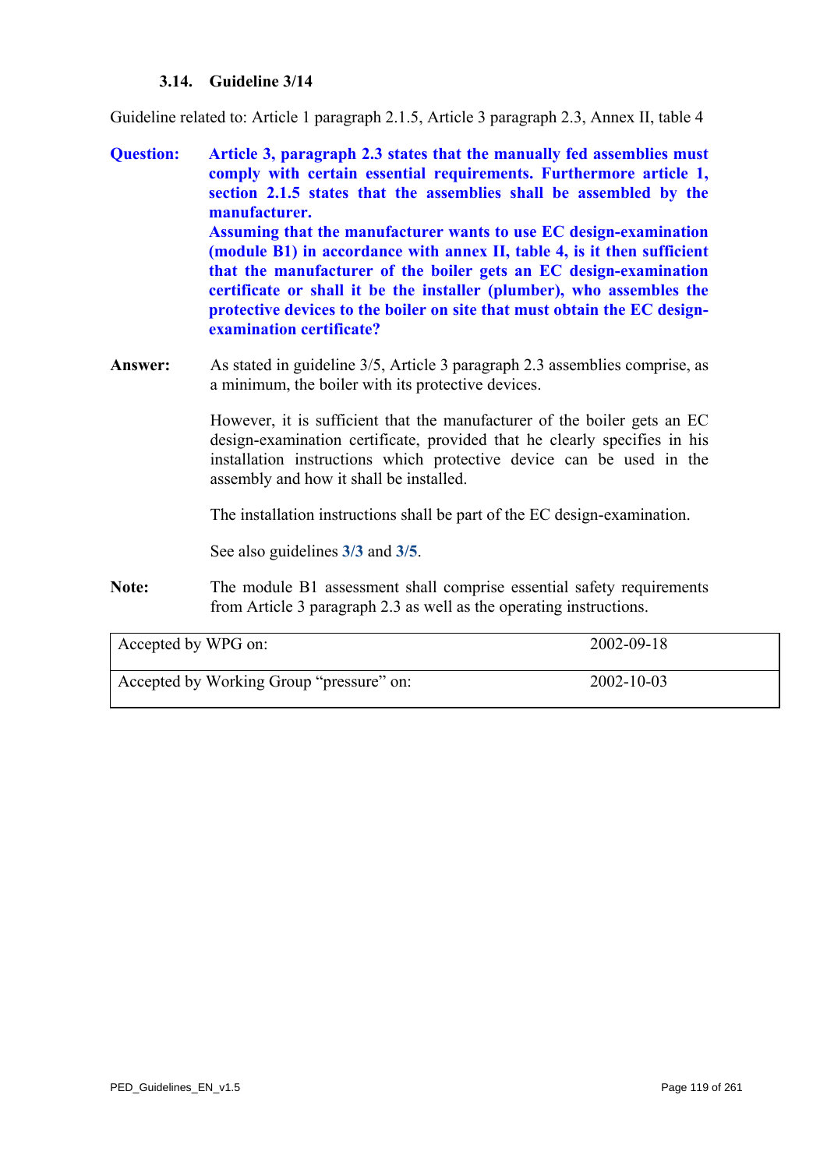## **3.14. Guideline 3/14**

Guideline related to: Article 1 paragraph 2.1.5, Article 3 paragraph 2.3, Annex II, table 4

- **Question: Article 3, paragraph 2.3 states that the manually fed assemblies must comply with certain essential requirements. Furthermore article 1, section 2.1.5 states that the assemblies shall be assembled by the manufacturer. Assuming that the manufacturer wants to use EC design-examination (module B1) in accordance with annex II, table 4, is it then sufficient that the manufacturer of the boiler gets an EC design-examination certificate or shall it be the installer (plumber), who assembles the protective devices to the boiler on site that must obtain the EC designexamination certificate?**
- **Answer:** As stated in guideline 3/5, Article 3 paragraph 2.3 assemblies comprise, as a minimum, the boiler with its protective devices.

However, it is sufficient that the manufacturer of the boiler gets an EC design-examination certificate, provided that he clearly specifies in his installation instructions which protective device can be used in the assembly and how it shall be installed.

The installation instructions shall be part of the EC design-examination.

See also guidelines **[3/3](#page-107-0)** and **[3/5](#page-109-0)**.

Note: The module B1 assessment shall comprise essential safety requirements from Article 3 paragraph 2.3 as well as the operating instructions.

| Accepted by WPG on:                      | 2002-09-18       |
|------------------------------------------|------------------|
| Accepted by Working Group "pressure" on: | $2002 - 10 - 03$ |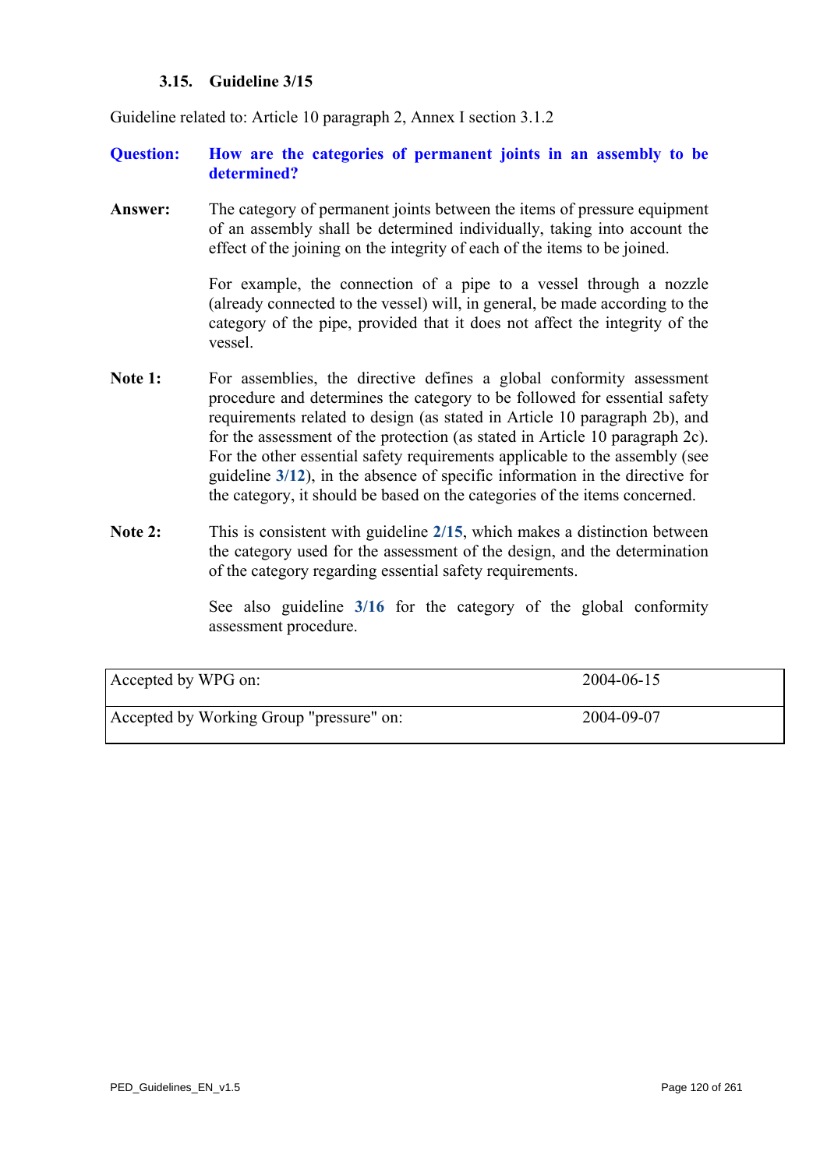## **3.15. Guideline 3/15**

<span id="page-119-0"></span>Guideline related to: Article 10 paragraph 2, Annex I section 3.1.2

## **Question: How are the categories of permanent joints in an assembly to be determined?**

**Answer:** The category of permanent joints between the items of pressure equipment of an assembly shall be determined individually, taking into account the effect of the joining on the integrity of each of the items to be joined.

> For example, the connection of a pipe to a vessel through a nozzle (already connected to the vessel) will, in general, be made according to the category of the pipe, provided that it does not affect the integrity of the vessel.

- Note 1: For assemblies, the directive defines a global conformity assessment procedure and determines the category to be followed for essential safety requirements related to design (as stated in Article 10 paragraph 2b), and for the assessment of the protection (as stated in Article 10 paragraph 2c). For the other essential safety requirements applicable to the assembly (see guideline **[3/12](#page-116-0)**), in the absence of specific information in the directive for the category, it should be based on the categories of the items concerned.
- **Note 2:** This is consistent with guideline **[2/15](#page-78-0)**, which makes a distinction between the category used for the assessment of the design, and the determination of the category regar[ding es](#page-120-0)sential safety requirements.

See also guideline **3/16** for the category of the global conformity assessment procedure.

| Accepted by WPG on:                      | 2004-06-15 |
|------------------------------------------|------------|
| Accepted by Working Group "pressure" on: | 2004-09-07 |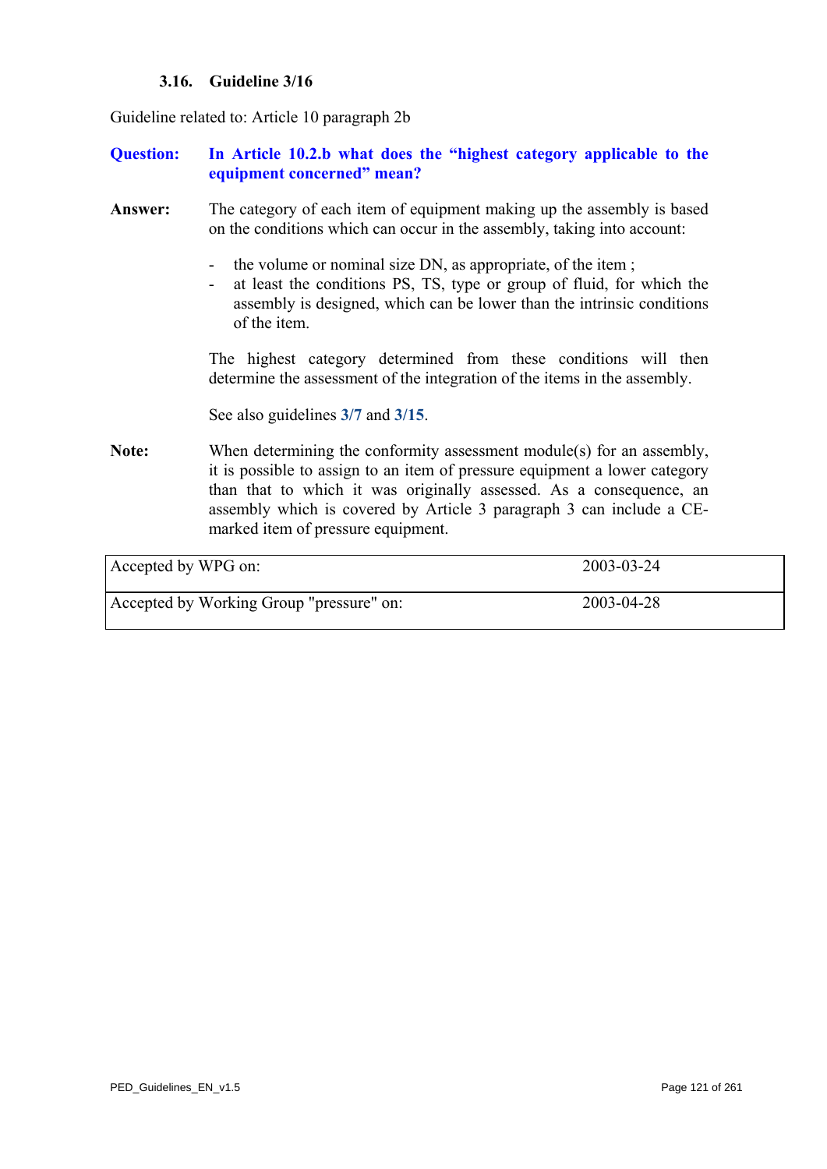## **3.16. Guideline 3/16**

<span id="page-120-0"></span>Guideline related to: Article 10 paragraph 2b

### **Question: In Article 10.2.b what does the "highest category applicable to the equipment concerned" mean?**

- **Answer:** The category of each item of equipment making up the assembly is based on the conditions which can occur in the assembly, taking into account:
	- the volume or nominal size DN, as appropriate, of the item;
	- at least the conditions PS, TS, type or group of fluid, for which the assembly is designed, which can be lower than the intrinsic conditions of the item.

The highest category determined from these conditions will then determine the assessment of the integration of the items in the assembly.

See also guidelines **[3/7](#page-111-0)** and **[3/15](#page-119-0)**.

**Note:** When determining the conformity assessment module(s) for an assembly, it is possible to assign to an item of pressure equipment a lower category than that to which it was originally assessed. As a consequence, an assembly which is covered by Article 3 paragraph 3 can include a CEmarked item of pressure equipment.

| Accepted by WPG on:                      | 2003-03-24 |
|------------------------------------------|------------|
| Accepted by Working Group "pressure" on: | 2003-04-28 |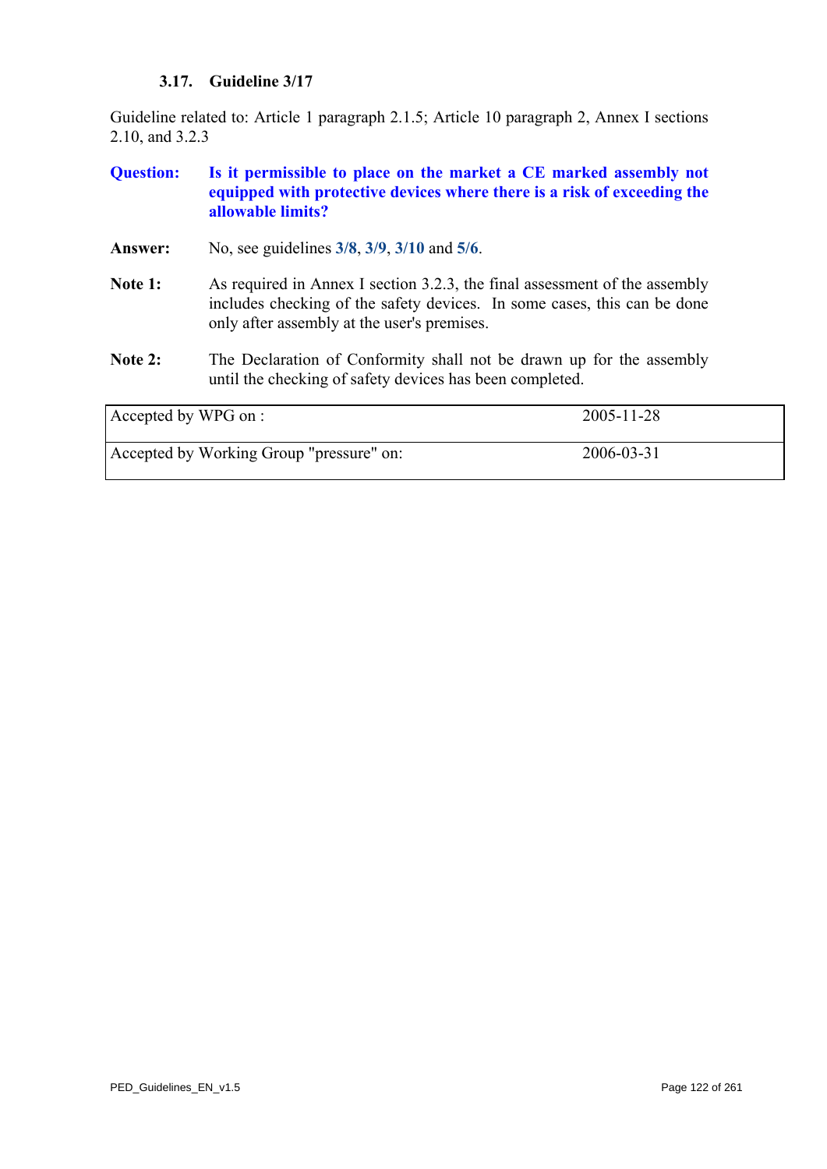# **3.17. Guideline 3/17**

Guideline related to: Article 1 paragraph 2.1.5; Article 10 paragraph 2, Annex I sections 2.10, and 3.2.3

| <b>Question:</b>    | Is it permissible to place on the market a CE marked assembly not<br>equipped with protective devices where there is a risk of exceeding the<br>allowable limits?                                     |            |
|---------------------|-------------------------------------------------------------------------------------------------------------------------------------------------------------------------------------------------------|------------|
| Answer:             | No, see guidelines 3/8, 3/9, 3/10 and 5/6.                                                                                                                                                            |            |
| Note 1:             | As required in Annex I section 3.2.3, the final assessment of the assembly<br>includes checking of the safety devices. In some cases, this can be done<br>only after assembly at the user's premises. |            |
| Note 2:             | The Declaration of Conformity shall not be drawn up for the assembly<br>until the checking of safety devices has been completed.                                                                      |            |
| Accepted by WPG on: |                                                                                                                                                                                                       | 2005-11-28 |
|                     | Accepted by Working Group "pressure" on:                                                                                                                                                              | 2006-03-31 |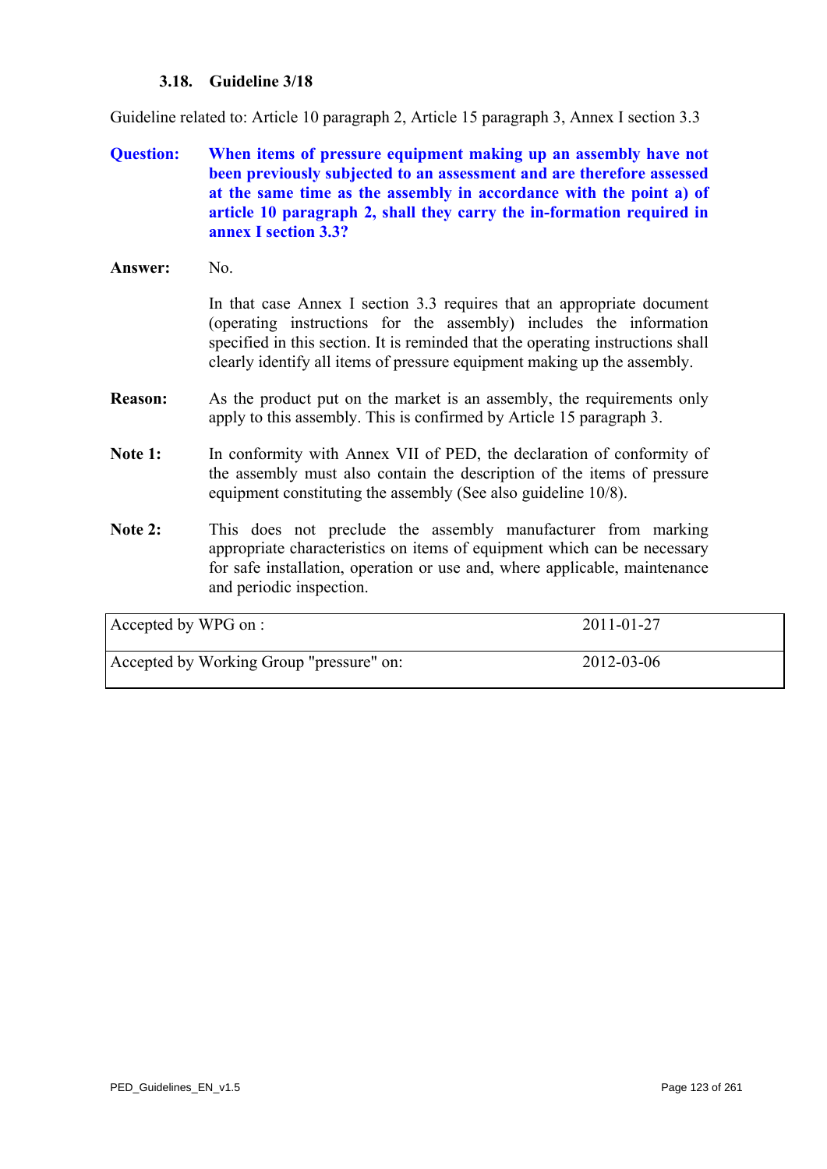## **3.18. Guideline 3/18**

Guideline related to: Article 10 paragraph 2, Article 15 paragraph 3, Annex I section 3.3

- **Question: When items of pressure equipment making up an assembly have not been previously subjected to an assessment and are therefore assessed at the same time as the assembly in accordance with the point a) of article 10 paragraph 2, shall they carry the in-formation required in annex I section 3.3?**
- **Answer:** No.

In that case Annex I section 3.3 requires that an appropriate document (operating instructions for the assembly) includes the information specified in this section. It is reminded that the operating instructions shall clearly identify all items of pressure equipment making up the assembly.

- **Reason:** As the product put on the market is an assembly, the requirements only apply to this assembly. This is confirmed by Article 15 paragraph 3.
- Note 1: In conformity with Annex VII of PED, the declaration of conformity of the assembly must also contain the description of the items of pressure equipment constituting the assembly (See also guideline 10/8).
- Note 2: This does not preclude the assembly manufacturer from marking appropriate characteristics on items of equipment which can be necessary for safe installation, operation or use and, where applicable, maintenance and periodic inspection.

| Accepted by WPG on :                     | 2011-01-27 |
|------------------------------------------|------------|
| Accepted by Working Group "pressure" on: | 2012-03-06 |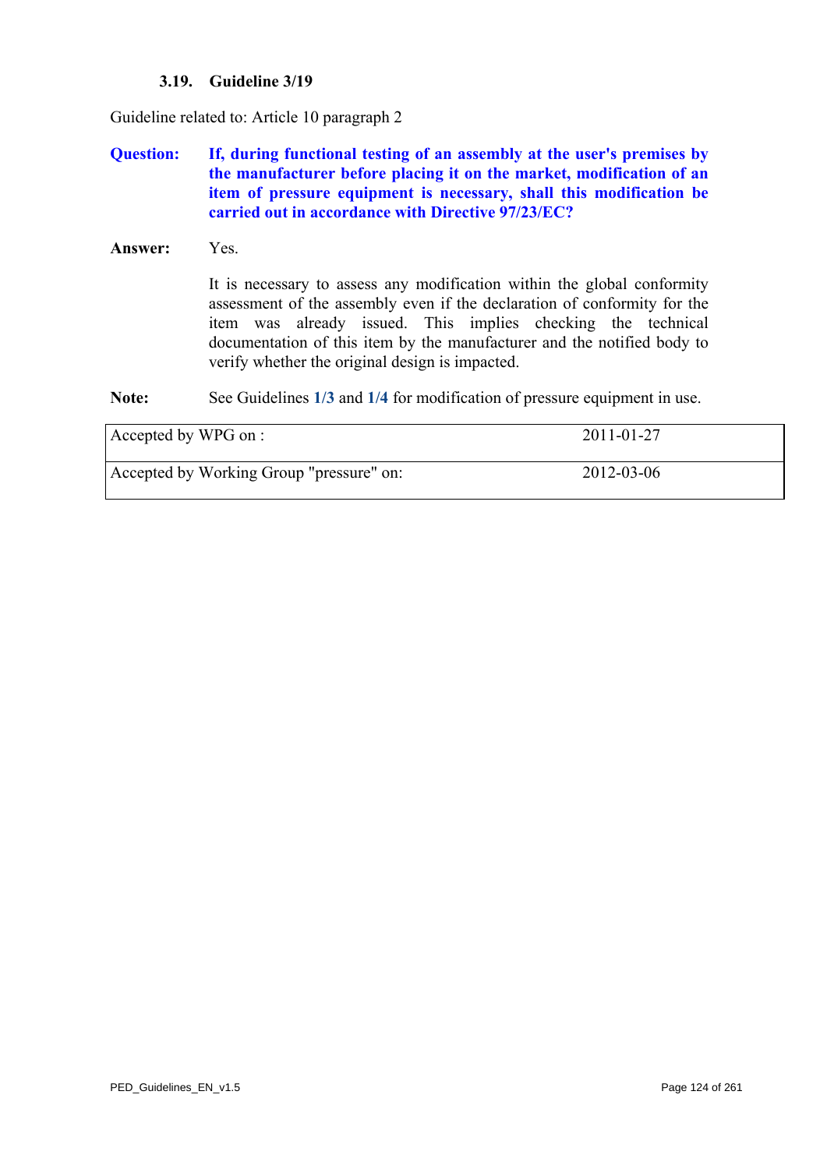## **3.19. Guideline 3/19**

Guideline related to: Article 10 paragraph 2

## **Question: If, during functional testing of an assembly at the user's premises by the manufacturer before placing it on the market, modification of an item of pressure equipment is necessary, shall this modification be carried out in accordance with Directive 97/23/EC?**

**Answer:** Yes.

It is necessary to assess any modification within the global conformity assessment of the assembly even if the declaration of conformity for the item was already issued. This implies checking the technical documentation of this item by the manufacturer and the notified body to verify whether the original design is impacted.

**Note:** See Guidelines **[1/3](#page-4-0)** and **[1/4](#page-5-0)** for modification of pressure equipment in use.

| Accepted by WPG on :                     | 2011-01-27 |
|------------------------------------------|------------|
| Accepted by Working Group "pressure" on: | 2012-03-06 |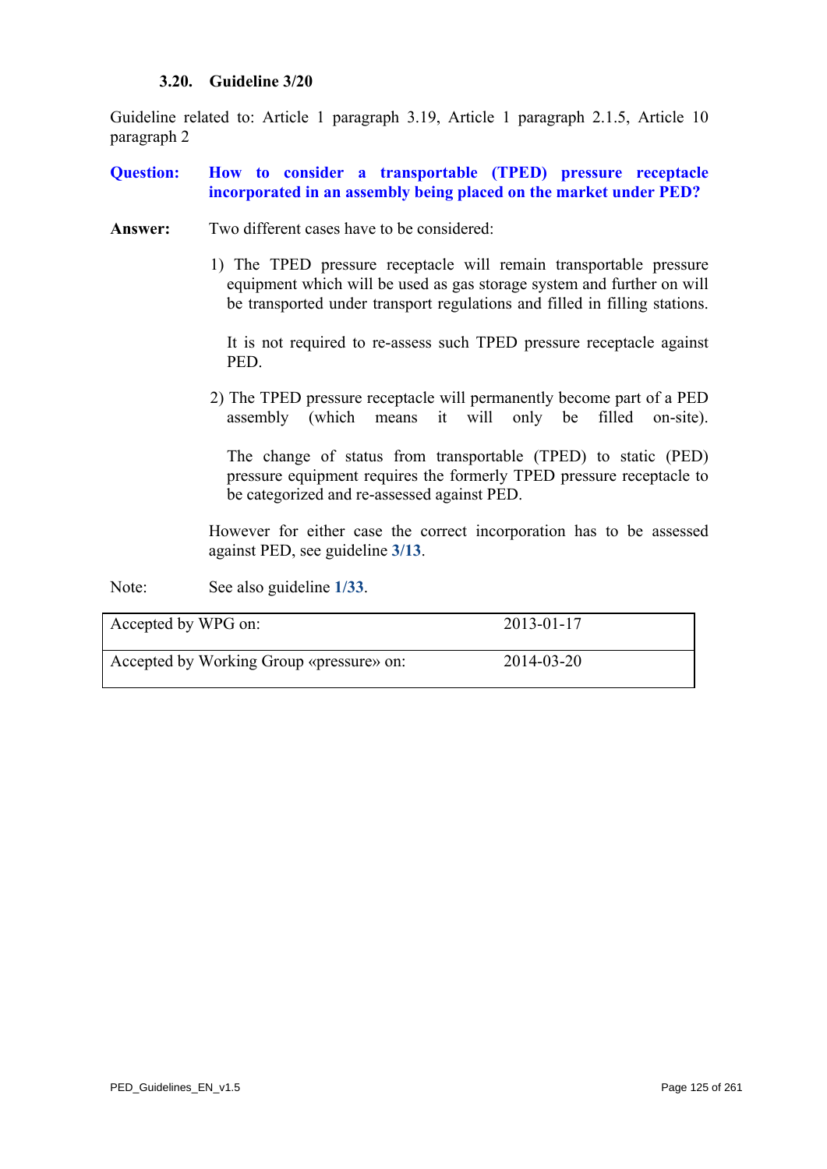#### **3.20. Guideline 3/20**

<span id="page-124-0"></span>Guideline related to: Article 1 paragraph 3.19, Article 1 paragraph 2.1.5, Article 10 paragraph 2

- **Question: How to consider a transportable (TPED) pressure receptacle incorporated in an assembly being placed on the market under PED?**
- **Answer:** Two different cases have to be considered:
	- 1) The TPED pressure receptacle will remain transportable pressure equipment which will be used as gas storage system and further on will be transported under transport regulations and filled in filling stations.

It is not required to re-assess such TPED pressure receptacle against PED.

2) The TPED pressure receptacle will permanently become part of a PED assembly (which means it will only be filled on-site).

The change of status from transportable (TPED) to static (PED) pressure equipment requires the formerly TPED pressure receptacle to be categorized and re-assessed against PED.

However for either case the correct incorporation has to be assessed against PED, see guideline **[3/13](#page-117-0)**.

Note: See also guideline  $1/33$ .

| Accepted by WPG on:                      | 2013-01-17 |
|------------------------------------------|------------|
| Accepted by Working Group «pressure» on: | 2014-03-20 |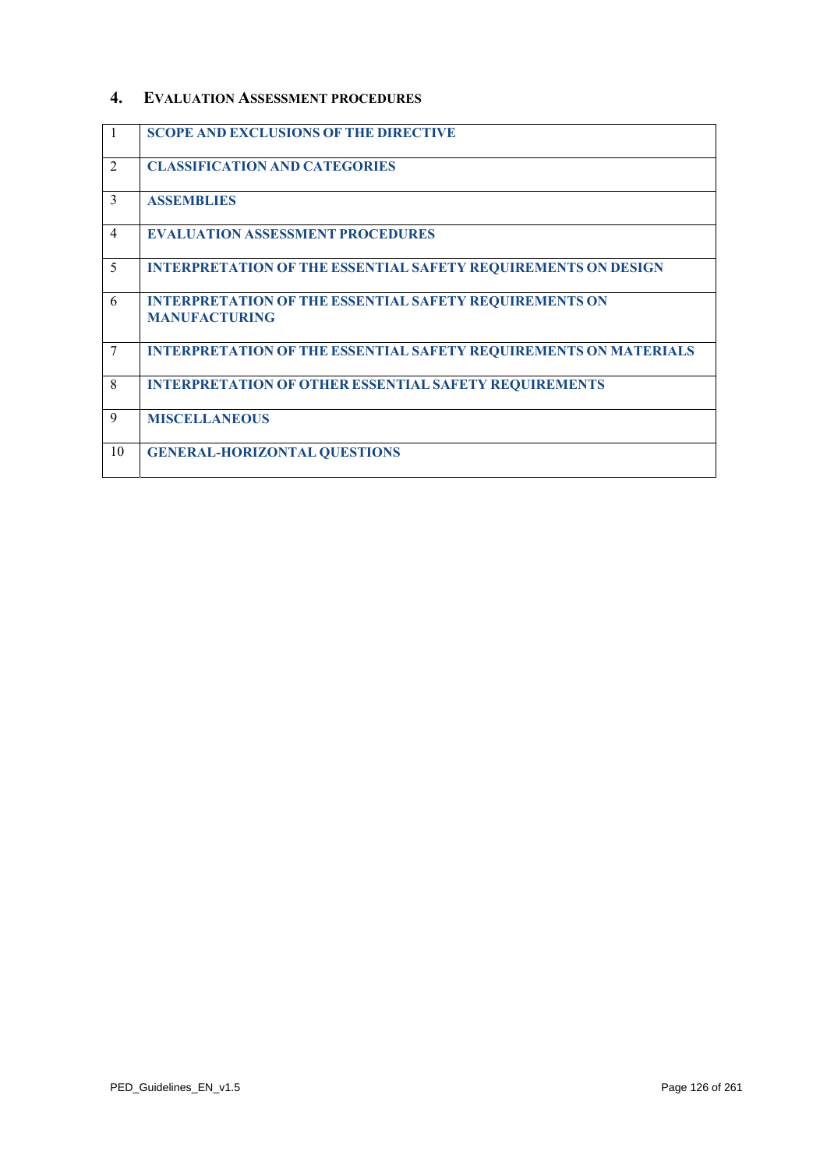#### **4. EVALUATION ASSESSMENT PROCEDURES**

| $\mathbf{1}$   | <b>SCOPE AND EXCLUSIONS OF THE DIRECTIVE</b>                                          |
|----------------|---------------------------------------------------------------------------------------|
| 2              | <b>CLASSIFICATION AND CATEGORIES</b>                                                  |
| 3              | <b>ASSEMBLIES</b>                                                                     |
| $\overline{4}$ | <b>EVALUATION ASSESSMENT PROCEDURES</b>                                               |
| 5              | <b>INTERPRETATION OF THE ESSENTIAL SAFETY REQUIREMENTS ON DESIGN</b>                  |
| 6              | <b>INTERPRETATION OF THE ESSENTIAL SAFETY REQUIREMENTS ON</b><br><b>MANUFACTURING</b> |
| 7              | <b>INTERPRETATION OF THE ESSENTIAL SAFETY REQUIREMENTS ON MATERIALS</b>               |
| 8              | <b>INTERPRETATION OF OTHER ESSENTIAL SAFETY REQUIREMENTS</b>                          |
| 9              | <b>MISCELLANEOUS</b>                                                                  |
| 10             | <b>GENERAL-HORIZONTAL QUESTIONS</b>                                                   |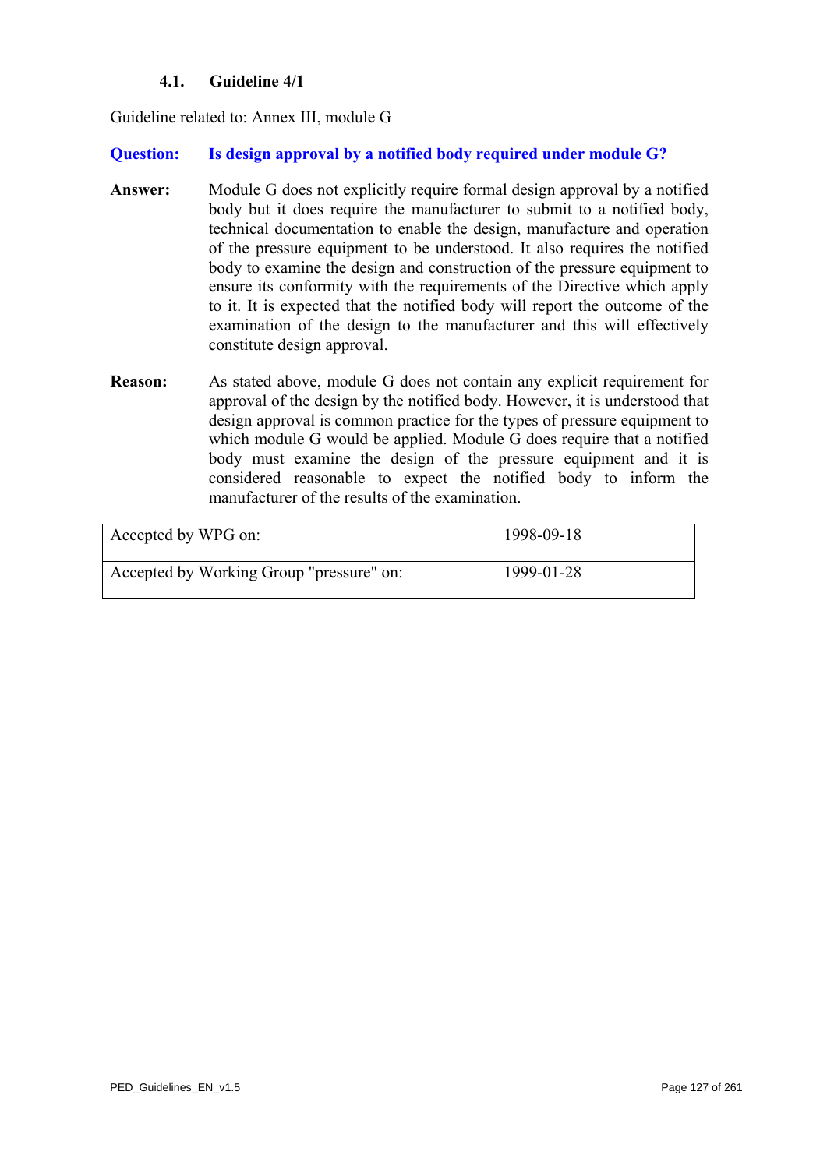## **4.1. Guideline 4/1**

Guideline related to: Annex III, module G

## **Question: Is design approval by a notified body required under module G?**

- **Answer:** Module G does not explicitly require formal design approval by a notified body but it does require the manufacturer to submit to a notified body, technical documentation to enable the design, manufacture and operation of the pressure equipment to be understood. It also requires the notified body to examine the design and construction of the pressure equipment to ensure its conformity with the requirements of the Directive which apply to it. It is expected that the notified body will report the outcome of the examination of the design to the manufacturer and this will effectively constitute design approval.
- **Reason:** As stated above, module G does not contain any explicit requirement for approval of the design by the notified body. However, it is understood that design approval is common practice for the types of pressure equipment to which module G would be applied. Module G does require that a notified body must examine the design of the pressure equipment and it is considered reasonable to expect the notified body to inform the manufacturer of the results of the examination.

| Accepted by WPG on:                      | 1998-09-18 |
|------------------------------------------|------------|
| Accepted by Working Group "pressure" on: | 1999-01-28 |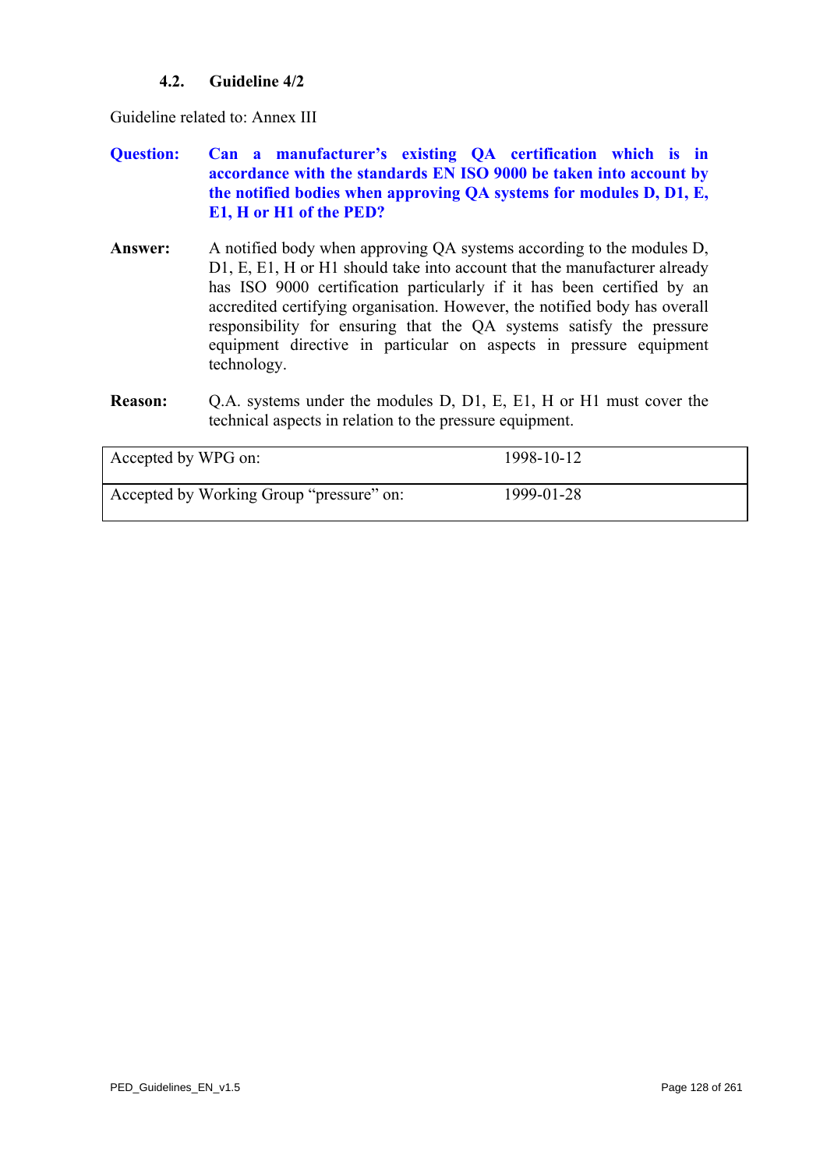## **4.2. Guideline 4/2**

Guideline related to: Annex III

- **Question: Can a manufacturer's existing QA certification which is in accordance with the standards EN ISO 9000 be taken into account by the notified bodies when approving QA systems for modules D, D1, E, E1, H or H1 of the PED?**
- **Answer:** A notified body when approving QA systems according to the modules D, D1, E, E1, H or H1 should take into account that the manufacturer already has ISO 9000 certification particularly if it has been certified by an accredited certifying organisation. However, the notified body has overall responsibility for ensuring that the QA systems satisfy the pressure equipment directive in particular on aspects in pressure equipment technology.
- **Reason:** Q.A. systems under the modules D, D1, E, E1, H or H1 must cover the technical aspects in relation to the pressure equipment.

| Accepted by WPG on:                      | 1998-10-12 |
|------------------------------------------|------------|
| Accepted by Working Group "pressure" on: | 1999-01-28 |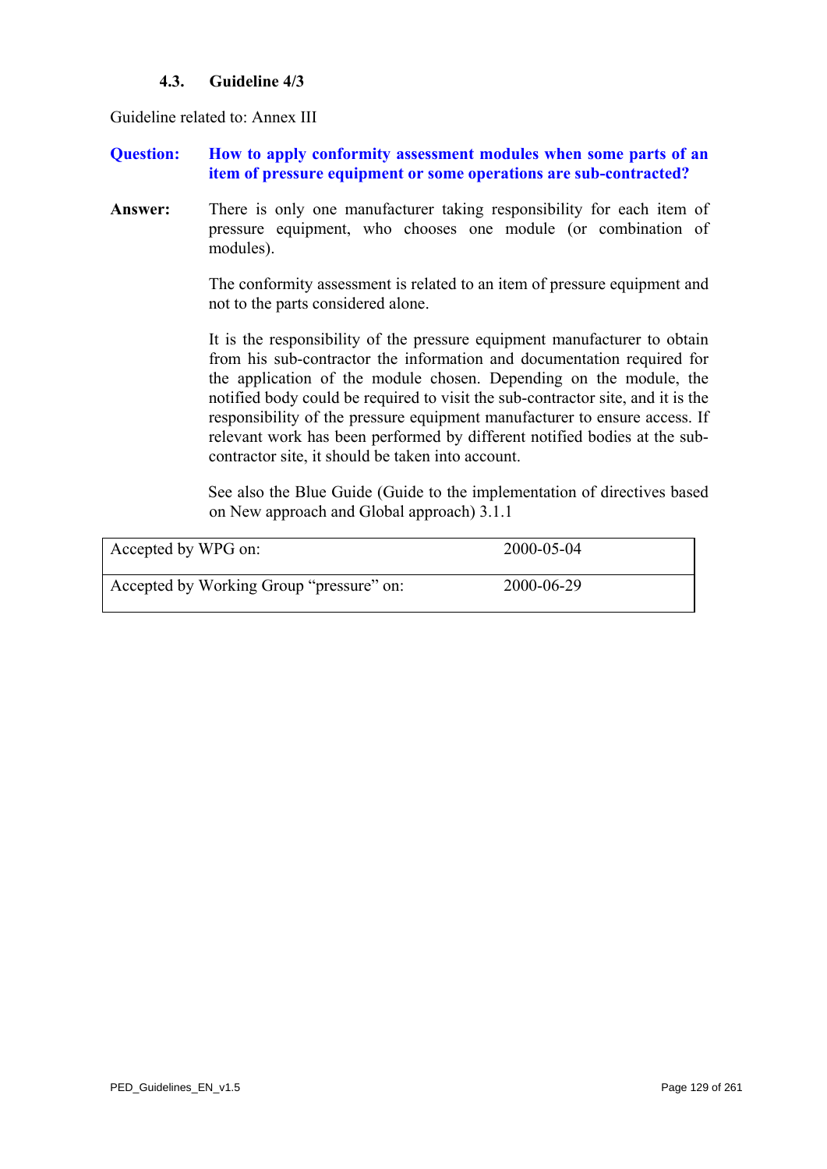## **4.3. Guideline 4/3**

<span id="page-128-0"></span>Guideline related to: Annex III

**Question: How to apply conformity assessment modules when some parts of an item of pressure equipment or some operations are sub-contracted?** 

**Answer:** There is only one manufacturer taking responsibility for each item of pressure equipment, who chooses one module (or combination of modules).

> The conformity assessment is related to an item of pressure equipment and not to the parts considered alone.

> It is the responsibility of the pressure equipment manufacturer to obtain from his sub-contractor the information and documentation required for the application of the module chosen. Depending on the module, the notified body could be required to visit the sub-contractor site, and it is the responsibility of the pressure equipment manufacturer to ensure access. If relevant work has been performed by different notified bodies at the subcontractor site, it should be taken into account.

> See also the Blue Guide (Guide to the implementation of directives based on New approach and Global approach) 3.1.1

| Accepted by WPG on:                      | 2000-05-04 |
|------------------------------------------|------------|
| Accepted by Working Group "pressure" on: | 2000-06-29 |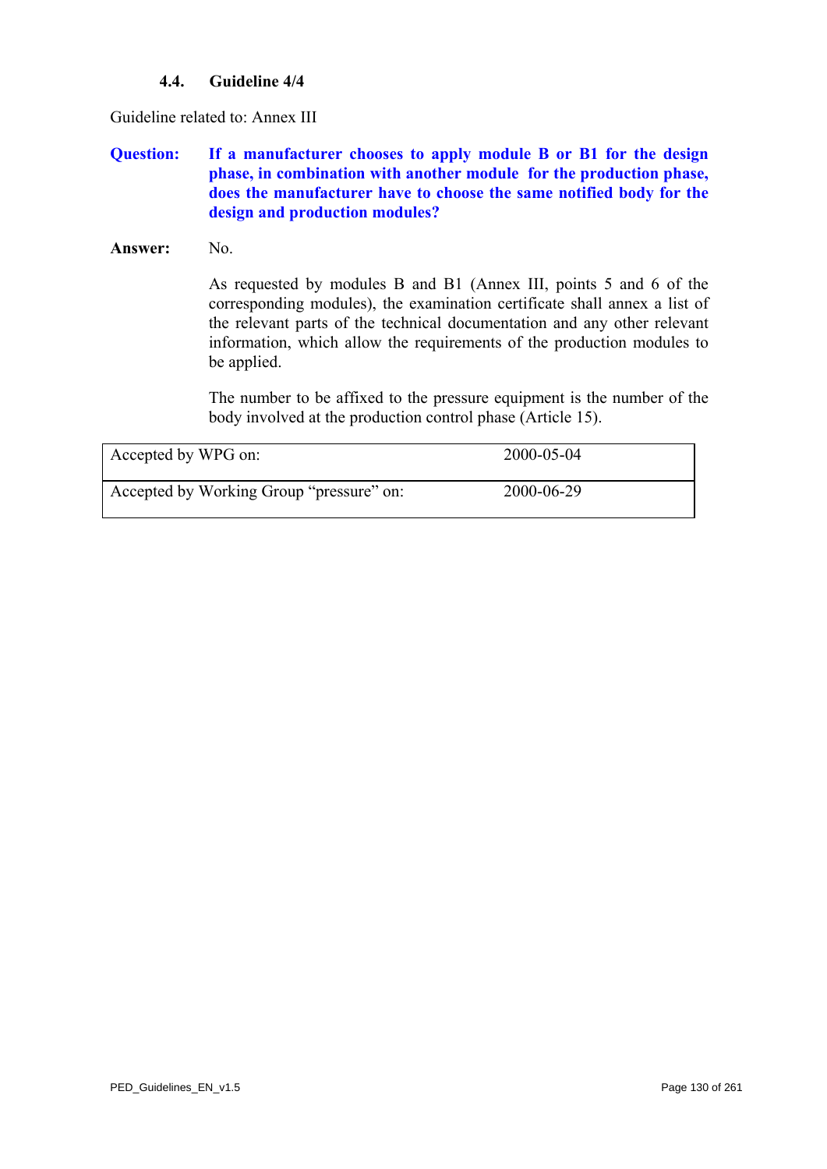## **4.4. Guideline 4/4**

<span id="page-129-0"></span>Guideline related to: Annex III

## **Question: If a manufacturer chooses to apply module B or B1 for the design phase, in combination with another module for the production phase, does the manufacturer have to choose the same notified body for the design and production modules?**

#### Answer: No.

As requested by modules B and B1 (Annex III, points 5 and 6 of the corresponding modules), the examination certificate shall annex a list of the relevant parts of the technical documentation and any other relevant information, which allow the requirements of the production modules to be applied.

The number to be affixed to the pressure equipment is the number of the body involved at the production control phase (Article 15).

| Accepted by WPG on:                      | 2000-05-04 |  |
|------------------------------------------|------------|--|
| Accepted by Working Group "pressure" on: | 2000-06-29 |  |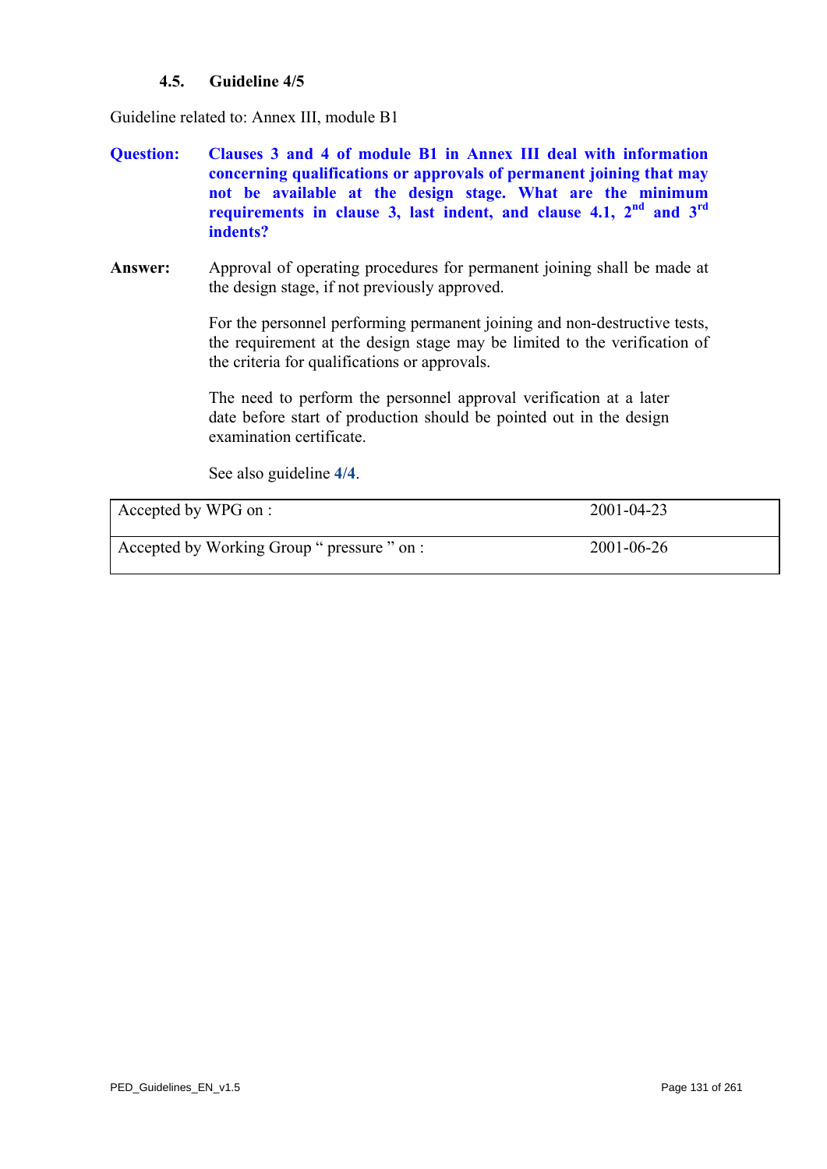## **4.5. Guideline 4/5**

<span id="page-130-0"></span>Guideline related to: Annex III, module B1

- **Question: Clauses 3 and 4 of module B1 in Annex III deal with information concerning qualifications or approvals of permanent joining that may not be available at the design stage. What are the minimum requirements in clause 3, last indent, and clause 4.1, 2nd and 3rd indents?**
- **Answer:** Approval of operating procedures for permanent joining shall be made at the design stage, if not previously approved.

For the personnel performing permanent joining and non-destructive tests, the requirement at the design stage may be limited to the verification of the criteria for qualifications or approvals.

The need to perform the personnel approval verification at a later date before start of production should be pointed out in the design examination certificate.

See also guideline **[4/4](#page-129-0)**.

| Accepted by WPG on :                        | 2001-04-23 |
|---------------------------------------------|------------|
| Accepted by Working Group " pressure " on : | 2001-06-26 |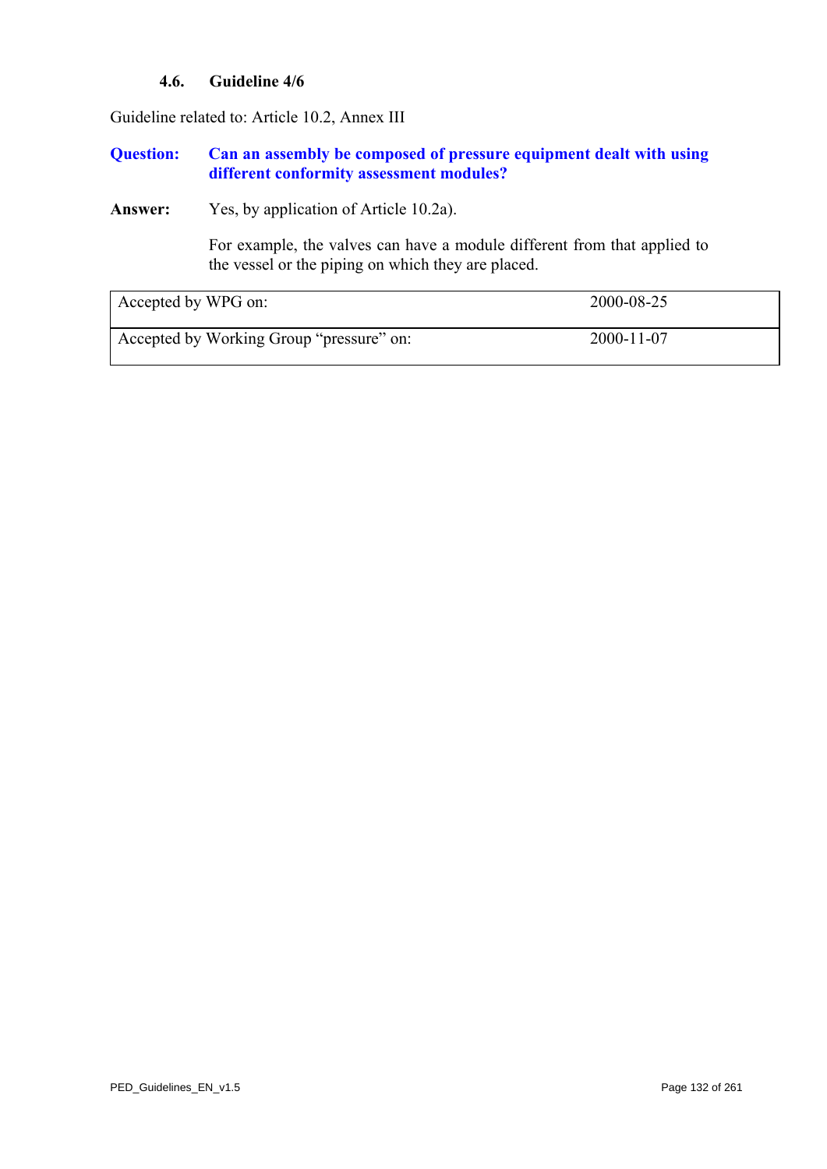## **4.6. Guideline 4/6**

Guideline related to: Article 10.2, Annex III

### **Question: Can an assembly be composed of pressure equipment dealt with using different conformity assessment modules?**

**Answer:** Yes, by application of Article 10.2a).

For example, the valves can have a module different from that applied to the vessel or the piping on which they are placed.

| Accepted by WPG on:                      | 2000-08-25       |
|------------------------------------------|------------------|
| Accepted by Working Group "pressure" on: | $2000 - 11 - 07$ |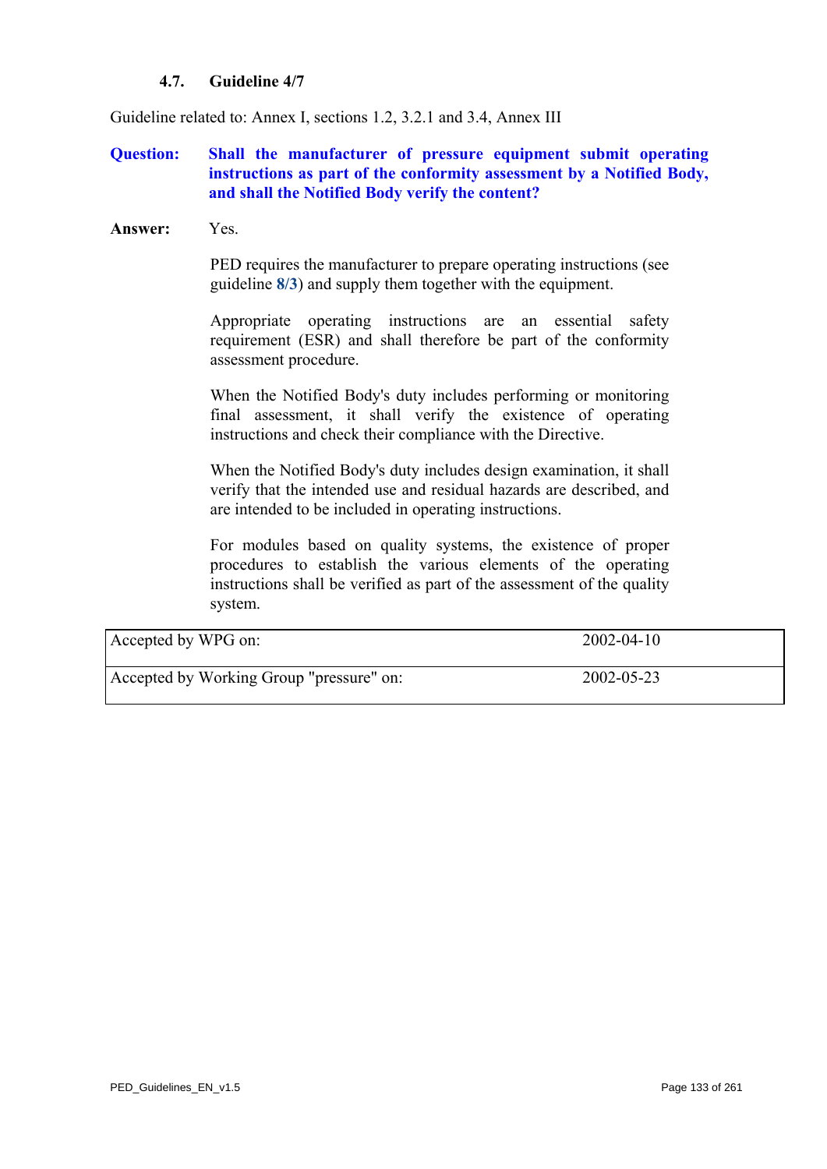## **4.7. Guideline 4/7**

Guideline related to: Annex I, sections 1.2, 3.2.1 and 3.4, Annex III

## **Question: Shall the manufacturer of pressure equipment submit operating instructions as part of the conformity assessment by a Notified Body, and shall the Notified Body verify the content?**

#### **Answer:** Yes.

PED requires the manufacturer to prepare operating instructions (see guideline **[8/3](#page-208-0)**) and supply them together with the equipment.

Appropriate operating instructions are an essential safety requirement (ESR) and shall therefore be part of the conformity assessment procedure.

When the Notified Body's duty includes performing or monitoring final assessment, it shall verify the existence of operating instructions and check their compliance with the Directive.

When the Notified Body's duty includes design examination, it shall verify that the intended use and residual hazards are described, and are intended to be included in operating instructions.

For modules based on quality systems, the existence of proper procedures to establish the various elements of the operating instructions shall be verified as part of the assessment of the quality system.

| Accepted by WPG on:                      | $2002 - 04 - 10$ |
|------------------------------------------|------------------|
| Accepted by Working Group "pressure" on: | 2002-05-23       |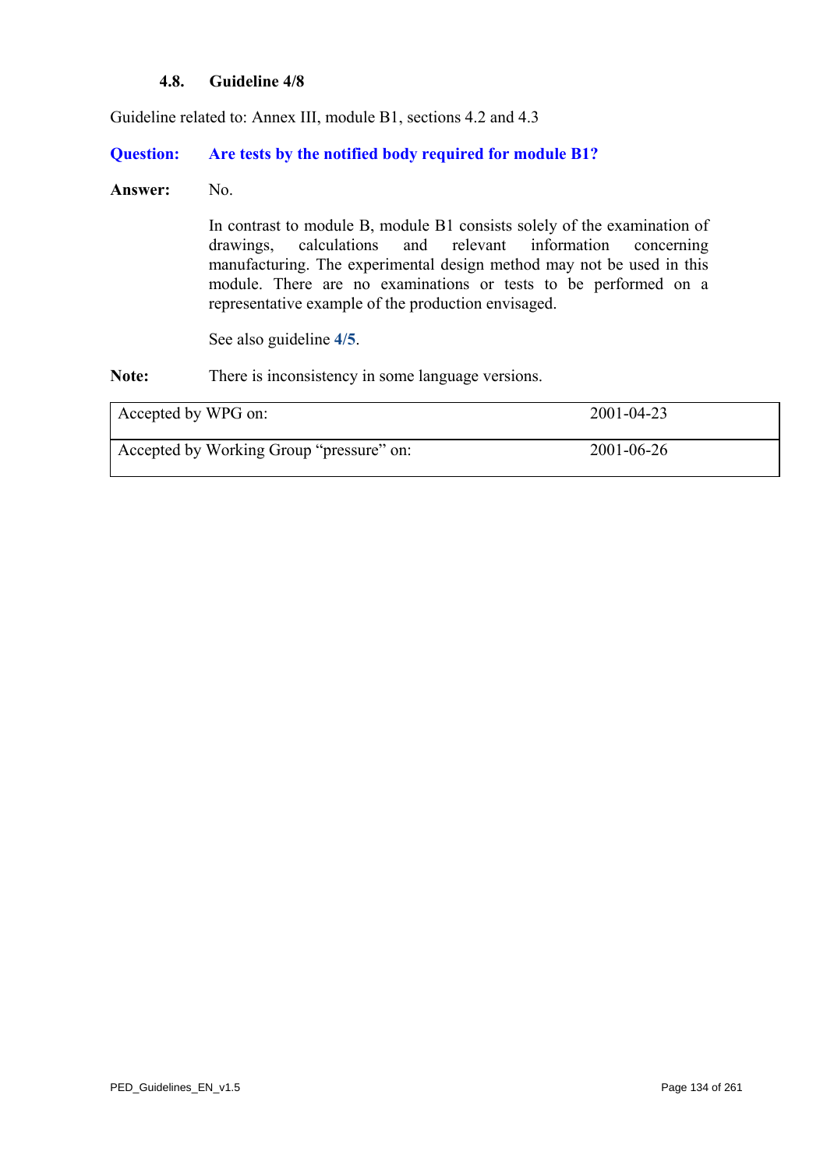### **4.8. Guideline 4/8**

Guideline related to: Annex III, module B1, sections 4.2 and 4.3

**Question: Are tests by the notified body required for module B1?** 

#### Answer: No.

In contrast to module B, module B1 consists solely of the examination of drawings, calculations and relevant information concerning manufacturing. The experimental design method may not be used in this module. There are no examinations or tests to be performed on a representative example of the production envisaged.

See also guideline **[4/5](#page-130-0)**.

Note: There is inconsistency in some language versions.

| Accepted by WPG on:                      | 2001-04-23       |
|------------------------------------------|------------------|
| Accepted by Working Group "pressure" on: | $2001 - 06 - 26$ |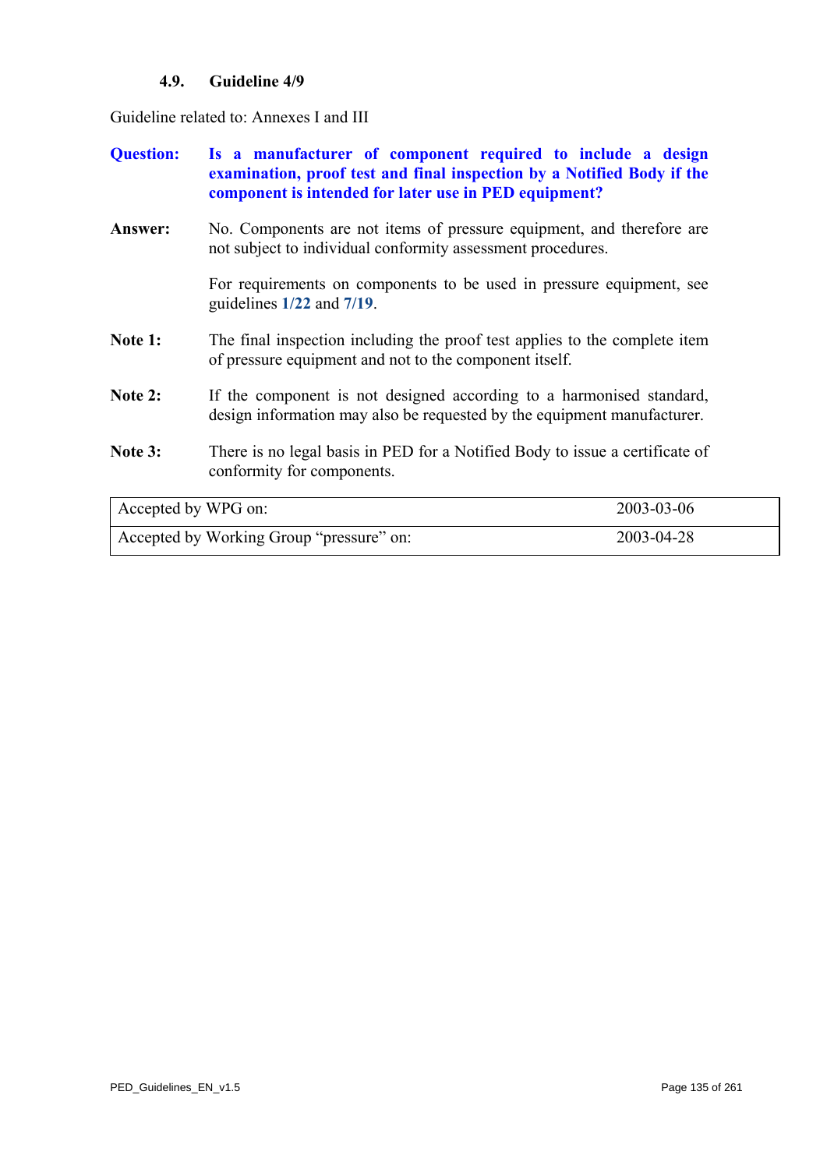# **4.9. Guideline 4/9**

Guideline related to: Annexes I and III

| <b>Question:</b>    | Is a manufacturer of component required to include a design<br>examination, proof test and final inspection by a Notified Body if the<br>component is intended for later use in PED equipment? |            |
|---------------------|------------------------------------------------------------------------------------------------------------------------------------------------------------------------------------------------|------------|
| Answer:             | No. Components are not items of pressure equipment, and therefore are<br>not subject to individual conformity assessment procedures.                                                           |            |
|                     | For requirements on components to be used in pressure equipment, see<br>guidelines $1/22$ and $7/19$ .                                                                                         |            |
| Note 1:             | The final inspection including the proof test applies to the complete item<br>of pressure equipment and not to the component itself.                                                           |            |
| Note 2:             | If the component is not designed according to a harmonised standard,<br>design information may also be requested by the equipment manufacturer.                                                |            |
| Note 3:             | There is no legal basis in PED for a Notified Body to issue a certificate of<br>conformity for components.                                                                                     |            |
| Accepted by WPG on: |                                                                                                                                                                                                | 2003-03-06 |
|                     | Accepted by Working Group "pressure" on:                                                                                                                                                       | 2003-04-28 |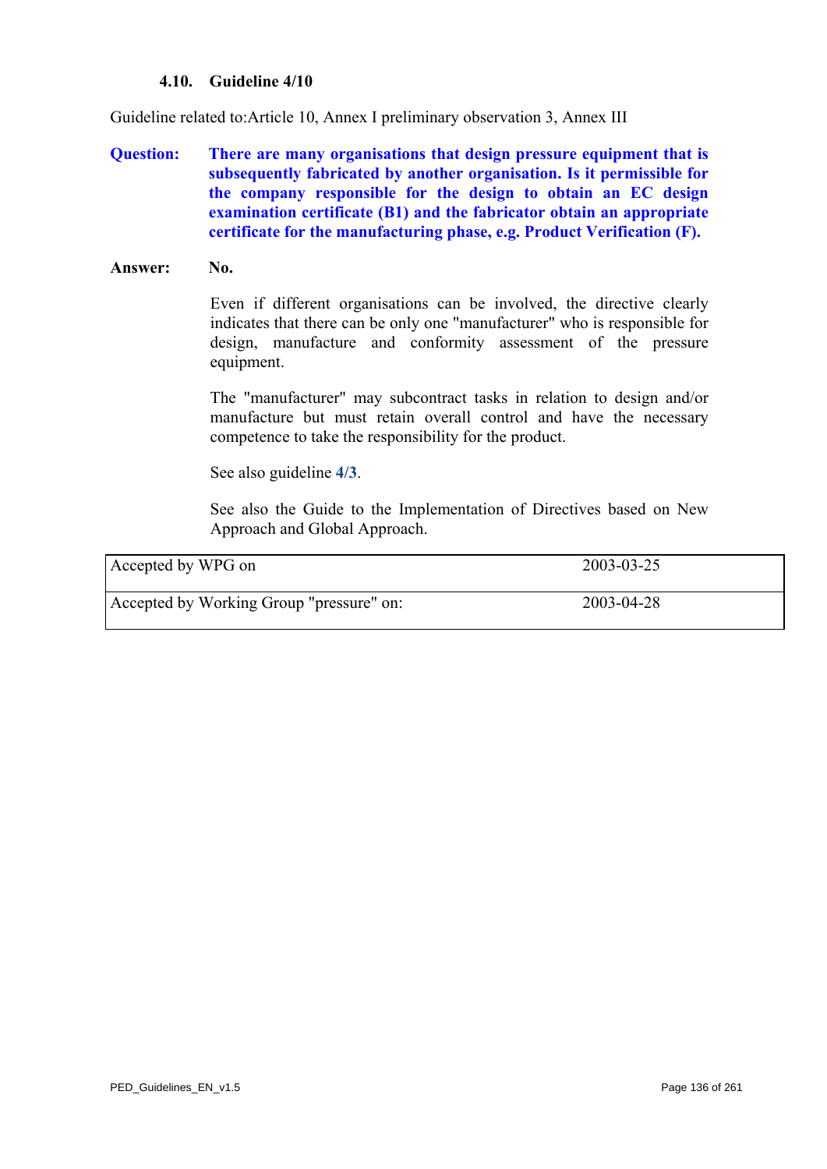#### **4.10. Guideline 4/10**

Guideline related to:Article 10, Annex I preliminary observation 3, Annex III

**Question: There are many organisations that design pressure equipment that is subsequently fabricated by another organisation. Is it permissible for the company responsible for the design to obtain an EC design examination certificate (B1) and the fabricator obtain an appropriate certificate for the manufacturing phase, e.g. Product Verification (F).** 

#### Answer: No.

Even if different organisations can be involved, the directive clearly indicates that there can be only one "manufacturer" who is responsible for design, manufacture and conformity assessment of the pressure equipment.

The "manufacturer" may subcontract tasks in relation to design and/or manufacture but must retain overall control and have the necessary competence to take the responsibility for the product.

See also guideline **[4/3](#page-128-0)**.

See also the Guide to the Implementation of Directives based on New Approach and Global Approach.

| Accepted by WPG on                       | 2003-03-25 |
|------------------------------------------|------------|
| Accepted by Working Group "pressure" on: | 2003-04-28 |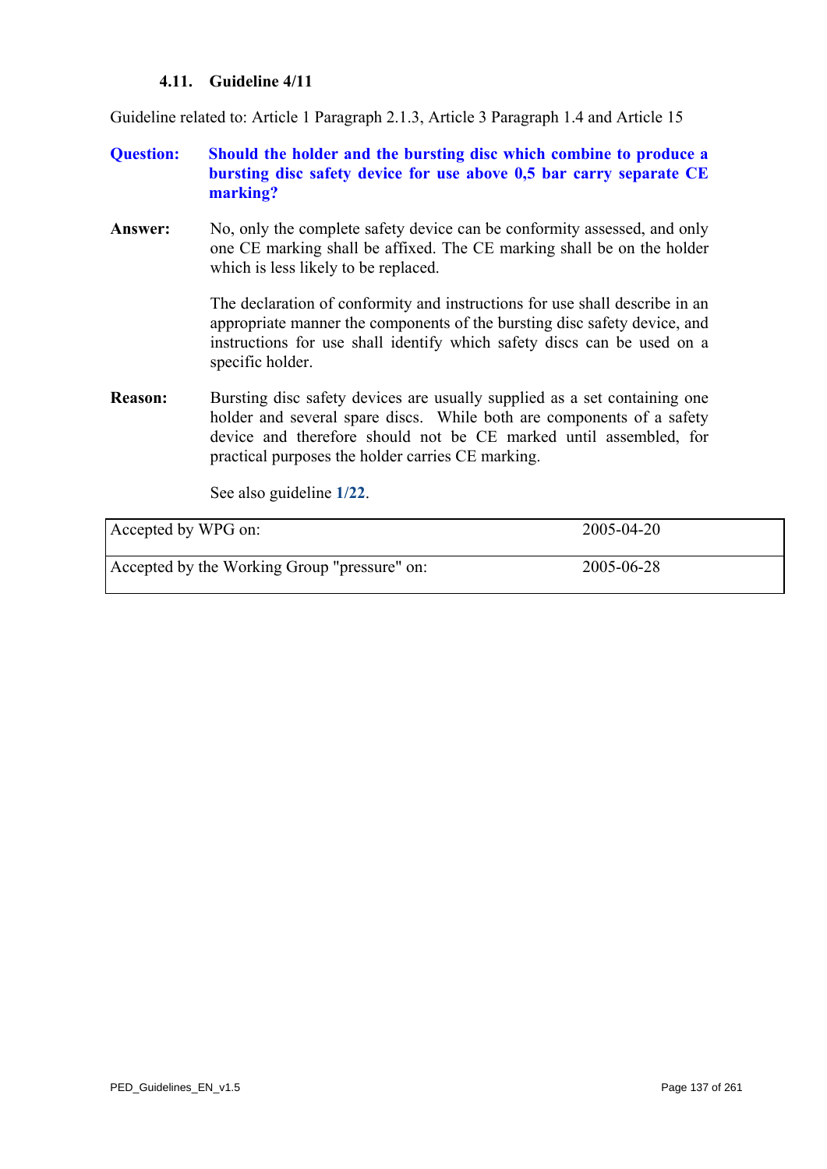## **4.11. Guideline 4/11**

Guideline related to: Article 1 Paragraph 2.1.3, Article 3 Paragraph 1.4 and Article 15

## **Question: Should the holder and the bursting disc which combine to produce a bursting disc safety device for use above 0,5 bar carry separate CE marking?**

**Answer:** No, only the complete safety device can be conformity assessed, and only one CE marking shall be affixed. The CE marking shall be on the holder which is less likely to be replaced.

> The declaration of conformity and instructions for use shall describe in an appropriate manner the components of the bursting disc safety device, and instructions for use shall identify which safety discs can be used on a specific holder.

**Reason:** Bursting disc safety devices are usually supplied as a set containing one holder and several spare discs. While both are components of a safety device and therefore should not be CE marked until assembled, for practical purposes the holder carries CE marking.

See also guideline **[1/22](#page-24-0)**.

| Accepted by WPG on:                          | 2005-04-20 |
|----------------------------------------------|------------|
| Accepted by the Working Group "pressure" on: | 2005-06-28 |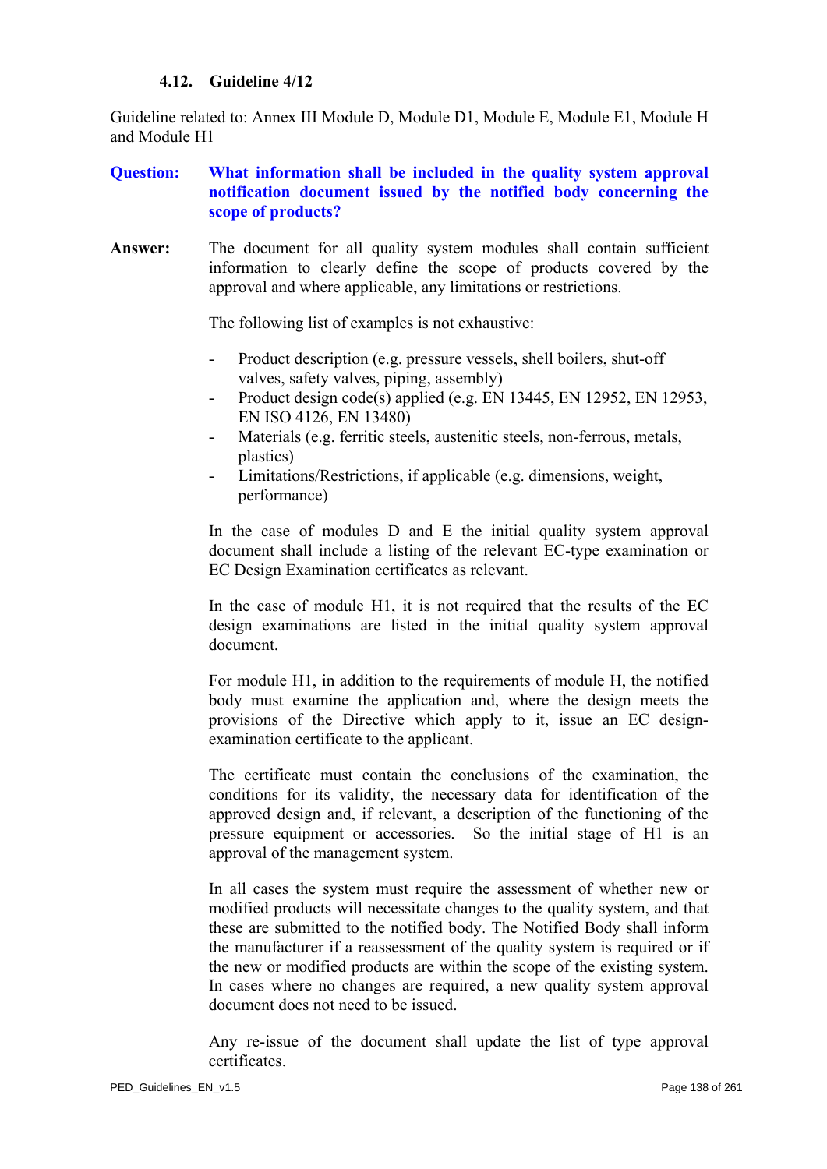### **4.12. Guideline 4/12**

Guideline related to: Annex III Module D, Module D1, Module E, Module E1, Module H and Module H1

# **Question: What information shall be included in the quality system approval notification document issued by the notified body concerning the scope of products?**

Answer: The document for all quality system modules shall contain sufficient information to clearly define the scope of products covered by the approval and where applicable, any limitations or restrictions.

The following list of examples is not exhaustive:

- Product description (e.g. pressure vessels, shell boilers, shut-off valves, safety valves, piping, assembly)
- Product design code(s) applied (e.g. EN 13445, EN 12952, EN 12953, EN ISO 4126, EN 13480)
- Materials (e.g. ferritic steels, austenitic steels, non-ferrous, metals, plastics)
- Limitations/Restrictions, if applicable (e.g. dimensions, weight, performance)

In the case of modules D and E the initial quality system approval document shall include a listing of the relevant EC-type examination or EC Design Examination certificates as relevant.

In the case of module H1, it is not required that the results of the EC design examinations are listed in the initial quality system approval document.

For module H1, in addition to the requirements of module H, the notified body must examine the application and, where the design meets the provisions of the Directive which apply to it, issue an EC designexamination certificate to the applicant.

The certificate must contain the conclusions of the examination, the conditions for its validity, the necessary data for identification of the approved design and, if relevant, a description of the functioning of the pressure equipment or accessories. So the initial stage of H1 is an approval of the management system.

In all cases the system must require the assessment of whether new or modified products will necessitate changes to the quality system, and that these are submitted to the notified body. The Notified Body shall inform the manufacturer if a reassessment of the quality system is required or if the new or modified products are within the scope of the existing system. In cases where no changes are required, a new quality system approval document does not need to be issued.

Any re-issue of the document shall update the list of type approval certificates.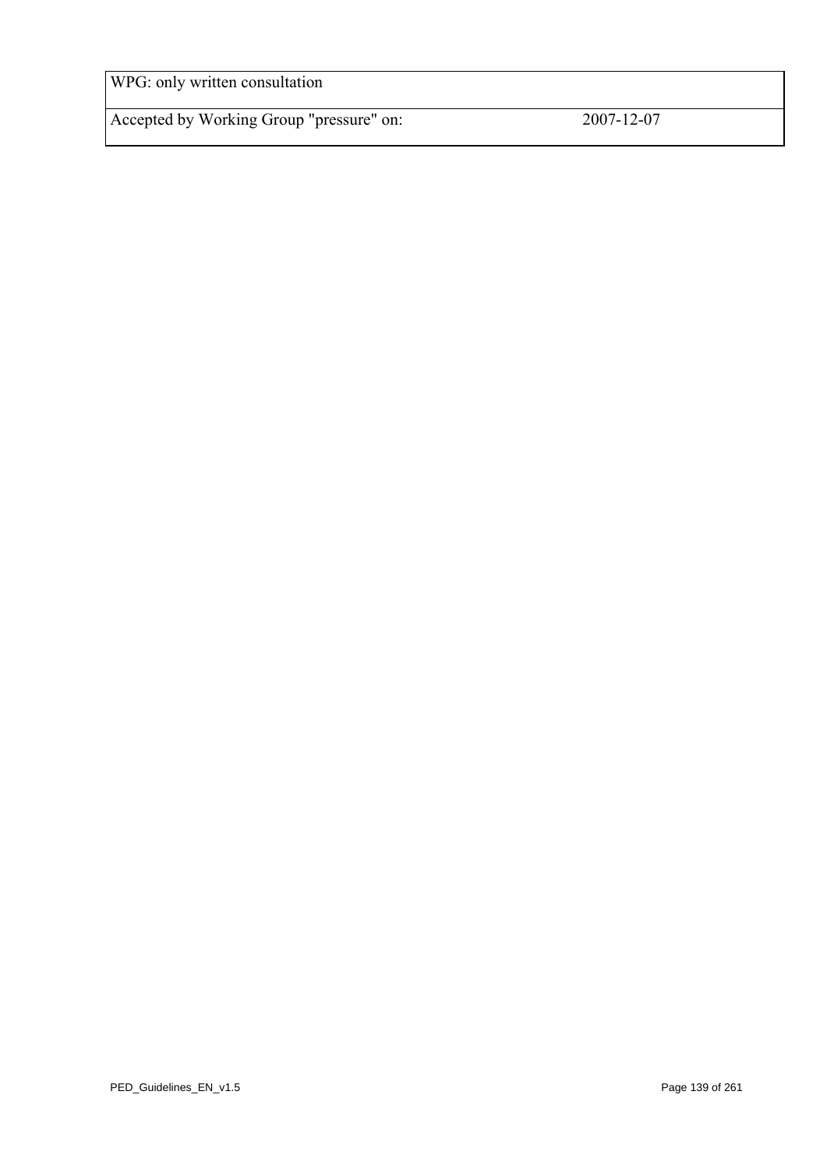WPG: only written consultation

Accepted by Working Group "pressure" on: 2007-12-07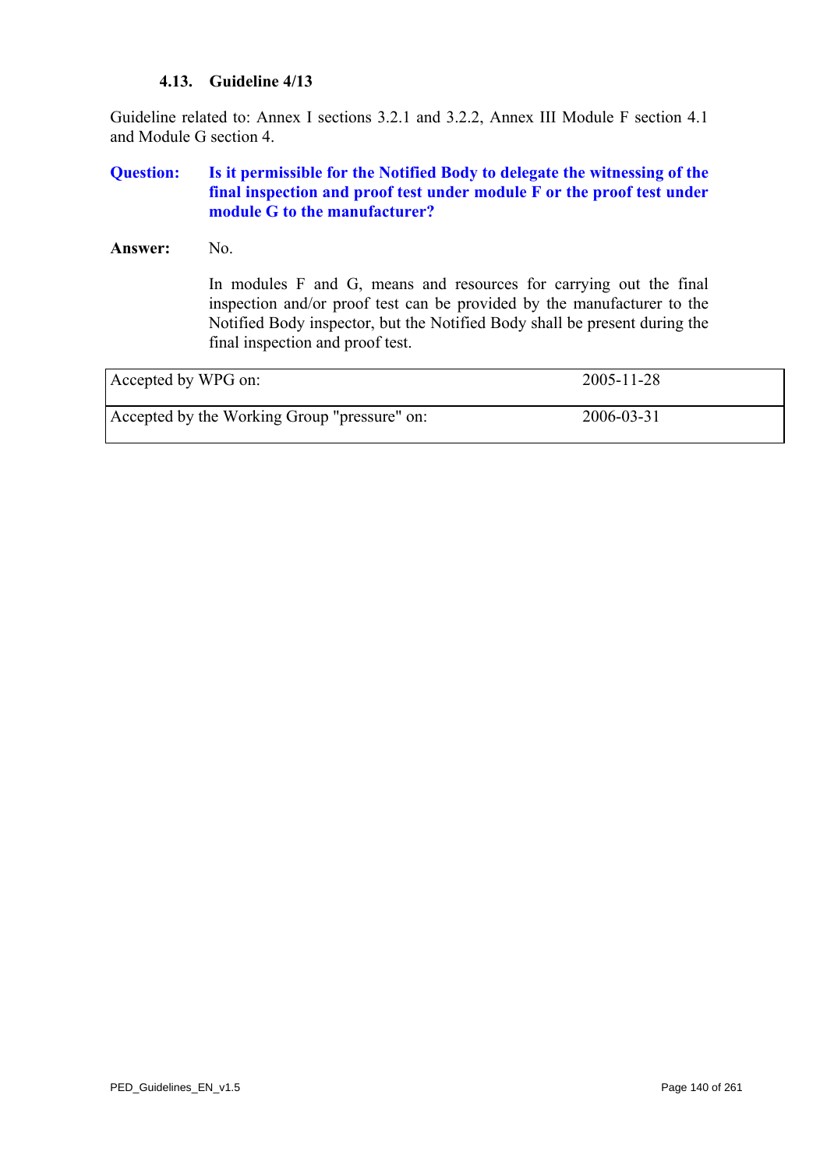### **4.13. Guideline 4/13**

Guideline related to: Annex I sections 3.2.1 and 3.2.2, Annex III Module F section 4.1 and Module G section 4.

## **Question: Is it permissible for the Notified Body to delegate the witnessing of the final inspection and proof test under module F or the proof test under module G to the manufacturer?**

Answer: No.

In modules F and G, means and resources for carrying out the final inspection and/or proof test can be provided by the manufacturer to the Notified Body inspector, but the Notified Body shall be present during the final inspection and proof test.

| Accepted by WPG on:                          | $2005 - 11 - 28$ |
|----------------------------------------------|------------------|
| Accepted by the Working Group "pressure" on: | 2006-03-31       |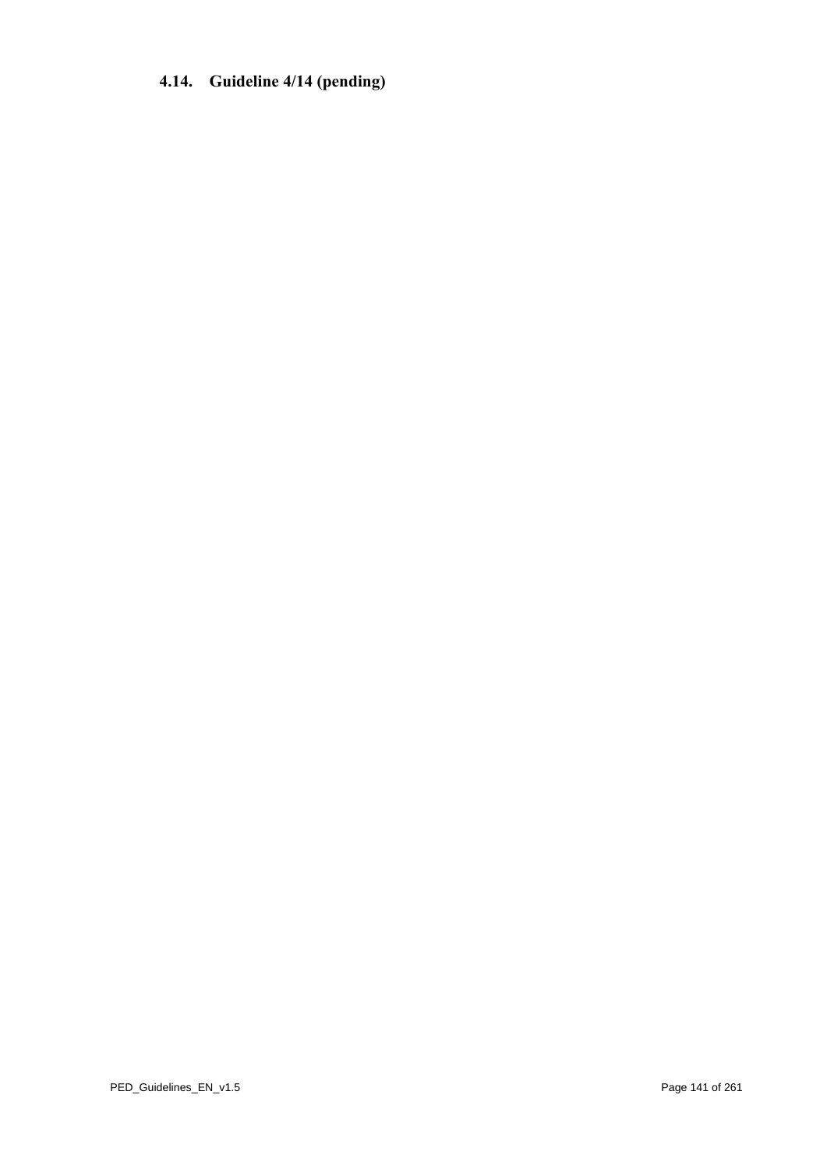# **4.14. Guideline 4/14 (pending)**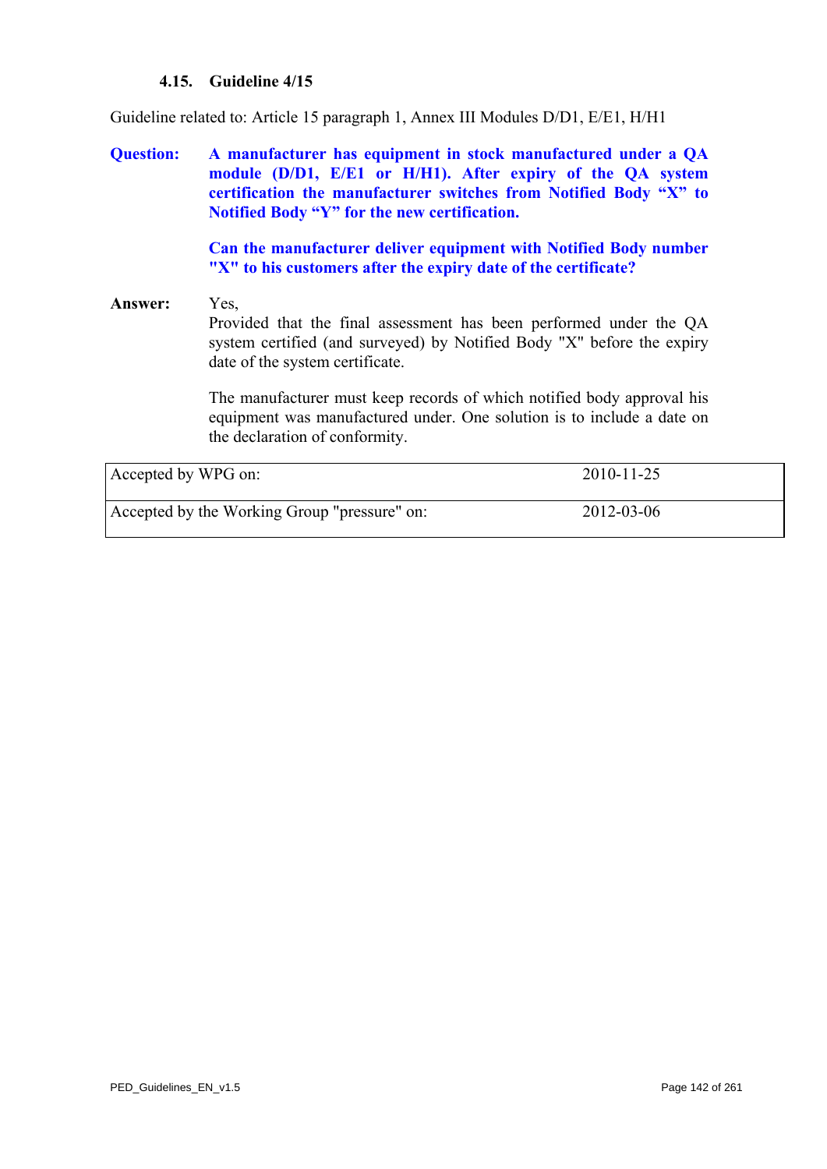## **4.15. Guideline 4/15**

Guideline related to: Article 15 paragraph 1, Annex III Modules D/D1, E/E1, H/H1

**Question: A manufacturer has equipment in stock manufactured under a QA module (D/D1, E/E1 or H/H1). After expiry of the QA system certification the manufacturer switches from Notified Body "X" to Notified Body "Y" for the new certification.** 

> **Can the manufacturer deliver equipment with Notified Body number "X" to his customers after the expiry date of the certificate?**

# **Answer:** Yes, Provided that the final assessment has been performed under the QA system certified (and surveyed) by Notified Body "X" before the expiry date of the system certificate.

The manufacturer must keep records of which notified body approval his equipment was manufactured under. One solution is to include a date on the declaration of conformity.

<span id="page-141-0"></span>

| Accepted by WPG on:                          | 2010-11-25 |  |
|----------------------------------------------|------------|--|
| Accepted by the Working Group "pressure" on: | 2012-03-06 |  |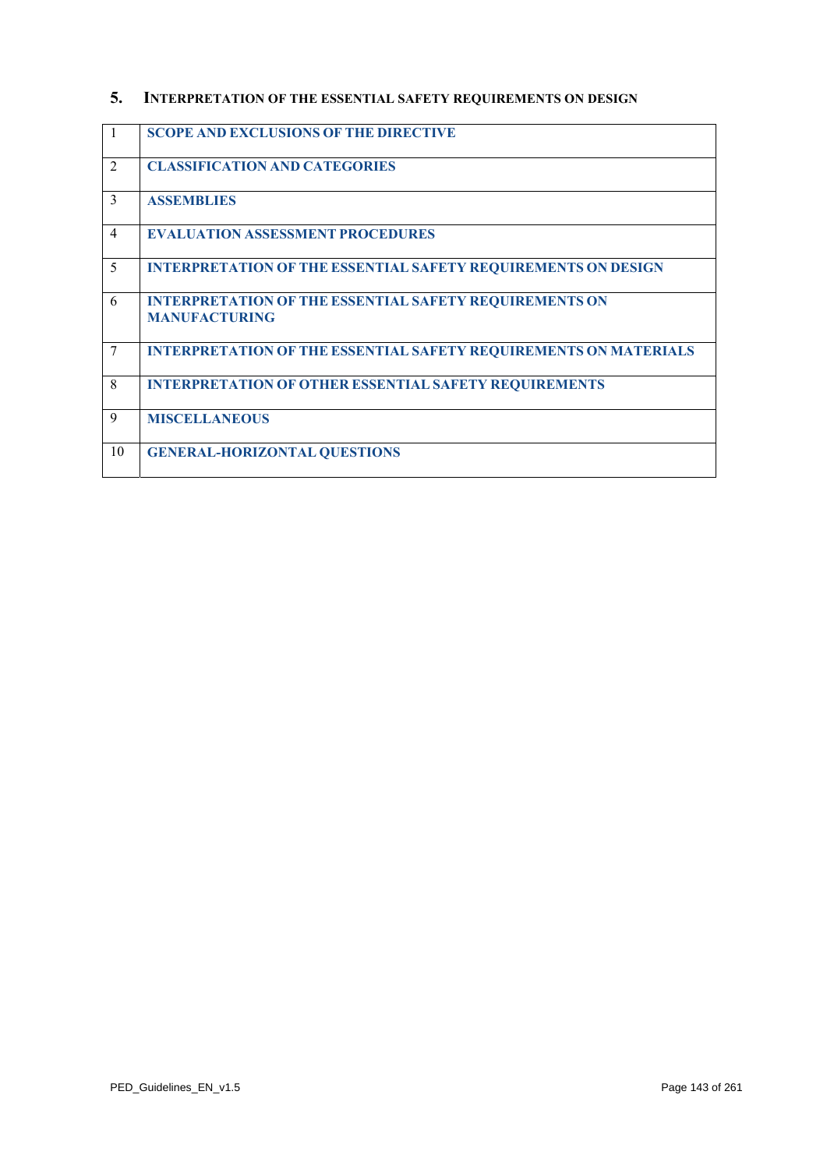# **5. INTERPRETATION OF THE ESSENTIAL SAFETY REQUIREMENTS ON DESIGN**

| $\mathbf{1}$   | <b>SCOPE AND EXCLUSIONS OF THE DIRECTIVE</b>                                          |
|----------------|---------------------------------------------------------------------------------------|
| $\mathfrak{D}$ | <b>CLASSIFICATION AND CATEGORIES</b>                                                  |
| $\mathcal{E}$  | <b>ASSEMBLIES</b>                                                                     |
| $\overline{4}$ | <b>EVALUATION ASSESSMENT PROCEDURES</b>                                               |
| 5              | <b>INTERPRETATION OF THE ESSENTIAL SAFETY REQUIREMENTS ON DESIGN</b>                  |
| 6              | <b>INTERPRETATION OF THE ESSENTIAL SAFETY REQUIREMENTS ON</b><br><b>MANUFACTURING</b> |
| $\overline{7}$ | <b>INTERPRETATION OF THE ESSENTIAL SAFETY REQUIREMENTS ON MATERIALS</b>               |
| 8              | <b>INTERPRETATION OF OTHER ESSENTIAL SAFETY REQUIREMENTS</b>                          |
| 9              | <b>MISCELLANEOUS</b>                                                                  |
| 10             | <b>GENERAL-HORIZONTAL QUESTIONS</b>                                                   |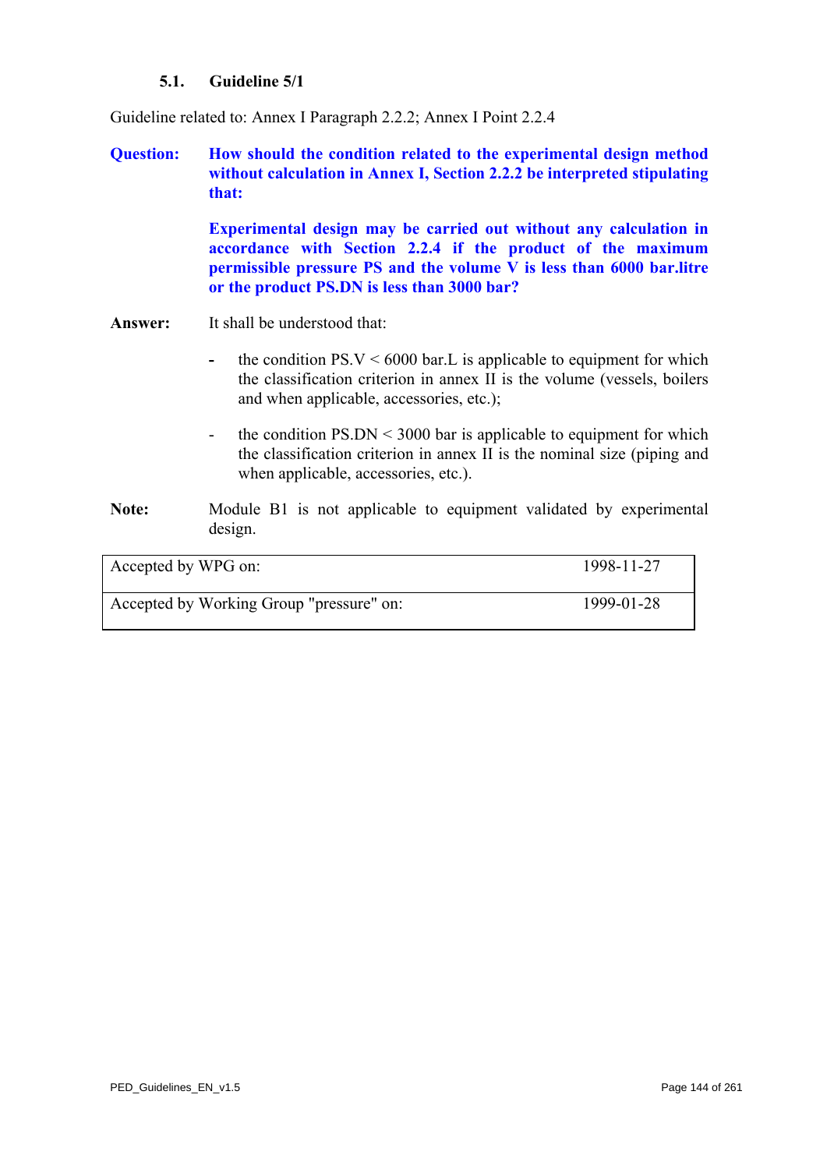## **5.1. Guideline 5/1**

Guideline related to: Annex I Paragraph 2.2.2; Annex I Point 2.2.4

**Question: How should the condition related to the experimental design method without calculation in Annex I, Section 2.2.2 be interpreted stipulating that:** 

> **Experimental design may be carried out without any calculation in accordance with Section 2.2.4 if the product of the maximum permissible pressure PS and the volume V is less than 6000 bar.litre or the product PS.DN is less than 3000 bar?**

- **Answer:** It shall be understood that:
	- the condition  $PS.V < 6000$  bar. L is applicable to equipment for which the classification criterion in annex II is the volume (vessels, boilers and when applicable, accessories, etc.);
	- the condition PS.DN < 3000 bar is applicable to equipment for which the classification criterion in annex II is the nominal size (piping and when applicable, accessories, etc.).
- **Note:** Module B1 is not applicable to equipment validated by experimental design.

| Accepted by WPG on:                      | 1998-11-27 |
|------------------------------------------|------------|
| Accepted by Working Group "pressure" on: | 1999-01-28 |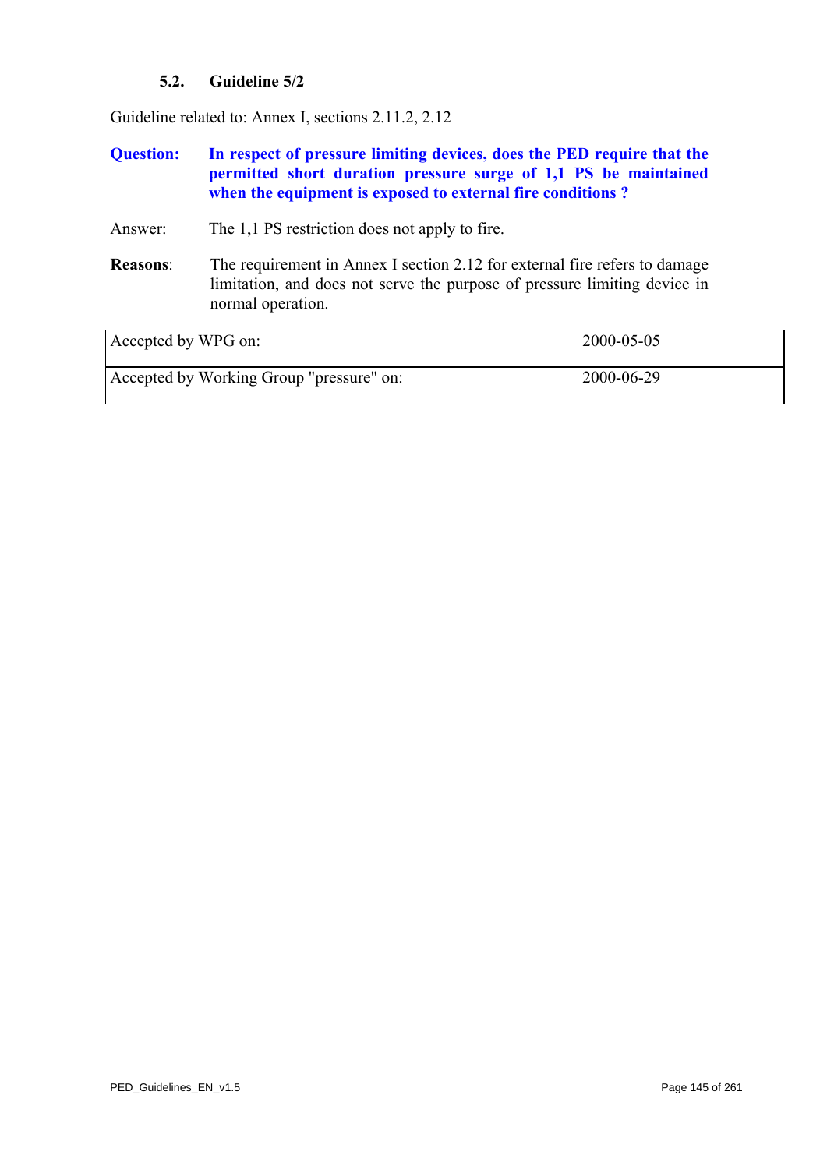## **5.2. Guideline 5/2**

Guideline related to: Annex I, sections 2.11.2, 2.12

## **Question: In respect of pressure limiting devices, does the PED require that the permitted short duration pressure surge of 1,1 PS be maintained when the equipment is exposed to external fire conditions ?**

### Answer: The 1,1 PS restriction does not apply to fire.

**Reasons**: The requirement in Annex I section 2.12 for external fire refers to damage limitation, and does not serve the purpose of pressure limiting device in normal operation.

| Accepted by WPG on:                      | 2000-05-05 |
|------------------------------------------|------------|
| Accepted by Working Group "pressure" on: | 2000-06-29 |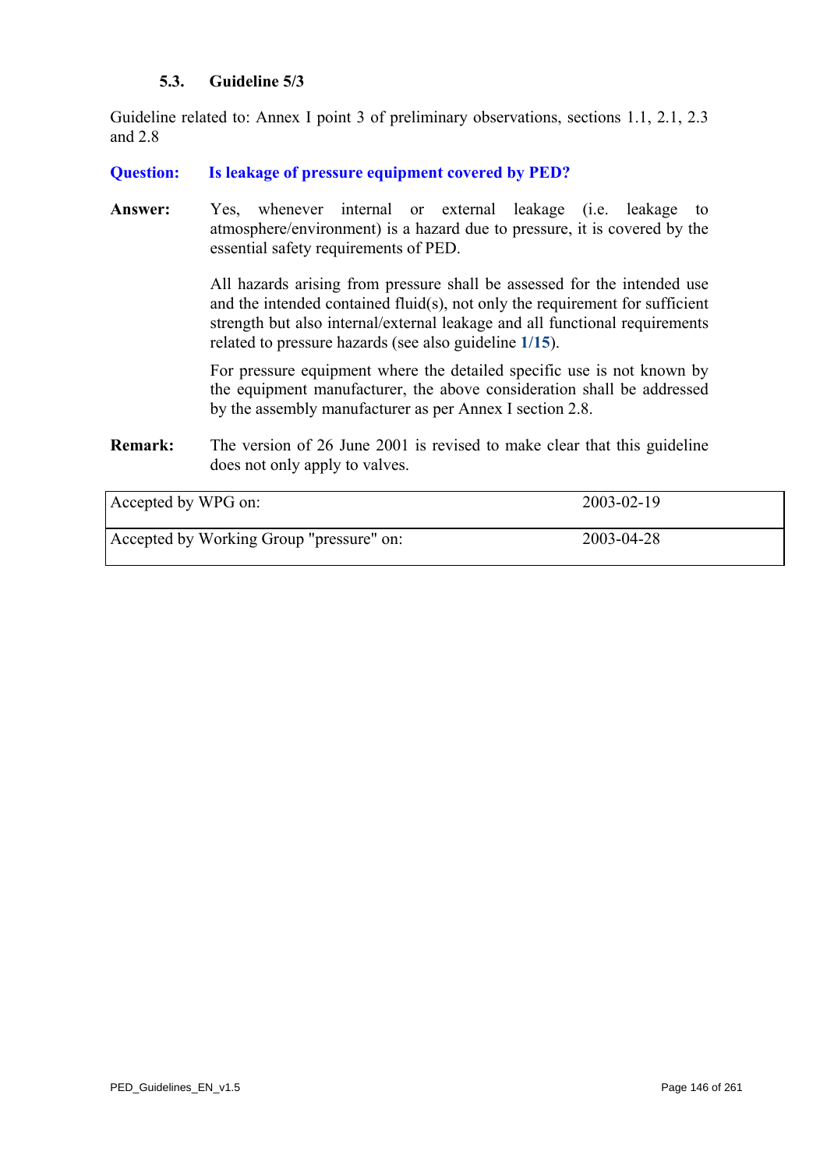## **5.3. Guideline 5/3**

Guideline related to: Annex I point 3 of preliminary observations, sections 1.1, 2.1, 2.3 and 2.8

### **Question: Is leakage of pressure equipment covered by PED?**

Answer: Yes, whenever internal or external leakage (i.e. leakage to atmosphere/environment) is a hazard due to pressure, it is covered by the essential safety requirements of PED.

> All hazards arising from pressure shall be assessed for the intended use and the intended contained fluid(s), not only the requirement for sufficient strength but also internal/external leakage and all functional requirements related to pressure hazards (see also guideline **[1/15](#page-17-0)**).

> For pressure equipment where the detailed specific use is not known by the equipment manufacturer, the above consideration shall be addressed by the assembly manufacturer as per Annex I section 2.8.

**Remark:** The version of 26 June 2001 is revised to make clear that this guideline does not only apply to valves.

| Accepted by WPG on:                      | 2003-02-19 |
|------------------------------------------|------------|
| Accepted by Working Group "pressure" on: | 2003-04-28 |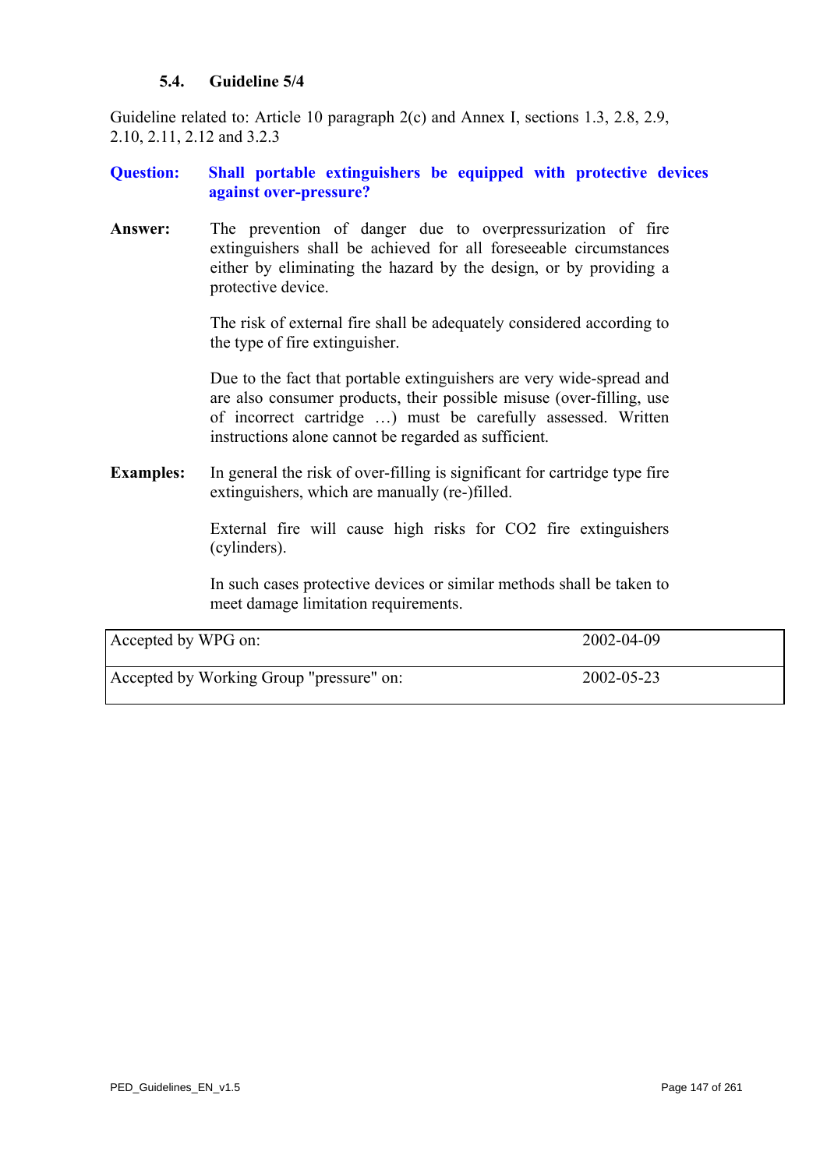## **5.4. Guideline 5/4**

Guideline related to: Article 10 paragraph 2(c) and Annex I, sections 1.3, 2.8, 2.9, 2.10, 2.11, 2.12 and 3.2.3

## **Question: Shall portable extinguishers be equipped with protective devices against over-pressure?**

**Answer:** The prevention of danger due to overpressurization of fire extinguishers shall be achieved for all foreseeable circumstances either by eliminating the hazard by the design, or by providing a protective device.

> The risk of external fire shall be adequately considered according to the type of fire extinguisher.

> Due to the fact that portable extinguishers are very wide-spread and are also consumer products, their possible misuse (over-filling, use of incorrect cartridge …) must be carefully assessed. Written instructions alone cannot be regarded as sufficient.

**Examples:** In general the risk of over-filling is significant for cartridge type fire extinguishers, which are manually (re-)filled.

> External fire will cause high risks for CO2 fire extinguishers (cylinders).

> In such cases protective devices or similar methods shall be taken to meet damage limitation requirements.

| Accepted by WPG on:                      | 2002-04-09 |
|------------------------------------------|------------|
| Accepted by Working Group "pressure" on: | 2002-05-23 |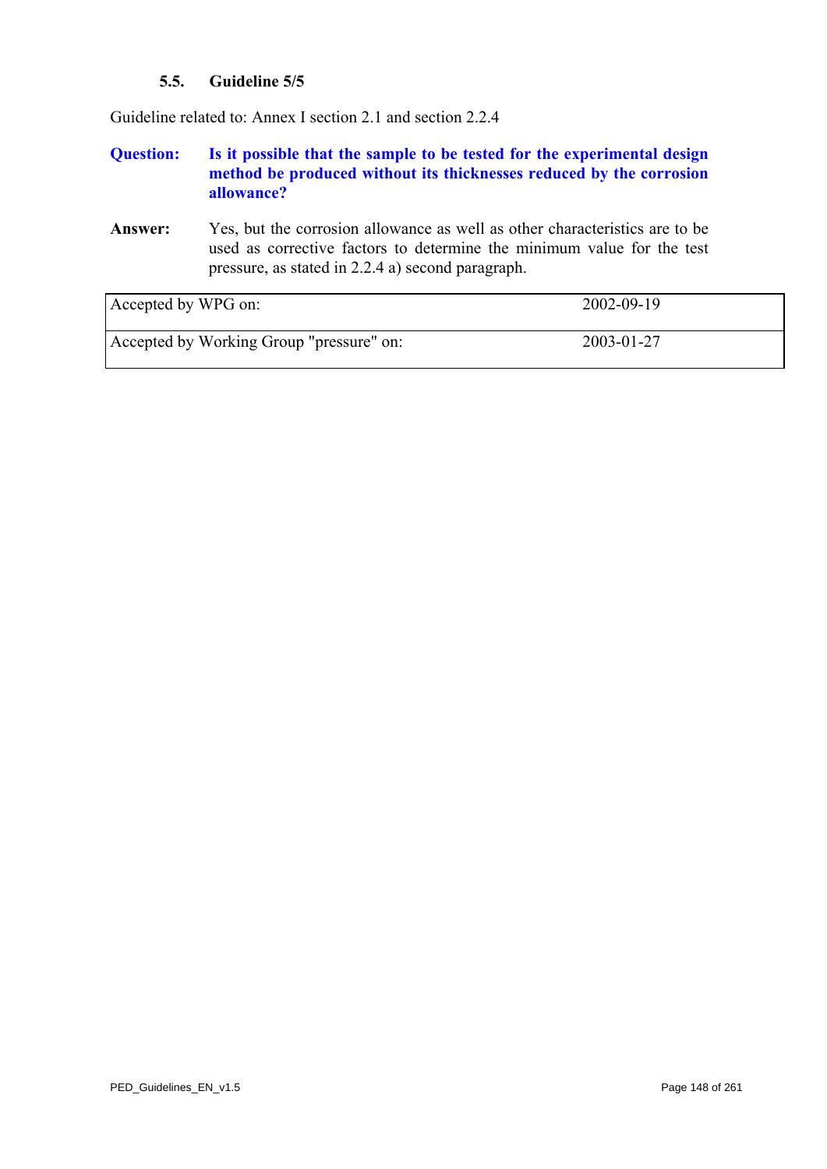## **5.5. Guideline 5/5**

Guideline related to: Annex I section 2.1 and section 2.2.4

## **Question: Is it possible that the sample to be tested for the experimental design method be produced without its thicknesses reduced by the corrosion allowance?**

**Answer:** Yes, but the corrosion allowance as well as other characteristics are to be used as corrective factors to determine the minimum value for the test pressure, as stated in 2.2.4 a) second paragraph.

| Accepted by WPG on:                      | 2002-09-19 |
|------------------------------------------|------------|
| Accepted by Working Group "pressure" on: | 2003-01-27 |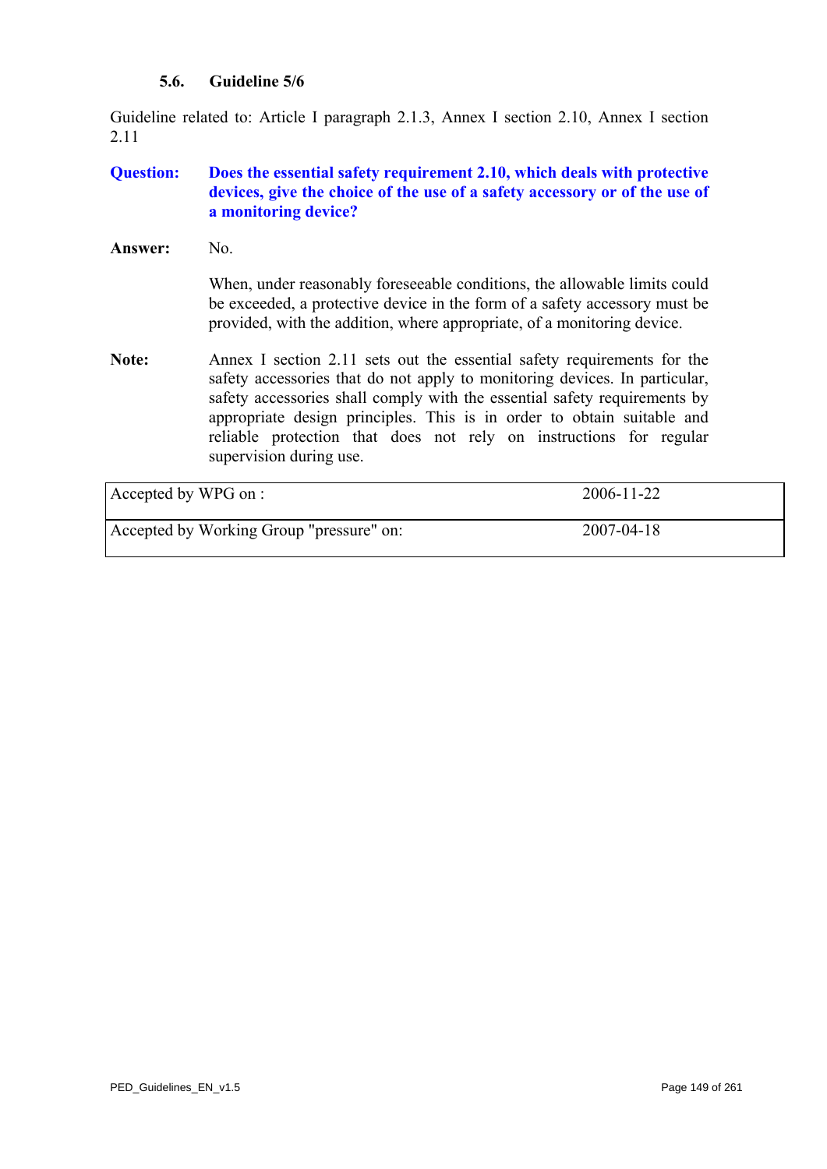## **5.6. Guideline 5/6**

Guideline related to: Article I paragraph 2.1.3, Annex I section 2.10, Annex I section 2.11

# **Question: Does the essential safety requirement 2.10, which deals with protective devices, give the choice of the use of a safety accessory or of the use of a monitoring device?**

Answer: No.

When, under reasonably foreseeable conditions, the allowable limits could be exceeded, a protective device in the form of a safety accessory must be provided, with the addition, where appropriate, of a monitoring device.

**Note:** Annex I section 2.11 sets out the essential safety requirements for the safety accessories that do not apply to monitoring devices. In particular, safety accessories shall comply with the essential safety requirements by appropriate design principles. This is in order to obtain suitable and reliable protection that does not rely on instructions for regular supervision during use.

| Accepted by WPG on :                     | 2006-11-22       |
|------------------------------------------|------------------|
| Accepted by Working Group "pressure" on: | $2007 - 04 - 18$ |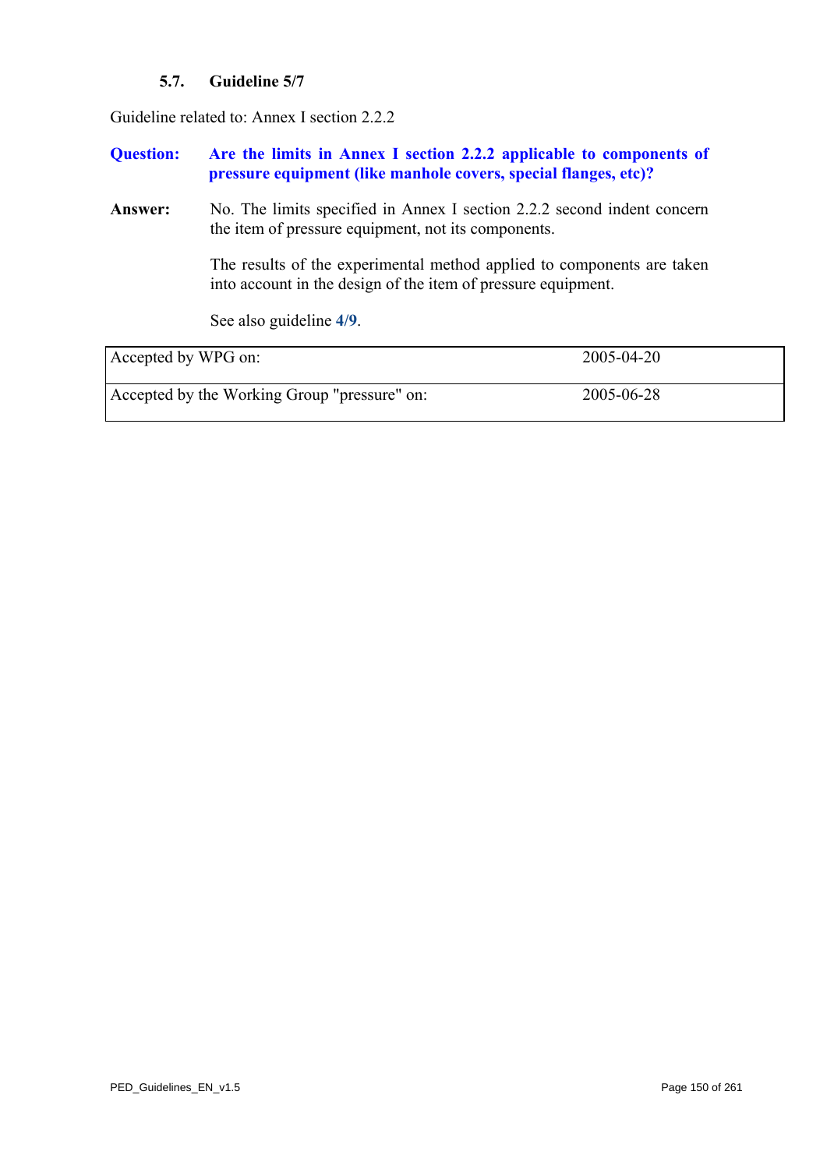# **5.7. Guideline 5/7**

Guideline related to: Annex I section 2.2.2

| <b>Question:</b>    | Are the limits in Annex I section 2.2.2 applicable to components of<br>pressure equipment (like manhole covers, special flanges, etc)?                                                                                                                                    |            |
|---------------------|---------------------------------------------------------------------------------------------------------------------------------------------------------------------------------------------------------------------------------------------------------------------------|------------|
| Answer:             | No. The limits specified in Annex I section 2.2.2 second indent concern<br>the item of pressure equipment, not its components.<br>The results of the experimental method applied to components are taken<br>into account in the design of the item of pressure equipment. |            |
|                     |                                                                                                                                                                                                                                                                           |            |
|                     | See also guideline 4/9.                                                                                                                                                                                                                                                   |            |
| Accepted by WPG on: |                                                                                                                                                                                                                                                                           | 2005-04-20 |
|                     | Accepted by the Working Group "pressure" on:                                                                                                                                                                                                                              | 2005-06-28 |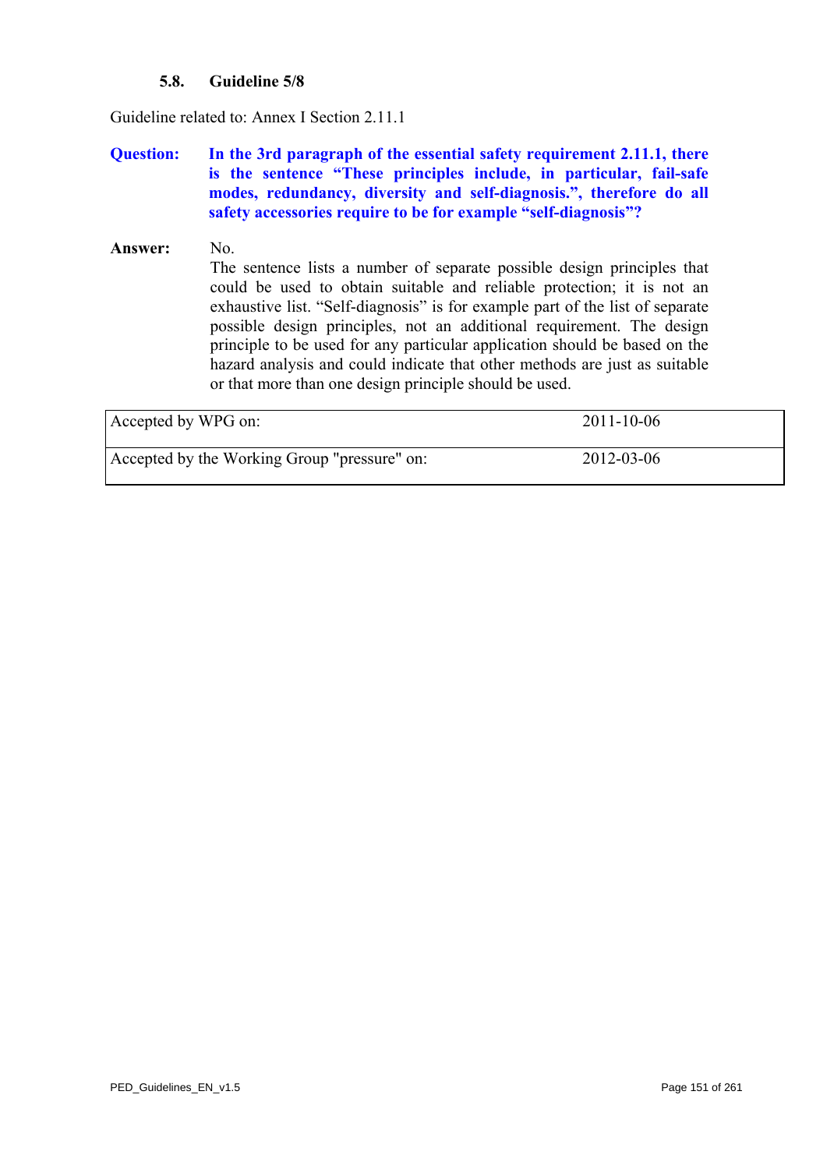## **5.8. Guideline 5/8**

Guideline related to: Annex I Section 2.11.1

## **Question: In the 3rd paragraph of the essential safety requirement 2.11.1, there is the sentence "These principles include, in particular, fail-safe modes, redundancy, diversity and self-diagnosis.", therefore do all safety accessories require to be for example "self-diagnosis"?**

# Answer: No. The sentence lists a number of separate possible design principles that could be used to obtain suitable and reliable protection; it is not an exhaustive list. "Self-diagnosis" is for example part of the list of separate possible design principles, not an additional requirement. The design principle to be used for any particular application should be based on the hazard analysis and could indicate that other methods are just as suitable or that more than one design principle should be used.

| Accepted by WPG on:                          | $2011 - 10 - 06$ |
|----------------------------------------------|------------------|
| Accepted by the Working Group "pressure" on: | 2012-03-06       |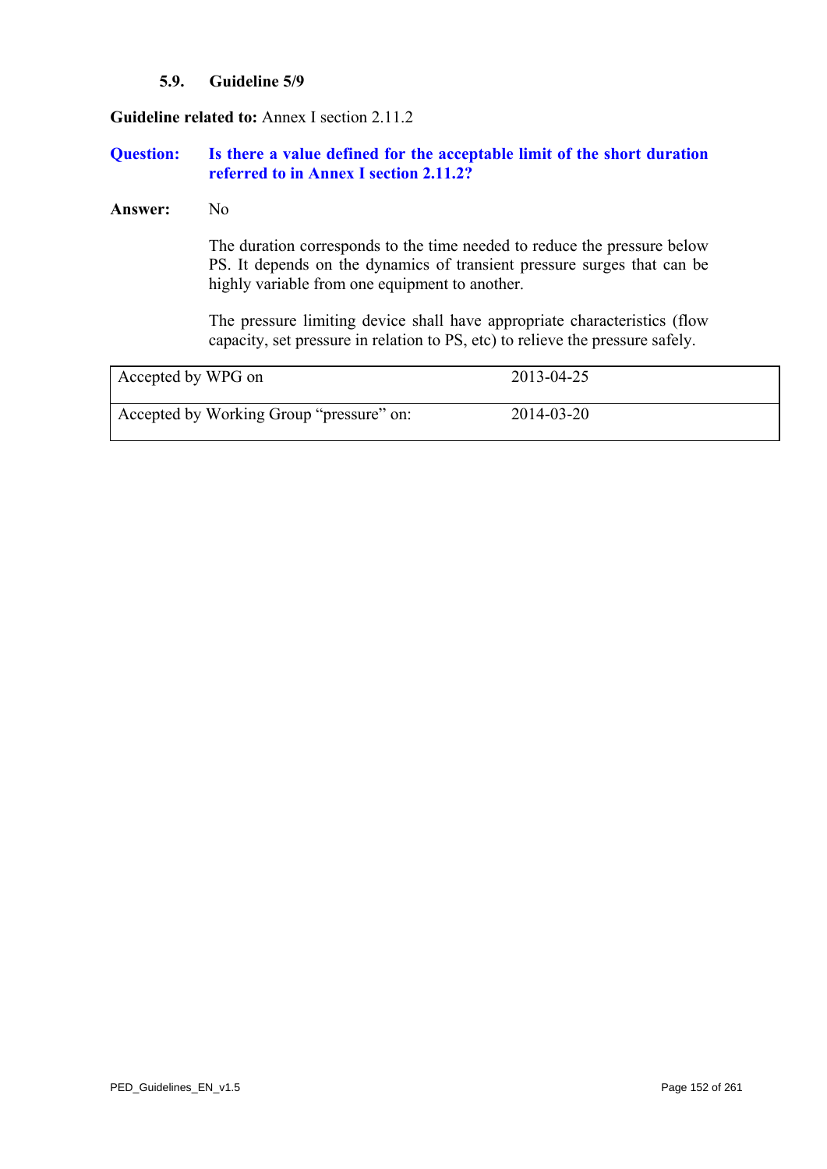## **5.9. Guideline 5/9**

**Guideline related to:** Annex I section 2.11.2

## **Question: Is there a value defined for the acceptable limit of the short duration referred to in Annex I section 2.11.2?**

#### **Answer:** No

 The duration corresponds to the time needed to reduce the pressure below PS. It depends on the dynamics of transient pressure surges that can be highly variable from one equipment to another.

The pressure limiting device shall have appropriate characteristics (flow capacity, set pressure in relation to PS, etc) to relieve the pressure safely.

<span id="page-151-0"></span>

| Accepted by WPG on                       | 2013-04-25 |  |
|------------------------------------------|------------|--|
| Accepted by Working Group "pressure" on: | 2014-03-20 |  |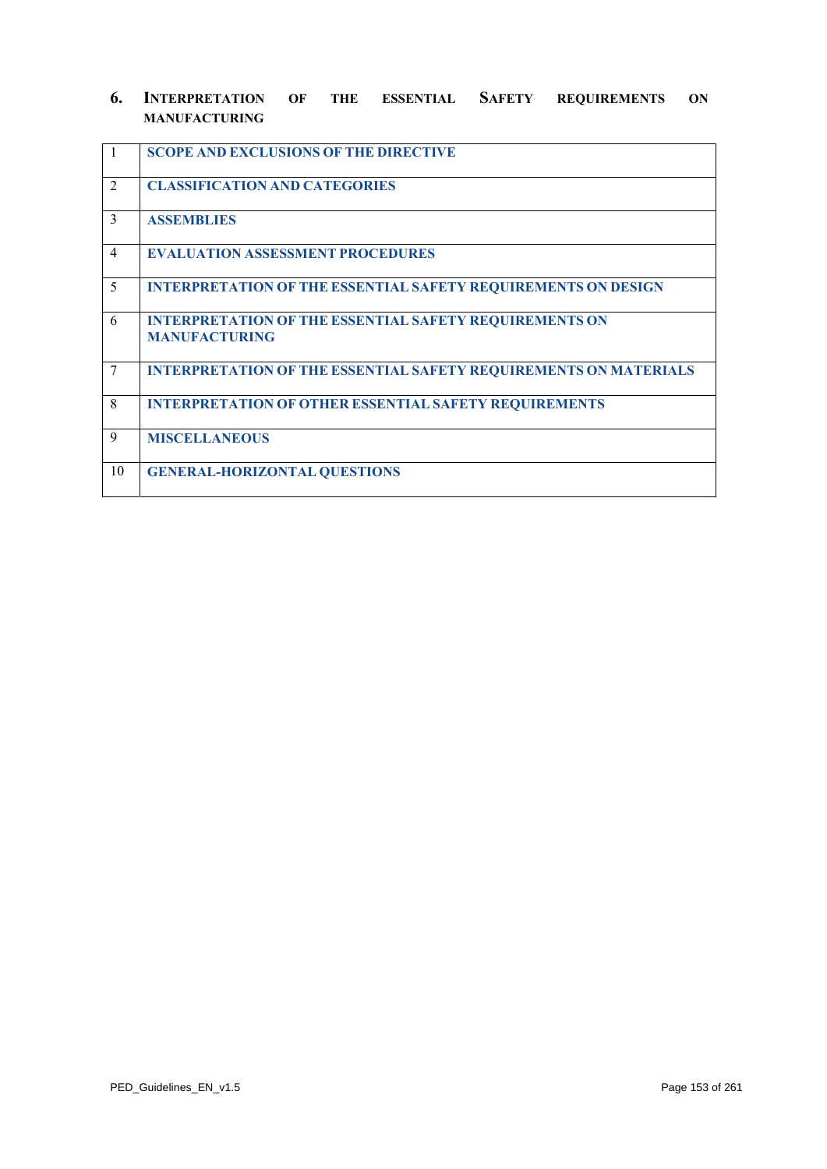## **6. INTERPRETATION OF THE ESSENTIAL SAFETY REQUIREMENTS ON MANUFACTURING**

| $\vert$ 1      | <b>SCOPE AND EXCLUSIONS OF THE DIRECTIVE</b>                                          |
|----------------|---------------------------------------------------------------------------------------|
| 2              | <b>CLASSIFICATION AND CATEGORIES</b>                                                  |
| $\mathcal{E}$  | <b>ASSEMBLIES</b>                                                                     |
| $\overline{4}$ | <b>EVALUATION ASSESSMENT PROCEDURES</b>                                               |
| 5              | <b>INTERPRETATION OF THE ESSENTIAL SAFETY REQUIREMENTS ON DESIGN</b>                  |
| 6              | <b>INTERPRETATION OF THE ESSENTIAL SAFETY REQUIREMENTS ON</b><br><b>MANUFACTURING</b> |
| $\tau$         | <b>INTERPRETATION OF THE ESSENTIAL SAFETY REQUIREMENTS ON MATERIALS</b>               |
| 8              | <b>INTERPRETATION OF OTHER ESSENTIAL SAFETY REQUIREMENTS</b>                          |
| 9              | <b>MISCELLANEOUS</b>                                                                  |
| 10             | <b>GENERAL-HORIZONTAL QUESTIONS</b>                                                   |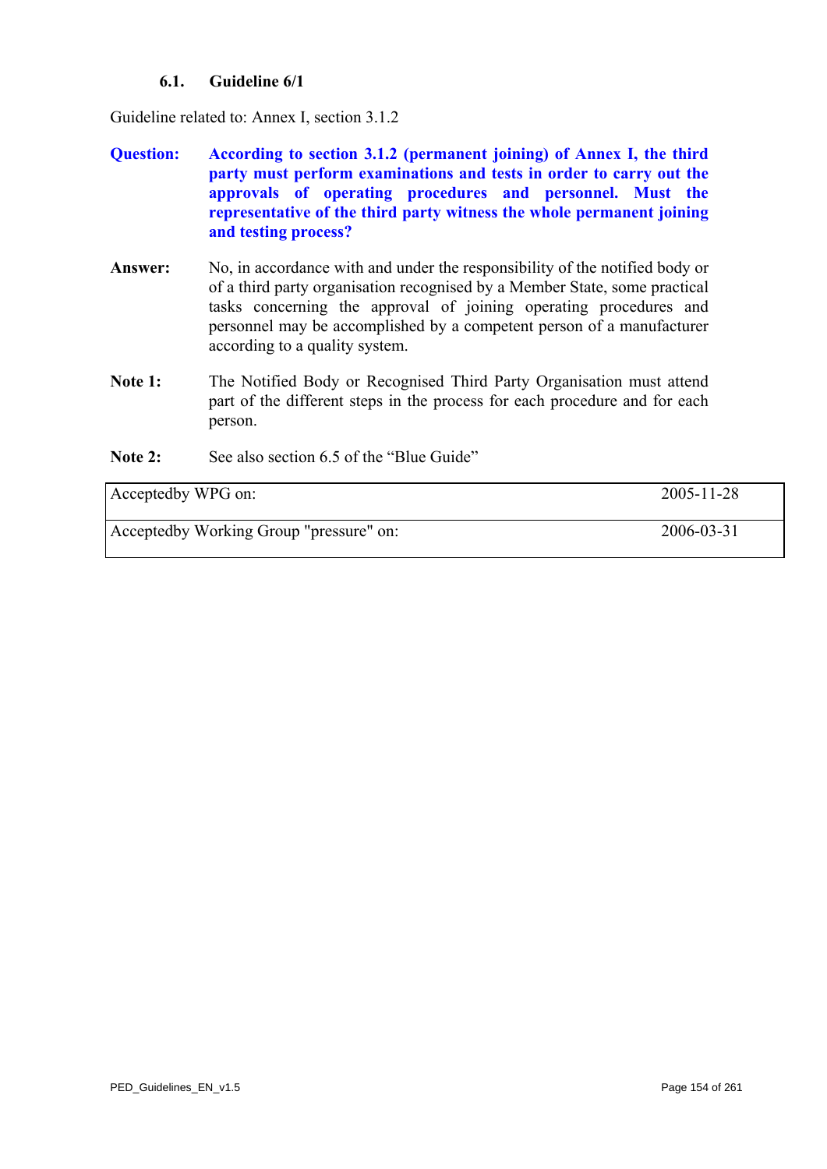## **6.1. Guideline 6/1**

<span id="page-153-0"></span>Guideline related to: Annex I, section 3.1.2

- **Question: According to section 3.1.2 (permanent joining) of Annex I, the third party must perform examinations and tests in order to carry out the approvals of operating procedures and personnel. Must the representative of the third party witness the whole permanent joining and testing process?**
- **Answer:** No, in accordance with and under the responsibility of the notified body or of a third party organisation recognised by a Member State, some practical tasks concerning the approval of joining operating procedures and personnel may be accomplished by a competent person of a manufacturer according to a quality system.
- **Note 1:** The Notified Body or Recognised Third Party Organisation must attend part of the different steps in the process for each procedure and for each person.
- **Note 2:** See also section 6.5 of the "Blue Guide"

| Acceptedby WPG on:                      | $2005 - 11 - 28$ |
|-----------------------------------------|------------------|
| Acceptedby Working Group "pressure" on: | 2006-03-31       |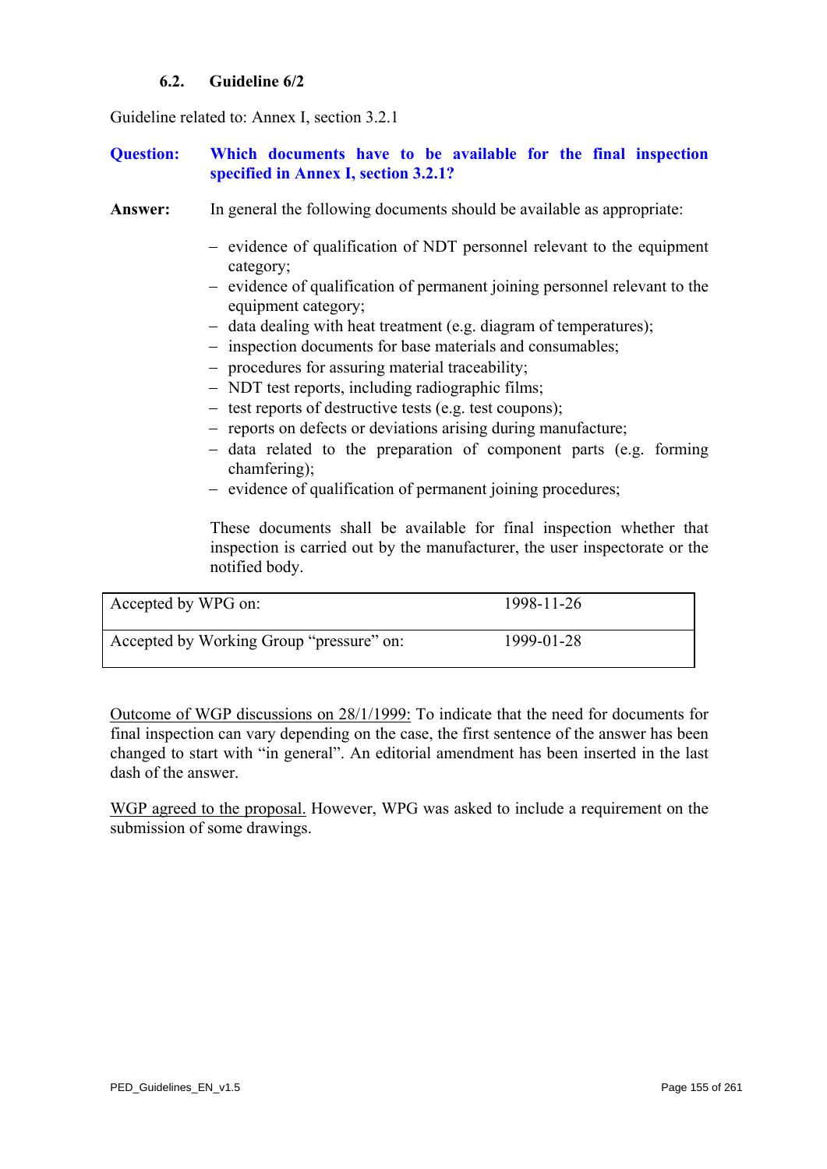## **6.2. Guideline 6/2**

Guideline related to: Annex I, section 3.2.1

## **Question: Which documents have to be available for the final inspection specified in Annex I, section 3.2.1?**

- Answer: In general the following documents should be available as appropriate:
	- − evidence of qualification of NDT personnel relevant to the equipment category;
	- − evidence of qualification of permanent joining personnel relevant to the equipment category;
	- − data dealing with heat treatment (e.g. diagram of temperatures);
	- − inspection documents for base materials and consumables;
	- − procedures for assuring material traceability;
	- − NDT test reports, including radiographic films;
	- − test reports of destructive tests (e.g. test coupons);
	- − reports on defects or deviations arising during manufacture;
	- − data related to the preparation of component parts (e.g. forming chamfering);
	- − evidence of qualification of permanent joining procedures;

 These documents shall be available for final inspection whether that inspection is carried out by the manufacturer, the user inspectorate or the notified body.

| Accepted by WPG on:                      | 1998-11-26 |
|------------------------------------------|------------|
| Accepted by Working Group "pressure" on: | 1999-01-28 |

Outcome of WGP discussions on 28/1/1999: To indicate that the need for documents for final inspection can vary depending on the case, the first sentence of the answer has been changed to start with "in general". An editorial amendment has been inserted in the last dash of the answer.

WGP agreed to the proposal. However, WPG was asked to include a requirement on the submission of some drawings.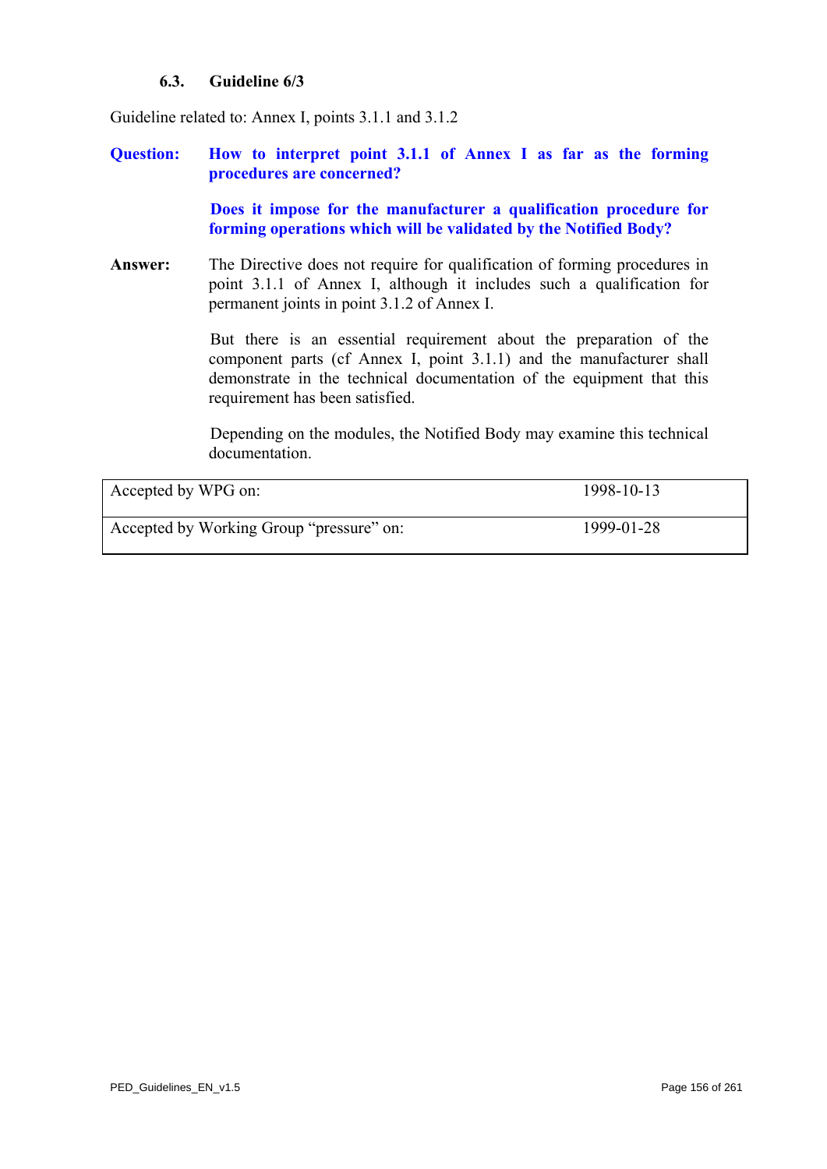## **6.3. Guideline 6/3**

Guideline related to: Annex I, points 3.1.1 and 3.1.2

**Question: How to interpret point 3.1.1 of Annex I as far as the forming procedures are concerned?** 

> **Does it impose for the manufacturer a qualification procedure for forming operations which will be validated by the Notified Body?**

**Answer:** The Directive does not require for qualification of forming procedures in point 3.1.1 of Annex I, although it includes such a qualification for permanent joints in point 3.1.2 of Annex I.

> But there is an essential requirement about the preparation of the component parts (cf Annex I, point 3.1.1) and the manufacturer shall demonstrate in the technical documentation of the equipment that this requirement has been satisfied.

> Depending on the modules, the Notified Body may examine this technical documentation.

| Accepted by WPG on:                      | 1998-10-13 |
|------------------------------------------|------------|
| Accepted by Working Group "pressure" on: | 1999-01-28 |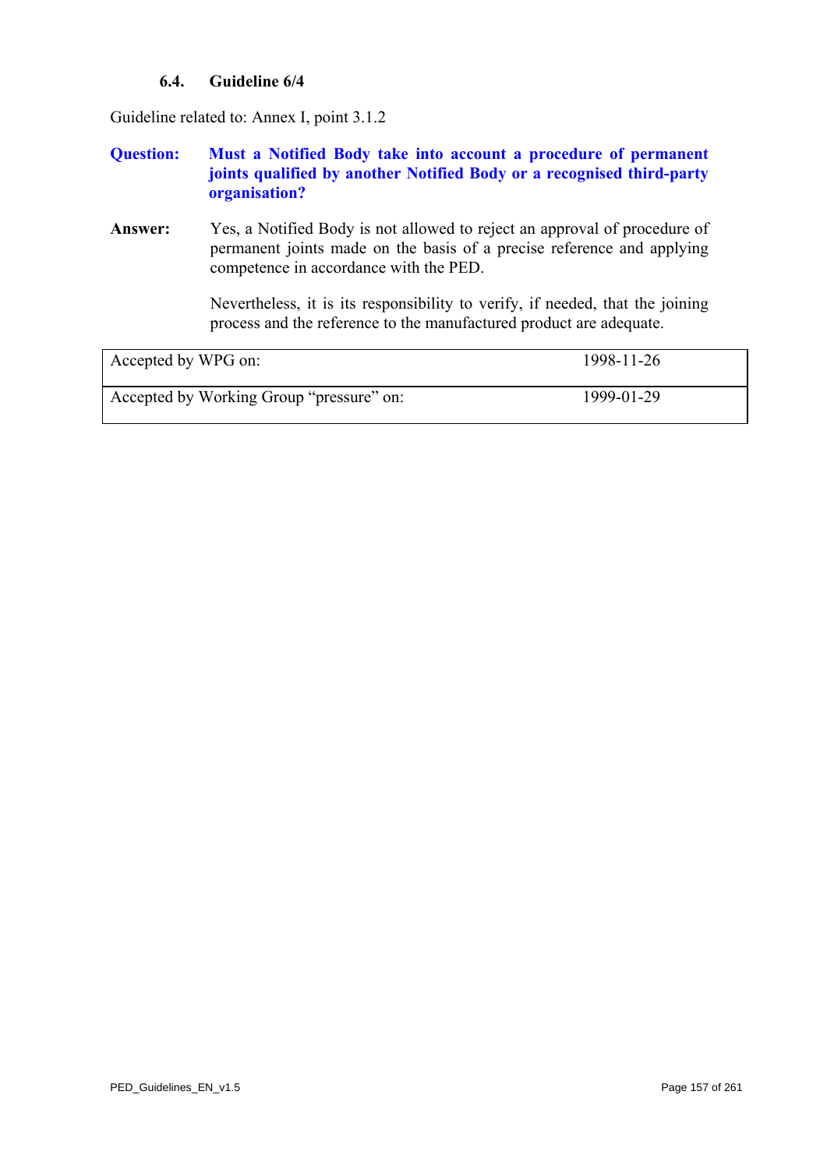## **6.4. Guideline 6/4**

<span id="page-156-0"></span>Guideline related to: Annex I, point 3.1.2

## **Question: Must a Notified Body take into account a procedure of permanent joints qualified by another Notified Body or a recognised third-party organisation?**

**Answer:** Yes, a Notified Body is not allowed to reject an approval of procedure of permanent joints made on the basis of a precise reference and applying competence in accordance with the PED.

> Nevertheless, it is its responsibility to verify, if needed, that the joining process and the reference to the manufactured product are adequate.

| Accepted by WPG on:                      | 1998-11-26 |
|------------------------------------------|------------|
| Accepted by Working Group "pressure" on: | 1999-01-29 |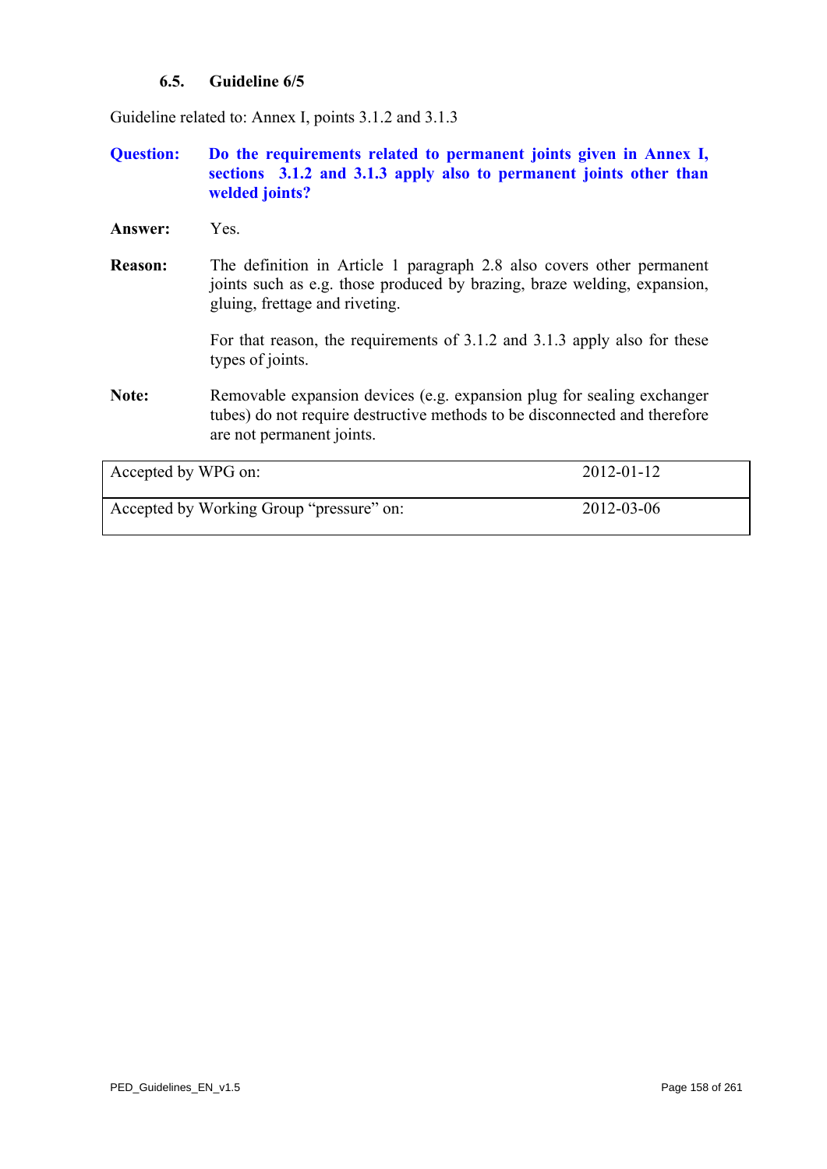## **6.5. Guideline 6/5**

Guideline related to: Annex I, points 3.1.2 and 3.1.3

- **Question: Do the requirements related to permanent joints given in Annex I, sections 3.1.2 and 3.1.3 apply also to permanent joints other than welded joints?**
- **Answer:** Yes.
- **Reason:** The definition in Article 1 paragraph 2.8 also covers other permanent joints such as e.g. those produced by brazing, braze welding, expansion, gluing, frettage and riveting.

For that reason, the requirements of 3.1.2 and 3.1.3 apply also for these types of joints.

**Note:** Removable expansion devices (e.g. expansion plug for sealing exchanger tubes) do not require destructive methods to be disconnected and therefore are not permanent joints.

| Accepted by WPG on:                      | $2012 - 01 - 12$ |
|------------------------------------------|------------------|
| Accepted by Working Group "pressure" on: | 2012-03-06       |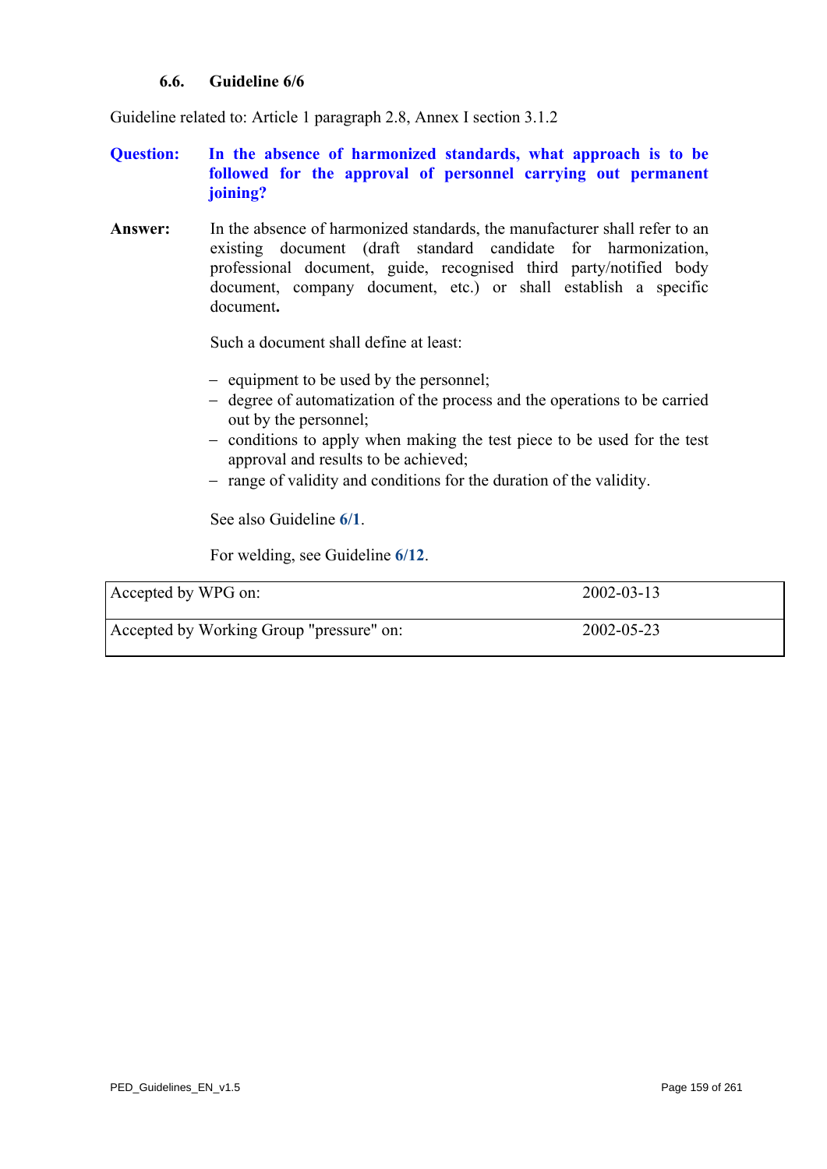## **6.6. Guideline 6/6**

Guideline related to: Article 1 paragraph 2.8, Annex I section 3.1.2

## **Question: In the absence of harmonized standards, what approach is to be followed for the approval of personnel carrying out permanent joining?**

**Answer:** In the absence of harmonized standards, the manufacturer shall refer to an existing document (draft standard candidate for harmonization, professional document, guide, recognised third party/notified body document, company document, etc.) or shall establish a specific document**.**

Such a document shall define at least:

- − equipment to be used by the personnel;
- − degree of automatization of the process and the operations to be carried out by the personnel;
- − conditions to apply when making the test piece to be used for the test approval and results to be achieved;
- − range of validity and conditions for the duration of the validity.

See also Guideline **[6/1](#page-153-0)**.

For welding, see Guideline **[6/12](#page-164-0)**.

| Accepted by WPG on:                      | $2002 - 03 - 13$ |
|------------------------------------------|------------------|
| Accepted by Working Group "pressure" on: | 2002-05-23       |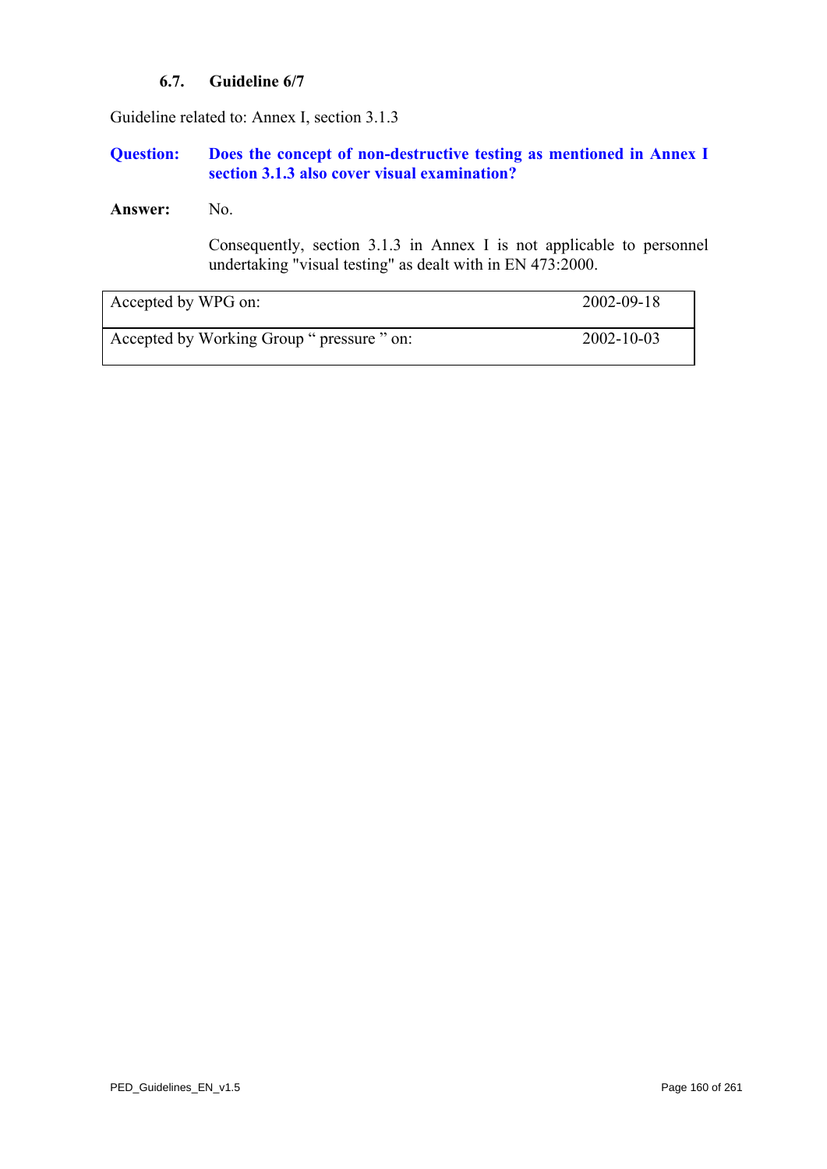## **6.7. Guideline 6/7**

Guideline related to: Annex I, section 3.1.3

## **Question: Does the concept of non-destructive testing as mentioned in Annex I section 3.1.3 also cover visual examination?**

### **Answer:** No.

Consequently, section 3.1.3 in Annex I is not applicable to personnel undertaking "visual testing" as dealt with in EN 473:2000.

| Accepted by WPG on:                        | 2002-09-18 |
|--------------------------------------------|------------|
| Accepted by Working Group " pressure " on: | 2002-10-03 |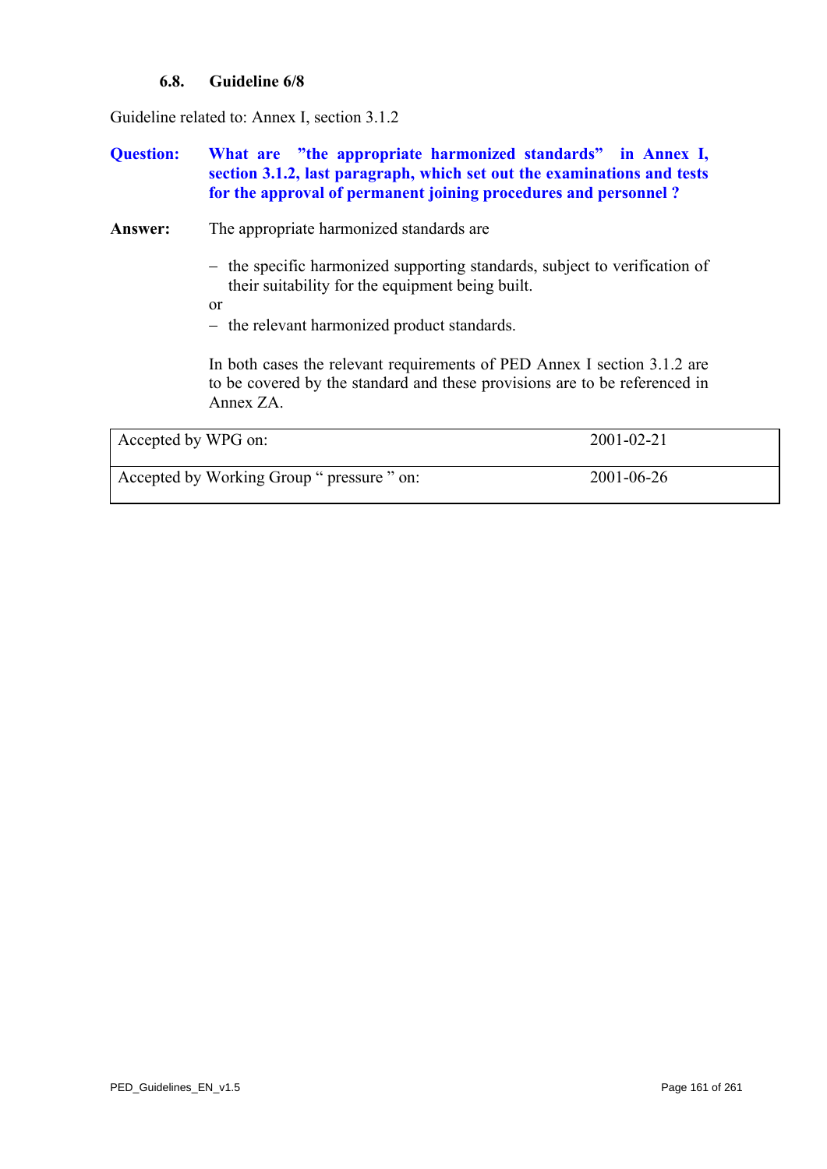## **6.8. Guideline 6/8**

Guideline related to: Annex I, section 3.1.2

## **Question: What are "the appropriate harmonized standards" in Annex I, section 3.1.2, last paragraph, which set out the examinations and tests for the approval of permanent joining procedures and personnel ?**

Answer: The appropriate harmonized standards are

- − the specific harmonized supporting standards, subject to verification of their suitability for the equipment being built.
- or
- − the relevant harmonized product standards.

In both cases the relevant requirements of PED Annex I section 3.1.2 are to be covered by the standard and these provisions are to be referenced in Annex ZA.

| Accepted by WPG on:                        | $2001 - 02 - 21$ |
|--------------------------------------------|------------------|
| Accepted by Working Group " pressure " on: | 2001-06-26       |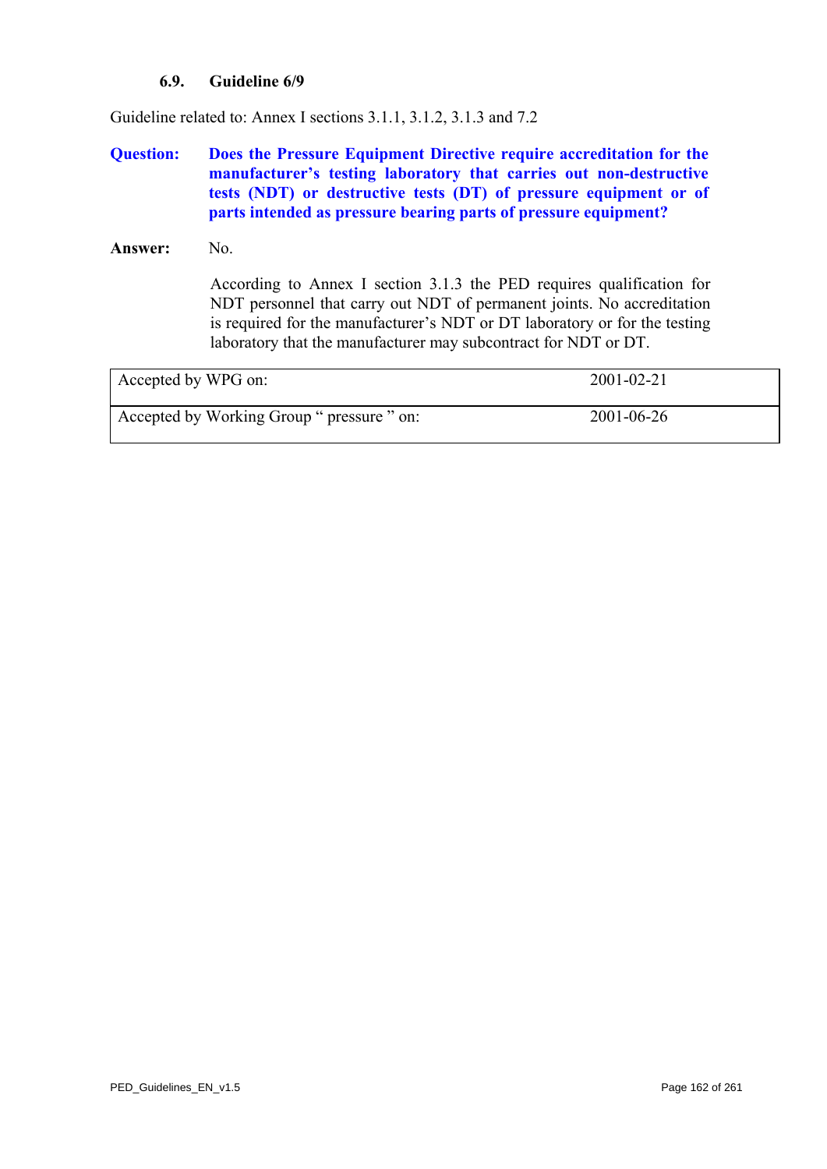## **6.9. Guideline 6/9**

Guideline related to: Annex I sections 3.1.1, 3.1.2, 3.1.3 and 7.2

## **Question: Does the Pressure Equipment Directive require accreditation for the manufacturer's testing laboratory that carries out non-destructive tests (NDT) or destructive tests (DT) of pressure equipment or of parts intended as pressure bearing parts of pressure equipment?**

#### Answer: No.

According to Annex I section 3.1.3 the PED requires qualification for NDT personnel that carry out NDT of permanent joints. No accreditation is required for the manufacturer's NDT or DT laboratory or for the testing laboratory that the manufacturer may subcontract for NDT or DT.

| Accepted by WPG on:                        | $2001 - 02 - 21$ |
|--------------------------------------------|------------------|
| Accepted by Working Group " pressure " on: | 2001-06-26       |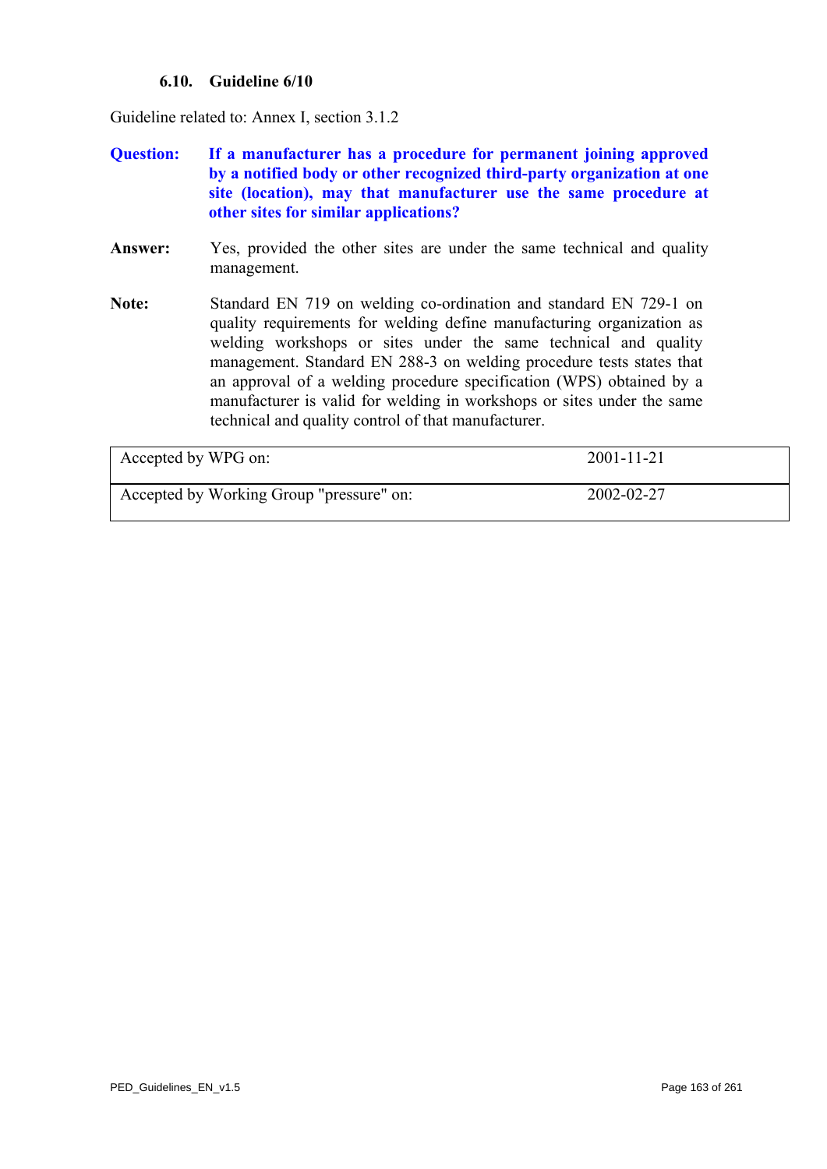## **6.10. Guideline 6/10**

Guideline related to: Annex I, section 3.1.2

- **Question: If a manufacturer has a procedure for permanent joining approved by a notified body or other recognized third-party organization at one site (location), may that manufacturer use the same procedure at other sites for similar applications?**
- **Answer:** Yes, provided the other sites are under the same technical and quality management.
- **Note:** Standard EN 719 on welding co-ordination and standard EN 729-1 on quality requirements for welding define manufacturing organization as welding workshops or sites under the same technical and quality management. Standard EN 288-3 on welding procedure tests states that an approval of a welding procedure specification (WPS) obtained by a manufacturer is valid for welding in workshops or sites under the same technical and quality control of that manufacturer.

| Accepted by WPG on:                      | $2001 - 11 - 21$ |
|------------------------------------------|------------------|
| Accepted by Working Group "pressure" on: | 2002-02-27       |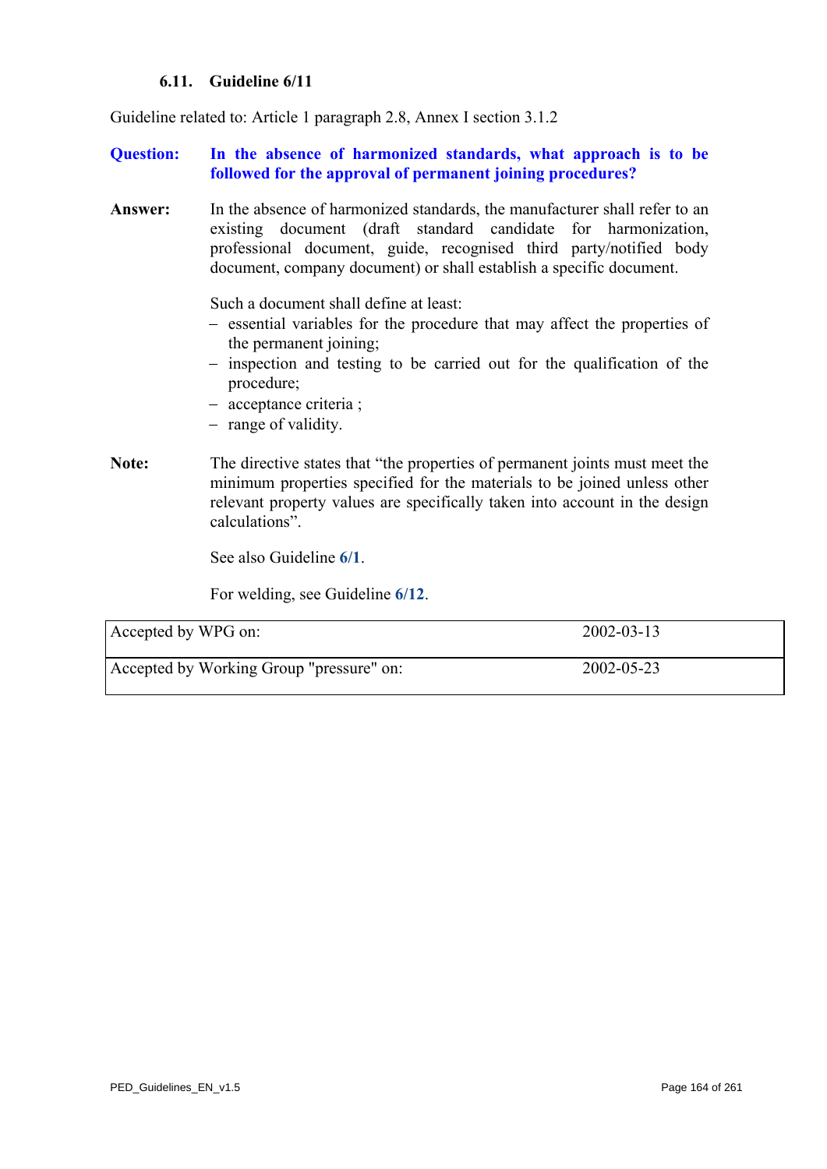## **6.11. Guideline 6/11**

Guideline related to: Article 1 paragraph 2.8, Annex I section 3.1.2

## **Question: In the absence of harmonized standards, what approach is to be followed for the approval of permanent joining procedures?**

**Answer:** In the absence of harmonized standards, the manufacturer shall refer to an existing document (draft standard candidate for harmonization, professional document, guide, recognised third party/notified body document, company document) or shall establish a specific document.

Such a document shall define at least:

- − essential variables for the procedure that may affect the properties of the permanent joining;
- − inspection and testing to be carried out for the qualification of the procedure;
- − acceptance criteria ;
- − range of validity.
- **Note:** The directive states that "the properties of permanent joints must meet the minimum properties specified for the materials to be joined unless other relevant property values are specifically taken into account in the design calculations".

See also Guideline **[6/1](#page-153-0)**.

For welding, see Guideline **[6/12](#page-164-0)**.

| Accepted by WPG on:                      | $2002 - 03 - 13$ |
|------------------------------------------|------------------|
| Accepted by Working Group "pressure" on: | 2002-05-23       |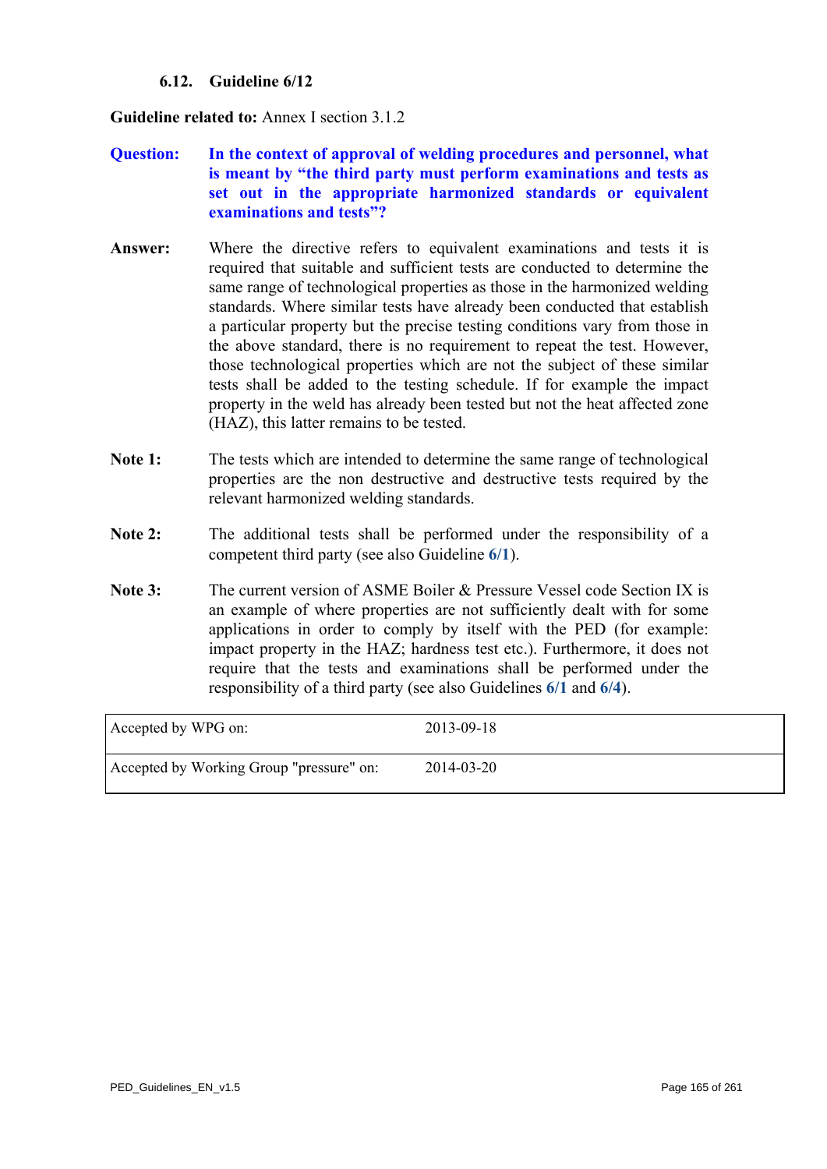## **6.12. Guideline 6/12**

<span id="page-164-0"></span>**Guideline related to:** Annex I section 3.1.2

- **Question: In the context of approval of welding procedures and personnel, what is meant by "the third party must perform examinations and tests as set out in the appropriate harmonized standards or equivalent examinations and tests"?**
- **Answer:** Where the directive refers to equivalent examinations and tests it is required that suitable and sufficient tests are conducted to determine the same range of technological properties as those in the harmonized welding standards. Where similar tests have already been conducted that establish a particular property but the precise testing conditions vary from those in the above standard, there is no requirement to repeat the test. However, those technological properties which are not the subject of these similar tests shall be added to the testing schedule. If for example the impact property in the weld has already been tested but not the heat affected zone (HAZ), this latter remains to be tested.
- **Note 1:** The tests which are intended to determine the same range of technological properties are the non destructive and destructive tests required by the relevant harmonized welding standards.
- **Note 2:** The additional tests shall be performed under the responsibility of a competent third party (see also Guideline **[6/1](#page-153-0)**).
- **Note 3:** The current version of ASME Boiler & Pressure Vessel code Section IX is an example of where properties are not sufficiently dealt with for some applications in order to comply by itself with the PED (for example: impact property in the HAZ; hardness test etc.). Furthermore, it does not require that the tests and examinations shall be performed under the responsibility of a third party (see also Guidelines **[6/1](#page-153-0)** and **[6/4](#page-156-0)**).

| Accepted by WPG on:                      | 2013-09-18 |
|------------------------------------------|------------|
| Accepted by Working Group "pressure" on: | 2014-03-20 |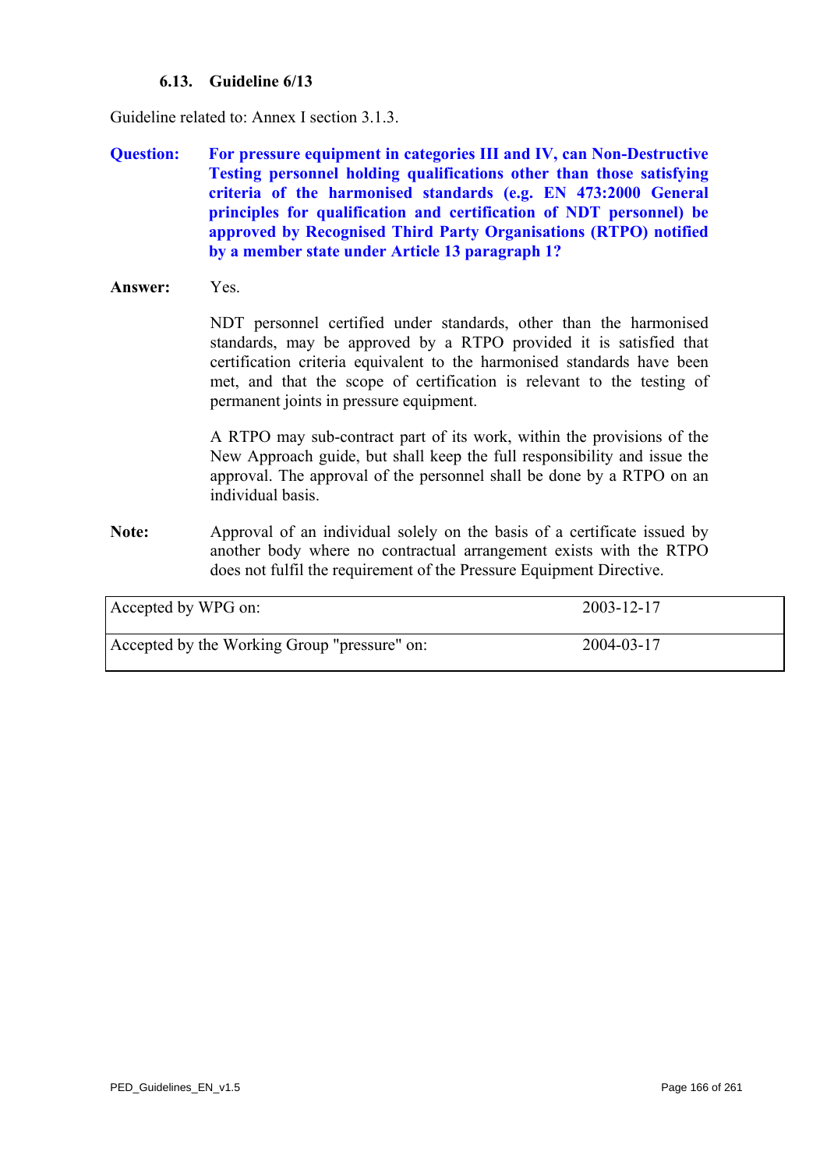## **6.13. Guideline 6/13**

Guideline related to: Annex I section 3.1.3.

- **Question: For pressure equipment in categories III and IV, can Non-Destructive Testing personnel holding qualifications other than those satisfying criteria of the harmonised standards (e.g. EN 473:2000 General principles for qualification and certification of NDT personnel) be approved by Recognised Third Party Organisations (RTPO) notified by a member state under Article 13 paragraph 1?**
- **Answer:** Yes.

NDT personnel certified under standards, other than the harmonised standards, may be approved by a RTPO provided it is satisfied that certification criteria equivalent to the harmonised standards have been met, and that the scope of certification is relevant to the testing of permanent joints in pressure equipment.

A RTPO may sub-contract part of its work, within the provisions of the New Approach guide, but shall keep the full responsibility and issue the approval. The approval of the personnel shall be done by a RTPO on an individual basis.

**Note:** Approval of an individual solely on the basis of a certificate issued by another body where no contractual arrangement exists with the RTPO does not fulfil the requirement of the Pressure Equipment Directive.

| Accepted by WPG on:                          | 2003-12-17 |
|----------------------------------------------|------------|
| Accepted by the Working Group "pressure" on: | 2004-03-17 |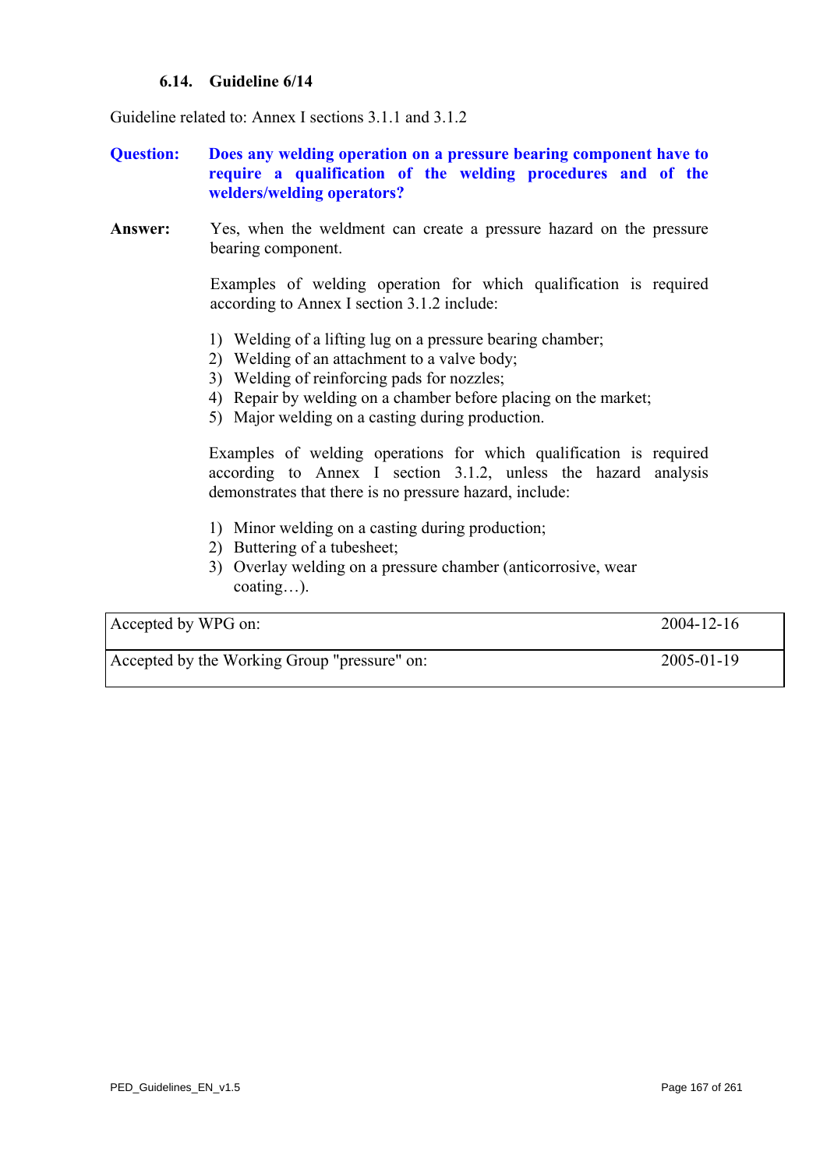## **6.14. Guideline 6/14**

Guideline related to: Annex I sections 3.1.1 and 3.1.2

- **Question: Does any welding operation on a pressure bearing component have to require a qualification of the welding procedures and of the welders/welding operators?**
- **Answer:** Yes, when the weldment can create a pressure hazard on the pressure bearing component.

Examples of welding operation for which qualification is required according to Annex I section 3.1.2 include:

- 1) Welding of a lifting lug on a pressure bearing chamber;
- 2) Welding of an attachment to a valve body;
- 3) Welding of reinforcing pads for nozzles;
- 4) Repair by welding on a chamber before placing on the market;
- 5) Major welding on a casting during production.

Examples of welding operations for which qualification is required according to Annex I section 3.1.2, unless the hazard analysis demonstrates that there is no pressure hazard, include:

- 1) Minor welding on a casting during production;
- 2) Buttering of a tubesheet;
- 3) Overlay welding on a pressure chamber (anticorrosive, wear coating…).

| Accepted by WPG on:                          | $2004 - 12 - 16$ |
|----------------------------------------------|------------------|
| Accepted by the Working Group "pressure" on: | $2005 - 01 - 19$ |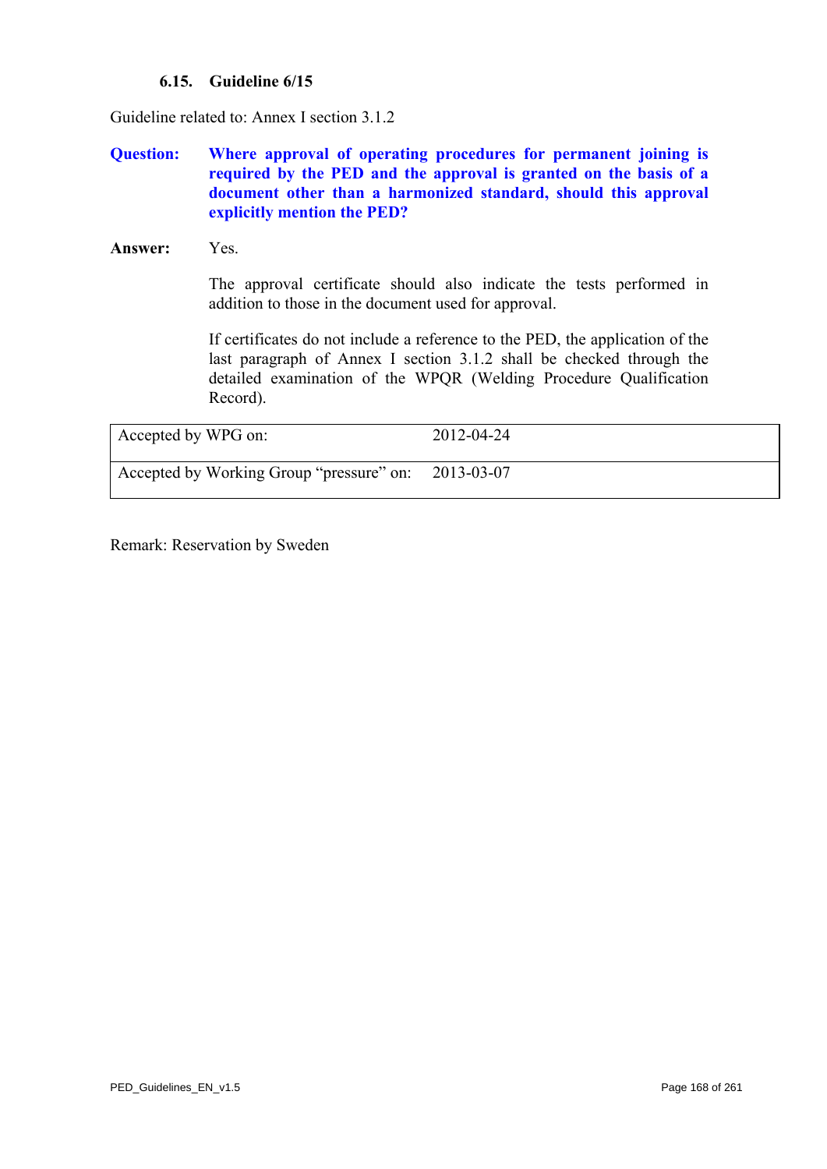## **6.15. Guideline 6/15**

Guideline related to: Annex I section 3.1.2

## **Question: Where approval of operating procedures for permanent joining is required by the PED and the approval is granted on the basis of a document other than a harmonized standard, should this approval explicitly mention the PED?**

**Answer:** Yes.

 The approval certificate should also indicate the tests performed in addition to those in the document used for approval.

If certificates do not include a reference to the PED, the application of the last paragraph of Annex I section 3.1.2 shall be checked through the detailed examination of the WPQR (Welding Procedure Qualification Record).

| Accepted by WPG on:                      | 2012-04-24 |
|------------------------------------------|------------|
| Accepted by Working Group "pressure" on: | 2013-03-07 |

Remark: Reservation by Sweden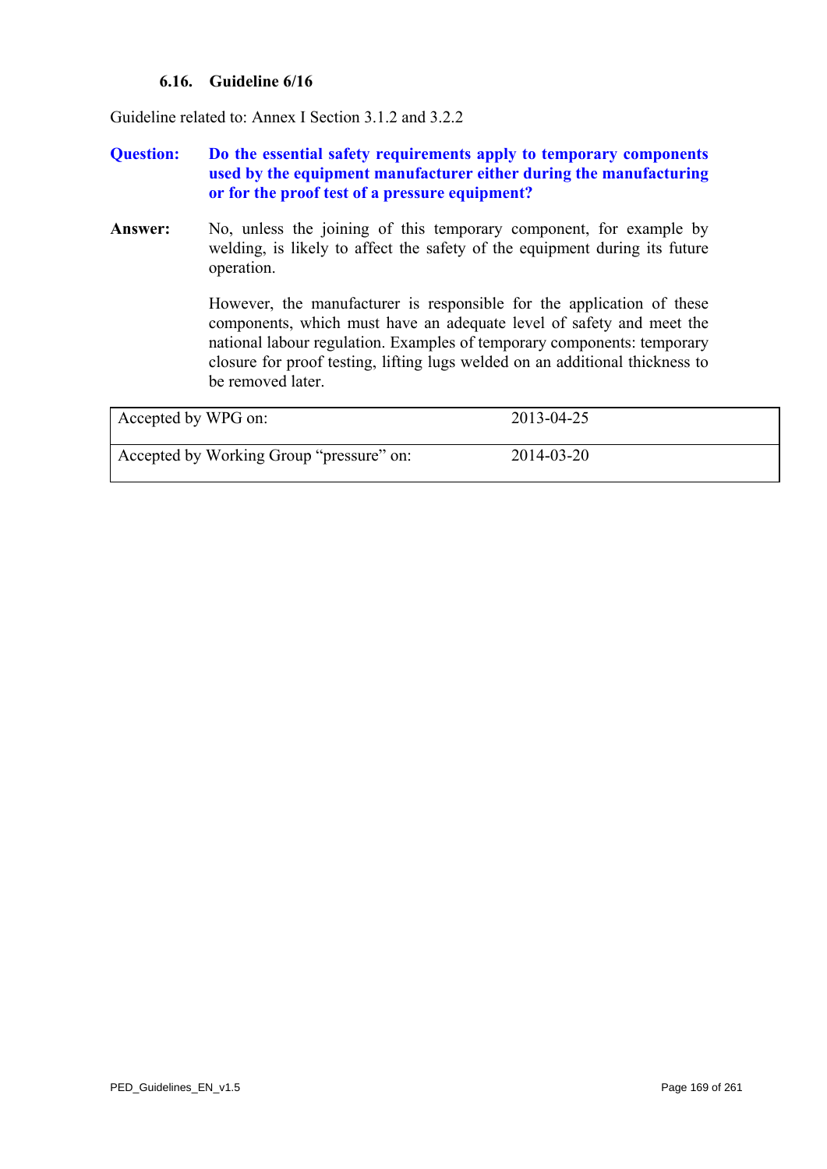## **6.16. Guideline 6/16**

Guideline related to: Annex I Section 3.1.2 and 3.2.2

## **Question: Do the essential safety requirements apply to temporary components used by the equipment manufacturer either during the manufacturing or for the proof test of a pressure equipment?**

Answer: No, unless the joining of this temporary component, for example by welding, is likely to affect the safety of the equipment during its future operation.

> However, the manufacturer is responsible for the application of these components, which must have an adequate level of safety and meet the national labour regulation. Examples of temporary components: temporary closure for proof testing, lifting lugs welded on an additional thickness to be removed later.

| Accepted by WPG on:                      | 2013-04-25 |
|------------------------------------------|------------|
| Accepted by Working Group "pressure" on: | 2014-03-20 |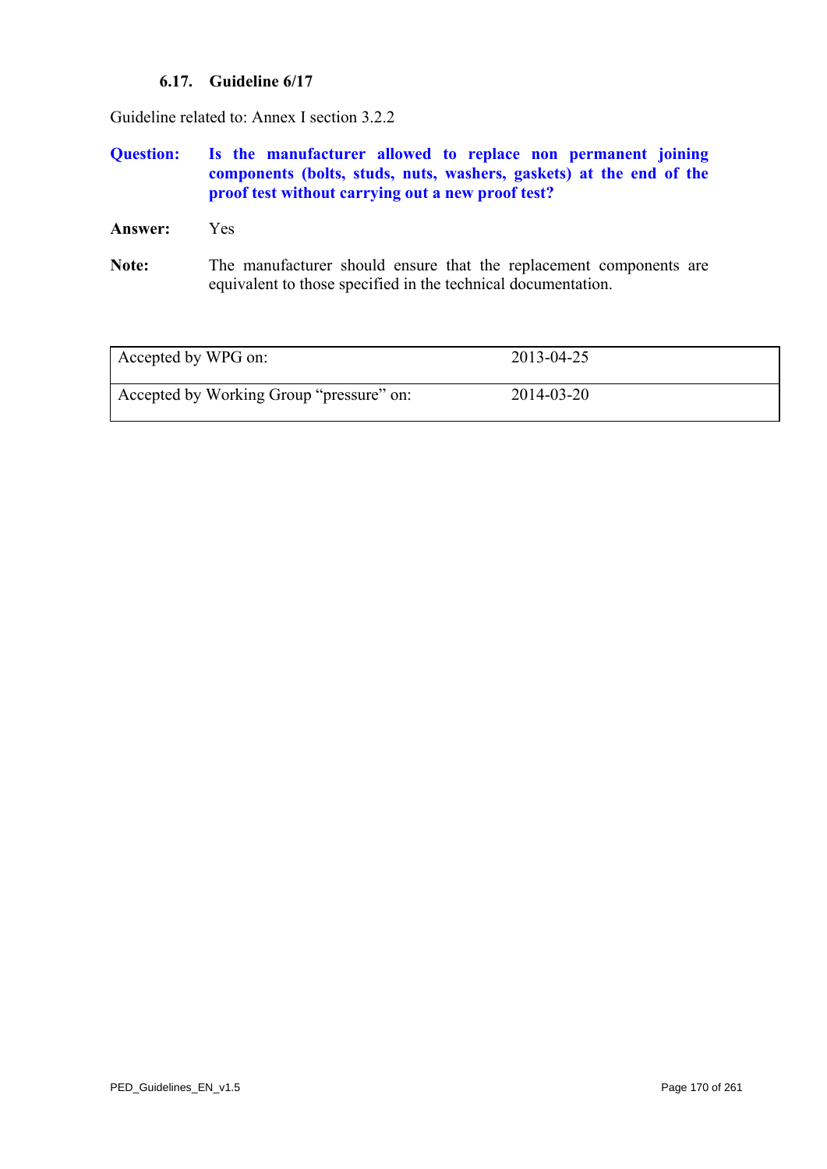## **6.17. Guideline 6/17**

Guideline related to: Annex I section 3.2.2

## **Question: Is the manufacturer allowed to replace non permanent joining components (bolts, studs, nuts, washers, gaskets) at the end of the proof test without carrying out a new proof test?**

**Answer:** Yes

Note: The manufacturer should ensure that the replacement components are equivalent to those specified in the technical documentation.

<span id="page-169-0"></span>

| Accepted by WPG on:                      | 2013-04-25 |
|------------------------------------------|------------|
| Accepted by Working Group "pressure" on: | 2014-03-20 |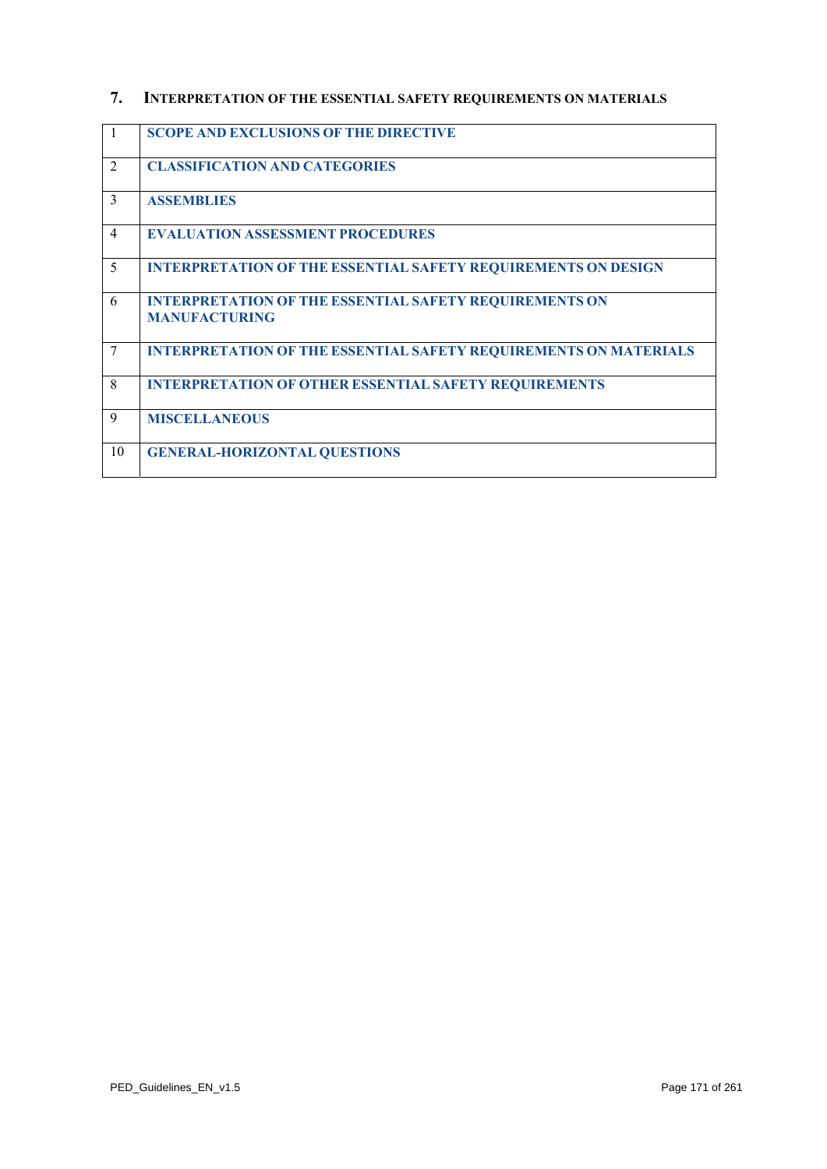# **7. INTERPRETATION OF THE ESSENTIAL SAFETY REQUIREMENTS ON MATERIALS**

| -1             | <b>SCOPE AND EXCLUSIONS OF THE DIRECTIVE</b>                                          |
|----------------|---------------------------------------------------------------------------------------|
| $\overline{2}$ | <b>CLASSIFICATION AND CATEGORIES</b>                                                  |
| 3              | <b>ASSEMBLIES</b>                                                                     |
| $\overline{4}$ | <b>EVALUATION ASSESSMENT PROCEDURES</b>                                               |
| 5              | <b>INTERPRETATION OF THE ESSENTIAL SAFETY REQUIREMENTS ON DESIGN</b>                  |
| 6              | <b>INTERPRETATION OF THE ESSENTIAL SAFETY REQUIREMENTS ON</b><br><b>MANUFACTURING</b> |
| 7              | <b>INTERPRETATION OF THE ESSENTIAL SAFETY REQUIREMENTS ON MATERIALS</b>               |
| 8              | <b>INTERPRETATION OF OTHER ESSENTIAL SAFETY REQUIREMENTS</b>                          |
| 9              | <b>MISCELLANEOUS</b>                                                                  |
| 10             | <b>GENERAL-HORIZONTAL QUESTIONS</b>                                                   |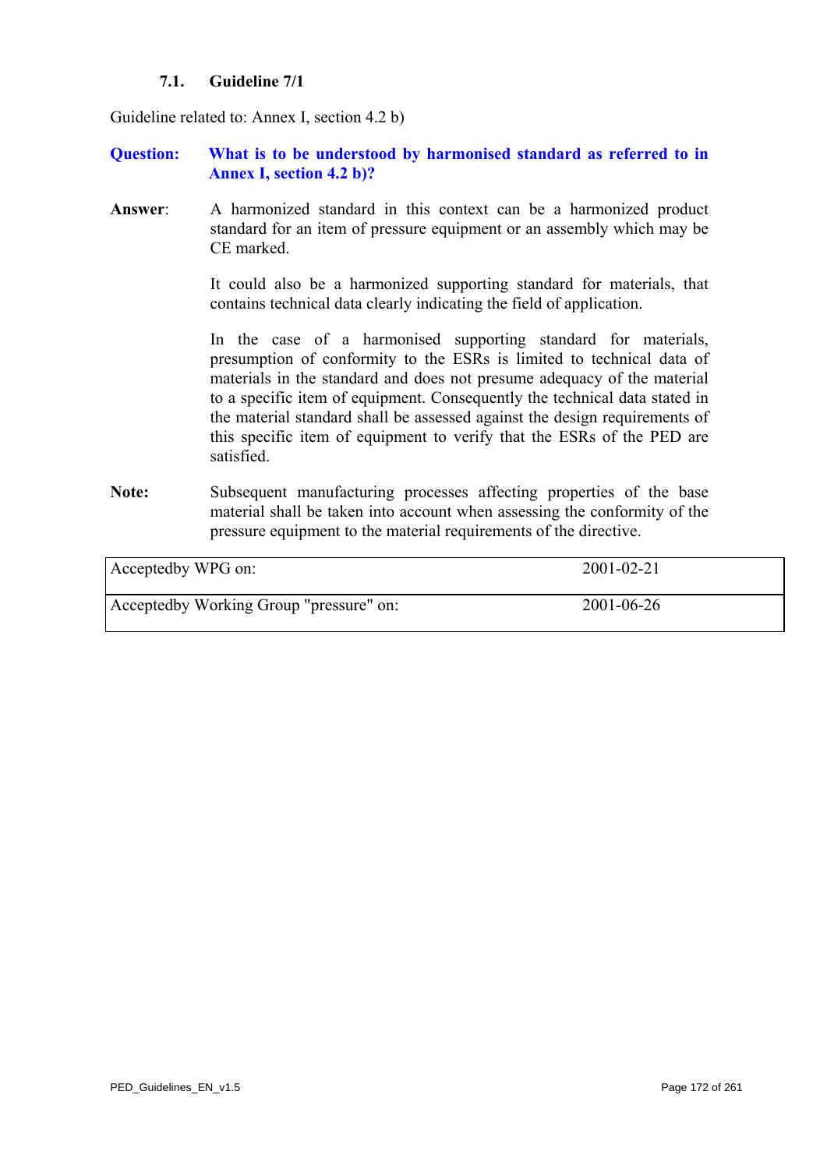## **7.1. Guideline 7/1**

Guideline related to: Annex I, section 4.2 b)

### **Question: What is to be understood by harmonised standard as referred to in Annex I, section 4.2 b)?**

**Answer**: A harmonized standard in this context can be a harmonized product standard for an item of pressure equipment or an assembly which may be CE marked.

> It could also be a harmonized supporting standard for materials, that contains technical data clearly indicating the field of application.

> In the case of a harmonised supporting standard for materials, presumption of conformity to the ESRs is limited to technical data of materials in the standard and does not presume adequacy of the material to a specific item of equipment. Consequently the technical data stated in the material standard shall be assessed against the design requirements of this specific item of equipment to verify that the ESRs of the PED are satisfied.

Note: Subsequent manufacturing processes affecting properties of the base material shall be taken into account when assessing the conformity of the pressure equipment to the material requirements of the directive.

| Acceptedby WPG on:                      | $2001 - 02 - 21$ |
|-----------------------------------------|------------------|
| Acceptedby Working Group "pressure" on: | $2001 - 06 - 26$ |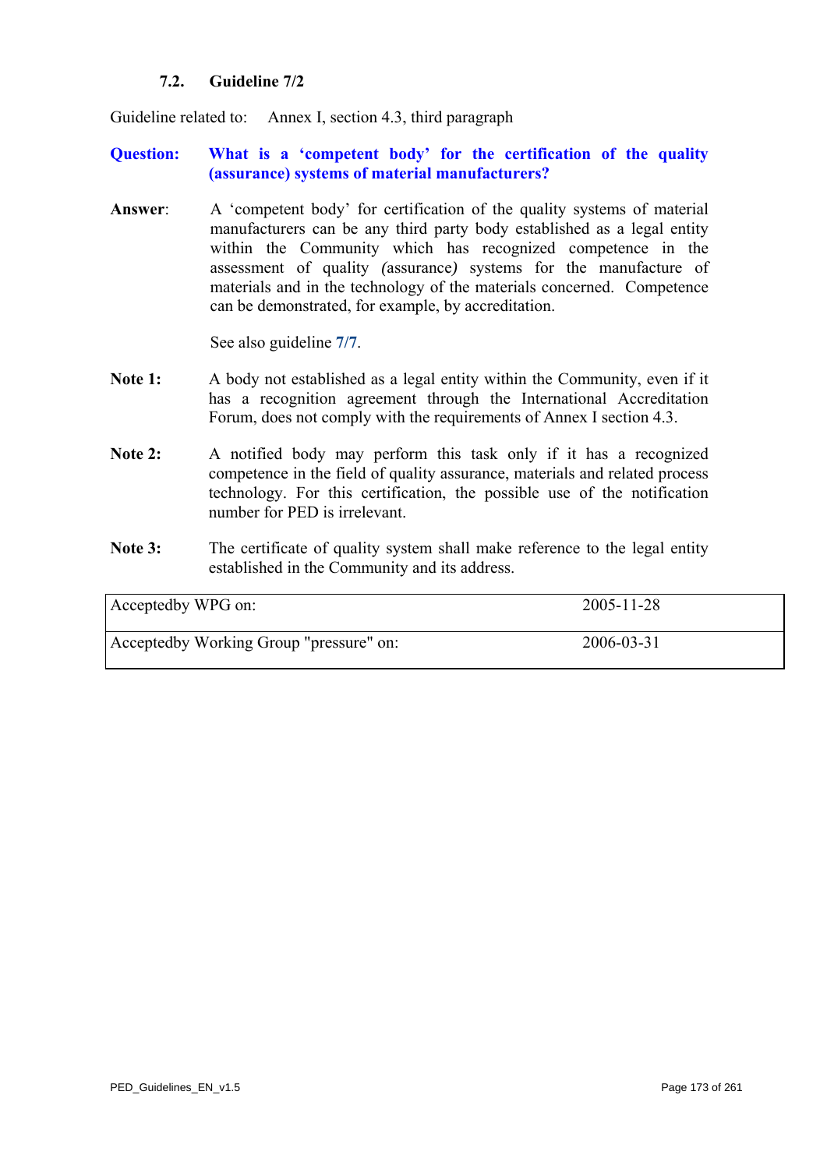## **7.2. Guideline 7/2**

<span id="page-172-0"></span>Guideline related to: Annex I, section 4.3, third paragraph

## **Question: What is a 'competent body' for the certification of the quality (assurance) systems of material manufacturers?**

**Answer**: A 'competent body' for certification of the quality systems of material manufacturers can be any third party body established as a legal entity within the Community which has recognized competence in the assessment of quality *(*assurance*)* systems for the manufacture of materials and in the technology of the materials concerned. Competence can be demonstrated, for example, by accreditation.

See also guideline **[7/7](#page-178-0)**.

- **Note 1:** A body not established as a legal entity within the Community, even if it has a recognition agreement through the International Accreditation Forum, does not comply with the requirements of Annex I section 4.3.
- Note 2: A notified body may perform this task only if it has a recognized competence in the field of quality assurance, materials and related process technology. For this certification, the possible use of the notification number for PED is irrelevant.
- Note 3: The certificate of quality system shall make reference to the legal entity established in the Community and its address.

| Acceptedby WPG on:                      | 2005-11-28 |
|-----------------------------------------|------------|
| Acceptedby Working Group "pressure" on: | 2006-03-31 |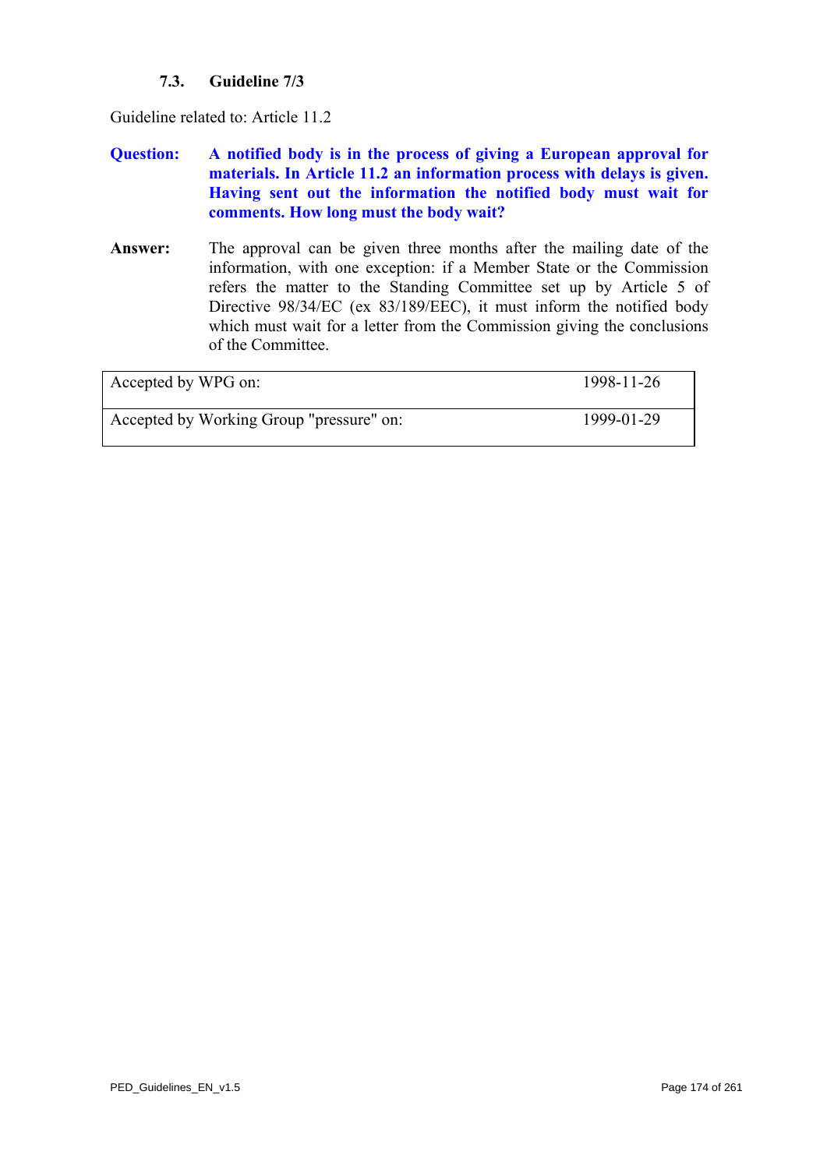## **7.3. Guideline 7/3**

Guideline related to: Article 11.2

- **Question: A notified body is in the process of giving a European approval for materials. In Article 11.2 an information process with delays is given. Having sent out the information the notified body must wait for comments. How long must the body wait?**
- **Answer:** The approval can be given three months after the mailing date of the information, with one exception: if a Member State or the Commission refers the matter to the Standing Committee set up by Article 5 of Directive 98/34/EC (ex 83/189/EEC), it must inform the notified body which must wait for a letter from the Commission giving the conclusions of the Committee.

| Accepted by WPG on:                      | 1998-11-26 |
|------------------------------------------|------------|
| Accepted by Working Group "pressure" on: | 1999-01-29 |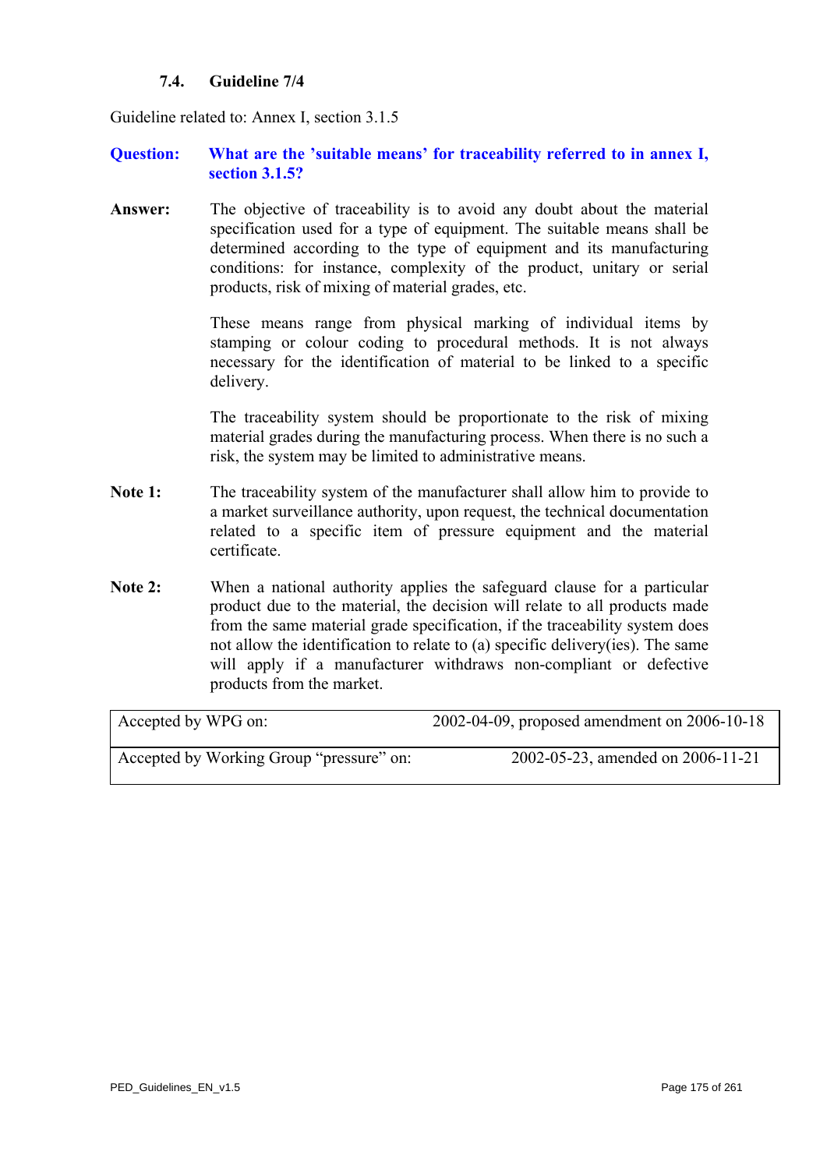## **7.4. Guideline 7/4**

<span id="page-174-0"></span>Guideline related to: Annex I, section 3.1.5

## **Question: What are the 'suitable means' for traceability referred to in annex I, section 3.1.5?**

**Answer:** The objective of traceability is to avoid any doubt about the material specification used for a type of equipment. The suitable means shall be determined according to the type of equipment and its manufacturing conditions: for instance, complexity of the product, unitary or serial products, risk of mixing of material grades, etc.

> These means range from physical marking of individual items by stamping or colour coding to procedural methods. It is not always necessary for the identification of material to be linked to a specific delivery.

> The traceability system should be proportionate to the risk of mixing material grades during the manufacturing process. When there is no such a risk, the system may be limited to administrative means.

- **Note 1:** The traceability system of the manufacturer shall allow him to provide to a market surveillance authority, upon request, the technical documentation related to a specific item of pressure equipment and the material certificate.
- Note 2: When a national authority applies the safeguard clause for a particular product due to the material, the decision will relate to all products made from the same material grade specification, if the traceability system does not allow the identification to relate to (a) specific delivery(ies). The same will apply if a manufacturer withdraws non-compliant or defective products from the market.

| Accepted by WPG on:                      | 2002-04-09, proposed amendment on 2006-10-18 |
|------------------------------------------|----------------------------------------------|
| Accepted by Working Group "pressure" on: | 2002-05-23, amended on 2006-11-21            |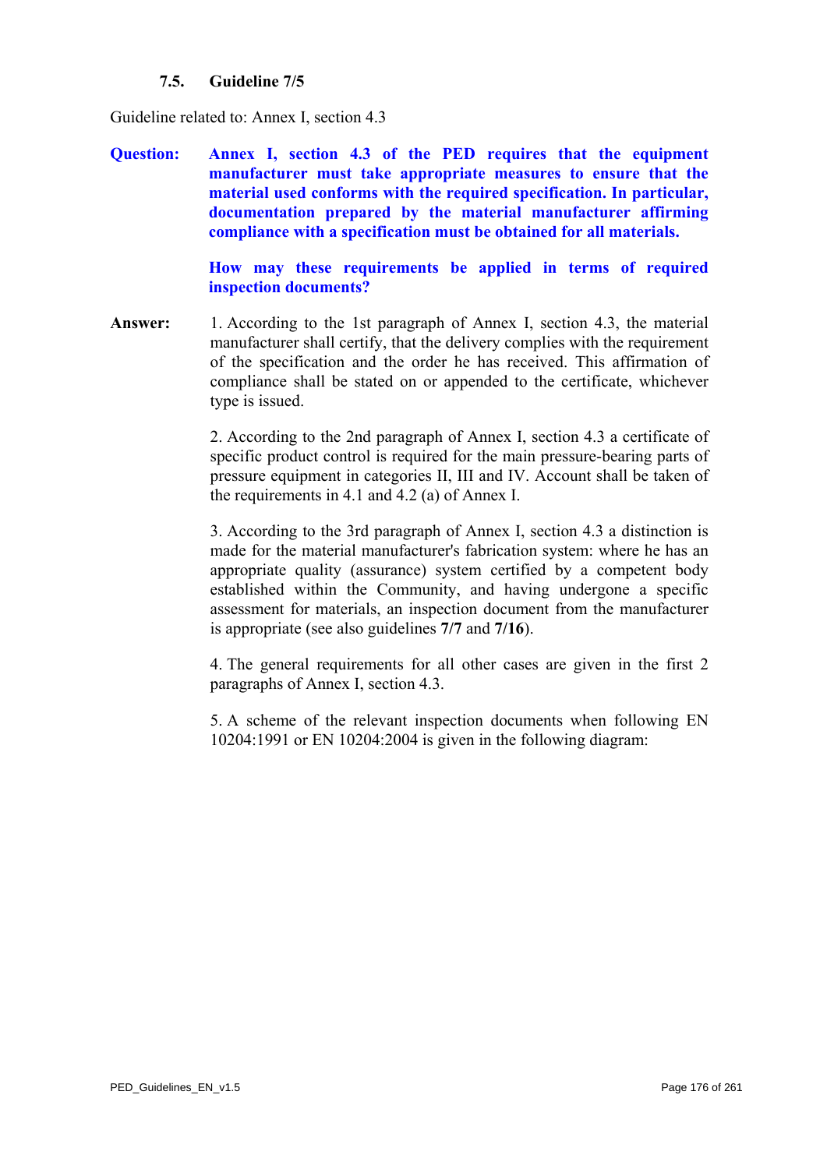## **7.5. Guideline 7/5**

<span id="page-175-0"></span>Guideline related to: Annex I, section 4.3

**Question: Annex I, section 4.3 of the PED requires that the equipment manufacturer must take appropriate measures to ensure that the material used conforms with the required specification. In particular, documentation prepared by the material manufacturer affirming compliance with a specification must be obtained for all materials.** 

> **How may these requirements be applied in terms of required inspection documents?**

**Answer:** 1. According to the 1st paragraph of Annex I, section 4.3, the material manufacturer shall certify, that the delivery complies with the requirement of the specification and the order he has received. This affirmation of compliance shall be stated on or appended to the certificate, whichever type is issued.

> 2. According to the 2nd paragraph of Annex I, section 4.3 a certificate of specific product control is required for the main pressure-bearing parts of pressure equipment in categories II, III and IV. Account shall be taken of the requirements in 4.1 and 4.2 (a) of Annex I.

> 3. According to the 3rd paragraph of Annex I, section 4.3 a distinction is made for the material manufacturer's fabrication system: where he has an appropriate quality (assurance) system certified by a competent body established within the Community, and having undergone a specific assessment for materials, an inspection document from the manufacturer is appropriate (see also guidelines **[7/7](#page-178-0)** and **[7/16](#page-187-0)**).

> 4. The general requirements for all other cases are given in the first 2 paragraphs of Annex I, section 4.3.

> 5. A scheme of the relevant inspection documents when following EN 10204:1991 or EN 10204:2004 is given in the following diagram: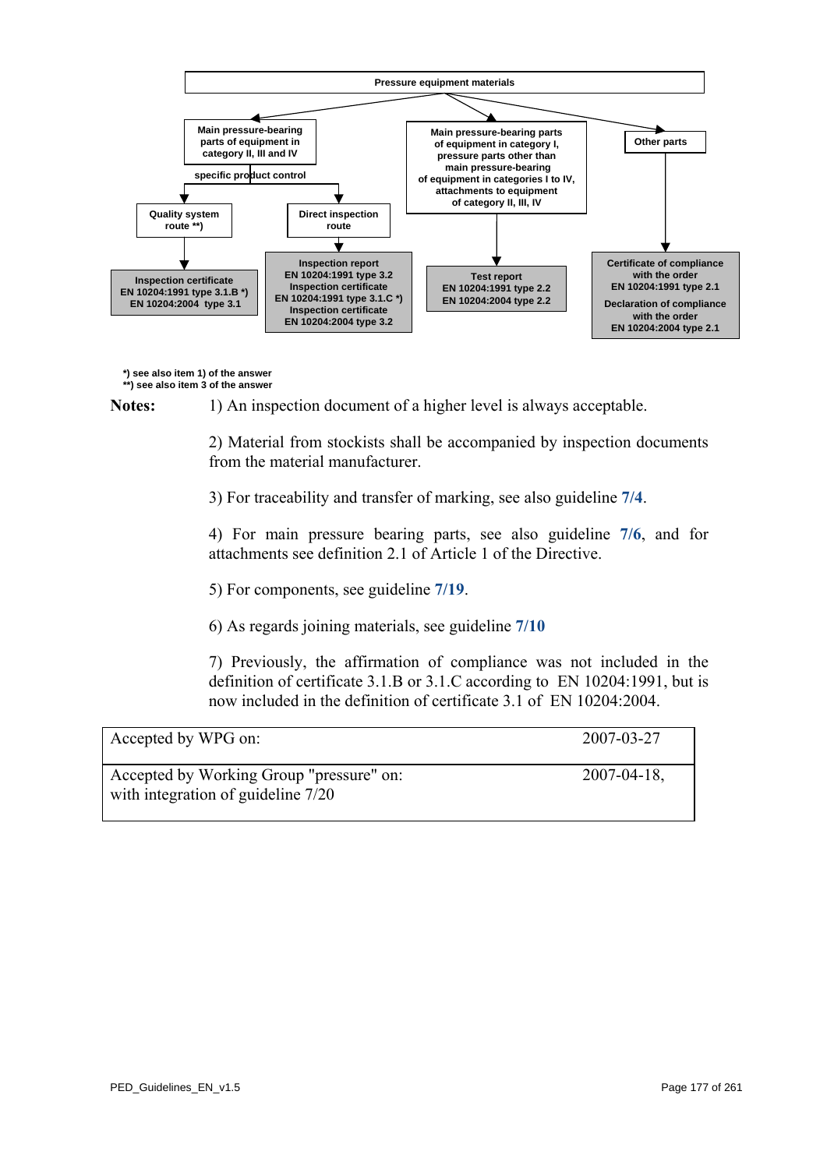

**\*) see also item 1) of the answer**

**\*\*) see also item 3 of the answer**

Notes: 1) An inspection document of a higher level is always acceptable.

2) Material from stockists shall be accompanied by inspection documents from the material manufacturer.

3) For traceability and transfer of marking, see also guideline **[7/4](#page-174-0)**.

4) For main pressure bearing parts, see also guideline **[7/6](#page-177-0)**, and for attachments see definition 2.1 of Article 1 of the Directive.

- 5) For components, see guideline **[7/19](#page-192-0)**.
- 6) As regards joining materials, see guideline **[7/10](#page-181-0)**

7) Previously, the affirmation of compliance was not included in the definition of certificate 3.1.B or 3.1.C according to EN 10204:1991, but is now included in the definition of certificate 3.1 of EN 10204:2004.

| Accepted by WPG on:                                                            | 2007-03-27       |
|--------------------------------------------------------------------------------|------------------|
| Accepted by Working Group "pressure" on:<br>with integration of guideline 7/20 | $2007 - 04 - 18$ |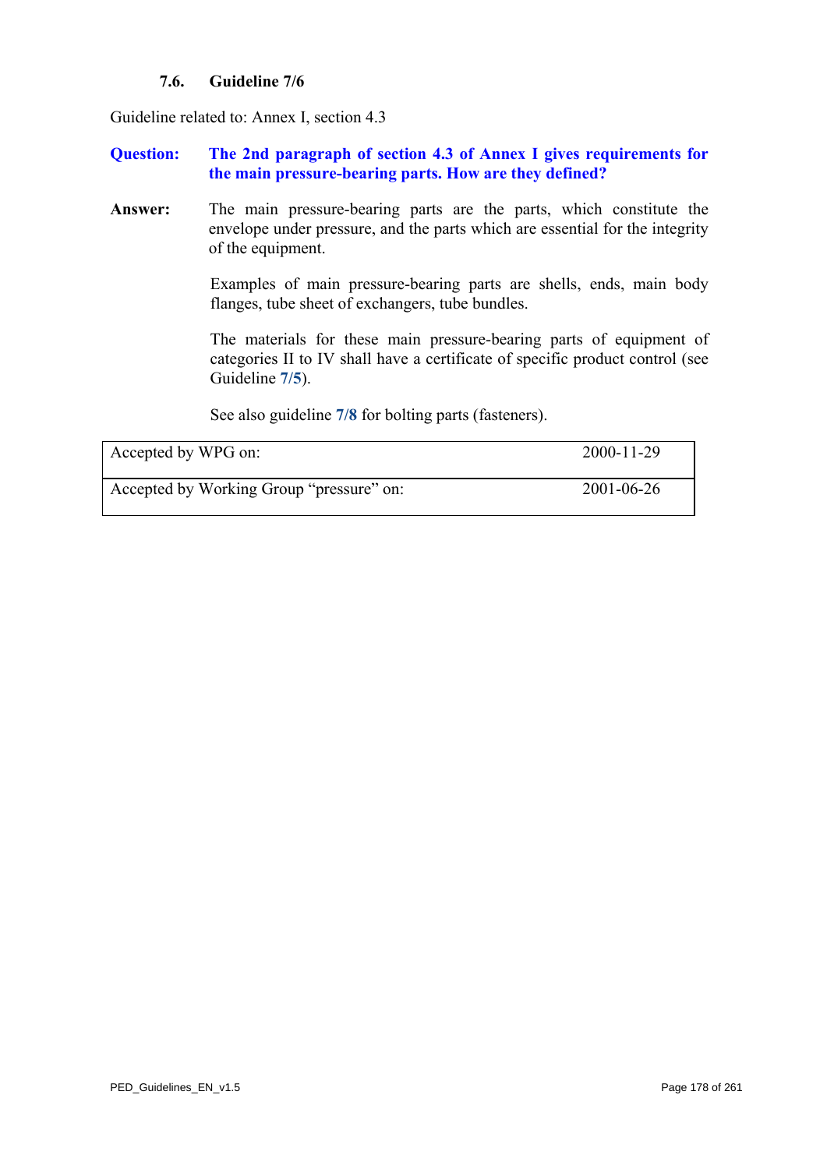## **7.6. Guideline 7/6**

<span id="page-177-0"></span>Guideline related to: Annex I, section 4.3

## **Question: The 2nd paragraph of section 4.3 of Annex I gives requirements for the main pressure-bearing parts. How are they defined?**

**Answer:** The main pressure-bearing parts are the parts, which constitute the envelope under pressure, and the parts which are essential for the integrity of the equipment.

> Examples of main pressure-bearing parts are shells, ends, main body flanges, tube sheet of exchangers, tube bundles.

> The materials for these main pressure-bearing parts of equipment of categories II to IV shall have a certificate of specific product control (see Guideline **[7/5](#page-175-0)**).

See also guideline **[7/8](#page-179-0)** for bolting parts (fasteners).

| Accepted by WPG on:                      | 2000-11-29 |
|------------------------------------------|------------|
| Accepted by Working Group "pressure" on: | 2001-06-26 |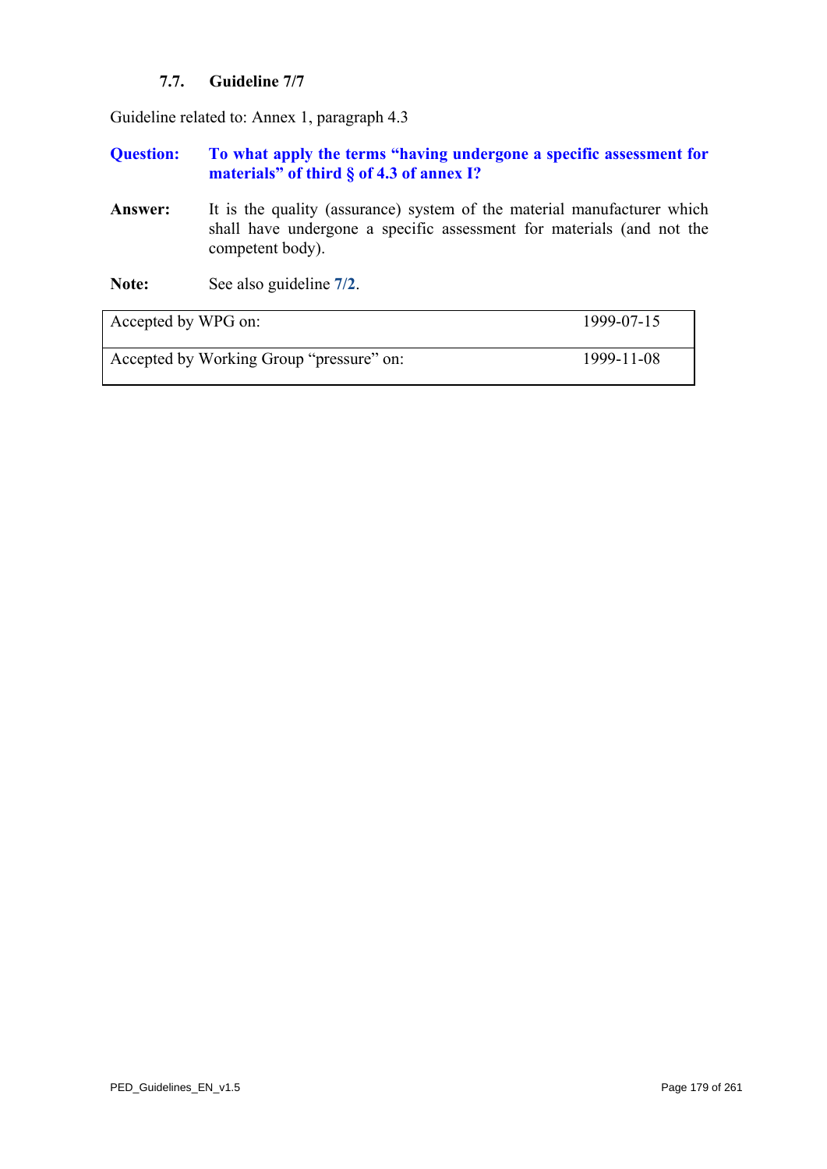## **7.7. Guideline 7/7**

<span id="page-178-0"></span>Guideline related to: Annex 1, paragraph 4.3

## **Question: To what apply the terms "having undergone a specific assessment for materials" of third § of 4.3 of annex I?**

- Answer: It is the quality (assurance) system of the material manufacturer which shall have undergone a specific assessment for materials (and not the competent body).
- **Note:** See also guideline **[7/2](#page-172-0)**.

| Accepted by WPG on:                      | 1999-07-15 |
|------------------------------------------|------------|
| Accepted by Working Group "pressure" on: | 1999-11-08 |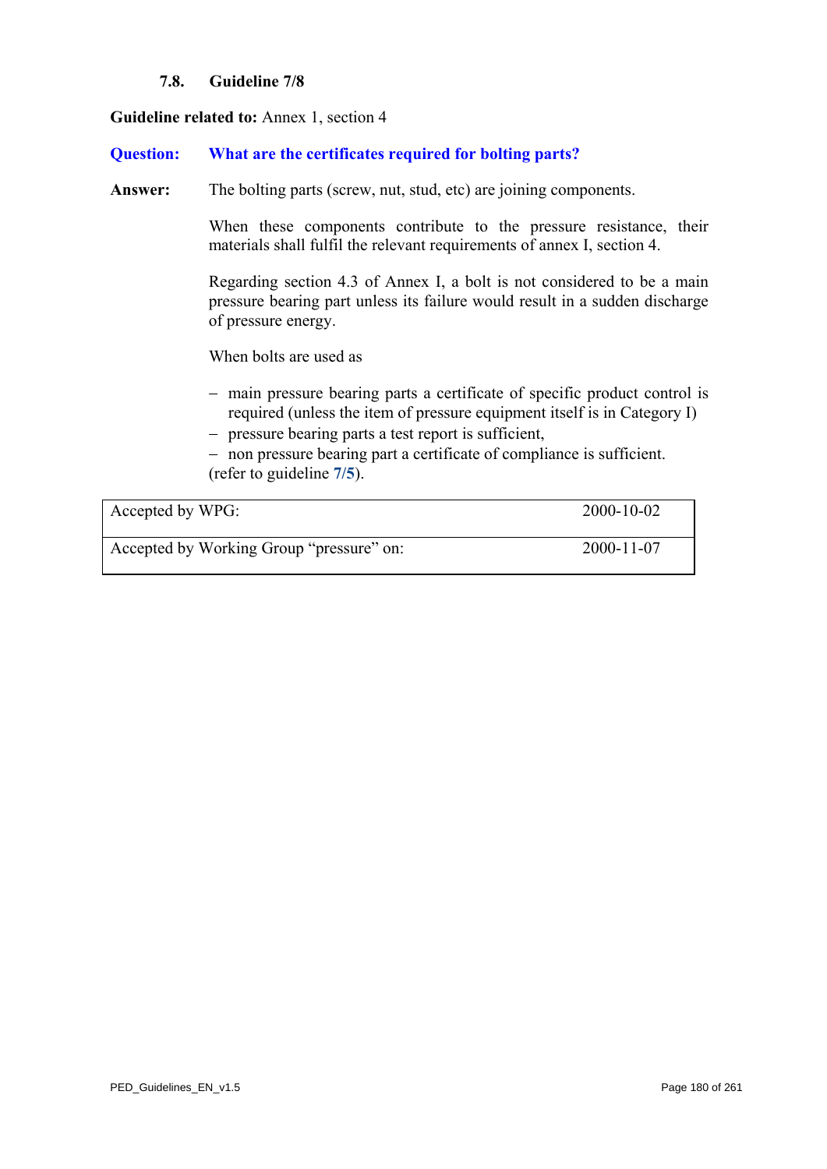## **7.8. Guideline 7/8**

### <span id="page-179-0"></span>**Guideline related to:** Annex 1, section 4

### **Question: What are the certificates required for bolting parts?**

Answer: The bolting parts (screw, nut, stud, etc) are joining components.

When these components contribute to the pressure resistance, their materials shall fulfil the relevant requirements of annex I, section 4.

Regarding section 4.3 of Annex I, a bolt is not considered to be a main pressure bearing part unless its failure would result in a sudden discharge of pressure energy.

When bolts are used as

- − main pressure bearing parts a certificate of specific product control is required (unless the item of pressure equipment itself is in Category I)
- − pressure bearing parts a test report is sufficient,

− non pressure bearing part a certificate of compliance is sufficient. (refer to guideline **[7/5](#page-175-0)**).

| Accepted by WPG:                         | 2000-10-02 |
|------------------------------------------|------------|
| Accepted by Working Group "pressure" on: | 2000-11-07 |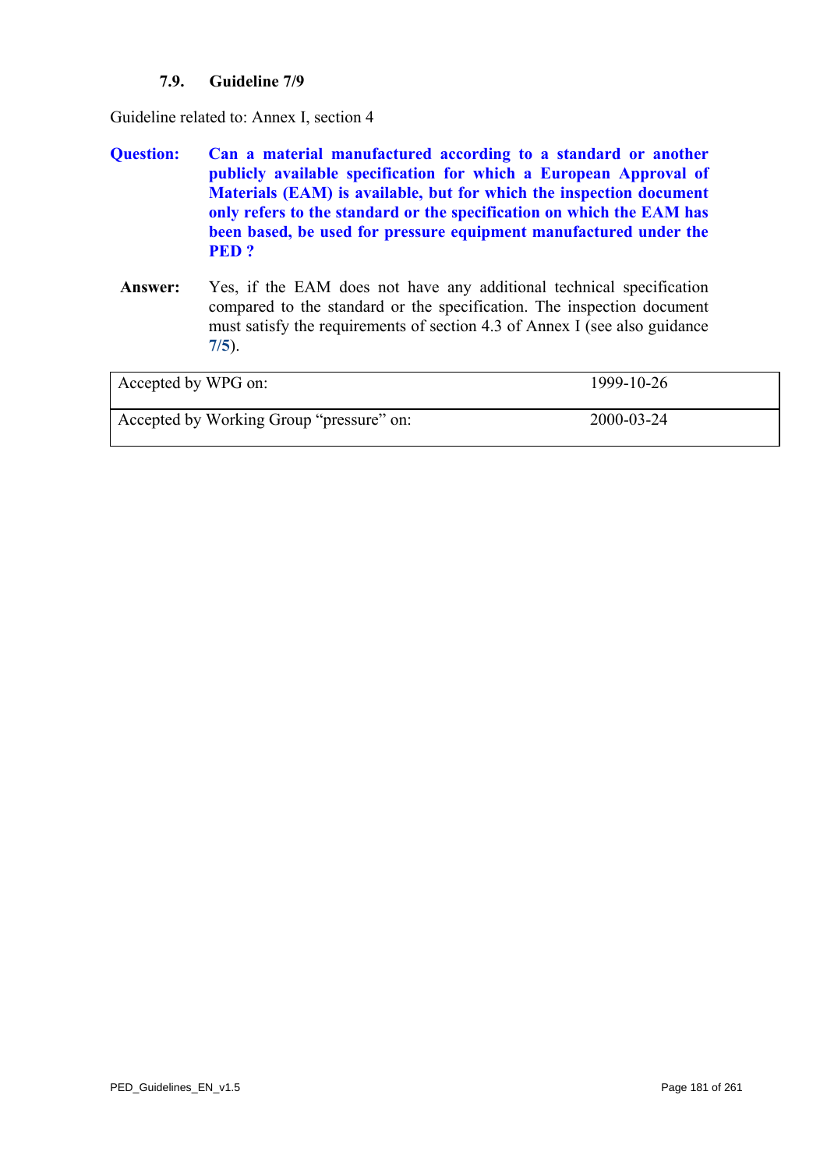# **7.9. Guideline 7/9**

Guideline related to: Annex I, section 4

- **Question: Can a material manufactured according to a standard or another publicly available specification for which a European Approval of Materials (EAM) is available, but for which the inspection document only refers to the standard or the specification on which the EAM has been based, be used for pressure equipment manufactured under the PED ?** 
	- **Answer:** Yes, if the EAM does not have any additional technical specification compared to the standard or the specification. The inspection document must satisfy the requirements of section 4.3 of Annex I (see also guidance **[7/5](#page-175-0)**).

| Accepted by WPG on:                      | 1999-10-26 |
|------------------------------------------|------------|
| Accepted by Working Group "pressure" on: | 2000-03-24 |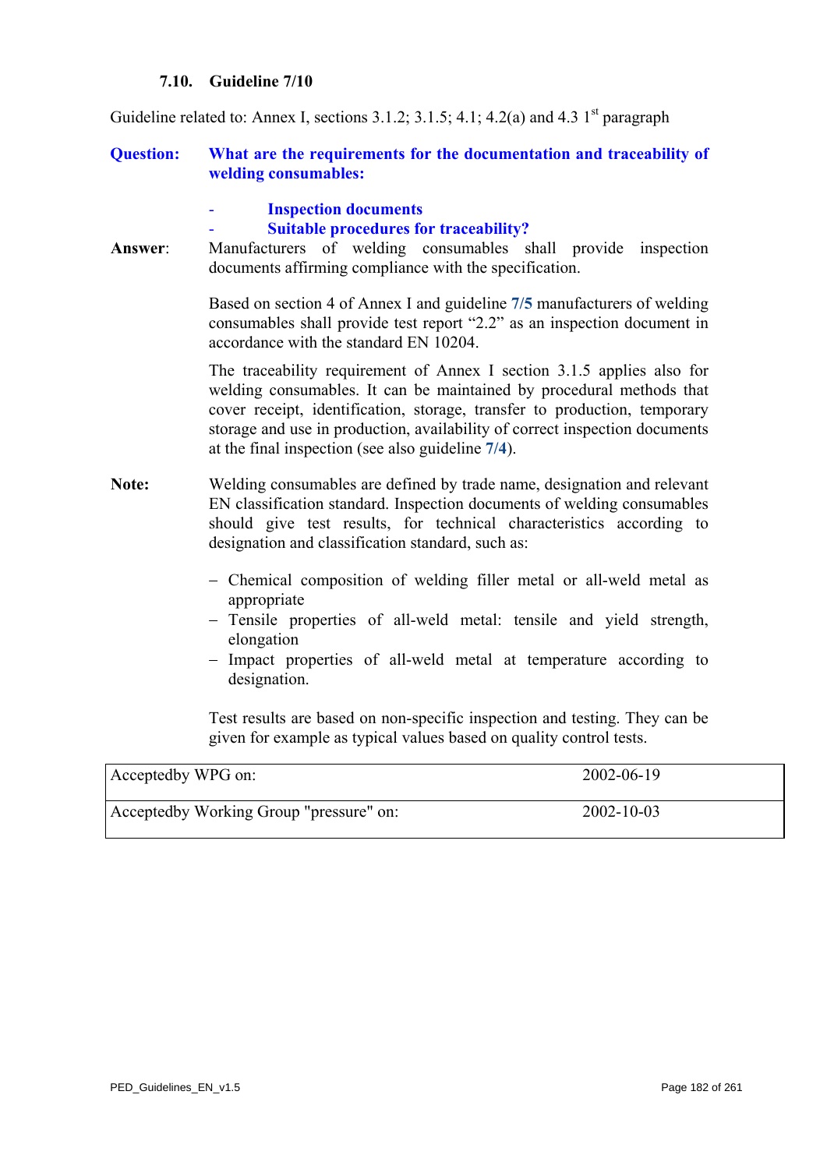#### **7.10. Guideline 7/10**

Guideline related to: Annex I, sections  $3.1.2$ ;  $3.1.5$ ;  $4.1$ ;  $4.2(a)$  and  $4.3$  1<sup>st</sup> paragraph

#### **Question: What are the requirements for the documentation and traceability of welding consumables:**

- **Inspection documents** 

#### - **Suitable procedures for traceability?**

**Answer**: Manufacturers of welding consumables shall provide inspection documents affirming compliance with the specification.

> Based on section 4 of Annex I and guideline **[7/5](#page-175-0)** manufacturers of welding consumables shall provide test report "2.2" as an inspection document in accordance with the standard EN 10204.

> The traceability requirement of Annex I section 3.1.5 applies also for welding consumables. It can be maintained by procedural methods that cover receipt, identification, storage, transfer to production, temporary storage and use in production, availability of correct inspection documents at the final inspection (see also guideline **[7/4](#page-174-0)**).

- **Note:** Welding consumables are defined by trade name, designation and relevant EN classification standard. Inspection documents of welding consumables should give test results, for technical characteristics according to designation and classification standard, such as:
	- − Chemical composition of welding filler metal or all-weld metal as appropriate
	- − Tensile properties of all-weld metal: tensile and yield strength, elongation
	- − Impact properties of all-weld metal at temperature according to designation.

Test results are based on non-specific inspection and testing. They can be given for example as typical values based on quality control tests.

| Acceptedby WPG on:                      | 2002-06-19       |
|-----------------------------------------|------------------|
| Acceptedby Working Group "pressure" on: | $2002 - 10 - 03$ |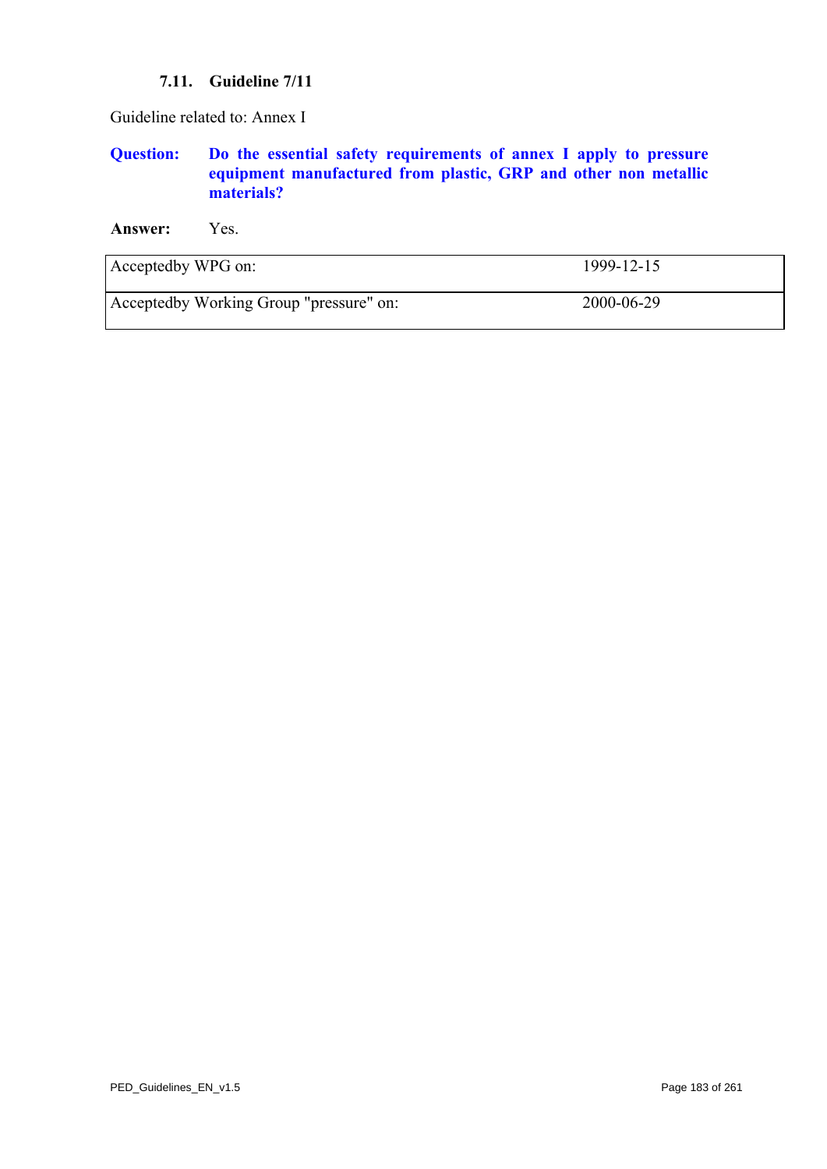#### **7.11. Guideline 7/11**

Guideline related to: Annex I

# **Question: Do the essential safety requirements of annex I apply to pressure equipment manufactured from plastic, GRP and other non metallic materials?**

**Answer:** Yes.

| Acceptedby WPG on:                      | 1999-12-15 |
|-----------------------------------------|------------|
| Acceptedby Working Group "pressure" on: | 2000-06-29 |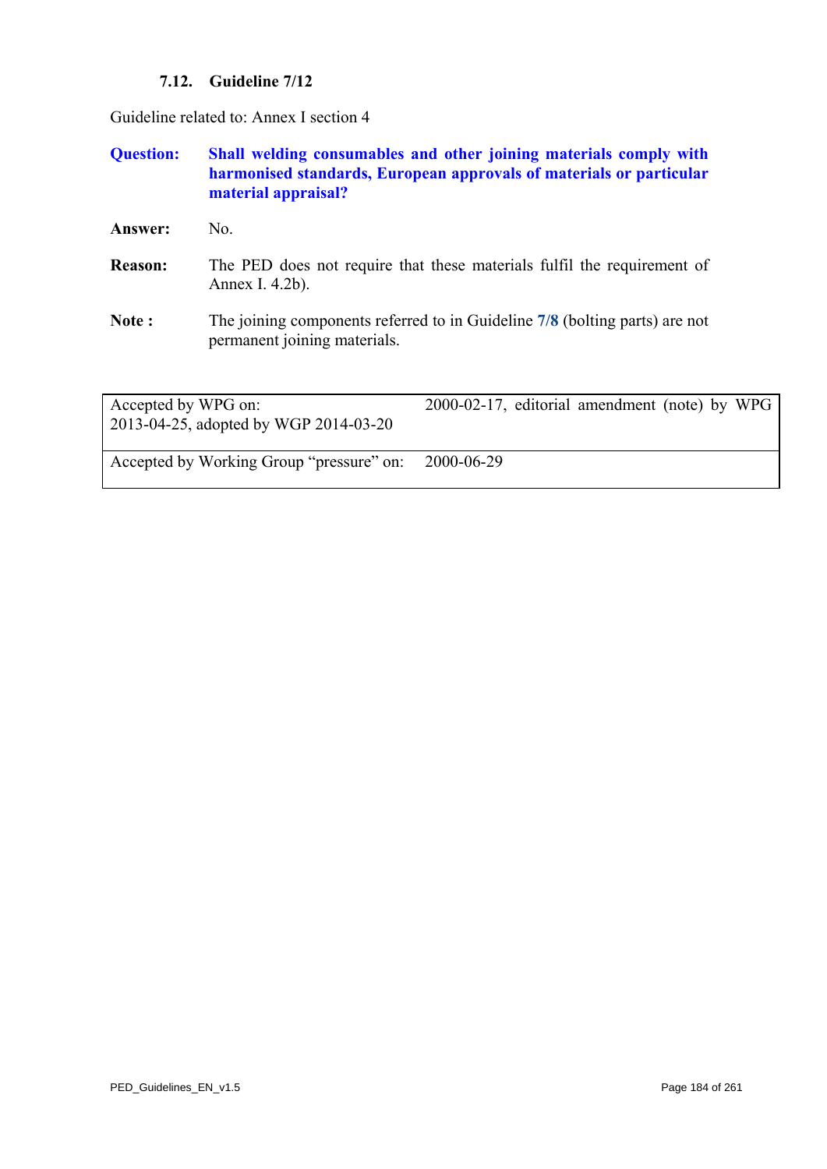# **7.12. Guideline 7/12**

Guideline related to: Annex I section 4

# **Question: Shall welding consumables and other joining materials comply with harmonised standards, European approvals of materials or particular material appraisal?**

- Answer: No.
- **Reason:** The PED does not require that these materials fulfil the requirement of Annex I. 4.2b).
- **Note :** The joining components referred to in Guideline **[7/8](#page-179-0)** (bolting parts) are not permanent joining materials.

| Accepted by WPG on:<br>2013-04-25, adopted by WGP 2014-03-20 | 2000-02-17, editorial amendment (note) by WPG |
|--------------------------------------------------------------|-----------------------------------------------|
| Accepted by Working Group "pressure" on:                     | 2000-06-29                                    |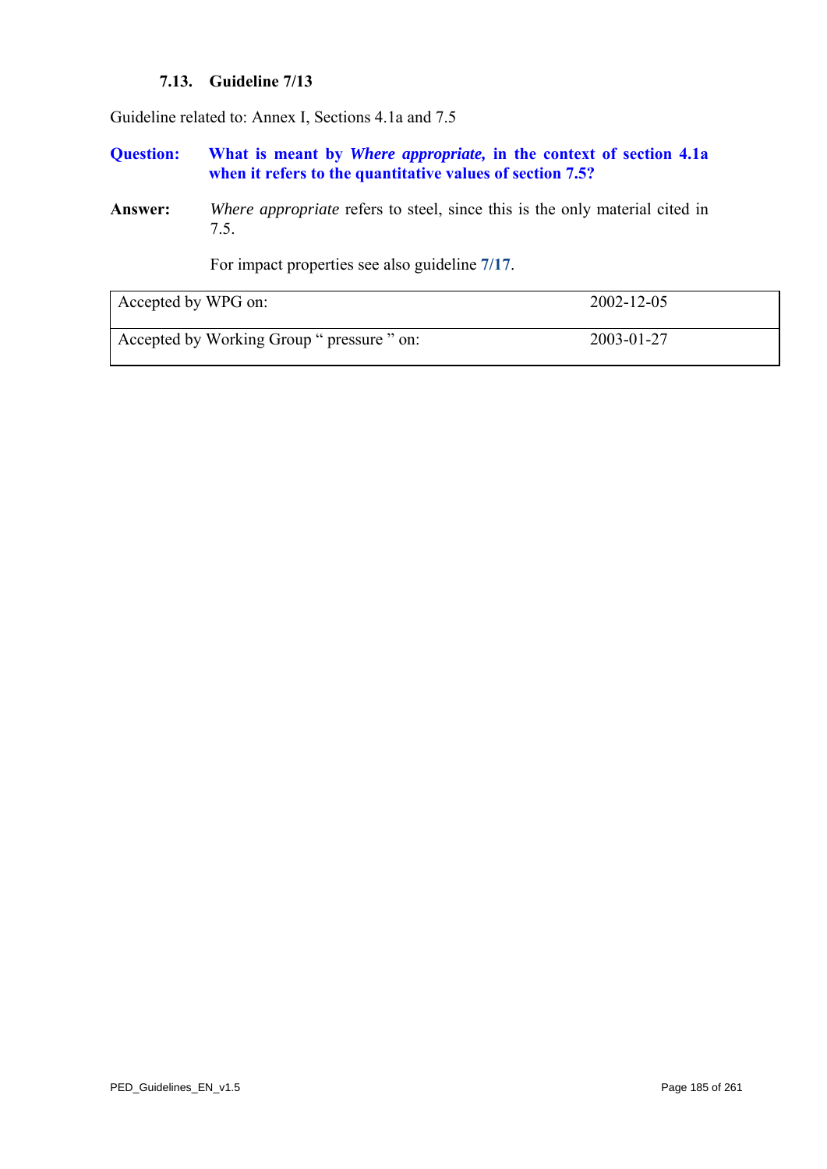#### **7.13. Guideline 7/13**

<span id="page-184-0"></span>Guideline related to: Annex I, Sections 4.1a and 7.5

**Question: What is meant by** *Where appropriate,* **in the context of section 4.1a**  when it refers to the quantitative values of section 7.5?

**Answer:** *Where appropriate* refers to steel, since this is the only material cited in 7.5.

For impact properties see also guideline **[7/17](#page-188-0)**.

| Accepted by WPG on:                        | $2002 - 12 - 05$ |
|--------------------------------------------|------------------|
| Accepted by Working Group " pressure " on: | 2003-01-27       |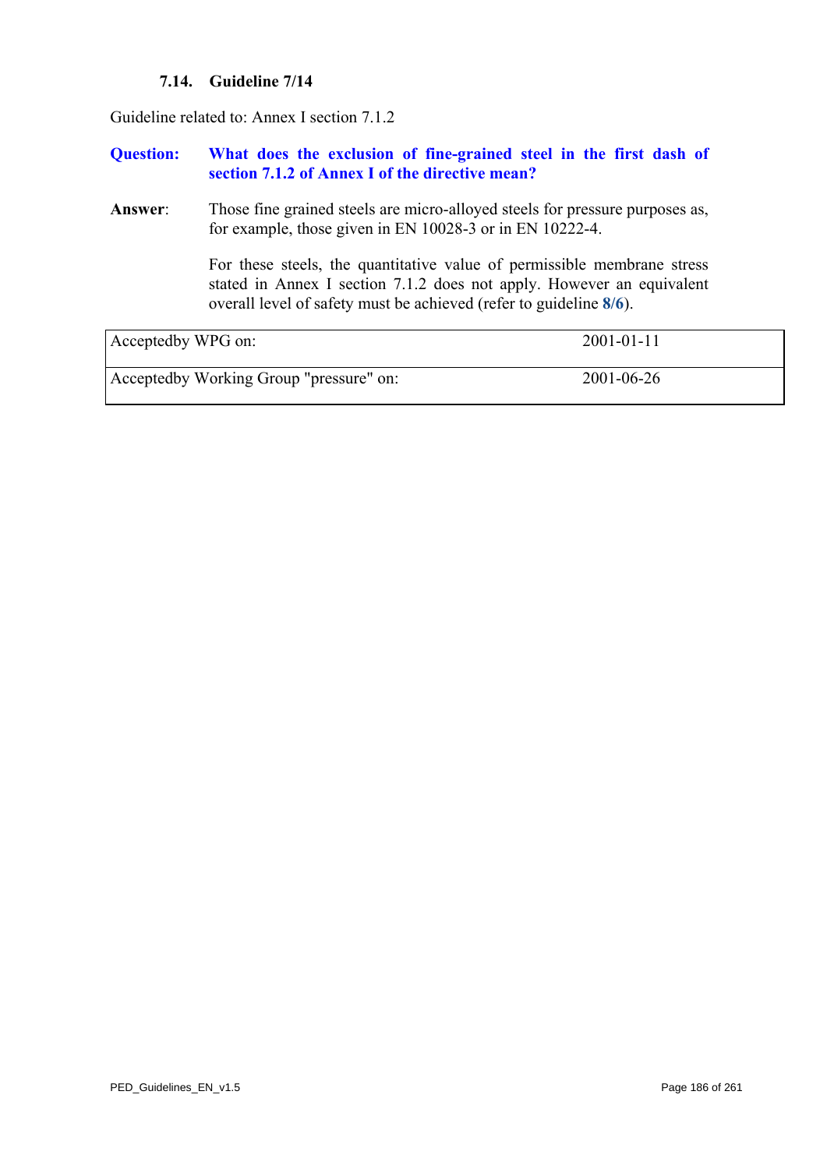# **7.14. Guideline 7/14**

Guideline related to: Annex I section 7.1.2

#### **Question: What does the exclusion of fine-grained steel in the first dash of section 7.1.2 of Annex I of the directive mean?**

**Answer**: Those fine grained steels are micro-alloyed steels for pressure purposes as, for example, those given in EN 10028-3 or in EN 10222-4.

> For these steels, the quantitative value of permissible membrane stress stated in Annex I section 7.1.2 does not apply. However an equivalent overall level of safety must be achieved (refer to guideline **[8/6](#page-211-0)**).

| Acceptedby WPG on:                      | $2001 - 01 - 11$ |
|-----------------------------------------|------------------|
| Acceptedby Working Group "pressure" on: | $2001 - 06 - 26$ |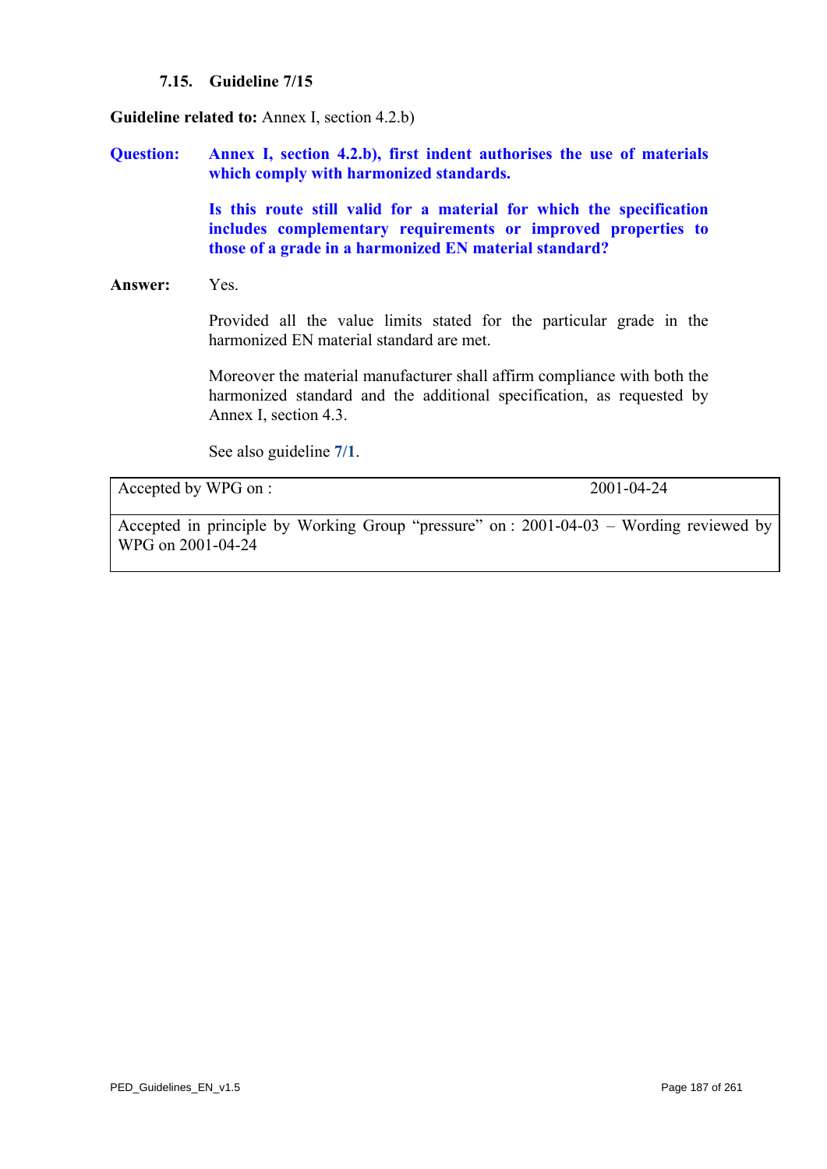#### **7.15. Guideline 7/15**

<span id="page-186-0"></span>**Guideline related to:** Annex I, section 4.2.b)

**Question: Annex I, section 4.2.b), first indent authorises the use of materials which comply with harmonized standards.** 

> **Is this route still valid for a material for which the specification includes complementary requirements or improved properties to those of a grade in a harmonized EN material standard?**

#### **Answer:** Yes.

Provided all the value limits stated for the particular grade in the harmonized EN material standard are met.

Moreover the material manufacturer shall affirm compliance with both the harmonized standard and the additional specification, as requested by Annex I, section 4.3.

See also guideline **[7/1](#page-171-0)**.

Accepted by WPG on : 2001-04-24

Accepted in principle by Working Group "pressure" on : 2001-04-03 – Wording reviewed by WPG on 2001-04-24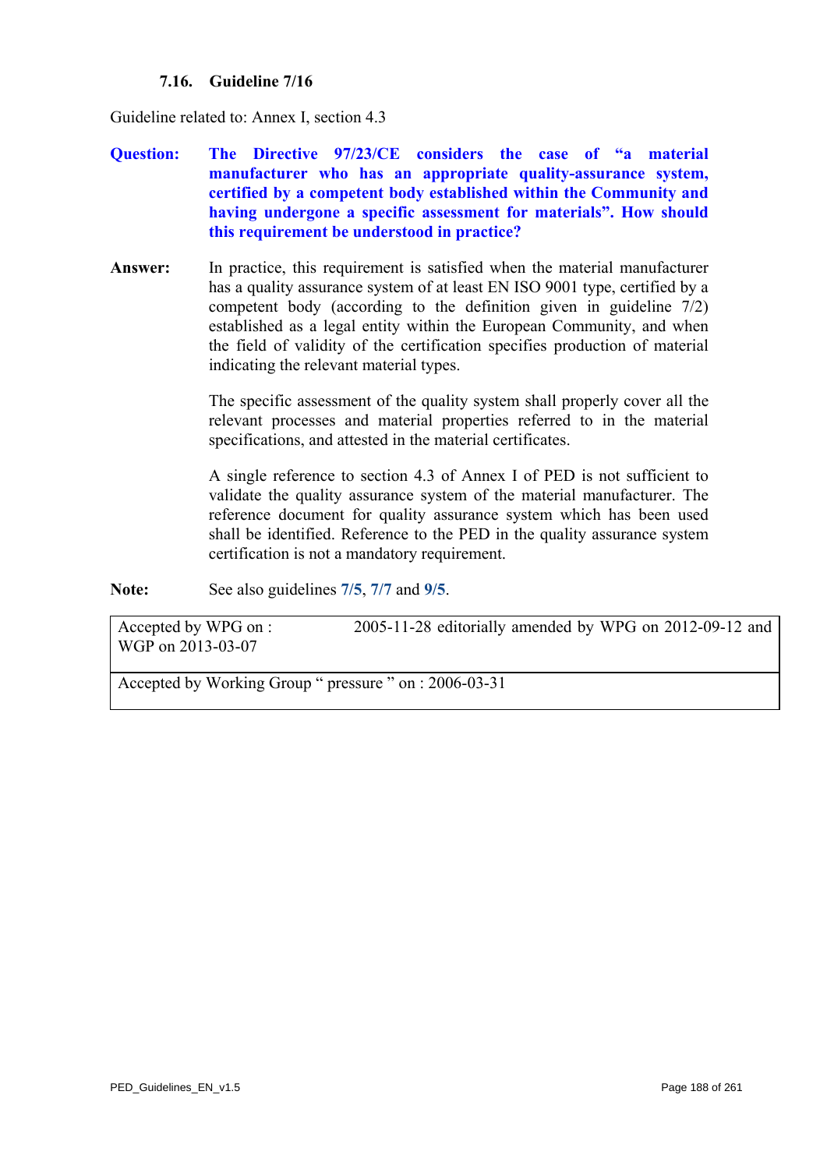# **7.16. Guideline 7/16**

<span id="page-187-0"></span>Guideline related to: Annex I, section 4.3

- **Question: The Directive 97/23/CE considers the case of "a material manufacturer who has an appropriate quality-assurance system, certified by a competent body established within the Community and having undergone a specific assessment for materials". How should this requirement be understood in practice?**
- **Answer:** In practice, this requirement is satisfied when the material manufacturer has a quality assurance system of at least EN ISO 9001 type, certified by a competent body (according to the definition given in guideline 7/2) established as a legal entity within the European Community, and when the field of validity of the certification specifies production of material indicating the relevant material types.

The specific assessment of the quality system shall properly cover all the relevant processes and material properties referred to in the material specifications, and attested in the material certificates.

A single reference to section 4.3 of Annex I of PED is not sufficient to validate the quality assurance system of the material manufacturer. The reference document for quality assurance system which has been used shall be identified. Reference to the PED in the quality assurance system certification is not a mandatory requirement.

**Note:** See also guidelines **[7/5](#page-175-0)**, **[7/7](#page-178-0)** and **[9/5](#page-231-0)**.

Accepted by WPG on : 2005-11-28 editorially amended by WPG on 2012-09-12 and WGP on 2013-03-07

Accepted by Working Group " pressure " on : 2006-03-31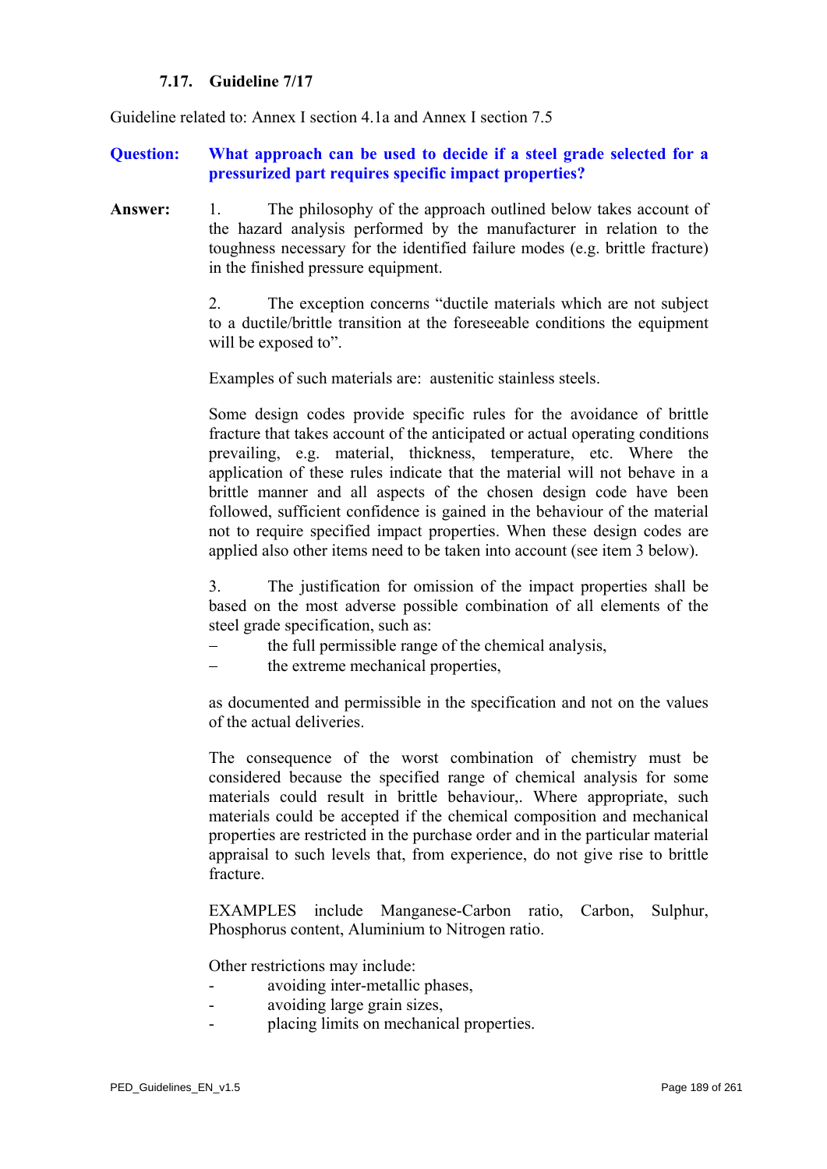#### **7.17. Guideline 7/17**

<span id="page-188-0"></span>Guideline related to: Annex I section 4.1a and Annex I section 7.5

**Question: What approach can be used to decide if a steel grade selected for a pressurized part requires specific impact properties?** 

**Answer:** 1. The philosophy of the approach outlined below takes account of the hazard analysis performed by the manufacturer in relation to the toughness necessary for the identified failure modes (e.g. brittle fracture) in the finished pressure equipment.

> 2. The exception concerns "ductile materials which are not subject to a ductile/brittle transition at the foreseeable conditions the equipment will be exposed to".

Examples of such materials are: austenitic stainless steels.

Some design codes provide specific rules for the avoidance of brittle fracture that takes account of the anticipated or actual operating conditions prevailing, e.g. material, thickness, temperature, etc. Where the application of these rules indicate that the material will not behave in a brittle manner and all aspects of the chosen design code have been followed, sufficient confidence is gained in the behaviour of the material not to require specified impact properties. When these design codes are applied also other items need to be taken into account (see item 3 below).

3. The justification for omission of the impact properties shall be based on the most adverse possible combination of all elements of the steel grade specification, such as:

- the full permissible range of the chemical analysis,
- the extreme mechanical properties,

as documented and permissible in the specification and not on the values of the actual deliveries.

The consequence of the worst combination of chemistry must be considered because the specified range of chemical analysis for some materials could result in brittle behaviour,. Where appropriate, such materials could be accepted if the chemical composition and mechanical properties are restricted in the purchase order and in the particular material appraisal to such levels that, from experience, do not give rise to brittle fracture.

EXAMPLES include Manganese-Carbon ratio, Carbon, Sulphur, Phosphorus content, Aluminium to Nitrogen ratio.

Other restrictions may include:

- avoiding inter-metallic phases,
- avoiding large grain sizes.
- placing limits on mechanical properties.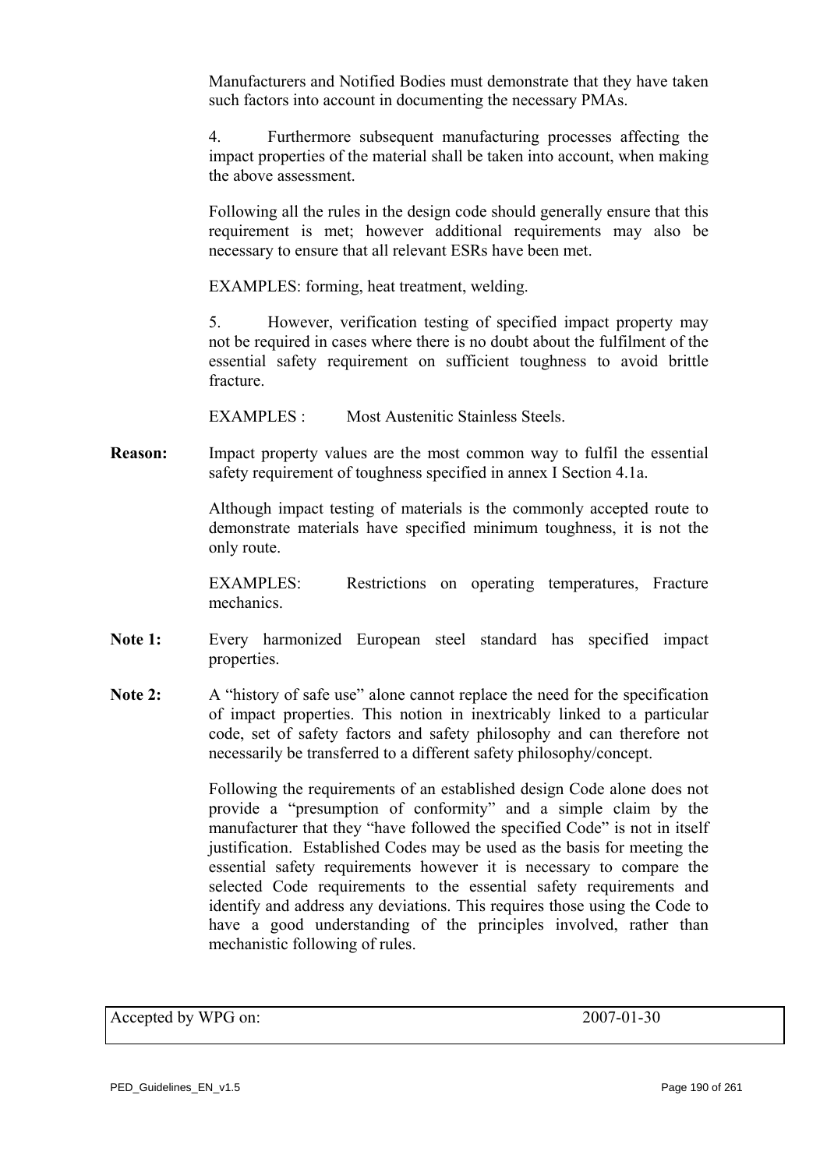Manufacturers and Notified Bodies must demonstrate that they have taken such factors into account in documenting the necessary PMAs.

4. Furthermore subsequent manufacturing processes affecting the impact properties of the material shall be taken into account, when making the above assessment.

Following all the rules in the design code should generally ensure that this requirement is met; however additional requirements may also be necessary to ensure that all relevant ESRs have been met.

EXAMPLES: forming, heat treatment, welding.

5. However, verification testing of specified impact property may not be required in cases where there is no doubt about the fulfilment of the essential safety requirement on sufficient toughness to avoid brittle fracture.

EXAMPLES : Most Austenitic Stainless Steels.

**Reason:** Impact property values are the most common way to fulfil the essential safety requirement of toughness specified in annex I Section 4.1a.

> Although impact testing of materials is the commonly accepted route to demonstrate materials have specified minimum toughness, it is not the only route.

> EXAMPLES: Restrictions on operating temperatures, Fracture mechanics.

- **Note 1:** Every harmonized European steel standard has specified impact properties.
- Note 2: A "history of safe use" alone cannot replace the need for the specification of impact properties. This notion in inextricably linked to a particular code, set of safety factors and safety philosophy and can therefore not necessarily be transferred to a different safety philosophy/concept.

Following the requirements of an established design Code alone does not provide a "presumption of conformity" and a simple claim by the manufacturer that they "have followed the specified Code" is not in itself justification. Established Codes may be used as the basis for meeting the essential safety requirements however it is necessary to compare the selected Code requirements to the essential safety requirements and identify and address any deviations. This requires those using the Code to have a good understanding of the principles involved, rather than mechanistic following of rules.

Accepted by WPG on: 2007-01-30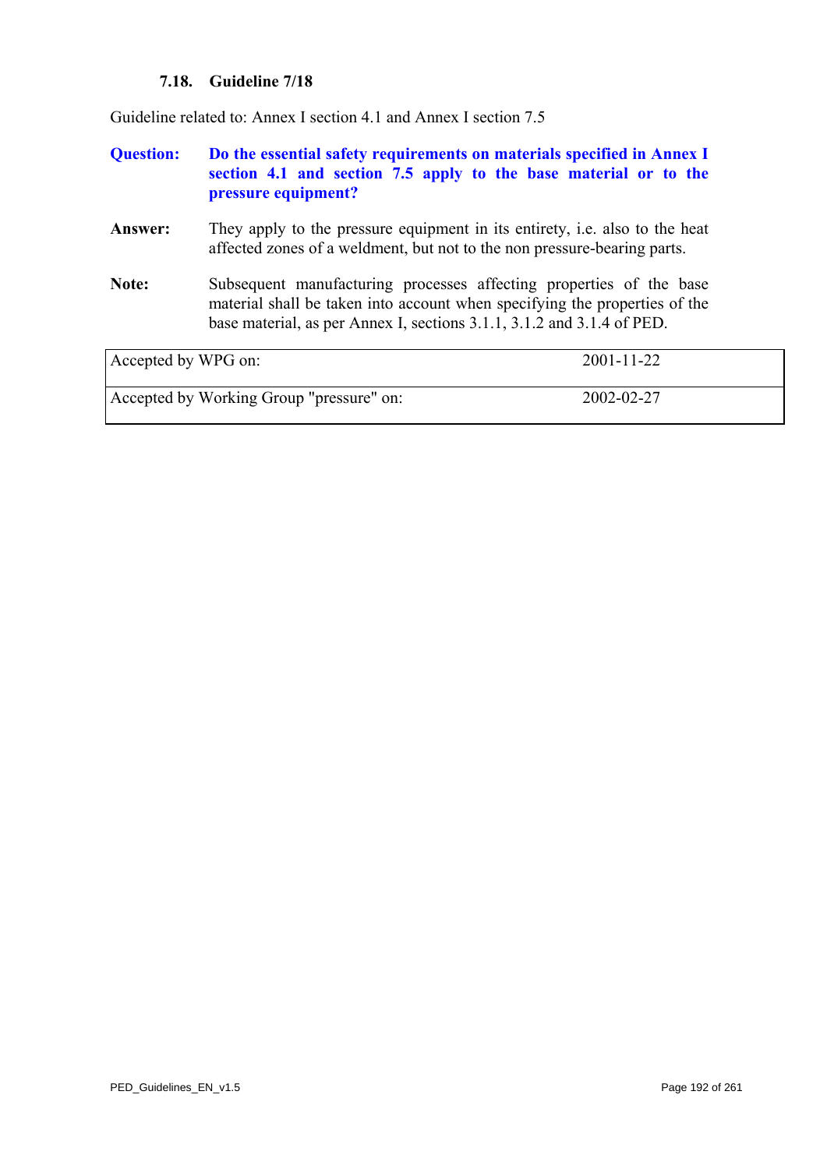# **7.18. Guideline 7/18**

<span id="page-191-0"></span>Guideline related to: Annex I section 4.1 and Annex I section 7.5

| <b>Question:</b>    | pressure equipment?                                                      | Do the essential safety requirements on materials specified in Annex I<br>section 4.1 and section 7.5 apply to the base material or to the        |
|---------------------|--------------------------------------------------------------------------|---------------------------------------------------------------------------------------------------------------------------------------------------|
| Answer:             | affected zones of a weldment, but not to the non pressure-bearing parts. | They apply to the pressure equipment in its entirety, i.e. also to the heat                                                                       |
| Note:               | base material, as per Annex I, sections 3.1.1, 3.1.2 and 3.1.4 of PED.   | Subsequent manufacturing processes affecting properties of the base<br>material shall be taken into account when specifying the properties of the |
| Accepted by WPG on: |                                                                          | $2001 - 11 - 22$                                                                                                                                  |

| Accepted by WPG on:                      | $2001 - 11 - 22$ |
|------------------------------------------|------------------|
| Accepted by Working Group "pressure" on: | 2002-02-27       |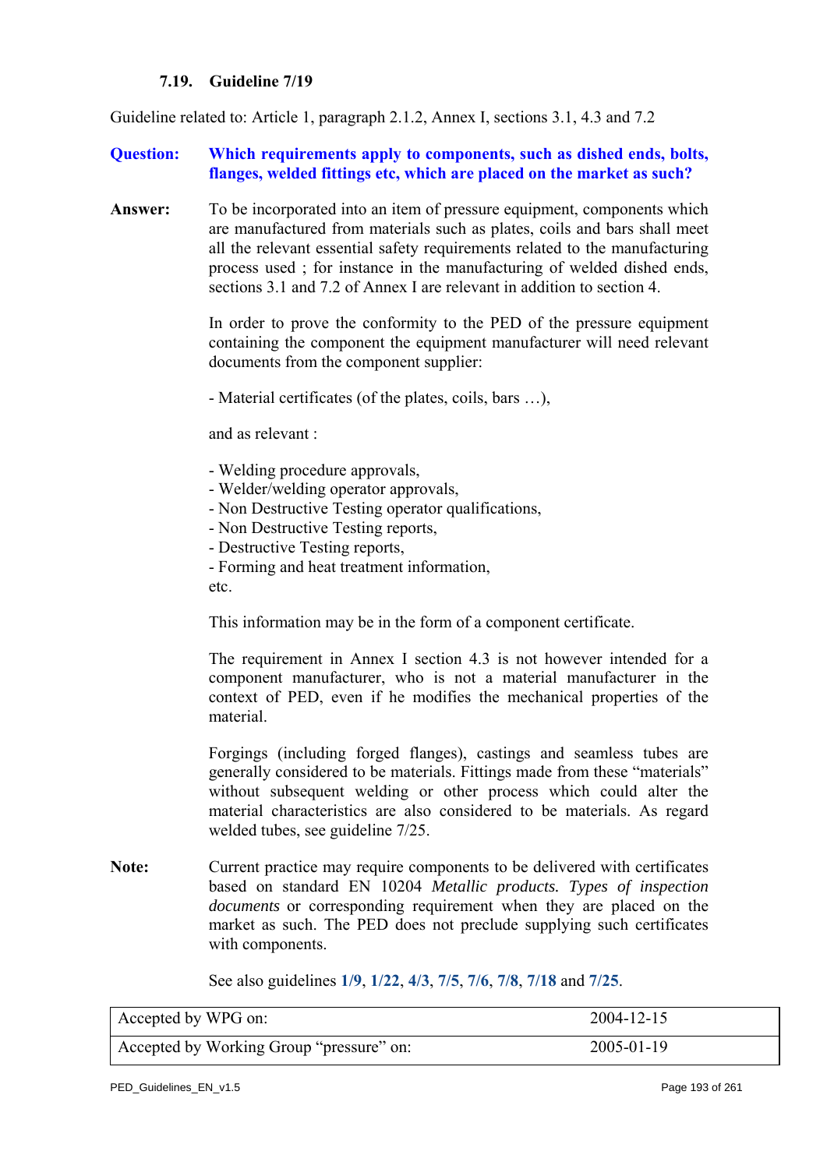#### **7.19. Guideline 7/19**

<span id="page-192-0"></span>Guideline related to: Article 1, paragraph 2.1.2, Annex I, sections 3.1, 4.3 and 7.2

#### **Question:** Which requirements apply to components, such as dished ends, bolts, **flanges, welded fittings etc, which are placed on the market as such?**

**Answer:** To be incorporated into an item of pressure equipment, components which are manufactured from materials such as plates, coils and bars shall meet all the relevant essential safety requirements related to the manufacturing process used ; for instance in the manufacturing of welded dished ends, sections 3.1 and 7.2 of Annex I are relevant in addition to section 4.

> In order to prove the conformity to the PED of the pressure equipment containing the component the equipment manufacturer will need relevant documents from the component supplier:

- Material certificates (of the plates, coils, bars …),

and as relevant :

- Welding procedure approvals,
- Welder/welding operator approvals,
- Non Destructive Testing operator qualifications,
- Non Destructive Testing reports,
- Destructive Testing reports,

- Forming and heat treatment information, etc.

This information may be in the form of a component certificate.

The requirement in Annex I section 4.3 is not however intended for a component manufacturer, who is not a material manufacturer in the context of PED, even if he modifies the mechanical properties of the material.

Forgings (including forged flanges), castings and seamless tubes are generally considered to be materials. Fittings made from these "materials" without subsequent welding or other process which could alter the material characteristics are also considered to be materials. As regard welded tubes, see guideline 7/25.

**Note:** Current practice may require components to be delivered with certificates based on standard EN 10204 *Metallic products. Types of inspection documents* or corresponding requirement when they are placed on the market as such. The PED does not preclude supplying such certificates with components.

See also guidelines **[1/9](#page-10-0)**, **[1/22](#page-85-0)**, **[4/3](#page-128-0)**, **[7/5](#page-175-0)**, **[7/6](#page-177-0)**, **[7/8](#page-179-0)**, **[7/18](#page-191-0)** and **[7/25](#page-199-0)**.

| Accepted by WPG on:                      | 2004-12-15 |
|------------------------------------------|------------|
| Accepted by Working Group "pressure" on: | 2005-01-19 |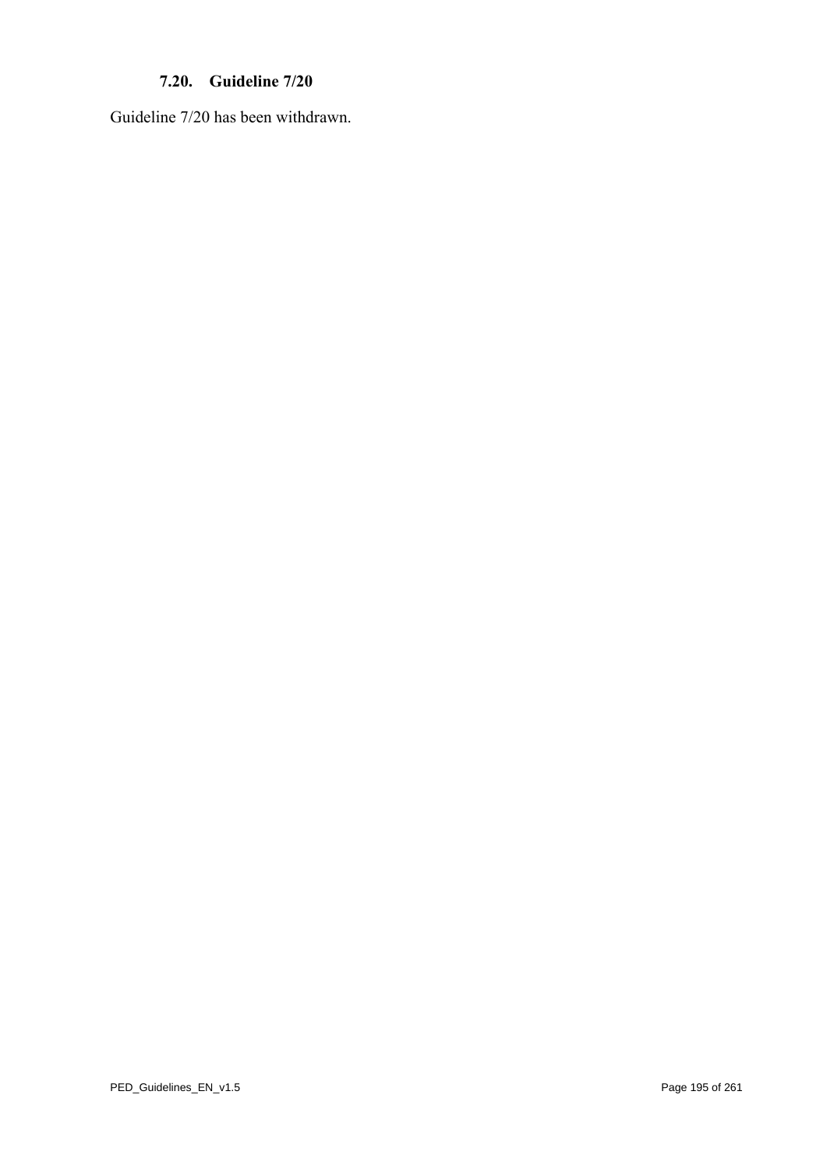# **7.20. Guideline 7/20**

Guideline 7/20 has been withdrawn.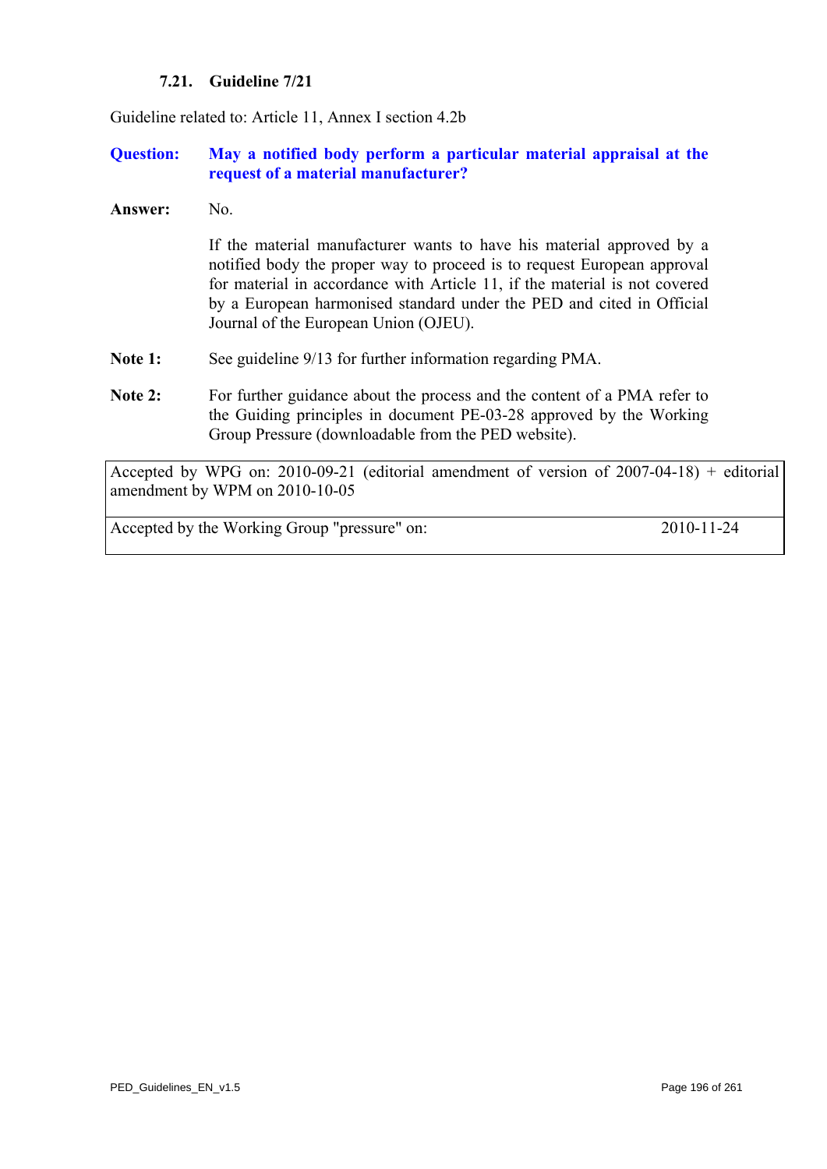# **7.21. Guideline 7/21**

<span id="page-195-0"></span>Guideline related to: Article 11, Annex I section 4.2b

# **Question: May a notified body perform a particular material appraisal at the request of a material manufacturer?**

**Answer:** No.

If the material manufacturer wants to have his material approved by a notified body the proper way to proceed is to request European approval for material in accordance with Article 11, if the material is not covered by a European harmonised standard under the PED and cited in Official Journal of the European Union (OJEU).

- Note 1: See guideline 9/13 for further information regarding PMA.
- Note 2: For further guidance about the process and the content of a PMA refer to the Guiding principles in document PE-03-28 approved by the Working Group Pressure (downloadable from the PED website).

Accepted by WPG on: 2010-09-21 (editorial amendment of version of 2007-04-18) + editorial amendment by WPM on 2010-10-05

Accepted by the Working Group "pressure" on: 2010-11-24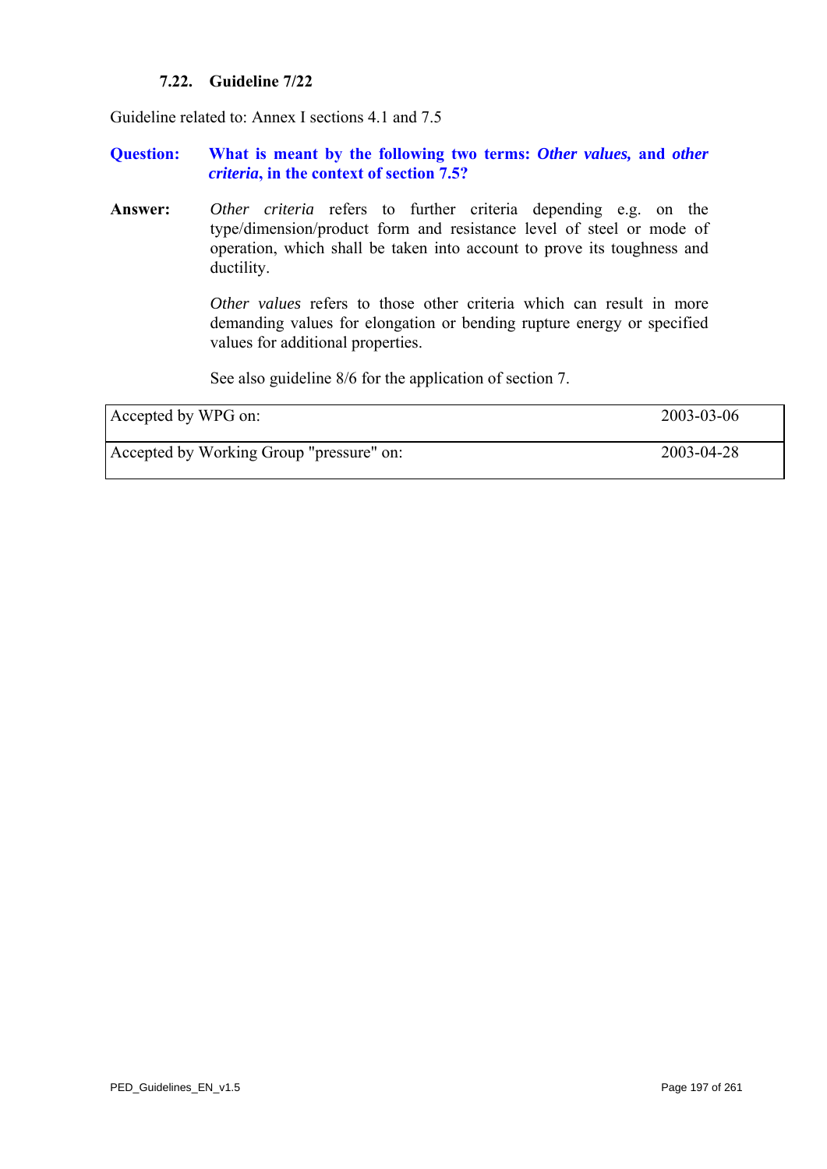#### **7.22. Guideline 7/22**

Guideline related to: Annex I sections 4.1 and 7.5

#### **Question: What is meant by the following two terms:** *Other values,* **and** *other criteria***, in the context of section 7.5?**

**Answer:** *Other criteria* refers to further criteria depending e.g. on the type/dimension/product form and resistance level of steel or mode of operation, which shall be taken into account to prove its toughness and ductility.

> *Other values* refers to those other criteria which can result in more demanding values for elongation or bending rupture energy or specified values for additional properties.

See also guideline 8/6 for the application of section 7.

| Accepted by WPG on:                      | 2003-03-06 |
|------------------------------------------|------------|
| Accepted by Working Group "pressure" on: | 2003-04-28 |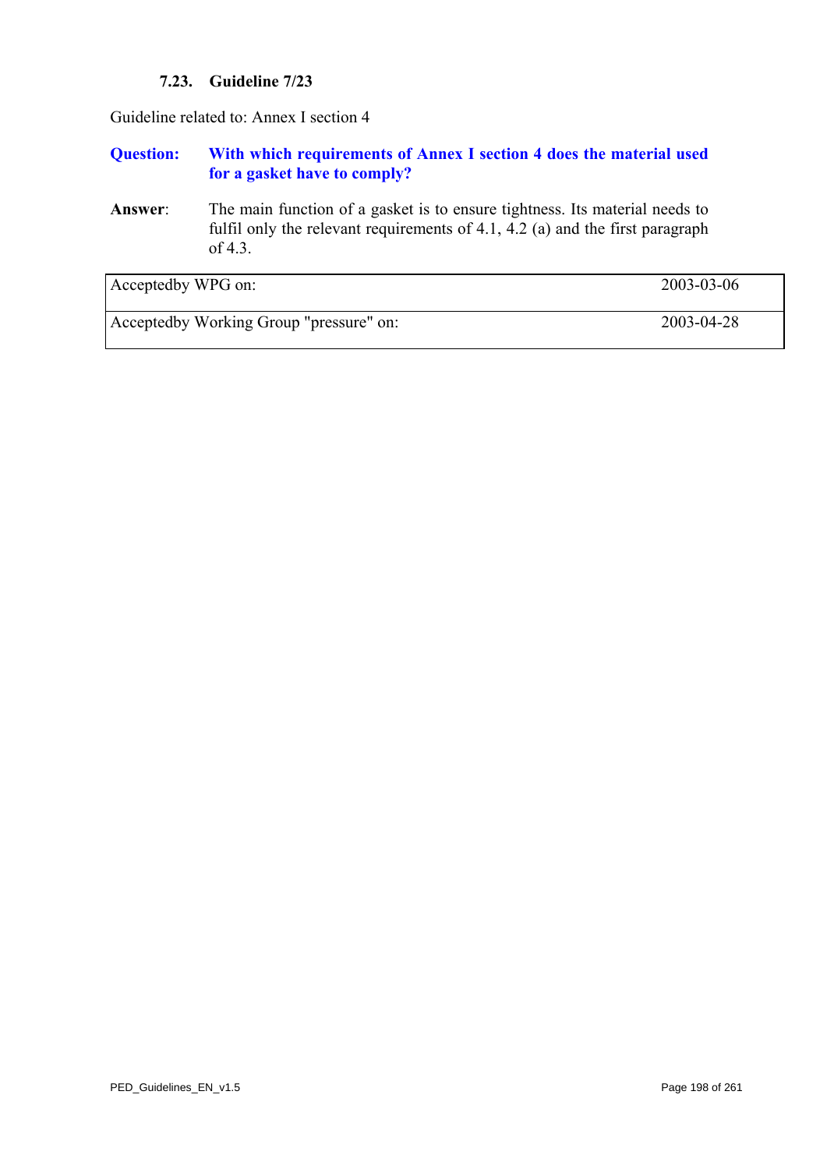# **7.23. Guideline 7/23**

Guideline related to: Annex I section 4

# **Question: With which requirements of Annex I section 4 does the material used for a gasket have to comply?**

**Answer**: The main function of a gasket is to ensure tightness. Its material needs to fulfil only the relevant requirements of 4.1, 4.2 (a) and the first paragraph of 4.3.

| Acceptedby WPG on:                      | 2003-03-06 |
|-----------------------------------------|------------|
| Acceptedby Working Group "pressure" on: | 2003-04-28 |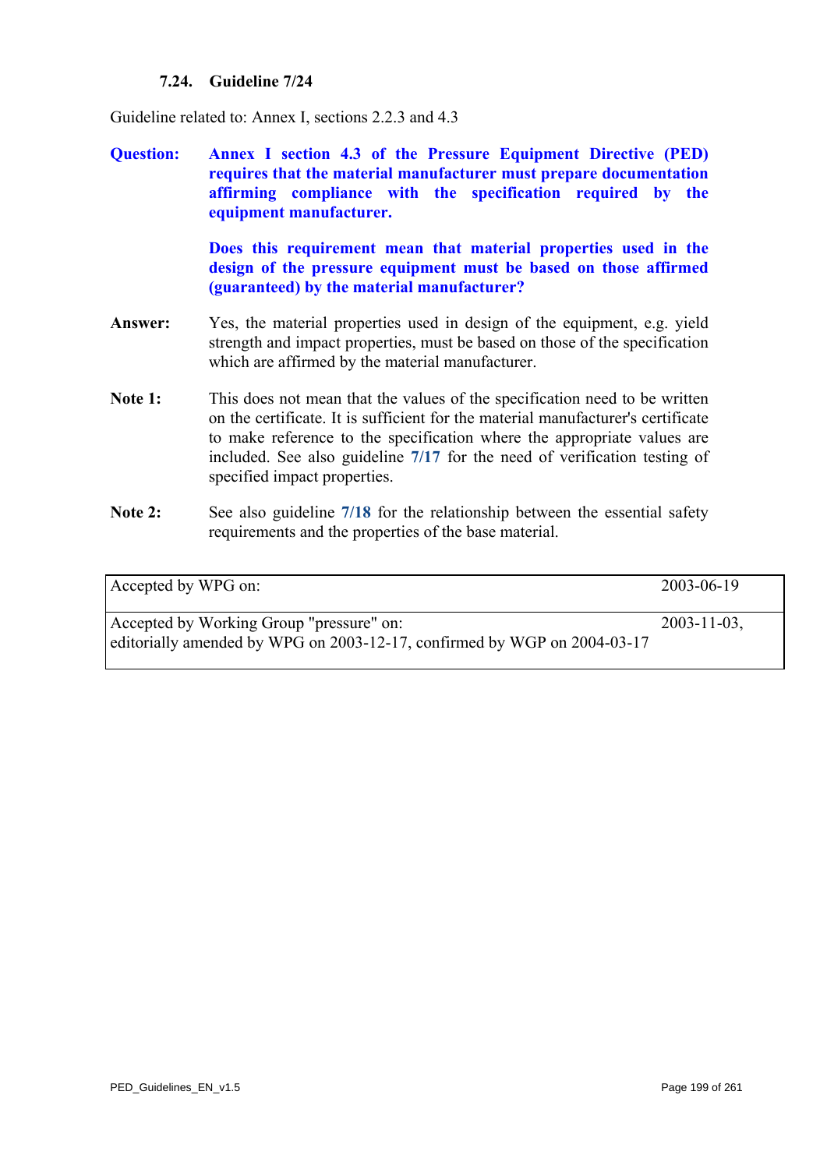# **7.24. Guideline 7/24**

Guideline related to: Annex I, sections 2.2.3 and 4.3

**Question: Annex I section 4.3 of the Pressure Equipment Directive (PED) requires that the material manufacturer must prepare documentation affirming compliance with the specification required by the equipment manufacturer.** 

> **Does this requirement mean that material properties used in the design of the pressure equipment must be based on those affirmed (guaranteed) by the material manufacturer?**

- **Answer:** Yes, the material properties used in design of the equipment, e.g. yield strength and impact properties, must be based on those of the specification which are affirmed by the material manufacturer.
- Note 1: This does not mean that the values of the specification need to be written on the certificate. It is sufficient for the material manufacturer's certificate to make reference to the specification where the appropriate values are included. See also guideline **[7/17](#page-188-0)** for the need of verification testing of specified impact pr[operti](#page-191-0)es.
- Note 2: See also guideline  $7/18$  for the relationship between the essential safety requirements and the properties of the base material.

| Accepted by WPG on:                                                                                                  | 2003-06-19       |
|----------------------------------------------------------------------------------------------------------------------|------------------|
| Accepted by Working Group "pressure" on:<br>editorially amended by WPG on 2003-12-17, confirmed by WGP on 2004-03-17 | $2003 - 11 - 03$ |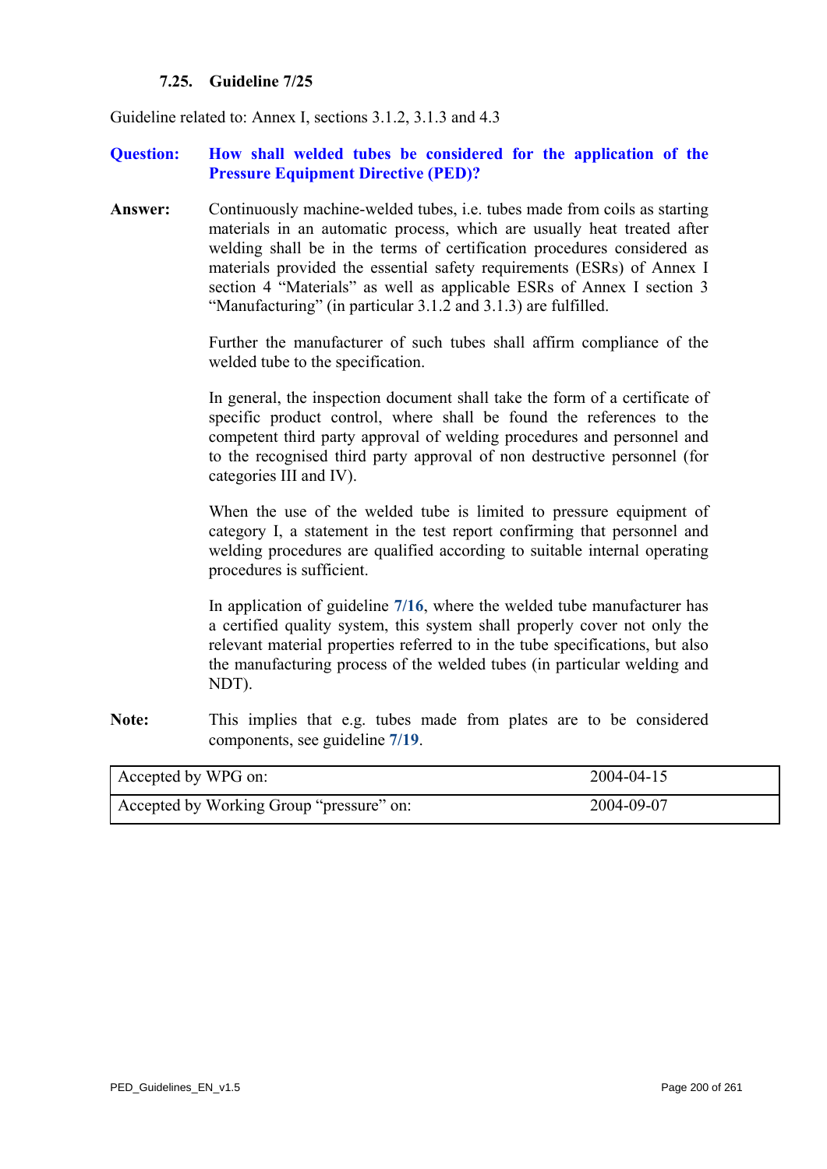#### **7.25. Guideline 7/25**

<span id="page-199-0"></span>Guideline related to: Annex I, sections 3.1.2, 3.1.3 and 4.3

#### **Question: How shall welded tubes be considered for the application of the Pressure Equipment Directive (PED)?**

**Answer:** Continuously machine-welded tubes, i.e. tubes made from coils as starting materials in an automatic process, which are usually heat treated after welding shall be in the terms of certification procedures considered as materials provided the essential safety requirements (ESRs) of Annex I section 4 "Materials" as well as applicable ESRs of Annex I section 3 "Manufacturing" (in particular 3.1.2 and 3.1.3) are fulfilled.

> Further the manufacturer of such tubes shall affirm compliance of the welded tube to the specification.

> In general, the inspection document shall take the form of a certificate of specific product control, where shall be found the references to the competent third party approval of welding procedures and personnel and to the recognised third party approval of non destructive personnel (for categories III and IV).

> When the use of the welded tube is limited to pressure equipment of category I, a statement in the test report confirming that personnel and welding procedures are qualified according to suitable internal operating procedures is sufficient.

> In application of guideline **[7/16](#page-187-0)**, where the welded tube manufacturer has a certified quality system, this system shall properly cover not only the relevant material properties referred to in the tube specifications, but also the manufacturing process of the welded tubes (in particular welding and NDT).

**Note:** This implies that e.g. tubes made from plates are to be considered components, see guideline **[7/19](#page-192-0)**.

| Accepted by WPG on:                      | 2004-04-15 |
|------------------------------------------|------------|
| Accepted by Working Group "pressure" on: | 2004-09-07 |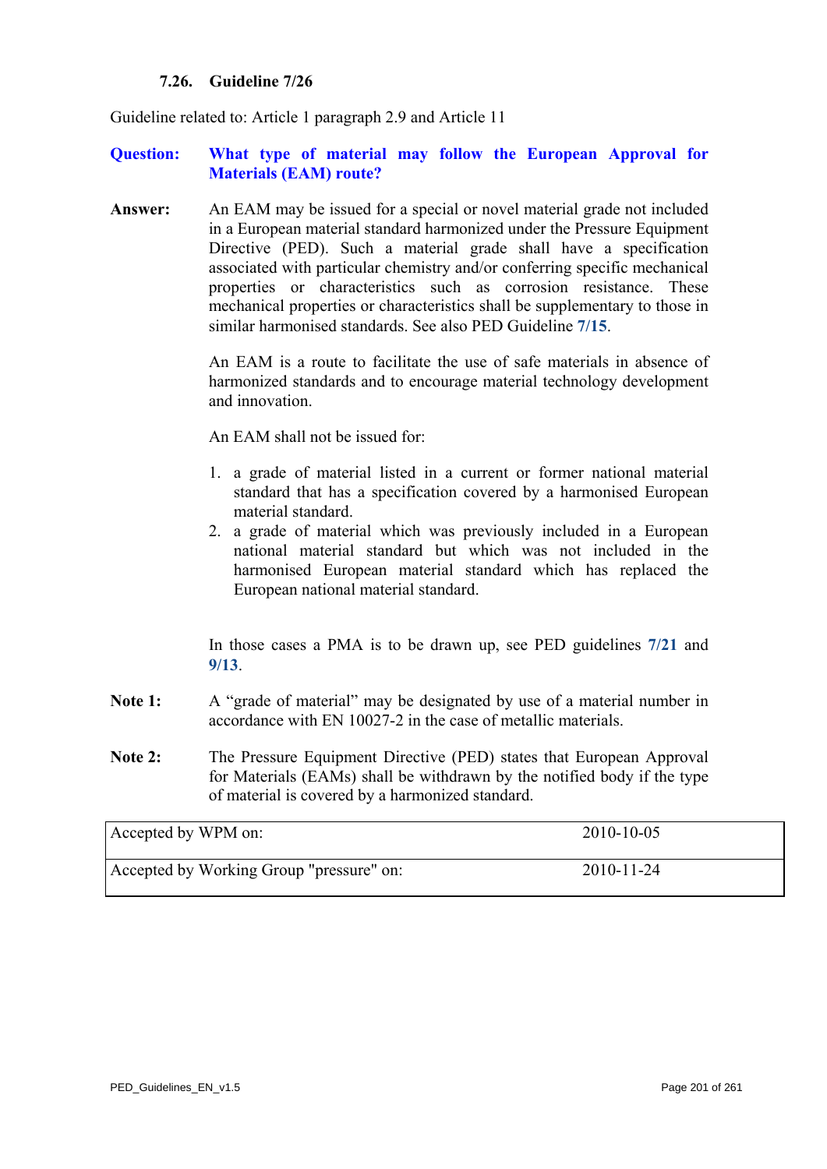#### **7.26. Guideline 7/26**

Guideline related to: Article 1 paragraph 2.9 and Article 11

#### **Question: What type of material may follow the European Approval for Materials (EAM) route?**

**Answer:** An EAM may be issued for a special or novel material grade not included in a European material standard harmonized under the Pressure Equipment Directive (PED). Such a material grade shall have a specification associated with particular chemistry and/or conferring specific mechanical properties or characteristics such as corrosion resistance. These mechanical properties or characteristics shall be supplementary to those in similar harmonised standards. See also PED Guideline **[7/15](#page-186-0)**.

> An EAM is a route to facilitate the use of safe materials in absence of harmonized standards and to encourage material technology development and innovation.

An EAM shall not be issued for:

- 1. a grade of material listed in a current or former national material standard that has a specification covered by a harmonised European material standard.
- 2. a grade of material which was previously included in a European national material standard but which was not included in the harmonised European material standard which has replaced the European national material standard.

In those cases a PMA is to be drawn up, see PED guidelines **[7/21](#page-195-0)** and **[9/13](#page-239-0)**.

- Note 1: A "grade of material" may be designated by use of a material number in accordance with EN 10027-2 in the case of metallic materials.
- **Note 2:** The Pressure Equipment Directive (PED) states that European Approval for Materials (EAMs) shall be withdrawn by the notified body if the type of material is covered by a harmonized standard.

| Accepted by WPM on:                      | 2010-10-05       |
|------------------------------------------|------------------|
| Accepted by Working Group "pressure" on: | $2010 - 11 - 24$ |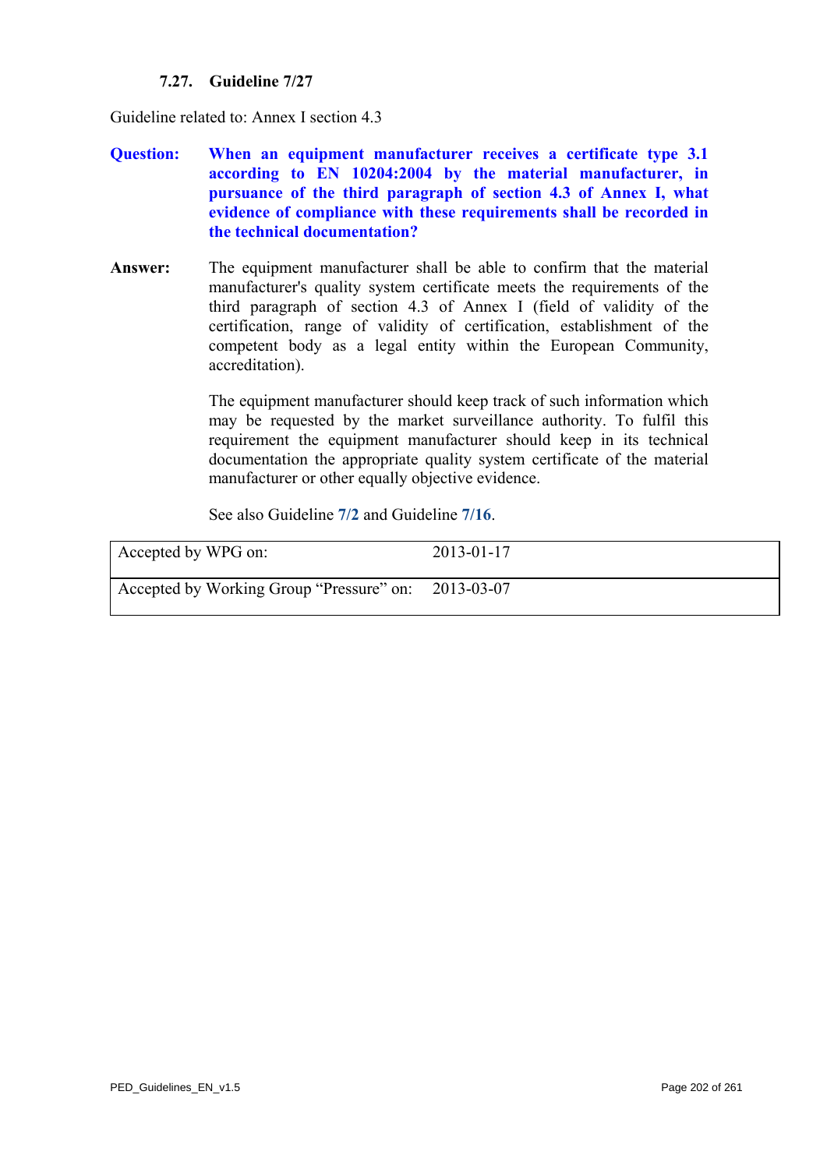# **7.27. Guideline 7/27**

Guideline related to: Annex I section 4.3

- **Question: When an equipment manufacturer receives a certificate type 3.1 according to EN 10204:2004 by the material manufacturer, in pursuance of the third paragraph of section 4.3 of Annex I, what evidence of compliance with these requirements shall be recorded in the technical documentation?**
- **Answer:** The equipment manufacturer shall be able to confirm that the material manufacturer's quality system certificate meets the requirements of the third paragraph of section 4.3 of Annex I (field of validity of the certification, range of validity of certification, establishment of the competent body as a legal entity within the European Community, accreditation).

The equipment manufacturer should keep track of such information which may be requested by the market surveillance authority. To fulfil this requirement the equipment manufacturer should keep in its technical documentation the appropriate quality system certificate of the material manufacturer or other equally objective evidence.

See also Guideline **[7/2](#page-172-0)** and Guideline **[7/16](#page-187-0)**.

| Accepted by WPG on:                                 | $2013 - 01 - 17$ |
|-----------------------------------------------------|------------------|
| Accepted by Working Group "Pressure" on: 2013-03-07 |                  |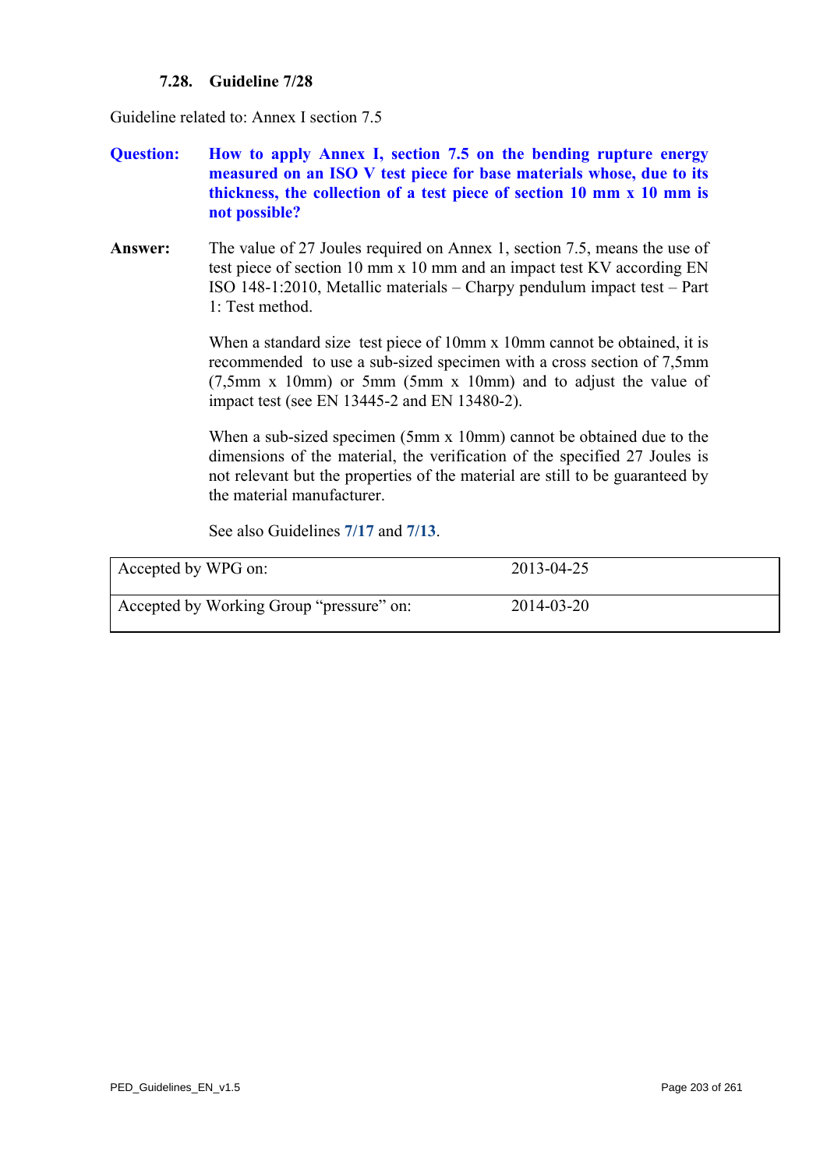# **7.28. Guideline 7/28**

Guideline related to: Annex I section 7.5

- **Question: How to apply Annex I, section 7.5 on the bending rupture energy measured on an ISO V test piece for base materials whose, due to its thickness, the collection of a test piece of section 10 mm x 10 mm is not possible?**
- **Answer:** The value of 27 Joules required on Annex 1, section 7.5, means the use of test piece of section 10 mm x 10 mm and an impact test KV according EN ISO 148-1:2010, Metallic materials – Charpy pendulum impact test – Part 1: Test method.

When a standard size test piece of 10mm x 10mm cannot be obtained, it is recommended to use a sub-sized specimen with a cross section of 7,5mm (7,5mm x 10mm) or 5mm (5mm x 10mm) and to adjust the value of impact test (see EN 13445-2 and EN 13480-2).

When a sub-sized specimen (5mm x 10mm) cannot be obtained due to the dimensions of the material, the verification of the specified 27 Joules is not relevant but the properties of the material are still to be guaranteed by the material manufacturer.

See also Guidelines **[7/17](#page-188-0)** and **[7/13](#page-184-0)**.

| Accepted by WPG on:                      | 2013-04-25       |
|------------------------------------------|------------------|
| Accepted by Working Group "pressure" on: | $2014 - 03 - 20$ |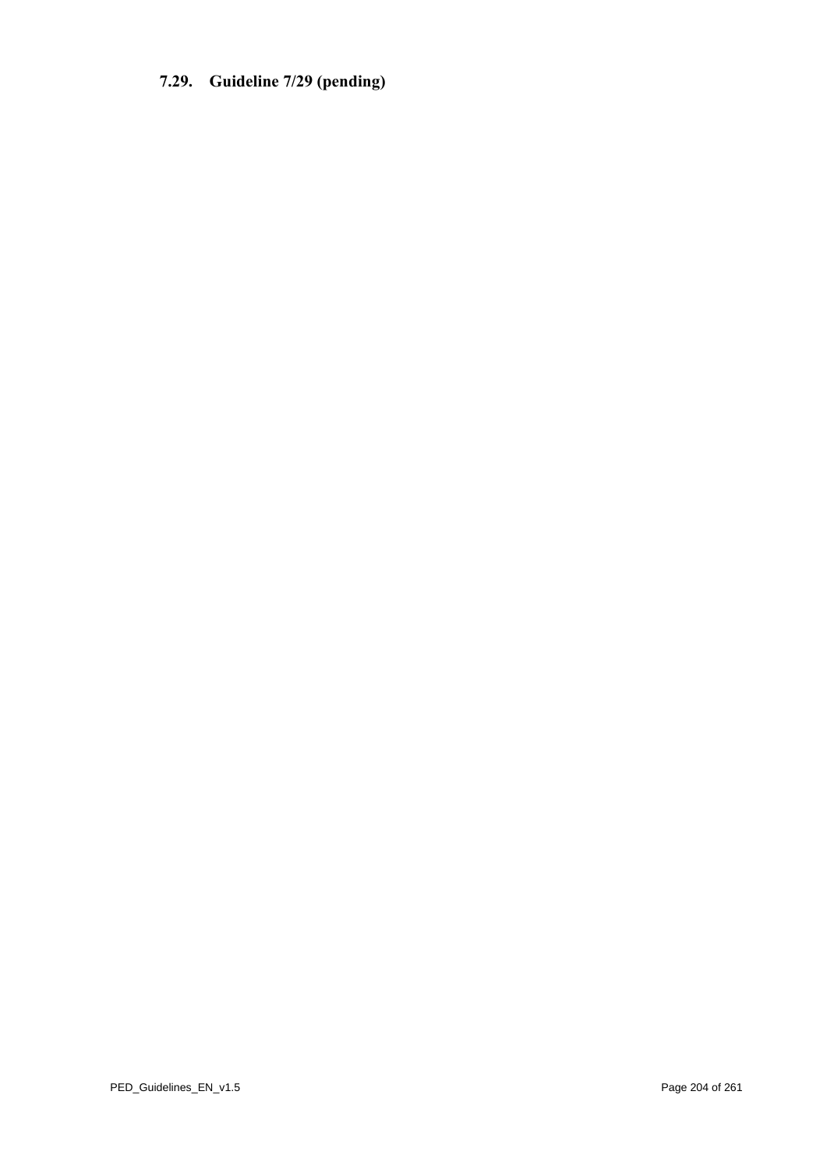# <span id="page-203-0"></span>**7.29. Guideline 7/29 (pending)**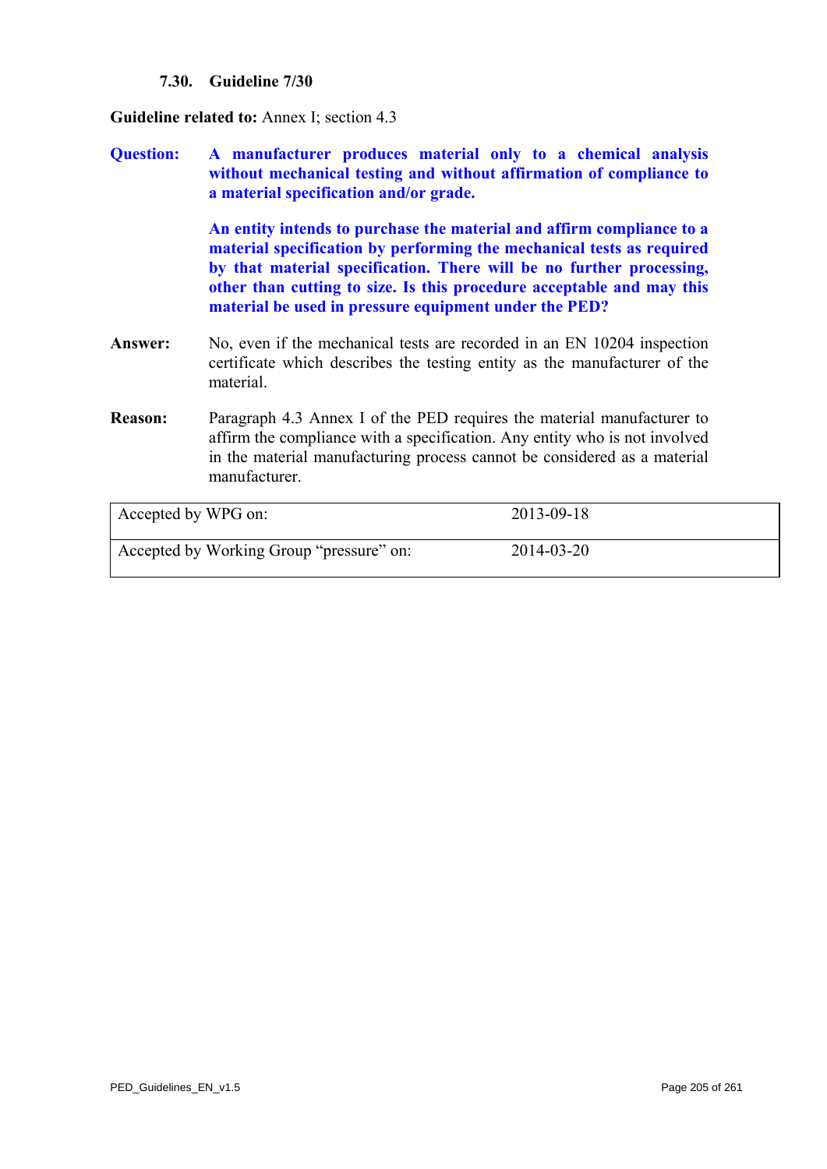# **7.30. Guideline 7/30**

**Guideline related to:** Annex I; section 4.3

**Question: A manufacturer produces material only to a chemical analysis without mechanical testing and without affirmation of compliance to a material specification and/or grade.** 

> **An entity intends to purchase the material and affirm compliance to a material specification by performing the mechanical tests as required by that material specification. There will be no further processing, other than cutting to size. Is this procedure acceptable and may this material be used in pressure equipment under the PED?**

- **Answer:** No, even if the mechanical tests are recorded in an EN 10204 inspection certificate which describes the testing entity as the manufacturer of the material.
- **Reason:** Paragraph 4.3 Annex I of the PED requires the material manufacturer to affirm the compliance with a specification. Any entity who is not involved in the material manufacturing process cannot be considered as a material manufacturer.

| Accepted by WPG on:                      | 2013-09-18 |
|------------------------------------------|------------|
| Accepted by Working Group "pressure" on: | 2014-03-20 |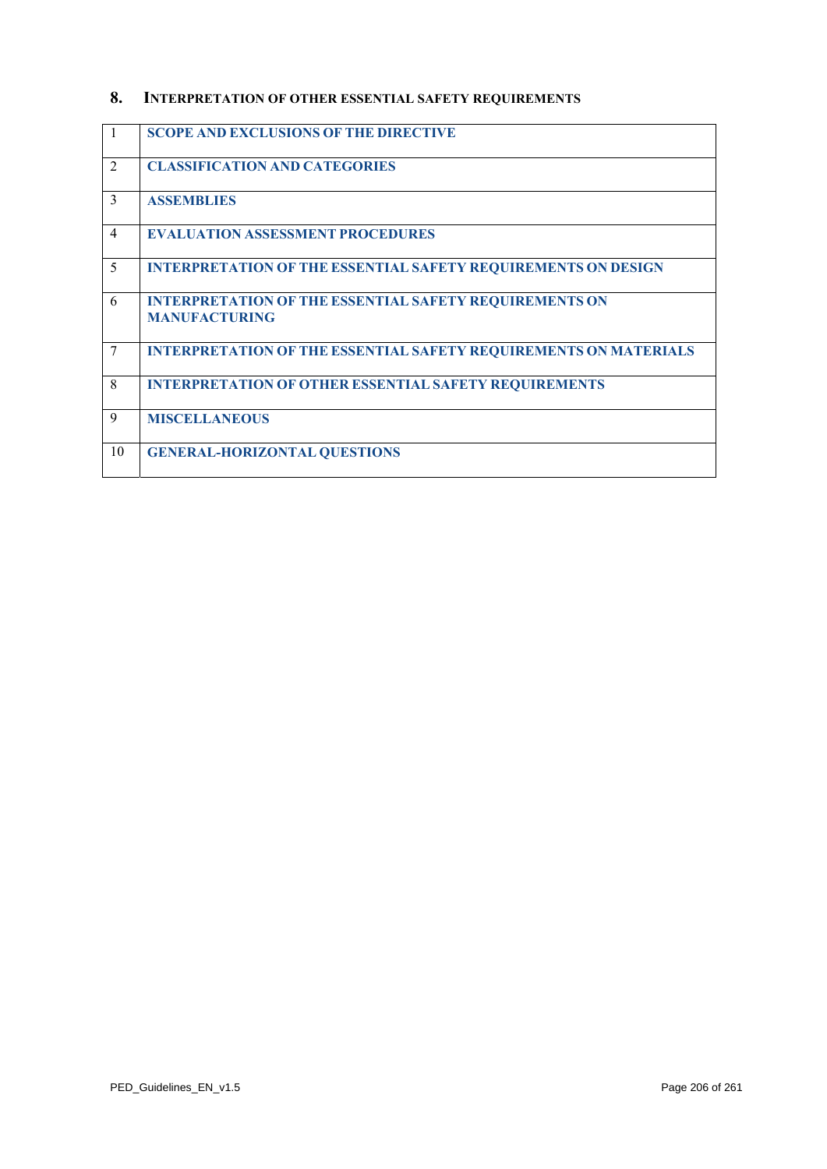# **8. INTERPRETATION OF OTHER ESSENTIAL SAFETY REQUIREMENTS**

| -1             | <b>SCOPE AND EXCLUSIONS OF THE DIRECTIVE</b>                                          |
|----------------|---------------------------------------------------------------------------------------|
| $\overline{2}$ | <b>CLASSIFICATION AND CATEGORIES</b>                                                  |
| 3              | <b>ASSEMBLIES</b>                                                                     |
| $\overline{4}$ | <b>EVALUATION ASSESSMENT PROCEDURES</b>                                               |
| 5              | <b>INTERPRETATION OF THE ESSENTIAL SAFETY REQUIREMENTS ON DESIGN</b>                  |
| 6              | <b>INTERPRETATION OF THE ESSENTIAL SAFETY REQUIREMENTS ON</b><br><b>MANUFACTURING</b> |
| 7              | <b>INTERPRETATION OF THE ESSENTIAL SAFETY REQUIREMENTS ON MATERIALS</b>               |
| 8              | <b>INTERPRETATION OF OTHER ESSENTIAL SAFETY REQUIREMENTS</b>                          |
| 9              | <b>MISCELLANEOUS</b>                                                                  |
| 10             | <b>GENERAL-HORIZONTAL QUESTIONS</b>                                                   |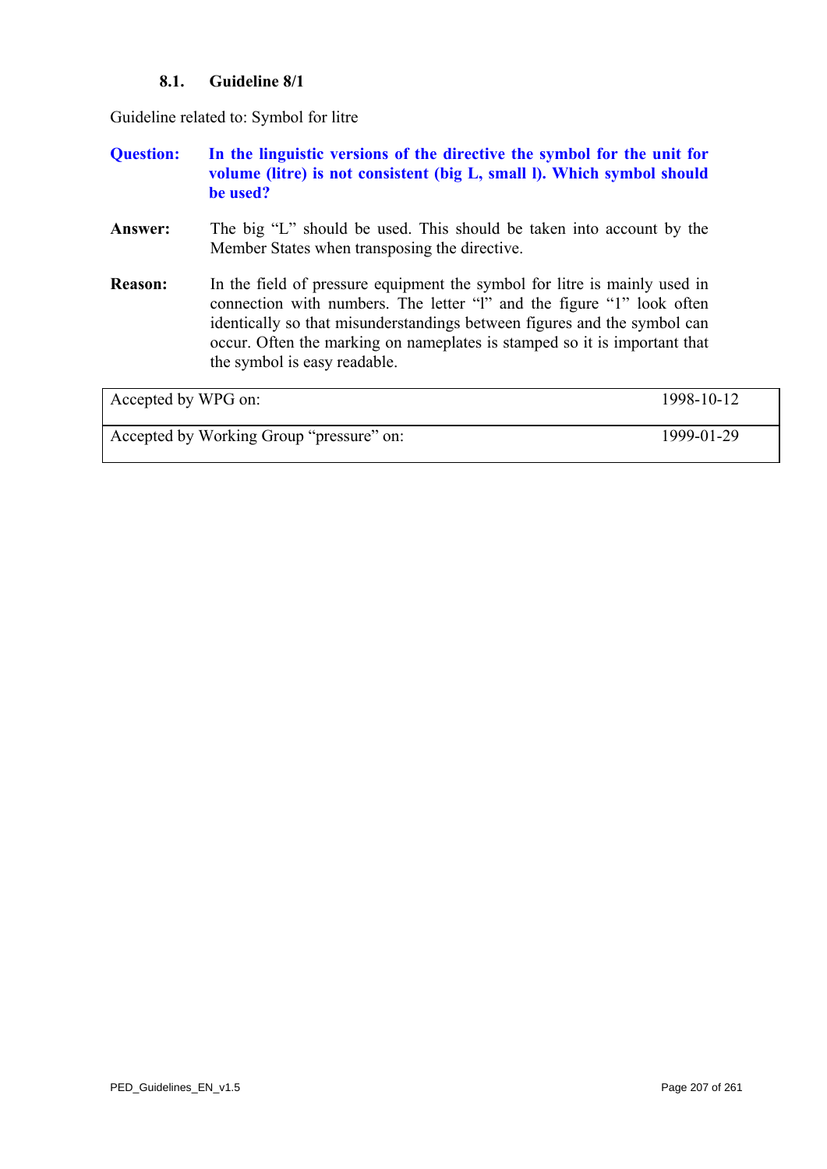# **8.1. Guideline 8/1**

Guideline related to: Symbol for litre

# **Question: In the linguistic versions of the directive the symbol for the unit for volume (litre) is not consistent (big L, small l). Which symbol should be used?**

- **Answer:** The big "L" should be used. This should be taken into account by the Member States when transposing the directive.
- **Reason:** In the field of pressure equipment the symbol for litre is mainly used in connection with numbers. The letter "l" and the figure "1" look often identically so that misunderstandings between figures and the symbol can occur. Often the marking on nameplates is stamped so it is important that the symbol is easy readable.

| Accepted by WPG on:                      | 1998-10-12 |
|------------------------------------------|------------|
| Accepted by Working Group "pressure" on: | 1999-01-29 |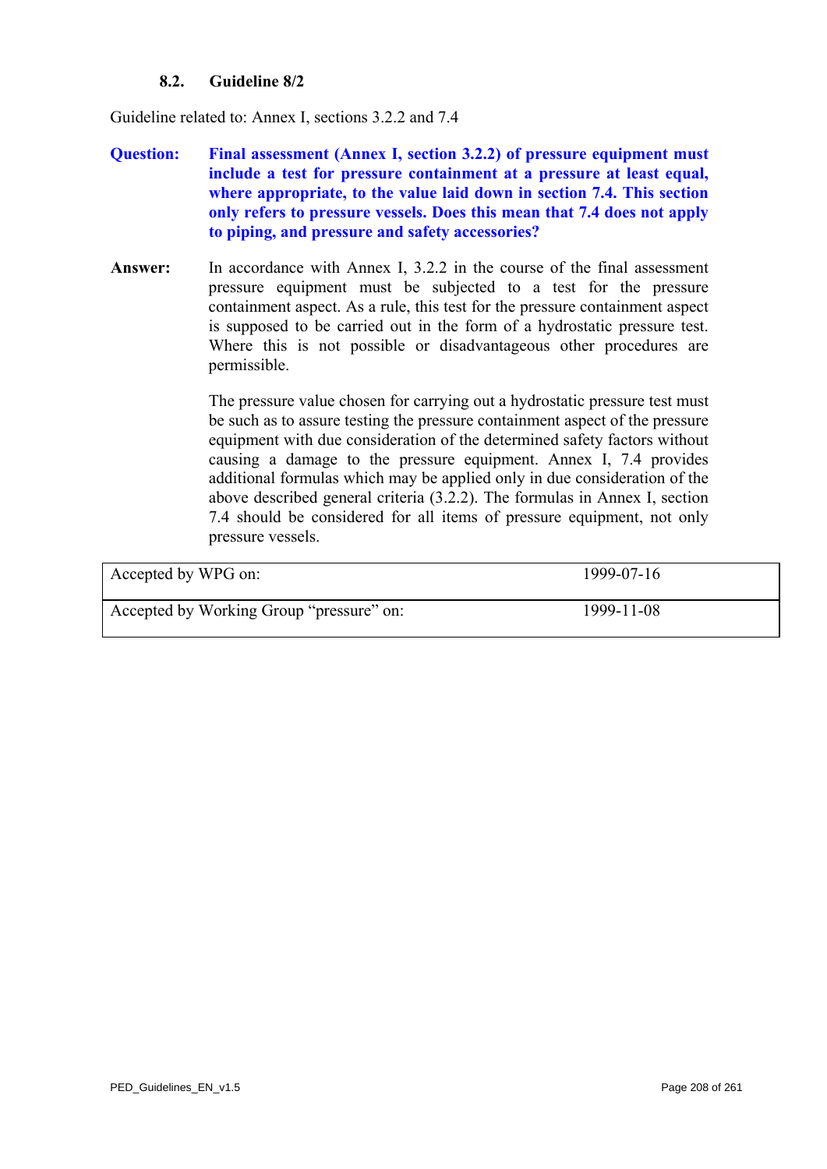# **8.2. Guideline 8/2**

Guideline related to: Annex I, sections 3.2.2 and 7.4

- **Question: Final assessment (Annex I, section 3.2.2) of pressure equipment must include a test for pressure containment at a pressure at least equal, where appropriate, to the value laid down in section 7.4. This section only refers to pressure vessels. Does this mean that 7.4 does not apply to piping, and pressure and safety accessories?**
- **Answer:** In accordance with Annex I, 3.2.2 in the course of the final assessment pressure equipment must be subjected to a test for the pressure containment aspect. As a rule, this test for the pressure containment aspect is supposed to be carried out in the form of a hydrostatic pressure test. Where this is not possible or disadvantageous other procedures are permissible.

The pressure value chosen for carrying out a hydrostatic pressure test must be such as to assure testing the pressure containment aspect of the pressure equipment with due consideration of the determined safety factors without causing a damage to the pressure equipment. Annex I, 7.4 provides additional formulas which may be applied only in due consideration of the above described general criteria (3.2.2). The formulas in Annex I, section 7.4 should be considered for all items of pressure equipment, not only pressure vessels.

| Accepted by WPG on:                      | 1999-07-16 |
|------------------------------------------|------------|
| Accepted by Working Group "pressure" on: | 1999-11-08 |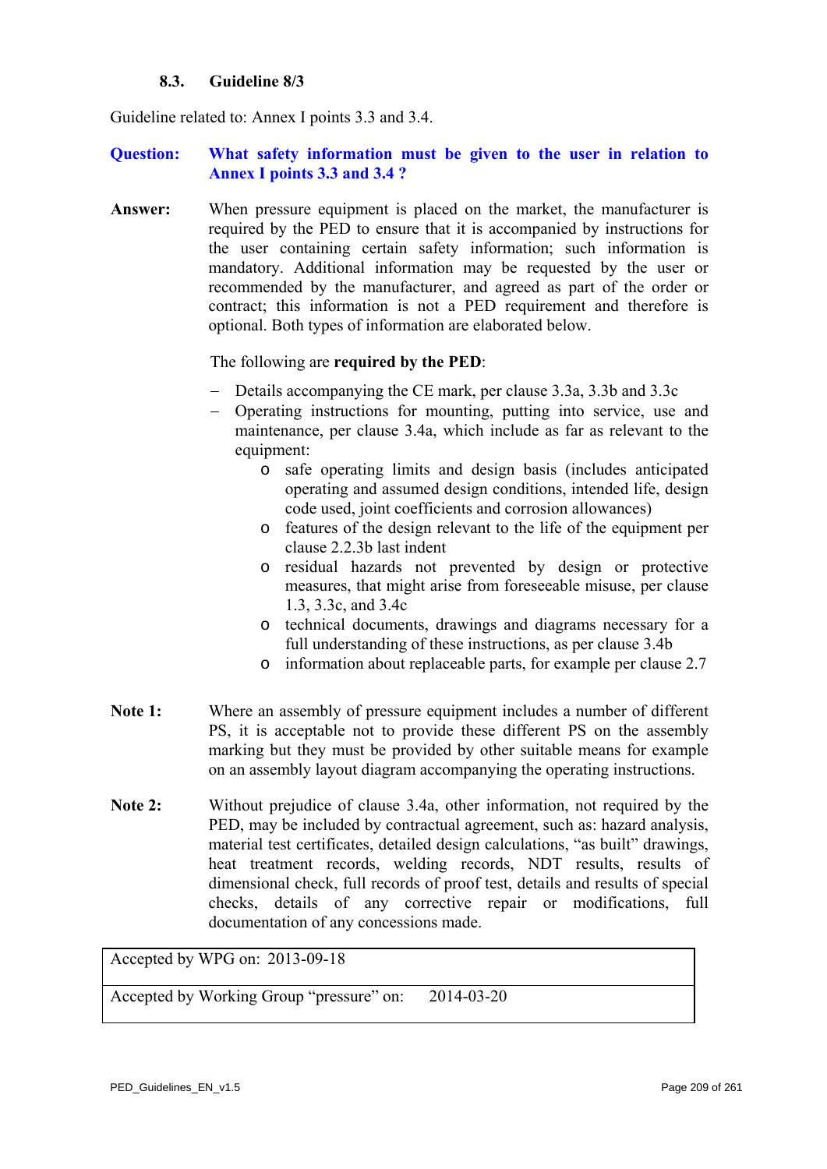#### **8.3. Guideline 8/3**

<span id="page-208-0"></span>Guideline related to: Annex I points 3.3 and 3.4.

#### **Question: What safety information must be given to the user in relation to Annex I points 3.3 and 3.4 ?**

**Answer:** When pressure equipment is placed on the market, the manufacturer is required by the PED to ensure that it is accompanied by instructions for the user containing certain safety information; such information is mandatory. Additional information may be requested by the user or recommended by the manufacturer, and agreed as part of the order or contract; this information is not a PED requirement and therefore is optional. Both types of information are elaborated below.

#### The following are **required by the PED**:

- − Details accompanying the CE mark, per clause 3.3a, 3.3b and 3.3c
- − Operating instructions for mounting, putting into service, use and maintenance, per clause 3.4a, which include as far as relevant to the equipment:
	- o safe operating limits and design basis (includes anticipated operating and assumed design conditions, intended life, design code used, joint coefficients and corrosion allowances)
	- o features of the design relevant to the life of the equipment per clause 2.2.3b last indent
	- o residual hazards not prevented by design or protective measures, that might arise from foreseeable misuse, per clause 1.3, 3.3c, and 3.4c
	- o technical documents, drawings and diagrams necessary for a full understanding of these instructions, as per clause 3.4b
	- o information about replaceable parts, for example per clause 2.7
- Note 1: Where an assembly of pressure equipment includes a number of different PS, it is acceptable not to provide these different PS on the assembly marking but they must be provided by other suitable means for example on an assembly layout diagram accompanying the operating instructions.
- **Note 2:** Without prejudice of clause 3.4a, other information, not required by the PED, may be included by contractual agreement, such as: hazard analysis, material test certificates, detailed design calculations, "as built" drawings, heat treatment records, welding records, NDT results, results of dimensional check, full records of proof test, details and results of special checks, details of any corrective repair or modifications, full documentation of any concessions made.

Accepted by WPG on: 2013-09-18

Accepted by Working Group "pressure" on: 2014-03-20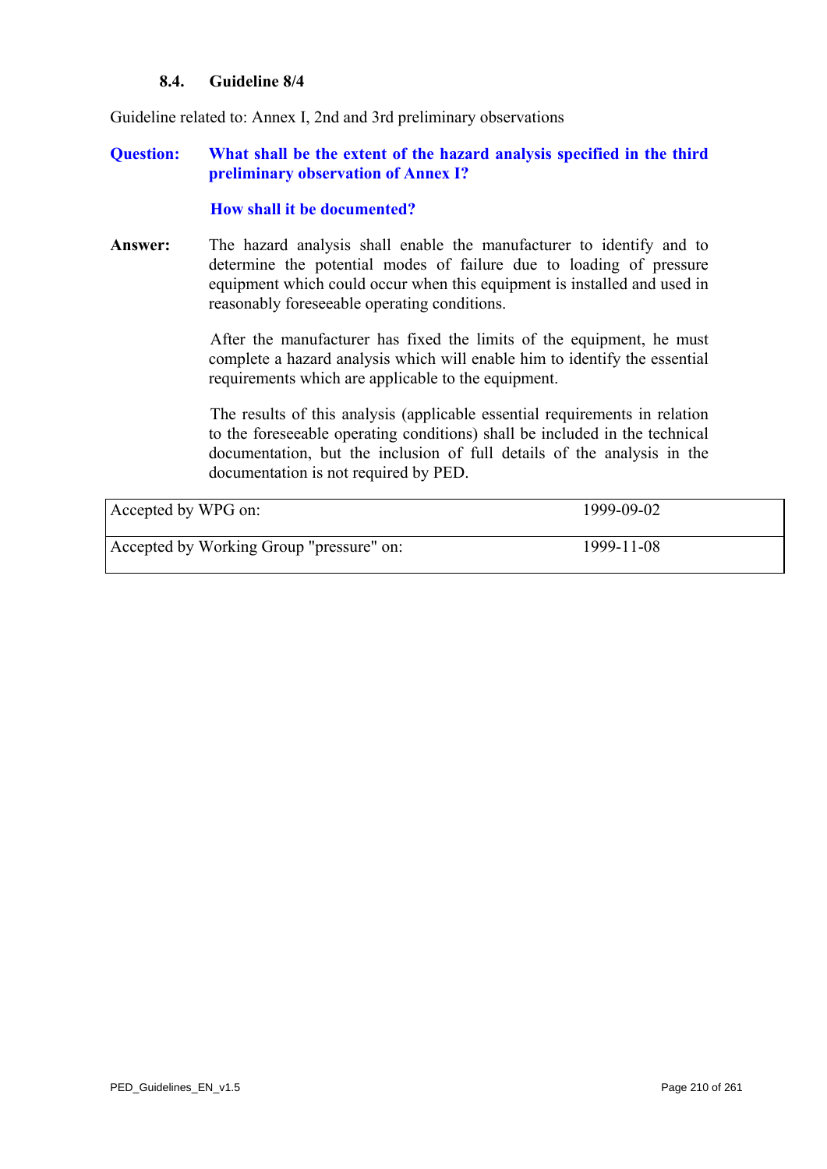#### **8.4. Guideline 8/4**

Guideline related to: Annex I, 2nd and 3rd preliminary observations

#### **Question: What shall be the extent of the hazard analysis specified in the third preliminary observation of Annex I?**

#### **How shall it be documented?**

**Answer:** The hazard analysis shall enable the manufacturer to identify and to determine the potential modes of failure due to loading of pressure equipment which could occur when this equipment is installed and used in reasonably foreseeable operating conditions.

> After the manufacturer has fixed the limits of the equipment, he must complete a hazard analysis which will enable him to identify the essential requirements which are applicable to the equipment.

> The results of this analysis (applicable essential requirements in relation to the foreseeable operating conditions) shall be included in the technical documentation, but the inclusion of full details of the analysis in the documentation is not required by PED.

| Accepted by WPG on:                      | 1999-09-02 |
|------------------------------------------|------------|
| Accepted by Working Group "pressure" on: | 1999-11-08 |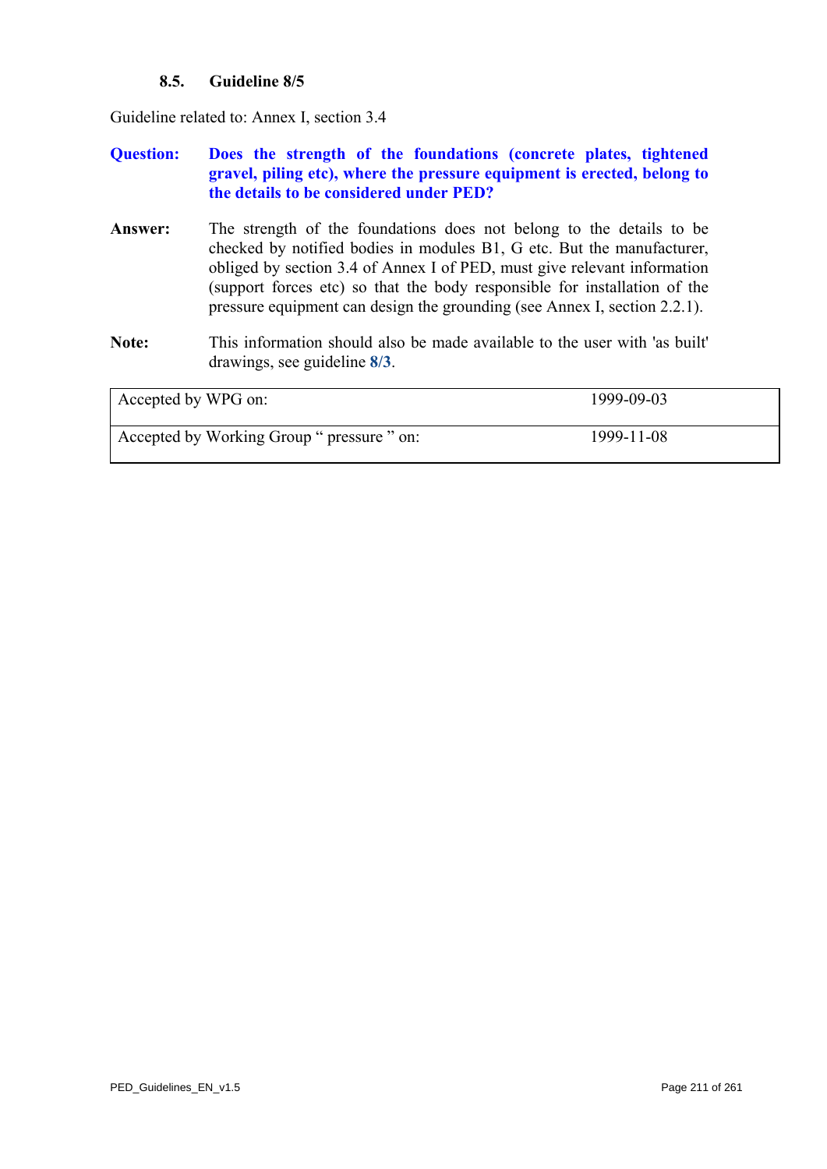# **8.5. Guideline 8/5**

Guideline related to: Annex I, section 3.4

# **Question: Does the strength of the foundations (concrete plates, tightened gravel, piling etc), where the pressure equipment is erected, belong to the details to be considered under PED?**

- **Answer:** The strength of the foundations does not belong to the details to be checked by notified bodies in modules B1, G etc. But the manufacturer, obliged by section 3.4 of Annex I of PED, must give relevant information (support forces etc) so that the body responsible for installation of the pressure equipment can design the grounding (see Annex I, section 2.2.1).
- **Note:** This information should also be made available to the user with 'as built' drawings, see guideline **[8/3](#page-208-0)**.

| Accepted by WPG on:                        | 1999-09-03 |
|--------------------------------------------|------------|
| Accepted by Working Group " pressure " on: | 1999-11-08 |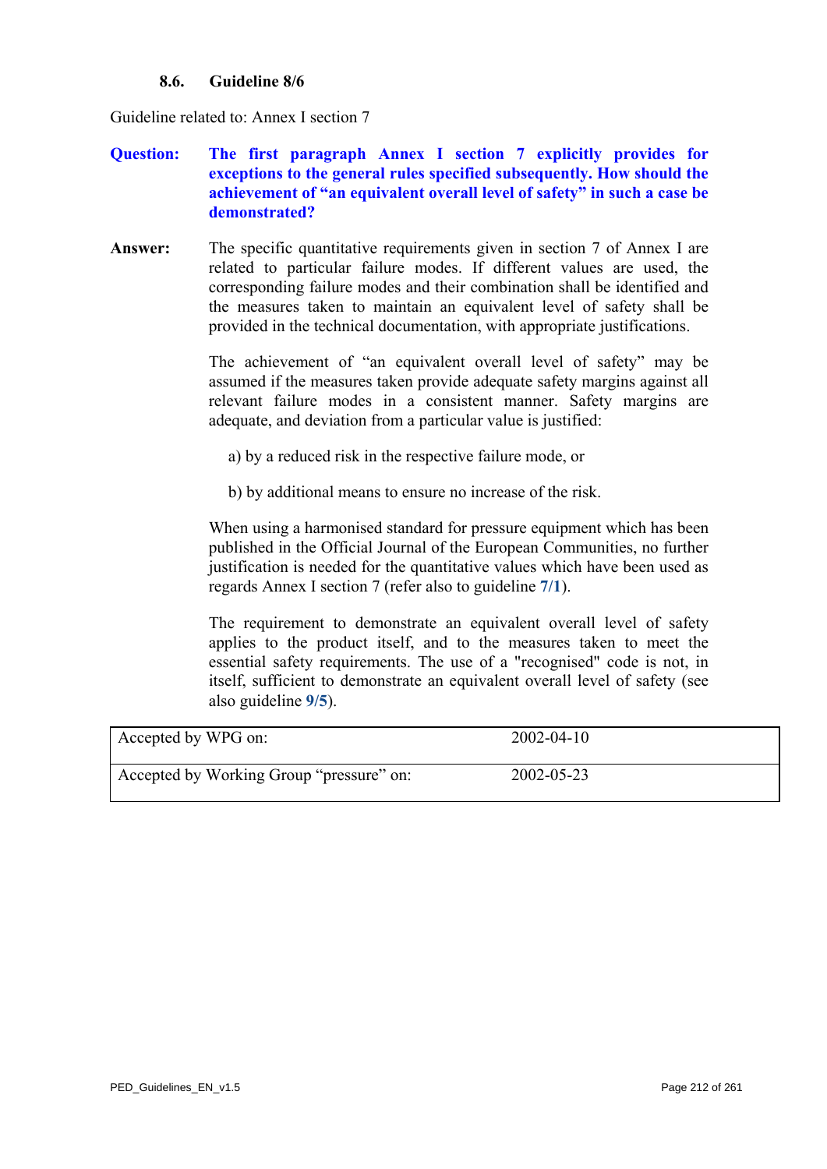#### **8.6. Guideline 8/6**

<span id="page-211-0"></span>Guideline related to: Annex I section 7

# **Question: The first paragraph Annex I section 7 explicitly provides for exceptions to the general rules specified subsequently. How should the achievement of "an equivalent overall level of safety" in such a case be demonstrated?**

**Answer:** The specific quantitative requirements given in section 7 of Annex I are related to particular failure modes. If different values are used, the corresponding failure modes and their combination shall be identified and the measures taken to maintain an equivalent level of safety shall be provided in the technical documentation, with appropriate justifications.

> The achievement of "an equivalent overall level of safety" may be assumed if the measures taken provide adequate safety margins against all relevant failure modes in a consistent manner. Safety margins are adequate, and deviation from a particular value is justified:

- a) by a reduced risk in the respective failure mode, or
- b) by additional means to ensure no increase of the risk.

When using a harmonised standard for pressure equipment which has been published in the Official Journal of the European Communities, no further justification is needed for the quantitative values which have been used as regards Annex I section 7 (refer also to guideline **[7/1](#page-171-0)**).

The requirement to demonstrate an equivalent overall level of safety applies to the product itself, and to the measures taken to meet the essential safety requirements. The use of a "recognised" code is not, in itself, sufficient to demonstrate an equivalent overall level of safety (see also guideline **[9/5](#page-231-0)**).

| Accepted by WPG on:                      | $2002 - 04 - 10$ |  |
|------------------------------------------|------------------|--|
| Accepted by Working Group "pressure" on: | 2002-05-23       |  |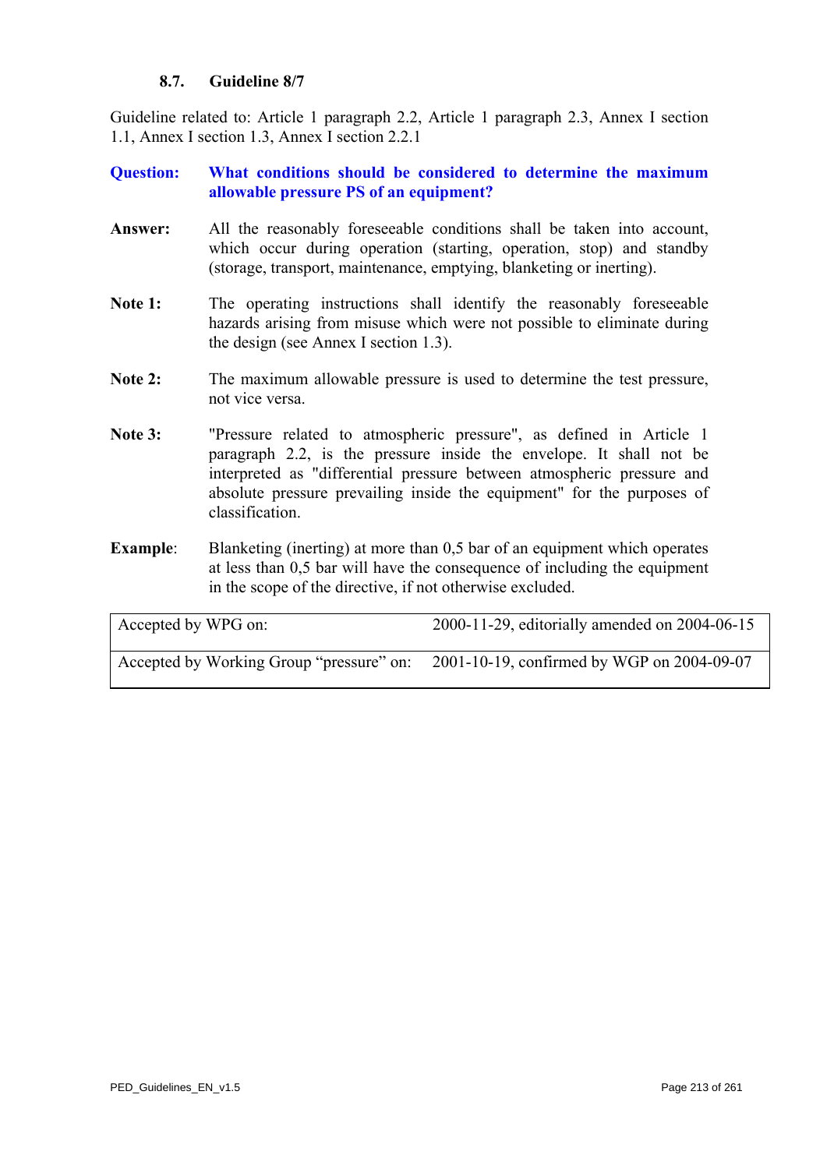# **8.7. Guideline 8/7**

Guideline related to: Article 1 paragraph 2.2, Article 1 paragraph 2.3, Annex I section 1.1, Annex I section 1.3, Annex I section 2.2.1

# **Question: What conditions should be considered to determine the maximum allowable pressure PS of an equipment?**

- **Answer:** All the reasonably foreseeable conditions shall be taken into account, which occur during operation (starting, operation, stop) and standby (storage, transport, maintenance, emptying, blanketing or inerting).
- Note 1: The operating instructions shall identify the reasonably foreseeable hazards arising from misuse which were not possible to eliminate during the design (see Annex I section 1.3).
- Note 2: The maximum allowable pressure is used to determine the test pressure, not vice versa.
- **Note 3:** "Pressure related to atmospheric pressure", as defined in Article 1 paragraph 2.2, is the pressure inside the envelope. It shall not be interpreted as "differential pressure between atmospheric pressure and absolute pressure prevailing inside the equipment" for the purposes of classification.
- **Example:** Blanketing (inerting) at more than 0,5 bar of an equipment which operates at less than 0,5 bar will have the consequence of including the equipment in the scope of the directive, if not otherwise excluded.

| Accepted by WPG on:                      | $2000-11-29$ , editorially amended on $2004-06-15$ |
|------------------------------------------|----------------------------------------------------|
| Accepted by Working Group "pressure" on: | 2001-10-19, confirmed by WGP on 2004-09-07         |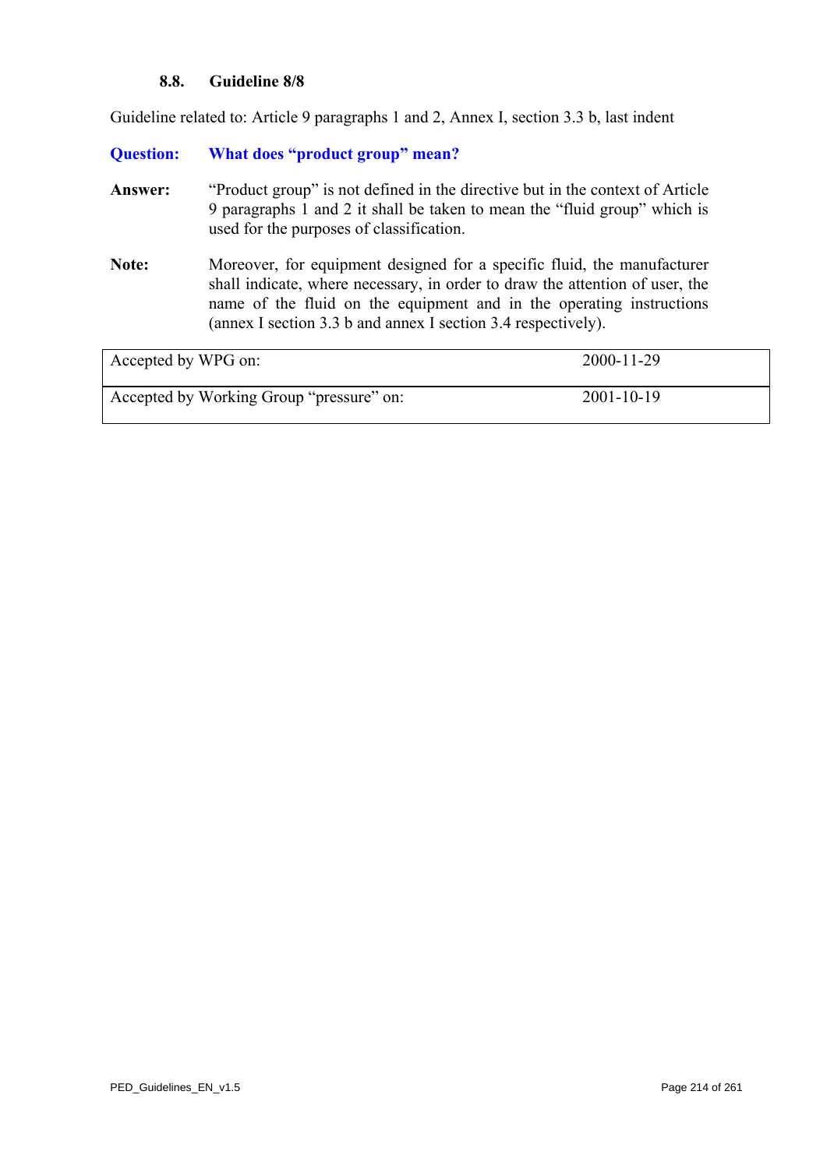#### **8.8. Guideline 8/8**

Guideline related to: Article 9 paragraphs 1 and 2, Annex I, section 3.3 b, last indent

# **Question: What does "product group" mean?**

- **Answer:** "Product group" is not defined in the directive but in the context of Article 9 paragraphs 1 and 2 it shall be taken to mean the "fluid group" which is used for the purposes of classification.
- **Note:** Moreover, for equipment designed for a specific fluid, the manufacturer shall indicate, where necessary, in order to draw the attention of user, the name of the fluid on the equipment and in the operating instructions (annex I section 3.3 b and annex I section 3.4 respectively).

| Accepted by WPG on:                      | $2000 - 11 - 29$ |
|------------------------------------------|------------------|
| Accepted by Working Group "pressure" on: | $2001 - 10 - 19$ |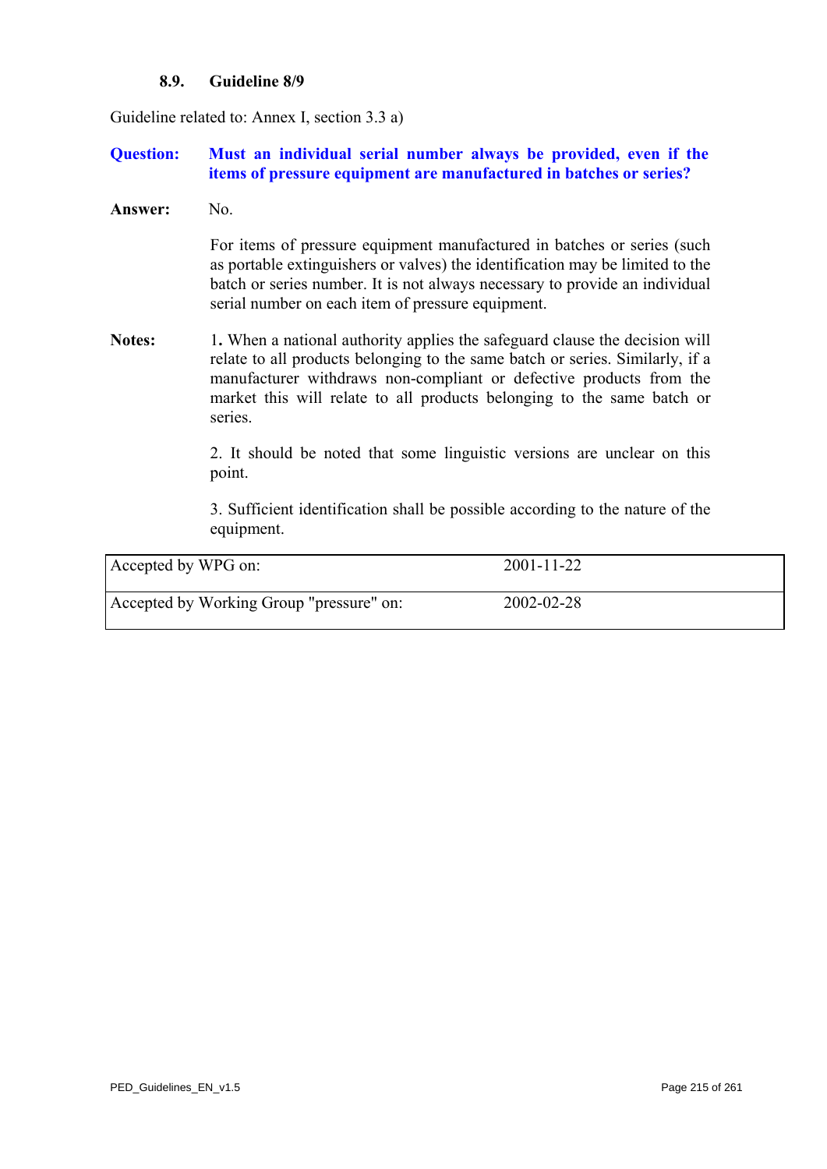#### **8.9. Guideline 8/9**

Guideline related to: Annex I, section 3.3 a)

# **Question: Must an individual serial number always be provided, even if the items of pressure equipment are manufactured in batches or series?**

**Answer:** No.

For items of pressure equipment manufactured in batches or series (such as portable extinguishers or valves) the identification may be limited to the batch or series number. It is not always necessary to provide an individual serial number on each item of pressure equipment.

**Notes:** 1. When a national authority applies the safeguard clause the decision will relate to all products belonging to the same batch or series. Similarly, if a manufacturer withdraws non-compliant or defective products from the market this will relate to all products belonging to the same batch or series.

> 2. It should be noted that some linguistic versions are unclear on this point.

> 3. Sufficient identification shall be possible according to the nature of the equipment.

| Accepted by WPG on:                      | $2001 - 11 - 22$ |
|------------------------------------------|------------------|
| Accepted by Working Group "pressure" on: | 2002-02-28       |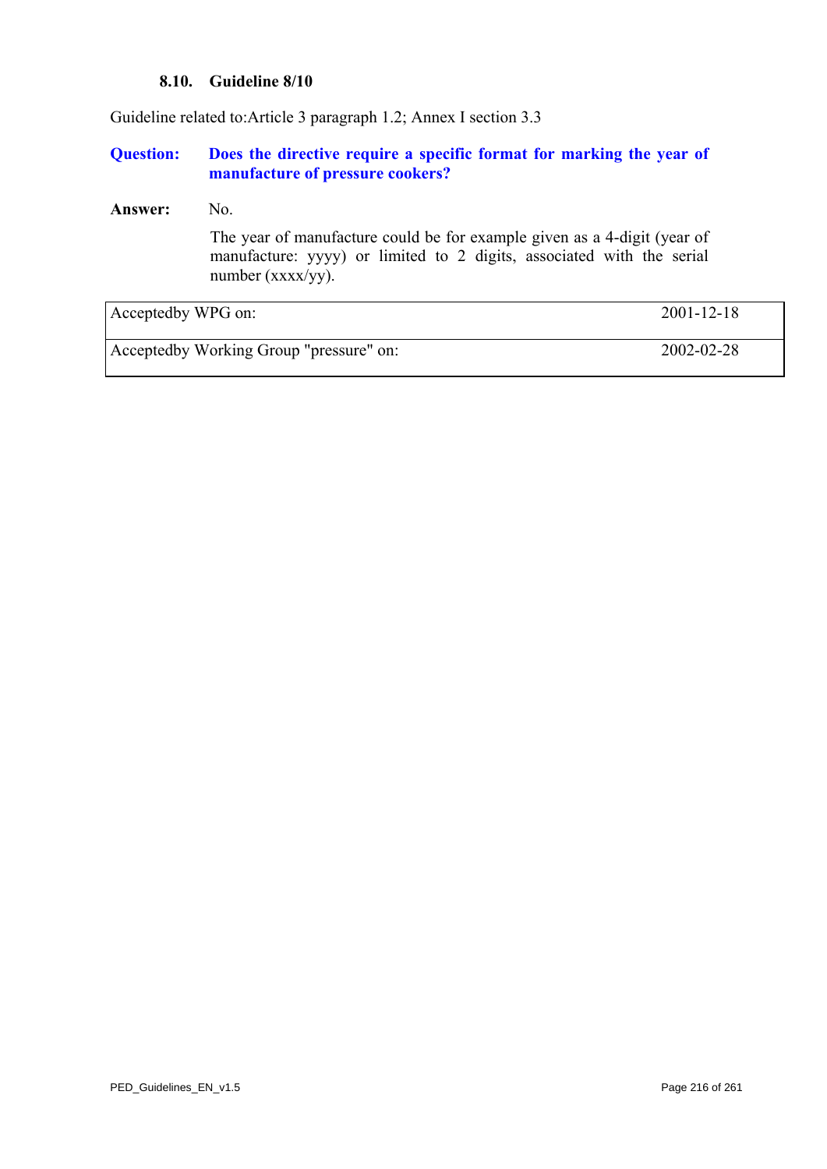#### **8.10. Guideline 8/10**

Guideline related to:Article 3 paragraph 1.2; Annex I section 3.3

#### **Question: Does the directive require a specific format for marking the year of manufacture of pressure cookers?**

#### Answer: No.

The year of manufacture could be for example given as a 4-digit (year of manufacture: yyyy) or limited to 2 digits, associated with the serial number (xxxx/yy).

| Acceptedby WPG on:                      | $2001 - 12 - 18$ |
|-----------------------------------------|------------------|
| Acceptedby Working Group "pressure" on: | 2002-02-28       |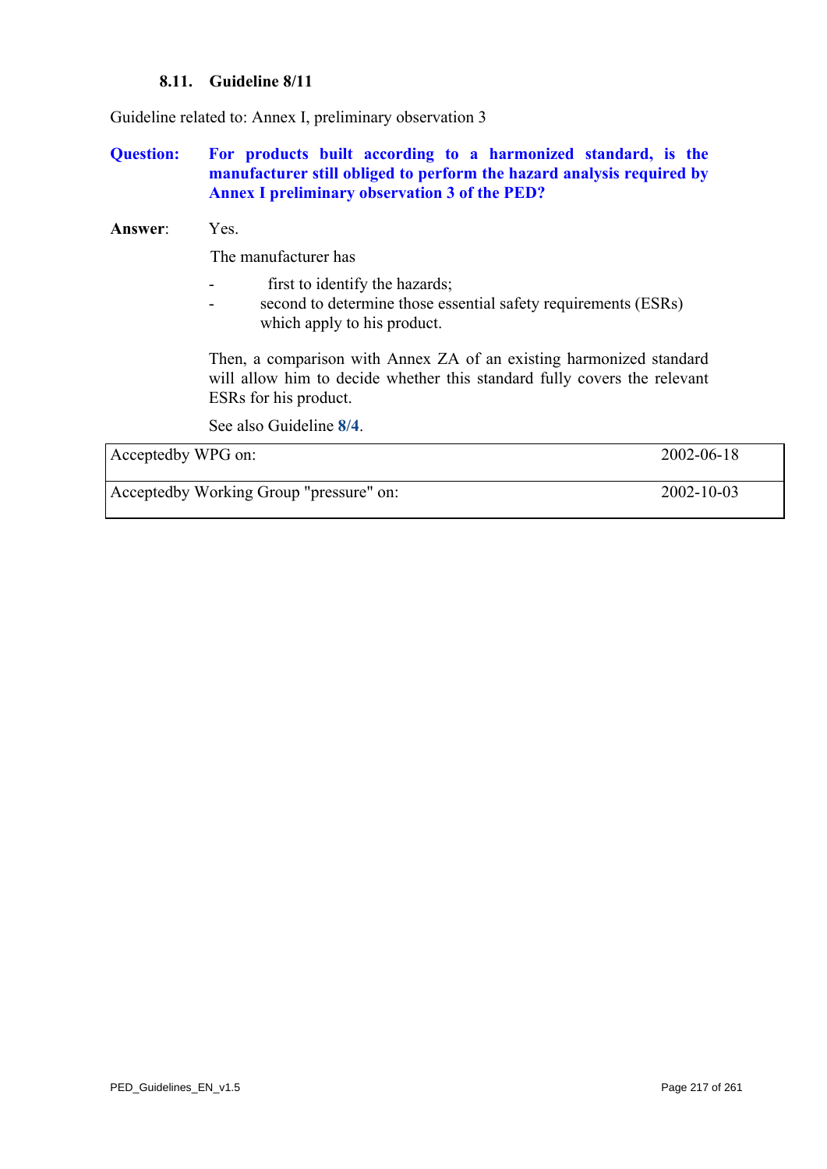### **8.11. Guideline 8/11**

Guideline related to: Annex I, preliminary observation 3

**Question: For products built according to a harmonized standard, is the manufacturer still obliged to perform the hazard analysis required by Annex I preliminary observation 3 of the PED?** 

### **Answer**: Yes.

The manufacturer has

- first to identify the hazards;
- second to determine those essential safety requirements (ESRs) which apply to his product.

Then, a comparison with Annex ZA of an existing harmonized standard will allow him to decide whether this standard fully covers the relevant ESRs for his product.

See also Guideline **[8/4](#page-209-0)**.

| Acceptedby WPG on:                      | 2002-06-18       |
|-----------------------------------------|------------------|
| Acceptedby Working Group "pressure" on: | $2002 - 10 - 03$ |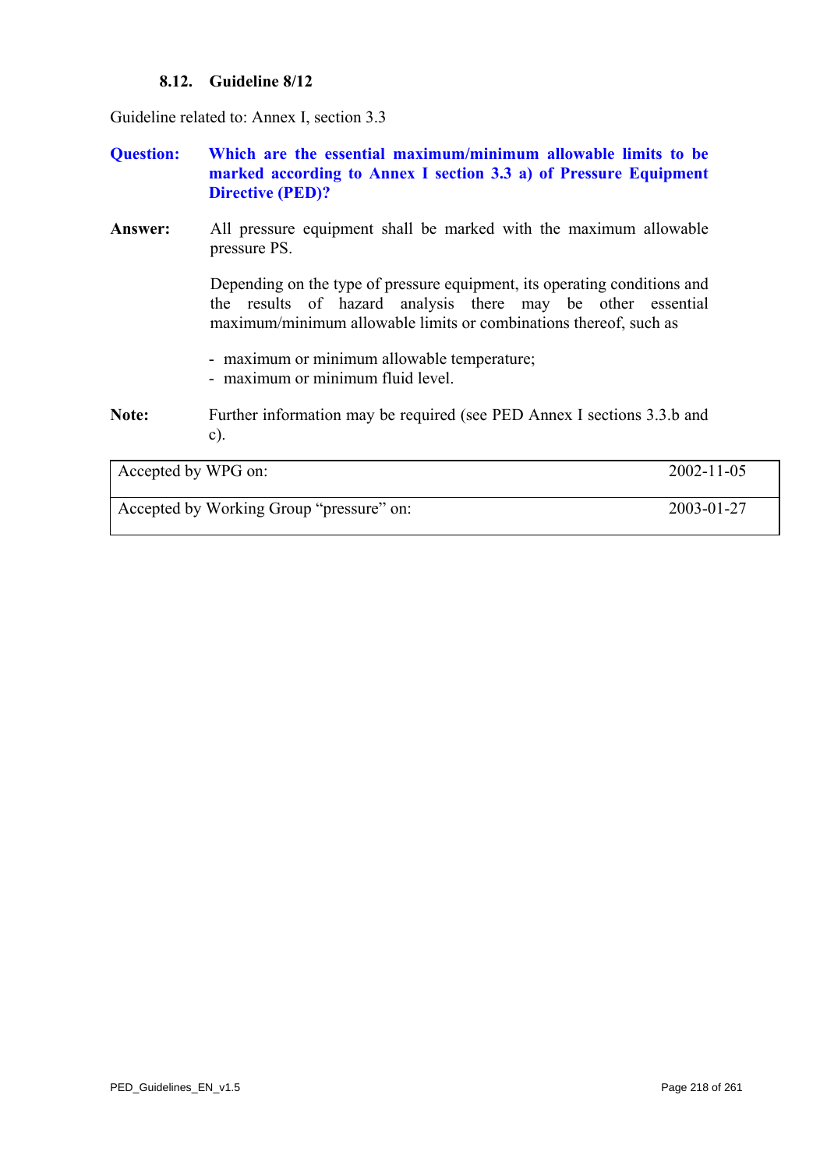### **8.12. Guideline 8/12**

Guideline related to: Annex I, section 3.3

**Question: Which are the essential maximum/minimum allowable limits to be marked according to Annex I section 3.3 a) of Pressure Equipment Directive (PED)?** 

**Answer:** All pressure equipment shall be marked with the maximum allowable pressure PS.

> Depending on the type of pressure equipment, its operating conditions and the results of hazard analysis there may be other essential maximum/minimum allowable limits or combinations thereof, such as

- maximum or minimum allowable temperature;
- maximum or minimum fluid level.
- Note: Further information may be required (see PED Annex I sections 3.3.b and c).

| Accepted by WPG on:                      | $2002 - 11 - 05$ |
|------------------------------------------|------------------|
| Accepted by Working Group "pressure" on: | 2003-01-27       |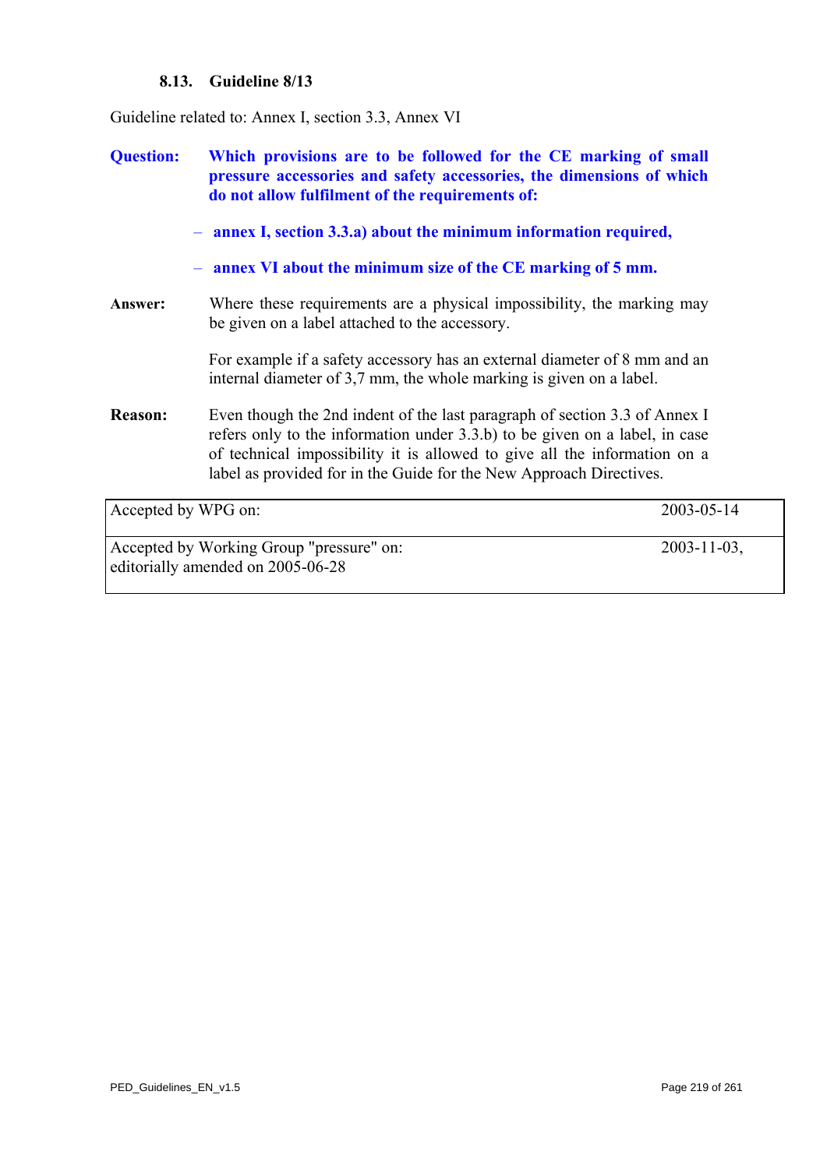### **8.13. Guideline 8/13**

<span id="page-218-0"></span>Guideline related to: Annex I, section 3.3, Annex VI

**Question: Which provisions are to be followed for the CE marking of small pressure accessories and safety accessories, the dimensions of which do not allow fulfilment of the requirements of:**  – **annex I, section 3.3.a) about the minimum information required,**  – **annex VI about the minimum size of the CE marking of 5 mm. Answer:** Where these requirements are a physical impossibility, the marking may be given on a label attached to the accessory. For example if a safety accessory has an external diameter of 8 mm and an internal diameter of 3,7 mm, the whole marking is given on a label. **Reason:** Even though the 2nd indent of the last paragraph of section 3.3 of Annex I refers only to the information under 3.3.b) to be given on a label, in case of technical impossibility it is allowed to give all the information on a label as provided for in the Guide for the New Approach Directives. Accepted by WPG on: 2003-05-14 Accepted by Working Group "pressure" on: 2003-11-03, editorially amended on 2005-06-28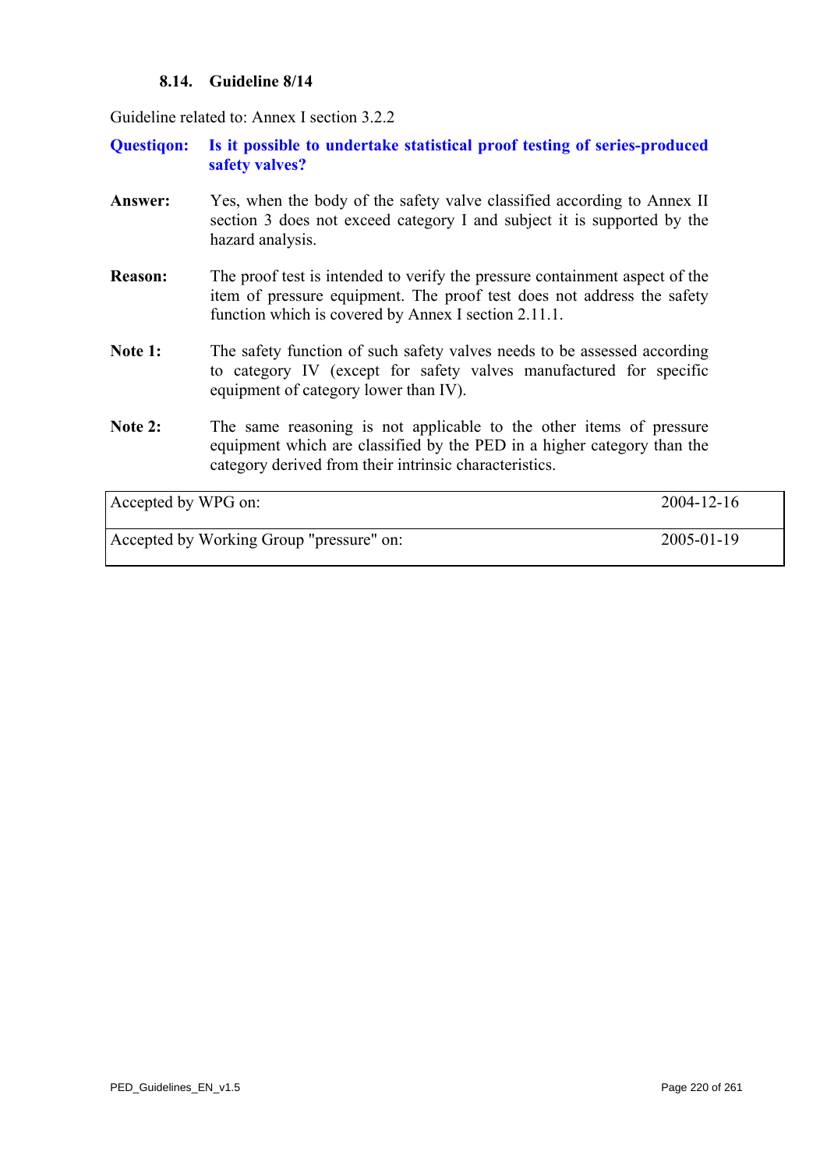### **8.14. Guideline 8/14**

Guideline related to: Annex I section 3.2.2

**Questiqon: Is it possible to undertake statistical proof testing of series-produced safety valves?** 

- Answer: Yes, when the body of the safety valve classified according to Annex II section 3 does not exceed category I and subject it is supported by the hazard analysis.
- **Reason:** The proof test is intended to verify the pressure containment aspect of the item of pressure equipment. The proof test does not address the safety function which is covered by Annex I section 2.11.1.
- Note 1: The safety function of such safety valves needs to be assessed according to category IV (except for safety valves manufactured for specific equipment of category lower than IV).
- Note 2: The same reasoning is not applicable to the other items of pressure equipment which are classified by the PED in a higher category than the category derived from their intrinsic characteristics.

| Accepted by WPG on:                      | $2004 - 12 - 16$ |
|------------------------------------------|------------------|
| Accepted by Working Group "pressure" on: | $2005 - 01 - 19$ |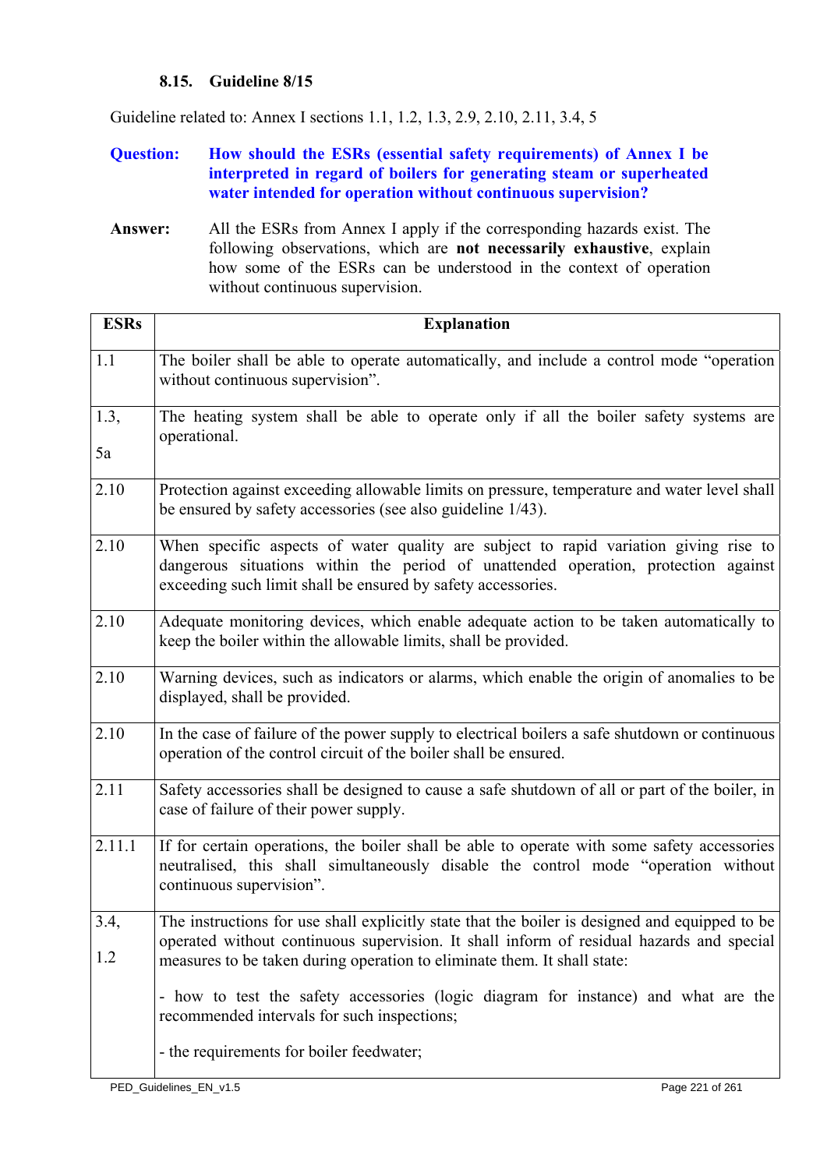# **8.15. Guideline 8/15**

<span id="page-220-0"></span>Guideline related to: Annex I sections 1.1, 1.2, 1.3, 2.9, 2.10, 2.11, 3.4, 5

### **Question: How should the ESRs (essential safety requirements) of Annex I be interpreted in regard of boilers for generating steam or superheated water intended for operation without continuous supervision?**

**Answer:** All the ESRs from Annex I apply if the corresponding hazards exist. The following observations, which are **not necessarily exhaustive**, explain how some of the ESRs can be understood in the context of operation without continuous supervision.

| <b>ESRs</b> | <b>Explanation</b>                                                                                                                                                                                                                                                     |
|-------------|------------------------------------------------------------------------------------------------------------------------------------------------------------------------------------------------------------------------------------------------------------------------|
| 1.1         | The boiler shall be able to operate automatically, and include a control mode "operation"<br>without continuous supervision".                                                                                                                                          |
| 1.3,<br>5a  | The heating system shall be able to operate only if all the boiler safety systems are<br>operational.                                                                                                                                                                  |
| 2.10        | Protection against exceeding allowable limits on pressure, temperature and water level shall<br>be ensured by safety accessories (see also guideline 1/43).                                                                                                            |
| 2.10        | When specific aspects of water quality are subject to rapid variation giving rise to<br>dangerous situations within the period of unattended operation, protection against<br>exceeding such limit shall be ensured by safety accessories.                             |
| 2.10        | Adequate monitoring devices, which enable adequate action to be taken automatically to<br>keep the boiler within the allowable limits, shall be provided.                                                                                                              |
| 2.10        | Warning devices, such as indicators or alarms, which enable the origin of anomalies to be<br>displayed, shall be provided.                                                                                                                                             |
| 2.10        | In the case of failure of the power supply to electrical boilers a safe shutdown or continuous<br>operation of the control circuit of the boiler shall be ensured.                                                                                                     |
| 2.11        | Safety accessories shall be designed to cause a safe shutdown of all or part of the boiler, in<br>case of failure of their power supply.                                                                                                                               |
| 2.11.1      | If for certain operations, the boiler shall be able to operate with some safety accessories<br>neutralised, this shall simultaneously disable the control mode "operation without<br>continuous supervision".                                                          |
| 3.4,<br>1.2 | The instructions for use shall explicitly state that the boiler is designed and equipped to be<br>operated without continuous supervision. It shall inform of residual hazards and special<br>measures to be taken during operation to eliminate them. It shall state: |
|             | - how to test the safety accessories (logic diagram for instance) and what are the<br>recommended intervals for such inspections;                                                                                                                                      |
|             | - the requirements for boiler feedwater;                                                                                                                                                                                                                               |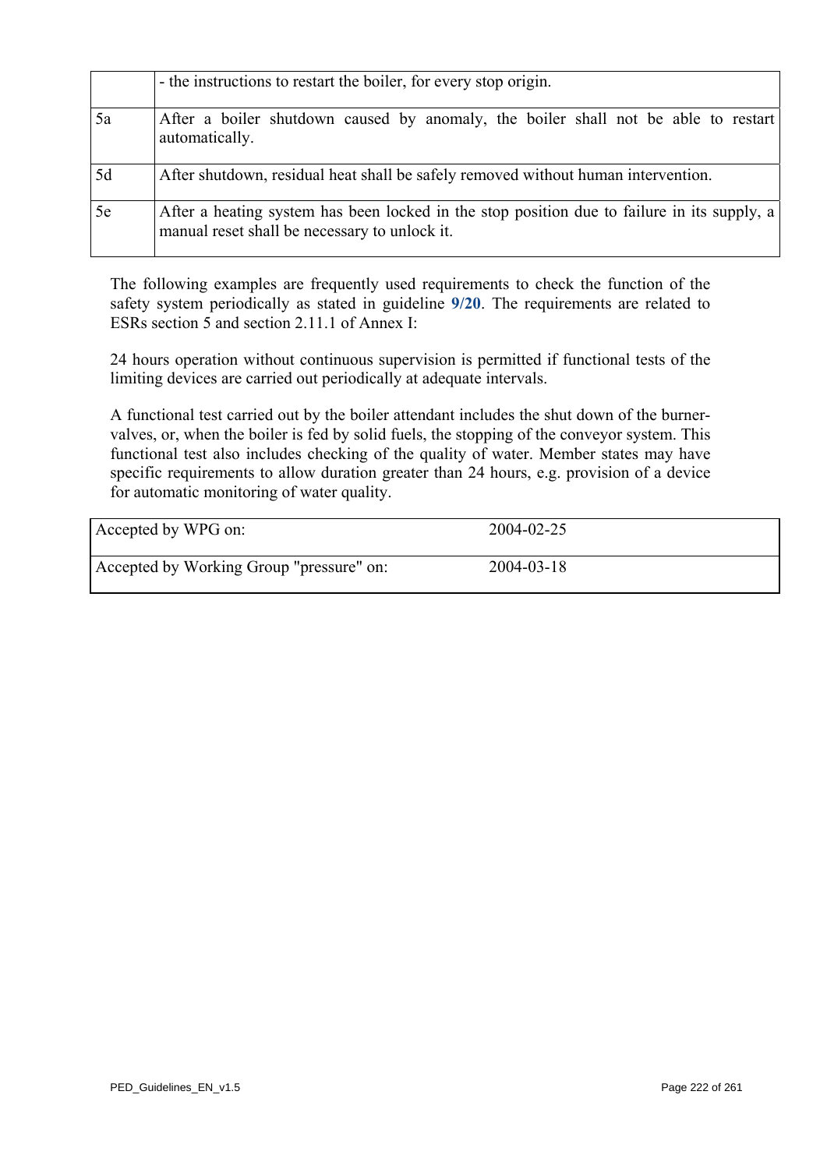|    | - the instructions to restart the boiler, for every stop origin.                                                                             |
|----|----------------------------------------------------------------------------------------------------------------------------------------------|
| 5a | After a boiler shutdown caused by anomaly, the boiler shall not be able to restart<br>automatically.                                         |
| 5d | After shutdown, residual heat shall be safely removed without human intervention.                                                            |
| 5e | After a heating system has been locked in the stop position due to failure in its supply, a<br>manual reset shall be necessary to unlock it. |

The following examples are frequently used requirements to check the function of the safety system periodically as stated in guideline **[9/20](#page-246-0)**. The requirements are related to ESRs section 5 and section 2.11.1 of Annex I:

24 hours operation without continuous supervision is permitted if functional tests of the limiting devices are carried out periodically at adequate intervals.

A functional test carried out by the boiler attendant includes the shut down of the burnervalves, or, when the boiler is fed by solid fuels, the stopping of the conveyor system. This functional test also includes checking of the quality of water. Member states may have specific requirements to allow duration greater than 24 hours, e.g. provision of a device for automatic monitoring of water quality.

| Accepted by WPG on:                      | 2004-02-25       |
|------------------------------------------|------------------|
| Accepted by Working Group "pressure" on: | $2004 - 03 - 18$ |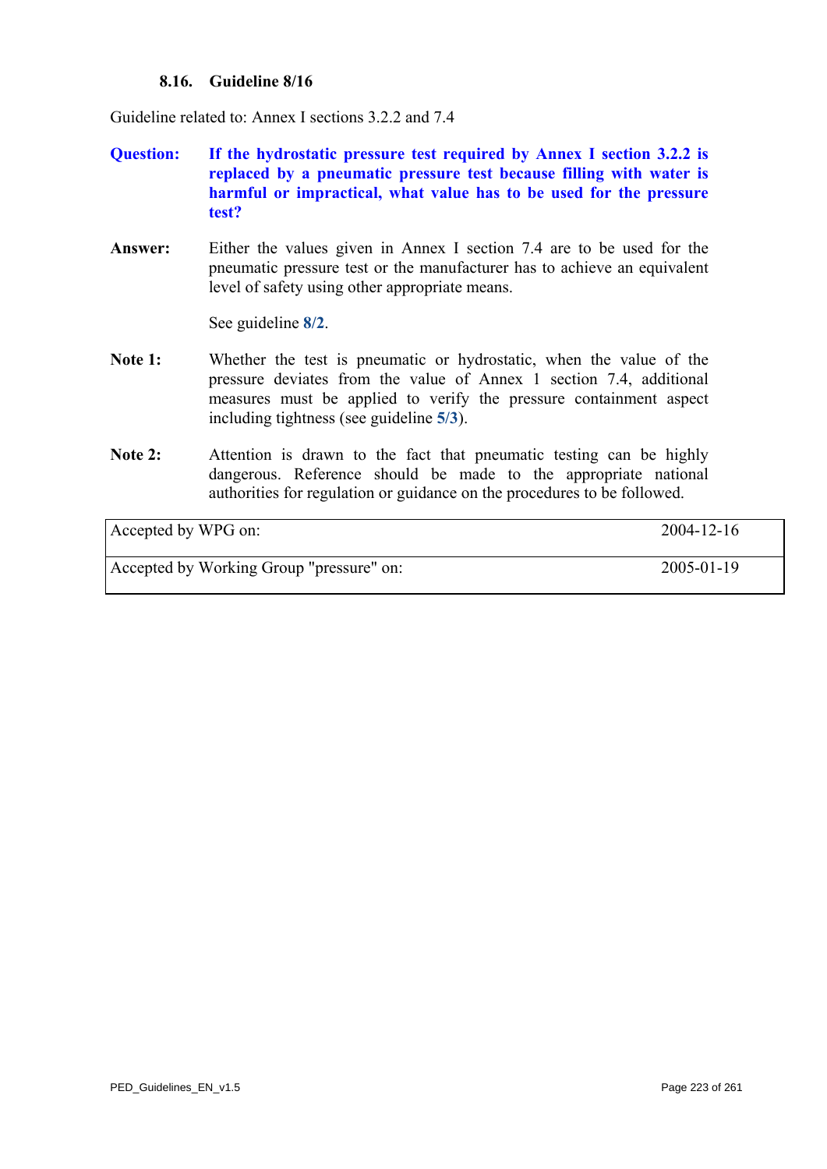### **8.16. Guideline 8/16**

Guideline related to: Annex I sections 3.2.2 and 7.4

- **Question: If the hydrostatic pressure test required by Annex I section 3.2.2 is replaced by a pneumatic pressure test because filling with water is harmful or impractical, what value has to be used for the pressure test?**
- **Answer:** Either the values given in Annex I section 7.4 are to be used for the pneumatic pressure test or the manufacturer has to achieve an equivalent level of safety using other appropriate means.

See guideline **[8/2](#page-207-0)**.

- Note 1: Whether the test is pneumatic or hydrostatic, when the value of the pressure deviates from the value of Annex 1 section 7.4, additional measures must be applied to verify the pressure containment aspect including tightness (see guideline **[5/3](#page-145-0)**).
- Note 2: Attention is drawn to the fact that pneumatic testing can be highly dangerous. Reference should be made to the appropriate national authorities for regulation or guidance on the procedures to be followed.

Accepted by WPG on: 2004-12-16

Accepted by Working Group "pressure" on: 2005-01-19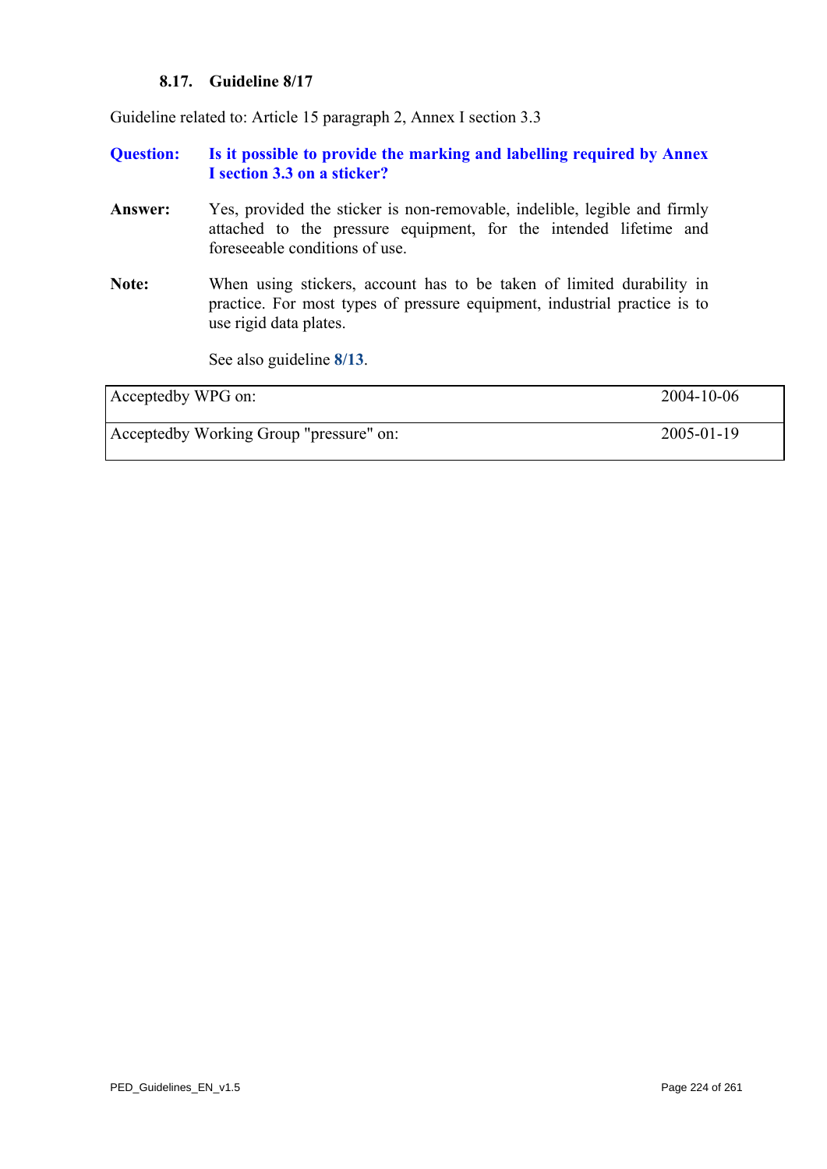### **8.17. Guideline 8/17**

Guideline related to: Article 15 paragraph 2, Annex I section 3.3

**Question: Is it possible to provide the marking and labelling required by Annex I section 3.3 on a sticker?** 

- **Answer:** Yes, provided the sticker is non-removable, indelible, legible and firmly attached to the pressure equipment, for the intended lifetime and foreseeable conditions of use.
- **Note:** When using stickers, account has to be taken of limited durability in practice. For most types of pressure equipment, industrial practice is to use rigid data plates.

See also guideline **[8/13](#page-218-0)**.

| Acceptedby WPG on:                      | 2004-10-06 |
|-----------------------------------------|------------|
| Acceptedby Working Group "pressure" on: | 2005-01-19 |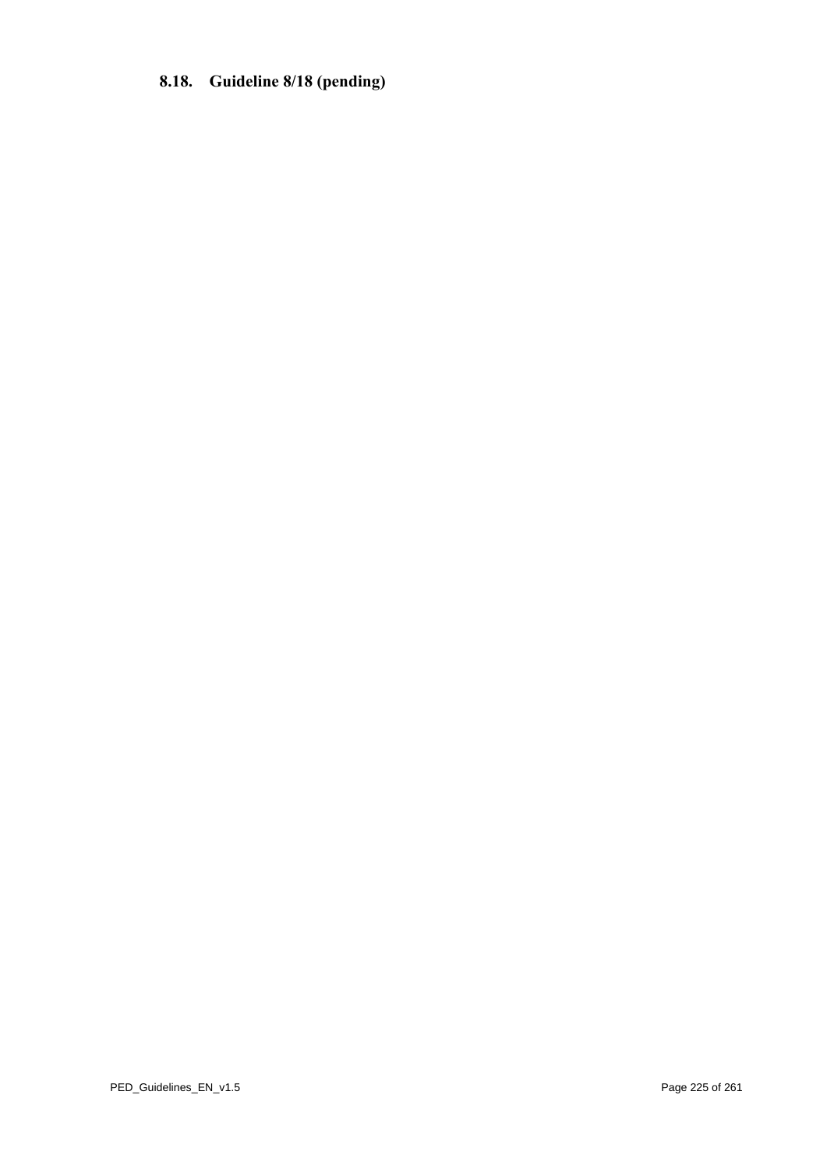# **8.18. Guideline 8/18 (pending)**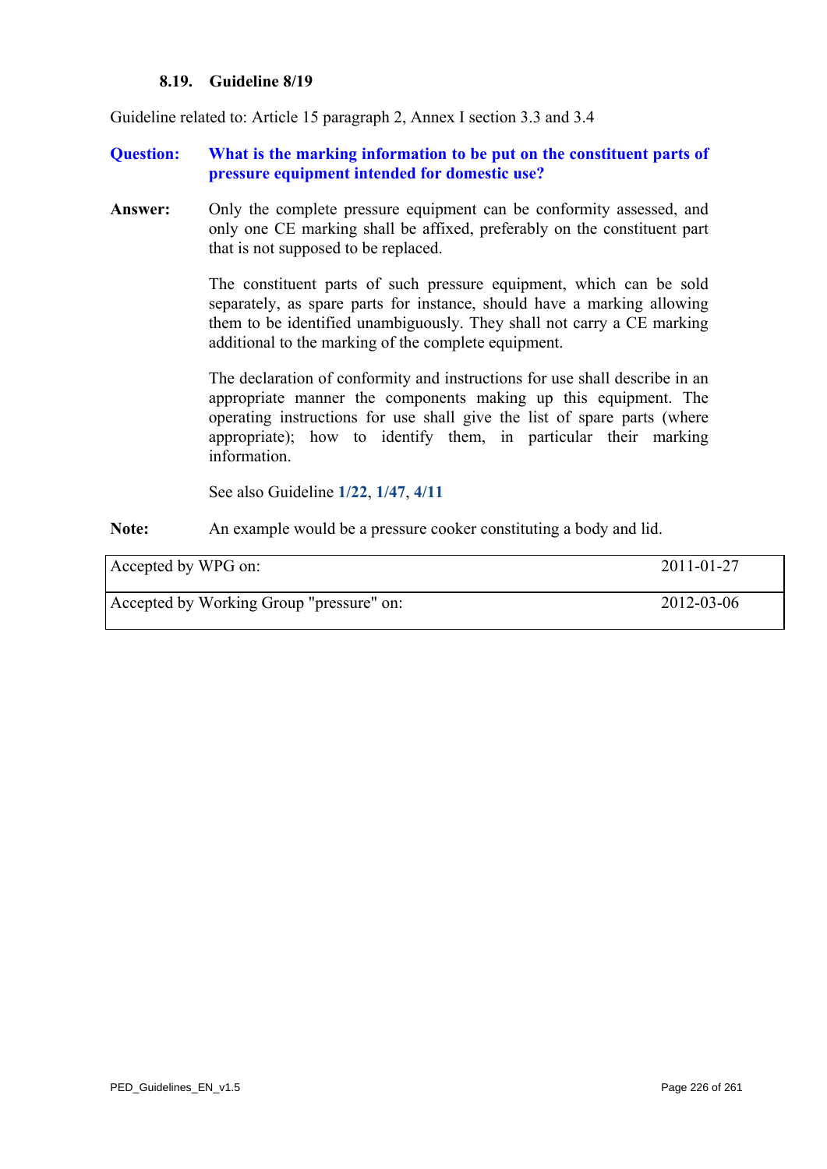#### **8.19. Guideline 8/19**

Guideline related to: Article 15 paragraph 2, Annex I section 3.3 and 3.4

#### **Question: What is the marking information to be put on the constituent parts of pressure equipment intended for domestic use?**

**Answer:** Only the complete pressure equipment can be conformity assessed, and only one CE marking shall be affixed, preferably on the constituent part that is not supposed to be replaced.

> The constituent parts of such pressure equipment, which can be sold separately, as spare parts for instance, should have a marking allowing them to be identified unambiguously. They shall not carry a CE marking additional to the marking of the complete equipment.

> The declaration of conformity and instructions for use shall describe in an appropriate manner the components making up this equipment. The operating instructions for use shall give the list of spare parts (where appropriate); how to identify them, in particular their marking information.

See also Guideline **[1/22](#page-24-0)**, **[1/47](#page-50-0)**, **[4/11](#page-136-0)**

**Note:** An example would be a pressure cooker constituting a body and lid.

<span id="page-225-0"></span>

| Accepted by WPG on:                      | 2011-01-27 |
|------------------------------------------|------------|
| Accepted by Working Group "pressure" on: | 2012-03-06 |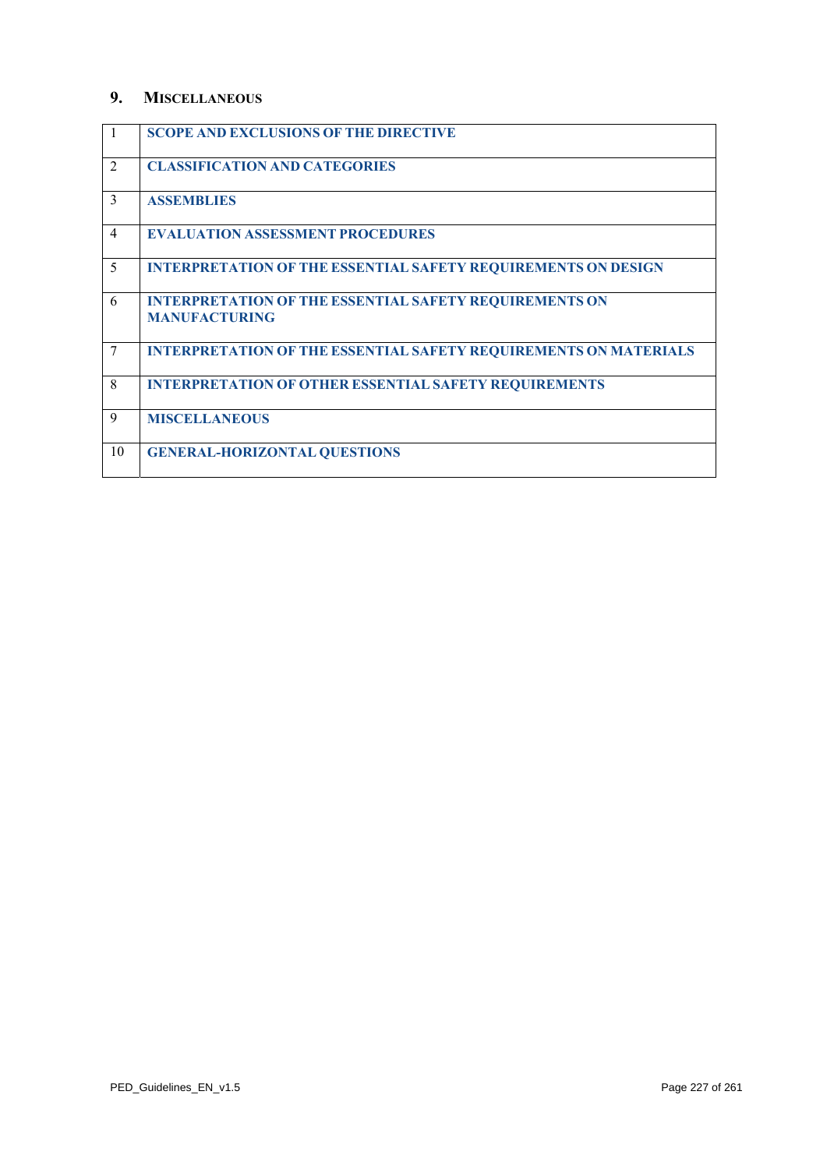### **9. MISCELLANEOUS**

|                | <b>SCOPE AND EXCLUSIONS OF THE DIRECTIVE</b>                                          |
|----------------|---------------------------------------------------------------------------------------|
| $\overline{2}$ | <b>CLASSIFICATION AND CATEGORIES</b>                                                  |
| $\mathcal{E}$  | <b>ASSEMBLIES</b>                                                                     |
| $\overline{4}$ | <b>EVALUATION ASSESSMENT PROCEDURES</b>                                               |
| 5              | <b>INTERPRETATION OF THE ESSENTIAL SAFETY REQUIREMENTS ON DESIGN</b>                  |
| 6              | <b>INTERPRETATION OF THE ESSENTIAL SAFETY REQUIREMENTS ON</b><br><b>MANUFACTURING</b> |
| 7              | <b>INTERPRETATION OF THE ESSENTIAL SAFETY REQUIREMENTS ON MATERIALS</b>               |
| 8              | <b>INTERPRETATION OF OTHER ESSENTIAL SAFETY REQUIREMENTS</b>                          |
| 9              | <b>MISCELLANEOUS</b>                                                                  |
| 10             | <b>GENERAL-HORIZONTAL QUESTIONS</b>                                                   |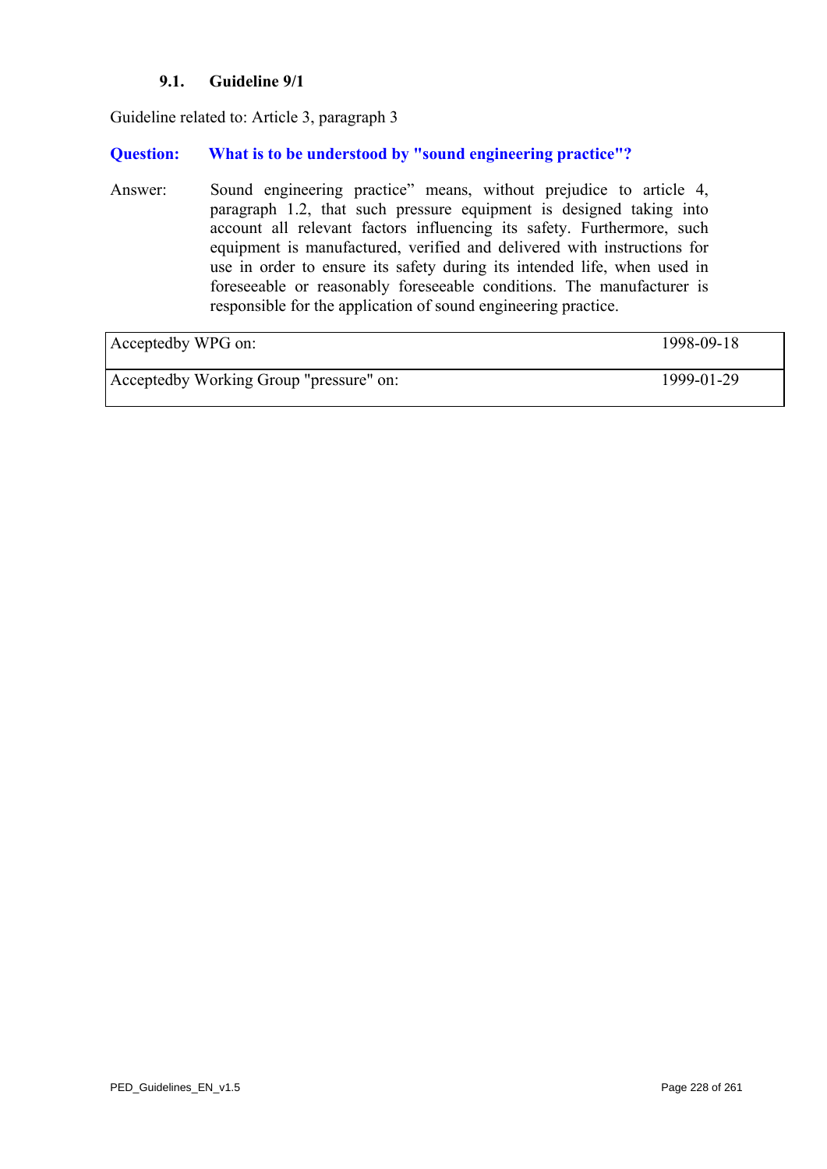### **9.1. Guideline 9/1**

<span id="page-227-0"></span>Guideline related to: Article 3, paragraph 3

## **Question: What is to be understood by "sound engineering practice"?**

Answer: Sound engineering practice" means, without prejudice to article 4, paragraph 1.2, that such pressure equipment is designed taking into account all relevant factors influencing its safety. Furthermore, such equipment is manufactured, verified and delivered with instructions for use in order to ensure its safety during its intended life, when used in foreseeable or reasonably foreseeable conditions. The manufacturer is responsible for the application of sound engineering practice.

| Acceptedby WPG on:                      | 1998-09-18 |
|-----------------------------------------|------------|
| Acceptedby Working Group "pressure" on: | 1999-01-29 |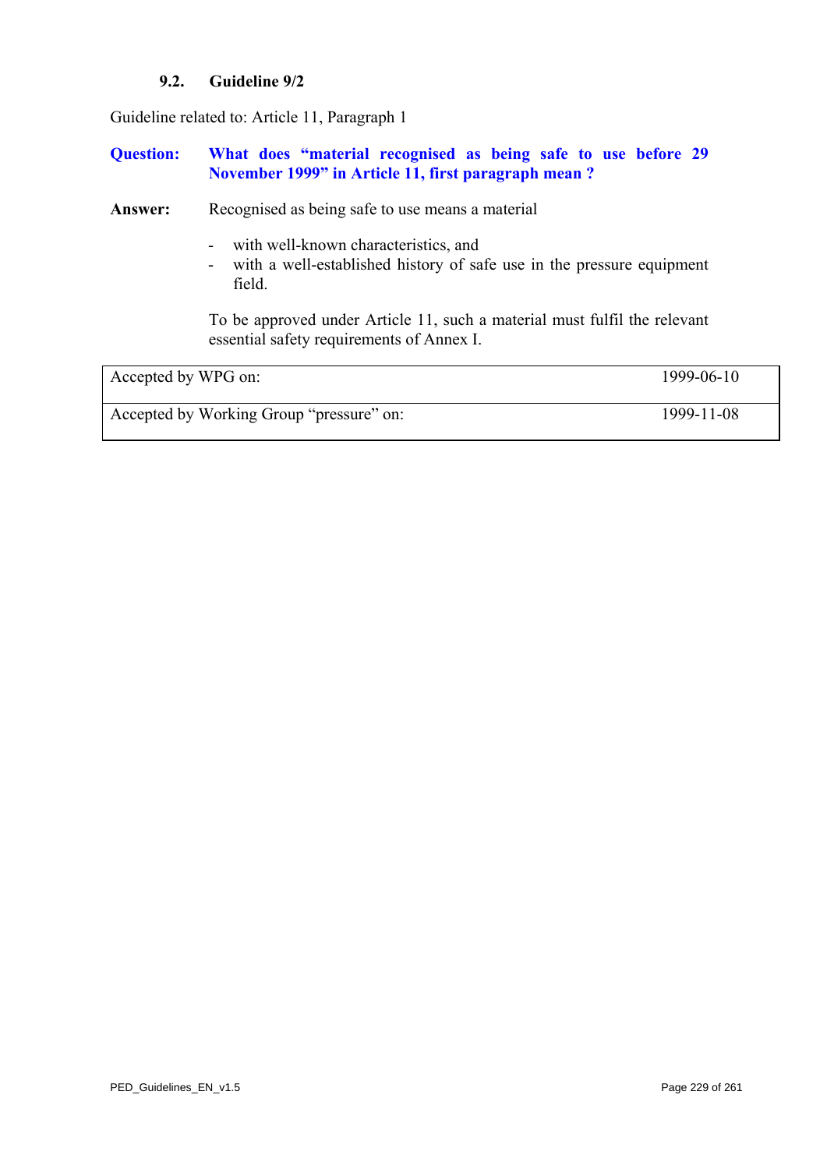# **9.2. Guideline 9/2**

<span id="page-228-0"></span>Guideline related to: Article 11, Paragraph 1

### **Question: What does "material recognised as being safe to use before 29 November 1999" in Article 11, first paragraph mean ?**

Answer: Recognised as being safe to use means a material

- with well-known characteristics, and
- with a well-established history of safe use in the pressure equipment field.

To be approved under Article 11, such a material must fulfil the relevant essential safety requirements of Annex I.

| Accepted by WPG on:                      | 1999-06-10 |
|------------------------------------------|------------|
| Accepted by Working Group "pressure" on: | 1999-11-08 |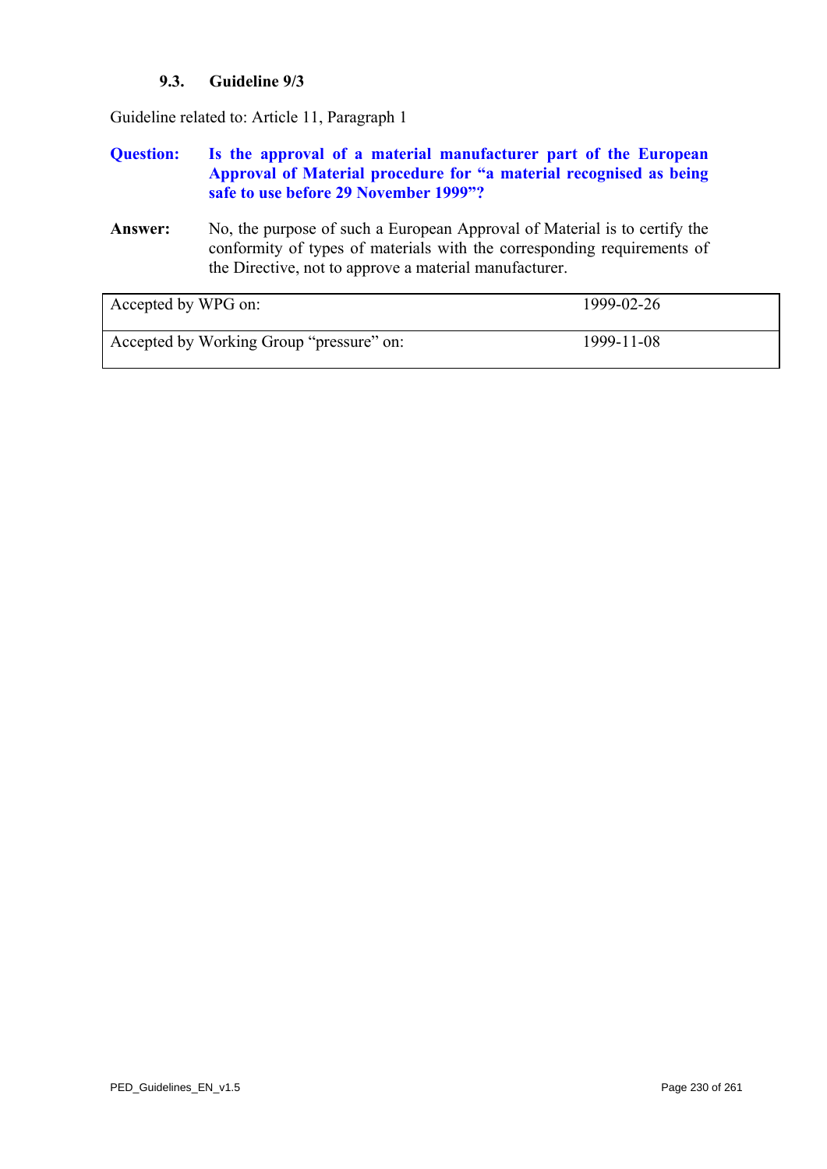# **9.3. Guideline 9/3**

<span id="page-229-0"></span>Guideline related to: Article 11, Paragraph 1

### **Question: Is the approval of a material manufacturer part of the European Approval of Material procedure for "a material recognised as being safe to use before 29 November 1999"?**

**Answer:** No, the purpose of such a European Approval of Material is to certify the conformity of types of materials with the corresponding requirements of the Directive, not to approve a material manufacturer.

| Accepted by WPG on:                      | 1999-02-26 |
|------------------------------------------|------------|
| Accepted by Working Group "pressure" on: | 1999-11-08 |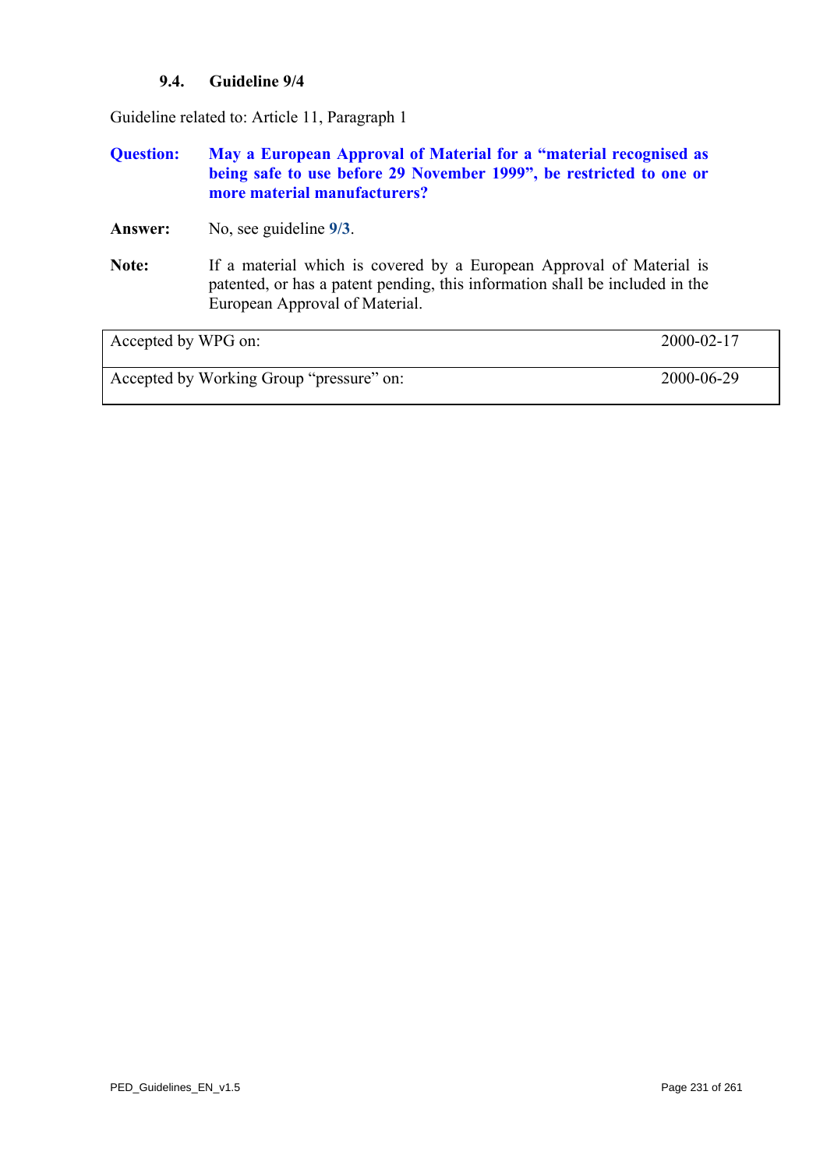### **9.4. Guideline 9/4**

Guideline related to: Article 11, Paragraph 1

### **Question: May a European Approval of Material for a "material recognised as being safe to use before 29 November 1999", be restricted to one or more material manufacturers?**

**Answer:** No, see guideline **[9/3](#page-229-0)**.

**Note:** If a material which is covered by a European Approval of Material is patented, or has a patent pending, this information shall be included in the European Approval of Material.

Accepted by WPG on: 2000-02-17

Accepted by Working Group "pressure" on: 2000-06-29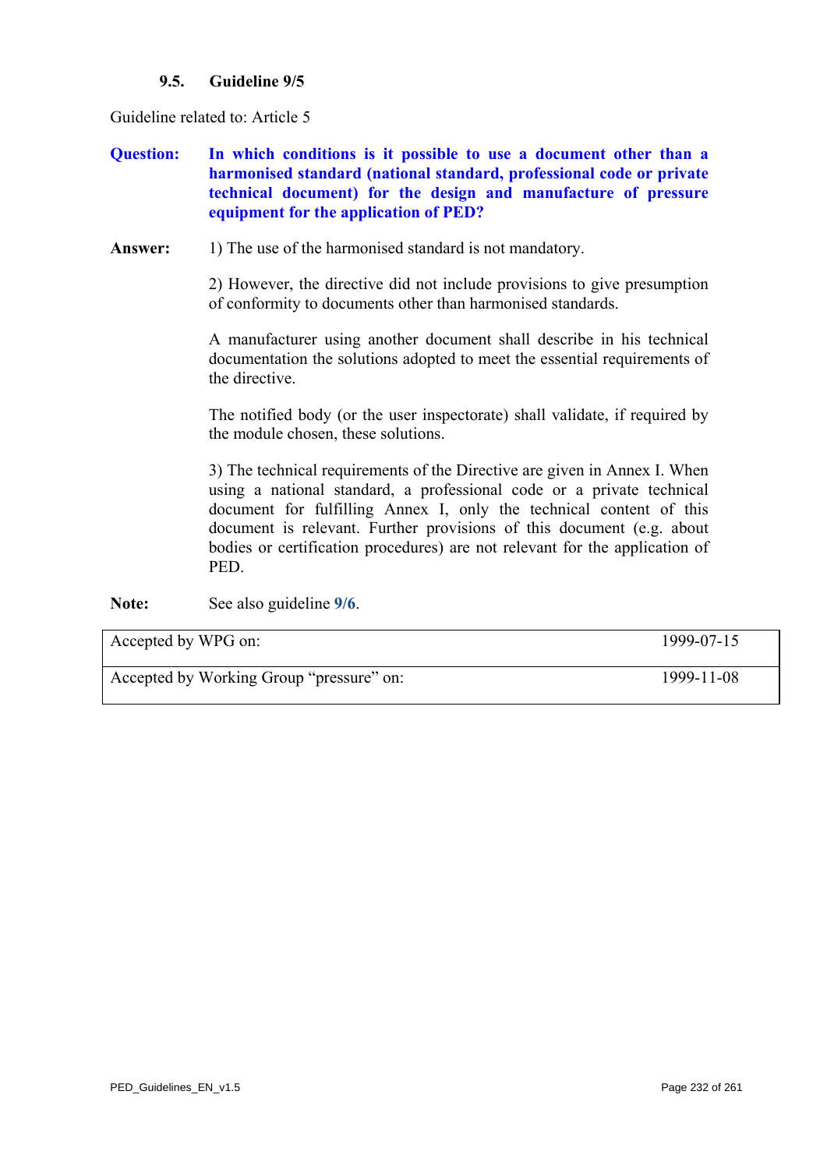## **9.5. Guideline 9/5**

<span id="page-231-0"></span>Guideline related to: Article 5

- **Question: In which conditions is it possible to use a document other than a harmonised standard (national standard, professional code or private technical document) for the design and manufacture of pressure equipment for the application of PED?**
- Answer: 1) The use of the harmonised standard is not mandatory.

2) However, the directive did not include provisions to give presumption of conformity to documents other than harmonised standards.

A manufacturer using another document shall describe in his technical documentation the solutions adopted to meet the essential requirements of the directive.

The notified body (or the user inspectorate) shall validate, if required by the module chosen, these solutions.

3) The technical requirements of the Directive are given in Annex I. When using a national standard, a professional code or a private technical document for fulfilling Annex I, only the technical content of this document is relevant. Further provisions of this document (e.g. about bodies or certification procedures) are not relevant for the application of PED.

**Note:** See also guideline **[9/6](#page-232-0)**.

Accepted by WPG on: 1999-07-15 Accepted by Working Group "pressure" on: 1999-11-08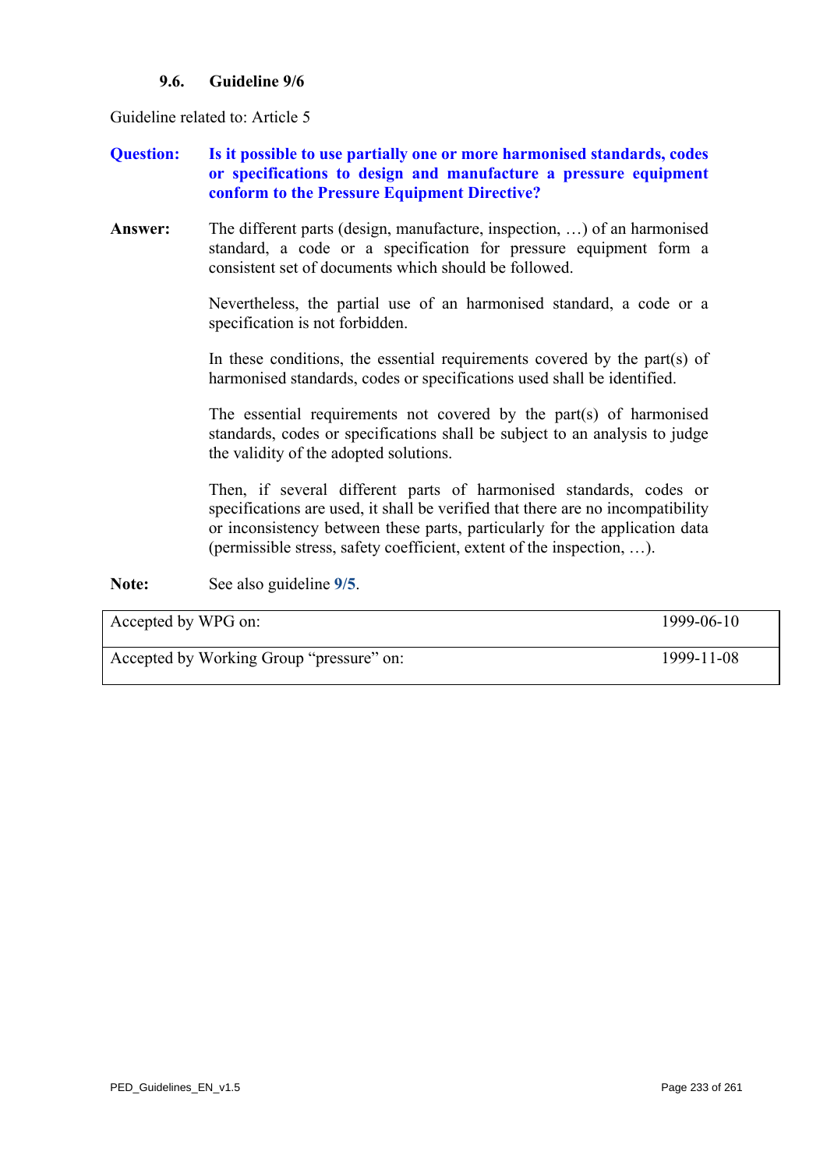### **9.6. Guideline 9/6**

<span id="page-232-0"></span>Guideline related to: Article 5

## **Question: Is it possible to use partially one or more harmonised standards, codes or specifications to design and manufacture a pressure equipment conform to the Pressure Equipment Directive?**

**Answer:** The different parts (design, manufacture, inspection, …) of an harmonised standard, a code or a specification for pressure equipment form a consistent set of documents which should be followed.

> Nevertheless, the partial use of an harmonised standard, a code or a specification is not forbidden.

> In these conditions, the essential requirements covered by the part(s) of harmonised standards, codes or specifications used shall be identified.

> The essential requirements not covered by the part(s) of harmonised standards, codes or specifications shall be subject to an analysis to judge the validity of the adopted solutions.

> Then, if several different parts of harmonised standards, codes or specifications are used, it shall be verified that there are no incompatibility or inconsistency between these parts, particularly for the application data (permissible stress, safety coefficient, extent of the inspection, …).

**Note:** See also guideline **[9/5](#page-231-0)**.

| Accepted by WPG on:                      | 1999-06-10 |
|------------------------------------------|------------|
| Accepted by Working Group "pressure" on: | 1999-11-08 |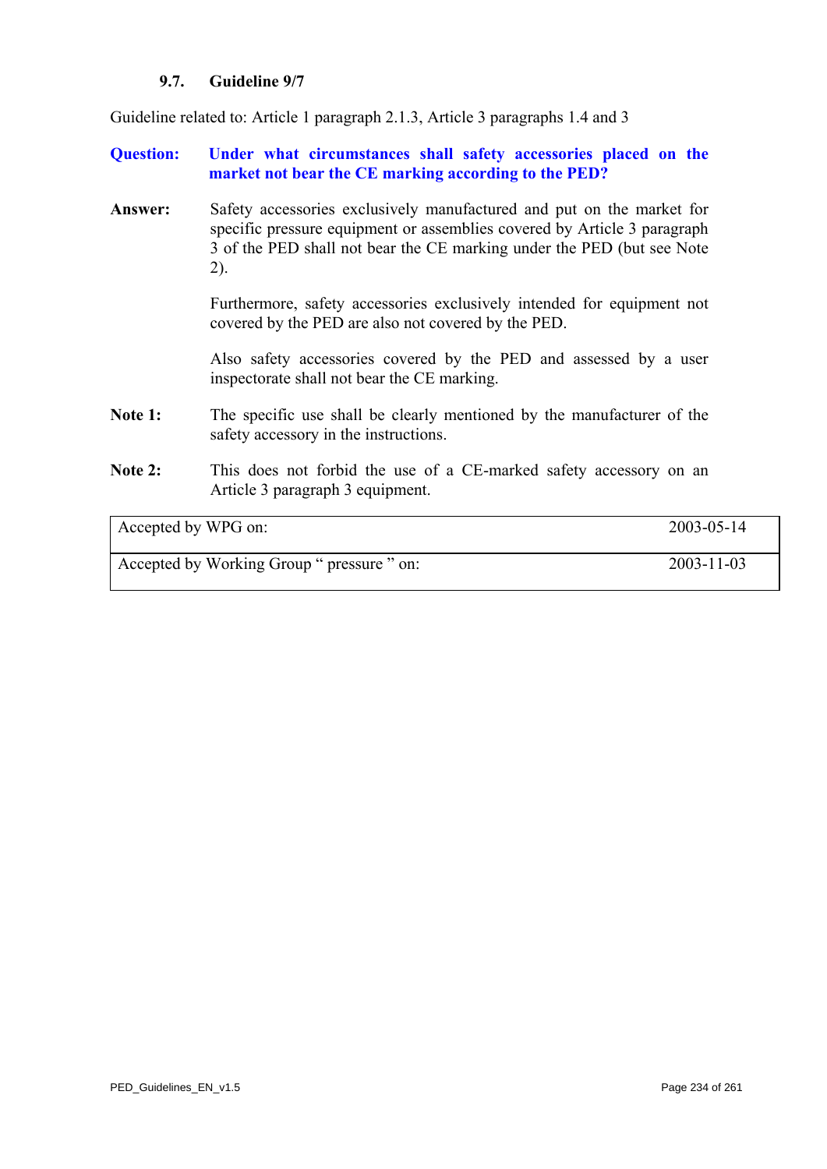### **9.7. Guideline 9/7**

Guideline related to: Article 1 paragraph 2.1.3, Article 3 paragraphs 1.4 and 3

**Question: Under what circumstances shall safety accessories placed on the market not bear the CE marking according to the PED?** 

**Answer:** Safety accessories exclusively manufactured and put on the market for specific pressure equipment or assemblies covered by Article 3 paragraph 3 of the PED shall not bear the CE marking under the PED (but see Note 2).

> Furthermore, safety accessories exclusively intended for equipment not covered by the PED are also not covered by the PED.

> Also safety accessories covered by the PED and assessed by a user inspectorate shall not bear the CE marking.

- Note 1: The specific use shall be clearly mentioned by the manufacturer of the safety accessory in the instructions.
- Note 2: This does not forbid the use of a CE-marked safety accessory on an Article 3 paragraph 3 equipment.

| Accepted by WPG on: |  |
|---------------------|--|
|---------------------|--|

Accepted by Working Group " pressure " on: 2003-11-03

 $2003 - 05 - 14$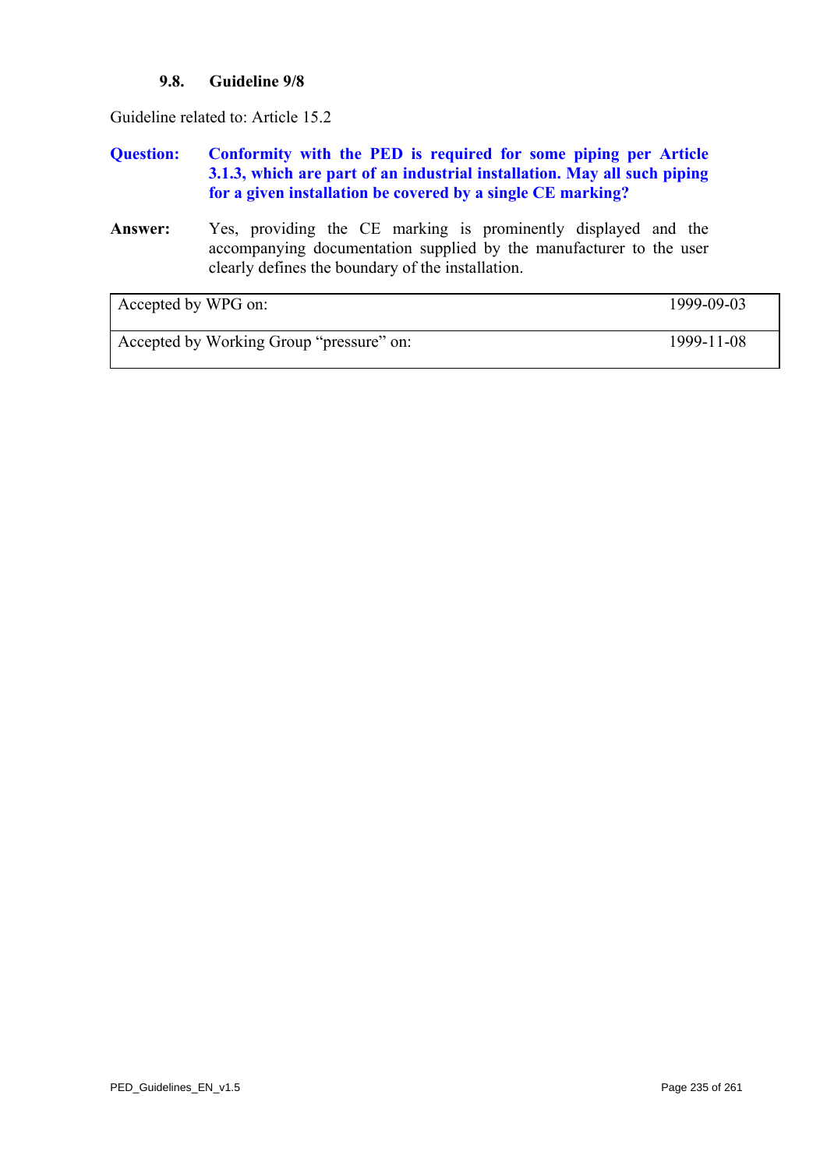### **9.8. Guideline 9/8**

Guideline related to: Article 15.2

# **Question: Conformity with the PED is required for some piping per Article 3.1.3, which are part of an industrial installation. May all such piping for a given installation be covered by a single CE marking?**

**Answer:** Yes, providing the CE marking is prominently displayed and the accompanying documentation supplied by the manufacturer to the user clearly defines the boundary of the installation.

| Accepted by WPG on:                      | 1999-09-03 |
|------------------------------------------|------------|
| Accepted by Working Group "pressure" on: | 1999-11-08 |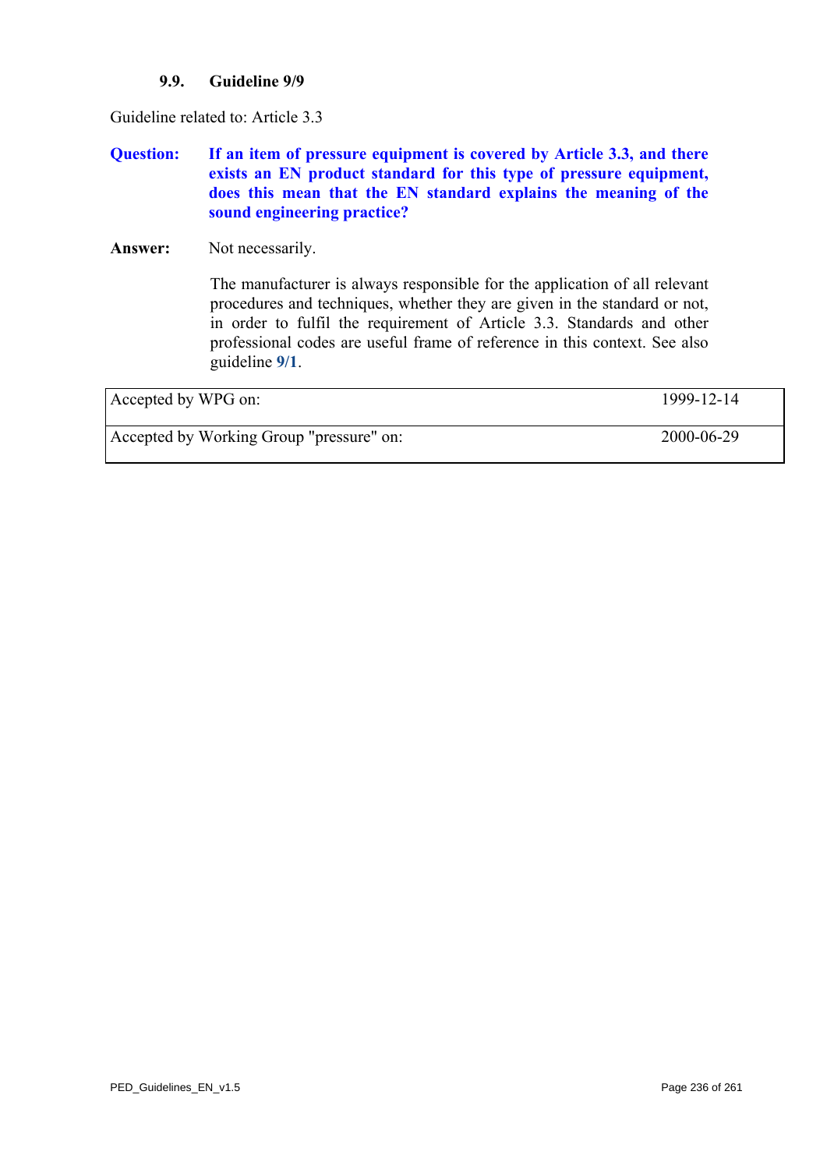### **9.9. Guideline 9/9**

<span id="page-235-0"></span>Guideline related to: Article 3.3

# **Question: If an item of pressure equipment is covered by Article 3.3, and there exists an EN product standard for this type of pressure equipment, does this mean that the EN standard explains the meaning of the sound engineering practice?**

Answer: Not necessarily.

The manufacturer is always responsible for the application of all relevant procedures and techniques, whether they are given in the standard or not, in order to fulfil the requirement of Article 3.3. Standards and other professional codes are useful frame of reference in this context. See also guideline **[9/1](#page-227-0)**.

| Accepted by WPG on:                      | 1999-12-14 |
|------------------------------------------|------------|
| Accepted by Working Group "pressure" on: | 2000-06-29 |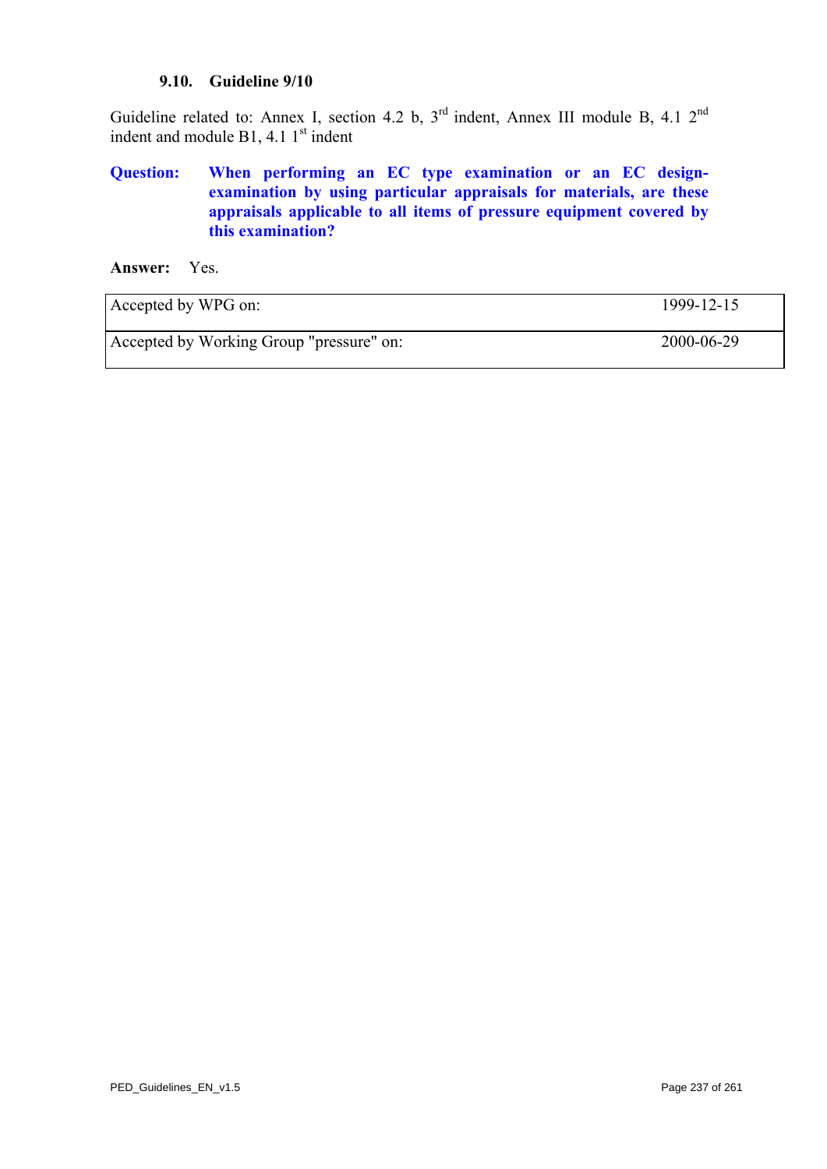#### **9.10. Guideline 9/10**

Guideline related to: Annex I, section 4.2 b, 3<sup>rd</sup> indent, Annex III module B, 4.1 2<sup>nd</sup> indent and module  $B1$ , 4.1  $1<sup>st</sup>$  indent

# **Question: When performing an EC type examination or an EC designexamination by using particular appraisals for materials, are these appraisals applicable to all items of pressure equipment covered by this examination?**

**Answer:** Yes.

| Accepted by WPG on:                      | 1999-12-15 |
|------------------------------------------|------------|
| Accepted by Working Group "pressure" on: | 2000-06-29 |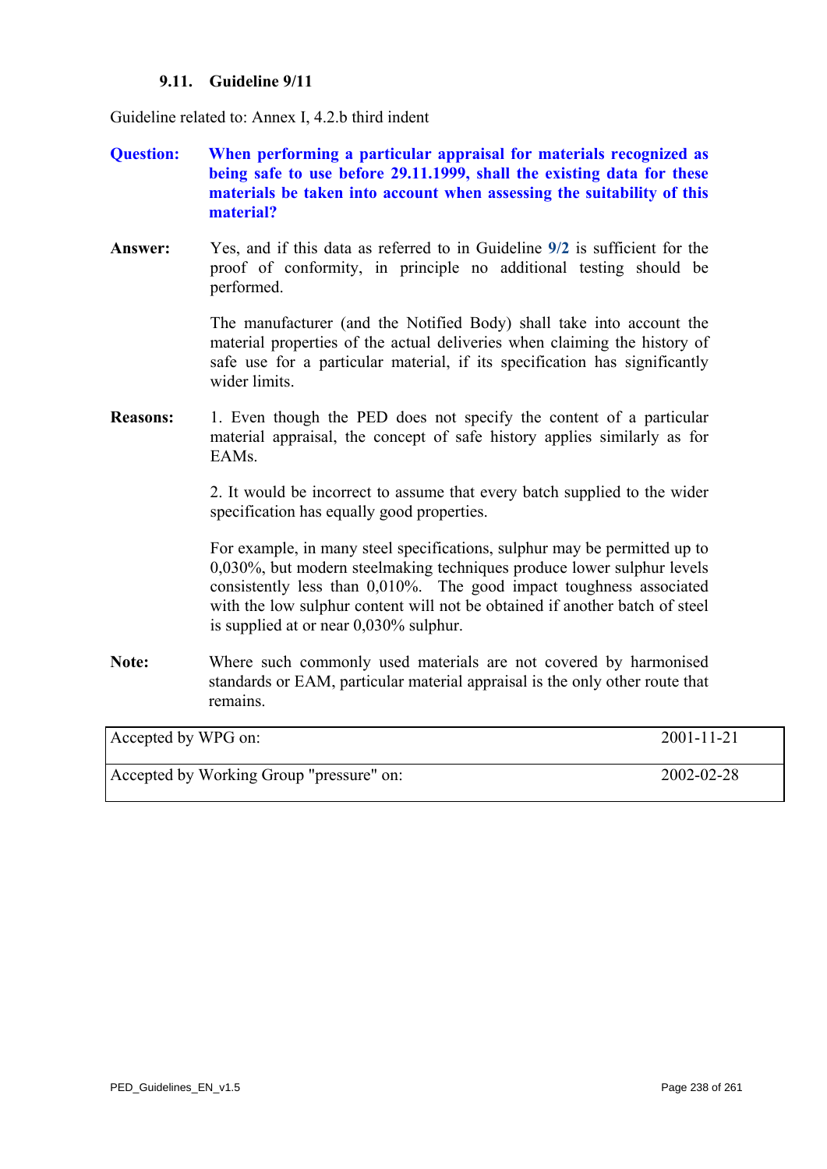### **9.11. Guideline 9/11**

Guideline related to: Annex I, 4.2.b third indent

- **Question: When performing a particular appraisal for materials recognized as being safe to use before 29.11.1999, shall the existing data for these materials be taken into account when assessing the suitability of this material?**
- **Answer:** Yes, and if this data as referred to in Guideline **[9/2](#page-228-0)** is sufficient for the proof of conformity, in principle no additional testing should be performed.

 The manufacturer (and the Notified Body) shall take into account the material properties of the actual deliveries when claiming the history of safe use for a particular material, if its specification has significantly wider limits.

**Reasons:** 1. Even though the PED does not specify the content of a particular material appraisal, the concept of safe history applies similarly as for EAMs.

> 2. It would be incorrect to assume that every batch supplied to the wider specification has equally good properties.

> For example, in many steel specifications, sulphur may be permitted up to 0,030%, but modern steelmaking techniques produce lower sulphur levels consistently less than 0,010%. The good impact toughness associated with the low sulphur content will not be obtained if another batch of steel is supplied at or near 0,030% sulphur.

**Note:** Where such commonly used materials are not covered by harmonised standards or EAM, particular material appraisal is the only other route that remains.

| Accepted by WPG on:                      | $2001 - 11 - 21$ |
|------------------------------------------|------------------|
|                                          |                  |
| Accepted by Working Group "pressure" on: | 2002-02-28       |
|                                          |                  |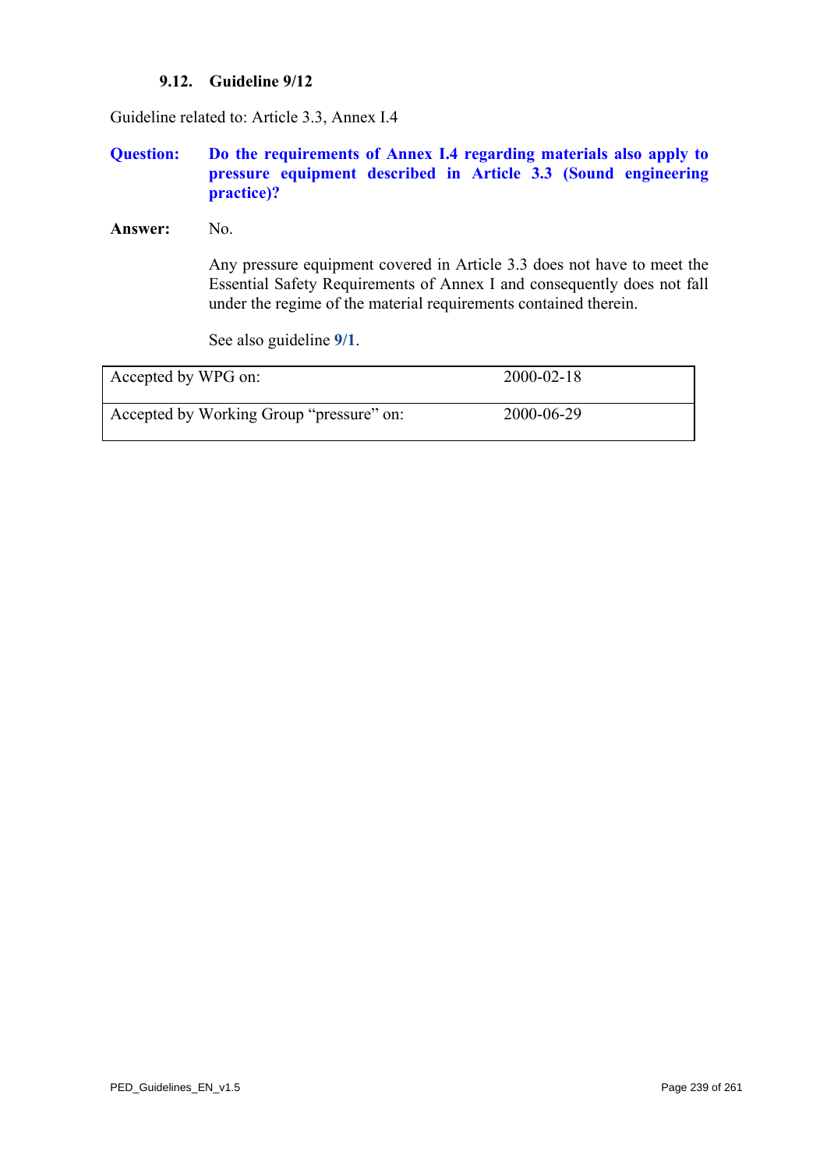### **9.12. Guideline 9/12**

Guideline related to: Article 3.3, Annex I.4

## **Question: Do the requirements of Annex I.4 regarding materials also apply to pressure equipment described in Article 3.3 (Sound engineering practice)?**

Answer: No.

Any pressure equipment covered in Article 3.3 does not have to meet the Essential Safety Requirements of Annex I and consequently does not fall under the regime of the material requirements contained therein.

See also guideline **[9/1](#page-227-0)**.

| Accepted by WPG on:                      | $2000 - 02 - 18$ |
|------------------------------------------|------------------|
| Accepted by Working Group "pressure" on: | 2000-06-29       |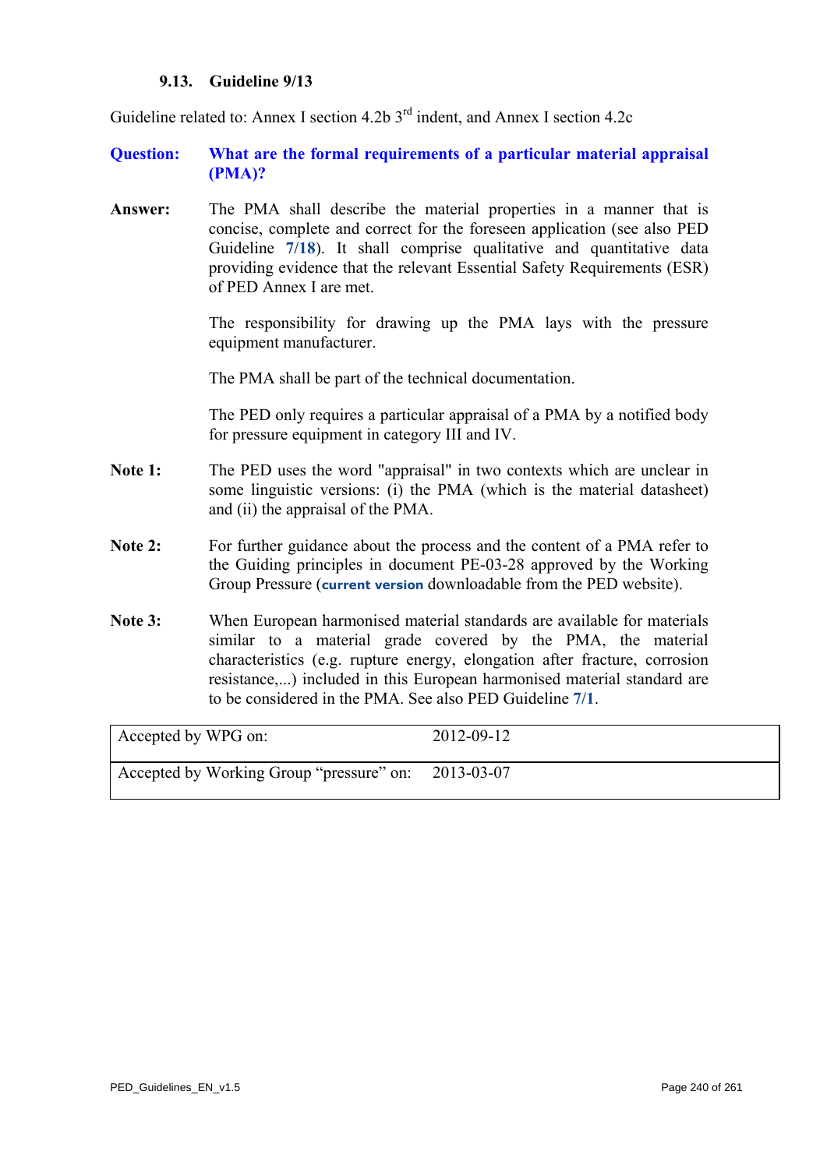#### **9.13. Guideline 9/13**

Guideline related to: Annex I section 4.2b  $3<sup>rd</sup>$  indent, and Annex I section 4.2c

### **Question: What are the formal requirements of a particular material appraisal (PMA)?**

**Answer:** The PMA shall describe the material properties in a manner that is concise, complete and correct for the foreseen application (see also PED Guideline **[7/18](#page-191-0)**). It shall comprise qualitative and quantitative data providing evidence that the relevant Essential Safety Requirements (ESR) of PED Annex I are met.

> The responsibility for drawing up the PMA lays with the pressure equipment manufacturer.

The PMA shall be part of the technical documentation.

The PED only requires a particular appraisal of a PMA by a notified body for pressure equipment in category III and IV.

- Note 1: The PED uses the word "appraisal" in two contexts which are unclear in some linguistic versions: (i) the PMA (which is the material datasheet) and (ii) the appraisal of the PMA.
- Note 2: For further guidance about the process and the content of a PMA refer to the Guiding principles in document PE-03-28 approved by the Working Group Pressure (**[current version](http://ec.europa.eu/enterprise/sectors/pressure-and-gas/files/pe-03-28-guiding-principles-for-the-content-of-pma_en.pdf)** downloadable from the PED website).
- **Note 3:** When European harmonised material standards are available for materials similar to a material grade covered by the PMA, the material characteristics (e.g. rupture energy, elongation after fracture, corrosion resistance,...) included in this European harmonised material standard are to be considered in the PMA. See also PED Guideline **[7/1](#page-171-0)**.

| Accepted by WPG on:                                 | 2012-09-12 |
|-----------------------------------------------------|------------|
| Accepted by Working Group "pressure" on: 2013-03-07 |            |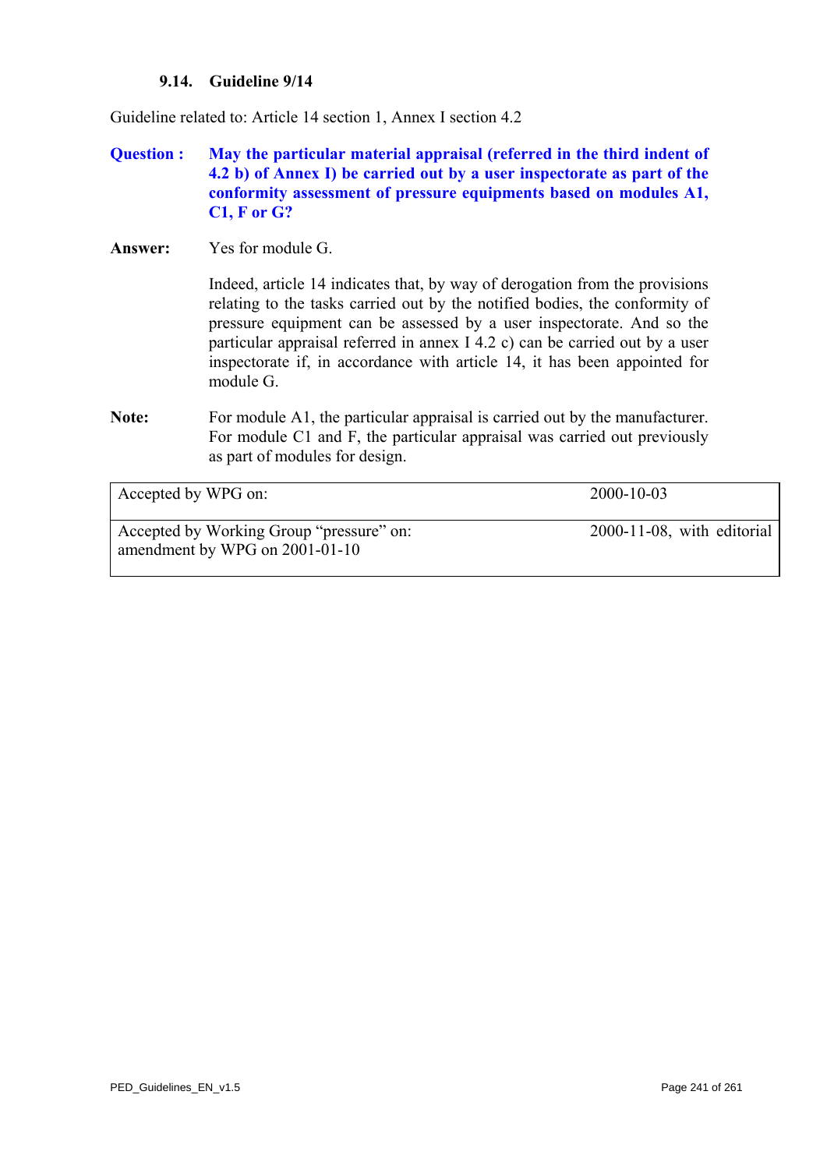#### **9.14. Guideline 9/14**

Guideline related to: Article 14 section 1, Annex I section 4.2

# **Question : May the particular material appraisal (referred in the third indent of 4.2 b) of Annex I) be carried out by a user inspectorate as part of the conformity assessment of pressure equipments based on modules A1, C1, F or G?**

**Answer:** Yes for module G.

Indeed, article 14 indicates that, by way of derogation from the provisions relating to the tasks carried out by the notified bodies, the conformity of pressure equipment can be assessed by a user inspectorate. And so the particular appraisal referred in annex I 4.2 c) can be carried out by a user inspectorate if, in accordance with article 14, it has been appointed for module G.

**Note:** For module A1, the particular appraisal is carried out by the manufacturer. For module C1 and F, the particular appraisal was carried out previously as part of modules for design.

| Accepted by WPG on:                                                        | $2000 - 10 - 03$              |
|----------------------------------------------------------------------------|-------------------------------|
| Accepted by Working Group "pressure" on:<br>amendment by WPG on 2001-01-10 | $2000-11-08$ , with editorial |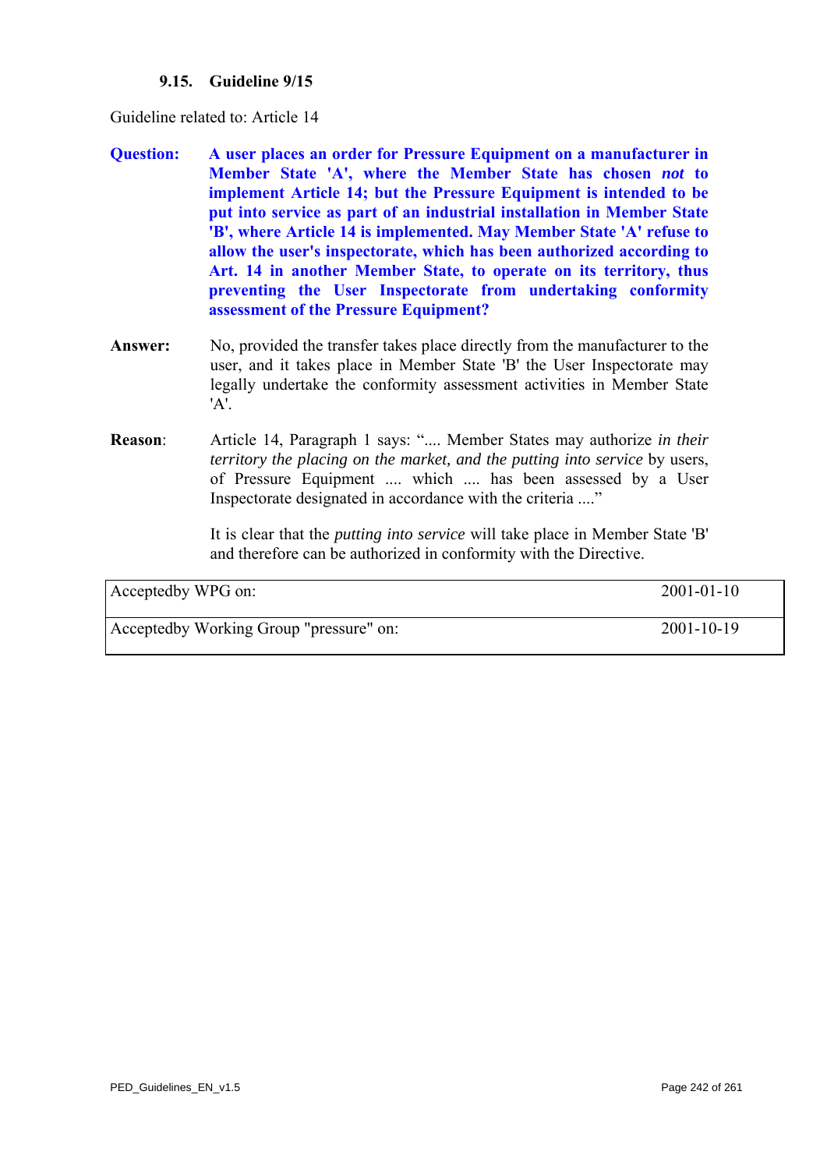### **9.15. Guideline 9/15**

Guideline related to: Article 14

- **Question: A user places an order for Pressure Equipment on a manufacturer in Member State 'A', where the Member State has chosen** *not* **to implement Article 14; but the Pressure Equipment is intended to be put into service as part of an industrial installation in Member State 'B', where Article 14 is implemented. May Member State 'A' refuse to allow the user's inspectorate, which has been authorized according to Art. 14 in another Member State, to operate on its territory, thus preventing the User Inspectorate from undertaking conformity assessment of the Pressure Equipment?**
- **Answer:** No, provided the transfer takes place directly from the manufacturer to the user, and it takes place in Member State 'B' the User Inspectorate may legally undertake the conformity assessment activities in Member State 'A'.
- **Reason**: Article 14, Paragraph 1 says: ".... Member States may authorize *in their territory the placing on the market, and the putting into service* by users, of Pressure Equipment .... which .... has been assessed by a User Inspectorate designated in accordance with the criteria ...."

It is clear that the *putting into service* will take place in Member State 'B' and therefore can be authorized in conformity with the Directive.

| Acceptedby WPG on:                      | $2001 - 01 - 10$ |
|-----------------------------------------|------------------|
| Acceptedby Working Group "pressure" on: | $2001 - 10 - 19$ |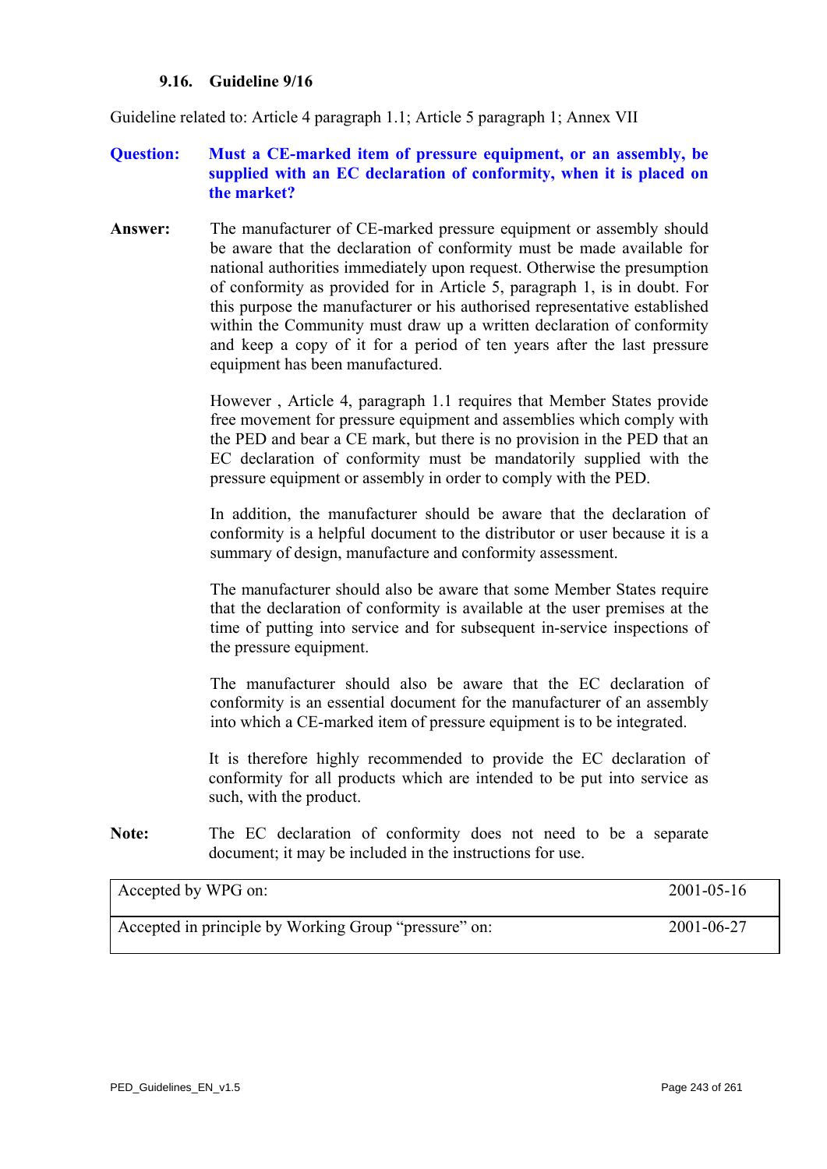#### **9.16. Guideline 9/16**

Guideline related to: Article 4 paragraph 1.1; Article 5 paragraph 1; Annex VII

# **Question: Must a CE-marked item of pressure equipment, or an assembly, be supplied with an EC declaration of conformity, when it is placed on the market?**

**Answer:** The manufacturer of CE-marked pressure equipment or assembly should be aware that the declaration of conformity must be made available for national authorities immediately upon request. Otherwise the presumption of conformity as provided for in Article 5, paragraph 1, is in doubt. For this purpose the manufacturer or his authorised representative established within the Community must draw up a written declaration of conformity and keep a copy of it for a period of ten years after the last pressure equipment has been manufactured.

> However , Article 4, paragraph 1.1 requires that Member States provide free movement for pressure equipment and assemblies which comply with the PED and bear a CE mark, but there is no provision in the PED that an EC declaration of conformity must be mandatorily supplied with the pressure equipment or assembly in order to comply with the PED.

> In addition, the manufacturer should be aware that the declaration of conformity is a helpful document to the distributor or user because it is a summary of design, manufacture and conformity assessment.

> The manufacturer should also be aware that some Member States require that the declaration of conformity is available at the user premises at the time of putting into service and for subsequent in-service inspections of the pressure equipment.

> The manufacturer should also be aware that the EC declaration of conformity is an essential document for the manufacturer of an assembly into which a CE-marked item of pressure equipment is to be integrated.

> It is therefore highly recommended to provide the EC declaration of conformity for all products which are intended to be put into service as such, with the product.

**Note:** The EC declaration of conformity does not need to be a separate document; it may be included in the instructions for use.

| Accepted by WPG on:                                   | $2001 - 05 - 16$ |
|-------------------------------------------------------|------------------|
| Accepted in principle by Working Group "pressure" on: | 2001-06-27       |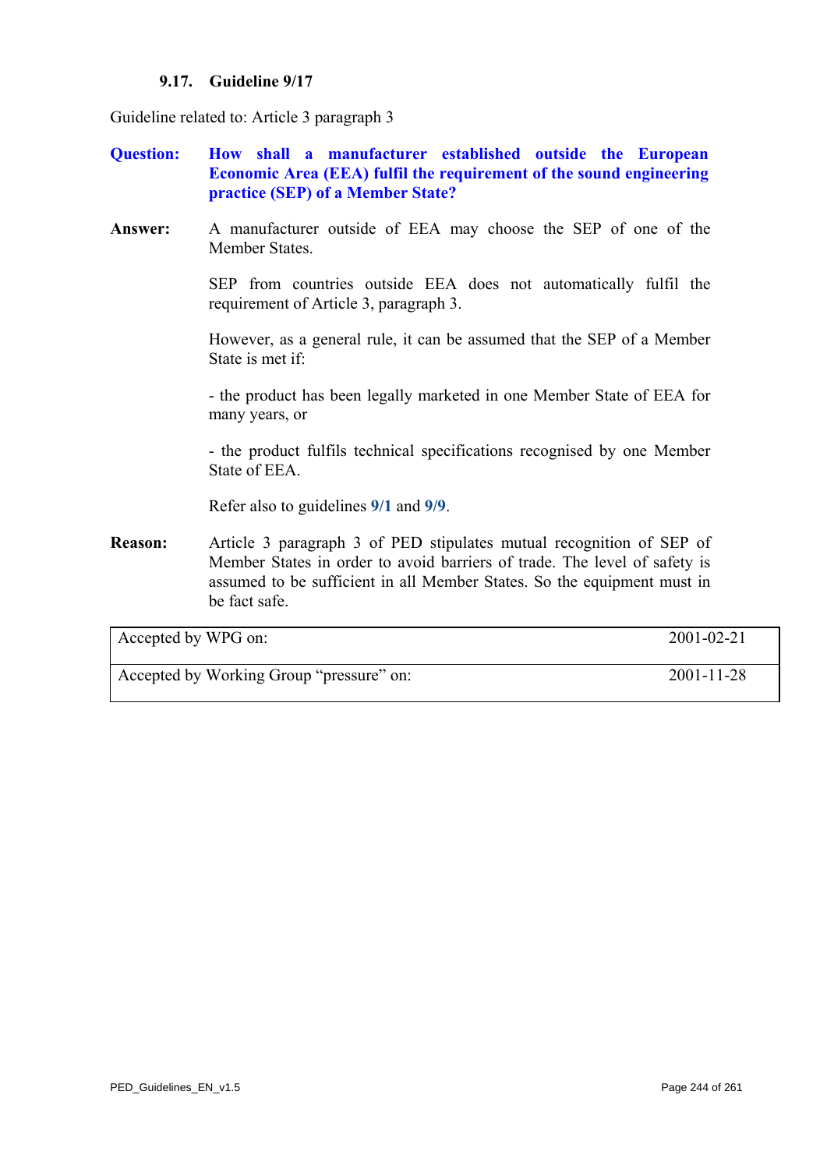### **9.17. Guideline 9/17**

Guideline related to: Article 3 paragraph 3

- **Question: How shall a manufacturer established outside the European Economic Area (EEA) fulfil the requirement of the sound engineering practice (SEP) of a Member State?**
- **Answer:** A manufacturer outside of EEA may choose the SEP of one of the Member States.

SEP from countries outside EEA does not automatically fulfil the requirement of Article 3, paragraph 3.

However, as a general rule, it can be assumed that the SEP of a Member State is met if:

- the product has been legally marketed in one Member State of EEA for many years, or

- the product fulfils technical specifications recognised by one Member State of EEA.

Refer also to guidelines **[9/1](#page-227-0)** and **[9/9](#page-235-0)**.

**Reason:** Article 3 paragraph 3 of PED stipulates mutual recognition of SEP of Member States in order to avoid barriers of trade. The level of safety is assumed to be sufficient in all Member States. So the equipment must in be fact safe.

| Accepted by WPG on:                      | 2001-02-21       |
|------------------------------------------|------------------|
| Accepted by Working Group "pressure" on: | $2001 - 11 - 28$ |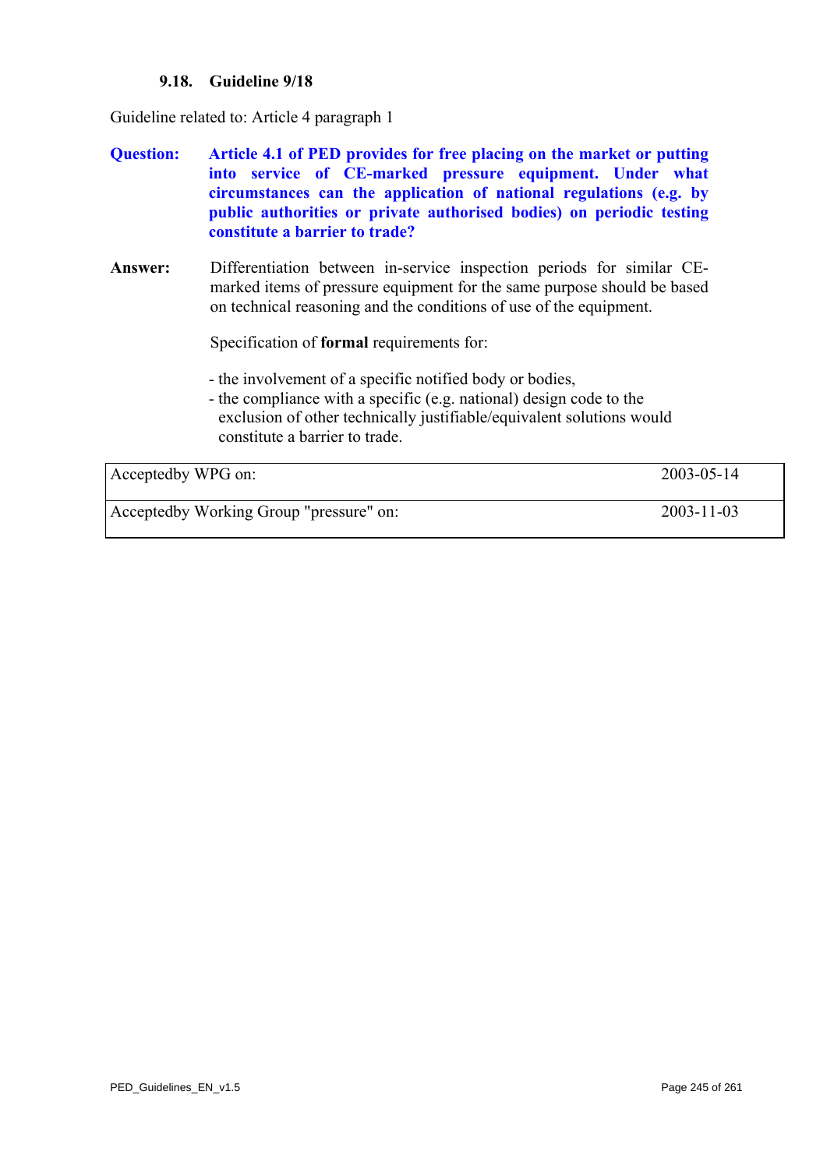### **9.18. Guideline 9/18**

<span id="page-244-0"></span>Guideline related to: Article 4 paragraph 1

- **Question: Article 4.1 of PED provides for free placing on the market or putting into service of CE-marked pressure equipment. Under what circumstances can the application of national regulations (e.g. by public authorities or private authorised bodies) on periodic testing constitute a barrier to trade?**
- **Answer:** Differentiation between in-service inspection periods for similar CEmarked items of pressure equipment for the same purpose should be based on technical reasoning and the conditions of use of the equipment.

Specification of **formal** requirements for:

- the involvement of a specific notified body or bodies,
- the compliance with a specific (e.g. national) design code to the exclusion of other technically justifiable/equivalent solutions would constitute a barrier to trade.

| Acceptedby WPG on:                      | $2003 - 05 - 14$ |
|-----------------------------------------|------------------|
| Acceptedby Working Group "pressure" on: | $2003 - 11 - 03$ |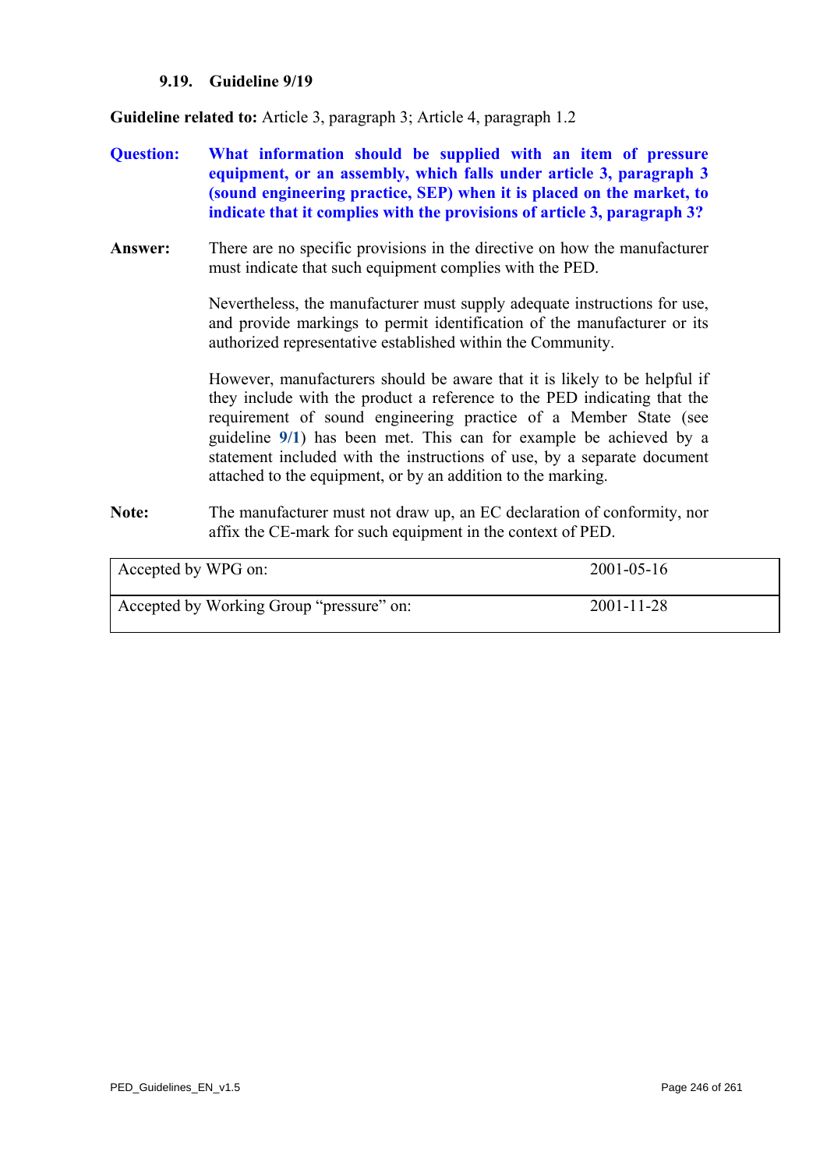#### **9.19. Guideline 9/19**

**Guideline related to:** Article 3, paragraph 3; Article 4, paragraph 1.2

- **Question: What information should be supplied with an item of pressure equipment, or an assembly, which falls under article 3, paragraph 3 (sound engineering practice, SEP) when it is placed on the market, to indicate that it complies with the provisions of article 3, paragraph 3?**
- **Answer:** There are no specific provisions in the directive on how the manufacturer must indicate that such equipment complies with the PED.

Nevertheless, the manufacturer must supply adequate instructions for use, and provide markings to permit identification of the manufacturer or its authorized representative established within the Community.

However, manufacturers should be aware that it is likely to be helpful if they include with the product a reference to the PED indicating that the requirement of sound engineering practice of a Member State (see guideline **[9/1](#page-227-0)**) has been met. This can for example be achieved by a statement included with the instructions of use, by a separate document attached to the equipment, or by an addition to the marking.

**Note:** The manufacturer must not draw up, an EC declaration of conformity, nor affix the CE-mark for such equipment in the context of PED.

| Accepted by WPG on:                      | $2001 - 05 - 16$ |
|------------------------------------------|------------------|
| Accepted by Working Group "pressure" on: | $2001 - 11 - 28$ |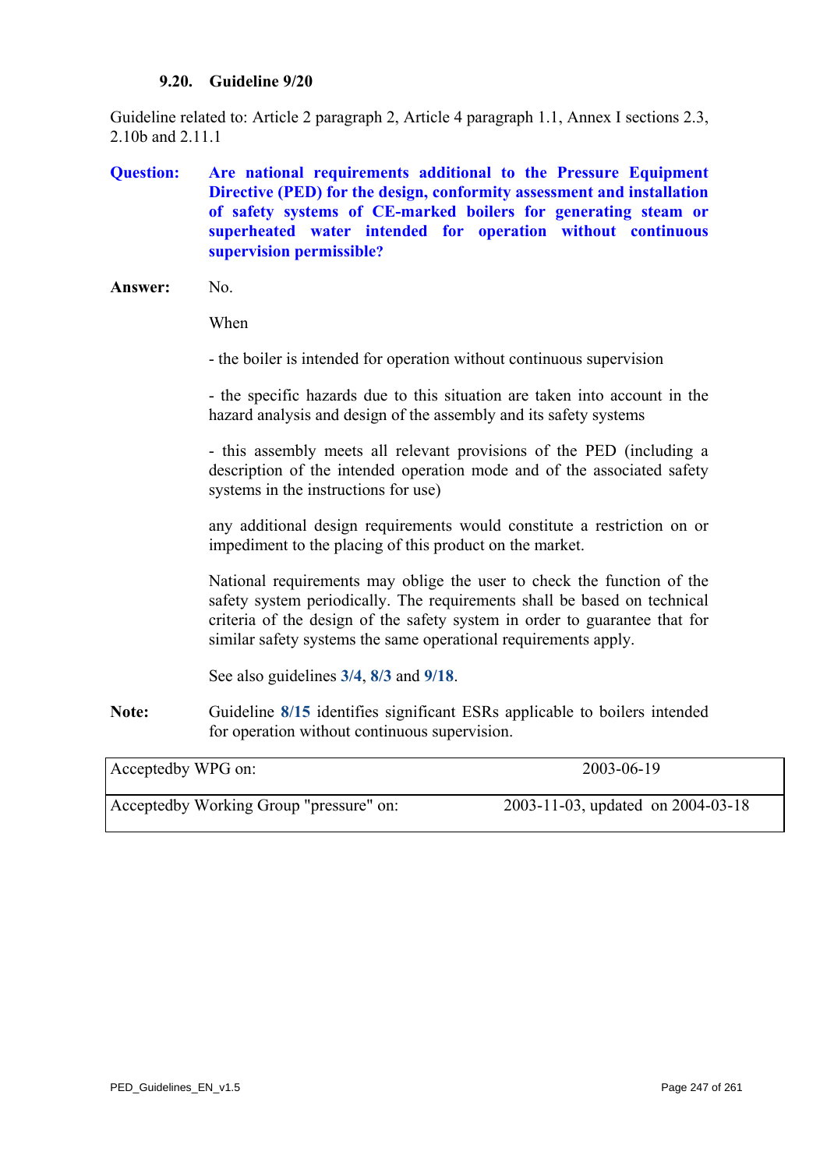#### **9.20. Guideline 9/20**

<span id="page-246-0"></span>Guideline related to: Article 2 paragraph 2, Article 4 paragraph 1.1, Annex I sections 2.3, 2.10b and 2.11.1

# **Question: Are national requirements additional to the Pressure Equipment Directive (PED) for the design, conformity assessment and installation of safety systems of CE-marked boilers for generating steam or superheated water intended for operation without continuous supervision permissible?**

When

- the boiler is intended for operation without continuous supervision

- the specific hazards due to this situation are taken into account in the hazard analysis and design of the assembly and its safety systems

- this assembly meets all relevant provisions of the PED (including a description of the intended operation mode and of the associated safety systems in the instructions for use)

any additional design requirements would constitute a restriction on or impediment to the placing of this product on the market.

National requirements may oblige the user to check the function of the safety system periodically. The requirements shall be based on technical criteria of the design of the safety system in order to guarantee that for similar safety systems the same operational requirements apply.

See also guidelines **[3/4](#page-108-0)**, **[8/3](#page-208-0)** and **[9/18](#page-244-0)**.

**Note:** Guideline **[8/15](#page-220-0)** identifies significant ESRs applicable to boilers intended for operation without continuous supervision.

| Acceptedby WPG on:                      | 2003-06-19                        |
|-----------------------------------------|-----------------------------------|
| Acceptedby Working Group "pressure" on: | 2003-11-03, updated on 2004-03-18 |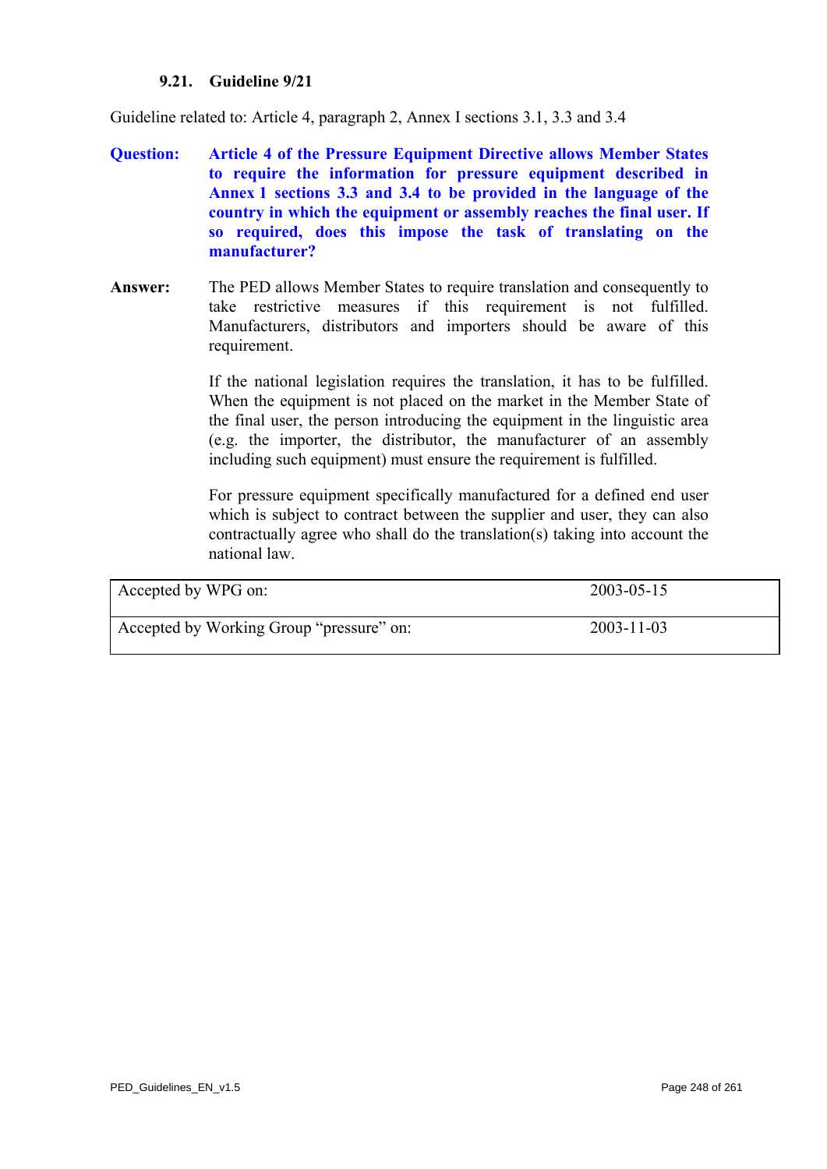### **9.21. Guideline 9/21**

Guideline related to: Article 4, paragraph 2, Annex I sections 3.1, 3.3 and 3.4

- **Question: Article 4 of the Pressure Equipment Directive allows Member States to require the information for pressure equipment described in Annex 1 sections 3.3 and 3.4 to be provided in the language of the country in which the equipment or assembly reaches the final user. If so required, does this impose the task of translating on the manufacturer?**
- **Answer:** The PED allows Member States to require translation and consequently to take restrictive measures if this requirement is not fulfilled. Manufacturers, distributors and importers should be aware of this requirement.

If the national legislation requires the translation, it has to be fulfilled. When the equipment is not placed on the market in the Member State of the final user, the person introducing the equipment in the linguistic area (e.g. the importer, the distributor, the manufacturer of an assembly including such equipment) must ensure the requirement is fulfilled.

For pressure equipment specifically manufactured for a defined end user which is subject to contract between the supplier and user, they can also contractually agree who shall do the translation(s) taking into account the national law.

| Accepted by WPG on:                      | 2003-05-15       |
|------------------------------------------|------------------|
| Accepted by Working Group "pressure" on: | $2003 - 11 - 03$ |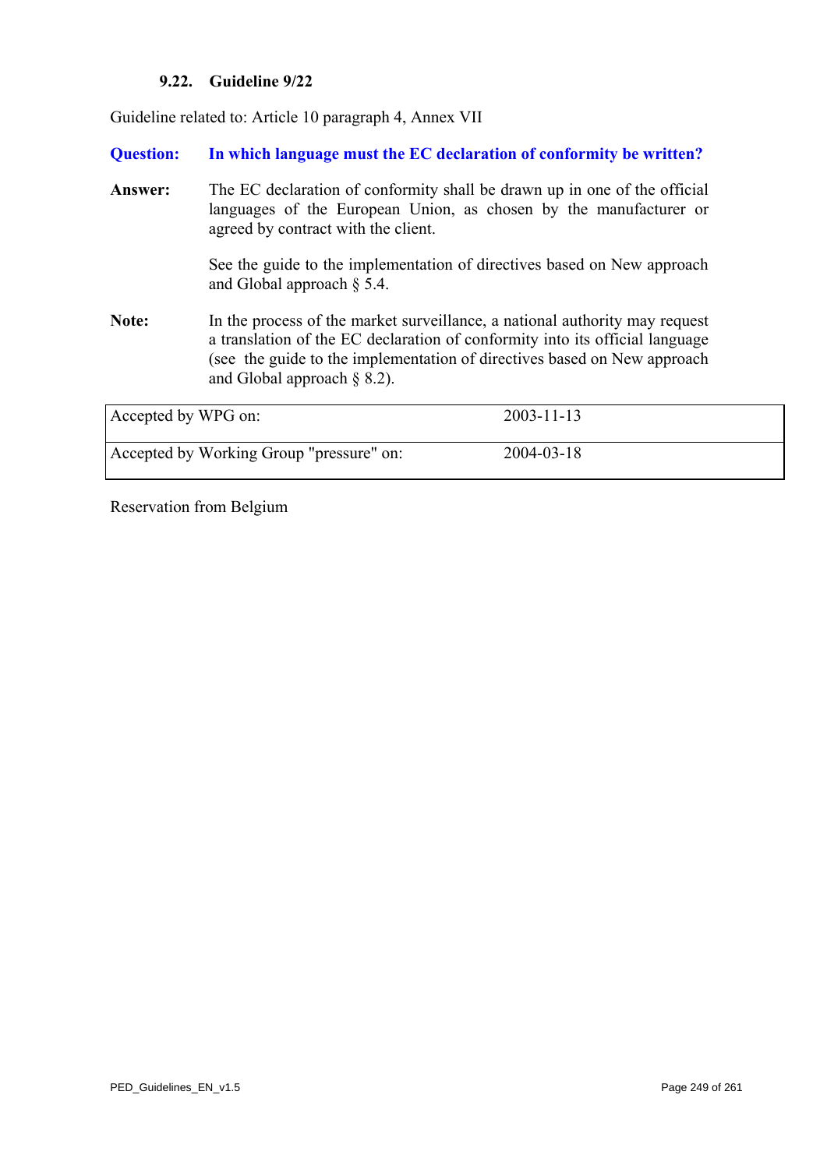## **9.22. Guideline 9/22**

Guideline related to: Article 10 paragraph 4, Annex VII

**Question: In which language must the EC declaration of conformity be written?** 

**Answer:** The EC declaration of conformity shall be drawn up in one of the official languages of the European Union, as chosen by the manufacturer or agreed by contract with the client.

> See the guide to the implementation of directives based on New approach and Global approach § 5.4.

**Note:** In the process of the market surveillance, a national authority may request a translation of the EC declaration of conformity into its official language (see the guide to the implementation of directives based on New approach and Global approach § 8.2).

| Accepted by WPG on:                      | $2003 - 11 - 13$ |
|------------------------------------------|------------------|
| Accepted by Working Group "pressure" on: | $2004 - 03 - 18$ |

Reservation from Belgium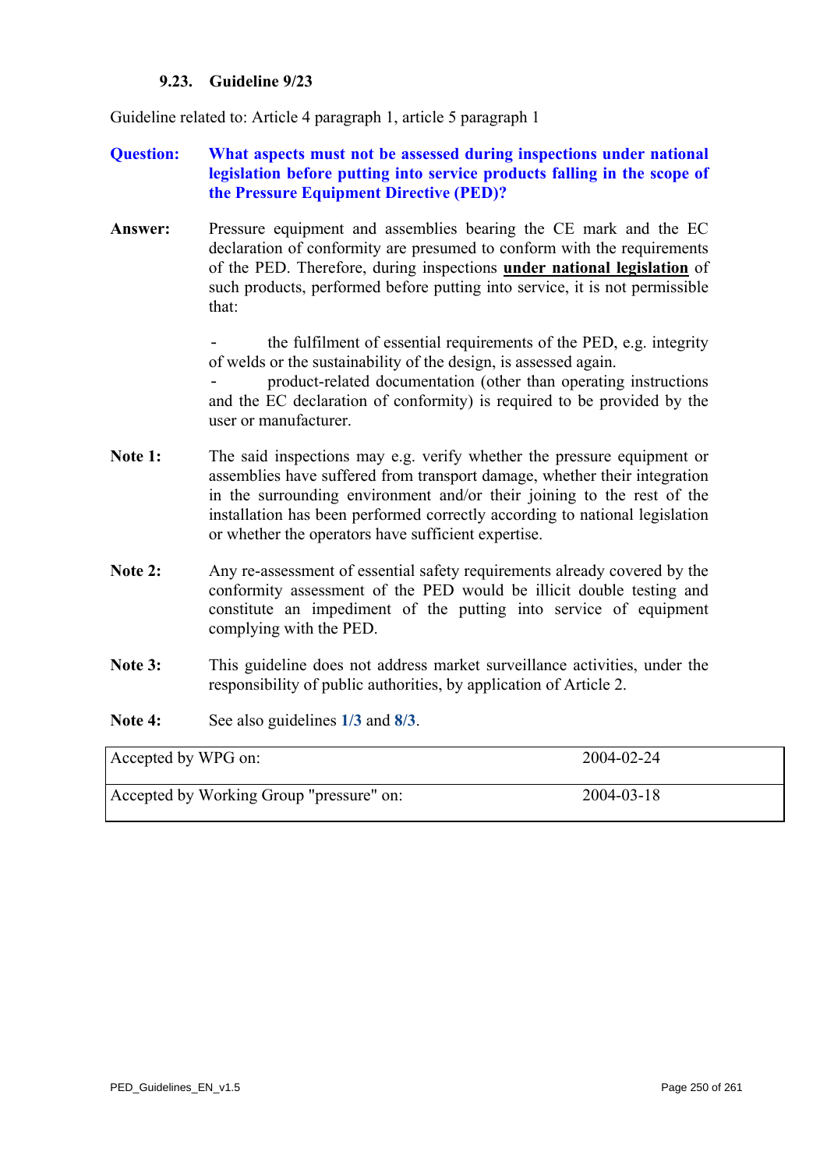### **9.23. Guideline 9/23**

Guideline related to: Article 4 paragraph 1, article 5 paragraph 1

# **Question: What aspects must not be assessed during inspections under national legislation before putting into service products falling in the scope of the Pressure Equipment Directive (PED)?**

**Answer:** Pressure equipment and assemblies bearing the CE mark and the EC declaration of conformity are presumed to conform with the requirements of the PED. Therefore, during inspections **under national legislation** of such products, performed before putting into service, it is not permissible that:

> the fulfilment of essential requirements of the PED, e.g. integrity of welds or the sustainability of the design, is assessed again.

> - product-related documentation (other than operating instructions and the EC declaration of conformity) is required to be provided by the user or manufacturer.

- Note 1: The said inspections may e.g. verify whether the pressure equipment or assemblies have suffered from transport damage, whether their integration in the surrounding environment and/or their joining to the rest of the installation has been performed correctly according to national legislation or whether the operators have sufficient expertise.
- **Note 2:** Any re-assessment of essential safety requirements already covered by the conformity assessment of the PED would be illicit double testing and constitute an impediment of the putting into service of equipment complying with the PED.
- **Note 3:** This guideline does not address market surveillance activities, under the responsibility of public authorities, by application of Article 2.
- **Note 4:** See also guidelines **[1/3](#page-3-0)** and **[8/3](#page-208-0)**.

| Accepted by WPG on:                      | 2004-02-24 |
|------------------------------------------|------------|
| Accepted by Working Group "pressure" on: | 2004-03-18 |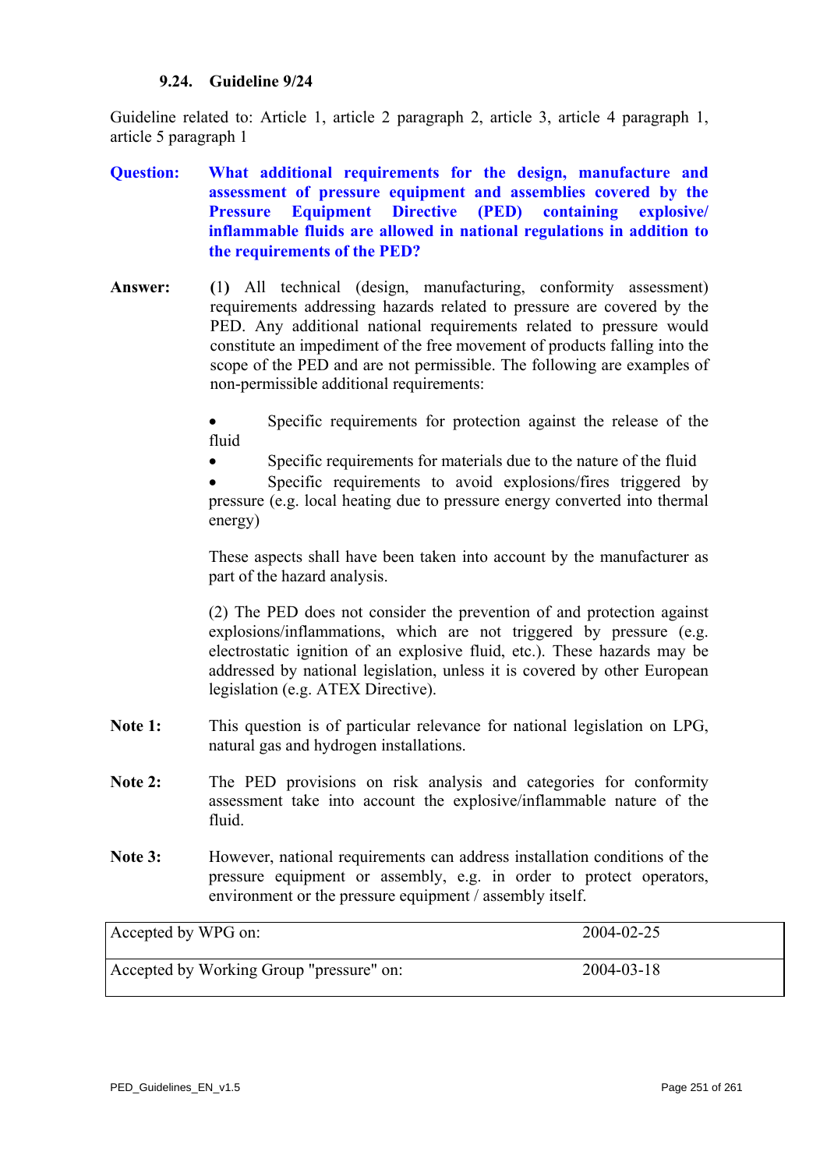### **9.24. Guideline 9/24**

Guideline related to: Article 1, article 2 paragraph 2, article 3, article 4 paragraph 1, article 5 paragraph 1

- **Question: What additional requirements for the design, manufacture and assessment of pressure equipment and assemblies covered by the Pressure Equipment Directive (PED) containing explosive/ inflammable fluids are allowed in national regulations in addition to the requirements of the PED?**
- **Answer: (**1**)** All technical (design, manufacturing, conformity assessment) requirements addressing hazards related to pressure are covered by the PED. Any additional national requirements related to pressure would constitute an impediment of the free movement of products falling into the scope of the PED and are not permissible. The following are examples of non-permissible additional requirements:

Specific requirements for protection against the release of the fluid

Specific requirements for materials due to the nature of the fluid

• Specific requirements to avoid explosions/fires triggered by pressure (e.g. local heating due to pressure energy converted into thermal energy)

These aspects shall have been taken into account by the manufacturer as part of the hazard analysis.

(2) The PED does not consider the prevention of and protection against explosions/inflammations, which are not triggered by pressure (e.g. electrostatic ignition of an explosive fluid, etc.). These hazards may be addressed by national legislation, unless it is covered by other European legislation (e.g. ATEX Directive).

- **Note 1:** This question is of particular relevance for national legislation on LPG, natural gas and hydrogen installations.
- Note 2: The PED provisions on risk analysis and categories for conformity assessment take into account the explosive/inflammable nature of the fluid.
- Note 3: However, national requirements can address installation conditions of the pressure equipment or assembly, e.g. in order to protect operators, environment or the pressure equipment / assembly itself.

<span id="page-250-0"></span>

| Accepted by WPG on:                      | 2004-02-25 |
|------------------------------------------|------------|
| Accepted by Working Group "pressure" on: | 2004-03-18 |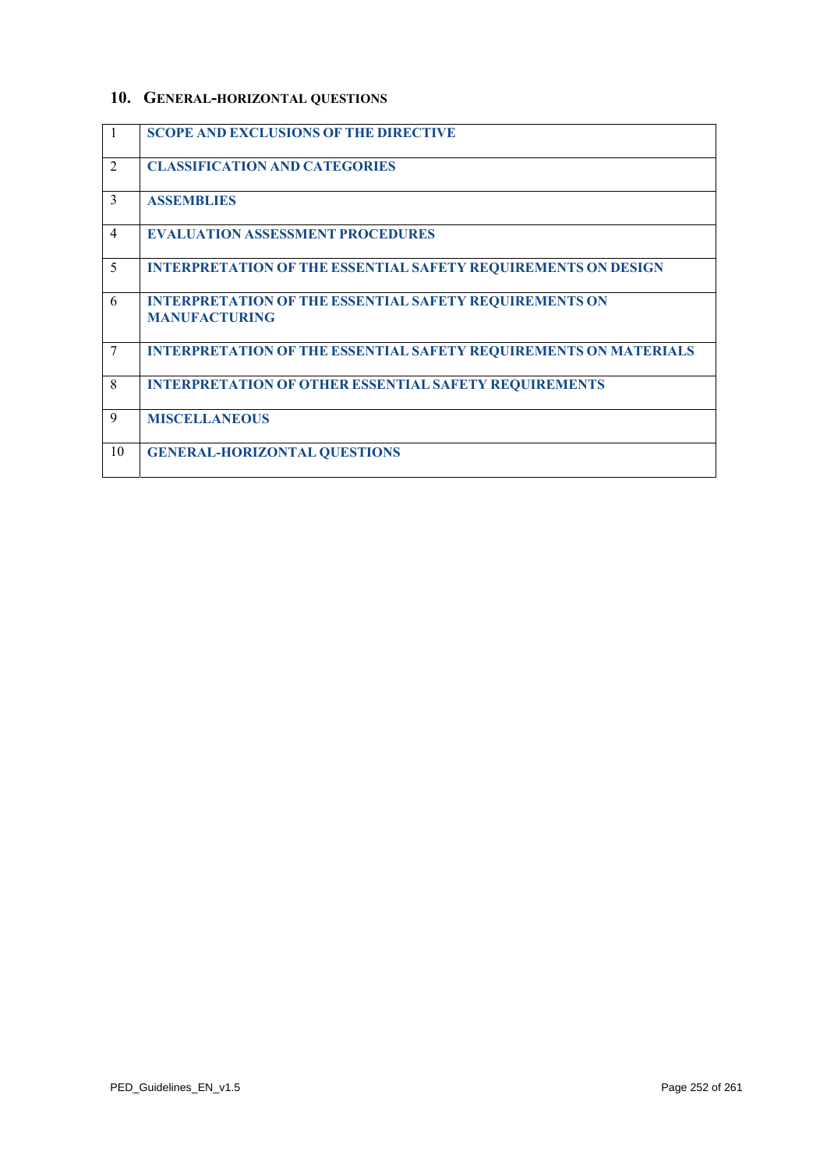# **10. GENERAL-HORIZONTAL QUESTIONS**

| $\mathbf{1}$   | <b>SCOPE AND EXCLUSIONS OF THE DIRECTIVE</b>                                          |
|----------------|---------------------------------------------------------------------------------------|
| 2              | <b>CLASSIFICATION AND CATEGORIES</b>                                                  |
| 3              | <b>ASSEMBLIES</b>                                                                     |
| $\overline{4}$ | <b>EVALUATION ASSESSMENT PROCEDURES</b>                                               |
| 5              | <b>INTERPRETATION OF THE ESSENTIAL SAFETY REQUIREMENTS ON DESIGN</b>                  |
| 6              | <b>INTERPRETATION OF THE ESSENTIAL SAFETY REQUIREMENTS ON</b><br><b>MANUFACTURING</b> |
| 7              | <b>INTERPRETATION OF THE ESSENTIAL SAFETY REQUIREMENTS ON MATERIALS</b>               |
| 8              | <b>INTERPRETATION OF OTHER ESSENTIAL SAFETY REQUIREMENTS</b>                          |
| 9              | <b>MISCELLANEOUS</b>                                                                  |
| 10             | <b>GENERAL-HORIZONTAL QUESTIONS</b>                                                   |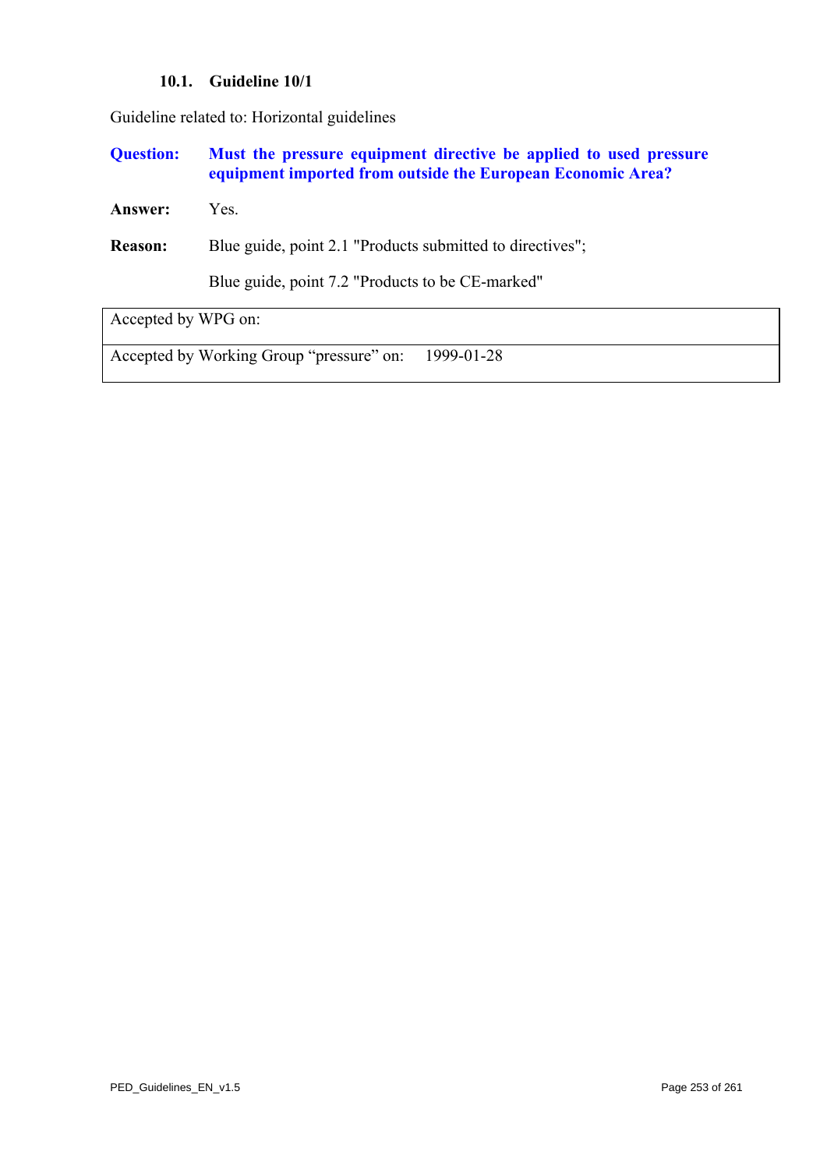#### **10.1. Guideline 10/1**

Guideline related to: Horizontal guidelines

**Question: Must the pressure equipment directive be applied to used pressure equipment imported from outside the European Economic Area?** 

**Answer:** Yes.

**Reason:** Blue guide, point 2.1 "Products submitted to directives";

Blue guide, point 7.2 "Products to be CE-marked"

Accepted by WPG on:

Accepted by Working Group "pressure" on: 1999-01-28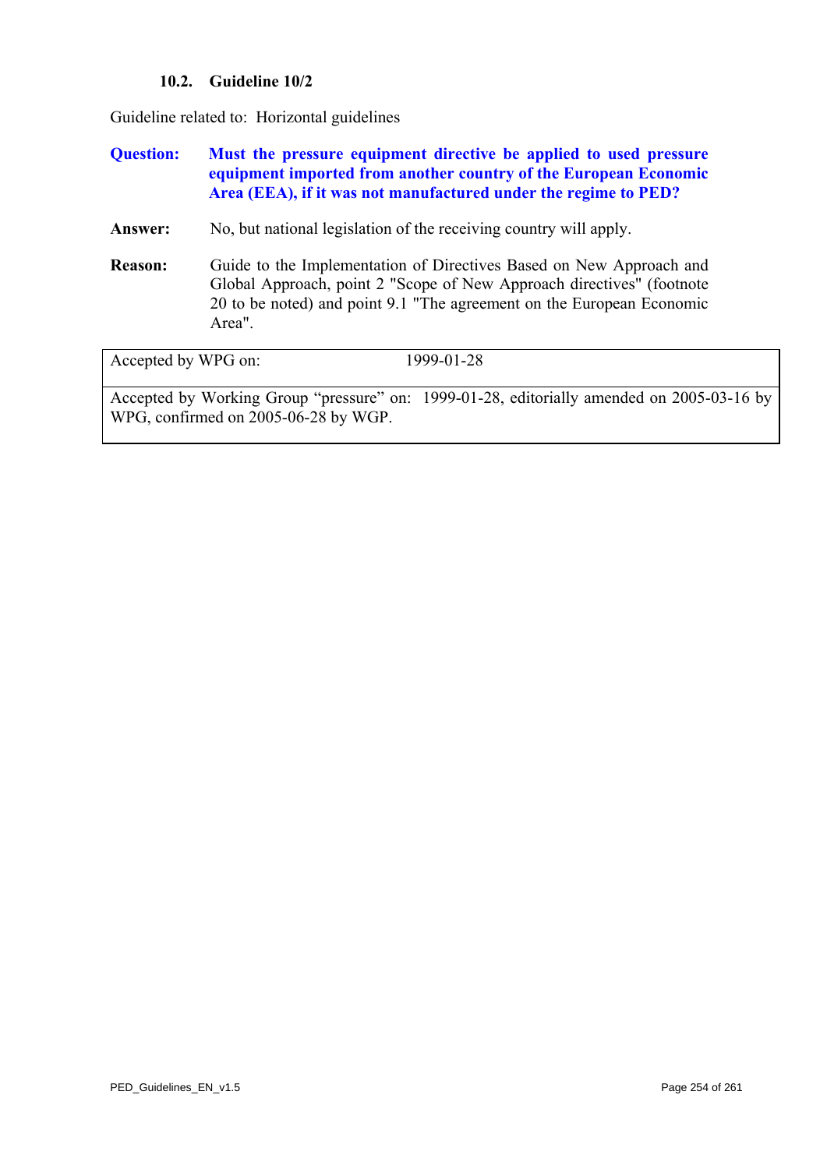# **10.2. Guideline 10/2**

Guideline related to: Horizontal guidelines

# **Question: Must the pressure equipment directive be applied to used pressure equipment imported from another country of the European Economic Area (EEA), if it was not manufactured under the regime to PED?**

Answer: No, but national legislation of the receiving country will apply.

**Reason:** Guide to the Implementation of Directives Based on New Approach and Global Approach, point 2 "Scope of New Approach directives" (footnote 20 to be noted) and point 9.1 "The agreement on the European Economic Area".

| Accepted by WPG on:                  | 1999-01-28                                                                                |
|--------------------------------------|-------------------------------------------------------------------------------------------|
|                                      | Accepted by Working Group "pressure" on: 1999-01-28, editorially amended on 2005-03-16 by |
| WPG, confirmed on 2005-06-28 by WGP. |                                                                                           |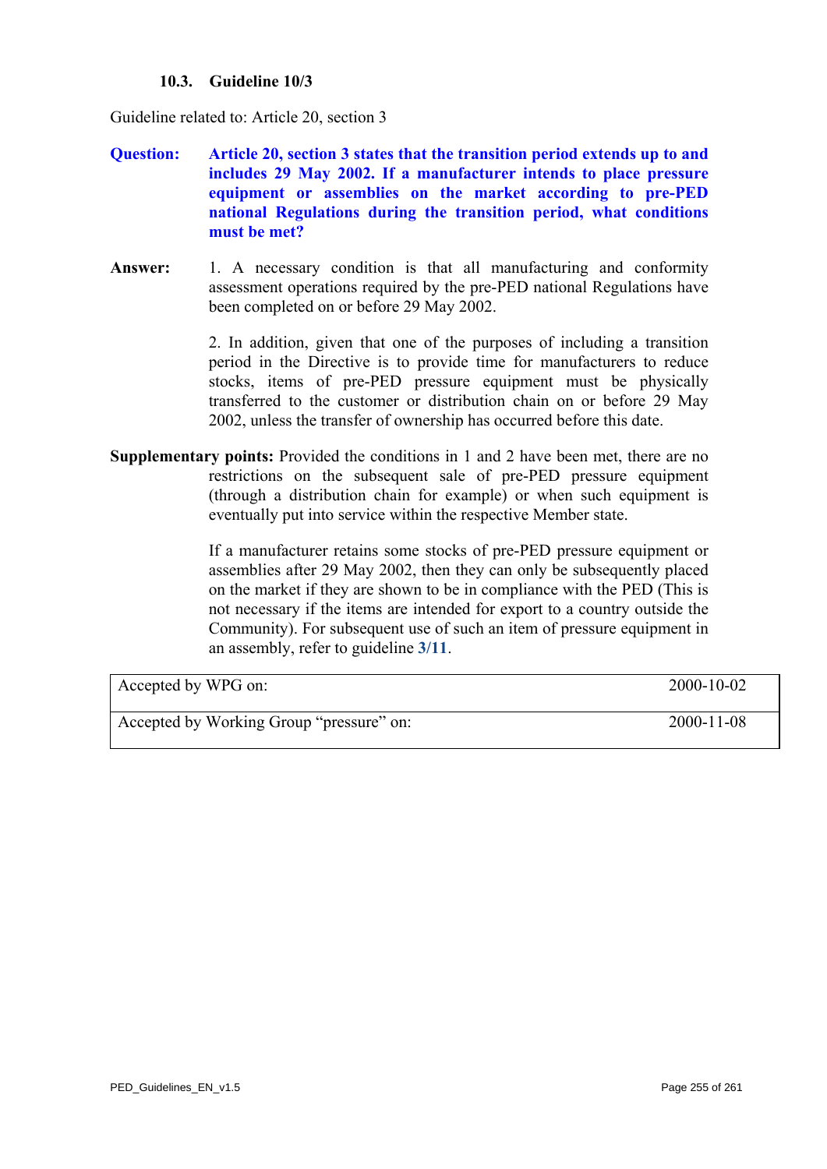# **10.3. Guideline 10/3**

Guideline related to: Article 20, section 3

- **Question: Article 20, section 3 states that the transition period extends up to and includes 29 May 2002. If a manufacturer intends to place pressure equipment or assemblies on the market according to pre-PED national Regulations during the transition period, what conditions must be met?**
- Answer: 1. A necessary condition is that all manufacturing and conformity assessment operations required by the pre-PED national Regulations have been completed on or before 29 May 2002.

2. In addition, given that one of the purposes of including a transition period in the Directive is to provide time for manufacturers to reduce stocks, items of pre-PED pressure equipment must be physically transferred to the customer or distribution chain on or before 29 May 2002, unless the transfer of ownership has occurred before this date.

**Supplementary points:** Provided the conditions in 1 and 2 have been met, there are no restrictions on the subsequent sale of pre-PED pressure equipment (through a distribution chain for example) or when such equipment is eventually put into service within the respective Member state.

> If a manufacturer retains some stocks of pre-PED pressure equipment or assemblies after 29 May 2002, then they can only be subsequently placed on the market if they are shown to be in compliance with the PED (This is not necessary if the items are intended for export to a country outside the Community). For subsequent use of such an item of pressure equipment in an assembly, refer to guideline **[3/11](#page-115-0)**.

| Accepted by WPG on:                      | 2000-10-02       |
|------------------------------------------|------------------|
|                                          |                  |
| Accepted by Working Group "pressure" on: | $2000 - 11 - 08$ |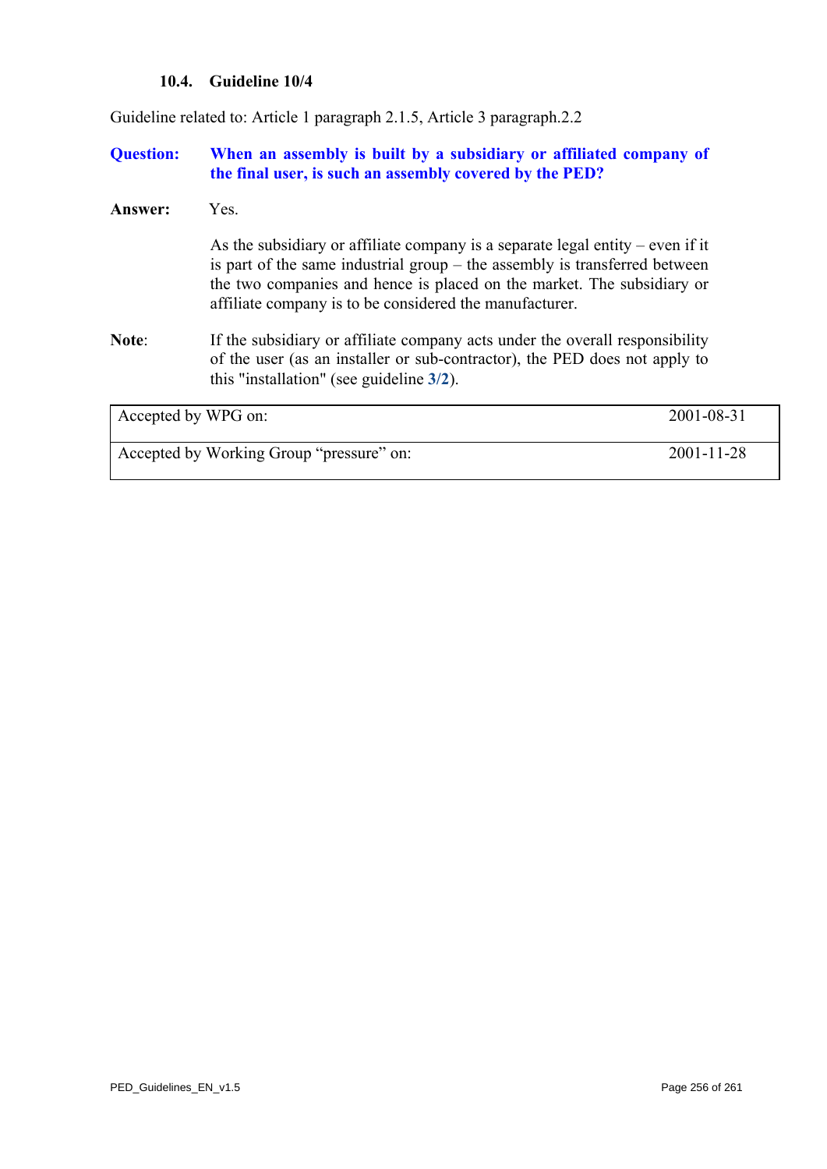# **10.4. Guideline 10/4**

Guideline related to: Article 1 paragraph 2.1.5, Article 3 paragraph.2.2

# **Question: When an assembly is built by a subsidiary or affiliated company of the final user, is such an assembly covered by the PED?**

#### **Answer:** Yes.

As the subsidiary or affiliate company is a separate legal entity – even if it is part of the same industrial group – the assembly is transferred between the two companies and hence is placed on the market. The subsidiary or affiliate company is to be considered the manufacturer.

**Note**: If the subsidiary or affiliate company acts under the overall responsibility of the user (as an installer or sub-contractor), the PED does not apply to this "installation" (see guideline **[3/2](#page-106-0)**).

| Accepted by WPG on:                      | 2001-08-31       |
|------------------------------------------|------------------|
| Accepted by Working Group "pressure" on: | $2001 - 11 - 28$ |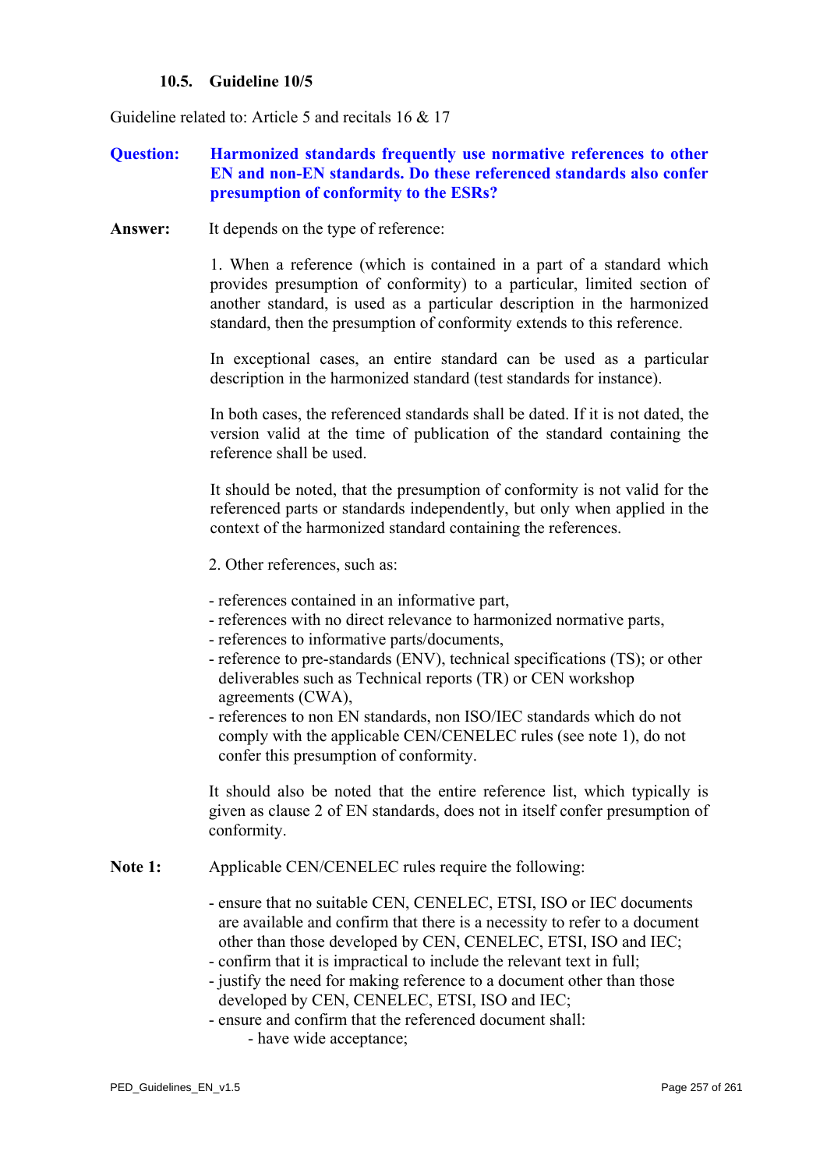## **10.5. Guideline 10/5**

Guideline related to: Article 5 and recitals 16 & 17

# **Question: Harmonized standards frequently use normative references to other EN and non-EN standards. Do these referenced standards also confer presumption of conformity to the ESRs?**

**Answer:** It depends on the type of reference:

1. When a reference (which is contained in a part of a standard which provides presumption of conformity) to a particular, limited section of another standard, is used as a particular description in the harmonized standard, then the presumption of conformity extends to this reference.

In exceptional cases, an entire standard can be used as a particular description in the harmonized standard (test standards for instance).

In both cases, the referenced standards shall be dated. If it is not dated, the version valid at the time of publication of the standard containing the reference shall be used.

It should be noted, that the presumption of conformity is not valid for the referenced parts or standards independently, but only when applied in the context of the harmonized standard containing the references.

- 2. Other references, such as:
- references contained in an informative part,
- references with no direct relevance to harmonized normative parts,
- references to informative parts/documents,
- reference to pre-standards (ENV), technical specifications (TS); or other deliverables such as Technical reports (TR) or CEN workshop agreements (CWA),
- references to non EN standards, non ISO/IEC standards which do not comply with the applicable CEN/CENELEC rules (see note 1), do not confer this presumption of conformity.

It should also be noted that the entire reference list, which typically is given as clause 2 of EN standards, does not in itself confer presumption of conformity.

**Note 1:** Applicable CEN/CENELEC rules require the following:

- ensure that no suitable CEN, CENELEC, ETSI, ISO or IEC documents are available and confirm that there is a necessity to refer to a document other than those developed by CEN, CENELEC, ETSI, ISO and IEC;
- confirm that it is impractical to include the relevant text in full;
- justify the need for making reference to a document other than those developed by CEN, CENELEC, ETSI, ISO and IEC;
- ensure and confirm that the referenced document shall: - have wide acceptance;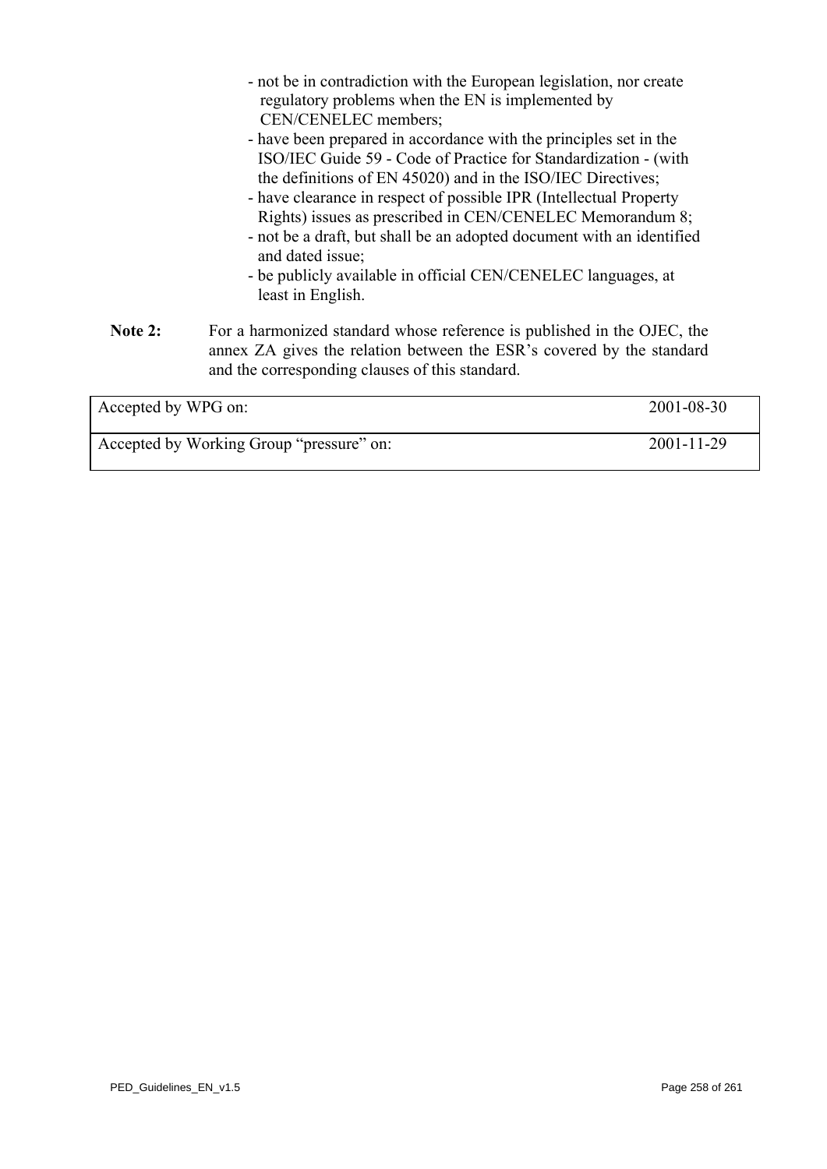|                     | - not be in contradiction with the European legislation, nor create                                                                                                                                 |  |
|---------------------|-----------------------------------------------------------------------------------------------------------------------------------------------------------------------------------------------------|--|
|                     | regulatory problems when the EN is implemented by                                                                                                                                                   |  |
|                     | CEN/CENELEC members;                                                                                                                                                                                |  |
|                     | - have been prepared in accordance with the principles set in the                                                                                                                                   |  |
|                     | ISO/IEC Guide 59 - Code of Practice for Standardization - (with                                                                                                                                     |  |
|                     | the definitions of EN 45020) and in the ISO/IEC Directives;                                                                                                                                         |  |
|                     | - have clearance in respect of possible IPR (Intellectual Property                                                                                                                                  |  |
|                     | Rights) issues as prescribed in CEN/CENELEC Memorandum 8;                                                                                                                                           |  |
|                     | - not be a draft, but shall be an adopted document with an identified<br>and dated issue;                                                                                                           |  |
|                     | - be publicly available in official CEN/CENELEC languages, at<br>least in English.                                                                                                                  |  |
| Note 2:             | For a harmonized standard whose reference is published in the OJEC, the<br>annex ZA gives the relation between the ESR's covered by the standard<br>and the corresponding clauses of this standard. |  |
| Accepted by WPG on: | 2001-08-30                                                                                                                                                                                          |  |

| Accepted by WPG on:                      | 2001-08-30 |
|------------------------------------------|------------|
| Accepted by Working Group "pressure" on: | 2001-11-29 |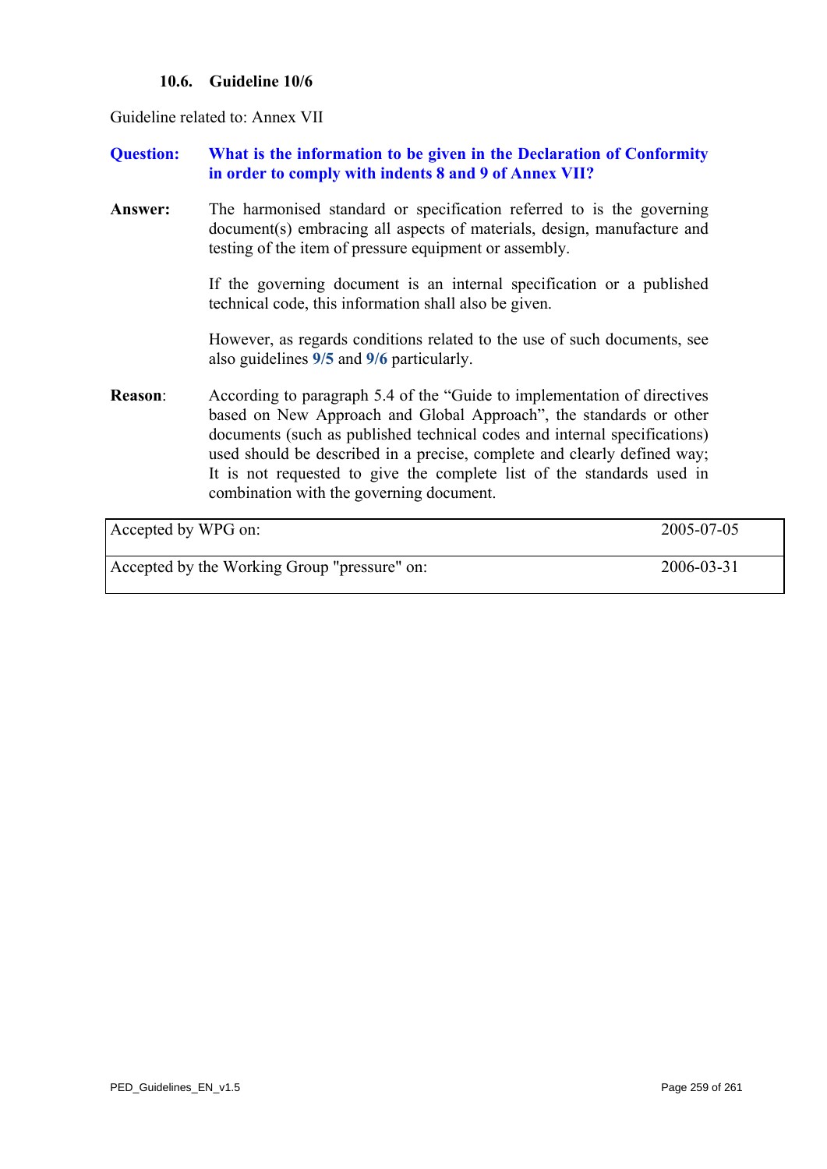# **10.6. Guideline 10/6**

Guideline related to: Annex VII

**Question: What is the information to be given in the Declaration of Conformity in order to comply with indents 8 and 9 of Annex VII?** 

**Answer:** The harmonised standard or specification referred to is the governing document(s) embracing all aspects of materials, design, manufacture and testing of the item of pressure equipment or assembly.

> If the governing document is an internal specification or a published technical code, this information shall also be given.

> However, as regards conditions related to the use of such documents, see also guidelines **[9/5](#page-231-0)** and **[9/6](#page-232-0)** particularly.

**Reason**: According to paragraph 5.4 of the "Guide to implementation of directives based on New Approach and Global Approach", the standards or other documents (such as published technical codes and internal specifications) used should be described in a precise, complete and clearly defined way; It is not requested to give the complete list of the standards used in combination with the governing document.

| Accepted by WPG on:                          | 2005-07-05 |
|----------------------------------------------|------------|
| Accepted by the Working Group "pressure" on: | 2006-03-31 |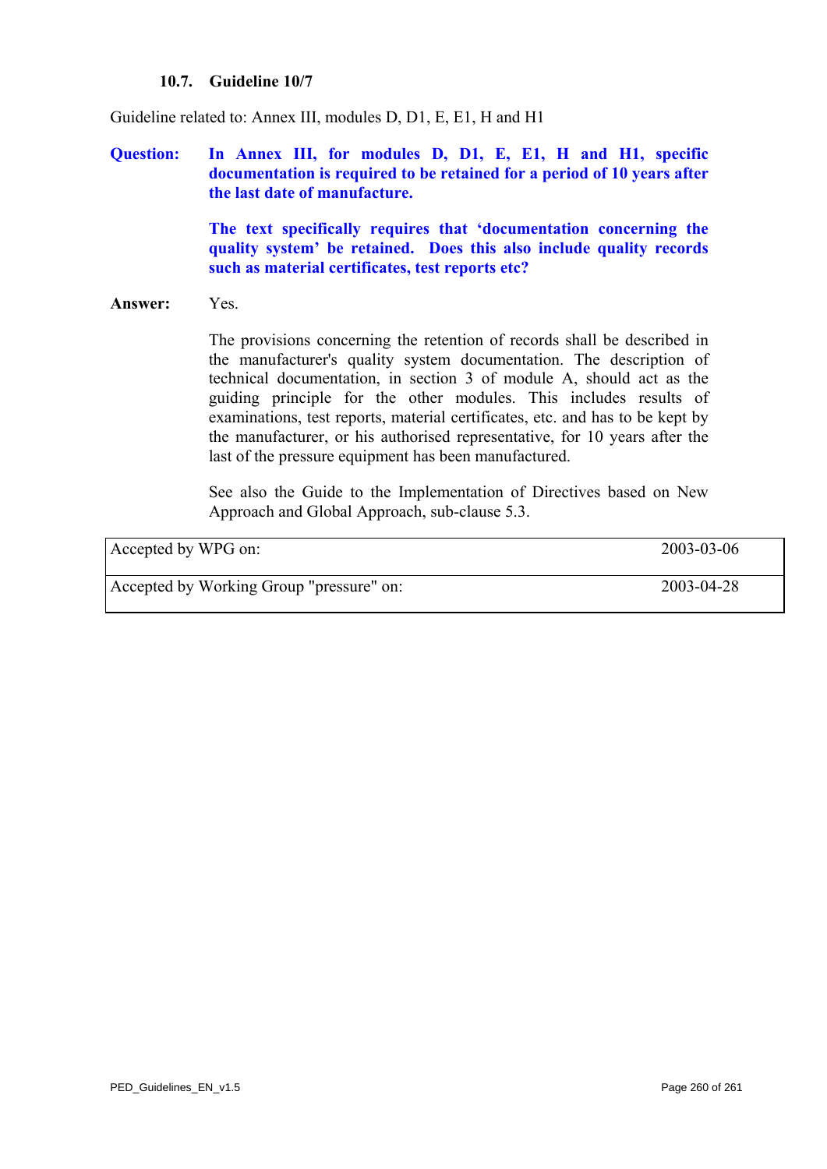## **10.7. Guideline 10/7**

Guideline related to: Annex III, modules D, D1, E, E1, H and H1

**Question: In Annex III, for modules D, D1, E, E1, H and H1, specific documentation is required to be retained for a period of 10 years after the last date of manufacture.** 

> **The text specifically requires that 'documentation concerning the quality system' be retained. Does this also include quality records such as material certificates, test reports etc?**

#### **Answer:** Yes.

The provisions concerning the retention of records shall be described in the manufacturer's quality system documentation. The description of technical documentation, in section 3 of module A, should act as the guiding principle for the other modules. This includes results of examinations, test reports, material certificates, etc. and has to be kept by the manufacturer, or his authorised representative, for 10 years after the last of the pressure equipment has been manufactured.

See also the Guide to the Implementation of Directives based on New Approach and Global Approach, sub-clause 5.3.

| Accepted by WPG on:                      | 2003-03-06 |
|------------------------------------------|------------|
| Accepted by Working Group "pressure" on: | 2003-04-28 |